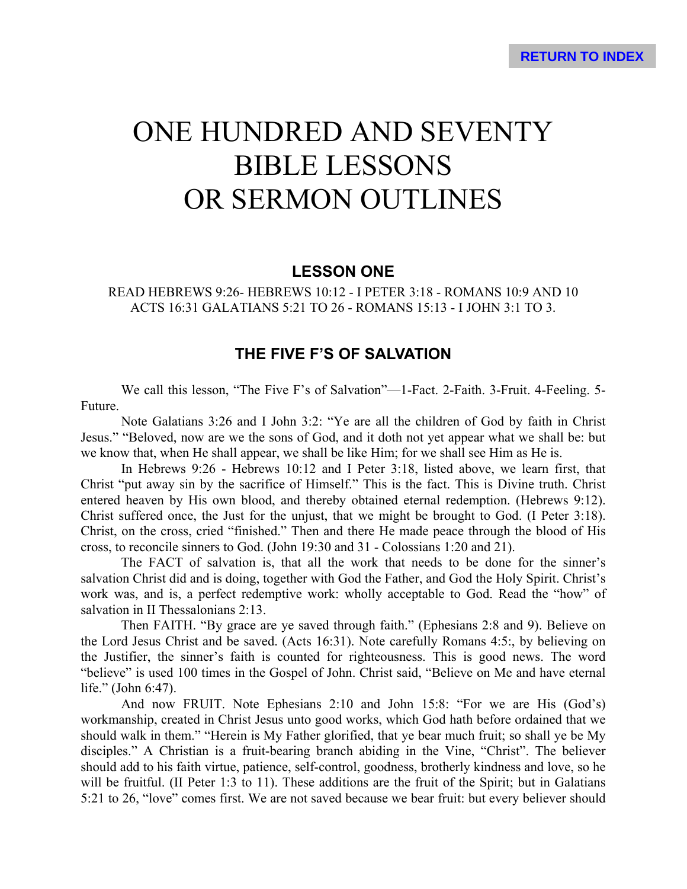# ONE HUNDRED AND SEVENTY BIBLE LESSONS OR SERMON OUTLINES

# **LESSON ONE**

READ HEBREWS 9:26- HEBREWS 10:12 - I PETER 3:18 - ROMANS 10:9 AND 10 ACTS 16:31 GALATIANS 5:21 TO 26 - ROMANS 15:13 - I JOHN 3:1 TO 3.

# **THE FIVE F'S OF SALVATION**

We call this lesson, "The Five F's of Salvation"—1-Fact. 2-Faith. 3-Fruit. 4-Feeling. 5- Future.

Note Galatians 3:26 and I John 3:2: "Ye are all the children of God by faith in Christ Jesus." "Beloved, now are we the sons of God, and it doth not yet appear what we shall be: but we know that, when He shall appear, we shall be like Him; for we shall see Him as He is.

In Hebrews 9:26 - Hebrews 10:12 and I Peter 3:18, listed above, we learn first, that Christ "put away sin by the sacrifice of Himself." This is the fact. This is Divine truth. Christ entered heaven by His own blood, and thereby obtained eternal redemption. (Hebrews 9:12). Christ suffered once, the Just for the unjust, that we might be brought to God. (I Peter 3:18). Christ, on the cross, cried "finished." Then and there He made peace through the blood of His cross, to reconcile sinners to God. (John 19:30 and 31 - Colossians 1:20 and 21).

The FACT of salvation is, that all the work that needs to be done for the sinner's salvation Christ did and is doing, together with God the Father, and God the Holy Spirit. Christ's work was, and is, a perfect redemptive work: wholly acceptable to God. Read the "how" of salvation in II Thessalonians 2:13.

Then FAITH. "By grace are ye saved through faith." (Ephesians 2:8 and 9). Believe on the Lord Jesus Christ and be saved. (Acts 16:31). Note carefully Romans 4:5:, by believing on the Justifier, the sinner's faith is counted for righteousness. This is good news. The word "believe" is used 100 times in the Gospel of John. Christ said, "Believe on Me and have eternal life." (John 6:47).

And now FRUIT. Note Ephesians 2:10 and John 15:8: "For we are His (God's) workmanship, created in Christ Jesus unto good works, which God hath before ordained that we should walk in them." "Herein is My Father glorified, that ye bear much fruit; so shall ye be My disciples." A Christian is a fruit-bearing branch abiding in the Vine, "Christ". The believer should add to his faith virtue, patience, self-control, goodness, brotherly kindness and love, so he will be fruitful. (II Peter 1:3 to 11). These additions are the fruit of the Spirit; but in Galatians 5:21 to 26, "love" comes first. We are not saved because we bear fruit: but every believer should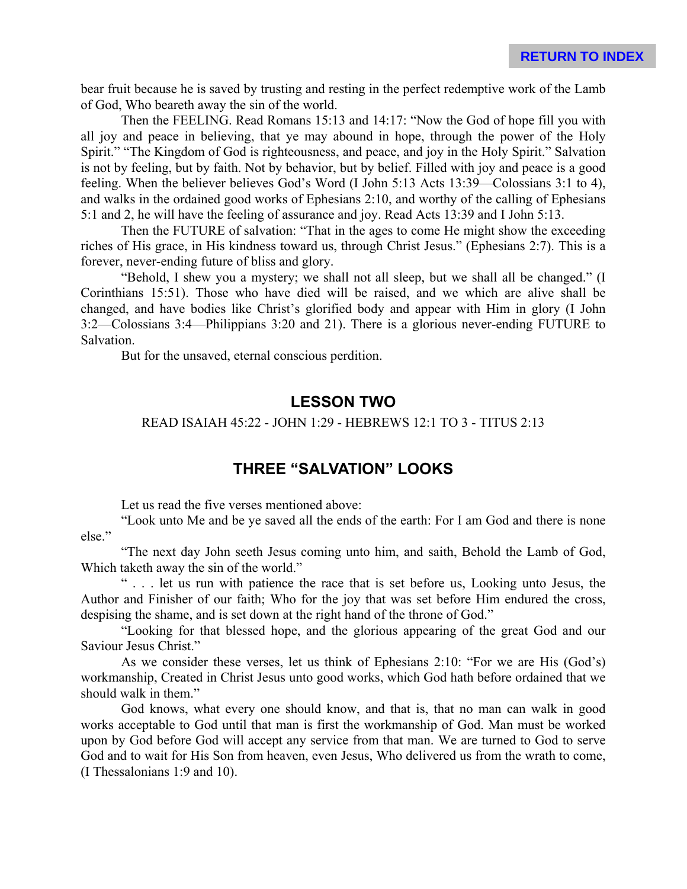bear fruit because he is saved by trusting and resting in the perfect redemptive work of the Lamb of God, Who beareth away the sin of the world.

Then the FEELING. Read Romans 15:13 and 14:17: "Now the God of hope fill you with all joy and peace in believing, that ye may abound in hope, through the power of the Holy Spirit." "The Kingdom of God is righteousness, and peace, and joy in the Holy Spirit." Salvation is not by feeling, but by faith. Not by behavior, but by belief. Filled with joy and peace is a good feeling. When the believer believes God's Word (I John 5:13 Acts 13:39—Colossians 3:1 to 4), and walks in the ordained good works of Ephesians 2:10, and worthy of the calling of Ephesians 5:1 and 2, he will have the feeling of assurance and joy. Read Acts 13:39 and I John 5:13.

Then the FUTURE of salvation: "That in the ages to come He might show the exceeding riches of His grace, in His kindness toward us, through Christ Jesus." (Ephesians 2:7). This is a forever, never-ending future of bliss and glory.

"Behold, I shew you a mystery; we shall not all sleep, but we shall all be changed." (I Corinthians 15:51). Those who have died will be raised, and we which are alive shall be changed, and have bodies like Christ's glorified body and appear with Him in glory (I John 3:2—Colossians 3:4—Philippians 3:20 and 21). There is a glorious never-ending FUTURE to Salvation.

But for the unsaved, eternal conscious perdition.

# **LESSON TWO**

#### READ ISAIAH 45:22 - JOHN 1:29 - HEBREWS 12:1 TO 3 - TITUS 2:13

# **THREE "SALVATION" LOOKS**

Let us read the five verses mentioned above:

"Look unto Me and be ye saved all the ends of the earth: For I am God and there is none else."

"The next day John seeth Jesus coming unto him, and saith, Behold the Lamb of God, Which taketh away the sin of the world."

" . . . let us run with patience the race that is set before us, Looking unto Jesus, the Author and Finisher of our faith; Who for the joy that was set before Him endured the cross, despising the shame, and is set down at the right hand of the throne of God."

"Looking for that blessed hope, and the glorious appearing of the great God and our Saviour Jesus Christ."

As we consider these verses, let us think of Ephesians 2:10: "For we are His (God's) workmanship, Created in Christ Jesus unto good works, which God hath before ordained that we should walk in them."

God knows, what every one should know, and that is, that no man can walk in good works acceptable to God until that man is first the workmanship of God. Man must be worked upon by God before God will accept any service from that man. We are turned to God to serve God and to wait for His Son from heaven, even Jesus, Who delivered us from the wrath to come, (I Thessalonians 1:9 and 10).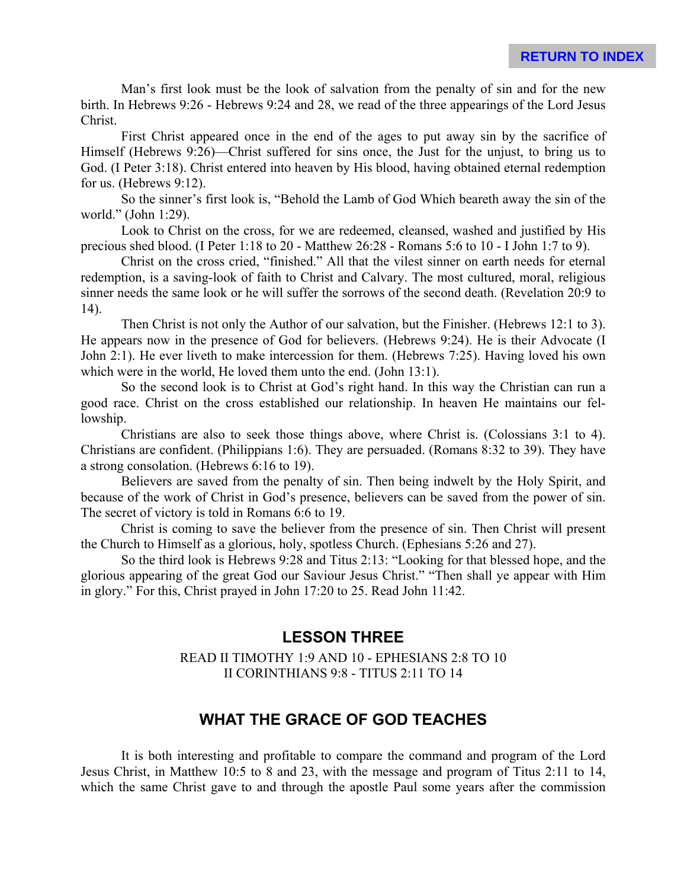Man's first look must be the look of salvation from the penalty of sin and for the new birth. In Hebrews 9:26 - Hebrews 9:24 and 28, we read of the three appearings of the Lord Jesus Christ.

First Christ appeared once in the end of the ages to put away sin by the sacrifice of Himself (Hebrews 9:26)—Christ suffered for sins once, the Just for the unjust, to bring us to God. (I Peter 3:18). Christ entered into heaven by His blood, having obtained eternal redemption for us. (Hebrews 9:12).

So the sinner's first look is, "Behold the Lamb of God Which beareth away the sin of the world." (John 1:29).

Look to Christ on the cross, for we are redeemed, cleansed, washed and justified by His precious shed blood. (I Peter 1:18 to 20 - Matthew 26:28 - Romans 5:6 to 10 - I John 1:7 to 9).

Christ on the cross cried, "finished." All that the vilest sinner on earth needs for eternal redemption, is a saving-look of faith to Christ and Calvary. The most cultured, moral, religious sinner needs the same look or he will suffer the sorrows of the second death. (Revelation 20:9 to 14).

Then Christ is not only the Author of our salvation, but the Finisher. (Hebrews 12:1 to 3). He appears now in the presence of God for believers. (Hebrews 9:24). He is their Advocate (I John 2:1). He ever liveth to make intercession for them. (Hebrews 7:25). Having loved his own which were in the world, He loved them unto the end. (John 13:1).

So the second look is to Christ at God's right hand. In this way the Christian can run a good race. Christ on the cross established our relationship. In heaven He maintains our fellowship.

Christians are also to seek those things above, where Christ is. (Colossians 3:1 to 4). Christians are confident. (Philippians 1:6). They are persuaded. (Romans 8:32 to 39). They have a strong consolation. (Hebrews 6:16 to 19).

Believers are saved from the penalty of sin. Then being indwelt by the Holy Spirit, and because of the work of Christ in God's presence, believers can be saved from the power of sin. The secret of victory is told in Romans 6:6 to 19.

Christ is coming to save the believer from the presence of sin. Then Christ will present the Church to Himself as a glorious, holy, spotless Church. (Ephesians 5:26 and 27).

So the third look is Hebrews 9:28 and Titus 2:13: "Looking for that blessed hope, and the glorious appearing of the great God our Saviour Jesus Christ." "Then shall ye appear with Him in glory." For this, Christ prayed in John 17:20 to 25. Read John 11:42.

# **LESSON THREE**

READ II TIMOTHY 1:9 AND 10 - EPHESIANS 2:8 TO 10 II CORINTHIANS 9:8 - TITUS 2:11 TO 14

# **WHAT THE GRACE OF GOD TEACHES**

It is both interesting and profitable to compare the command and program of the Lord Jesus Christ, in Matthew 10:5 to 8 and 23, with the message and program of Titus 2:11 to 14, which the same Christ gave to and through the apostle Paul some years after the commission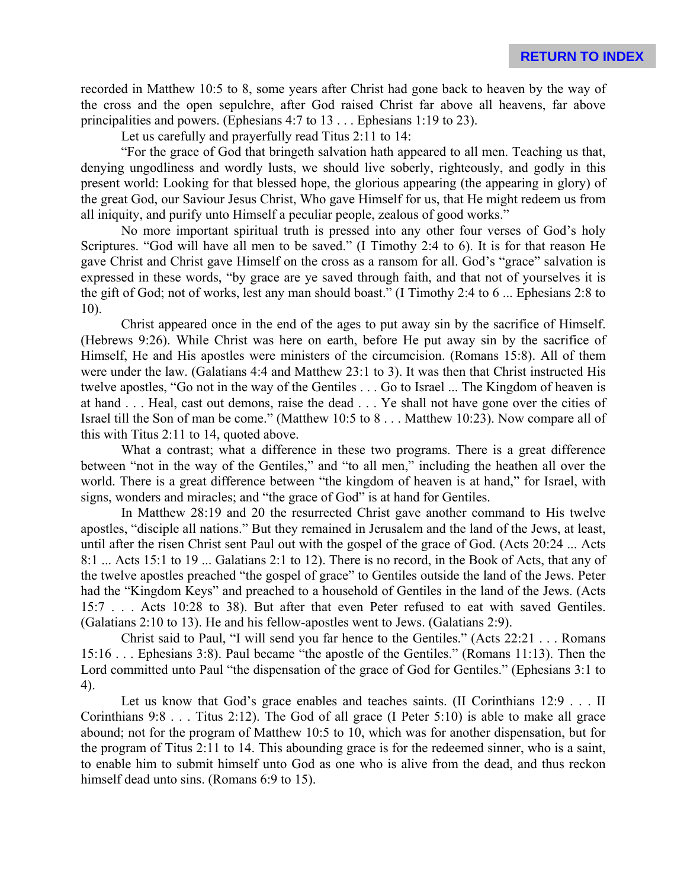recorded in Matthew 10:5 to 8, some years after Christ had gone back to heaven by the way of the cross and the open sepulchre, after God raised Christ far above all heavens, far above principalities and powers. (Ephesians 4:7 to 13 . . . Ephesians 1:19 to 23).

Let us carefully and prayerfully read Titus 2:11 to 14:

"For the grace of God that bringeth salvation hath appeared to all men. Teaching us that, denying ungodliness and wordly lusts, we should live soberly, righteously, and godly in this present world: Looking for that blessed hope, the glorious appearing (the appearing in glory) of the great God, our Saviour Jesus Christ, Who gave Himself for us, that He might redeem us from all iniquity, and purify unto Himself a peculiar people, zealous of good works."

No more important spiritual truth is pressed into any other four verses of God's holy Scriptures. "God will have all men to be saved." (I Timothy 2:4 to 6). It is for that reason He gave Christ and Christ gave Himself on the cross as a ransom for all. God's "grace" salvation is expressed in these words, "by grace are ye saved through faith, and that not of yourselves it is the gift of God; not of works, lest any man should boast." (I Timothy 2:4 to 6 ... Ephesians 2:8 to 10).

Christ appeared once in the end of the ages to put away sin by the sacrifice of Himself. (Hebrews 9:26). While Christ was here on earth, before He put away sin by the sacrifice of Himself, He and His apostles were ministers of the circumcision. (Romans 15:8). All of them were under the law. (Galatians 4:4 and Matthew 23:1 to 3). It was then that Christ instructed His twelve apostles, "Go not in the way of the Gentiles . . . Go to Israel ... The Kingdom of heaven is at hand . . . Heal, cast out demons, raise the dead . . . Ye shall not have gone over the cities of Israel till the Son of man be come." (Matthew 10:5 to 8 . . . Matthew 10:23). Now compare all of this with Titus 2:11 to 14, quoted above.

What a contrast; what a difference in these two programs. There is a great difference between "not in the way of the Gentiles," and "to all men," including the heathen all over the world. There is a great difference between "the kingdom of heaven is at hand," for Israel, with signs, wonders and miracles; and "the grace of God" is at hand for Gentiles.

In Matthew 28:19 and 20 the resurrected Christ gave another command to His twelve apostles, "disciple all nations." But they remained in Jerusalem and the land of the Jews, at least, until after the risen Christ sent Paul out with the gospel of the grace of God. (Acts 20:24 ... Acts 8:1 ... Acts 15:1 to 19 ... Galatians 2:1 to 12). There is no record, in the Book of Acts, that any of the twelve apostles preached "the gospel of grace" to Gentiles outside the land of the Jews. Peter had the "Kingdom Keys" and preached to a household of Gentiles in the land of the Jews. (Acts 15:7 . . . Acts 10:28 to 38). But after that even Peter refused to eat with saved Gentiles. (Galatians 2:10 to 13). He and his fellow-apostles went to Jews. (Galatians 2:9).

Christ said to Paul, "I will send you far hence to the Gentiles." (Acts 22:21 . . . Romans 15:16 . . . Ephesians 3:8). Paul became "the apostle of the Gentiles." (Romans 11:13). Then the Lord committed unto Paul "the dispensation of the grace of God for Gentiles." (Ephesians 3:1 to 4).

Let us know that God's grace enables and teaches saints. (II Corinthians 12:9 . . . II Corinthians 9:8 . . . Titus 2:12). The God of all grace (I Peter 5:10) is able to make all grace abound; not for the program of Matthew 10:5 to 10, which was for another dispensation, but for the program of Titus 2:11 to 14. This abounding grace is for the redeemed sinner, who is a saint, to enable him to submit himself unto God as one who is alive from the dead, and thus reckon himself dead unto sins. (Romans 6:9 to 15).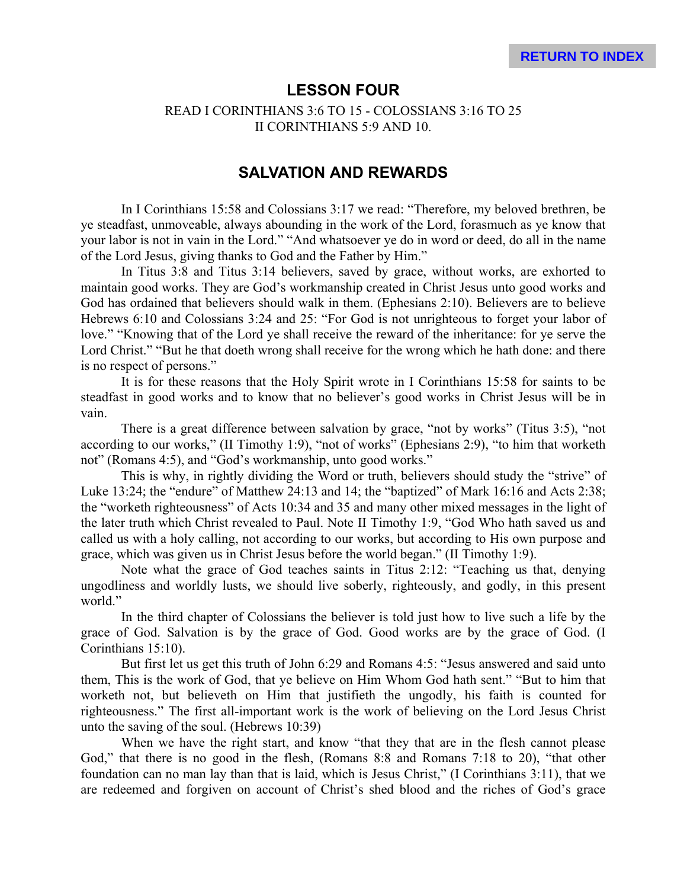## **LESSON FOUR**

#### READ I CORINTHIANS 3:6 TO 15 - COLOSSIANS 3:16 TO 25 II CORINTHIANS 5:9 AND 10.

## **SALVATION AND REWARDS**

In I Corinthians 15:58 and Colossians 3:17 we read: "Therefore, my beloved brethren, be ye steadfast, unmoveable, always abounding in the work of the Lord, forasmuch as ye know that your labor is not in vain in the Lord." "And whatsoever ye do in word or deed, do all in the name of the Lord Jesus, giving thanks to God and the Father by Him."

In Titus 3:8 and Titus 3:14 believers, saved by grace, without works, are exhorted to maintain good works. They are God's workmanship created in Christ Jesus unto good works and God has ordained that believers should walk in them. (Ephesians 2:10). Believers are to believe Hebrews 6:10 and Colossians 3:24 and 25: "For God is not unrighteous to forget your labor of love." "Knowing that of the Lord ye shall receive the reward of the inheritance: for ye serve the Lord Christ." "But he that doeth wrong shall receive for the wrong which he hath done: and there is no respect of persons."

It is for these reasons that the Holy Spirit wrote in I Corinthians 15:58 for saints to be steadfast in good works and to know that no believer's good works in Christ Jesus will be in vain.

There is a great difference between salvation by grace, "not by works" (Titus 3:5), "not according to our works," (II Timothy 1:9), "not of works" (Ephesians 2:9), "to him that worketh not" (Romans 4:5), and "God's workmanship, unto good works."

This is why, in rightly dividing the Word or truth, believers should study the "strive" of Luke 13:24; the "endure" of Matthew 24:13 and 14; the "baptized" of Mark 16:16 and Acts 2:38; the "worketh righteousness" of Acts 10:34 and 35 and many other mixed messages in the light of the later truth which Christ revealed to Paul. Note II Timothy 1:9, "God Who hath saved us and called us with a holy calling, not according to our works, but according to His own purpose and grace, which was given us in Christ Jesus before the world began." (II Timothy 1:9).

Note what the grace of God teaches saints in Titus 2:12: "Teaching us that, denying ungodliness and worldly lusts, we should live soberly, righteously, and godly, in this present world<sup>"</sup>

In the third chapter of Colossians the believer is told just how to live such a life by the grace of God. Salvation is by the grace of God. Good works are by the grace of God. (I Corinthians 15:10).

But first let us get this truth of John 6:29 and Romans 4:5: "Jesus answered and said unto them, This is the work of God, that ye believe on Him Whom God hath sent." "But to him that worketh not, but believeth on Him that justifieth the ungodly, his faith is counted for righteousness." The first all-important work is the work of believing on the Lord Jesus Christ unto the saving of the soul. (Hebrews 10:39)

When we have the right start, and know "that they that are in the flesh cannot please God," that there is no good in the flesh, (Romans 8:8 and Romans 7:18 to 20), "that other foundation can no man lay than that is laid, which is Jesus Christ," (I Corinthians 3:11), that we are redeemed and forgiven on account of Christ's shed blood and the riches of God's grace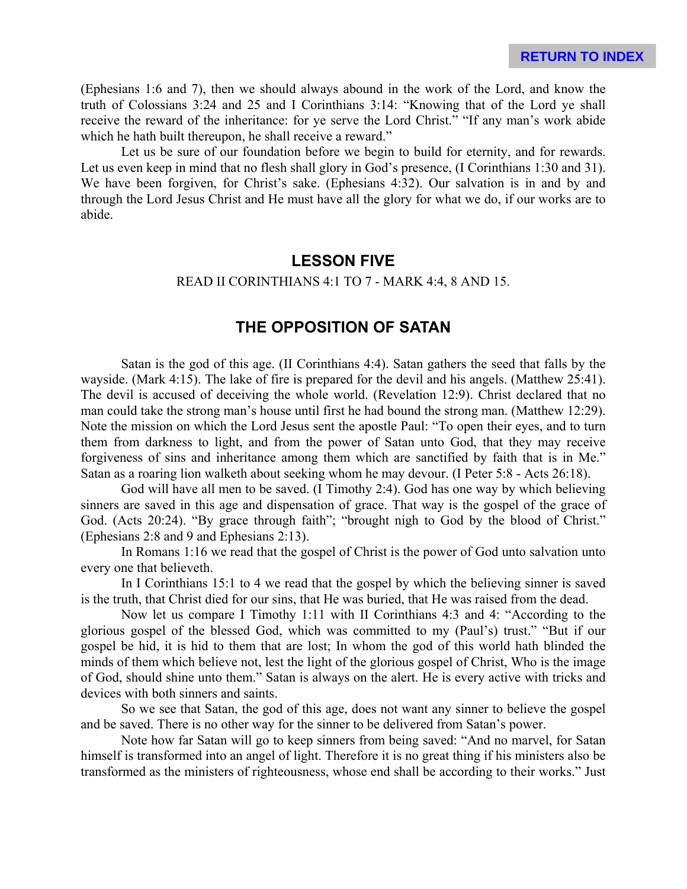(Ephesians 1:6 and 7), then we should always abound in the work of the Lord, and know the truth of Colossians 3:24 and 25 and I Corinthians 3:14: "Knowing that of the Lord ye shall receive the reward of the inheritance: for ye serve the Lord Christ." "If any man's work abide which he hath built thereupon, he shall receive a reward."

Let us be sure of our foundation before we begin to build for eternity, and for rewards. Let us even keep in mind that no flesh shall glory in God's presence, (I Corinthians 1:30 and 31). We have been forgiven, for Christ's sake. (Ephesians 4:32). Our salvation is in and by and through the Lord Jesus Christ and He must have all the glory for what we do, if our works are to abide.

# **LESSON FIVE**

#### READ II CORINTHIANS 4:1 TO 7 - MARK 4:4, 8 AND 15.

# **THE OPPOSITION OF SATAN**

Satan is the god of this age. (II Corinthians 4:4). Satan gathers the seed that falls by the wayside. (Mark 4:15). The lake of fire is prepared for the devil and his angels. (Matthew 25:41). The devil is accused of deceiving the whole world. (Revelation 12:9). Christ declared that no man could take the strong man's house until first he had bound the strong man. (Matthew 12:29). Note the mission on which the Lord Jesus sent the apostle Paul: "To open their eyes, and to turn them from darkness to light, and from the power of Satan unto God, that they may receive forgiveness of sins and inheritance among them which are sanctified by faith that is in Me." Satan as a roaring lion walketh about seeking whom he may devour. (I Peter 5:8 - Acts 26:18).

God will have all men to be saved. (I Timothy 2:4). God has one way by which believing sinners are saved in this age and dispensation of grace. That way is the gospel of the grace of God. (Acts 20:24). "By grace through faith"; "brought nigh to God by the blood of Christ." (Ephesians 2:8 and 9 and Ephesians 2:13).

In Romans 1:16 we read that the gospel of Christ is the power of God unto salvation unto every one that believeth.

In I Corinthians 15:1 to 4 we read that the gospel by which the believing sinner is saved is the truth, that Christ died for our sins, that He was buried, that He was raised from the dead.

Now let us compare I Timothy 1:11 with II Corinthians 4:3 and 4: "According to the glorious gospel of the blessed God, which was committed to my (Paul's) trust." "But if our gospel be hid, it is hid to them that are lost; In whom the god of this world hath blinded the minds of them which believe not, lest the light of the glorious gospel of Christ, Who is the image of God, should shine unto them." Satan is always on the alert. He is every active with tricks and devices with both sinners and saints.

So we see that Satan, the god of this age, does not want any sinner to believe the gospel and be saved. There is no other way for the sinner to be delivered from Satan's power.

Note how far Satan will go to keep sinners from being saved: "And no marvel, for Satan himself is transformed into an angel of light. Therefore it is no great thing if his ministers also be transformed as the ministers of righteousness, whose end shall be according to their works." Just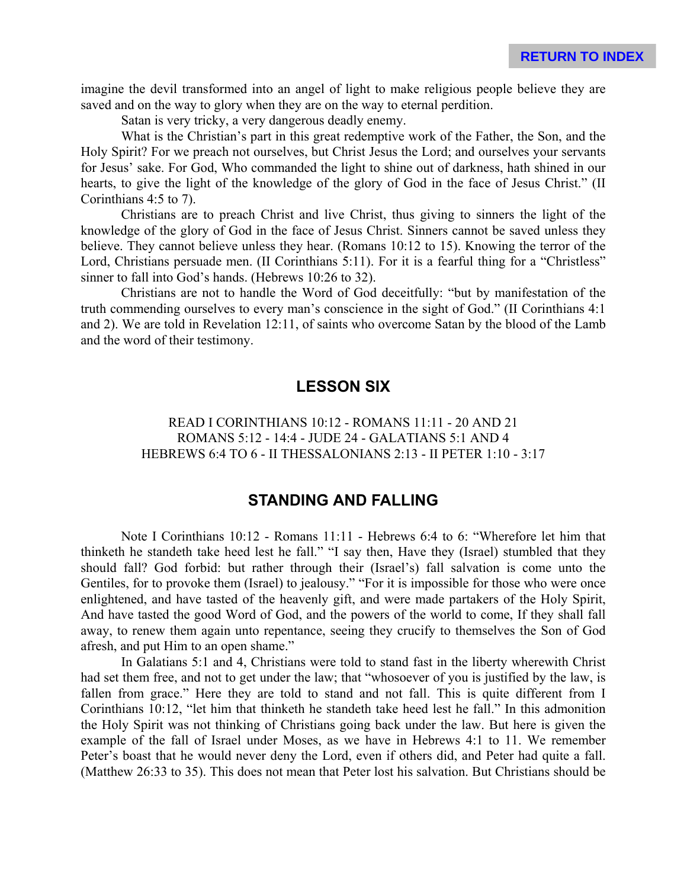imagine the devil transformed into an angel of light to make religious people believe they are saved and on the way to glory when they are on the way to eternal perdition.

Satan is very tricky, a very dangerous deadly enemy.

What is the Christian's part in this great redemptive work of the Father, the Son, and the Holy Spirit? For we preach not ourselves, but Christ Jesus the Lord; and ourselves your servants for Jesus' sake. For God, Who commanded the light to shine out of darkness, hath shined in our hearts, to give the light of the knowledge of the glory of God in the face of Jesus Christ." (II Corinthians 4:5 to 7).

Christians are to preach Christ and live Christ, thus giving to sinners the light of the knowledge of the glory of God in the face of Jesus Christ. Sinners cannot be saved unless they believe. They cannot believe unless they hear. (Romans 10:12 to 15). Knowing the terror of the Lord, Christians persuade men. (II Corinthians 5:11). For it is a fearful thing for a "Christless" sinner to fall into God's hands. (Hebrews 10:26 to 32).

Christians are not to handle the Word of God deceitfully: "but by manifestation of the truth commending ourselves to every man's conscience in the sight of God." (II Corinthians 4:1 and 2). We are told in Revelation 12:11, of saints who overcome Satan by the blood of the Lamb and the word of their testimony.

# **LESSON SIX**

READ I CORINTHIANS 10:12 - ROMANS 11:11 - 20 AND 21 ROMANS 5:12 - 14:4 - JUDE 24 - GALATIANS 5:1 AND 4 HEBREWS 6:4 TO 6 - II THESSALONIANS 2:13 - II PETER 1:10 - 3:17

# **STANDING AND FALLING**

Note I Corinthians 10:12 - Romans 11:11 - Hebrews 6:4 to 6: "Wherefore let him that thinketh he standeth take heed lest he fall." "I say then, Have they (Israel) stumbled that they should fall? God forbid: but rather through their (Israel's) fall salvation is come unto the Gentiles, for to provoke them (Israel) to jealousy." "For it is impossible for those who were once enlightened, and have tasted of the heavenly gift, and were made partakers of the Holy Spirit, And have tasted the good Word of God, and the powers of the world to come, If they shall fall away, to renew them again unto repentance, seeing they crucify to themselves the Son of God afresh, and put Him to an open shame."

In Galatians 5:1 and 4, Christians were told to stand fast in the liberty wherewith Christ had set them free, and not to get under the law; that "whosoever of you is justified by the law, is fallen from grace." Here they are told to stand and not fall. This is quite different from I Corinthians 10:12, "let him that thinketh he standeth take heed lest he fall." In this admonition the Holy Spirit was not thinking of Christians going back under the law. But here is given the example of the fall of Israel under Moses, as we have in Hebrews 4:1 to 11. We remember Peter's boast that he would never deny the Lord, even if others did, and Peter had quite a fall. (Matthew 26:33 to 35). This does not mean that Peter lost his salvation. But Christians should be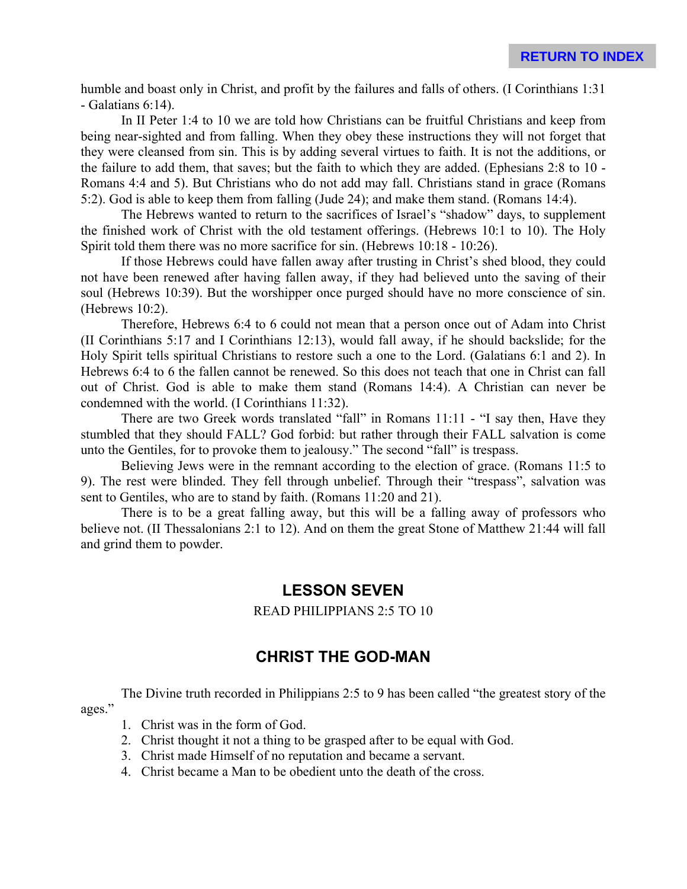humble and boast only in Christ, and profit by the failures and falls of others. (I Corinthians 1:31 - Galatians 6:14).

In II Peter 1:4 to 10 we are told how Christians can be fruitful Christians and keep from being near-sighted and from falling. When they obey these instructions they will not forget that they were cleansed from sin. This is by adding several virtues to faith. It is not the additions, or the failure to add them, that saves; but the faith to which they are added. (Ephesians 2:8 to 10 - Romans 4:4 and 5). But Christians who do not add may fall. Christians stand in grace (Romans 5:2). God is able to keep them from falling (Jude 24); and make them stand. (Romans 14:4).

The Hebrews wanted to return to the sacrifices of Israel's "shadow" days, to supplement the finished work of Christ with the old testament offerings. (Hebrews 10:1 to 10). The Holy Spirit told them there was no more sacrifice for sin. (Hebrews 10:18 - 10:26).

If those Hebrews could have fallen away after trusting in Christ's shed blood, they could not have been renewed after having fallen away, if they had believed unto the saving of their soul (Hebrews 10:39). But the worshipper once purged should have no more conscience of sin. (Hebrews 10:2).

Therefore, Hebrews 6:4 to 6 could not mean that a person once out of Adam into Christ (II Corinthians 5:17 and I Corinthians 12:13), would fall away, if he should backslide; for the Holy Spirit tells spiritual Christians to restore such a one to the Lord. (Galatians 6:1 and 2). In Hebrews 6:4 to 6 the fallen cannot be renewed. So this does not teach that one in Christ can fall out of Christ. God is able to make them stand (Romans 14:4). A Christian can never be condemned with the world. (I Corinthians 11:32).

There are two Greek words translated "fall" in Romans 11:11 - "I say then, Have they stumbled that they should FALL? God forbid: but rather through their FALL salvation is come unto the Gentiles, for to provoke them to jealousy." The second "fall" is trespass.

Believing Jews were in the remnant according to the election of grace. (Romans 11:5 to 9). The rest were blinded. They fell through unbelief. Through their "trespass", salvation was sent to Gentiles, who are to stand by faith. (Romans 11:20 and 21).

There is to be a great falling away, but this will be a falling away of professors who believe not. (II Thessalonians 2:1 to 12). And on them the great Stone of Matthew 21:44 will fall and grind them to powder.

## **LESSON SEVEN**

READ PHILIPPIANS 2:5 TO 10

# **CHRIST THE GOD-MAN**

The Divine truth recorded in Philippians 2:5 to 9 has been called "the greatest story of the ages."

- 1. Christ was in the form of God.
- 2. Christ thought it not a thing to be grasped after to be equal with God.
- 3. Christ made Himself of no reputation and became a servant.
- 4. Christ became a Man to be obedient unto the death of the cross.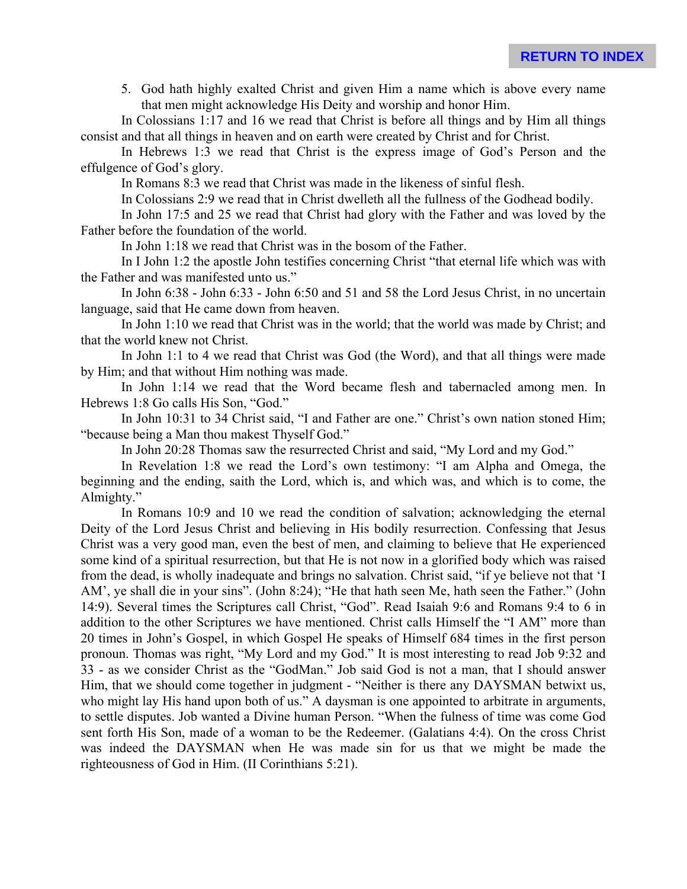5. God hath highly exalted Christ and given Him a name which is above every name that men might acknowledge His Deity and worship and honor Him.

In Colossians 1:17 and 16 we read that Christ is before all things and by Him all things consist and that all things in heaven and on earth were created by Christ and for Christ.

In Hebrews 1:3 we read that Christ is the express image of God's Person and the effulgence of God's glory.

In Romans 8:3 we read that Christ was made in the likeness of sinful flesh.

In Colossians 2:9 we read that in Christ dwelleth all the fullness of the Godhead bodily.

In John 17:5 and 25 we read that Christ had glory with the Father and was loved by the Father before the foundation of the world.

In John 1:18 we read that Christ was in the bosom of the Father.

In I John 1:2 the apostle John testifies concerning Christ "that eternal life which was with the Father and was manifested unto us."

In John 6:38 - John 6:33 - John 6:50 and 51 and 58 the Lord Jesus Christ, in no uncertain language, said that He came down from heaven.

In John 1:10 we read that Christ was in the world; that the world was made by Christ; and that the world knew not Christ.

In John 1:1 to 4 we read that Christ was God (the Word), and that all things were made by Him; and that without Him nothing was made.

In John 1:14 we read that the Word became flesh and tabernacled among men. In Hebrews 1:8 Go calls His Son, "God."

In John 10:31 to 34 Christ said, "I and Father are one." Christ's own nation stoned Him; "because being a Man thou makest Thyself God."

In John 20:28 Thomas saw the resurrected Christ and said, "My Lord and my God."

In Revelation 1:8 we read the Lord's own testimony: "I am Alpha and Omega, the beginning and the ending, saith the Lord, which is, and which was, and which is to come, the Almighty."

In Romans 10:9 and 10 we read the condition of salvation; acknowledging the eternal Deity of the Lord Jesus Christ and believing in His bodily resurrection. Confessing that Jesus Christ was a very good man, even the best of men, and claiming to believe that He experienced some kind of a spiritual resurrection, but that He is not now in a glorified body which was raised from the dead, is wholly inadequate and brings no salvation. Christ said, "if ye believe not that 'I AM', ye shall die in your sins". (John 8:24); "He that hath seen Me, hath seen the Father." (John 14:9). Several times the Scriptures call Christ, "God". Read Isaiah 9:6 and Romans 9:4 to 6 in addition to the other Scriptures we have mentioned. Christ calls Himself the "I AM" more than 20 times in John's Gospel, in which Gospel He speaks of Himself 684 times in the first person pronoun. Thomas was right, "My Lord and my God." It is most interesting to read Job 9:32 and 33 - as we consider Christ as the "GodMan." Job said God is not a man, that I should answer Him, that we should come together in judgment - "Neither is there any DAYSMAN betwixt us, who might lay His hand upon both of us." A daysman is one appointed to arbitrate in arguments, to settle disputes. Job wanted a Divine human Person. "When the fulness of time was come God sent forth His Son, made of a woman to be the Redeemer. (Galatians 4:4). On the cross Christ was indeed the DAYSMAN when He was made sin for us that we might be made the righteousness of God in Him. (II Corinthians 5:21).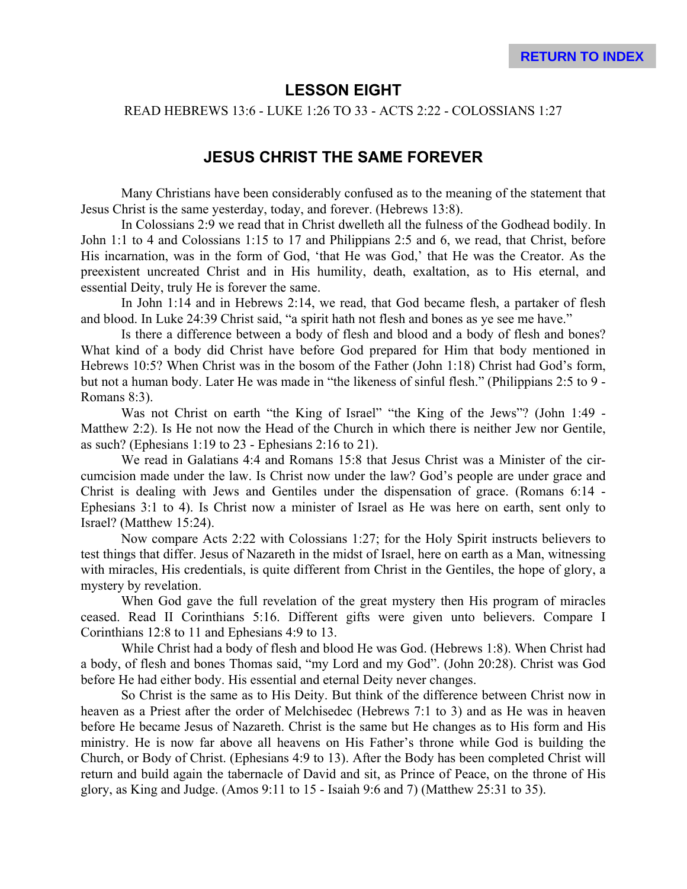# **LESSON EIGHT**

READ HEBREWS 13:6 - LUKE 1:26 TO 33 - ACTS 2:22 - COLOSSIANS 1:27

# **JESUS CHRIST THE SAME FOREVER**

Many Christians have been considerably confused as to the meaning of the statement that Jesus Christ is the same yesterday, today, and forever. (Hebrews 13:8).

In Colossians 2:9 we read that in Christ dwelleth all the fulness of the Godhead bodily. In John 1:1 to 4 and Colossians 1:15 to 17 and Philippians 2:5 and 6, we read, that Christ, before His incarnation, was in the form of God, 'that He was God,' that He was the Creator. As the preexistent uncreated Christ and in His humility, death, exaltation, as to His eternal, and essential Deity, truly He is forever the same.

In John 1:14 and in Hebrews 2:14, we read, that God became flesh, a partaker of flesh and blood. In Luke 24:39 Christ said, "a spirit hath not flesh and bones as ye see me have."

Is there a difference between a body of flesh and blood and a body of flesh and bones? What kind of a body did Christ have before God prepared for Him that body mentioned in Hebrews 10:5? When Christ was in the bosom of the Father (John 1:18) Christ had God's form, but not a human body. Later He was made in "the likeness of sinful flesh." (Philippians 2:5 to 9 - Romans 8:3).

Was not Christ on earth "the King of Israel" "the King of the Jews"? (John 1:49 - Matthew 2:2). Is He not now the Head of the Church in which there is neither Jew nor Gentile, as such? (Ephesians 1:19 to 23 - Ephesians 2:16 to 21).

We read in Galatians 4:4 and Romans 15:8 that Jesus Christ was a Minister of the circumcision made under the law. Is Christ now under the law? God's people are under grace and Christ is dealing with Jews and Gentiles under the dispensation of grace. (Romans 6:14 - Ephesians 3:1 to 4). Is Christ now a minister of Israel as He was here on earth, sent only to Israel? (Matthew 15:24).

Now compare Acts 2:22 with Colossians 1:27; for the Holy Spirit instructs believers to test things that differ. Jesus of Nazareth in the midst of Israel, here on earth as a Man, witnessing with miracles, His credentials, is quite different from Christ in the Gentiles, the hope of glory, a mystery by revelation.

When God gave the full revelation of the great mystery then His program of miracles ceased. Read II Corinthians 5:16. Different gifts were given unto believers. Compare I Corinthians 12:8 to 11 and Ephesians 4:9 to 13.

While Christ had a body of flesh and blood He was God. (Hebrews 1:8). When Christ had a body, of flesh and bones Thomas said, "my Lord and my God". (John 20:28). Christ was God before He had either body. His essential and eternal Deity never changes.

So Christ is the same as to His Deity. But think of the difference between Christ now in heaven as a Priest after the order of Melchisedec (Hebrews 7:1 to 3) and as He was in heaven before He became Jesus of Nazareth. Christ is the same but He changes as to His form and His ministry. He is now far above all heavens on His Father's throne while God is building the Church, or Body of Christ. (Ephesians 4:9 to 13). After the Body has been completed Christ will return and build again the tabernacle of David and sit, as Prince of Peace, on the throne of His glory, as King and Judge. (Amos 9:11 to 15 - Isaiah 9:6 and 7) (Matthew 25:31 to 35).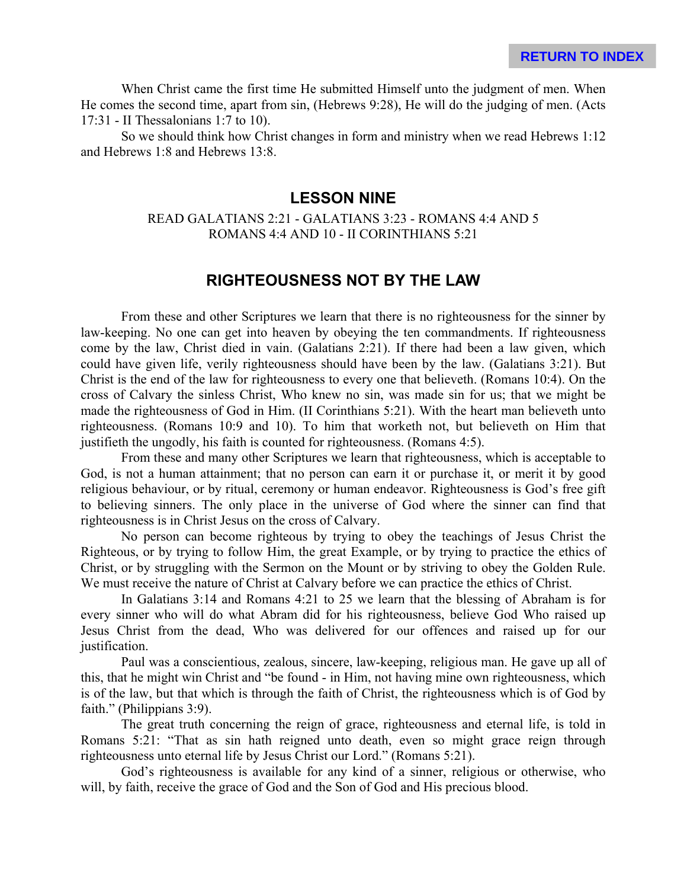When Christ came the first time He submitted Himself unto the judgment of men. When He comes the second time, apart from sin, (Hebrews 9:28), He will do the judging of men. (Acts 17:31 - II Thessalonians 1:7 to 10).

So we should think how Christ changes in form and ministry when we read Hebrews 1:12 and Hebrews 1:8 and Hebrews 13:8.

# **LESSON NINE**

#### READ GALATIANS 2:21 - GALATIANS 3:23 - ROMANS 4:4 AND 5 ROMANS 4:4 AND 10 - II CORINTHIANS 5:21

# **RIGHTEOUSNESS NOT BY THE LAW**

From these and other Scriptures we learn that there is no righteousness for the sinner by law-keeping. No one can get into heaven by obeying the ten commandments. If righteousness come by the law, Christ died in vain. (Galatians 2:21). If there had been a law given, which could have given life, verily righteousness should have been by the law. (Galatians 3:21). But Christ is the end of the law for righteousness to every one that believeth. (Romans 10:4). On the cross of Calvary the sinless Christ, Who knew no sin, was made sin for us; that we might be made the righteousness of God in Him. (II Corinthians 5:21). With the heart man believeth unto righteousness. (Romans 10:9 and 10). To him that worketh not, but believeth on Him that justifieth the ungodly, his faith is counted for righteousness. (Romans 4:5).

From these and many other Scriptures we learn that righteousness, which is acceptable to God, is not a human attainment; that no person can earn it or purchase it, or merit it by good religious behaviour, or by ritual, ceremony or human endeavor. Righteousness is God's free gift to believing sinners. The only place in the universe of God where the sinner can find that righteousness is in Christ Jesus on the cross of Calvary.

No person can become righteous by trying to obey the teachings of Jesus Christ the Righteous, or by trying to follow Him, the great Example, or by trying to practice the ethics of Christ, or by struggling with the Sermon on the Mount or by striving to obey the Golden Rule. We must receive the nature of Christ at Calvary before we can practice the ethics of Christ.

In Galatians 3:14 and Romans 4:21 to 25 we learn that the blessing of Abraham is for every sinner who will do what Abram did for his righteousness, believe God Who raised up Jesus Christ from the dead, Who was delivered for our offences and raised up for our justification.

Paul was a conscientious, zealous, sincere, law-keeping, religious man. He gave up all of this, that he might win Christ and "be found - in Him, not having mine own righteousness, which is of the law, but that which is through the faith of Christ, the righteousness which is of God by faith." (Philippians 3:9).

The great truth concerning the reign of grace, righteousness and eternal life, is told in Romans 5:21: "That as sin hath reigned unto death, even so might grace reign through righteousness unto eternal life by Jesus Christ our Lord." (Romans 5:21).

God's righteousness is available for any kind of a sinner, religious or otherwise, who will, by faith, receive the grace of God and the Son of God and His precious blood.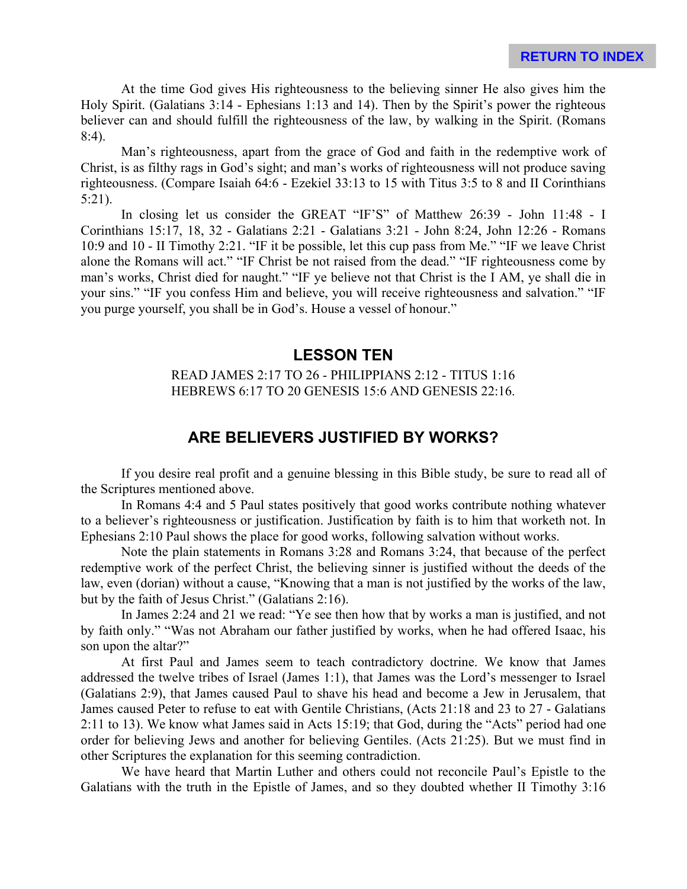At the time God gives His righteousness to the believing sinner He also gives him the Holy Spirit. (Galatians 3:14 - Ephesians 1:13 and 14). Then by the Spirit's power the righteous believer can and should fulfill the righteousness of the law, by walking in the Spirit. (Romans 8:4).

Man's righteousness, apart from the grace of God and faith in the redemptive work of Christ, is as filthy rags in God's sight; and man's works of righteousness will not produce saving righteousness. (Compare Isaiah 64:6 - Ezekiel 33:13 to 15 with Titus 3:5 to 8 and II Corinthians 5:21).

In closing let us consider the GREAT "IF'S" of Matthew 26:39 - John 11:48 - I Corinthians 15:17, 18, 32 - Galatians 2:21 - Galatians 3:21 - John 8:24, John 12:26 - Romans 10:9 and 10 - II Timothy 2:21. "IF it be possible, let this cup pass from Me." "IF we leave Christ alone the Romans will act." "IF Christ be not raised from the dead." "IF righteousness come by man's works, Christ died for naught." "IF ye believe not that Christ is the I AM, ye shall die in your sins." "IF you confess Him and believe, you will receive righteousness and salvation." "IF you purge yourself, you shall be in God's. House a vessel of honour."

# **LESSON TEN**

READ JAMES 2:17 TO 26 - PHILIPPIANS 2:12 - TITUS 1:16 HEBREWS 6:17 TO 20 GENESIS 15:6 AND GENESIS 22:16.

# **ARE BELIEVERS JUSTIFIED BY WORKS?**

If you desire real profit and a genuine blessing in this Bible study, be sure to read all of the Scriptures mentioned above.

In Romans 4:4 and 5 Paul states positively that good works contribute nothing whatever to a believer's righteousness or justification. Justification by faith is to him that worketh not. In Ephesians 2:10 Paul shows the place for good works, following salvation without works.

Note the plain statements in Romans 3:28 and Romans 3:24, that because of the perfect redemptive work of the perfect Christ, the believing sinner is justified without the deeds of the law, even (dorian) without a cause, "Knowing that a man is not justified by the works of the law, but by the faith of Jesus Christ." (Galatians 2:16).

In James 2:24 and 21 we read: "Ye see then how that by works a man is justified, and not by faith only." "Was not Abraham our father justified by works, when he had offered Isaac, his son upon the altar?"

At first Paul and James seem to teach contradictory doctrine. We know that James addressed the twelve tribes of Israel (James 1:1), that James was the Lord's messenger to Israel (Galatians 2:9), that James caused Paul to shave his head and become a Jew in Jerusalem, that James caused Peter to refuse to eat with Gentile Christians, (Acts 21:18 and 23 to 27 - Galatians 2:11 to 13). We know what James said in Acts 15:19; that God, during the "Acts" period had one order for believing Jews and another for believing Gentiles. (Acts 21:25). But we must find in other Scriptures the explanation for this seeming contradiction.

We have heard that Martin Luther and others could not reconcile Paul's Epistle to the Galatians with the truth in the Epistle of James, and so they doubted whether II Timothy 3:16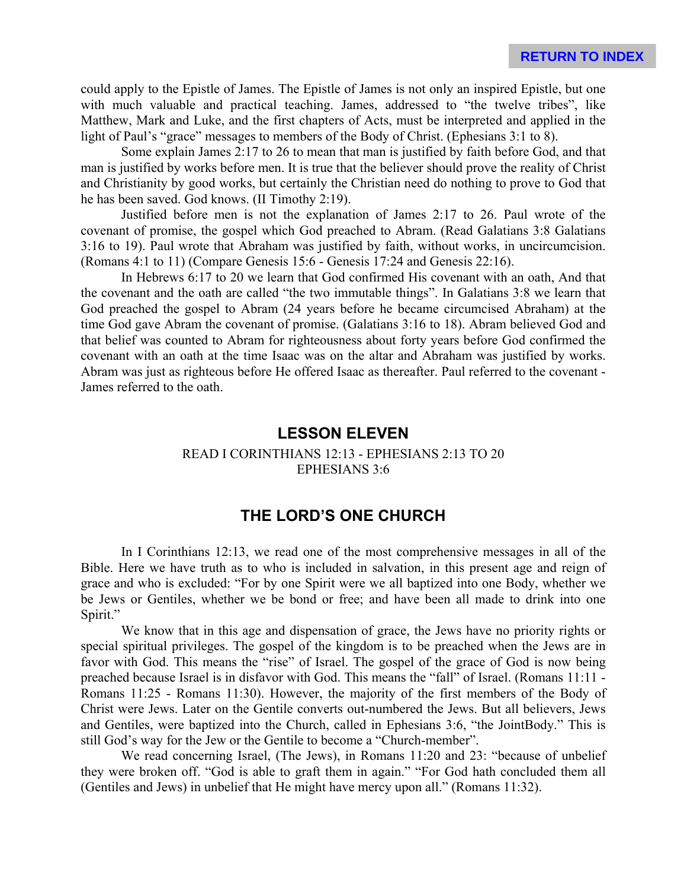could apply to the Epistle of James. The Epistle of James is not only an inspired Epistle, but one with much valuable and practical teaching. James, addressed to "the twelve tribes", like Matthew, Mark and Luke, and the first chapters of Acts, must be interpreted and applied in the light of Paul's "grace" messages to members of the Body of Christ. (Ephesians 3:1 to 8).

Some explain James 2:17 to 26 to mean that man is justified by faith before God, and that man is justified by works before men. It is true that the believer should prove the reality of Christ and Christianity by good works, but certainly the Christian need do nothing to prove to God that he has been saved. God knows. (II Timothy 2:19).

Justified before men is not the explanation of James 2:17 to 26. Paul wrote of the covenant of promise, the gospel which God preached to Abram. (Read Galatians 3:8 Galatians 3:16 to 19). Paul wrote that Abraham was justified by faith, without works, in uncircumcision. (Romans 4:1 to 11) (Compare Genesis 15:6 - Genesis 17:24 and Genesis 22:16).

In Hebrews 6:17 to 20 we learn that God confirmed His covenant with an oath, And that the covenant and the oath are called "the two immutable things". In Galatians 3:8 we learn that God preached the gospel to Abram (24 years before he became circumcised Abraham) at the time God gave Abram the covenant of promise. (Galatians 3:16 to 18). Abram believed God and that belief was counted to Abram for righteousness about forty years before God confirmed the covenant with an oath at the time Isaac was on the altar and Abraham was justified by works. Abram was just as righteous before He offered Isaac as thereafter. Paul referred to the covenant - James referred to the oath.

# **LESSON ELEVEN**

#### READ I CORINTHIANS 12:13 - EPHESIANS 2:13 TO 20 EPHESIANS 3:6

# **THE LORD'S ONE CHURCH**

In I Corinthians 12:13, we read one of the most comprehensive messages in all of the Bible. Here we have truth as to who is included in salvation, in this present age and reign of grace and who is excluded: "For by one Spirit were we all baptized into one Body, whether we be Jews or Gentiles, whether we be bond or free; and have been all made to drink into one Spirit."

We know that in this age and dispensation of grace, the Jews have no priority rights or special spiritual privileges. The gospel of the kingdom is to be preached when the Jews are in favor with God. This means the "rise" of Israel. The gospel of the grace of God is now being preached because Israel is in disfavor with God. This means the "fall" of Israel. (Romans 11:11 - Romans 11:25 - Romans 11:30). However, the majority of the first members of the Body of Christ were Jews. Later on the Gentile converts out-numbered the Jews. But all believers, Jews and Gentiles, were baptized into the Church, called in Ephesians 3:6, "the JointBody." This is still God's way for the Jew or the Gentile to become a "Church-member".

We read concerning Israel, (The Jews), in Romans 11:20 and 23: "because of unbelief they were broken off. "God is able to graft them in again." "For God hath concluded them all (Gentiles and Jews) in unbelief that He might have mercy upon all." (Romans 11:32).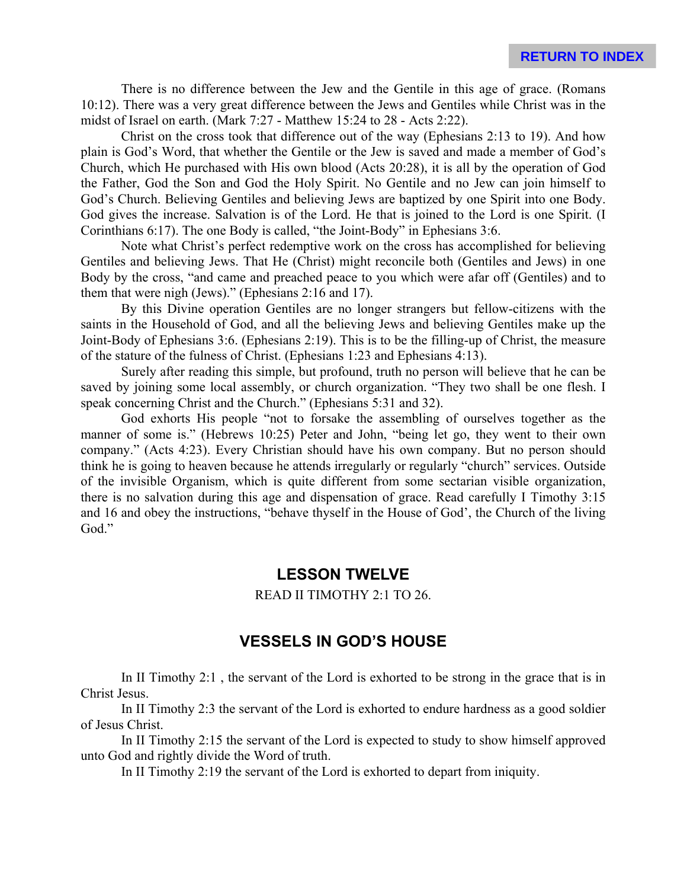There is no difference between the Jew and the Gentile in this age of grace. (Romans 10:12). There was a very great difference between the Jews and Gentiles while Christ was in the midst of Israel on earth. (Mark 7:27 - Matthew 15:24 to 28 - Acts 2:22).

Christ on the cross took that difference out of the way (Ephesians 2:13 to 19). And how plain is God's Word, that whether the Gentile or the Jew is saved and made a member of God's Church, which He purchased with His own blood (Acts 20:28), it is all by the operation of God the Father, God the Son and God the Holy Spirit. No Gentile and no Jew can join himself to God's Church. Believing Gentiles and believing Jews are baptized by one Spirit into one Body. God gives the increase. Salvation is of the Lord. He that is joined to the Lord is one Spirit. (I Corinthians 6:17). The one Body is called, "the Joint-Body" in Ephesians 3:6.

Note what Christ's perfect redemptive work on the cross has accomplished for believing Gentiles and believing Jews. That He (Christ) might reconcile both (Gentiles and Jews) in one Body by the cross, "and came and preached peace to you which were afar off (Gentiles) and to them that were nigh (Jews)." (Ephesians 2:16 and 17).

By this Divine operation Gentiles are no longer strangers but fellow-citizens with the saints in the Household of God, and all the believing Jews and believing Gentiles make up the Joint-Body of Ephesians 3:6. (Ephesians 2:19). This is to be the filling-up of Christ, the measure of the stature of the fulness of Christ. (Ephesians 1:23 and Ephesians 4:13).

Surely after reading this simple, but profound, truth no person will believe that he can be saved by joining some local assembly, or church organization. "They two shall be one flesh. I speak concerning Christ and the Church." (Ephesians 5:31 and 32).

God exhorts His people "not to forsake the assembling of ourselves together as the manner of some is." (Hebrews 10:25) Peter and John, "being let go, they went to their own company." (Acts 4:23). Every Christian should have his own company. But no person should think he is going to heaven because he attends irregularly or regularly "church" services. Outside of the invisible Organism, which is quite different from some sectarian visible organization, there is no salvation during this age and dispensation of grace. Read carefully I Timothy 3:15 and 16 and obey the instructions, "behave thyself in the House of God', the Church of the living God."

# **LESSON TWELVE**

#### READ II TIMOTHY 2:1 TO 26.

# **VESSELS IN GOD'S HOUSE**

In II Timothy 2:1 , the servant of the Lord is exhorted to be strong in the grace that is in Christ Jesus.

In II Timothy 2:3 the servant of the Lord is exhorted to endure hardness as a good soldier of Jesus Christ.

In II Timothy 2:15 the servant of the Lord is expected to study to show himself approved unto God and rightly divide the Word of truth.

In II Timothy 2:19 the servant of the Lord is exhorted to depart from iniquity.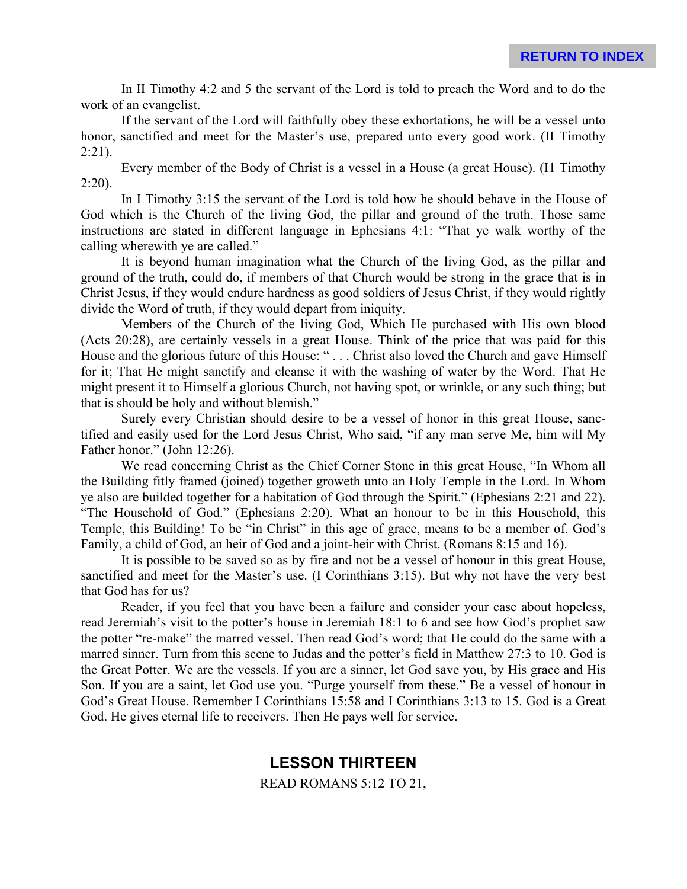In II Timothy 4:2 and 5 the servant of the Lord is told to preach the Word and to do the work of an evangelist.

If the servant of the Lord will faithfully obey these exhortations, he will be a vessel unto honor, sanctified and meet for the Master's use, prepared unto every good work. (II Timothy  $2:21$ ).

Every member of the Body of Christ is a vessel in a House (a great House). (I1 Timothy  $2:20$ ).

In I Timothy 3:15 the servant of the Lord is told how he should behave in the House of God which is the Church of the living God, the pillar and ground of the truth. Those same instructions are stated in different language in Ephesians 4:1: "That ye walk worthy of the calling wherewith ye are called."

It is beyond human imagination what the Church of the living God, as the pillar and ground of the truth, could do, if members of that Church would be strong in the grace that is in Christ Jesus, if they would endure hardness as good soldiers of Jesus Christ, if they would rightly divide the Word of truth, if they would depart from iniquity.

Members of the Church of the living God, Which He purchased with His own blood (Acts 20:28), are certainly vessels in a great House. Think of the price that was paid for this House and the glorious future of this House: " . . . Christ also loved the Church and gave Himself for it; That He might sanctify and cleanse it with the washing of water by the Word. That He might present it to Himself a glorious Church, not having spot, or wrinkle, or any such thing; but that is should be holy and without blemish."

Surely every Christian should desire to be a vessel of honor in this great House, sanctified and easily used for the Lord Jesus Christ, Who said, "if any man serve Me, him will My Father honor." (John 12:26).

We read concerning Christ as the Chief Corner Stone in this great House, "In Whom all the Building fitly framed (joined) together groweth unto an Holy Temple in the Lord. In Whom ye also are builded together for a habitation of God through the Spirit." (Ephesians 2:21 and 22). "The Household of God." (Ephesians 2:20). What an honour to be in this Household, this Temple, this Building! To be "in Christ" in this age of grace, means to be a member of. God's Family, a child of God, an heir of God and a joint-heir with Christ. (Romans 8:15 and 16).

It is possible to be saved so as by fire and not be a vessel of honour in this great House, sanctified and meet for the Master's use. (I Corinthians 3:15). But why not have the very best that God has for us?

Reader, if you feel that you have been a failure and consider your case about hopeless, read Jeremiah's visit to the potter's house in Jeremiah 18:1 to 6 and see how God's prophet saw the potter "re-make" the marred vessel. Then read God's word; that He could do the same with a marred sinner. Turn from this scene to Judas and the potter's field in Matthew 27:3 to 10. God is the Great Potter. We are the vessels. If you are a sinner, let God save you, by His grace and His Son. If you are a saint, let God use you. "Purge yourself from these." Be a vessel of honour in God's Great House. Remember I Corinthians 15:58 and I Corinthians 3:13 to 15. God is a Great God. He gives eternal life to receivers. Then He pays well for service.

# **LESSON THIRTEEN**

READ ROMANS 5:12 TO 21,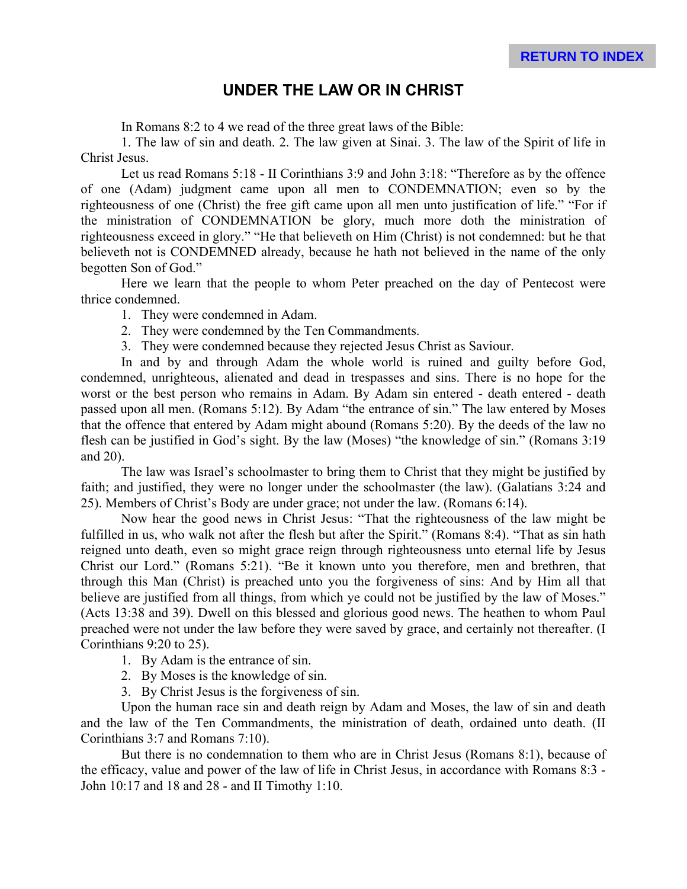# **UNDER THE LAW OR IN CHRIST**

In Romans 8:2 to 4 we read of the three great laws of the Bible:

1. The law of sin and death. 2. The law given at Sinai. 3. The law of the Spirit of life in Christ Jesus.

Let us read Romans 5:18 - II Corinthians 3:9 and John 3:18: "Therefore as by the offence of one (Adam) judgment came upon all men to CONDEMNATION; even so by the righteousness of one (Christ) the free gift came upon all men unto justification of life." "For if the ministration of CONDEMNATION be glory, much more doth the ministration of righteousness exceed in glory." "He that believeth on Him (Christ) is not condemned: but he that believeth not is CONDEMNED already, because he hath not believed in the name of the only begotten Son of God."

Here we learn that the people to whom Peter preached on the day of Pentecost were thrice condemned.

1. They were condemned in Adam.

- 2. They were condemned by the Ten Commandments.
- 3. They were condemned because they rejected Jesus Christ as Saviour.

In and by and through Adam the whole world is ruined and guilty before God, condemned, unrighteous, alienated and dead in trespasses and sins. There is no hope for the worst or the best person who remains in Adam. By Adam sin entered - death entered - death passed upon all men. (Romans 5:12). By Adam "the entrance of sin." The law entered by Moses that the offence that entered by Adam might abound (Romans 5:20). By the deeds of the law no flesh can be justified in God's sight. By the law (Moses) "the knowledge of sin." (Romans 3:19 and 20).

The law was Israel's schoolmaster to bring them to Christ that they might be justified by faith; and justified, they were no longer under the schoolmaster (the law). (Galatians 3:24 and 25). Members of Christ's Body are under grace; not under the law. (Romans 6:14).

Now hear the good news in Christ Jesus: "That the righteousness of the law might be fulfilled in us, who walk not after the flesh but after the Spirit." (Romans 8:4). "That as sin hath reigned unto death, even so might grace reign through righteousness unto eternal life by Jesus Christ our Lord." (Romans 5:21). "Be it known unto you therefore, men and brethren, that through this Man (Christ) is preached unto you the forgiveness of sins: And by Him all that believe are justified from all things, from which ye could not be justified by the law of Moses." (Acts 13:38 and 39). Dwell on this blessed and glorious good news. The heathen to whom Paul preached were not under the law before they were saved by grace, and certainly not thereafter. (I Corinthians 9:20 to 25).

- 1. By Adam is the entrance of sin.
- 2. By Moses is the knowledge of sin.
- 3. By Christ Jesus is the forgiveness of sin.

Upon the human race sin and death reign by Adam and Moses, the law of sin and death and the law of the Ten Commandments, the ministration of death, ordained unto death. (II Corinthians 3:7 and Romans 7:10).

But there is no condemnation to them who are in Christ Jesus (Romans 8:1), because of the efficacy, value and power of the law of life in Christ Jesus, in accordance with Romans 8:3 - John 10:17 and 18 and 28 - and II Timothy 1:10.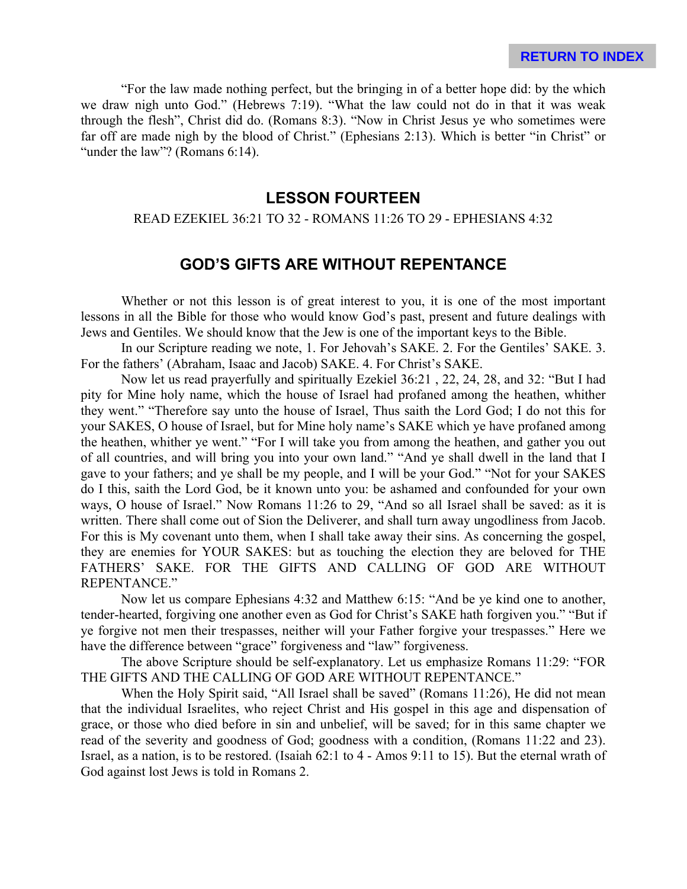"For the law made nothing perfect, but the bringing in of a better hope did: by the which we draw nigh unto God." (Hebrews 7:19). "What the law could not do in that it was weak through the flesh", Christ did do. (Romans 8:3). "Now in Christ Jesus ye who sometimes were far off are made nigh by the blood of Christ." (Ephesians 2:13). Which is better "in Christ" or "under the law"? (Romans 6:14).

# **LESSON FOURTEEN**

#### READ EZEKIEL 36:21 TO 32 - ROMANS 11:26 TO 29 - EPHESIANS 4:32

# **GOD'S GIFTS ARE WITHOUT REPENTANCE**

Whether or not this lesson is of great interest to you, it is one of the most important lessons in all the Bible for those who would know God's past, present and future dealings with Jews and Gentiles. We should know that the Jew is one of the important keys to the Bible.

In our Scripture reading we note, 1. For Jehovah's SAKE. 2. For the Gentiles' SAKE. 3. For the fathers' (Abraham, Isaac and Jacob) SAKE. 4. For Christ's SAKE.

Now let us read prayerfully and spiritually Ezekiel 36:21 , 22, 24, 28, and 32: "But I had pity for Mine holy name, which the house of Israel had profaned among the heathen, whither they went." "Therefore say unto the house of Israel, Thus saith the Lord God; I do not this for your SAKES, O house of Israel, but for Mine holy name's SAKE which ye have profaned among the heathen, whither ye went." "For I will take you from among the heathen, and gather you out of all countries, and will bring you into your own land." "And ye shall dwell in the land that I gave to your fathers; and ye shall be my people, and I will be your God." "Not for your SAKES do I this, saith the Lord God, be it known unto you: be ashamed and confounded for your own ways, O house of Israel." Now Romans 11:26 to 29, "And so all Israel shall be saved: as it is written. There shall come out of Sion the Deliverer, and shall turn away ungodliness from Jacob. For this is My covenant unto them, when I shall take away their sins. As concerning the gospel, they are enemies for YOUR SAKES: but as touching the election they are beloved for THE FATHERS' SAKE. FOR THE GIFTS AND CALLING OF GOD ARE WITHOUT REPENTANCE."

Now let us compare Ephesians 4:32 and Matthew 6:15: "And be ye kind one to another, tender-hearted, forgiving one another even as God for Christ's SAKE hath forgiven you." "But if ye forgive not men their trespasses, neither will your Father forgive your trespasses." Here we have the difference between "grace" forgiveness and "law" forgiveness.

The above Scripture should be self-explanatory. Let us emphasize Romans 11:29: "FOR THE GIFTS AND THE CALLING OF GOD ARE WITHOUT REPENTANCE."

When the Holy Spirit said, "All Israel shall be saved" (Romans 11:26), He did not mean that the individual Israelites, who reject Christ and His gospel in this age and dispensation of grace, or those who died before in sin and unbelief, will be saved; for in this same chapter we read of the severity and goodness of God; goodness with a condition, (Romans 11:22 and 23). Israel, as a nation, is to be restored. (Isaiah 62:1 to 4 - Amos 9:11 to 15). But the eternal wrath of God against lost Jews is told in Romans 2.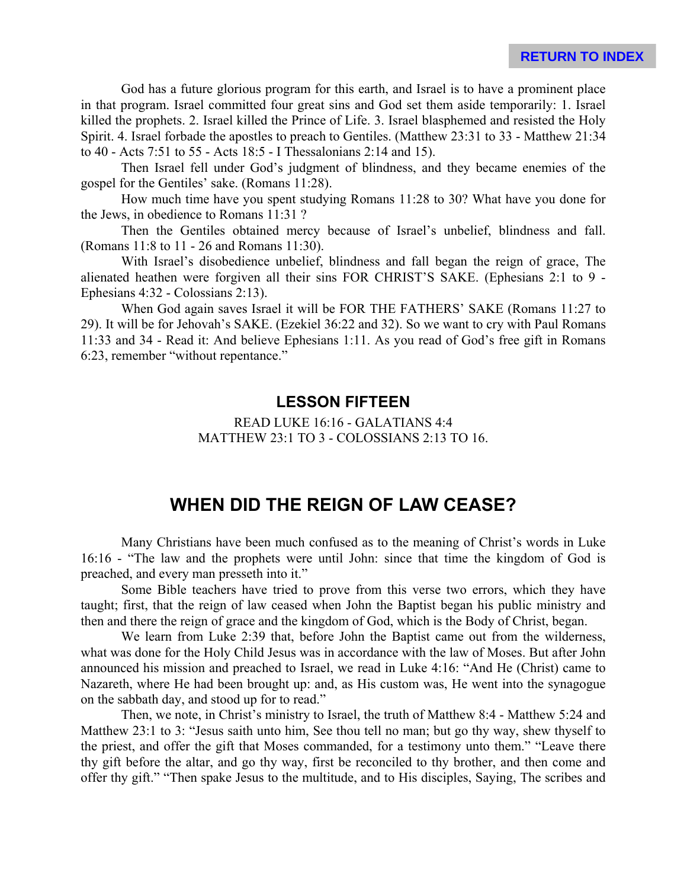God has a future glorious program for this earth, and Israel is to have a prominent place in that program. Israel committed four great sins and God set them aside temporarily: 1. Israel killed the prophets. 2. Israel killed the Prince of Life. 3. Israel blasphemed and resisted the Holy Spirit. 4. Israel forbade the apostles to preach to Gentiles. (Matthew 23:31 to 33 - Matthew 21:34 to 40 - Acts 7:51 to 55 - Acts 18:5 - I Thessalonians 2:14 and 15).

Then Israel fell under God's judgment of blindness, and they became enemies of the gospel for the Gentiles' sake. (Romans 11:28).

How much time have you spent studying Romans 11:28 to 30? What have you done for the Jews, in obedience to Romans 11:31 ?

Then the Gentiles obtained mercy because of Israel's unbelief, blindness and fall. (Romans 11:8 to 11 - 26 and Romans 11:30).

With Israel's disobedience unbelief, blindness and fall began the reign of grace, The alienated heathen were forgiven all their sins FOR CHRIST'S SAKE. (Ephesians 2:1 to 9 - Ephesians 4:32 - Colossians 2:13).

When God again saves Israel it will be FOR THE FATHERS' SAKE (Romans 11:27 to 29). It will be for Jehovah's SAKE. (Ezekiel 36:22 and 32). So we want to cry with Paul Romans 11:33 and 34 - Read it: And believe Ephesians 1:11. As you read of God's free gift in Romans 6:23, remember "without repentance."

# **LESSON FIFTEEN**

#### READ LUKE 16:16 - GALATIANS 4:4 MATTHEW 23:1 TO 3 - COLOSSIANS 2:13 TO 16.

# **WHEN DID THE REIGN OF LAW CEASE?**

Many Christians have been much confused as to the meaning of Christ's words in Luke 16:16 - "The law and the prophets were until John: since that time the kingdom of God is preached, and every man presseth into it."

Some Bible teachers have tried to prove from this verse two errors, which they have taught; first, that the reign of law ceased when John the Baptist began his public ministry and then and there the reign of grace and the kingdom of God, which is the Body of Christ, began.

We learn from Luke 2:39 that, before John the Baptist came out from the wilderness, what was done for the Holy Child Jesus was in accordance with the law of Moses. But after John announced his mission and preached to Israel, we read in Luke 4:16: "And He (Christ) came to Nazareth, where He had been brought up: and, as His custom was, He went into the synagogue on the sabbath day, and stood up for to read."

Then, we note, in Christ's ministry to Israel, the truth of Matthew 8:4 - Matthew 5:24 and Matthew 23:1 to 3: "Jesus saith unto him, See thou tell no man; but go thy way, shew thyself to the priest, and offer the gift that Moses commanded, for a testimony unto them." "Leave there thy gift before the altar, and go thy way, first be reconciled to thy brother, and then come and offer thy gift." "Then spake Jesus to the multitude, and to His disciples, Saying, The scribes and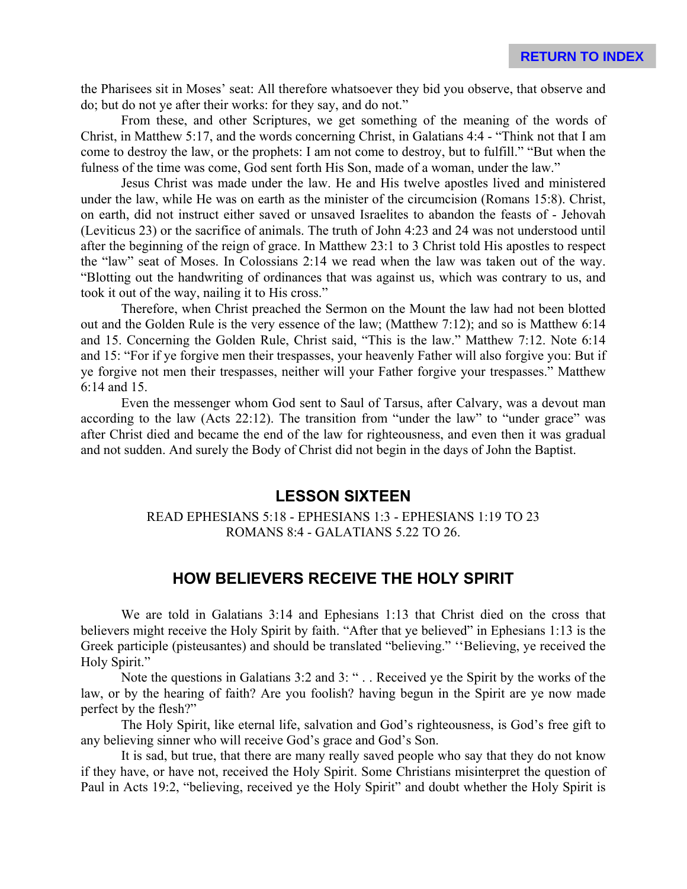the Pharisees sit in Moses' seat: All therefore whatsoever they bid you observe, that observe and do; but do not ye after their works: for they say, and do not."

From these, and other Scriptures, we get something of the meaning of the words of Christ, in Matthew 5:17, and the words concerning Christ, in Galatians 4:4 - "Think not that I am come to destroy the law, or the prophets: I am not come to destroy, but to fulfill." "But when the fulness of the time was come, God sent forth His Son, made of a woman, under the law."

Jesus Christ was made under the law. He and His twelve apostles lived and ministered under the law, while He was on earth as the minister of the circumcision (Romans 15:8). Christ, on earth, did not instruct either saved or unsaved Israelites to abandon the feasts of - Jehovah (Leviticus 23) or the sacrifice of animals. The truth of John 4:23 and 24 was not understood until after the beginning of the reign of grace. In Matthew 23:1 to 3 Christ told His apostles to respect the "law" seat of Moses. In Colossians 2:14 we read when the law was taken out of the way. "Blotting out the handwriting of ordinances that was against us, which was contrary to us, and took it out of the way, nailing it to His cross."

Therefore, when Christ preached the Sermon on the Mount the law had not been blotted out and the Golden Rule is the very essence of the law; (Matthew 7:12); and so is Matthew 6:14 and 15. Concerning the Golden Rule, Christ said, "This is the law." Matthew 7:12. Note 6:14 and 15: "For if ye forgive men their trespasses, your heavenly Father will also forgive you: But if ye forgive not men their trespasses, neither will your Father forgive your trespasses." Matthew 6:14 and 15.

Even the messenger whom God sent to Saul of Tarsus, after Calvary, was a devout man according to the law (Acts 22:12). The transition from "under the law" to "under grace" was after Christ died and became the end of the law for righteousness, and even then it was gradual and not sudden. And surely the Body of Christ did not begin in the days of John the Baptist.

## **LESSON SIXTEEN**

#### READ EPHESIANS 5:18 - EPHESIANS 1:3 - EPHESIANS 1:19 TO 23 ROMANS 8:4 - GALATIANS 5.22 TO 26.

# **HOW BELIEVERS RECEIVE THE HOLY SPIRIT**

We are told in Galatians 3:14 and Ephesians 1:13 that Christ died on the cross that believers might receive the Holy Spirit by faith. "After that ye believed" in Ephesians 1:13 is the Greek participle (pisteusantes) and should be translated "believing." ''Believing, ye received the Holy Spirit."

Note the questions in Galatians 3:2 and 3: " . . Received ye the Spirit by the works of the law, or by the hearing of faith? Are you foolish? having begun in the Spirit are ye now made perfect by the flesh?"

The Holy Spirit, like eternal life, salvation and God's righteousness, is God's free gift to any believing sinner who will receive God's grace and God's Son.

It is sad, but true, that there are many really saved people who say that they do not know if they have, or have not, received the Holy Spirit. Some Christians misinterpret the question of Paul in Acts 19:2, "believing, received ye the Holy Spirit" and doubt whether the Holy Spirit is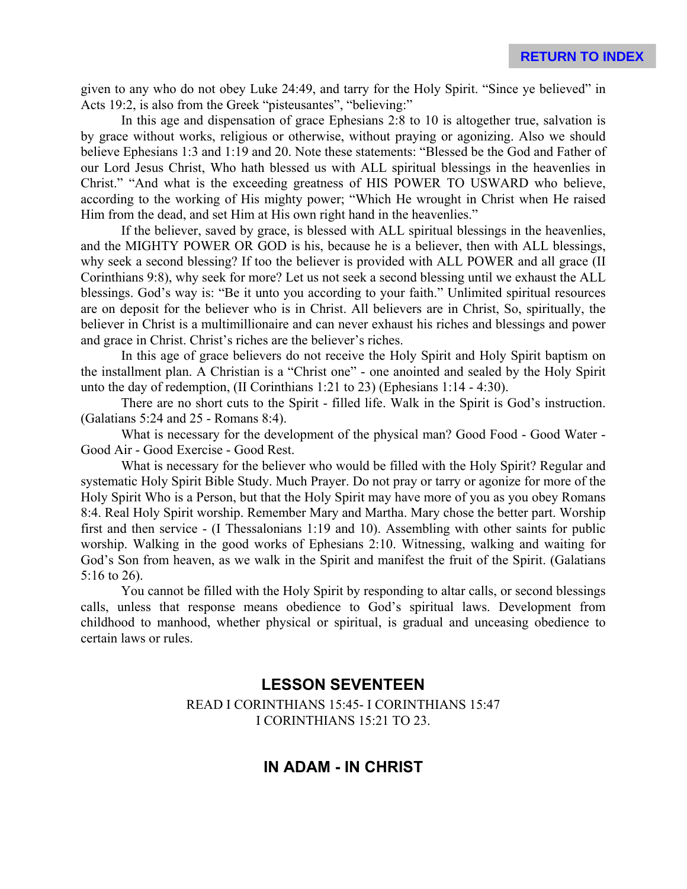given to any who do not obey Luke 24:49, and tarry for the Holy Spirit. "Since ye believed" in Acts 19:2, is also from the Greek "pisteusantes", "believing:"

In this age and dispensation of grace Ephesians 2:8 to 10 is altogether true, salvation is by grace without works, religious or otherwise, without praying or agonizing. Also we should believe Ephesians 1:3 and 1:19 and 20. Note these statements: "Blessed be the God and Father of our Lord Jesus Christ, Who hath blessed us with ALL spiritual blessings in the heavenlies in Christ." "And what is the exceeding greatness of HIS POWER TO USWARD who believe, according to the working of His mighty power; "Which He wrought in Christ when He raised Him from the dead, and set Him at His own right hand in the heavenlies."

If the believer, saved by grace, is blessed with ALL spiritual blessings in the heavenlies, and the MIGHTY POWER OR GOD is his, because he is a believer, then with ALL blessings, why seek a second blessing? If too the believer is provided with ALL POWER and all grace (II Corinthians 9:8), why seek for more? Let us not seek a second blessing until we exhaust the ALL blessings. God's way is: "Be it unto you according to your faith." Unlimited spiritual resources are on deposit for the believer who is in Christ. All believers are in Christ, So, spiritually, the believer in Christ is a multimillionaire and can never exhaust his riches and blessings and power and grace in Christ. Christ's riches are the believer's riches.

In this age of grace believers do not receive the Holy Spirit and Holy Spirit baptism on the installment plan. A Christian is a "Christ one" - one anointed and sealed by the Holy Spirit unto the day of redemption, (II Corinthians 1:21 to 23) (Ephesians 1:14 - 4:30).

There are no short cuts to the Spirit - filled life. Walk in the Spirit is God's instruction. (Galatians 5:24 and 25 - Romans 8:4).

What is necessary for the development of the physical man? Good Food - Good Water - Good Air - Good Exercise - Good Rest.

What is necessary for the believer who would be filled with the Holy Spirit? Regular and systematic Holy Spirit Bible Study. Much Prayer. Do not pray or tarry or agonize for more of the Holy Spirit Who is a Person, but that the Holy Spirit may have more of you as you obey Romans 8:4. Real Holy Spirit worship. Remember Mary and Martha. Mary chose the better part. Worship first and then service - (I Thessalonians 1:19 and 10). Assembling with other saints for public worship. Walking in the good works of Ephesians 2:10. Witnessing, walking and waiting for God's Son from heaven, as we walk in the Spirit and manifest the fruit of the Spirit. (Galatians 5:16 to 26).

You cannot be filled with the Holy Spirit by responding to altar calls, or second blessings calls, unless that response means obedience to God's spiritual laws. Development from childhood to manhood, whether physical or spiritual, is gradual and unceasing obedience to certain laws or rules.

# **LESSON SEVENTEEN**

READ I CORINTHIANS 15:45- I CORINTHIANS 15:47 I CORINTHIANS 15:21 TO 23.

# **IN ADAM - IN CHRIST**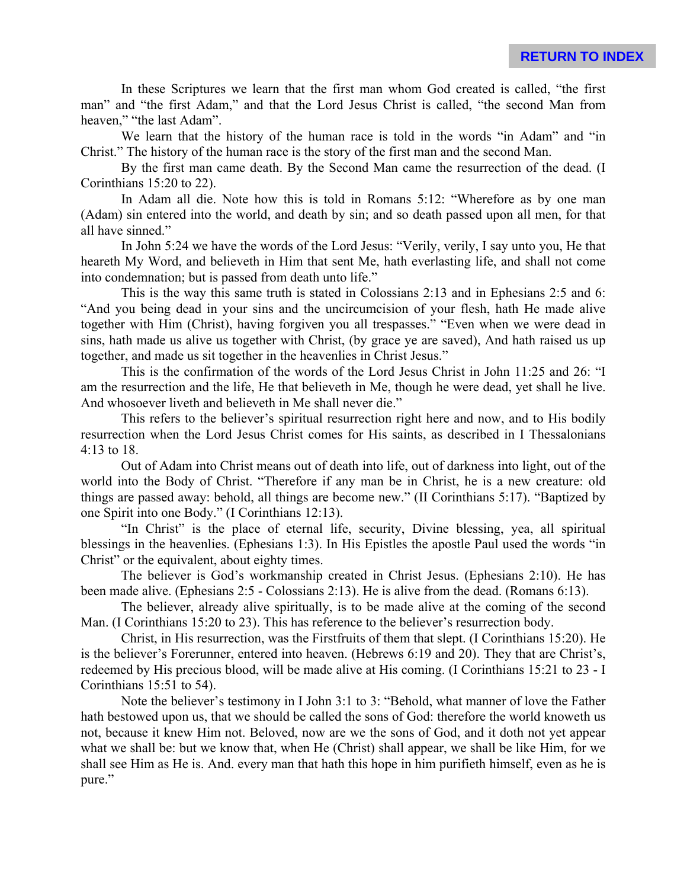In these Scriptures we learn that the first man whom God created is called, "the first man" and "the first Adam," and that the Lord Jesus Christ is called, "the second Man from heaven," "the last Adam".

We learn that the history of the human race is told in the words "in Adam" and "in Christ." The history of the human race is the story of the first man and the second Man.

By the first man came death. By the Second Man came the resurrection of the dead. (I Corinthians 15:20 to 22).

In Adam all die. Note how this is told in Romans 5:12: "Wherefore as by one man (Adam) sin entered into the world, and death by sin; and so death passed upon all men, for that all have sinned."

In John 5:24 we have the words of the Lord Jesus: "Verily, verily, I say unto you, He that heareth My Word, and believeth in Him that sent Me, hath everlasting life, and shall not come into condemnation; but is passed from death unto life."

This is the way this same truth is stated in Colossians 2:13 and in Ephesians 2:5 and 6: "And you being dead in your sins and the uncircumcision of your flesh, hath He made alive together with Him (Christ), having forgiven you all trespasses." "Even when we were dead in sins, hath made us alive us together with Christ, (by grace ye are saved), And hath raised us up together, and made us sit together in the heavenlies in Christ Jesus."

This is the confirmation of the words of the Lord Jesus Christ in John 11:25 and 26: "I am the resurrection and the life, He that believeth in Me, though he were dead, yet shall he live. And whosoever liveth and believeth in Me shall never die."

This refers to the believer's spiritual resurrection right here and now, and to His bodily resurrection when the Lord Jesus Christ comes for His saints, as described in I Thessalonians 4:13 to 18.

Out of Adam into Christ means out of death into life, out of darkness into light, out of the world into the Body of Christ. "Therefore if any man be in Christ, he is a new creature: old things are passed away: behold, all things are become new." (II Corinthians 5:17). "Baptized by one Spirit into one Body." (I Corinthians 12:13).

"In Christ" is the place of eternal life, security, Divine blessing, yea, all spiritual blessings in the heavenlies. (Ephesians 1:3). In His Epistles the apostle Paul used the words "in Christ" or the equivalent, about eighty times.

The believer is God's workmanship created in Christ Jesus. (Ephesians 2:10). He has been made alive. (Ephesians 2:5 - Colossians 2:13). He is alive from the dead. (Romans 6:13).

The believer, already alive spiritually, is to be made alive at the coming of the second Man. (I Corinthians 15:20 to 23). This has reference to the believer's resurrection body.

Christ, in His resurrection, was the Firstfruits of them that slept. (I Corinthians 15:20). He is the believer's Forerunner, entered into heaven. (Hebrews 6:19 and 20). They that are Christ's, redeemed by His precious blood, will be made alive at His coming. (I Corinthians 15:21 to 23 - I Corinthians 15:51 to 54).

Note the believer's testimony in I John 3:1 to 3: "Behold, what manner of love the Father hath bestowed upon us, that we should be called the sons of God: therefore the world knoweth us not, because it knew Him not. Beloved, now are we the sons of God, and it doth not yet appear what we shall be: but we know that, when He (Christ) shall appear, we shall be like Him, for we shall see Him as He is. And. every man that hath this hope in him purifieth himself, even as he is pure."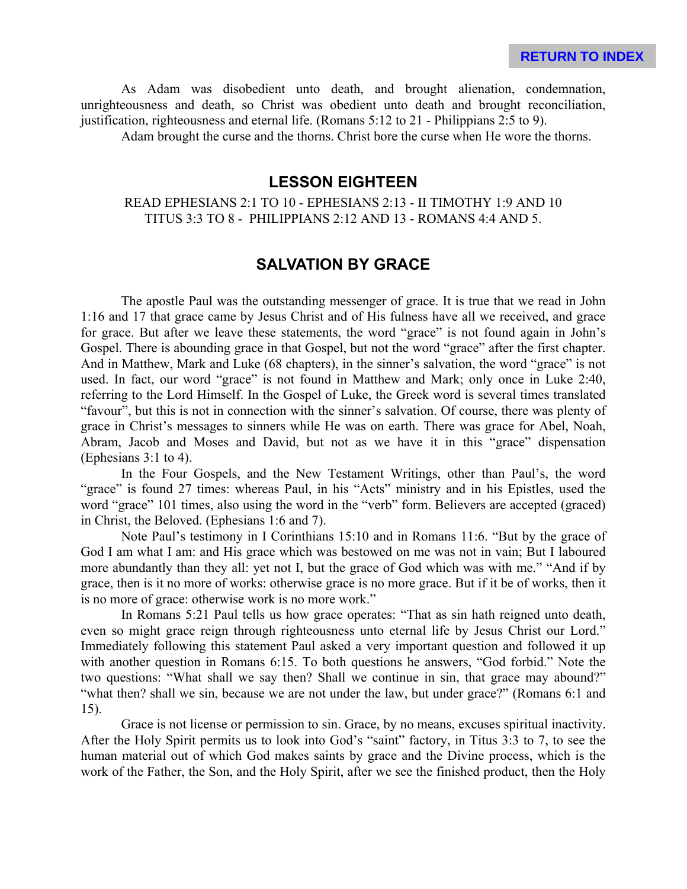As Adam was disobedient unto death, and brought alienation, condemnation, unrighteousness and death, so Christ was obedient unto death and brought reconciliation, justification, righteousness and eternal life. (Romans 5:12 to 21 - Philippians 2:5 to 9).

Adam brought the curse and the thorns. Christ bore the curse when He wore the thorns.

# **LESSON EIGHTEEN**

#### READ EPHESIANS 2:1 TO 10 - EPHESIANS 2:13 - II TIMOTHY 1:9 AND 10 TITUS 3:3 TO 8 - PHILIPPIANS 2:12 AND 13 - ROMANS 4:4 AND 5.

# **SALVATION BY GRACE**

The apostle Paul was the outstanding messenger of grace. It is true that we read in John 1:16 and 17 that grace came by Jesus Christ and of His fulness have all we received, and grace for grace. But after we leave these statements, the word "grace" is not found again in John's Gospel. There is abounding grace in that Gospel, but not the word "grace" after the first chapter. And in Matthew, Mark and Luke (68 chapters), in the sinner's salvation, the word "grace" is not used. In fact, our word "grace" is not found in Matthew and Mark; only once in Luke 2:40, referring to the Lord Himself. In the Gospel of Luke, the Greek word is several times translated "favour", but this is not in connection with the sinner's salvation. Of course, there was plenty of grace in Christ's messages to sinners while He was on earth. There was grace for Abel, Noah, Abram, Jacob and Moses and David, but not as we have it in this "grace" dispensation (Ephesians 3:1 to 4).

In the Four Gospels, and the New Testament Writings, other than Paul's, the word "grace" is found 27 times: whereas Paul, in his "Acts" ministry and in his Epistles, used the word "grace" 101 times, also using the word in the "verb" form. Believers are accepted (graced) in Christ, the Beloved. (Ephesians 1:6 and 7).

Note Paul's testimony in I Corinthians 15:10 and in Romans 11:6. "But by the grace of God I am what I am: and His grace which was bestowed on me was not in vain; But I laboured more abundantly than they all: yet not I, but the grace of God which was with me." "And if by grace, then is it no more of works: otherwise grace is no more grace. But if it be of works, then it is no more of grace: otherwise work is no more work."

In Romans 5:21 Paul tells us how grace operates: "That as sin hath reigned unto death, even so might grace reign through righteousness unto eternal life by Jesus Christ our Lord." Immediately following this statement Paul asked a very important question and followed it up with another question in Romans 6:15. To both questions he answers, "God forbid." Note the two questions: "What shall we say then? Shall we continue in sin, that grace may abound?" "what then? shall we sin, because we are not under the law, but under grace?" (Romans 6:1 and 15).

Grace is not license or permission to sin. Grace, by no means, excuses spiritual inactivity. After the Holy Spirit permits us to look into God's "saint" factory, in Titus 3:3 to 7, to see the human material out of which God makes saints by grace and the Divine process, which is the work of the Father, the Son, and the Holy Spirit, after we see the finished product, then the Holy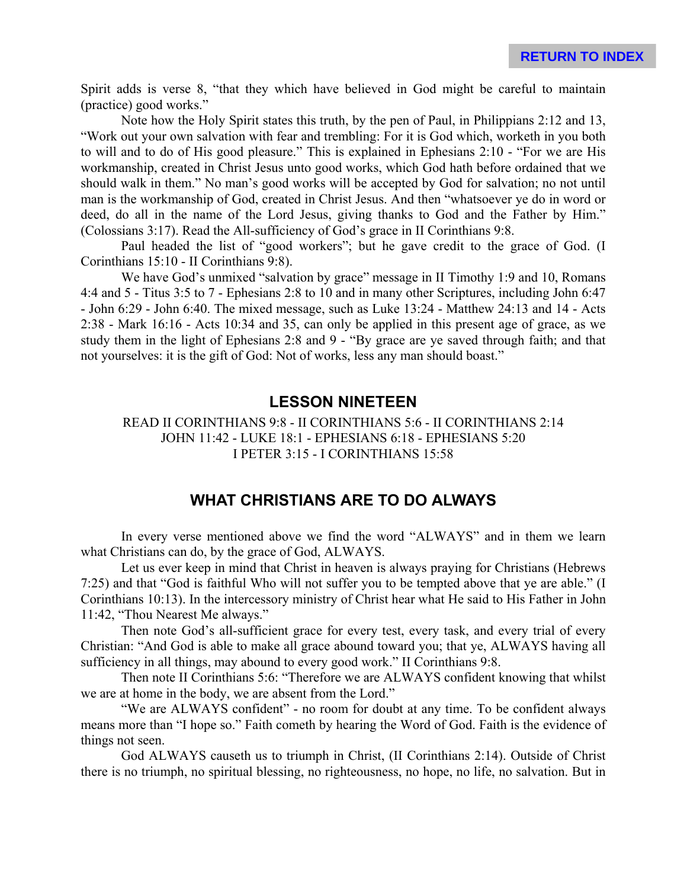Spirit adds is verse 8, "that they which have believed in God might be careful to maintain (practice) good works."

Note how the Holy Spirit states this truth, by the pen of Paul, in Philippians 2:12 and 13, "Work out your own salvation with fear and trembling: For it is God which, worketh in you both to will and to do of His good pleasure." This is explained in Ephesians 2:10 - "For we are His workmanship, created in Christ Jesus unto good works, which God hath before ordained that we should walk in them." No man's good works will be accepted by God for salvation; no not until man is the workmanship of God, created in Christ Jesus. And then "whatsoever ye do in word or deed, do all in the name of the Lord Jesus, giving thanks to God and the Father by Him." (Colossians 3:17). Read the All-sufficiency of God's grace in II Corinthians 9:8.

Paul headed the list of "good workers"; but he gave credit to the grace of God. (I Corinthians 15:10 - II Corinthians 9:8).

We have God's unmixed "salvation by grace" message in II Timothy 1:9 and 10, Romans 4:4 and 5 - Titus 3:5 to 7 - Ephesians 2:8 to 10 and in many other Scriptures, including John 6:47 - John 6:29 - John 6:40. The mixed message, such as Luke 13:24 - Matthew 24:13 and 14 - Acts 2:38 - Mark 16:16 - Acts 10:34 and 35, can only be applied in this present age of grace, as we study them in the light of Ephesians 2:8 and 9 - "By grace are ye saved through faith; and that not yourselves: it is the gift of God: Not of works, less any man should boast."

# **LESSON NINETEEN**

#### READ II CORINTHIANS 9:8 - II CORINTHIANS 5:6 - II CORINTHIANS 2:14 JOHN 11:42 - LUKE 18:1 - EPHESIANS 6:18 - EPHESIANS 5:20 I PETER 3:15 - I CORINTHIANS 15:58

# **WHAT CHRISTIANS ARE TO DO ALWAYS**

In every verse mentioned above we find the word "ALWAYS" and in them we learn what Christians can do, by the grace of God, ALWAYS.

Let us ever keep in mind that Christ in heaven is always praying for Christians (Hebrews 7:25) and that "God is faithful Who will not suffer you to be tempted above that ye are able." (I Corinthians 10:13). In the intercessory ministry of Christ hear what He said to His Father in John 11:42, "Thou Nearest Me always."

Then note God's all-sufficient grace for every test, every task, and every trial of every Christian: "And God is able to make all grace abound toward you; that ye, ALWAYS having all sufficiency in all things, may abound to every good work." II Corinthians 9:8.

Then note II Corinthians 5:6: "Therefore we are ALWAYS confident knowing that whilst we are at home in the body, we are absent from the Lord."

"We are ALWAYS confident" - no room for doubt at any time. To be confident always means more than "I hope so." Faith cometh by hearing the Word of God. Faith is the evidence of things not seen.

God ALWAYS causeth us to triumph in Christ, (II Corinthians 2:14). Outside of Christ there is no triumph, no spiritual blessing, no righteousness, no hope, no life, no salvation. But in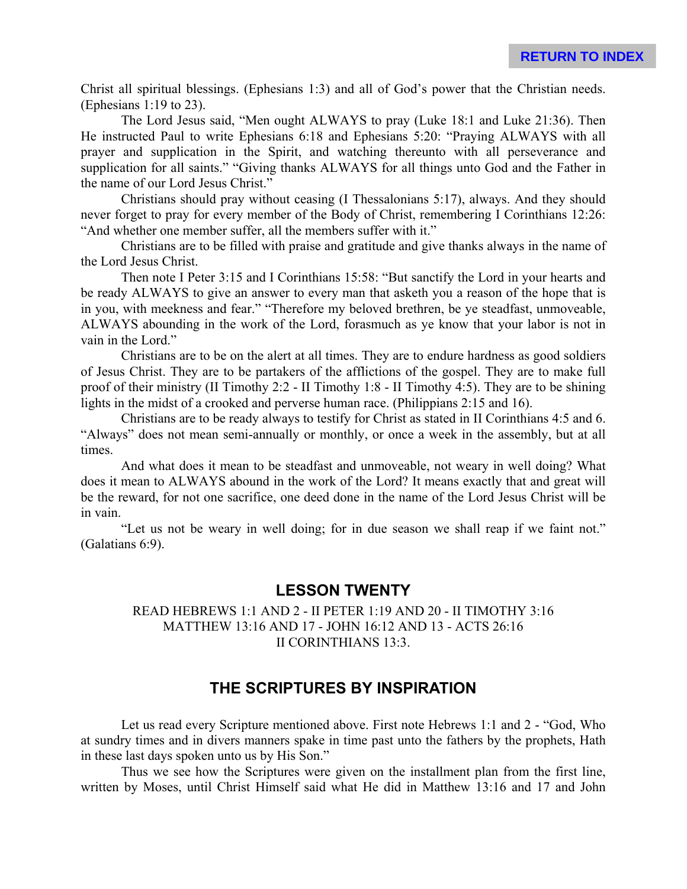Christ all spiritual blessings. (Ephesians 1:3) and all of God's power that the Christian needs. (Ephesians 1:19 to 23).

The Lord Jesus said, "Men ought ALWAYS to pray (Luke 18:1 and Luke 21:36). Then He instructed Paul to write Ephesians 6:18 and Ephesians 5:20: "Praying ALWAYS with all prayer and supplication in the Spirit, and watching thereunto with all perseverance and supplication for all saints." "Giving thanks ALWAYS for all things unto God and the Father in the name of our Lord Jesus Christ."

Christians should pray without ceasing (I Thessalonians 5:17), always. And they should never forget to pray for every member of the Body of Christ, remembering I Corinthians 12:26: "And whether one member suffer, all the members suffer with it."

Christians are to be filled with praise and gratitude and give thanks always in the name of the Lord Jesus Christ.

Then note I Peter 3:15 and I Corinthians 15:58: "But sanctify the Lord in your hearts and be ready ALWAYS to give an answer to every man that asketh you a reason of the hope that is in you, with meekness and fear." "Therefore my beloved brethren, be ye steadfast, unmoveable, ALWAYS abounding in the work of the Lord, forasmuch as ye know that your labor is not in vain in the Lord."

Christians are to be on the alert at all times. They are to endure hardness as good soldiers of Jesus Christ. They are to be partakers of the afflictions of the gospel. They are to make full proof of their ministry (II Timothy 2:2 - II Timothy 1:8 - II Timothy 4:5). They are to be shining lights in the midst of a crooked and perverse human race. (Philippians 2:15 and 16).

Christians are to be ready always to testify for Christ as stated in II Corinthians 4:5 and 6. "Always" does not mean semi-annually or monthly, or once a week in the assembly, but at all times.

And what does it mean to be steadfast and unmoveable, not weary in well doing? What does it mean to ALWAYS abound in the work of the Lord? It means exactly that and great will be the reward, for not one sacrifice, one deed done in the name of the Lord Jesus Christ will be in vain.

"Let us not be weary in well doing; for in due season we shall reap if we faint not." (Galatians 6:9).

## **LESSON TWENTY**

#### READ HEBREWS 1:1 AND 2 - II PETER 1:19 AND 20 - II TIMOTHY 3:16 MATTHEW 13:16 AND 17 - JOHN 16:12 AND 13 - ACTS 26:16 II CORINTHIANS 13:3.

# **THE SCRIPTURES BY INSPIRATION**

Let us read every Scripture mentioned above. First note Hebrews 1:1 and 2 - "God, Who at sundry times and in divers manners spake in time past unto the fathers by the prophets, Hath in these last days spoken unto us by His Son."

Thus we see how the Scriptures were given on the installment plan from the first line, written by Moses, until Christ Himself said what He did in Matthew 13:16 and 17 and John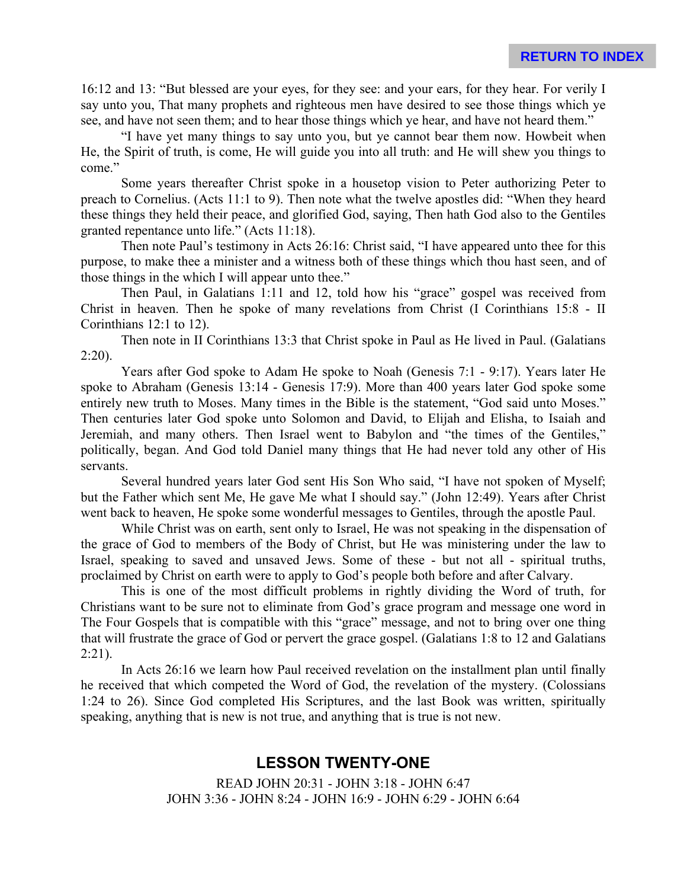16:12 and 13: "But blessed are your eyes, for they see: and your ears, for they hear. For verily I say unto you, That many prophets and righteous men have desired to see those things which ye see, and have not seen them; and to hear those things which ye hear, and have not heard them."

"I have yet many things to say unto you, but ye cannot bear them now. Howbeit when He, the Spirit of truth, is come, He will guide you into all truth: and He will shew you things to come."

Some years thereafter Christ spoke in a housetop vision to Peter authorizing Peter to preach to Cornelius. (Acts 11:1 to 9). Then note what the twelve apostles did: "When they heard these things they held their peace, and glorified God, saying, Then hath God also to the Gentiles granted repentance unto life." (Acts 11:18).

Then note Paul's testimony in Acts 26:16: Christ said, "I have appeared unto thee for this purpose, to make thee a minister and a witness both of these things which thou hast seen, and of those things in the which I will appear unto thee."

Then Paul, in Galatians 1:11 and 12, told how his "grace" gospel was received from Christ in heaven. Then he spoke of many revelations from Christ (I Corinthians 15:8 - II Corinthians 12:1 to 12).

Then note in II Corinthians 13:3 that Christ spoke in Paul as He lived in Paul. (Galatians  $2:20$ ).

Years after God spoke to Adam He spoke to Noah (Genesis 7:1 - 9:17). Years later He spoke to Abraham (Genesis 13:14 - Genesis 17:9). More than 400 years later God spoke some entirely new truth to Moses. Many times in the Bible is the statement, "God said unto Moses." Then centuries later God spoke unto Solomon and David, to Elijah and Elisha, to Isaiah and Jeremiah, and many others. Then Israel went to Babylon and "the times of the Gentiles," politically, began. And God told Daniel many things that He had never told any other of His servants.

Several hundred years later God sent His Son Who said, "I have not spoken of Myself; but the Father which sent Me, He gave Me what I should say." (John 12:49). Years after Christ went back to heaven, He spoke some wonderful messages to Gentiles, through the apostle Paul.

While Christ was on earth, sent only to Israel, He was not speaking in the dispensation of the grace of God to members of the Body of Christ, but He was ministering under the law to Israel, speaking to saved and unsaved Jews. Some of these - but not all - spiritual truths, proclaimed by Christ on earth were to apply to God's people both before and after Calvary.

This is one of the most difficult problems in rightly dividing the Word of truth, for Christians want to be sure not to eliminate from God's grace program and message one word in The Four Gospels that is compatible with this "grace" message, and not to bring over one thing that will frustrate the grace of God or pervert the grace gospel. (Galatians 1:8 to 12 and Galatians 2:21).

In Acts 26:16 we learn how Paul received revelation on the installment plan until finally he received that which competed the Word of God, the revelation of the mystery. (Colossians 1:24 to 26). Since God completed His Scriptures, and the last Book was written, spiritually speaking, anything that is new is not true, and anything that is true is not new.

# **LESSON TWENTY-ONE**

READ JOHN 20:31 - JOHN 3:18 - JOHN 6:47 JOHN 3:36 - JOHN 8:24 - JOHN 16:9 - JOHN 6:29 - JOHN 6:64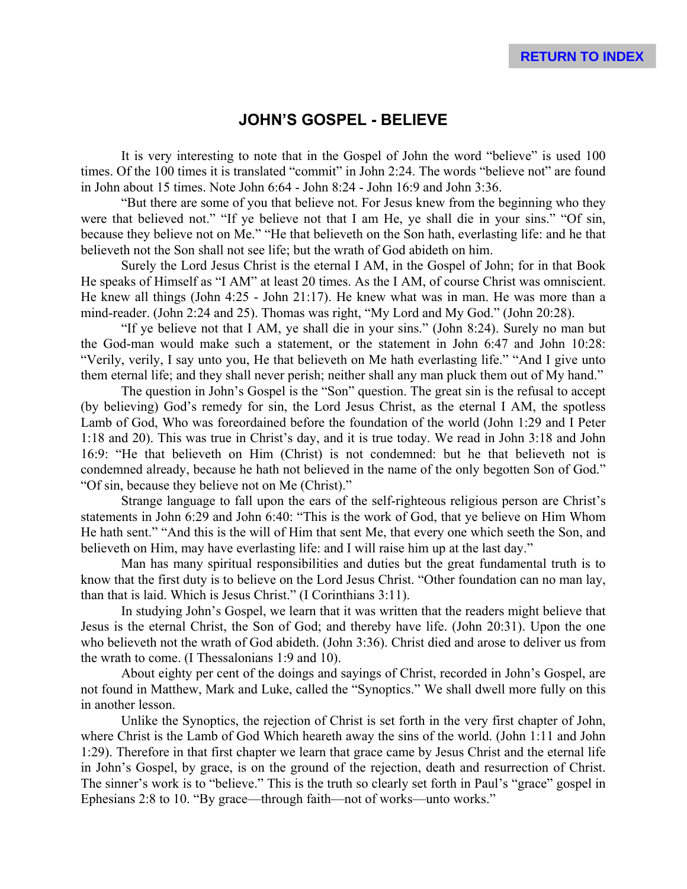# **JOHN'S GOSPEL - BELIEVE**

It is very interesting to note that in the Gospel of John the word "believe" is used 100 times. Of the 100 times it is translated "commit" in John 2:24. The words "believe not" are found in John about 15 times. Note John 6:64 - John 8:24 - John 16:9 and John 3:36.

"But there are some of you that believe not. For Jesus knew from the beginning who they were that believed not." "If ye believe not that I am He, ye shall die in your sins." "Of sin, because they believe not on Me." "He that believeth on the Son hath, everlasting life: and he that believeth not the Son shall not see life; but the wrath of God abideth on him.

Surely the Lord Jesus Christ is the eternal I AM, in the Gospel of John; for in that Book He speaks of Himself as "I AM" at least 20 times. As the I AM, of course Christ was omniscient. He knew all things (John 4:25 - John 21:17). He knew what was in man. He was more than a mind-reader. (John 2:24 and 25). Thomas was right, "My Lord and My God." (John 20:28).

"If ye believe not that I AM, ye shall die in your sins." (John 8:24). Surely no man but the God-man would make such a statement, or the statement in John 6:47 and John 10:28: "Verily, verily, I say unto you, He that believeth on Me hath everlasting life." "And I give unto them eternal life; and they shall never perish; neither shall any man pluck them out of My hand."

The question in John's Gospel is the "Son" question. The great sin is the refusal to accept (by believing) God's remedy for sin, the Lord Jesus Christ, as the eternal I AM, the spotless Lamb of God, Who was foreordained before the foundation of the world (John 1:29 and I Peter 1:18 and 20). This was true in Christ's day, and it is true today. We read in John 3:18 and John 16:9: "He that believeth on Him (Christ) is not condemned: but he that believeth not is condemned already, because he hath not believed in the name of the only begotten Son of God." "Of sin, because they believe not on Me (Christ)."

Strange language to fall upon the ears of the self-righteous religious person are Christ's statements in John 6:29 and John 6:40: "This is the work of God, that ye believe on Him Whom He hath sent." "And this is the will of Him that sent Me, that every one which seeth the Son, and believeth on Him, may have everlasting life: and I will raise him up at the last day."

Man has many spiritual responsibilities and duties but the great fundamental truth is to know that the first duty is to believe on the Lord Jesus Christ. "Other foundation can no man lay, than that is laid. Which is Jesus Christ." (I Corinthians 3:11).

In studying John's Gospel, we learn that it was written that the readers might believe that Jesus is the eternal Christ, the Son of God; and thereby have life. (John 20:31). Upon the one who believeth not the wrath of God abideth. (John 3:36). Christ died and arose to deliver us from the wrath to come. (I Thessalonians 1:9 and 10).

About eighty per cent of the doings and sayings of Christ, recorded in John's Gospel, are not found in Matthew, Mark and Luke, called the "Synoptics." We shall dwell more fully on this in another lesson.

Unlike the Synoptics, the rejection of Christ is set forth in the very first chapter of John, where Christ is the Lamb of God Which heareth away the sins of the world. (John 1:11 and John 1:29). Therefore in that first chapter we learn that grace came by Jesus Christ and the eternal life in John's Gospel, by grace, is on the ground of the rejection, death and resurrection of Christ. The sinner's work is to "believe." This is the truth so clearly set forth in Paul's "grace" gospel in Ephesians 2:8 to 10. "By grace—through faith—not of works—unto works."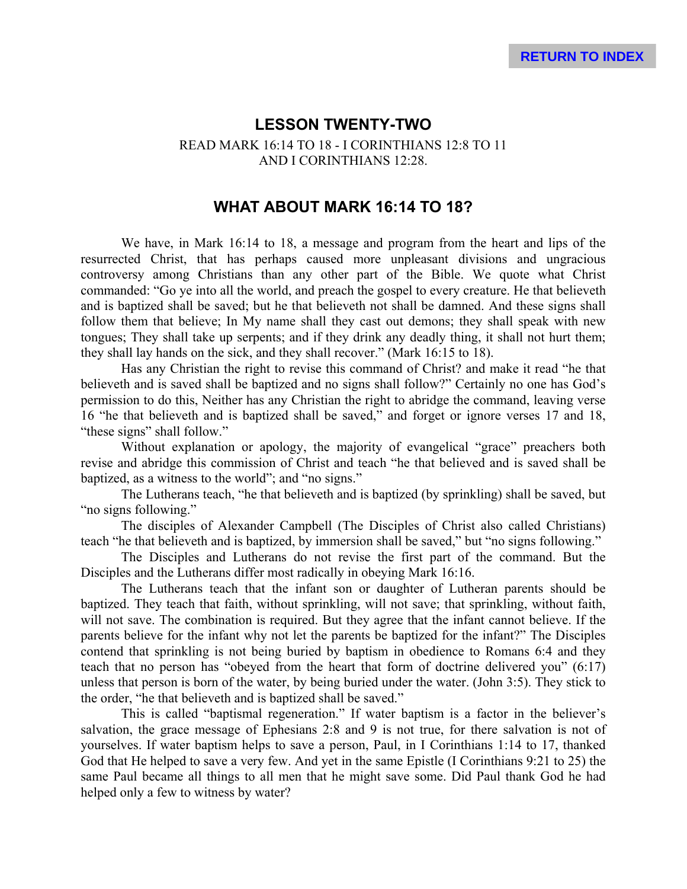# **LESSON TWENTY-TWO** READ MARK 16:14 TO 18 - I CORINTHIANS 12:8 TO 11 AND I CORINTHIANS 12:28.

# **WHAT ABOUT MARK 16:14 TO 18?**

We have, in Mark 16:14 to 18, a message and program from the heart and lips of the resurrected Christ, that has perhaps caused more unpleasant divisions and ungracious controversy among Christians than any other part of the Bible. We quote what Christ commanded: "Go ye into all the world, and preach the gospel to every creature. He that believeth and is baptized shall be saved; but he that believeth not shall be damned. And these signs shall follow them that believe; In My name shall they cast out demons; they shall speak with new tongues; They shall take up serpents; and if they drink any deadly thing, it shall not hurt them; they shall lay hands on the sick, and they shall recover." (Mark 16:15 to 18).

Has any Christian the right to revise this command of Christ? and make it read "he that believeth and is saved shall be baptized and no signs shall follow?" Certainly no one has God's permission to do this, Neither has any Christian the right to abridge the command, leaving verse 16 "he that believeth and is baptized shall be saved," and forget or ignore verses 17 and 18, "these signs" shall follow."

Without explanation or apology, the majority of evangelical "grace" preachers both revise and abridge this commission of Christ and teach "he that believed and is saved shall be baptized, as a witness to the world"; and "no signs."

The Lutherans teach, "he that believeth and is baptized (by sprinkling) shall be saved, but "no signs following."

The disciples of Alexander Campbell (The Disciples of Christ also called Christians) teach "he that believeth and is baptized, by immersion shall be saved," but "no signs following."

The Disciples and Lutherans do not revise the first part of the command. But the Disciples and the Lutherans differ most radically in obeying Mark 16:16.

The Lutherans teach that the infant son or daughter of Lutheran parents should be baptized. They teach that faith, without sprinkling, will not save; that sprinkling, without faith, will not save. The combination is required. But they agree that the infant cannot believe. If the parents believe for the infant why not let the parents be baptized for the infant?" The Disciples contend that sprinkling is not being buried by baptism in obedience to Romans 6:4 and they teach that no person has "obeyed from the heart that form of doctrine delivered you" (6:17) unless that person is born of the water, by being buried under the water. (John 3:5). They stick to the order, "he that believeth and is baptized shall be saved."

This is called "baptismal regeneration." If water baptism is a factor in the believer's salvation, the grace message of Ephesians 2:8 and 9 is not true, for there salvation is not of yourselves. If water baptism helps to save a person, Paul, in I Corinthians 1:14 to 17, thanked God that He helped to save a very few. And yet in the same Epistle (I Corinthians 9:21 to 25) the same Paul became all things to all men that he might save some. Did Paul thank God he had helped only a few to witness by water?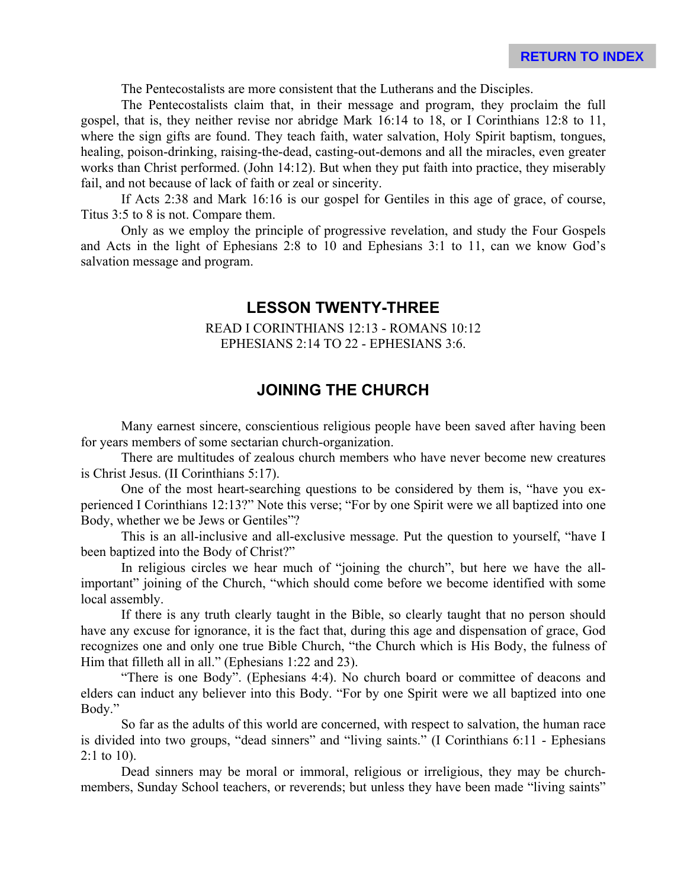The Pentecostalists are more consistent that the Lutherans and the Disciples.

The Pentecostalists claim that, in their message and program, they proclaim the full gospel, that is, they neither revise nor abridge Mark 16:14 to 18, or I Corinthians 12:8 to 11, where the sign gifts are found. They teach faith, water salvation, Holy Spirit baptism, tongues, healing, poison-drinking, raising-the-dead, casting-out-demons and all the miracles, even greater works than Christ performed. (John 14:12). But when they put faith into practice, they miserably fail, and not because of lack of faith or zeal or sincerity.

If Acts 2:38 and Mark 16:16 is our gospel for Gentiles in this age of grace, of course, Titus 3:5 to 8 is not. Compare them.

Only as we employ the principle of progressive revelation, and study the Four Gospels and Acts in the light of Ephesians 2:8 to 10 and Ephesians 3:1 to 11, can we know God's salvation message and program.

# **LESSON TWENTY-THREE**

#### READ I CORINTHIANS 12:13 - ROMANS 10:12 EPHESIANS 2:14 TO 22 - EPHESIANS 3:6.

# **JOINING THE CHURCH**

Many earnest sincere, conscientious religious people have been saved after having been for years members of some sectarian church-organization.

There are multitudes of zealous church members who have never become new creatures is Christ Jesus. (II Corinthians 5:17).

One of the most heart-searching questions to be considered by them is, "have you experienced I Corinthians 12:13?" Note this verse; "For by one Spirit were we all baptized into one Body, whether we be Jews or Gentiles"?

This is an all-inclusive and all-exclusive message. Put the question to yourself, "have I been baptized into the Body of Christ?"

In religious circles we hear much of "joining the church", but here we have the allimportant" joining of the Church, "which should come before we become identified with some local assembly.

If there is any truth clearly taught in the Bible, so clearly taught that no person should have any excuse for ignorance, it is the fact that, during this age and dispensation of grace, God recognizes one and only one true Bible Church, "the Church which is His Body, the fulness of Him that filleth all in all." (Ephesians 1:22 and 23).

"There is one Body". (Ephesians 4:4). No church board or committee of deacons and elders can induct any believer into this Body. "For by one Spirit were we all baptized into one Body."

So far as the adults of this world are concerned, with respect to salvation, the human race is divided into two groups, "dead sinners" and "living saints." (I Corinthians 6:11 - Ephesians 2:1 to 10).

Dead sinners may be moral or immoral, religious or irreligious, they may be churchmembers, Sunday School teachers, or reverends; but unless they have been made "living saints"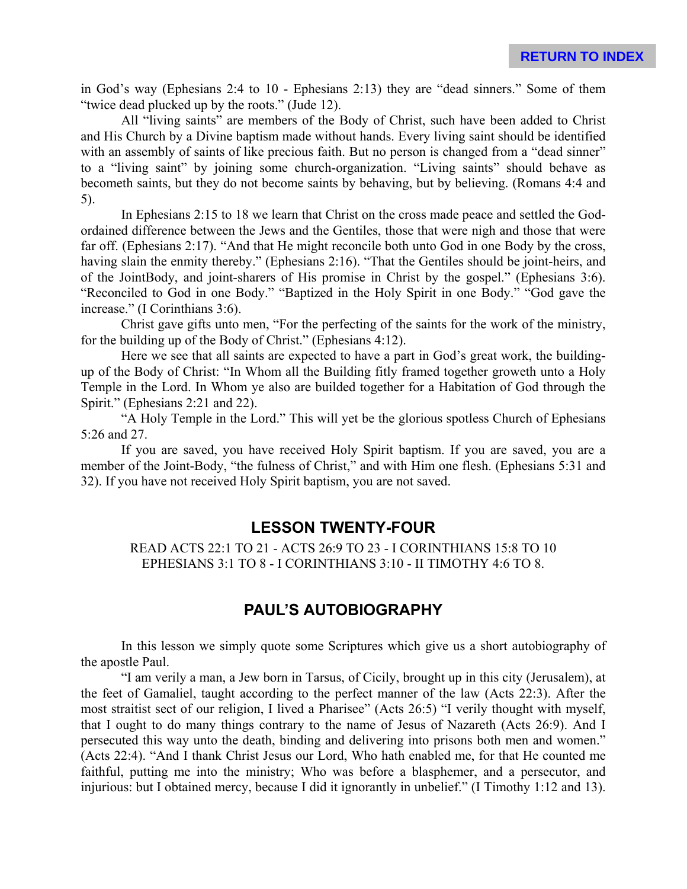in God's way (Ephesians 2:4 to 10 - Ephesians 2:13) they are "dead sinners." Some of them "twice dead plucked up by the roots." (Jude 12).

All "living saints" are members of the Body of Christ, such have been added to Christ and His Church by a Divine baptism made without hands. Every living saint should be identified with an assembly of saints of like precious faith. But no person is changed from a "dead sinner" to a "living saint" by joining some church-organization. "Living saints" should behave as becometh saints, but they do not become saints by behaving, but by believing. (Romans 4:4 and 5).

In Ephesians 2:15 to 18 we learn that Christ on the cross made peace and settled the Godordained difference between the Jews and the Gentiles, those that were nigh and those that were far off. (Ephesians 2:17). "And that He might reconcile both unto God in one Body by the cross, having slain the enmity thereby." (Ephesians 2:16). "That the Gentiles should be joint-heirs, and of the JointBody, and joint-sharers of His promise in Christ by the gospel." (Ephesians 3:6). "Reconciled to God in one Body." "Baptized in the Holy Spirit in one Body." "God gave the increase." (I Corinthians 3:6).

Christ gave gifts unto men, "For the perfecting of the saints for the work of the ministry, for the building up of the Body of Christ." (Ephesians 4:12).

Here we see that all saints are expected to have a part in God's great work, the buildingup of the Body of Christ: "In Whom all the Building fitly framed together groweth unto a Holy Temple in the Lord. In Whom ye also are builded together for a Habitation of God through the Spirit." (Ephesians 2:21 and 22).

"A Holy Temple in the Lord." This will yet be the glorious spotless Church of Ephesians 5:26 and 27.

If you are saved, you have received Holy Spirit baptism. If you are saved, you are a member of the Joint-Body, "the fulness of Christ," and with Him one flesh. (Ephesians 5:31 and 32). If you have not received Holy Spirit baptism, you are not saved.

# **LESSON TWENTY-FOUR**

READ ACTS 22:1 TO 21 - ACTS 26:9 TO 23 - I CORINTHIANS 15:8 TO 10 EPHESIANS 3:1 TO 8 - I CORINTHIANS 3:10 - II TIMOTHY 4:6 TO 8.

# **PAUL'S AUTOBIOGRAPHY**

In this lesson we simply quote some Scriptures which give us a short autobiography of the apostle Paul.

"I am verily a man, a Jew born in Tarsus, of Cicily, brought up in this city (Jerusalem), at the feet of Gamaliel, taught according to the perfect manner of the law (Acts 22:3). After the most straitist sect of our religion, I lived a Pharisee" (Acts 26:5) "I verily thought with myself, that I ought to do many things contrary to the name of Jesus of Nazareth (Acts 26:9). And I persecuted this way unto the death, binding and delivering into prisons both men and women." (Acts 22:4). "And I thank Christ Jesus our Lord, Who hath enabled me, for that He counted me faithful, putting me into the ministry; Who was before a blasphemer, and a persecutor, and injurious: but I obtained mercy, because I did it ignorantly in unbelief." (I Timothy 1:12 and 13).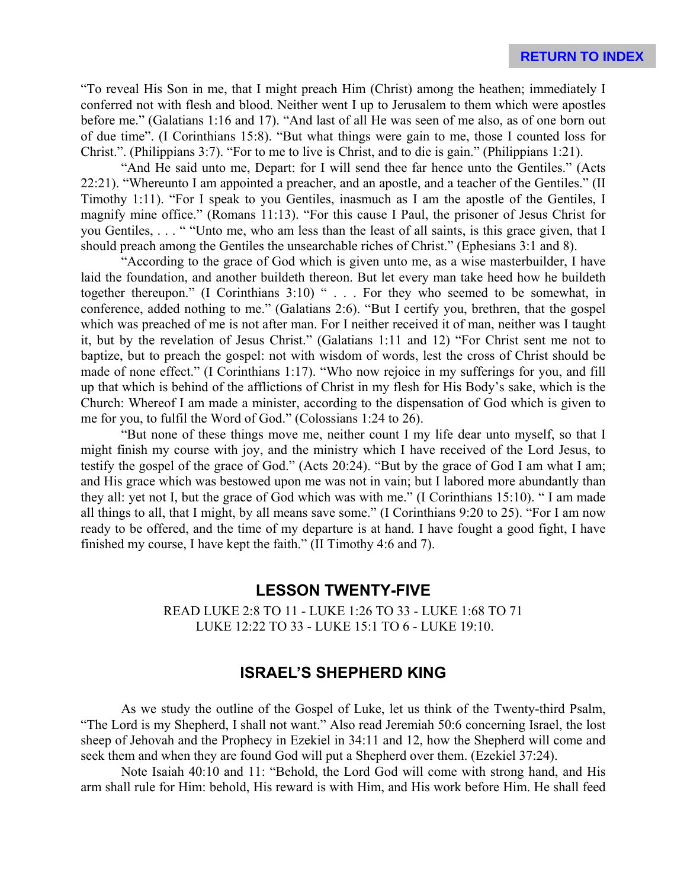"To reveal His Son in me, that I might preach Him (Christ) among the heathen; immediately I conferred not with flesh and blood. Neither went I up to Jerusalem to them which were apostles before me." (Galatians 1:16 and 17). "And last of all He was seen of me also, as of one born out of due time". (I Corinthians 15:8). "But what things were gain to me, those I counted loss for Christ.". (Philippians 3:7). "For to me to live is Christ, and to die is gain." (Philippians 1:21).

"And He said unto me, Depart: for I will send thee far hence unto the Gentiles." (Acts 22:21). "Whereunto I am appointed a preacher, and an apostle, and a teacher of the Gentiles." (II Timothy 1:11). "For I speak to you Gentiles, inasmuch as I am the apostle of the Gentiles, I magnify mine office." (Romans 11:13). "For this cause I Paul, the prisoner of Jesus Christ for you Gentiles, . . . " "Unto me, who am less than the least of all saints, is this grace given, that I should preach among the Gentiles the unsearchable riches of Christ." (Ephesians 3:1 and 8).

"According to the grace of God which is given unto me, as a wise masterbuilder, I have laid the foundation, and another buildeth thereon. But let every man take heed how he buildeth together thereupon." (I Corinthians 3:10) " . . . For they who seemed to be somewhat, in conference, added nothing to me." (Galatians 2:6). "But I certify you, brethren, that the gospel which was preached of me is not after man. For I neither received it of man, neither was I taught it, but by the revelation of Jesus Christ." (Galatians 1:11 and 12) "For Christ sent me not to baptize, but to preach the gospel: not with wisdom of words, lest the cross of Christ should be made of none effect." (I Corinthians 1:17). "Who now rejoice in my sufferings for you, and fill up that which is behind of the afflictions of Christ in my flesh for His Body's sake, which is the Church: Whereof I am made a minister, according to the dispensation of God which is given to me for you, to fulfil the Word of God." (Colossians 1:24 to 26).

"But none of these things move me, neither count I my life dear unto myself, so that I might finish my course with joy, and the ministry which I have received of the Lord Jesus, to testify the gospel of the grace of God." (Acts 20:24). "But by the grace of God I am what I am; and His grace which was bestowed upon me was not in vain; but I labored more abundantly than they all: yet not I, but the grace of God which was with me." (I Corinthians 15:10). " I am made all things to all, that I might, by all means save some." (I Corinthians 9:20 to 25). "For I am now ready to be offered, and the time of my departure is at hand. I have fought a good fight, I have finished my course, I have kept the faith." (II Timothy 4:6 and 7).

## **LESSON TWENTY-FIVE**

READ LUKE 2:8 TO 11 - LUKE 1:26 TO 33 - LUKE 1:68 TO 71 LUKE 12:22 TO 33 - LUKE 15:1 TO 6 - LUKE 19:10.

## **ISRAEL'S SHEPHERD KING**

As we study the outline of the Gospel of Luke, let us think of the Twenty-third Psalm, "The Lord is my Shepherd, I shall not want." Also read Jeremiah 50:6 concerning Israel, the lost sheep of Jehovah and the Prophecy in Ezekiel in 34:11 and 12, how the Shepherd will come and seek them and when they are found God will put a Shepherd over them. (Ezekiel 37:24).

Note Isaiah 40:10 and 11: "Behold, the Lord God will come with strong hand, and His arm shall rule for Him: behold, His reward is with Him, and His work before Him. He shall feed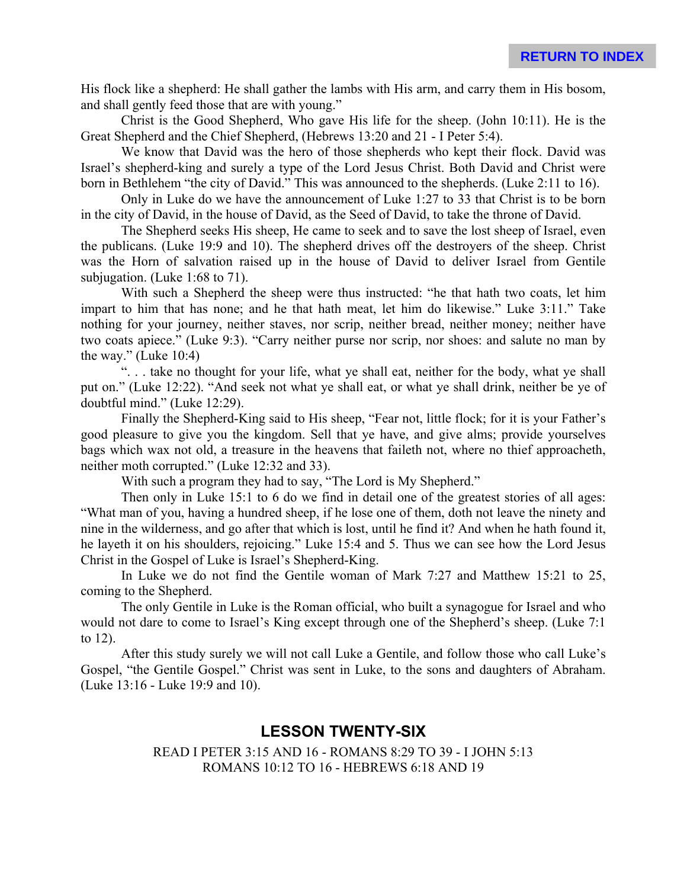His flock like a shepherd: He shall gather the lambs with His arm, and carry them in His bosom, and shall gently feed those that are with young."

Christ is the Good Shepherd, Who gave His life for the sheep. (John 10:11). He is the Great Shepherd and the Chief Shepherd, (Hebrews 13:20 and 21 - I Peter 5:4).

We know that David was the hero of those shepherds who kept their flock. David was Israel's shepherd-king and surely a type of the Lord Jesus Christ. Both David and Christ were born in Bethlehem "the city of David." This was announced to the shepherds. (Luke 2:11 to 16).

Only in Luke do we have the announcement of Luke 1:27 to 33 that Christ is to be born in the city of David, in the house of David, as the Seed of David, to take the throne of David.

The Shepherd seeks His sheep, He came to seek and to save the lost sheep of Israel, even the publicans. (Luke 19:9 and 10). The shepherd drives off the destroyers of the sheep. Christ was the Horn of salvation raised up in the house of David to deliver Israel from Gentile subjugation. (Luke 1:68 to 71).

With such a Shepherd the sheep were thus instructed: "he that hath two coats, let him impart to him that has none; and he that hath meat, let him do likewise." Luke 3:11." Take nothing for your journey, neither staves, nor scrip, neither bread, neither money; neither have two coats apiece." (Luke 9:3). "Carry neither purse nor scrip, nor shoes: and salute no man by the way." (Luke 10:4)

". . . take no thought for your life, what ye shall eat, neither for the body, what ye shall put on." (Luke 12:22). "And seek not what ye shall eat, or what ye shall drink, neither be ye of doubtful mind." (Luke 12:29).

Finally the Shepherd-King said to His sheep, "Fear not, little flock; for it is your Father's good pleasure to give you the kingdom. Sell that ye have, and give alms; provide yourselves bags which wax not old, a treasure in the heavens that faileth not, where no thief approacheth, neither moth corrupted." (Luke 12:32 and 33).

With such a program they had to say, "The Lord is My Shepherd."

Then only in Luke 15:1 to 6 do we find in detail one of the greatest stories of all ages: "What man of you, having a hundred sheep, if he lose one of them, doth not leave the ninety and nine in the wilderness, and go after that which is lost, until he find it? And when he hath found it, he layeth it on his shoulders, rejoicing." Luke 15:4 and 5. Thus we can see how the Lord Jesus Christ in the Gospel of Luke is Israel's Shepherd-King.

In Luke we do not find the Gentile woman of Mark 7:27 and Matthew 15:21 to 25, coming to the Shepherd.

The only Gentile in Luke is the Roman official, who built a synagogue for Israel and who would not dare to come to Israel's King except through one of the Shepherd's sheep. (Luke 7:1 to 12).

After this study surely we will not call Luke a Gentile, and follow those who call Luke's Gospel, "the Gentile Gospel." Christ was sent in Luke, to the sons and daughters of Abraham. (Luke 13:16 - Luke 19:9 and 10).

## **LESSON TWENTY-SIX**

READ I PETER 3:15 AND 16 - ROMANS 8:29 TO 39 - I JOHN 5:13 ROMANS 10:12 TO 16 - HEBREWS 6:18 AND 19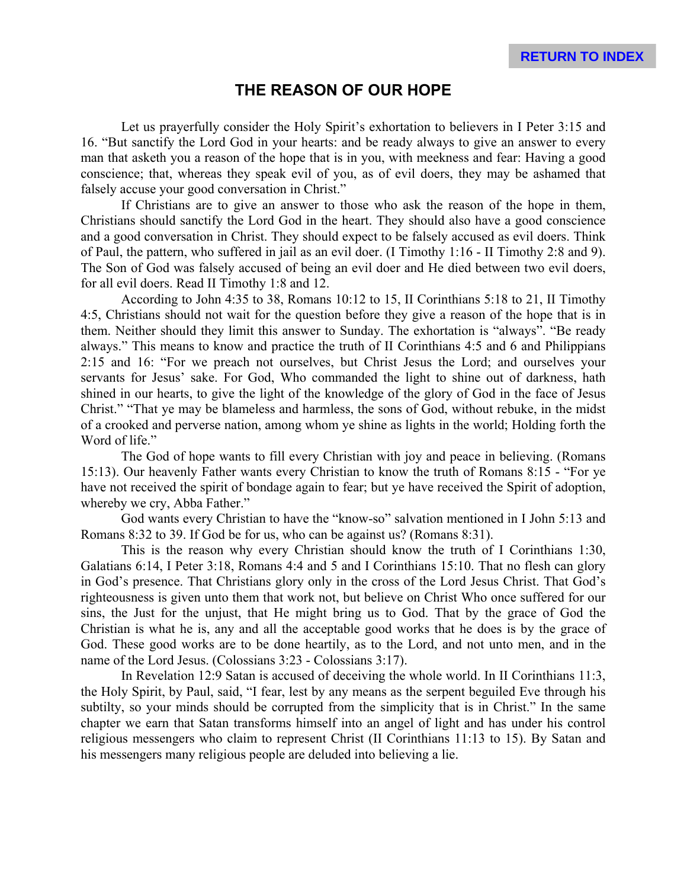# **THE REASON OF OUR HOPE**

Let us prayerfully consider the Holy Spirit's exhortation to believers in I Peter 3:15 and 16. "But sanctify the Lord God in your hearts: and be ready always to give an answer to every man that asketh you a reason of the hope that is in you, with meekness and fear: Having a good conscience; that, whereas they speak evil of you, as of evil doers, they may be ashamed that falsely accuse your good conversation in Christ."

If Christians are to give an answer to those who ask the reason of the hope in them, Christians should sanctify the Lord God in the heart. They should also have a good conscience and a good conversation in Christ. They should expect to be falsely accused as evil doers. Think of Paul, the pattern, who suffered in jail as an evil doer. (I Timothy 1:16 - II Timothy 2:8 and 9). The Son of God was falsely accused of being an evil doer and He died between two evil doers, for all evil doers. Read II Timothy 1:8 and 12.

According to John 4:35 to 38, Romans 10:12 to 15, II Corinthians 5:18 to 21, II Timothy 4:5, Christians should not wait for the question before they give a reason of the hope that is in them. Neither should they limit this answer to Sunday. The exhortation is "always". "Be ready always." This means to know and practice the truth of II Corinthians 4:5 and 6 and Philippians 2:15 and 16: "For we preach not ourselves, but Christ Jesus the Lord; and ourselves your servants for Jesus' sake. For God, Who commanded the light to shine out of darkness, hath shined in our hearts, to give the light of the knowledge of the glory of God in the face of Jesus Christ." "That ye may be blameless and harmless, the sons of God, without rebuke, in the midst of a crooked and perverse nation, among whom ye shine as lights in the world; Holding forth the Word of life."

The God of hope wants to fill every Christian with joy and peace in believing. (Romans 15:13). Our heavenly Father wants every Christian to know the truth of Romans 8:15 - "For ye have not received the spirit of bondage again to fear; but ye have received the Spirit of adoption, whereby we cry, Abba Father."

God wants every Christian to have the "know-so" salvation mentioned in I John 5:13 and Romans 8:32 to 39. If God be for us, who can be against us? (Romans 8:31).

This is the reason why every Christian should know the truth of I Corinthians 1:30, Galatians 6:14, I Peter 3:18, Romans 4:4 and 5 and I Corinthians 15:10. That no flesh can glory in God's presence. That Christians glory only in the cross of the Lord Jesus Christ. That God's righteousness is given unto them that work not, but believe on Christ Who once suffered for our sins, the Just for the unjust, that He might bring us to God. That by the grace of God the Christian is what he is, any and all the acceptable good works that he does is by the grace of God. These good works are to be done heartily, as to the Lord, and not unto men, and in the name of the Lord Jesus. (Colossians 3:23 - Colossians 3:17).

In Revelation 12:9 Satan is accused of deceiving the whole world. In II Corinthians 11:3, the Holy Spirit, by Paul, said, "I fear, lest by any means as the serpent beguiled Eve through his subtilty, so your minds should be corrupted from the simplicity that is in Christ." In the same chapter we earn that Satan transforms himself into an angel of light and has under his control religious messengers who claim to represent Christ (II Corinthians 11:13 to 15). By Satan and his messengers many religious people are deluded into believing a lie.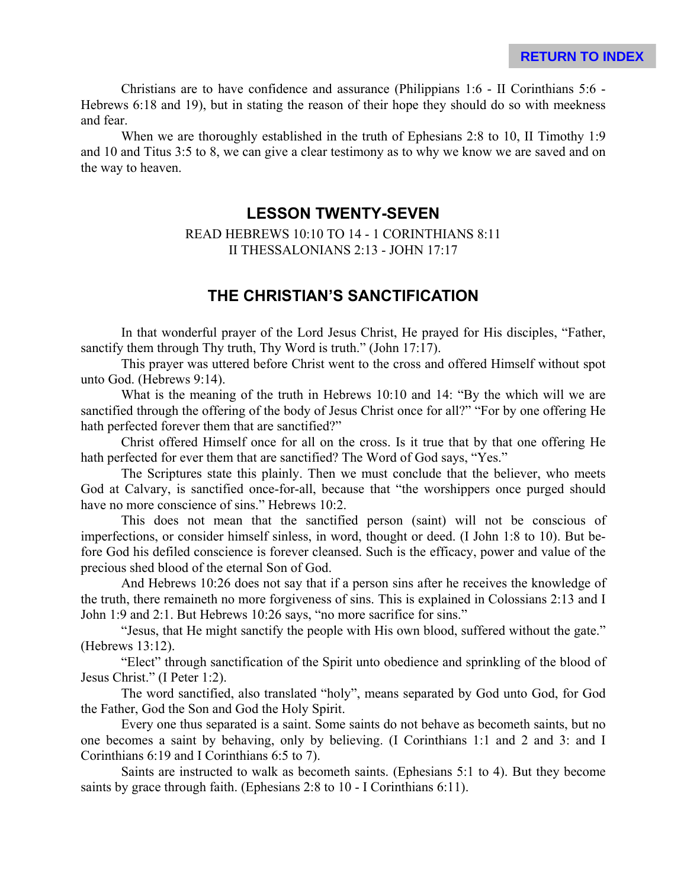Christians are to have confidence and assurance (Philippians 1:6 - II Corinthians 5:6 - Hebrews 6:18 and 19), but in stating the reason of their hope they should do so with meekness and fear.

When we are thoroughly established in the truth of Ephesians 2:8 to 10, II Timothy 1:9 and 10 and Titus 3:5 to 8, we can give a clear testimony as to why we know we are saved and on the way to heaven.

### **LESSON TWENTY-SEVEN**

READ HEBREWS 10:10 TO 14 - 1 CORINTHIANS 8:11 II THESSALONIANS 2:13 - JOHN 17:17

# **THE CHRISTIAN'S SANCTIFICATION**

In that wonderful prayer of the Lord Jesus Christ, He prayed for His disciples, "Father, sanctify them through Thy truth, Thy Word is truth." (John 17:17).

This prayer was uttered before Christ went to the cross and offered Himself without spot unto God. (Hebrews 9:14).

What is the meaning of the truth in Hebrews 10:10 and 14: "By the which will we are sanctified through the offering of the body of Jesus Christ once for all?" "For by one offering He hath perfected forever them that are sanctified?"

Christ offered Himself once for all on the cross. Is it true that by that one offering He hath perfected for ever them that are sanctified? The Word of God says, "Yes."

The Scriptures state this plainly. Then we must conclude that the believer, who meets God at Calvary, is sanctified once-for-all, because that "the worshippers once purged should have no more conscience of sins." Hebrews 10:2.

This does not mean that the sanctified person (saint) will not be conscious of imperfections, or consider himself sinless, in word, thought or deed. (I John 1:8 to 10). But before God his defiled conscience is forever cleansed. Such is the efficacy, power and value of the precious shed blood of the eternal Son of God.

And Hebrews 10:26 does not say that if a person sins after he receives the knowledge of the truth, there remaineth no more forgiveness of sins. This is explained in Colossians 2:13 and I John 1:9 and 2:1. But Hebrews 10:26 says, "no more sacrifice for sins."

"Jesus, that He might sanctify the people with His own blood, suffered without the gate." (Hebrews 13:12).

"Elect" through sanctification of the Spirit unto obedience and sprinkling of the blood of Jesus Christ." (I Peter 1:2).

The word sanctified, also translated "holy", means separated by God unto God, for God the Father, God the Son and God the Holy Spirit.

Every one thus separated is a saint. Some saints do not behave as becometh saints, but no one becomes a saint by behaving, only by believing. (I Corinthians 1:1 and 2 and 3: and I Corinthians 6:19 and I Corinthians 6:5 to 7).

Saints are instructed to walk as becometh saints. (Ephesians 5:1 to 4). But they become saints by grace through faith. (Ephesians 2:8 to 10 - I Corinthians 6:11).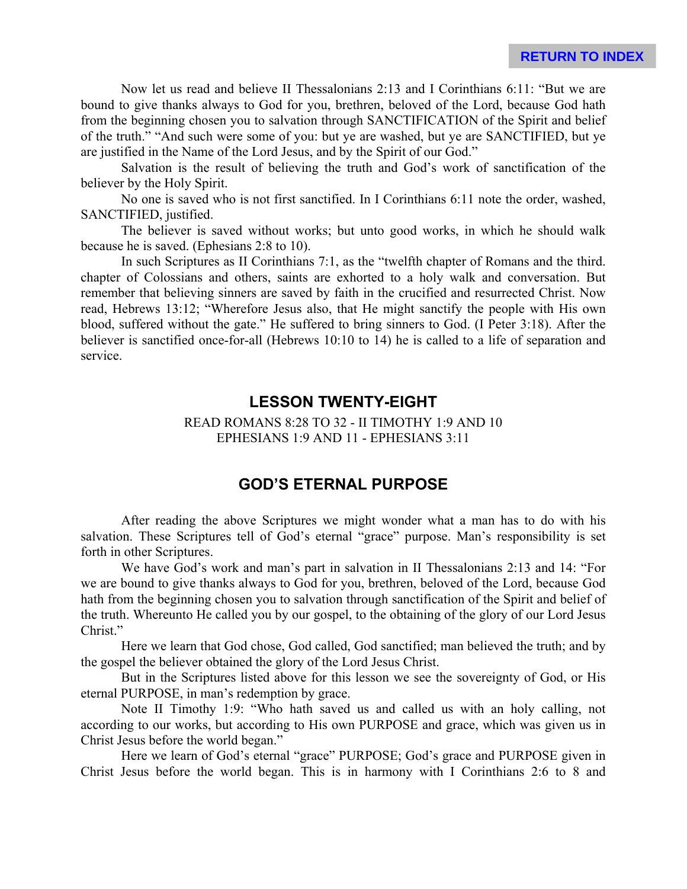Now let us read and believe II Thessalonians 2:13 and I Corinthians 6:11: "But we are bound to give thanks always to God for you, brethren, beloved of the Lord, because God hath from the beginning chosen you to salvation through SANCTIFICATION of the Spirit and belief of the truth." "And such were some of you: but ye are washed, but ye are SANCTIFIED, but ye are justified in the Name of the Lord Jesus, and by the Spirit of our God."

Salvation is the result of believing the truth and God's work of sanctification of the believer by the Holy Spirit.

No one is saved who is not first sanctified. In I Corinthians 6:11 note the order, washed, SANCTIFIED, justified.

The believer is saved without works; but unto good works, in which he should walk because he is saved. (Ephesians 2:8 to 10).

In such Scriptures as II Corinthians 7:1, as the "twelfth chapter of Romans and the third. chapter of Colossians and others, saints are exhorted to a holy walk and conversation. But remember that believing sinners are saved by faith in the crucified and resurrected Christ. Now read, Hebrews 13:12; "Wherefore Jesus also, that He might sanctify the people with His own blood, suffered without the gate." He suffered to bring sinners to God. (I Peter 3:18). After the believer is sanctified once-for-all (Hebrews 10:10 to 14) he is called to a life of separation and service.

# **LESSON TWENTY-EIGHT**

READ ROMANS 8:28 TO 32 - II TIMOTHY 1:9 AND 10 EPHESIANS 1:9 AND 11 - EPHESIANS 3:11

# **GOD'S ETERNAL PURPOSE**

After reading the above Scriptures we might wonder what a man has to do with his salvation. These Scriptures tell of God's eternal "grace" purpose. Man's responsibility is set forth in other Scriptures.

We have God's work and man's part in salvation in II Thessalonians 2:13 and 14: "For we are bound to give thanks always to God for you, brethren, beloved of the Lord, because God hath from the beginning chosen you to salvation through sanctification of the Spirit and belief of the truth. Whereunto He called you by our gospel, to the obtaining of the glory of our Lord Jesus Christ."

Here we learn that God chose, God called, God sanctified; man believed the truth; and by the gospel the believer obtained the glory of the Lord Jesus Christ.

But in the Scriptures listed above for this lesson we see the sovereignty of God, or His eternal PURPOSE, in man's redemption by grace.

Note II Timothy 1:9: "Who hath saved us and called us with an holy calling, not according to our works, but according to His own PURPOSE and grace, which was given us in Christ Jesus before the world began."

Here we learn of God's eternal "grace" PURPOSE; God's grace and PURPOSE given in Christ Jesus before the world began. This is in harmony with I Corinthians 2:6 to 8 and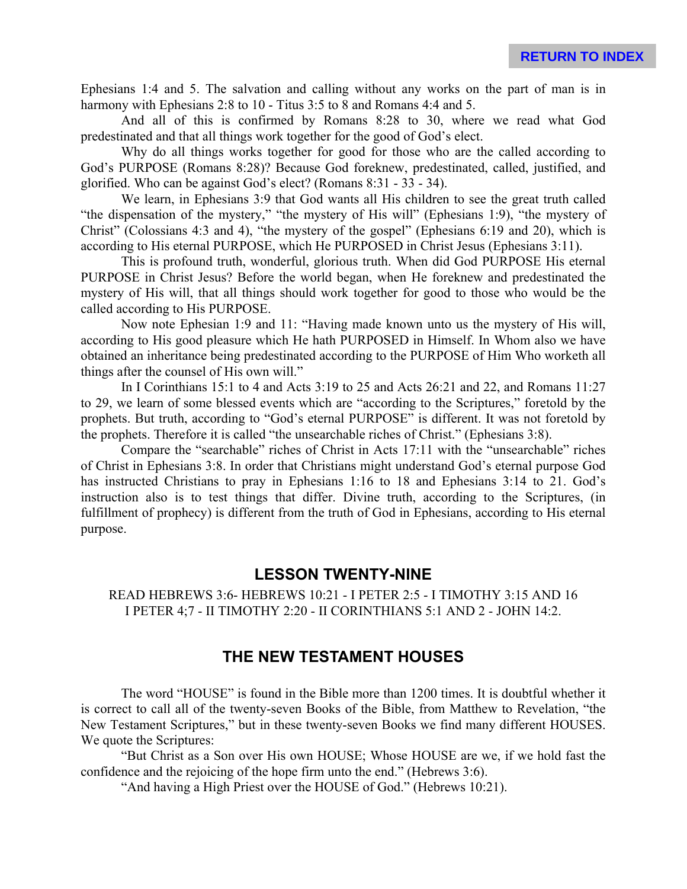Ephesians 1:4 and 5. The salvation and calling without any works on the part of man is in harmony with Ephesians 2:8 to 10 - Titus 3:5 to 8 and Romans 4:4 and 5.

And all of this is confirmed by Romans 8:28 to 30, where we read what God predestinated and that all things work together for the good of God's elect.

Why do all things works together for good for those who are the called according to God's PURPOSE (Romans 8:28)? Because God foreknew, predestinated, called, justified, and glorified. Who can be against God's elect? (Romans 8:31 - 33 - 34).

We learn, in Ephesians 3:9 that God wants all His children to see the great truth called "the dispensation of the mystery," "the mystery of His will" (Ephesians 1:9), "the mystery of Christ" (Colossians 4:3 and 4), "the mystery of the gospel" (Ephesians 6:19 and 20), which is according to His eternal PURPOSE, which He PURPOSED in Christ Jesus (Ephesians 3:11).

This is profound truth, wonderful, glorious truth. When did God PURPOSE His eternal PURPOSE in Christ Jesus? Before the world began, when He foreknew and predestinated the mystery of His will, that all things should work together for good to those who would be the called according to His PURPOSE.

Now note Ephesian 1:9 and 11: "Having made known unto us the mystery of His will, according to His good pleasure which He hath PURPOSED in Himself. In Whom also we have obtained an inheritance being predestinated according to the PURPOSE of Him Who worketh all things after the counsel of His own will."

In I Corinthians 15:1 to 4 and Acts 3:19 to 25 and Acts 26:21 and 22, and Romans 11:27 to 29, we learn of some blessed events which are "according to the Scriptures," foretold by the prophets. But truth, according to "God's eternal PURPOSE" is different. It was not foretold by the prophets. Therefore it is called "the unsearchable riches of Christ." (Ephesians 3:8).

Compare the "searchable" riches of Christ in Acts 17:11 with the "unsearchable" riches of Christ in Ephesians 3:8. In order that Christians might understand God's eternal purpose God has instructed Christians to pray in Ephesians 1:16 to 18 and Ephesians 3:14 to 21. God's instruction also is to test things that differ. Divine truth, according to the Scriptures, (in fulfillment of prophecy) is different from the truth of God in Ephesians, according to His eternal purpose.

## **LESSON TWENTY-NINE**

READ HEBREWS 3:6- HEBREWS 10:21 - I PETER 2:5 - I TIMOTHY 3:15 AND 16 I PETER 4;7 - II TIMOTHY 2:20 - II CORINTHIANS 5:1 AND 2 - JOHN 14:2.

# **THE NEW TESTAMENT HOUSES**

The word "HOUSE" is found in the Bible more than 1200 times. It is doubtful whether it is correct to call all of the twenty-seven Books of the Bible, from Matthew to Revelation, "the New Testament Scriptures," but in these twenty-seven Books we find many different HOUSES. We quote the Scriptures:

"But Christ as a Son over His own HOUSE; Whose HOUSE are we, if we hold fast the confidence and the rejoicing of the hope firm unto the end." (Hebrews 3:6).

"And having a High Priest over the HOUSE of God." (Hebrews 10:21).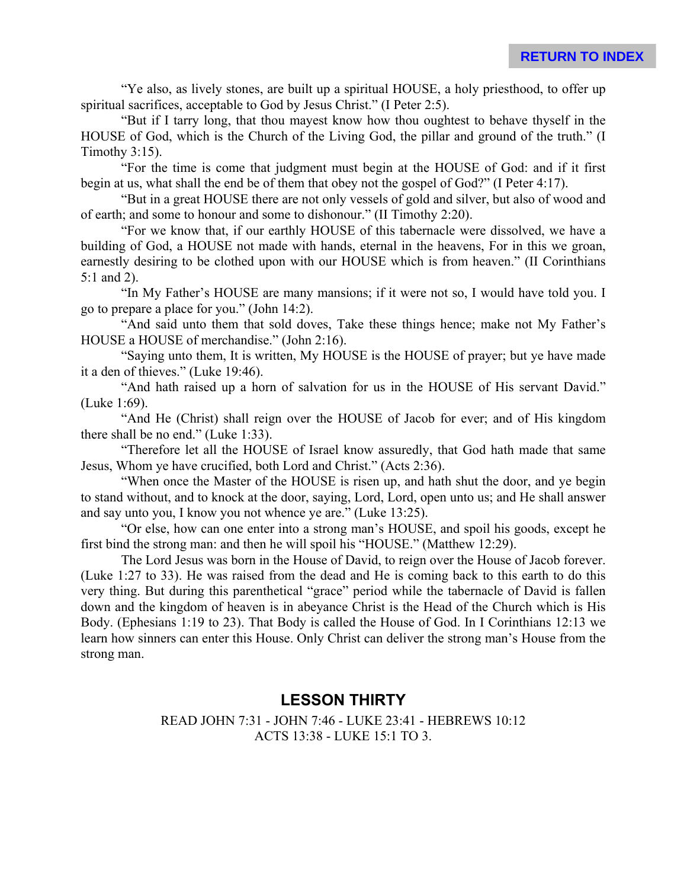"Ye also, as lively stones, are built up a spiritual HOUSE, a holy priesthood, to offer up spiritual sacrifices, acceptable to God by Jesus Christ." (I Peter 2:5).

"But if I tarry long, that thou mayest know how thou oughtest to behave thyself in the HOUSE of God, which is the Church of the Living God, the pillar and ground of the truth." (I Timothy 3:15).

"For the time is come that judgment must begin at the HOUSE of God: and if it first begin at us, what shall the end be of them that obey not the gospel of God?" (I Peter 4:17).

"But in a great HOUSE there are not only vessels of gold and silver, but also of wood and of earth; and some to honour and some to dishonour." (II Timothy 2:20).

"For we know that, if our earthly HOUSE of this tabernacle were dissolved, we have a building of God, a HOUSE not made with hands, eternal in the heavens, For in this we groan, earnestly desiring to be clothed upon with our HOUSE which is from heaven." (II Corinthians 5:1 and 2).

"In My Father's HOUSE are many mansions; if it were not so, I would have told you. I go to prepare a place for you." (John 14:2).

"And said unto them that sold doves, Take these things hence; make not My Father's HOUSE a HOUSE of merchandise." (John 2:16).

"Saying unto them, It is written, My HOUSE is the HOUSE of prayer; but ye have made it a den of thieves." (Luke 19:46).

"And hath raised up a horn of salvation for us in the HOUSE of His servant David." (Luke 1:69).

"And He (Christ) shall reign over the HOUSE of Jacob for ever; and of His kingdom there shall be no end." (Luke 1:33).

"Therefore let all the HOUSE of Israel know assuredly, that God hath made that same Jesus, Whom ye have crucified, both Lord and Christ." (Acts 2:36).

"When once the Master of the HOUSE is risen up, and hath shut the door, and ye begin to stand without, and to knock at the door, saying, Lord, Lord, open unto us; and He shall answer and say unto you, I know you not whence ye are." (Luke 13:25).

"Or else, how can one enter into a strong man's HOUSE, and spoil his goods, except he first bind the strong man: and then he will spoil his "HOUSE." (Matthew 12:29).

The Lord Jesus was born in the House of David, to reign over the House of Jacob forever. (Luke 1:27 to 33). He was raised from the dead and He is coming back to this earth to do this very thing. But during this parenthetical "grace" period while the tabernacle of David is fallen down and the kingdom of heaven is in abeyance Christ is the Head of the Church which is His Body. (Ephesians 1:19 to 23). That Body is called the House of God. In I Corinthians 12:13 we learn how sinners can enter this House. Only Christ can deliver the strong man's House from the strong man.

# **LESSON THIRTY**

## READ JOHN 7:31 - JOHN 7:46 - LUKE 23:41 - HEBREWS 10:12 ACTS 13:38 - LUKE 15:1 TO 3.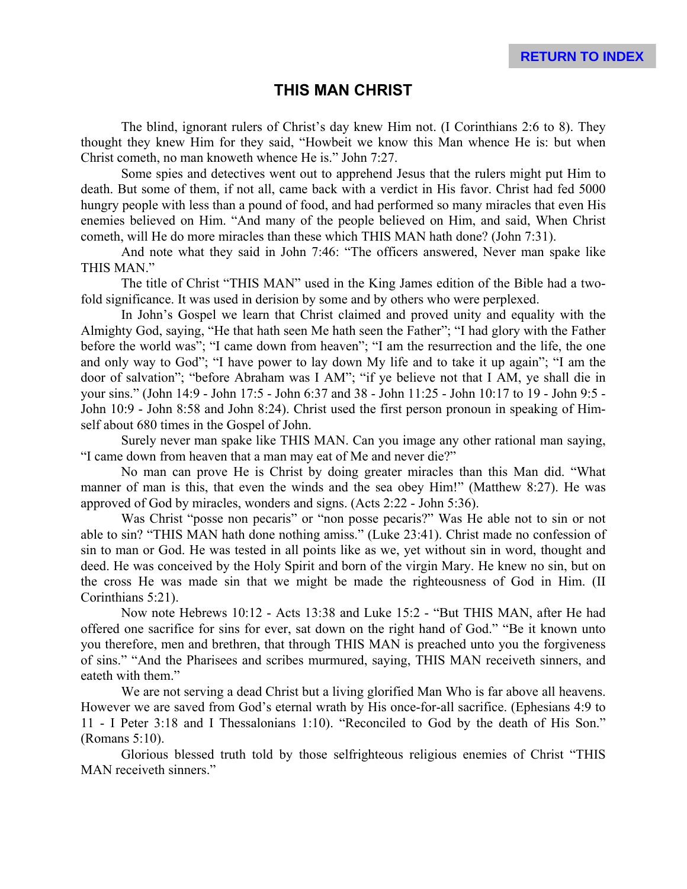## **THIS MAN CHRIST**

The blind, ignorant rulers of Christ's day knew Him not. (I Corinthians 2:6 to 8). They thought they knew Him for they said, "Howbeit we know this Man whence He is: but when Christ cometh, no man knoweth whence He is." John 7:27.

Some spies and detectives went out to apprehend Jesus that the rulers might put Him to death. But some of them, if not all, came back with a verdict in His favor. Christ had fed 5000 hungry people with less than a pound of food, and had performed so many miracles that even His enemies believed on Him. "And many of the people believed on Him, and said, When Christ cometh, will He do more miracles than these which THIS MAN hath done? (John 7:31).

And note what they said in John 7:46: "The officers answered, Never man spake like THIS MAN."

The title of Christ "THIS MAN" used in the King James edition of the Bible had a twofold significance. It was used in derision by some and by others who were perplexed.

In John's Gospel we learn that Christ claimed and proved unity and equality with the Almighty God, saying, "He that hath seen Me hath seen the Father"; "I had glory with the Father before the world was"; "I came down from heaven"; "I am the resurrection and the life, the one and only way to God"; "I have power to lay down My life and to take it up again"; "I am the door of salvation"; "before Abraham was I AM"; "if ye believe not that I AM, ye shall die in your sins." (John 14:9 - John 17:5 - John 6:37 and 38 - John 11:25 - John 10:17 to 19 - John 9:5 - John 10:9 - John 8:58 and John 8:24). Christ used the first person pronoun in speaking of Himself about 680 times in the Gospel of John.

Surely never man spake like THIS MAN. Can you image any other rational man saying, "I came down from heaven that a man may eat of Me and never die?"

No man can prove He is Christ by doing greater miracles than this Man did. "What manner of man is this, that even the winds and the sea obey Him!" (Matthew 8:27). He was approved of God by miracles, wonders and signs. (Acts 2:22 - John 5:36).

Was Christ "posse non pecaris" or "non posse pecaris?" Was He able not to sin or not able to sin? "THIS MAN hath done nothing amiss." (Luke 23:41). Christ made no confession of sin to man or God. He was tested in all points like as we, yet without sin in word, thought and deed. He was conceived by the Holy Spirit and born of the virgin Mary. He knew no sin, but on the cross He was made sin that we might be made the righteousness of God in Him. (II Corinthians 5:21).

Now note Hebrews 10:12 - Acts 13:38 and Luke 15:2 - "But THIS MAN, after He had offered one sacrifice for sins for ever, sat down on the right hand of God." "Be it known unto you therefore, men and brethren, that through THIS MAN is preached unto you the forgiveness of sins." "And the Pharisees and scribes murmured, saying, THIS MAN receiveth sinners, and eateth with them."

We are not serving a dead Christ but a living glorified Man Who is far above all heavens. However we are saved from God's eternal wrath by His once-for-all sacrifice. (Ephesians 4:9 to 11 - I Peter 3:18 and I Thessalonians 1:10). "Reconciled to God by the death of His Son." (Romans 5:10).

Glorious blessed truth told by those selfrighteous religious enemies of Christ "THIS MAN receiveth sinners."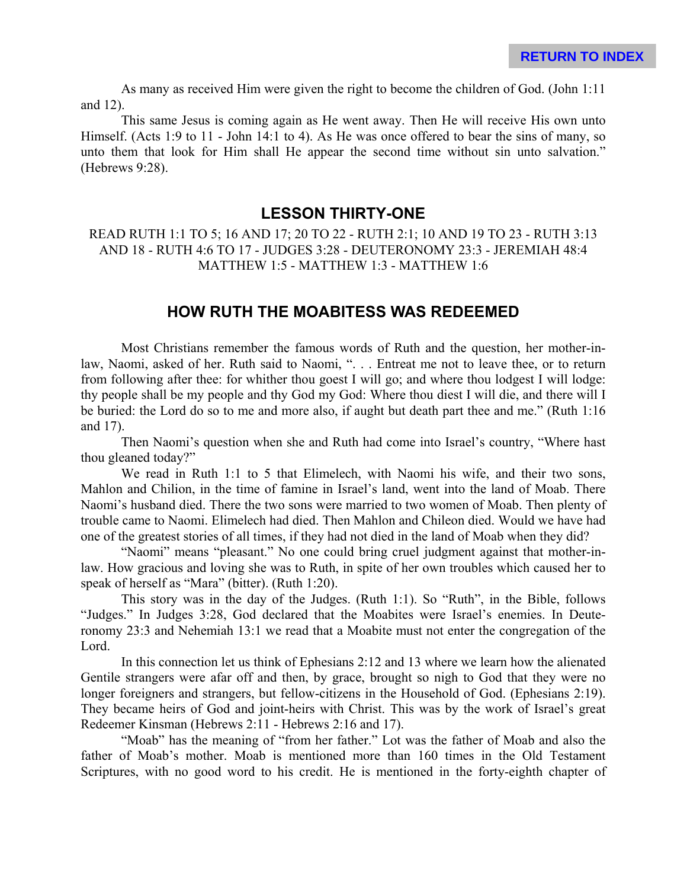As many as received Him were given the right to become the children of God. (John 1:11 and 12).

This same Jesus is coming again as He went away. Then He will receive His own unto Himself. (Acts 1:9 to 11 - John 14:1 to 4). As He was once offered to bear the sins of many, so unto them that look for Him shall He appear the second time without sin unto salvation." (Hebrews 9:28).

### **LESSON THIRTY-ONE**

### READ RUTH 1:1 TO 5; 16 AND 17; 20 TO 22 - RUTH 2:1; 10 AND 19 TO 23 - RUTH 3:13 AND 18 - RUTH 4:6 TO 17 - JUDGES 3:28 - DEUTERONOMY 23:3 - JEREMIAH 48:4 MATTHEW 1:5 - MATTHEW 1:3 - MATTHEW 1:6

### **HOW RUTH THE MOABITESS WAS REDEEMED**

Most Christians remember the famous words of Ruth and the question, her mother-inlaw, Naomi, asked of her. Ruth said to Naomi, ". . . Entreat me not to leave thee, or to return from following after thee: for whither thou goest I will go; and where thou lodgest I will lodge: thy people shall be my people and thy God my God: Where thou diest I will die, and there will I be buried: the Lord do so to me and more also, if aught but death part thee and me." (Ruth 1:16 and 17).

Then Naomi's question when she and Ruth had come into Israel's country, "Where hast thou gleaned today?"

We read in Ruth 1:1 to 5 that Elimelech, with Naomi his wife, and their two sons, Mahlon and Chilion, in the time of famine in Israel's land, went into the land of Moab. There Naomi's husband died. There the two sons were married to two women of Moab. Then plenty of trouble came to Naomi. Elimelech had died. Then Mahlon and Chileon died. Would we have had one of the greatest stories of all times, if they had not died in the land of Moab when they did?

"Naomi" means "pleasant." No one could bring cruel judgment against that mother-inlaw. How gracious and loving she was to Ruth, in spite of her own troubles which caused her to speak of herself as "Mara" (bitter). (Ruth 1:20).

This story was in the day of the Judges. (Ruth 1:1). So "Ruth", in the Bible, follows "Judges." In Judges 3:28, God declared that the Moabites were Israel's enemies. In Deuteronomy 23:3 and Nehemiah 13:1 we read that a Moabite must not enter the congregation of the Lord.

In this connection let us think of Ephesians 2:12 and 13 where we learn how the alienated Gentile strangers were afar off and then, by grace, brought so nigh to God that they were no longer foreigners and strangers, but fellow-citizens in the Household of God. (Ephesians 2:19). They became heirs of God and joint-heirs with Christ. This was by the work of Israel's great Redeemer Kinsman (Hebrews 2:11 - Hebrews 2:16 and 17).

"Moab" has the meaning of "from her father." Lot was the father of Moab and also the father of Moab's mother. Moab is mentioned more than 160 times in the Old Testament Scriptures, with no good word to his credit. He is mentioned in the forty-eighth chapter of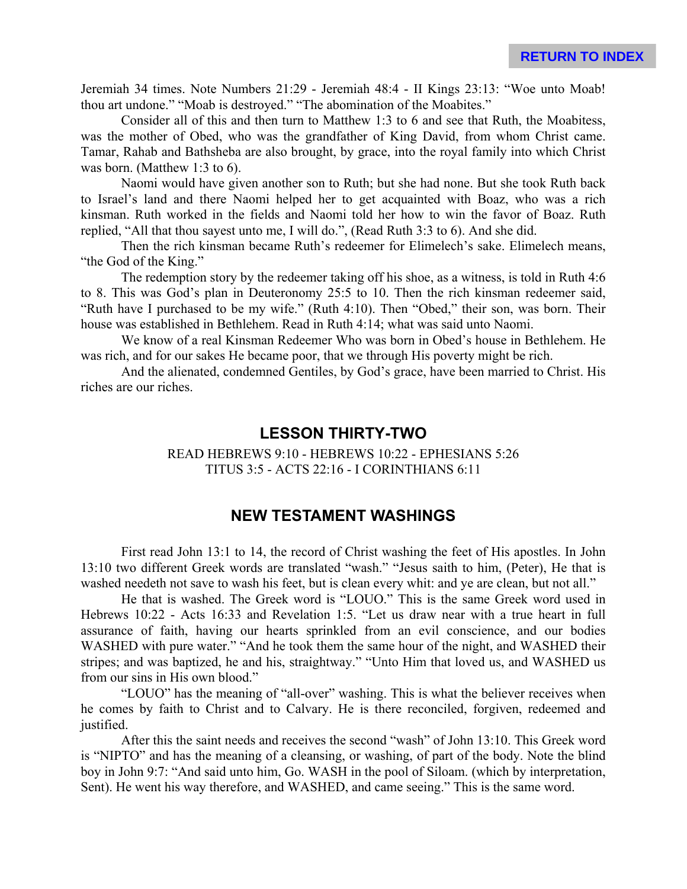Jeremiah 34 times. Note Numbers 21:29 - Jeremiah 48:4 - II Kings 23:13: "Woe unto Moab! thou art undone." "Moab is destroyed." "The abomination of the Moabites."

Consider all of this and then turn to Matthew 1:3 to 6 and see that Ruth, the Moabitess, was the mother of Obed, who was the grandfather of King David, from whom Christ came. Tamar, Rahab and Bathsheba are also brought, by grace, into the royal family into which Christ was born. (Matthew 1:3 to 6).

Naomi would have given another son to Ruth; but she had none. But she took Ruth back to Israel's land and there Naomi helped her to get acquainted with Boaz, who was a rich kinsman. Ruth worked in the fields and Naomi told her how to win the favor of Boaz. Ruth replied, "All that thou sayest unto me, I will do.", (Read Ruth 3:3 to 6). And she did.

Then the rich kinsman became Ruth's redeemer for Elimelech's sake. Elimelech means, "the God of the King."

The redemption story by the redeemer taking off his shoe, as a witness, is told in Ruth 4:6 to 8. This was God's plan in Deuteronomy 25:5 to 10. Then the rich kinsman redeemer said, "Ruth have I purchased to be my wife." (Ruth 4:10). Then "Obed," their son, was born. Their house was established in Bethlehem. Read in Ruth 4:14; what was said unto Naomi.

We know of a real Kinsman Redeemer Who was born in Obed's house in Bethlehem. He was rich, and for our sakes He became poor, that we through His poverty might be rich.

And the alienated, condemned Gentiles, by God's grace, have been married to Christ. His riches are our riches.

### **LESSON THIRTY-TWO**

READ HEBREWS 9:10 - HEBREWS 10:22 - EPHESIANS 5:26 TITUS 3:5 - ACTS 22:16 - I CORINTHIANS 6:11

## **NEW TESTAMENT WASHINGS**

First read John 13:1 to 14, the record of Christ washing the feet of His apostles. In John 13:10 two different Greek words are translated "wash." "Jesus saith to him, (Peter), He that is washed needeth not save to wash his feet, but is clean every whit: and ye are clean, but not all."

He that is washed. The Greek word is "LOUO." This is the same Greek word used in Hebrews 10:22 - Acts 16:33 and Revelation 1:5. "Let us draw near with a true heart in full assurance of faith, having our hearts sprinkled from an evil conscience, and our bodies WASHED with pure water." "And he took them the same hour of the night, and WASHED their stripes; and was baptized, he and his, straightway." "Unto Him that loved us, and WASHED us from our sins in His own blood."

"LOUO" has the meaning of "all-over" washing. This is what the believer receives when he comes by faith to Christ and to Calvary. He is there reconciled, forgiven, redeemed and justified.

After this the saint needs and receives the second "wash" of John 13:10. This Greek word is "NIPTO" and has the meaning of a cleansing, or washing, of part of the body. Note the blind boy in John 9:7: "And said unto him, Go. WASH in the pool of Siloam. (which by interpretation, Sent). He went his way therefore, and WASHED, and came seeing." This is the same word.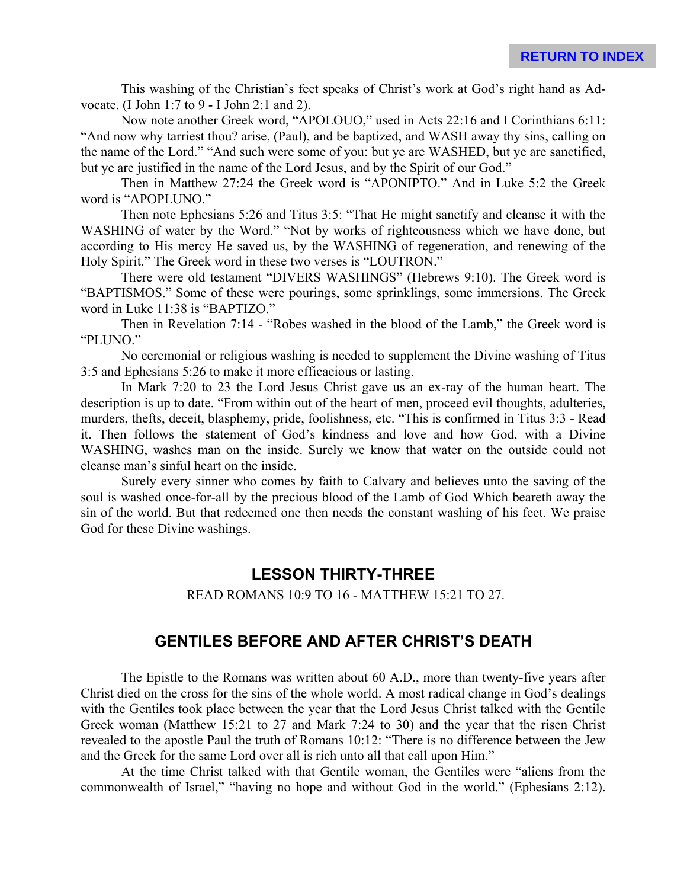This washing of the Christian's feet speaks of Christ's work at God's right hand as Advocate. (I John 1:7 to 9 - I John 2:1 and 2).

Now note another Greek word, "APOLOUO," used in Acts 22:16 and I Corinthians 6:11: "And now why tarriest thou? arise, (Paul), and be baptized, and WASH away thy sins, calling on the name of the Lord." "And such were some of you: but ye are WASHED, but ye are sanctified, but ye are justified in the name of the Lord Jesus, and by the Spirit of our God."

Then in Matthew 27:24 the Greek word is "APONIPTO." And in Luke 5:2 the Greek word is "APOPLUNO."

Then note Ephesians 5:26 and Titus 3:5: "That He might sanctify and cleanse it with the WASHING of water by the Word." "Not by works of righteousness which we have done, but according to His mercy He saved us, by the WASHING of regeneration, and renewing of the Holy Spirit." The Greek word in these two verses is "LOUTRON."

There were old testament "DIVERS WASHINGS" (Hebrews 9:10). The Greek word is "BAPTISMOS." Some of these were pourings, some sprinklings, some immersions. The Greek word in Luke 11:38 is "BAPTIZO."

Then in Revelation 7:14 - "Robes washed in the blood of the Lamb," the Greek word is "PLUNO."

No ceremonial or religious washing is needed to supplement the Divine washing of Titus 3:5 and Ephesians 5:26 to make it more efficacious or lasting.

In Mark 7:20 to 23 the Lord Jesus Christ gave us an ex-ray of the human heart. The description is up to date. "From within out of the heart of men, proceed evil thoughts, adulteries, murders, thefts, deceit, blasphemy, pride, foolishness, etc. "This is confirmed in Titus 3:3 - Read it. Then follows the statement of God's kindness and love and how God, with a Divine WASHING, washes man on the inside. Surely we know that water on the outside could not cleanse man's sinful heart on the inside.

Surely every sinner who comes by faith to Calvary and believes unto the saving of the soul is washed once-for-all by the precious blood of the Lamb of God Which beareth away the sin of the world. But that redeemed one then needs the constant washing of his feet. We praise God for these Divine washings.

## **LESSON THIRTY-THREE**

READ ROMANS 10:9 TO 16 - MATTHEW 15:21 TO 27.

## **GENTILES BEFORE AND AFTER CHRIST'S DEATH**

The Epistle to the Romans was written about 60 A.D., more than twenty-five years after Christ died on the cross for the sins of the whole world. A most radical change in God's dealings with the Gentiles took place between the year that the Lord Jesus Christ talked with the Gentile Greek woman (Matthew 15:21 to 27 and Mark 7:24 to 30) and the year that the risen Christ revealed to the apostle Paul the truth of Romans 10:12: "There is no difference between the Jew and the Greek for the same Lord over all is rich unto all that call upon Him."

At the time Christ talked with that Gentile woman, the Gentiles were "aliens from the commonwealth of Israel," "having no hope and without God in the world." (Ephesians 2:12).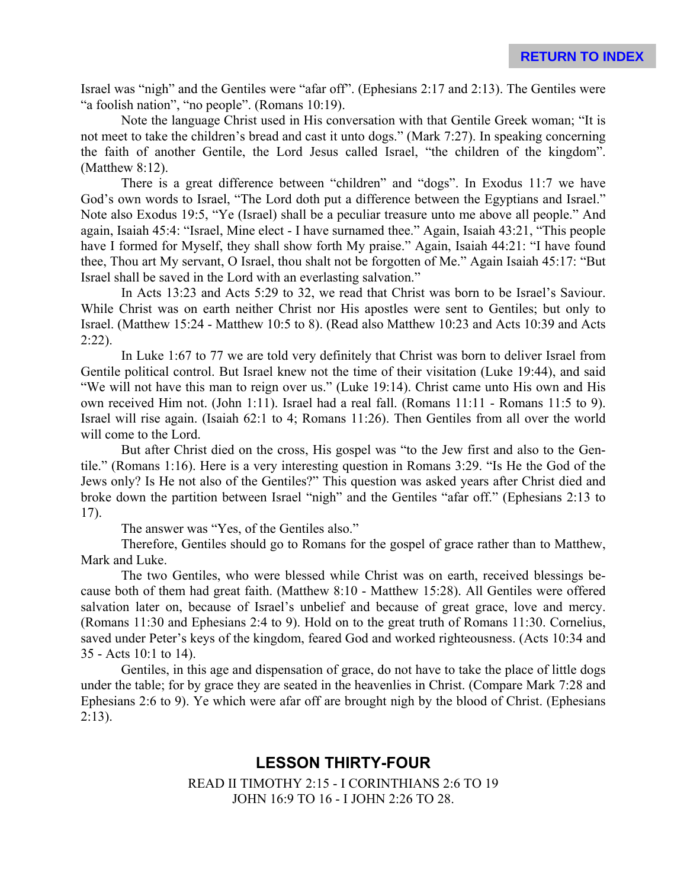Israel was "nigh" and the Gentiles were "afar off". (Ephesians 2:17 and 2:13). The Gentiles were "a foolish nation", "no people". (Romans 10:19).

Note the language Christ used in His conversation with that Gentile Greek woman; "It is not meet to take the children's bread and cast it unto dogs." (Mark 7:27). In speaking concerning the faith of another Gentile, the Lord Jesus called Israel, "the children of the kingdom". (Matthew 8:12).

There is a great difference between "children" and "dogs". In Exodus 11:7 we have God's own words to Israel, "The Lord doth put a difference between the Egyptians and Israel." Note also Exodus 19:5, "Ye (Israel) shall be a peculiar treasure unto me above all people." And again, Isaiah 45:4: "Israel, Mine elect - I have surnamed thee." Again, Isaiah 43:21, "This people have I formed for Myself, they shall show forth My praise." Again, Isaiah 44:21: "I have found thee, Thou art My servant, O Israel, thou shalt not be forgotten of Me." Again Isaiah 45:17: "But Israel shall be saved in the Lord with an everlasting salvation."

In Acts 13:23 and Acts 5:29 to 32, we read that Christ was born to be Israel's Saviour. While Christ was on earth neither Christ nor His apostles were sent to Gentiles; but only to Israel. (Matthew 15:24 - Matthew 10:5 to 8). (Read also Matthew 10:23 and Acts 10:39 and Acts  $2:22$ ).

In Luke 1:67 to 77 we are told very definitely that Christ was born to deliver Israel from Gentile political control. But Israel knew not the time of their visitation (Luke 19:44), and said "We will not have this man to reign over us." (Luke 19:14). Christ came unto His own and His own received Him not. (John 1:11). Israel had a real fall. (Romans 11:11 - Romans 11:5 to 9). Israel will rise again. (Isaiah 62:1 to 4; Romans 11:26). Then Gentiles from all over the world will come to the Lord.

But after Christ died on the cross, His gospel was "to the Jew first and also to the Gentile." (Romans 1:16). Here is a very interesting question in Romans 3:29. "Is He the God of the Jews only? Is He not also of the Gentiles?" This question was asked years after Christ died and broke down the partition between Israel "nigh" and the Gentiles "afar off." (Ephesians 2:13 to 17).

The answer was "Yes, of the Gentiles also."

Therefore, Gentiles should go to Romans for the gospel of grace rather than to Matthew, Mark and Luke.

The two Gentiles, who were blessed while Christ was on earth, received blessings because both of them had great faith. (Matthew 8:10 - Matthew 15:28). All Gentiles were offered salvation later on, because of Israel's unbelief and because of great grace, love and mercy. (Romans 11:30 and Ephesians 2:4 to 9). Hold on to the great truth of Romans 11:30. Cornelius, saved under Peter's keys of the kingdom, feared God and worked righteousness. (Acts 10:34 and 35 - Acts 10:1 to 14).

Gentiles, in this age and dispensation of grace, do not have to take the place of little dogs under the table; for by grace they are seated in the heavenlies in Christ. (Compare Mark 7:28 and Ephesians 2:6 to 9). Ye which were afar off are brought nigh by the blood of Christ. (Ephesians  $2:13$ ).

# **LESSON THIRTY-FOUR**

READ II TIMOTHY 2:15 - I CORINTHIANS 2:6 TO 19 JOHN 16:9 TO 16 - I JOHN 2:26 TO 28.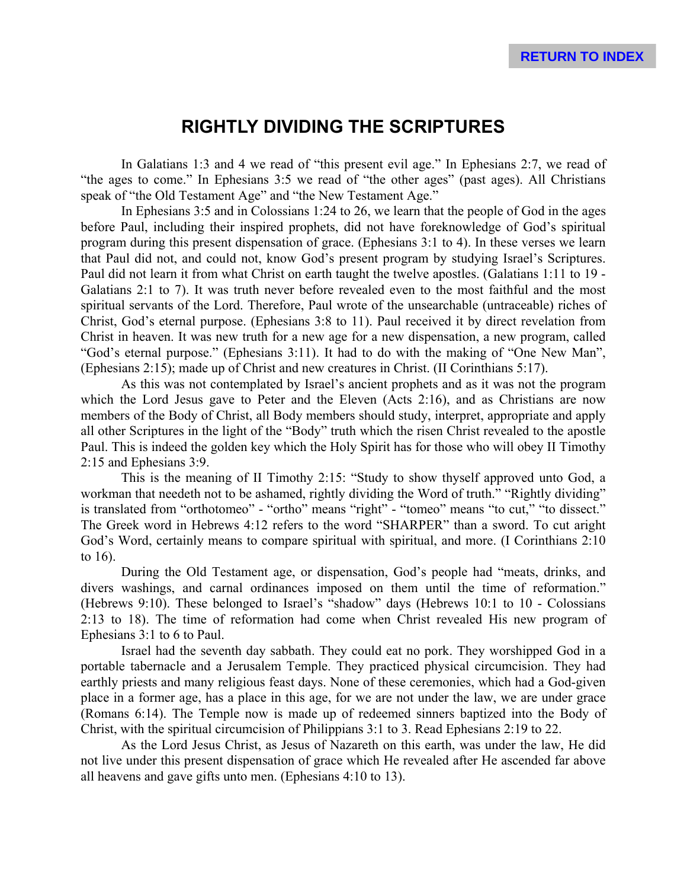# **RIGHTLY DIVIDING THE SCRIPTURES**

In Galatians 1:3 and 4 we read of "this present evil age." In Ephesians 2:7, we read of "the ages to come." In Ephesians 3:5 we read of "the other ages" (past ages). All Christians speak of "the Old Testament Age" and "the New Testament Age."

In Ephesians 3:5 and in Colossians 1:24 to 26, we learn that the people of God in the ages before Paul, including their inspired prophets, did not have foreknowledge of God's spiritual program during this present dispensation of grace. (Ephesians 3:1 to 4). In these verses we learn that Paul did not, and could not, know God's present program by studying Israel's Scriptures. Paul did not learn it from what Christ on earth taught the twelve apostles. (Galatians 1:11 to 19 - Galatians 2:1 to 7). It was truth never before revealed even to the most faithful and the most spiritual servants of the Lord. Therefore, Paul wrote of the unsearchable (untraceable) riches of Christ, God's eternal purpose. (Ephesians 3:8 to 11). Paul received it by direct revelation from Christ in heaven. It was new truth for a new age for a new dispensation, a new program, called "God's eternal purpose." (Ephesians 3:11). It had to do with the making of "One New Man", (Ephesians 2:15); made up of Christ and new creatures in Christ. (II Corinthians 5:17).

As this was not contemplated by Israel's ancient prophets and as it was not the program which the Lord Jesus gave to Peter and the Eleven (Acts 2:16), and as Christians are now members of the Body of Christ, all Body members should study, interpret, appropriate and apply all other Scriptures in the light of the "Body" truth which the risen Christ revealed to the apostle Paul. This is indeed the golden key which the Holy Spirit has for those who will obey II Timothy 2:15 and Ephesians 3:9.

This is the meaning of II Timothy 2:15: "Study to show thyself approved unto God, a workman that needeth not to be ashamed, rightly dividing the Word of truth." "Rightly dividing" is translated from "orthotomeo" - "ortho" means "right" - "tomeo" means "to cut," "to dissect." The Greek word in Hebrews 4:12 refers to the word "SHARPER" than a sword. To cut aright God's Word, certainly means to compare spiritual with spiritual, and more. (I Corinthians 2:10 to 16).

During the Old Testament age, or dispensation, God's people had "meats, drinks, and divers washings, and carnal ordinances imposed on them until the time of reformation." (Hebrews 9:10). These belonged to Israel's "shadow" days (Hebrews 10:1 to 10 - Colossians 2:13 to 18). The time of reformation had come when Christ revealed His new program of Ephesians 3:1 to 6 to Paul.

Israel had the seventh day sabbath. They could eat no pork. They worshipped God in a portable tabernacle and a Jerusalem Temple. They practiced physical circumcision. They had earthly priests and many religious feast days. None of these ceremonies, which had a God-given place in a former age, has a place in this age, for we are not under the law, we are under grace (Romans 6:14). The Temple now is made up of redeemed sinners baptized into the Body of Christ, with the spiritual circumcision of Philippians 3:1 to 3. Read Ephesians 2:19 to 22.

As the Lord Jesus Christ, as Jesus of Nazareth on this earth, was under the law, He did not live under this present dispensation of grace which He revealed after He ascended far above all heavens and gave gifts unto men. (Ephesians 4:10 to 13).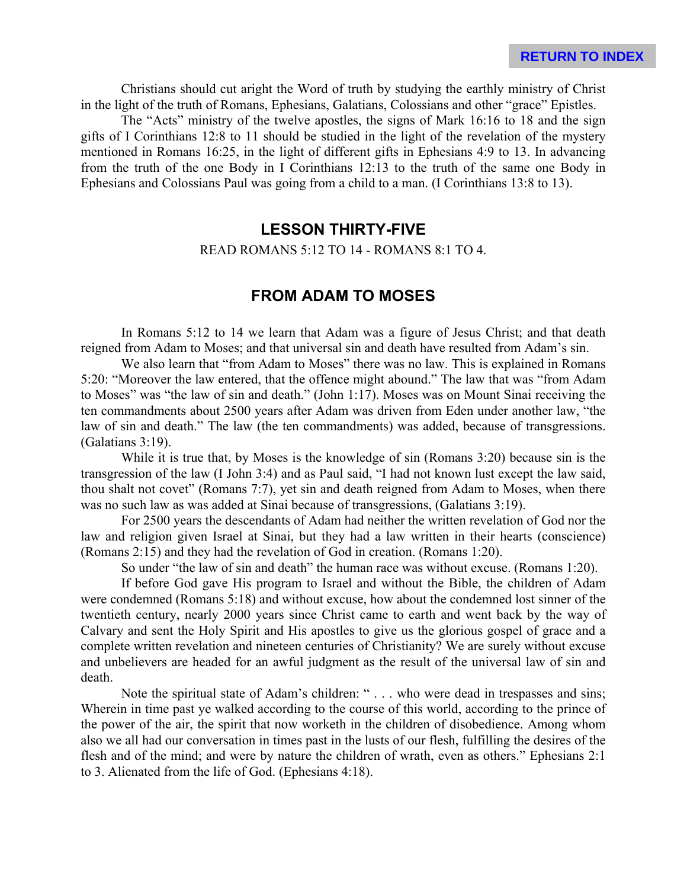Christians should cut aright the Word of truth by studying the earthly ministry of Christ in the light of the truth of Romans, Ephesians, Galatians, Colossians and other "grace" Epistles.

The "Acts" ministry of the twelve apostles, the signs of Mark 16:16 to 18 and the sign gifts of I Corinthians 12:8 to 11 should be studied in the light of the revelation of the mystery mentioned in Romans 16:25, in the light of different gifts in Ephesians 4:9 to 13. In advancing from the truth of the one Body in I Corinthians 12:13 to the truth of the same one Body in Ephesians and Colossians Paul was going from a child to a man. (I Corinthians 13:8 to 13).

## **LESSON THIRTY-FIVE**

#### READ ROMANS 5:12 TO 14 - ROMANS 8:1 TO 4.

### **FROM ADAM TO MOSES**

In Romans 5:12 to 14 we learn that Adam was a figure of Jesus Christ; and that death reigned from Adam to Moses; and that universal sin and death have resulted from Adam's sin.

We also learn that "from Adam to Moses" there was no law. This is explained in Romans 5:20: "Moreover the law entered, that the offence might abound." The law that was "from Adam to Moses" was "the law of sin and death." (John 1:17). Moses was on Mount Sinai receiving the ten commandments about 2500 years after Adam was driven from Eden under another law, "the law of sin and death." The law (the ten commandments) was added, because of transgressions. (Galatians 3:19).

While it is true that, by Moses is the knowledge of sin (Romans 3:20) because sin is the transgression of the law (I John 3:4) and as Paul said, "I had not known lust except the law said, thou shalt not covet" (Romans 7:7), yet sin and death reigned from Adam to Moses, when there was no such law as was added at Sinai because of transgressions, (Galatians 3:19).

For 2500 years the descendants of Adam had neither the written revelation of God nor the law and religion given Israel at Sinai, but they had a law written in their hearts (conscience) (Romans 2:15) and they had the revelation of God in creation. (Romans 1:20).

So under "the law of sin and death" the human race was without excuse. (Romans 1:20).

If before God gave His program to Israel and without the Bible, the children of Adam were condemned (Romans 5:18) and without excuse, how about the condemned lost sinner of the twentieth century, nearly 2000 years since Christ came to earth and went back by the way of Calvary and sent the Holy Spirit and His apostles to give us the glorious gospel of grace and a complete written revelation and nineteen centuries of Christianity? We are surely without excuse and unbelievers are headed for an awful judgment as the result of the universal law of sin and death.

Note the spiritual state of Adam's children: " . . . who were dead in trespasses and sins; Wherein in time past ye walked according to the course of this world, according to the prince of the power of the air, the spirit that now worketh in the children of disobedience. Among whom also we all had our conversation in times past in the lusts of our flesh, fulfilling the desires of the flesh and of the mind; and were by nature the children of wrath, even as others." Ephesians 2:1 to 3. Alienated from the life of God. (Ephesians 4:18).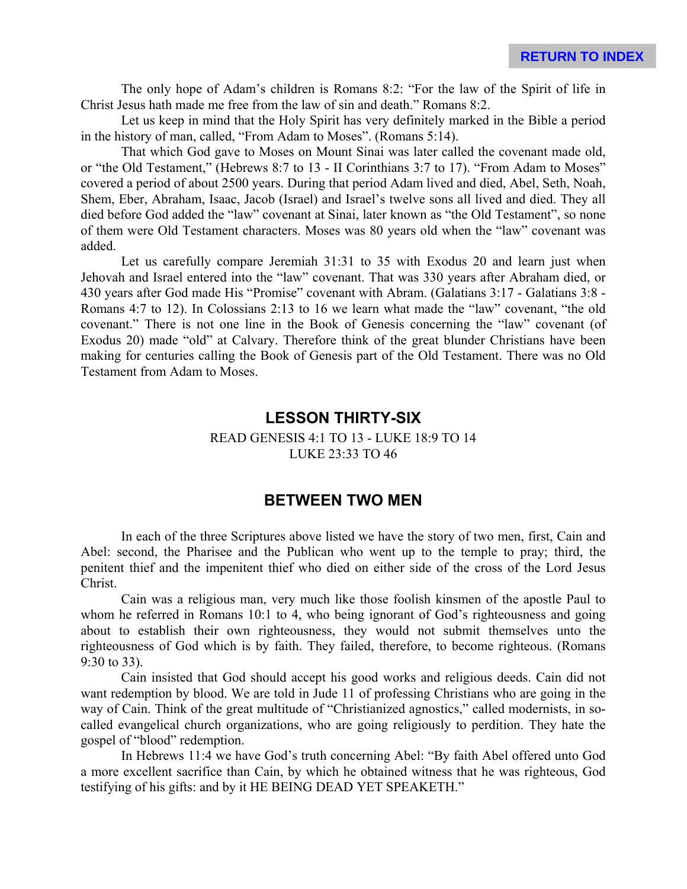The only hope of Adam's children is Romans 8:2: "For the law of the Spirit of life in Christ Jesus hath made me free from the law of sin and death." Romans 8:2.

Let us keep in mind that the Holy Spirit has very definitely marked in the Bible a period in the history of man, called, "From Adam to Moses". (Romans 5:14).

That which God gave to Moses on Mount Sinai was later called the covenant made old, or "the Old Testament," (Hebrews 8:7 to 13 - II Corinthians 3:7 to 17). "From Adam to Moses" covered a period of about 2500 years. During that period Adam lived and died, Abel, Seth, Noah, Shem, Eber, Abraham, Isaac, Jacob (Israel) and Israel's twelve sons all lived and died. They all died before God added the "law" covenant at Sinai, later known as "the Old Testament", so none of them were Old Testament characters. Moses was 80 years old when the "law" covenant was added.

Let us carefully compare Jeremiah 31:31 to 35 with Exodus 20 and learn just when Jehovah and Israel entered into the "law" covenant. That was 330 years after Abraham died, or 430 years after God made His "Promise" covenant with Abram. (Galatians 3:17 - Galatians 3:8 - Romans 4:7 to 12). In Colossians 2:13 to 16 we learn what made the "law" covenant, "the old covenant." There is not one line in the Book of Genesis concerning the "law" covenant (of Exodus 20) made "old" at Calvary. Therefore think of the great blunder Christians have been making for centuries calling the Book of Genesis part of the Old Testament. There was no Old Testament from Adam to Moses.

### **LESSON THIRTY-SIX**

#### READ GENESIS 4:1 TO 13 - LUKE 18:9 TO 14 LUKE 23:33 TO 46

### **BETWEEN TWO MEN**

In each of the three Scriptures above listed we have the story of two men, first, Cain and Abel: second, the Pharisee and the Publican who went up to the temple to pray; third, the penitent thief and the impenitent thief who died on either side of the cross of the Lord Jesus Christ.

Cain was a religious man, very much like those foolish kinsmen of the apostle Paul to whom he referred in Romans 10:1 to 4, who being ignorant of God's righteousness and going about to establish their own righteousness, they would not submit themselves unto the righteousness of God which is by faith. They failed, therefore, to become righteous. (Romans 9:30 to 33).

Cain insisted that God should accept his good works and religious deeds. Cain did not want redemption by blood. We are told in Jude 11 of professing Christians who are going in the way of Cain. Think of the great multitude of "Christianized agnostics," called modernists, in socalled evangelical church organizations, who are going religiously to perdition. They hate the gospel of "blood" redemption.

In Hebrews 11:4 we have God's truth concerning Abel: "By faith Abel offered unto God a more excellent sacrifice than Cain, by which he obtained witness that he was righteous, God testifying of his gifts: and by it HE BEING DEAD YET SPEAKETH."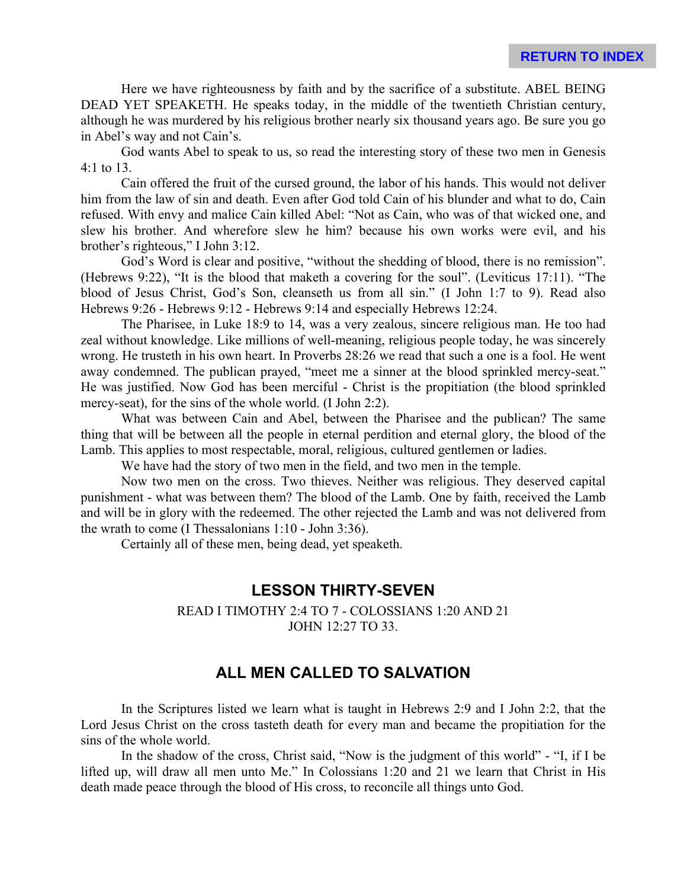Here we have righteousness by faith and by the sacrifice of a substitute. ABEL BEING DEAD YET SPEAKETH. He speaks today, in the middle of the twentieth Christian century, although he was murdered by his religious brother nearly six thousand years ago. Be sure you go in Abel's way and not Cain's.

God wants Abel to speak to us, so read the interesting story of these two men in Genesis 4:1 to 13.

Cain offered the fruit of the cursed ground, the labor of his hands. This would not deliver him from the law of sin and death. Even after God told Cain of his blunder and what to do, Cain refused. With envy and malice Cain killed Abel: "Not as Cain, who was of that wicked one, and slew his brother. And wherefore slew he him? because his own works were evil, and his brother's righteous," I John 3:12.

God's Word is clear and positive, "without the shedding of blood, there is no remission". (Hebrews 9:22), "It is the blood that maketh a covering for the soul". (Leviticus 17:11). "The blood of Jesus Christ, God's Son, cleanseth us from all sin." (I John 1:7 to 9). Read also Hebrews 9:26 - Hebrews 9:12 - Hebrews 9:14 and especially Hebrews 12:24.

The Pharisee, in Luke 18:9 to 14, was a very zealous, sincere religious man. He too had zeal without knowledge. Like millions of well-meaning, religious people today, he was sincerely wrong. He trusteth in his own heart. In Proverbs 28:26 we read that such a one is a fool. He went away condemned. The publican prayed, "meet me a sinner at the blood sprinkled mercy-seat." He was justified. Now God has been merciful - Christ is the propitiation (the blood sprinkled mercy-seat), for the sins of the whole world. (I John 2:2).

What was between Cain and Abel, between the Pharisee and the publican? The same thing that will be between all the people in eternal perdition and eternal glory, the blood of the Lamb. This applies to most respectable, moral, religious, cultured gentlemen or ladies.

We have had the story of two men in the field, and two men in the temple.

Now two men on the cross. Two thieves. Neither was religious. They deserved capital punishment - what was between them? The blood of the Lamb. One by faith, received the Lamb and will be in glory with the redeemed. The other rejected the Lamb and was not delivered from the wrath to come (I Thessalonians 1:10 - John 3:36).

Certainly all of these men, being dead, yet speaketh.

#### **LESSON THIRTY-SEVEN**

READ I TIMOTHY 2:4 TO 7 - COLOSSIANS 1:20 AND 21 JOHN 12:27 TO 33.

## **ALL MEN CALLED TO SALVATION**

In the Scriptures listed we learn what is taught in Hebrews 2:9 and I John 2:2, that the Lord Jesus Christ on the cross tasteth death for every man and became the propitiation for the sins of the whole world.

In the shadow of the cross, Christ said, "Now is the judgment of this world" - "I, if I be lifted up, will draw all men unto Me." In Colossians 1:20 and 21 we learn that Christ in His death made peace through the blood of His cross, to reconcile all things unto God.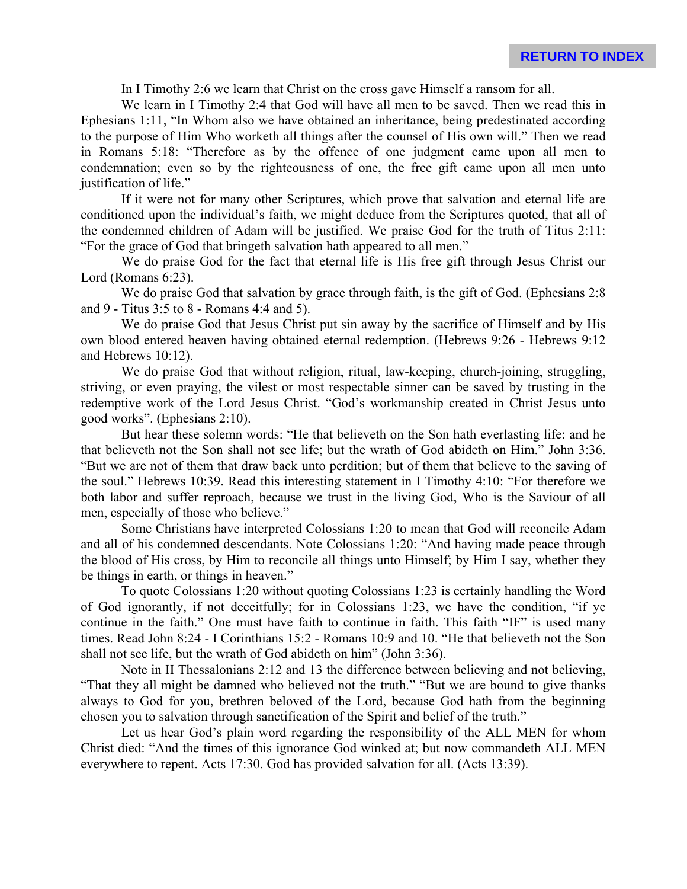In I Timothy 2:6 we learn that Christ on the cross gave Himself a ransom for all.

We learn in I Timothy 2:4 that God will have all men to be saved. Then we read this in Ephesians 1:11, "In Whom also we have obtained an inheritance, being predestinated according to the purpose of Him Who worketh all things after the counsel of His own will." Then we read in Romans 5:18: "Therefore as by the offence of one judgment came upon all men to condemnation; even so by the righteousness of one, the free gift came upon all men unto justification of life."

If it were not for many other Scriptures, which prove that salvation and eternal life are conditioned upon the individual's faith, we might deduce from the Scriptures quoted, that all of the condemned children of Adam will be justified. We praise God for the truth of Titus 2:11: "For the grace of God that bringeth salvation hath appeared to all men."

We do praise God for the fact that eternal life is His free gift through Jesus Christ our Lord (Romans 6:23).

We do praise God that salvation by grace through faith, is the gift of God. (Ephesians 2:8) and 9 - Titus 3:5 to 8 - Romans 4:4 and 5).

We do praise God that Jesus Christ put sin away by the sacrifice of Himself and by His own blood entered heaven having obtained eternal redemption. (Hebrews 9:26 - Hebrews 9:12 and Hebrews 10:12).

We do praise God that without religion, ritual, law-keeping, church-joining, struggling, striving, or even praying, the vilest or most respectable sinner can be saved by trusting in the redemptive work of the Lord Jesus Christ. "God's workmanship created in Christ Jesus unto good works". (Ephesians 2:10).

But hear these solemn words: "He that believeth on the Son hath everlasting life: and he that believeth not the Son shall not see life; but the wrath of God abideth on Him." John 3:36. "But we are not of them that draw back unto perdition; but of them that believe to the saving of the soul." Hebrews 10:39. Read this interesting statement in I Timothy 4:10: "For therefore we both labor and suffer reproach, because we trust in the living God, Who is the Saviour of all men, especially of those who believe."

Some Christians have interpreted Colossians 1:20 to mean that God will reconcile Adam and all of his condemned descendants. Note Colossians 1:20: "And having made peace through the blood of His cross, by Him to reconcile all things unto Himself; by Him I say, whether they be things in earth, or things in heaven."

To quote Colossians 1:20 without quoting Colossians 1:23 is certainly handling the Word of God ignorantly, if not deceitfully; for in Colossians 1:23, we have the condition, "if ye continue in the faith." One must have faith to continue in faith. This faith "IF" is used many times. Read John 8:24 - I Corinthians 15:2 - Romans 10:9 and 10. "He that believeth not the Son shall not see life, but the wrath of God abideth on him" (John 3:36).

Note in II Thessalonians 2:12 and 13 the difference between believing and not believing, "That they all might be damned who believed not the truth." "But we are bound to give thanks always to God for you, brethren beloved of the Lord, because God hath from the beginning chosen you to salvation through sanctification of the Spirit and belief of the truth."

Let us hear God's plain word regarding the responsibility of the ALL MEN for whom Christ died: "And the times of this ignorance God winked at; but now commandeth ALL MEN everywhere to repent. Acts 17:30. God has provided salvation for all. (Acts 13:39).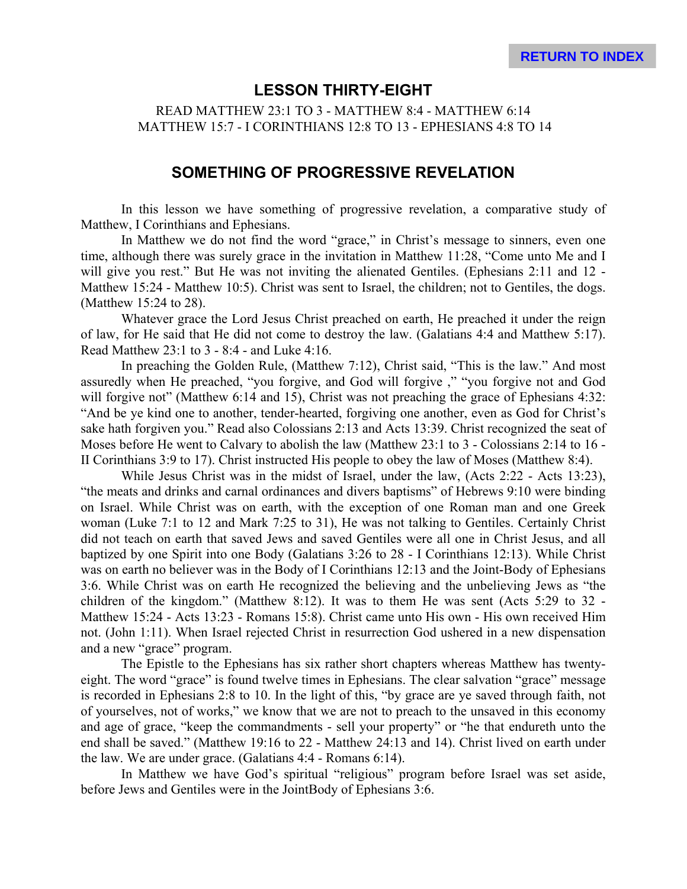### **LESSON THIRTY-EIGHT**

READ MATTHEW 23:1 TO 3 - MATTHEW 8:4 - MATTHEW 6:14 MATTHEW 15:7 - I CORINTHIANS 12:8 TO 13 - EPHESIANS 4:8 TO 14

### **SOMETHING OF PROGRESSIVE REVELATION**

In this lesson we have something of progressive revelation, a comparative study of Matthew, I Corinthians and Ephesians.

In Matthew we do not find the word "grace," in Christ's message to sinners, even one time, although there was surely grace in the invitation in Matthew 11:28, "Come unto Me and I will give you rest." But He was not inviting the alienated Gentiles. (Ephesians 2:11 and 12 - Matthew 15:24 - Matthew 10:5). Christ was sent to Israel, the children; not to Gentiles, the dogs. (Matthew 15:24 to 28).

Whatever grace the Lord Jesus Christ preached on earth, He preached it under the reign of law, for He said that He did not come to destroy the law. (Galatians 4:4 and Matthew 5:17). Read Matthew 23:1 to 3 - 8:4 - and Luke 4:16.

In preaching the Golden Rule, (Matthew 7:12), Christ said, "This is the law." And most assuredly when He preached, "you forgive, and God will forgive ," "you forgive not and God will forgive not" (Matthew 6:14 and 15), Christ was not preaching the grace of Ephesians 4:32: "And be ye kind one to another, tender-hearted, forgiving one another, even as God for Christ's sake hath forgiven you." Read also Colossians 2:13 and Acts 13:39. Christ recognized the seat of Moses before He went to Calvary to abolish the law (Matthew 23:1 to 3 - Colossians 2:14 to 16 - II Corinthians 3:9 to 17). Christ instructed His people to obey the law of Moses (Matthew 8:4).

While Jesus Christ was in the midst of Israel, under the law, (Acts 2:22 - Acts 13:23), "the meats and drinks and carnal ordinances and divers baptisms" of Hebrews 9:10 were binding on Israel. While Christ was on earth, with the exception of one Roman man and one Greek woman (Luke 7:1 to 12 and Mark 7:25 to 31), He was not talking to Gentiles. Certainly Christ did not teach on earth that saved Jews and saved Gentiles were all one in Christ Jesus, and all baptized by one Spirit into one Body (Galatians 3:26 to 28 - I Corinthians 12:13). While Christ was on earth no believer was in the Body of I Corinthians 12:13 and the Joint-Body of Ephesians 3:6. While Christ was on earth He recognized the believing and the unbelieving Jews as "the children of the kingdom." (Matthew 8:12). It was to them He was sent (Acts 5:29 to 32 - Matthew 15:24 - Acts 13:23 - Romans 15:8). Christ came unto His own - His own received Him not. (John 1:11). When Israel rejected Christ in resurrection God ushered in a new dispensation and a new "grace" program.

The Epistle to the Ephesians has six rather short chapters whereas Matthew has twentyeight. The word "grace" is found twelve times in Ephesians. The clear salvation "grace" message is recorded in Ephesians 2:8 to 10. In the light of this, "by grace are ye saved through faith, not of yourselves, not of works," we know that we are not to preach to the unsaved in this economy and age of grace, "keep the commandments - sell your property" or "he that endureth unto the end shall be saved." (Matthew 19:16 to 22 - Matthew 24:13 and 14). Christ lived on earth under the law. We are under grace. (Galatians 4:4 - Romans 6:14).

In Matthew we have God's spiritual "religious" program before Israel was set aside, before Jews and Gentiles were in the JointBody of Ephesians 3:6.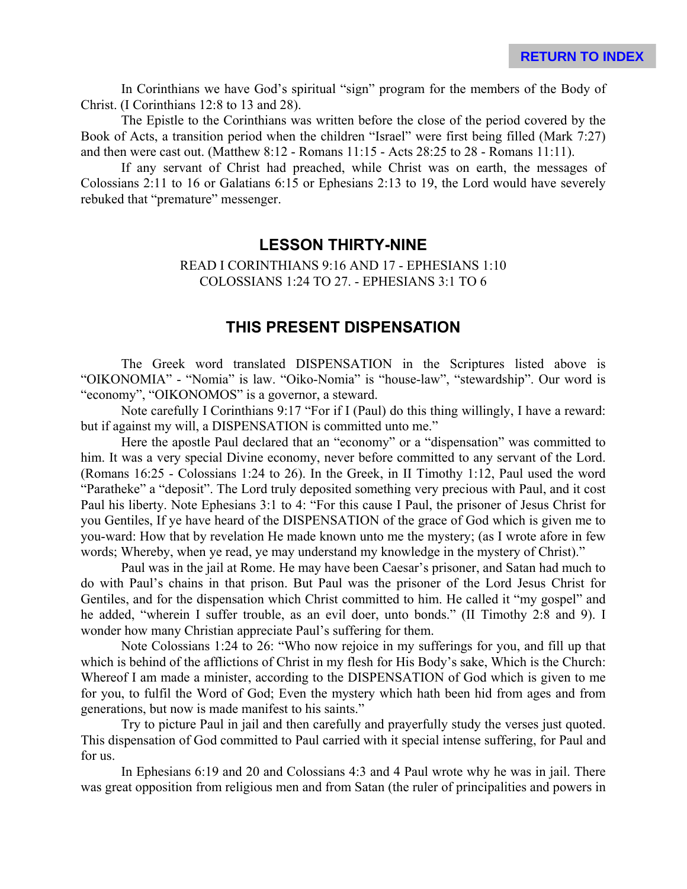In Corinthians we have God's spiritual "sign" program for the members of the Body of Christ. (I Corinthians 12:8 to 13 and 28).

The Epistle to the Corinthians was written before the close of the period covered by the Book of Acts, a transition period when the children "Israel" were first being filled (Mark 7:27) and then were cast out. (Matthew 8:12 - Romans 11:15 - Acts 28:25 to 28 - Romans 11:11).

If any servant of Christ had preached, while Christ was on earth, the messages of Colossians 2:11 to 16 or Galatians 6:15 or Ephesians 2:13 to 19, the Lord would have severely rebuked that "premature" messenger.

### **LESSON THIRTY-NINE**

READ I CORINTHIANS 9:16 AND 17 - EPHESIANS 1:10 COLOSSIANS 1:24 TO 27. - EPHESIANS 3:1 TO 6

## **THIS PRESENT DISPENSATION**

The Greek word translated DISPENSATION in the Scriptures listed above is "OIKONOMIA" - "Nomia" is law. "Oiko-Nomia" is "house-law", "stewardship". Our word is "economy", "OIKONOMOS" is a governor, a steward.

Note carefully I Corinthians 9:17 "For if I (Paul) do this thing willingly, I have a reward: but if against my will, a DISPENSATION is committed unto me."

Here the apostle Paul declared that an "economy" or a "dispensation" was committed to him. It was a very special Divine economy, never before committed to any servant of the Lord. (Romans 16:25 - Colossians 1:24 to 26). In the Greek, in II Timothy 1:12, Paul used the word "Paratheke" a "deposit". The Lord truly deposited something very precious with Paul, and it cost Paul his liberty. Note Ephesians 3:1 to 4: "For this cause I Paul, the prisoner of Jesus Christ for you Gentiles, If ye have heard of the DISPENSATION of the grace of God which is given me to you-ward: How that by revelation He made known unto me the mystery; (as I wrote afore in few words; Whereby, when ye read, ye may understand my knowledge in the mystery of Christ)."

Paul was in the jail at Rome. He may have been Caesar's prisoner, and Satan had much to do with Paul's chains in that prison. But Paul was the prisoner of the Lord Jesus Christ for Gentiles, and for the dispensation which Christ committed to him. He called it "my gospel" and he added, "wherein I suffer trouble, as an evil doer, unto bonds." (II Timothy 2:8 and 9). I wonder how many Christian appreciate Paul's suffering for them.

Note Colossians 1:24 to 26: "Who now rejoice in my sufferings for you, and fill up that which is behind of the afflictions of Christ in my flesh for His Body's sake, Which is the Church: Whereof I am made a minister, according to the DISPENSATION of God which is given to me for you, to fulfil the Word of God; Even the mystery which hath been hid from ages and from generations, but now is made manifest to his saints."

Try to picture Paul in jail and then carefully and prayerfully study the verses just quoted. This dispensation of God committed to Paul carried with it special intense suffering, for Paul and for us.

In Ephesians 6:19 and 20 and Colossians 4:3 and 4 Paul wrote why he was in jail. There was great opposition from religious men and from Satan (the ruler of principalities and powers in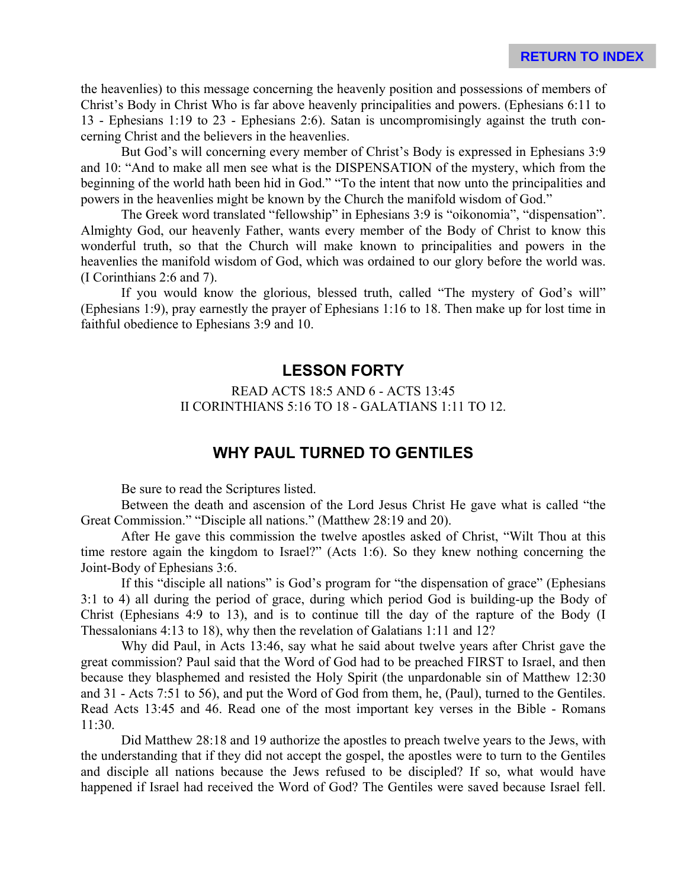the heavenlies) to this message concerning the heavenly position and possessions of members of Christ's Body in Christ Who is far above heavenly principalities and powers. (Ephesians 6:11 to 13 - Ephesians 1:19 to 23 - Ephesians 2:6). Satan is uncompromisingly against the truth concerning Christ and the believers in the heavenlies.

But God's will concerning every member of Christ's Body is expressed in Ephesians 3:9 and 10: "And to make all men see what is the DISPENSATION of the mystery, which from the beginning of the world hath been hid in God." "To the intent that now unto the principalities and powers in the heavenlies might be known by the Church the manifold wisdom of God."

The Greek word translated "fellowship" in Ephesians 3:9 is "oikonomia", "dispensation". Almighty God, our heavenly Father, wants every member of the Body of Christ to know this wonderful truth, so that the Church will make known to principalities and powers in the heavenlies the manifold wisdom of God, which was ordained to our glory before the world was. (I Corinthians 2:6 and 7).

If you would know the glorious, blessed truth, called "The mystery of God's will" (Ephesians 1:9), pray earnestly the prayer of Ephesians 1:16 to 18. Then make up for lost time in faithful obedience to Ephesians 3:9 and 10.

### **LESSON FORTY**

READ ACTS 18:5 AND 6 - ACTS 13:45 II CORINTHIANS 5:16 TO 18 - GALATIANS 1:11 TO 12.

## **WHY PAUL TURNED TO GENTILES**

Be sure to read the Scriptures listed.

Between the death and ascension of the Lord Jesus Christ He gave what is called "the Great Commission." "Disciple all nations." (Matthew 28:19 and 20).

After He gave this commission the twelve apostles asked of Christ, "Wilt Thou at this time restore again the kingdom to Israel?" (Acts 1:6). So they knew nothing concerning the Joint-Body of Ephesians 3:6.

If this "disciple all nations" is God's program for "the dispensation of grace" (Ephesians 3:1 to 4) all during the period of grace, during which period God is building-up the Body of Christ (Ephesians 4:9 to 13), and is to continue till the day of the rapture of the Body (I Thessalonians 4:13 to 18), why then the revelation of Galatians 1:11 and 12?

Why did Paul, in Acts 13:46, say what he said about twelve years after Christ gave the great commission? Paul said that the Word of God had to be preached FIRST to Israel, and then because they blasphemed and resisted the Holy Spirit (the unpardonable sin of Matthew 12:30 and 31 - Acts 7:51 to 56), and put the Word of God from them, he, (Paul), turned to the Gentiles. Read Acts 13:45 and 46. Read one of the most important key verses in the Bible - Romans 11:30.

Did Matthew 28:18 and 19 authorize the apostles to preach twelve years to the Jews, with the understanding that if they did not accept the gospel, the apostles were to turn to the Gentiles and disciple all nations because the Jews refused to be discipled? If so, what would have happened if Israel had received the Word of God? The Gentiles were saved because Israel fell.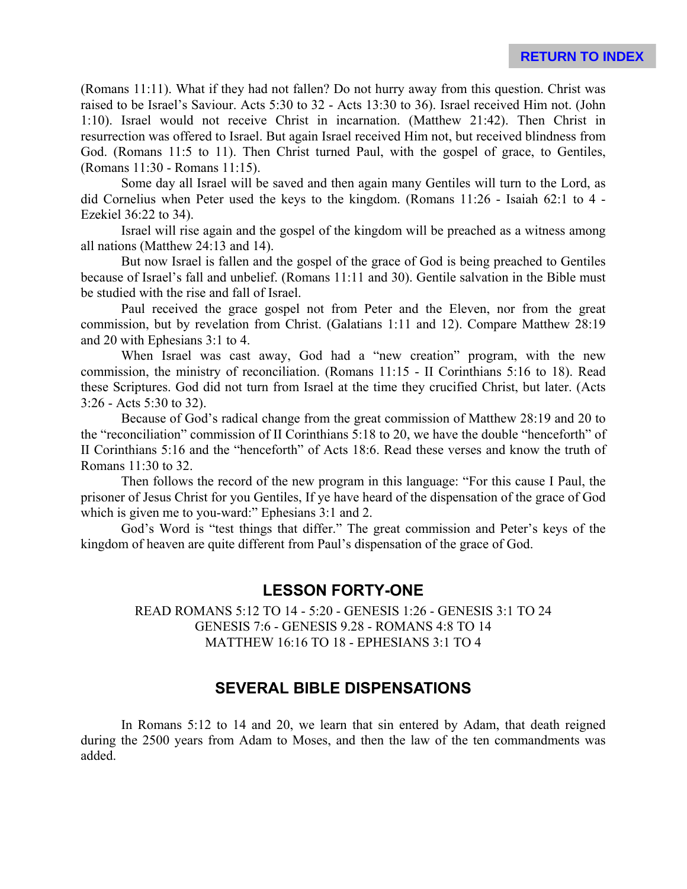(Romans 11:11). What if they had not fallen? Do not hurry away from this question. Christ was raised to be Israel's Saviour. Acts 5:30 to 32 - Acts 13:30 to 36). Israel received Him not. (John 1:10). Israel would not receive Christ in incarnation. (Matthew 21:42). Then Christ in resurrection was offered to Israel. But again Israel received Him not, but received blindness from God. (Romans 11:5 to 11). Then Christ turned Paul, with the gospel of grace, to Gentiles, (Romans 11:30 - Romans 11:15).

Some day all Israel will be saved and then again many Gentiles will turn to the Lord, as did Cornelius when Peter used the keys to the kingdom. (Romans 11:26 - Isaiah 62:1 to 4 - Ezekiel 36:22 to 34).

Israel will rise again and the gospel of the kingdom will be preached as a witness among all nations (Matthew 24:13 and 14).

But now Israel is fallen and the gospel of the grace of God is being preached to Gentiles because of Israel's fall and unbelief. (Romans 11:11 and 30). Gentile salvation in the Bible must be studied with the rise and fall of Israel.

Paul received the grace gospel not from Peter and the Eleven, nor from the great commission, but by revelation from Christ. (Galatians 1:11 and 12). Compare Matthew 28:19 and 20 with Ephesians 3:1 to 4.

When Israel was cast away, God had a "new creation" program, with the new commission, the ministry of reconciliation. (Romans 11:15 - II Corinthians 5:16 to 18). Read these Scriptures. God did not turn from Israel at the time they crucified Christ, but later. (Acts 3:26 - Acts 5:30 to 32).

Because of God's radical change from the great commission of Matthew 28:19 and 20 to the "reconciliation" commission of II Corinthians 5:18 to 20, we have the double "henceforth" of II Corinthians 5:16 and the "henceforth" of Acts 18:6. Read these verses and know the truth of Romans 11:30 to 32.

Then follows the record of the new program in this language: "For this cause I Paul, the prisoner of Jesus Christ for you Gentiles, If ye have heard of the dispensation of the grace of God which is given me to you-ward:" Ephesians 3:1 and 2.

God's Word is "test things that differ." The great commission and Peter's keys of the kingdom of heaven are quite different from Paul's dispensation of the grace of God.

## **LESSON FORTY-ONE**

READ ROMANS 5:12 TO 14 - 5:20 - GENESIS 1:26 - GENESIS 3:1 TO 24 GENESIS 7:6 - GENESIS 9.28 - ROMANS 4:8 TO 14 MATTHEW 16:16 TO 18 - EPHESIANS 3:1 TO 4

## **SEVERAL BIBLE DISPENSATIONS**

In Romans 5:12 to 14 and 20, we learn that sin entered by Adam, that death reigned during the 2500 years from Adam to Moses, and then the law of the ten commandments was added.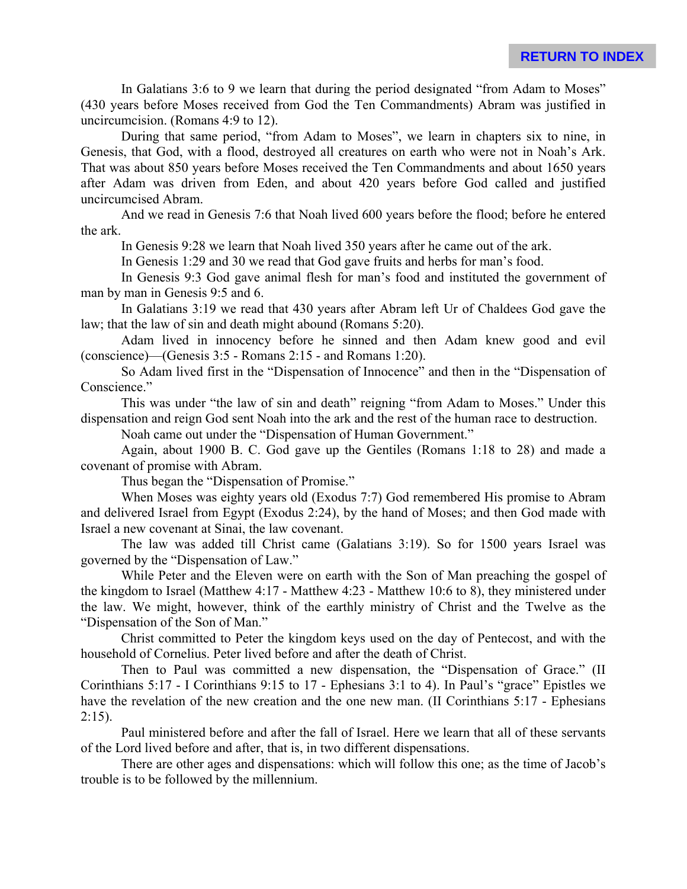In Galatians 3:6 to 9 we learn that during the period designated "from Adam to Moses" (430 years before Moses received from God the Ten Commandments) Abram was justified in uncircumcision. (Romans 4:9 to 12).

During that same period, "from Adam to Moses", we learn in chapters six to nine, in Genesis, that God, with a flood, destroyed all creatures on earth who were not in Noah's Ark. That was about 850 years before Moses received the Ten Commandments and about 1650 years after Adam was driven from Eden, and about 420 years before God called and justified uncircumcised Abram.

And we read in Genesis 7:6 that Noah lived 600 years before the flood; before he entered the ark.

In Genesis 9:28 we learn that Noah lived 350 years after he came out of the ark.

In Genesis 1:29 and 30 we read that God gave fruits and herbs for man's food.

In Genesis 9:3 God gave animal flesh for man's food and instituted the government of man by man in Genesis 9:5 and 6.

In Galatians 3:19 we read that 430 years after Abram left Ur of Chaldees God gave the law; that the law of sin and death might abound (Romans 5:20).

Adam lived in innocency before he sinned and then Adam knew good and evil (conscience)—(Genesis 3:5 - Romans 2:15 - and Romans 1:20).

So Adam lived first in the "Dispensation of Innocence" and then in the "Dispensation of Conscience."

This was under "the law of sin and death" reigning "from Adam to Moses." Under this dispensation and reign God sent Noah into the ark and the rest of the human race to destruction.

Noah came out under the "Dispensation of Human Government."

Again, about 1900 B. C. God gave up the Gentiles (Romans 1:18 to 28) and made a covenant of promise with Abram.

Thus began the "Dispensation of Promise."

When Moses was eighty years old (Exodus 7:7) God remembered His promise to Abram and delivered Israel from Egypt (Exodus 2:24), by the hand of Moses; and then God made with Israel a new covenant at Sinai, the law covenant.

The law was added till Christ came (Galatians 3:19). So for 1500 years Israel was governed by the "Dispensation of Law."

While Peter and the Eleven were on earth with the Son of Man preaching the gospel of the kingdom to Israel (Matthew 4:17 - Matthew 4:23 - Matthew 10:6 to 8), they ministered under the law. We might, however, think of the earthly ministry of Christ and the Twelve as the "Dispensation of the Son of Man."

Christ committed to Peter the kingdom keys used on the day of Pentecost, and with the household of Cornelius. Peter lived before and after the death of Christ.

Then to Paul was committed a new dispensation, the "Dispensation of Grace." (II Corinthians 5:17 - I Corinthians 9:15 to 17 - Ephesians 3:1 to 4). In Paul's "grace" Epistles we have the revelation of the new creation and the one new man. (II Corinthians 5:17 - Ephesians  $2:15$ ).

Paul ministered before and after the fall of Israel. Here we learn that all of these servants of the Lord lived before and after, that is, in two different dispensations.

There are other ages and dispensations: which will follow this one; as the time of Jacob's trouble is to be followed by the millennium.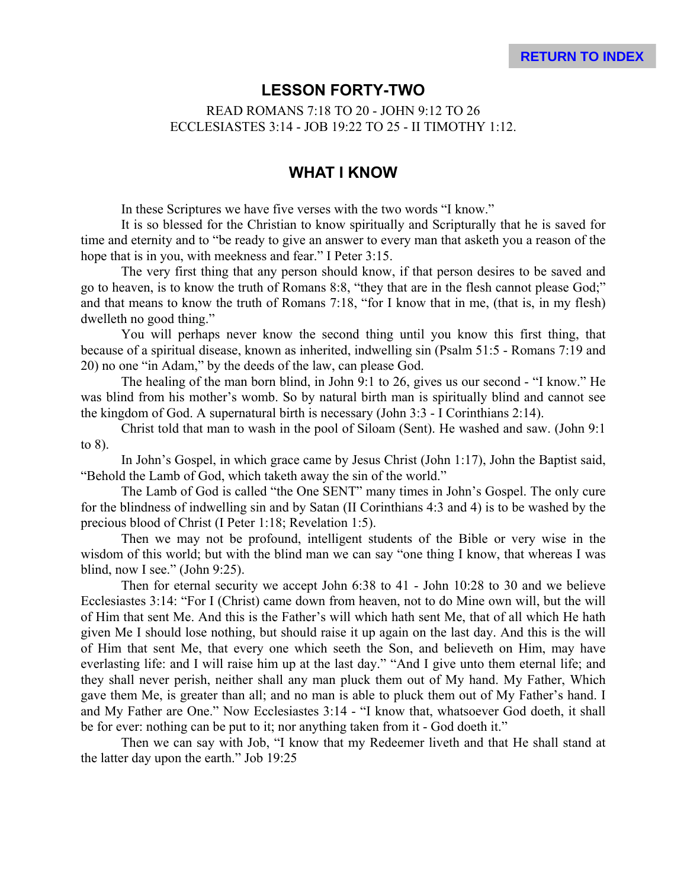## **LESSON FORTY-TWO**

READ ROMANS 7:18 TO 20 - JOHN 9:12 TO 26 ECCLESIASTES 3:14 - JOB 19:22 TO 25 - II TIMOTHY 1:12.

### **WHAT I KNOW**

In these Scriptures we have five verses with the two words "I know."

It is so blessed for the Christian to know spiritually and Scripturally that he is saved for time and eternity and to "be ready to give an answer to every man that asketh you a reason of the hope that is in you, with meekness and fear." I Peter 3:15.

The very first thing that any person should know, if that person desires to be saved and go to heaven, is to know the truth of Romans 8:8, "they that are in the flesh cannot please God;" and that means to know the truth of Romans 7:18, "for I know that in me, (that is, in my flesh) dwelleth no good thing."

You will perhaps never know the second thing until you know this first thing, that because of a spiritual disease, known as inherited, indwelling sin (Psalm 51:5 - Romans 7:19 and 20) no one "in Adam," by the deeds of the law, can please God.

The healing of the man born blind, in John 9:1 to 26, gives us our second - "I know." He was blind from his mother's womb. So by natural birth man is spiritually blind and cannot see the kingdom of God. A supernatural birth is necessary (John 3:3 - I Corinthians 2:14).

Christ told that man to wash in the pool of Siloam (Sent). He washed and saw. (John 9:1 to 8).

In John's Gospel, in which grace came by Jesus Christ (John 1:17), John the Baptist said, "Behold the Lamb of God, which taketh away the sin of the world."

The Lamb of God is called "the One SENT" many times in John's Gospel. The only cure for the blindness of indwelling sin and by Satan (II Corinthians 4:3 and 4) is to be washed by the precious blood of Christ (I Peter 1:18; Revelation 1:5).

Then we may not be profound, intelligent students of the Bible or very wise in the wisdom of this world; but with the blind man we can say "one thing I know, that whereas I was blind, now I see." (John 9:25).

Then for eternal security we accept John 6:38 to 41 - John 10:28 to 30 and we believe Ecclesiastes 3:14: "For I (Christ) came down from heaven, not to do Mine own will, but the will of Him that sent Me. And this is the Father's will which hath sent Me, that of all which He hath given Me I should lose nothing, but should raise it up again on the last day. And this is the will of Him that sent Me, that every one which seeth the Son, and believeth on Him, may have everlasting life: and I will raise him up at the last day." "And I give unto them eternal life; and they shall never perish, neither shall any man pluck them out of My hand. My Father, Which gave them Me, is greater than all; and no man is able to pluck them out of My Father's hand. I and My Father are One." Now Ecclesiastes 3:14 - "I know that, whatsoever God doeth, it shall be for ever: nothing can be put to it; nor anything taken from it - God doeth it."

Then we can say with Job, "I know that my Redeemer liveth and that He shall stand at the latter day upon the earth." Job 19:25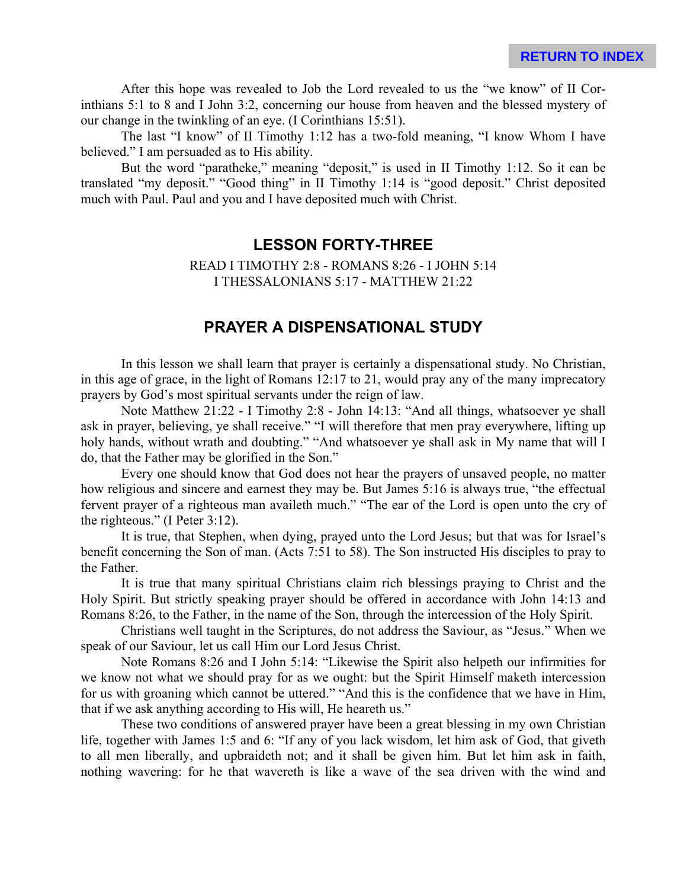After this hope was revealed to Job the Lord revealed to us the "we know" of II Corinthians 5:1 to 8 and I John 3:2, concerning our house from heaven and the blessed mystery of our change in the twinkling of an eye. (I Corinthians 15:51).

The last "I know" of II Timothy 1:12 has a two-fold meaning, "I know Whom I have believed." I am persuaded as to His ability.

But the word "paratheke," meaning "deposit," is used in II Timothy 1:12. So it can be translated "my deposit." "Good thing" in II Timothy 1:14 is "good deposit." Christ deposited much with Paul. Paul and you and I have deposited much with Christ.

## **LESSON FORTY-THREE**

READ I TIMOTHY 2:8 - ROMANS 8:26 - I JOHN 5:14 I THESSALONIANS 5:17 - MATTHEW 21:22

# **PRAYER A DISPENSATIONAL STUDY**

In this lesson we shall learn that prayer is certainly a dispensational study. No Christian, in this age of grace, in the light of Romans 12:17 to 21, would pray any of the many imprecatory prayers by God's most spiritual servants under the reign of law.

Note Matthew 21:22 - I Timothy 2:8 - John 14:13: "And all things, whatsoever ye shall ask in prayer, believing, ye shall receive." "I will therefore that men pray everywhere, lifting up holy hands, without wrath and doubting." "And whatsoever ye shall ask in My name that will I do, that the Father may be glorified in the Son."

Every one should know that God does not hear the prayers of unsaved people, no matter how religious and sincere and earnest they may be. But James 5:16 is always true, "the effectual fervent prayer of a righteous man availeth much." "The ear of the Lord is open unto the cry of the righteous." (I Peter 3:12).

It is true, that Stephen, when dying, prayed unto the Lord Jesus; but that was for Israel's benefit concerning the Son of man. (Acts 7:51 to 58). The Son instructed His disciples to pray to the Father.

It is true that many spiritual Christians claim rich blessings praying to Christ and the Holy Spirit. But strictly speaking prayer should be offered in accordance with John 14:13 and Romans 8:26, to the Father, in the name of the Son, through the intercession of the Holy Spirit.

Christians well taught in the Scriptures, do not address the Saviour, as "Jesus." When we speak of our Saviour, let us call Him our Lord Jesus Christ.

Note Romans 8:26 and I John 5:14: "Likewise the Spirit also helpeth our infirmities for we know not what we should pray for as we ought: but the Spirit Himself maketh intercession for us with groaning which cannot be uttered." "And this is the confidence that we have in Him, that if we ask anything according to His will, He heareth us."

These two conditions of answered prayer have been a great blessing in my own Christian life, together with James 1:5 and 6: "If any of you lack wisdom, let him ask of God, that giveth to all men liberally, and upbraideth not; and it shall be given him. But let him ask in faith, nothing wavering: for he that wavereth is like a wave of the sea driven with the wind and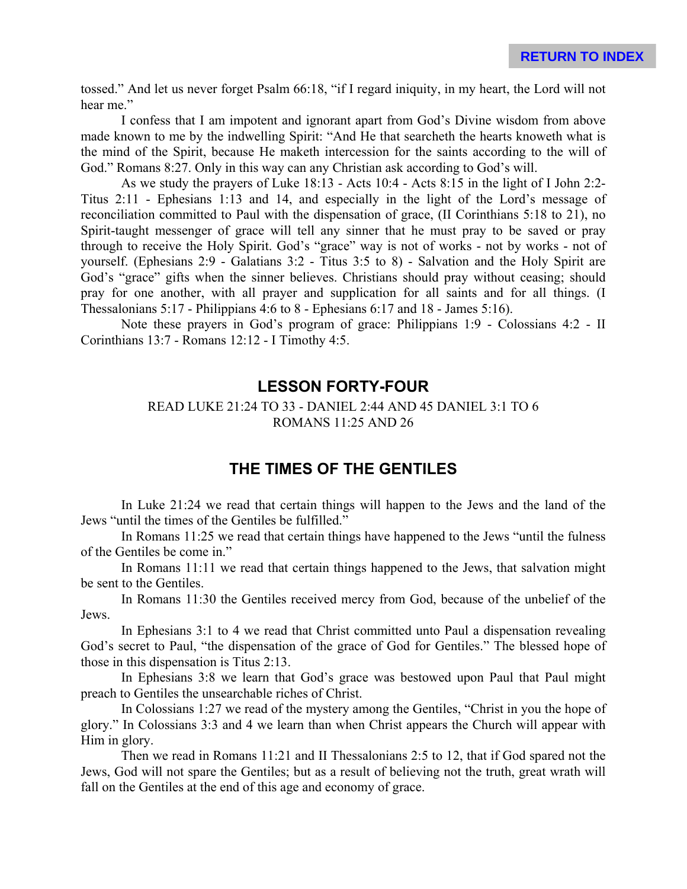tossed." And let us never forget Psalm 66:18, "if I regard iniquity, in my heart, the Lord will not hear me."

I confess that I am impotent and ignorant apart from God's Divine wisdom from above made known to me by the indwelling Spirit: "And He that searcheth the hearts knoweth what is the mind of the Spirit, because He maketh intercession for the saints according to the will of God." Romans 8:27. Only in this way can any Christian ask according to God's will.

As we study the prayers of Luke 18:13 - Acts 10:4 - Acts 8:15 in the light of I John 2:2- Titus 2:11 - Ephesians 1:13 and 14, and especially in the light of the Lord's message of reconciliation committed to Paul with the dispensation of grace, (II Corinthians 5:18 to 21), no Spirit-taught messenger of grace will tell any sinner that he must pray to be saved or pray through to receive the Holy Spirit. God's "grace" way is not of works - not by works - not of yourself. (Ephesians 2:9 - Galatians 3:2 - Titus 3:5 to 8) - Salvation and the Holy Spirit are God's "grace" gifts when the sinner believes. Christians should pray without ceasing; should pray for one another, with all prayer and supplication for all saints and for all things. (I Thessalonians 5:17 - Philippians 4:6 to 8 - Ephesians 6:17 and 18 - James 5:16).

Note these prayers in God's program of grace: Philippians 1:9 - Colossians 4:2 - II Corinthians 13:7 - Romans 12:12 - I Timothy 4:5.

### **LESSON FORTY-FOUR**

#### READ LUKE 21:24 TO 33 - DANIEL 2:44 AND 45 DANIEL 3:1 TO 6 ROMANS 11:25 AND 26

## **THE TIMES OF THE GENTILES**

In Luke 21:24 we read that certain things will happen to the Jews and the land of the Jews "until the times of the Gentiles be fulfilled."

In Romans 11:25 we read that certain things have happened to the Jews "until the fulness of the Gentiles be come in."

In Romans 11:11 we read that certain things happened to the Jews, that salvation might be sent to the Gentiles.

In Romans 11:30 the Gentiles received mercy from God, because of the unbelief of the Jews.

In Ephesians 3:1 to 4 we read that Christ committed unto Paul a dispensation revealing God's secret to Paul, "the dispensation of the grace of God for Gentiles." The blessed hope of those in this dispensation is Titus 2:13.

In Ephesians 3:8 we learn that God's grace was bestowed upon Paul that Paul might preach to Gentiles the unsearchable riches of Christ.

In Colossians 1:27 we read of the mystery among the Gentiles, "Christ in you the hope of glory." In Colossians 3:3 and 4 we learn than when Christ appears the Church will appear with Him in glory.

Then we read in Romans 11:21 and II Thessalonians 2:5 to 12, that if God spared not the Jews, God will not spare the Gentiles; but as a result of believing not the truth, great wrath will fall on the Gentiles at the end of this age and economy of grace.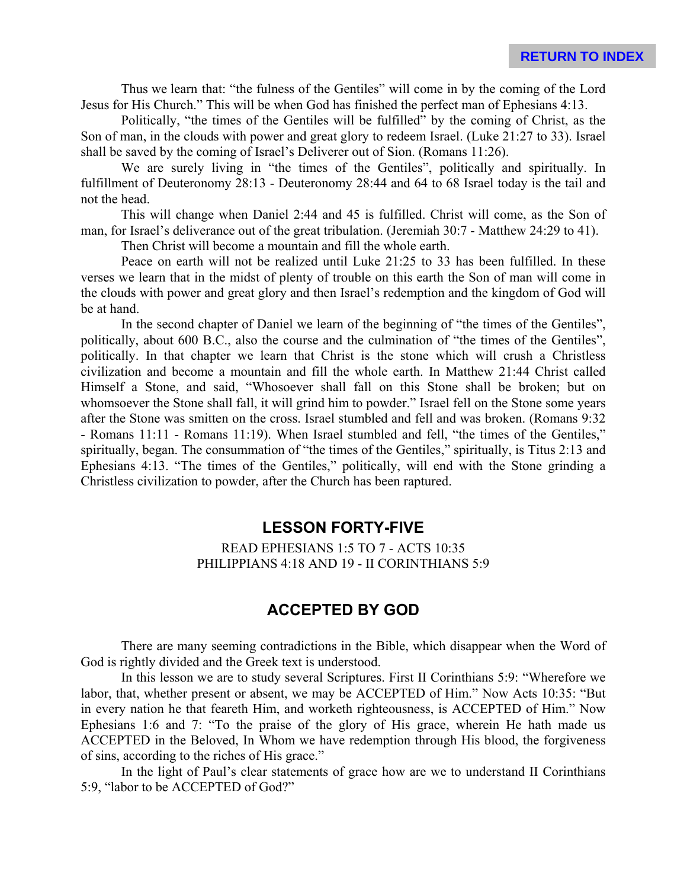Thus we learn that: "the fulness of the Gentiles" will come in by the coming of the Lord Jesus for His Church." This will be when God has finished the perfect man of Ephesians 4:13.

Politically, "the times of the Gentiles will be fulfilled" by the coming of Christ, as the Son of man, in the clouds with power and great glory to redeem Israel. (Luke 21:27 to 33). Israel shall be saved by the coming of Israel's Deliverer out of Sion. (Romans 11:26).

We are surely living in "the times of the Gentiles", politically and spiritually. In fulfillment of Deuteronomy 28:13 - Deuteronomy 28:44 and 64 to 68 Israel today is the tail and not the head.

This will change when Daniel 2:44 and 45 is fulfilled. Christ will come, as the Son of man, for Israel's deliverance out of the great tribulation. (Jeremiah 30:7 - Matthew 24:29 to 41).

Then Christ will become a mountain and fill the whole earth.

Peace on earth will not be realized until Luke 21:25 to 33 has been fulfilled. In these verses we learn that in the midst of plenty of trouble on this earth the Son of man will come in the clouds with power and great glory and then Israel's redemption and the kingdom of God will be at hand.

In the second chapter of Daniel we learn of the beginning of "the times of the Gentiles", politically, about 600 B.C., also the course and the culmination of "the times of the Gentiles", politically. In that chapter we learn that Christ is the stone which will crush a Christless civilization and become a mountain and fill the whole earth. In Matthew 21:44 Christ called Himself a Stone, and said, "Whosoever shall fall on this Stone shall be broken; but on whomsoever the Stone shall fall, it will grind him to powder." Israel fell on the Stone some years after the Stone was smitten on the cross. Israel stumbled and fell and was broken. (Romans 9:32 - Romans 11:11 - Romans 11:19). When Israel stumbled and fell, "the times of the Gentiles," spiritually, began. The consummation of "the times of the Gentiles," spiritually, is Titus 2:13 and Ephesians 4:13. "The times of the Gentiles," politically, will end with the Stone grinding a Christless civilization to powder, after the Church has been raptured.

## **LESSON FORTY-FIVE**

READ EPHESIANS 1:5 TO 7 - ACTS 10:35 PHILIPPIANS 4:18 AND 19 - II CORINTHIANS 5:9

# **ACCEPTED BY GOD**

There are many seeming contradictions in the Bible, which disappear when the Word of God is rightly divided and the Greek text is understood.

In this lesson we are to study several Scriptures. First II Corinthians 5:9: "Wherefore we labor, that, whether present or absent, we may be ACCEPTED of Him." Now Acts 10:35: "But in every nation he that feareth Him, and worketh righteousness, is ACCEPTED of Him." Now Ephesians 1:6 and 7: "To the praise of the glory of His grace, wherein He hath made us ACCEPTED in the Beloved, In Whom we have redemption through His blood, the forgiveness of sins, according to the riches of His grace."

In the light of Paul's clear statements of grace how are we to understand II Corinthians 5:9, "labor to be ACCEPTED of God?"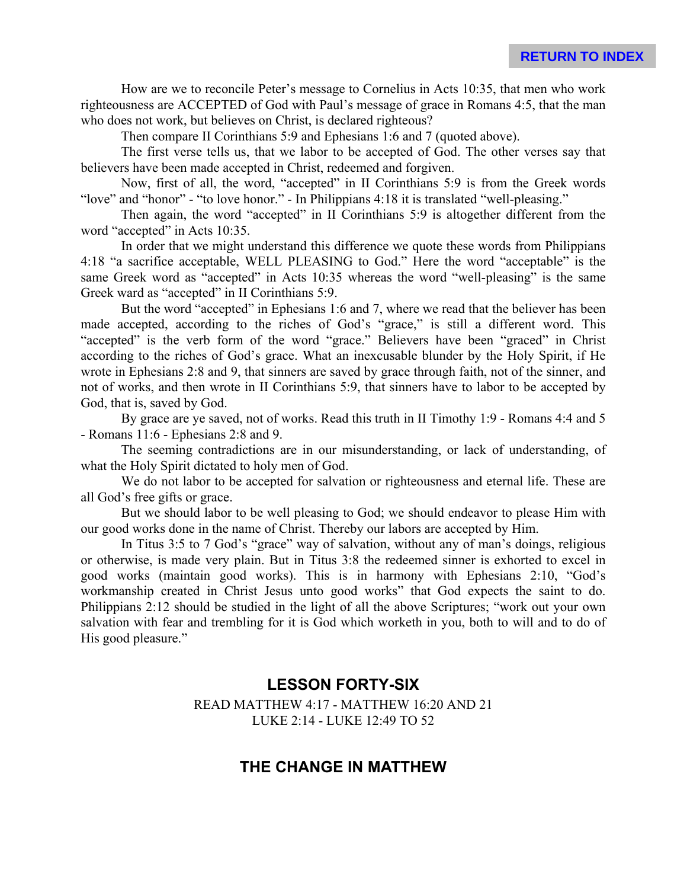How are we to reconcile Peter's message to Cornelius in Acts 10:35, that men who work righteousness are ACCEPTED of God with Paul's message of grace in Romans 4:5, that the man who does not work, but believes on Christ, is declared righteous?

Then compare II Corinthians 5:9 and Ephesians 1:6 and 7 (quoted above).

The first verse tells us, that we labor to be accepted of God. The other verses say that believers have been made accepted in Christ, redeemed and forgiven.

Now, first of all, the word, "accepted" in II Corinthians 5:9 is from the Greek words "love" and "honor" - "to love honor." - In Philippians 4:18 it is translated "well-pleasing."

Then again, the word "accepted" in II Corinthians 5:9 is altogether different from the word "accepted" in Acts 10:35.

In order that we might understand this difference we quote these words from Philippians 4:18 "a sacrifice acceptable, WELL PLEASING to God." Here the word "acceptable" is the same Greek word as "accepted" in Acts 10:35 whereas the word "well-pleasing" is the same Greek ward as "accepted" in II Corinthians 5:9.

But the word "accepted" in Ephesians 1:6 and 7, where we read that the believer has been made accepted, according to the riches of God's "grace," is still a different word. This "accepted" is the verb form of the word "grace." Believers have been "graced" in Christ according to the riches of God's grace. What an inexcusable blunder by the Holy Spirit, if He wrote in Ephesians 2:8 and 9, that sinners are saved by grace through faith, not of the sinner, and not of works, and then wrote in II Corinthians 5:9, that sinners have to labor to be accepted by God, that is, saved by God.

By grace are ye saved, not of works. Read this truth in II Timothy 1:9 - Romans 4:4 and 5 - Romans 11:6 - Ephesians 2:8 and 9.

The seeming contradictions are in our misunderstanding, or lack of understanding, of what the Holy Spirit dictated to holy men of God.

We do not labor to be accepted for salvation or righteousness and eternal life. These are all God's free gifts or grace.

But we should labor to be well pleasing to God; we should endeavor to please Him with our good works done in the name of Christ. Thereby our labors are accepted by Him.

In Titus 3:5 to 7 God's "grace" way of salvation, without any of man's doings, religious or otherwise, is made very plain. But in Titus 3:8 the redeemed sinner is exhorted to excel in good works (maintain good works). This is in harmony with Ephesians 2:10, "God's workmanship created in Christ Jesus unto good works" that God expects the saint to do. Philippians 2:12 should be studied in the light of all the above Scriptures; "work out your own salvation with fear and trembling for it is God which worketh in you, both to will and to do of His good pleasure."

# **LESSON FORTY-SIX**

READ MATTHEW 4:17 - MATTHEW 16:20 AND 21 LUKE 2:14 - LUKE 12:49 TO 52

## **THE CHANGE IN MATTHEW**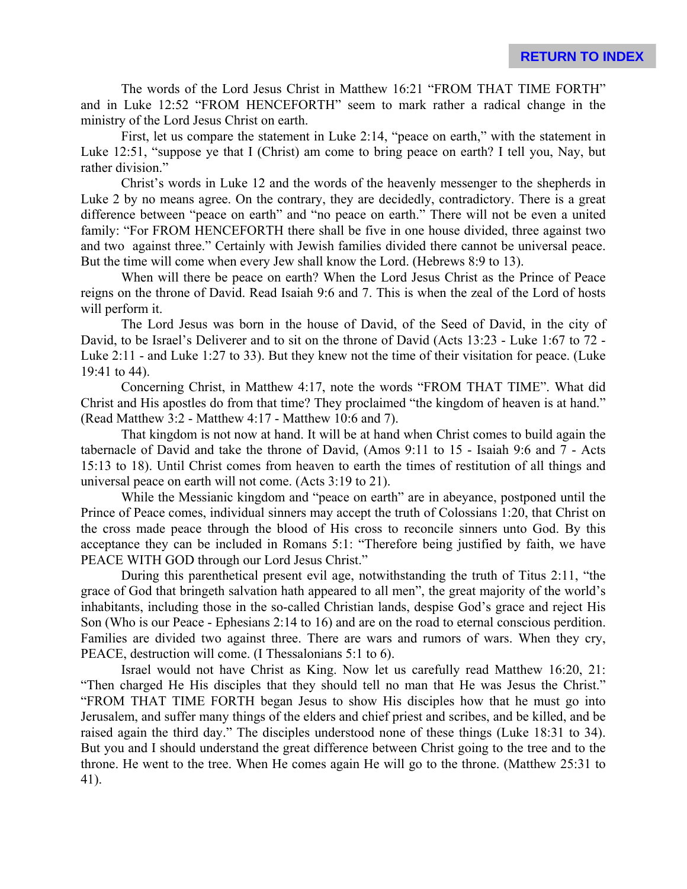The words of the Lord Jesus Christ in Matthew 16:21 "FROM THAT TIME FORTH" and in Luke 12:52 "FROM HENCEFORTH" seem to mark rather a radical change in the ministry of the Lord Jesus Christ on earth.

First, let us compare the statement in Luke 2:14, "peace on earth," with the statement in Luke 12:51, "suppose ye that I (Christ) am come to bring peace on earth? I tell you, Nay, but rather division."

Christ's words in Luke 12 and the words of the heavenly messenger to the shepherds in Luke 2 by no means agree. On the contrary, they are decidedly, contradictory. There is a great difference between "peace on earth" and "no peace on earth." There will not be even a united family: "For FROM HENCEFORTH there shall be five in one house divided, three against two and two against three." Certainly with Jewish families divided there cannot be universal peace. But the time will come when every Jew shall know the Lord. (Hebrews 8:9 to 13).

When will there be peace on earth? When the Lord Jesus Christ as the Prince of Peace reigns on the throne of David. Read Isaiah 9:6 and 7. This is when the zeal of the Lord of hosts will perform it.

The Lord Jesus was born in the house of David, of the Seed of David, in the city of David, to be Israel's Deliverer and to sit on the throne of David (Acts 13:23 - Luke 1:67 to 72 - Luke 2:11 - and Luke 1:27 to 33). But they knew not the time of their visitation for peace. (Luke 19:41 to 44).

Concerning Christ, in Matthew 4:17, note the words "FROM THAT TIME". What did Christ and His apostles do from that time? They proclaimed "the kingdom of heaven is at hand." (Read Matthew 3:2 - Matthew 4:17 - Matthew 10:6 and 7).

That kingdom is not now at hand. It will be at hand when Christ comes to build again the tabernacle of David and take the throne of David, (Amos 9:11 to 15 - Isaiah 9:6 and 7 - Acts 15:13 to 18). Until Christ comes from heaven to earth the times of restitution of all things and universal peace on earth will not come. (Acts 3:19 to 21).

While the Messianic kingdom and "peace on earth" are in abeyance, postponed until the Prince of Peace comes, individual sinners may accept the truth of Colossians 1:20, that Christ on the cross made peace through the blood of His cross to reconcile sinners unto God. By this acceptance they can be included in Romans 5:1: "Therefore being justified by faith, we have PEACE WITH GOD through our Lord Jesus Christ."

During this parenthetical present evil age, notwithstanding the truth of Titus 2:11, "the grace of God that bringeth salvation hath appeared to all men", the great majority of the world's inhabitants, including those in the so-called Christian lands, despise God's grace and reject His Son (Who is our Peace - Ephesians 2:14 to 16) and are on the road to eternal conscious perdition. Families are divided two against three. There are wars and rumors of wars. When they cry, PEACE, destruction will come. (I Thessalonians 5:1 to 6).

Israel would not have Christ as King. Now let us carefully read Matthew 16:20, 21: "Then charged He His disciples that they should tell no man that He was Jesus the Christ." "FROM THAT TIME FORTH began Jesus to show His disciples how that he must go into Jerusalem, and suffer many things of the elders and chief priest and scribes, and be killed, and be raised again the third day." The disciples understood none of these things (Luke 18:31 to 34). But you and I should understand the great difference between Christ going to the tree and to the throne. He went to the tree. When He comes again He will go to the throne. (Matthew 25:31 to 41).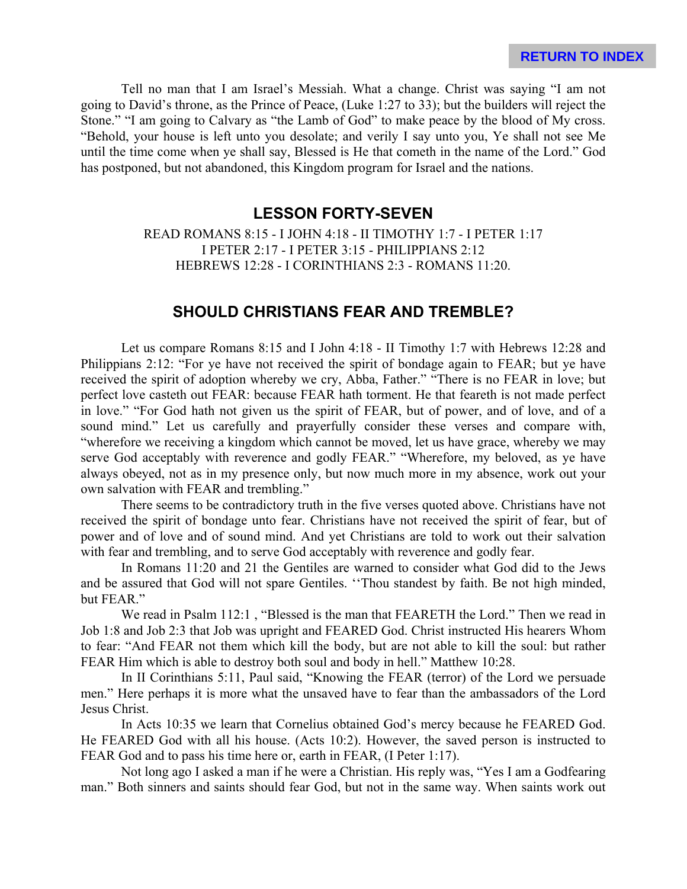Tell no man that I am Israel's Messiah. What a change. Christ was saying "I am not going to David's throne, as the Prince of Peace, (Luke 1:27 to 33); but the builders will reject the Stone." "I am going to Calvary as "the Lamb of God" to make peace by the blood of My cross. "Behold, your house is left unto you desolate; and verily I say unto you, Ye shall not see Me until the time come when ye shall say, Blessed is He that cometh in the name of the Lord." God has postponed, but not abandoned, this Kingdom program for Israel and the nations.

## **LESSON FORTY-SEVEN**

READ ROMANS 8:15 - I JOHN 4:18 - II TIMOTHY 1:7 - I PETER 1:17 I PETER 2:17 - I PETER 3:15 - PHILIPPIANS 2:12 HEBREWS 12:28 - I CORINTHIANS 2:3 - ROMANS 11:20.

## **SHOULD CHRISTIANS FEAR AND TREMBLE?**

Let us compare Romans 8:15 and I John 4:18 - II Timothy 1:7 with Hebrews 12:28 and Philippians 2:12: "For ye have not received the spirit of bondage again to FEAR; but ye have received the spirit of adoption whereby we cry, Abba, Father." "There is no FEAR in love; but perfect love casteth out FEAR: because FEAR hath torment. He that feareth is not made perfect in love." "For God hath not given us the spirit of FEAR, but of power, and of love, and of a sound mind." Let us carefully and prayerfully consider these verses and compare with, "wherefore we receiving a kingdom which cannot be moved, let us have grace, whereby we may serve God acceptably with reverence and godly FEAR." "Wherefore, my beloved, as ye have always obeyed, not as in my presence only, but now much more in my absence, work out your own salvation with FEAR and trembling."

There seems to be contradictory truth in the five verses quoted above. Christians have not received the spirit of bondage unto fear. Christians have not received the spirit of fear, but of power and of love and of sound mind. And yet Christians are told to work out their salvation with fear and trembling, and to serve God acceptably with reverence and godly fear.

In Romans 11:20 and 21 the Gentiles are warned to consider what God did to the Jews and be assured that God will not spare Gentiles. ''Thou standest by faith. Be not high minded, but FEAR."

We read in Psalm 112:1, "Blessed is the man that FEARETH the Lord." Then we read in Job 1:8 and Job 2:3 that Job was upright and FEARED God. Christ instructed His hearers Whom to fear: "And FEAR not them which kill the body, but are not able to kill the soul: but rather FEAR Him which is able to destroy both soul and body in hell." Matthew 10:28.

In II Corinthians 5:11, Paul said, "Knowing the FEAR (terror) of the Lord we persuade men." Here perhaps it is more what the unsaved have to fear than the ambassadors of the Lord Jesus Christ.

In Acts 10:35 we learn that Cornelius obtained God's mercy because he FEARED God. He FEARED God with all his house. (Acts 10:2). However, the saved person is instructed to FEAR God and to pass his time here or, earth in FEAR, (I Peter 1:17).

Not long ago I asked a man if he were a Christian. His reply was, "Yes I am a Godfearing man." Both sinners and saints should fear God, but not in the same way. When saints work out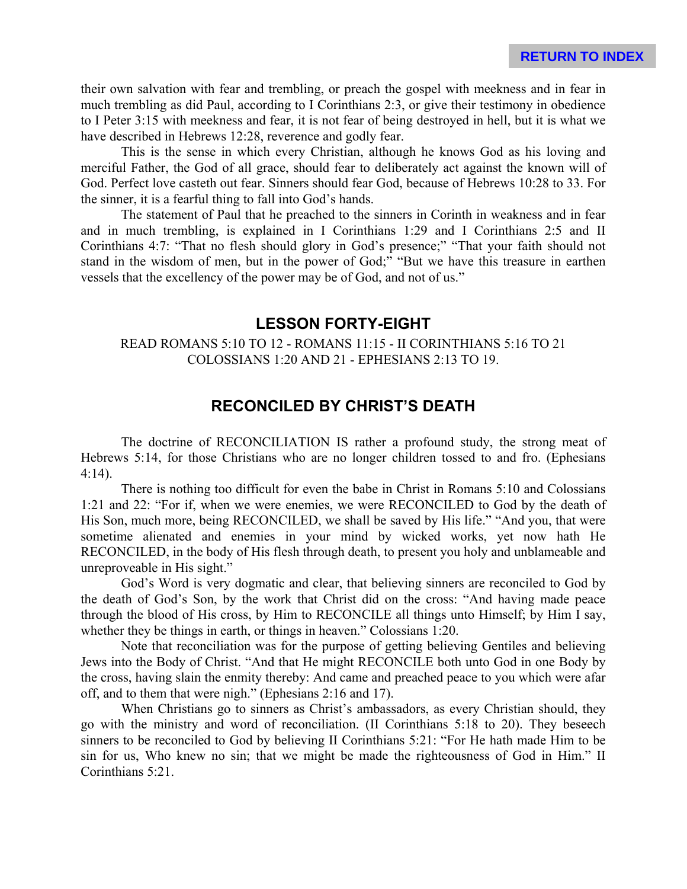their own salvation with fear and trembling, or preach the gospel with meekness and in fear in much trembling as did Paul, according to I Corinthians 2:3, or give their testimony in obedience to I Peter 3:15 with meekness and fear, it is not fear of being destroyed in hell, but it is what we have described in Hebrews 12:28, reverence and godly fear.

This is the sense in which every Christian, although he knows God as his loving and merciful Father, the God of all grace, should fear to deliberately act against the known will of God. Perfect love casteth out fear. Sinners should fear God, because of Hebrews 10:28 to 33. For the sinner, it is a fearful thing to fall into God's hands.

The statement of Paul that he preached to the sinners in Corinth in weakness and in fear and in much trembling, is explained in I Corinthians 1:29 and I Corinthians 2:5 and II Corinthians 4:7: "That no flesh should glory in God's presence;" "That your faith should not stand in the wisdom of men, but in the power of God;" "But we have this treasure in earthen vessels that the excellency of the power may be of God, and not of us."

## **LESSON FORTY-EIGHT**

#### READ ROMANS 5:10 TO 12 - ROMANS 11:15 - II CORINTHIANS 5:16 TO 21 COLOSSIANS 1:20 AND 21 - EPHESIANS 2:13 TO 19.

## **RECONCILED BY CHRIST'S DEATH**

The doctrine of RECONCILIATION IS rather a profound study, the strong meat of Hebrews 5:14, for those Christians who are no longer children tossed to and fro. (Ephesians 4:14).

There is nothing too difficult for even the babe in Christ in Romans 5:10 and Colossians 1:21 and 22: "For if, when we were enemies, we were RECONCILED to God by the death of His Son, much more, being RECONCILED, we shall be saved by His life." "And you, that were sometime alienated and enemies in your mind by wicked works, yet now hath He RECONCILED, in the body of His flesh through death, to present you holy and unblameable and unreproveable in His sight."

God's Word is very dogmatic and clear, that believing sinners are reconciled to God by the death of God's Son, by the work that Christ did on the cross: "And having made peace through the blood of His cross, by Him to RECONCILE all things unto Himself; by Him I say, whether they be things in earth, or things in heaven." Colossians 1:20.

Note that reconciliation was for the purpose of getting believing Gentiles and believing Jews into the Body of Christ. "And that He might RECONCILE both unto God in one Body by the cross, having slain the enmity thereby: And came and preached peace to you which were afar off, and to them that were nigh." (Ephesians 2:16 and 17).

When Christians go to sinners as Christ's ambassadors, as every Christian should, they go with the ministry and word of reconciliation. (II Corinthians 5:18 to 20). They beseech sinners to be reconciled to God by believing II Corinthians 5:21: "For He hath made Him to be sin for us, Who knew no sin; that we might be made the righteousness of God in Him." II Corinthians 5:21.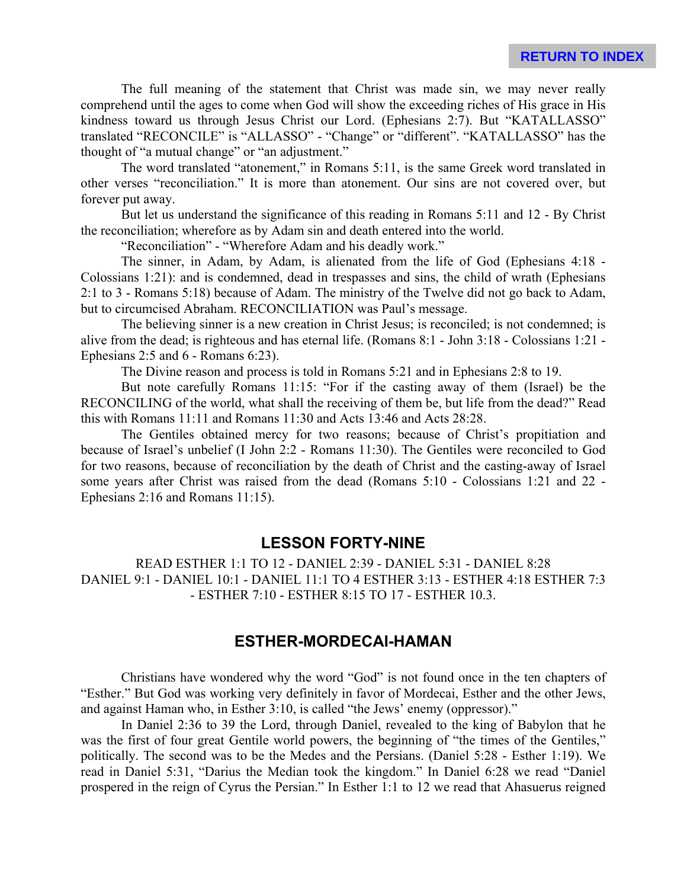The full meaning of the statement that Christ was made sin, we may never really comprehend until the ages to come when God will show the exceeding riches of His grace in His kindness toward us through Jesus Christ our Lord. (Ephesians 2:7). But "KATALLASSO" translated "RECONCILE" is "ALLASSO" - "Change" or "different". "KATALLASSO" has the thought of "a mutual change" or "an adjustment."

The word translated "atonement," in Romans 5:11, is the same Greek word translated in other verses "reconciliation." It is more than atonement. Our sins are not covered over, but forever put away.

But let us understand the significance of this reading in Romans 5:11 and 12 - By Christ the reconciliation; wherefore as by Adam sin and death entered into the world.

"Reconciliation" - "Wherefore Adam and his deadly work."

The sinner, in Adam, by Adam, is alienated from the life of God (Ephesians 4:18 - Colossians 1:21): and is condemned, dead in trespasses and sins, the child of wrath (Ephesians 2:1 to 3 - Romans 5:18) because of Adam. The ministry of the Twelve did not go back to Adam, but to circumcised Abraham. RECONCILIATION was Paul's message.

The believing sinner is a new creation in Christ Jesus; is reconciled; is not condemned; is alive from the dead; is righteous and has eternal life. (Romans 8:1 - John 3:18 - Colossians 1:21 - Ephesians 2:5 and 6 - Romans 6:23).

The Divine reason and process is told in Romans 5:21 and in Ephesians 2:8 to 19.

But note carefully Romans 11:15: "For if the casting away of them (Israel) be the RECONCILING of the world, what shall the receiving of them be, but life from the dead?" Read this with Romans 11:11 and Romans 11:30 and Acts 13:46 and Acts 28:28.

The Gentiles obtained mercy for two reasons; because of Christ's propitiation and because of Israel's unbelief (I John 2:2 - Romans 11:30). The Gentiles were reconciled to God for two reasons, because of reconciliation by the death of Christ and the casting-away of Israel some years after Christ was raised from the dead (Romans 5:10 - Colossians 1:21 and 22 - Ephesians 2:16 and Romans 11:15).

### **LESSON FORTY-NINE**

READ ESTHER 1:1 TO 12 - DANIEL 2:39 - DANIEL 5:31 - DANIEL 8:28 DANIEL 9:1 - DANIEL 10:1 - DANIEL 11:1 TO 4 ESTHER 3:13 - ESTHER 4:18 ESTHER 7:3 - ESTHER 7:10 - ESTHER 8:15 TO 17 - ESTHER 10.3.

### **ESTHER-MORDECAI-HAMAN**

Christians have wondered why the word "God" is not found once in the ten chapters of "Esther." But God was working very definitely in favor of Mordecai, Esther and the other Jews, and against Haman who, in Esther 3:10, is called "the Jews' enemy (oppressor)."

In Daniel 2:36 to 39 the Lord, through Daniel, revealed to the king of Babylon that he was the first of four great Gentile world powers, the beginning of "the times of the Gentiles," politically. The second was to be the Medes and the Persians. (Daniel 5:28 - Esther 1:19). We read in Daniel 5:31, "Darius the Median took the kingdom." In Daniel 6:28 we read "Daniel prospered in the reign of Cyrus the Persian." In Esther 1:1 to 12 we read that Ahasuerus reigned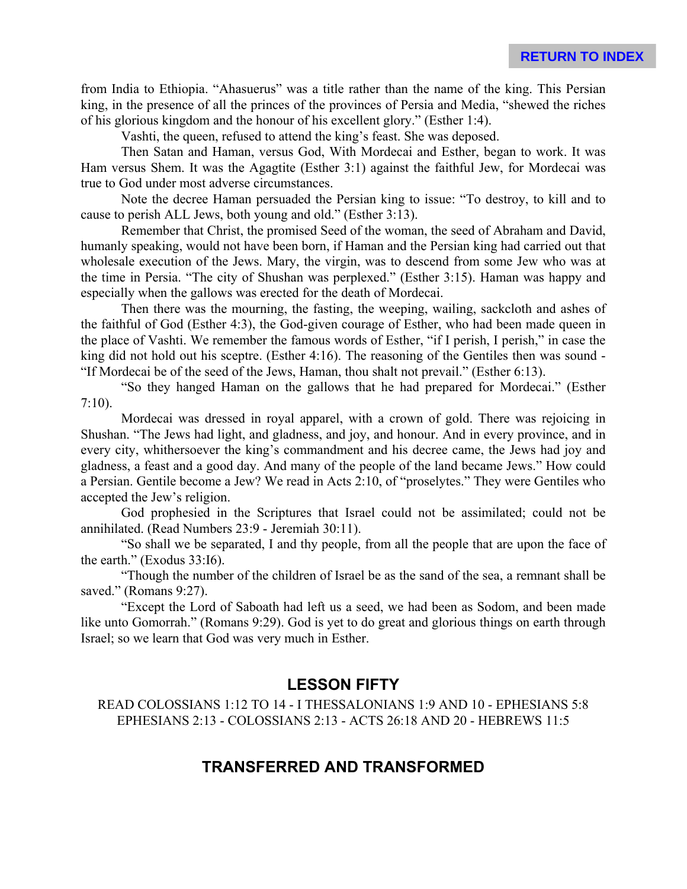from India to Ethiopia. "Ahasuerus" was a title rather than the name of the king. This Persian king, in the presence of all the princes of the provinces of Persia and Media, "shewed the riches of his glorious kingdom and the honour of his excellent glory." (Esther 1:4).

Vashti, the queen, refused to attend the king's feast. She was deposed.

Then Satan and Haman, versus God, With Mordecai and Esther, began to work. It was Ham versus Shem. It was the Agagtite (Esther 3:1) against the faithful Jew, for Mordecai was true to God under most adverse circumstances.

Note the decree Haman persuaded the Persian king to issue: "To destroy, to kill and to cause to perish ALL Jews, both young and old." (Esther 3:13).

Remember that Christ, the promised Seed of the woman, the seed of Abraham and David, humanly speaking, would not have been born, if Haman and the Persian king had carried out that wholesale execution of the Jews. Mary, the virgin, was to descend from some Jew who was at the time in Persia. "The city of Shushan was perplexed." (Esther 3:15). Haman was happy and especially when the gallows was erected for the death of Mordecai.

Then there was the mourning, the fasting, the weeping, wailing, sackcloth and ashes of the faithful of God (Esther 4:3), the God-given courage of Esther, who had been made queen in the place of Vashti. We remember the famous words of Esther, "if I perish, I perish," in case the king did not hold out his sceptre. (Esther 4:16). The reasoning of the Gentiles then was sound - "If Mordecai be of the seed of the Jews, Haman, thou shalt not prevail." (Esther 6:13).

"So they hanged Haman on the gallows that he had prepared for Mordecai." (Esther 7:10).

Mordecai was dressed in royal apparel, with a crown of gold. There was rejoicing in Shushan. "The Jews had light, and gladness, and joy, and honour. And in every province, and in every city, whithersoever the king's commandment and his decree came, the Jews had joy and gladness, a feast and a good day. And many of the people of the land became Jews." How could a Persian. Gentile become a Jew? We read in Acts 2:10, of "proselytes." They were Gentiles who accepted the Jew's religion.

God prophesied in the Scriptures that Israel could not be assimilated; could not be annihilated. (Read Numbers 23:9 - Jeremiah 30:11).

"So shall we be separated, I and thy people, from all the people that are upon the face of the earth." (Exodus 33:I6).

"Though the number of the children of Israel be as the sand of the sea, a remnant shall be saved." (Romans 9:27).

"Except the Lord of Saboath had left us a seed, we had been as Sodom, and been made like unto Gomorrah." (Romans 9:29). God is yet to do great and glorious things on earth through Israel; so we learn that God was very much in Esther.

## **LESSON FIFTY**

READ COLOSSIANS 1:12 TO 14 - I THESSALONIANS 1:9 AND 10 - EPHESIANS 5:8 EPHESIANS 2:13 - COLOSSIANS 2:13 - ACTS 26:18 AND 20 - HEBREWS 11:5

## **TRANSFERRED AND TRANSFORMED**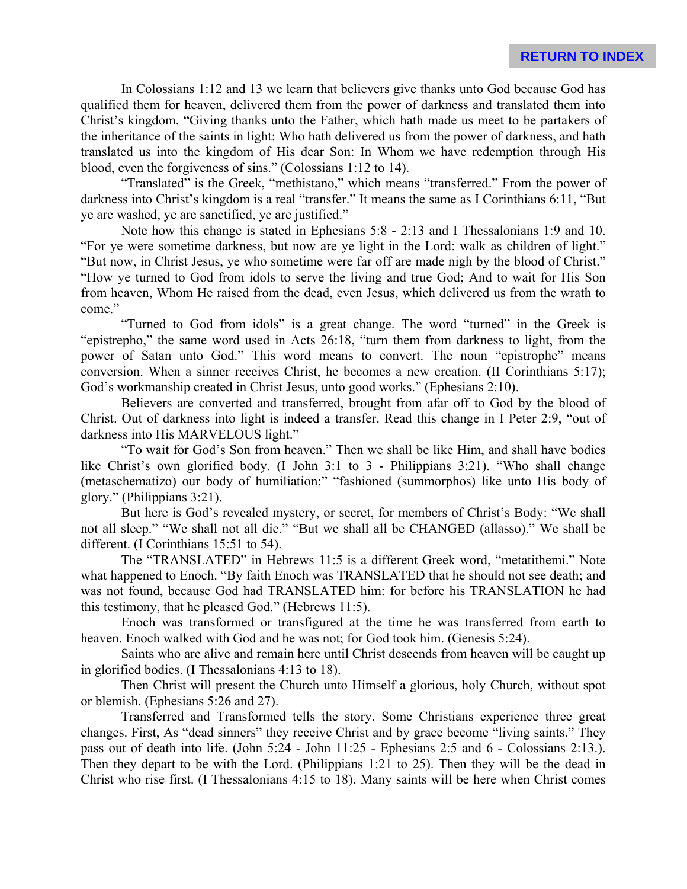In Colossians 1:12 and 13 we learn that believers give thanks unto God because God has qualified them for heaven, delivered them from the power of darkness and translated them into Christ's kingdom. "Giving thanks unto the Father, which hath made us meet to be partakers of the inheritance of the saints in light: Who hath delivered us from the power of darkness, and hath translated us into the kingdom of His dear Son: In Whom we have redemption through His blood, even the forgiveness of sins." (Colossians 1:12 to 14).

"Translated" is the Greek, "methistano," which means "transferred." From the power of darkness into Christ's kingdom is a real "transfer." It means the same as I Corinthians 6:11, "But ye are washed, ye are sanctified, ye are justified."

Note how this change is stated in Ephesians 5:8 - 2:13 and I Thessalonians 1:9 and 10. "For ye were sometime darkness, but now are ye light in the Lord: walk as children of light." "But now, in Christ Jesus, ye who sometime were far off are made nigh by the blood of Christ." "How ye turned to God from idols to serve the living and true God; And to wait for His Son from heaven, Whom He raised from the dead, even Jesus, which delivered us from the wrath to come."

"Turned to God from idols" is a great change. The word "turned" in the Greek is "epistrepho," the same word used in Acts 26:18, "turn them from darkness to light, from the power of Satan unto God." This word means to convert. The noun "epistrophe" means conversion. When a sinner receives Christ, he becomes a new creation. (II Corinthians 5:17); God's workmanship created in Christ Jesus, unto good works." (Ephesians 2:10).

Believers are converted and transferred, brought from afar off to God by the blood of Christ. Out of darkness into light is indeed a transfer. Read this change in I Peter 2:9, "out of darkness into His MARVELOUS light."

"To wait for God's Son from heaven." Then we shall be like Him, and shall have bodies like Christ's own glorified body. (I John 3:1 to 3 - Philippians 3:21). "Who shall change (metaschematizo) our body of humiliation;" "fashioned (summorphos) like unto His body of glory." (Philippians 3:21).

But here is God's revealed mystery, or secret, for members of Christ's Body: "We shall not all sleep." "We shall not all die." "But we shall all be CHANGED (allasso)." We shall be different. (I Corinthians 15:51 to 54).

The "TRANSLATED" in Hebrews 11:5 is a different Greek word, "metatithemi." Note what happened to Enoch. "By faith Enoch was TRANSLATED that he should not see death; and was not found, because God had TRANSLATED him: for before his TRANSLATION he had this testimony, that he pleased God." (Hebrews 11:5).

Enoch was transformed or transfigured at the time he was transferred from earth to heaven. Enoch walked with God and he was not; for God took him. (Genesis 5:24).

Saints who are alive and remain here until Christ descends from heaven will be caught up in glorified bodies. (I Thessalonians 4:13 to 18).

Then Christ will present the Church unto Himself a glorious, holy Church, without spot or blemish. (Ephesians 5:26 and 27).

Transferred and Transformed tells the story. Some Christians experience three great changes. First, As "dead sinners" they receive Christ and by grace become "living saints." They pass out of death into life. (John 5:24 - John 11:25 - Ephesians 2:5 and 6 - Colossians 2:13.). Then they depart to be with the Lord. (Philippians 1:21 to 25). Then they will be the dead in Christ who rise first. (I Thessalonians 4:15 to 18). Many saints will be here when Christ comes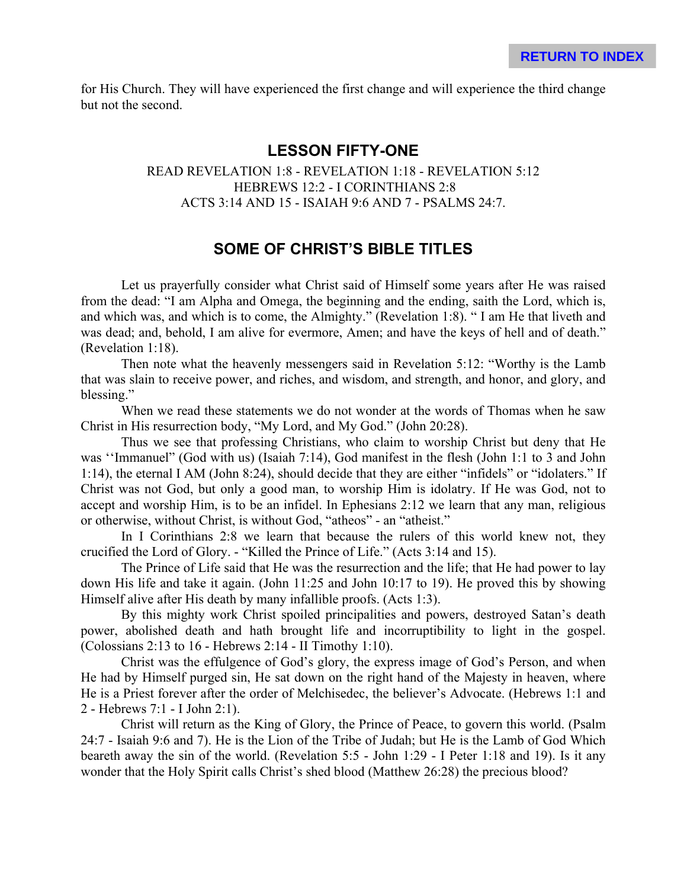for His Church. They will have experienced the first change and will experience the third change but not the second.

## **LESSON FIFTY-ONE**

READ REVELATION 1:8 - REVELATION 1:18 - REVELATION 5:12 HEBREWS 12:2 - I CORINTHIANS 2:8 ACTS 3:14 AND 15 - ISAIAH 9:6 AND 7 - PSALMS 24:7.

# **SOME OF CHRIST'S BIBLE TITLES**

Let us prayerfully consider what Christ said of Himself some years after He was raised from the dead: "I am Alpha and Omega, the beginning and the ending, saith the Lord, which is, and which was, and which is to come, the Almighty." (Revelation 1:8). " I am He that liveth and was dead; and, behold, I am alive for evermore, Amen; and have the keys of hell and of death." (Revelation 1:18).

Then note what the heavenly messengers said in Revelation 5:12: "Worthy is the Lamb that was slain to receive power, and riches, and wisdom, and strength, and honor, and glory, and blessing."

When we read these statements we do not wonder at the words of Thomas when he saw Christ in His resurrection body, "My Lord, and My God." (John 20:28).

Thus we see that professing Christians, who claim to worship Christ but deny that He was ''Immanuel" (God with us) (Isaiah 7:14), God manifest in the flesh (John 1:1 to 3 and John 1:14), the eternal I AM (John 8:24), should decide that they are either "infidels" or "idolaters." If Christ was not God, but only a good man, to worship Him is idolatry. If He was God, not to accept and worship Him, is to be an infidel. In Ephesians 2:12 we learn that any man, religious or otherwise, without Christ, is without God, "atheos" - an "atheist."

In I Corinthians 2:8 we learn that because the rulers of this world knew not, they crucified the Lord of Glory. - "Killed the Prince of Life." (Acts 3:14 and 15).

The Prince of Life said that He was the resurrection and the life; that He had power to lay down His life and take it again. (John 11:25 and John 10:17 to 19). He proved this by showing Himself alive after His death by many infallible proofs. (Acts 1:3).

By this mighty work Christ spoiled principalities and powers, destroyed Satan's death power, abolished death and hath brought life and incorruptibility to light in the gospel. (Colossians 2:13 to 16 - Hebrews 2:14 - II Timothy 1:10).

Christ was the effulgence of God's glory, the express image of God's Person, and when He had by Himself purged sin, He sat down on the right hand of the Majesty in heaven, where He is a Priest forever after the order of Melchisedec, the believer's Advocate. (Hebrews 1:1 and 2 - Hebrews 7:1 - I John 2:1).

Christ will return as the King of Glory, the Prince of Peace, to govern this world. (Psalm 24:7 - Isaiah 9:6 and 7). He is the Lion of the Tribe of Judah; but He is the Lamb of God Which beareth away the sin of the world. (Revelation 5:5 - John 1:29 - I Peter 1:18 and 19). Is it any wonder that the Holy Spirit calls Christ's shed blood (Matthew 26:28) the precious blood?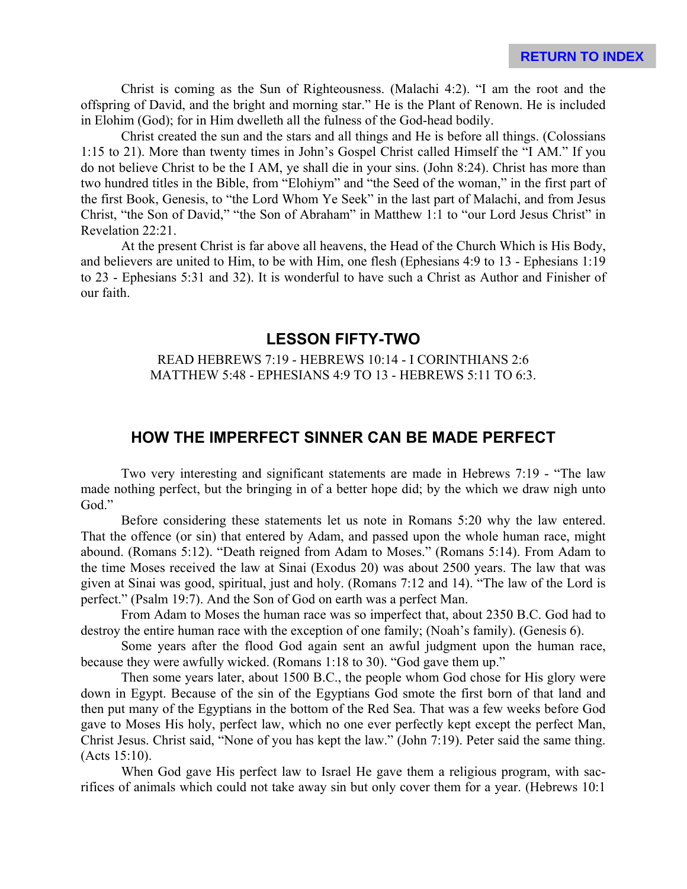Christ is coming as the Sun of Righteousness. (Malachi 4:2). "I am the root and the offspring of David, and the bright and morning star." He is the Plant of Renown. He is included in Elohim (God); for in Him dwelleth all the fulness of the God-head bodily.

Christ created the sun and the stars and all things and He is before all things. (Colossians 1:15 to 21). More than twenty times in John's Gospel Christ called Himself the "I AM." If you do not believe Christ to be the I AM, ye shall die in your sins. (John 8:24). Christ has more than two hundred titles in the Bible, from "Elohiym" and "the Seed of the woman," in the first part of the first Book, Genesis, to "the Lord Whom Ye Seek" in the last part of Malachi, and from Jesus Christ, "the Son of David," "the Son of Abraham" in Matthew 1:1 to "our Lord Jesus Christ" in Revelation 22:21.

At the present Christ is far above all heavens, the Head of the Church Which is His Body, and believers are united to Him, to be with Him, one flesh (Ephesians 4:9 to 13 - Ephesians 1:19 to 23 - Ephesians 5:31 and 32). It is wonderful to have such a Christ as Author and Finisher of our faith.

### **LESSON FIFTY-TWO**

#### READ HEBREWS 7:19 - HEBREWS 10:14 - I CORINTHIANS 2:6 MATTHEW 5:48 - EPHESIANS 4:9 TO 13 - HEBREWS 5:11 TO 6:3.

## **HOW THE IMPERFECT SINNER CAN BE MADE PERFECT**

Two very interesting and significant statements are made in Hebrews 7:19 - "The law made nothing perfect, but the bringing in of a better hope did; by the which we draw nigh unto God."

Before considering these statements let us note in Romans 5:20 why the law entered. That the offence (or sin) that entered by Adam, and passed upon the whole human race, might abound. (Romans 5:12). "Death reigned from Adam to Moses." (Romans 5:14). From Adam to the time Moses received the law at Sinai (Exodus 20) was about 2500 years. The law that was given at Sinai was good, spiritual, just and holy. (Romans 7:12 and 14). "The law of the Lord is perfect." (Psalm 19:7). And the Son of God on earth was a perfect Man.

From Adam to Moses the human race was so imperfect that, about 2350 B.C. God had to destroy the entire human race with the exception of one family; (Noah's family). (Genesis 6).

Some years after the flood God again sent an awful judgment upon the human race, because they were awfully wicked. (Romans 1:18 to 30). "God gave them up."

Then some years later, about 1500 B.C., the people whom God chose for His glory were down in Egypt. Because of the sin of the Egyptians God smote the first born of that land and then put many of the Egyptians in the bottom of the Red Sea. That was a few weeks before God gave to Moses His holy, perfect law, which no one ever perfectly kept except the perfect Man, Christ Jesus. Christ said, "None of you has kept the law." (John 7:19). Peter said the same thing. (Acts 15:10).

When God gave His perfect law to Israel He gave them a religious program, with sacrifices of animals which could not take away sin but only cover them for a year. (Hebrews 10:1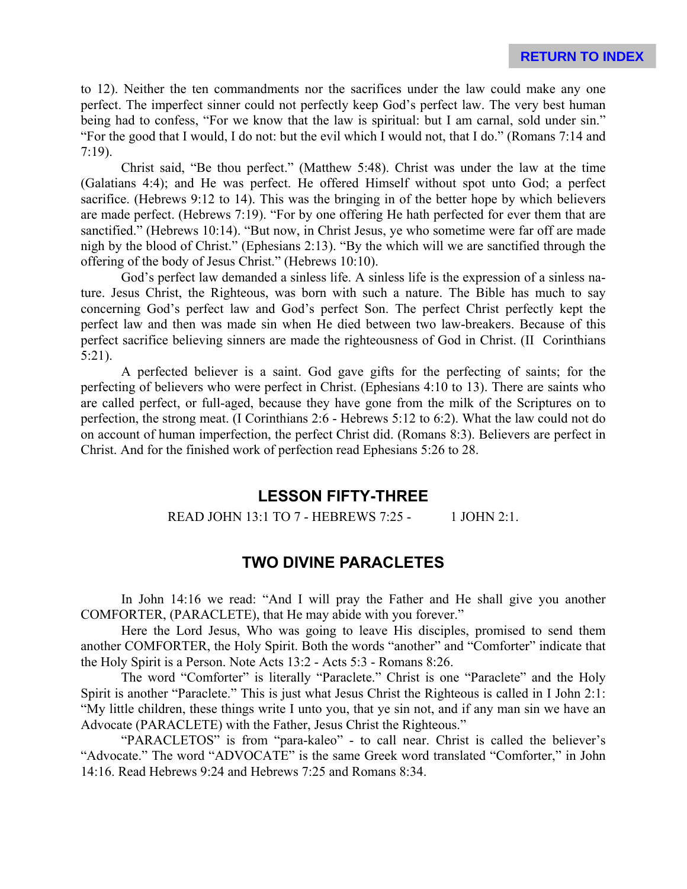to 12). Neither the ten commandments nor the sacrifices under the law could make any one perfect. The imperfect sinner could not perfectly keep God's perfect law. The very best human being had to confess, "For we know that the law is spiritual: but I am carnal, sold under sin." "For the good that I would, I do not: but the evil which I would not, that I do." (Romans 7:14 and 7:19).

Christ said, "Be thou perfect." (Matthew 5:48). Christ was under the law at the time (Galatians 4:4); and He was perfect. He offered Himself without spot unto God; a perfect sacrifice. (Hebrews 9:12 to 14). This was the bringing in of the better hope by which believers are made perfect. (Hebrews 7:19). "For by one offering He hath perfected for ever them that are sanctified." (Hebrews 10:14). "But now, in Christ Jesus, ye who sometime were far off are made nigh by the blood of Christ." (Ephesians 2:13). "By the which will we are sanctified through the offering of the body of Jesus Christ." (Hebrews 10:10).

God's perfect law demanded a sinless life. A sinless life is the expression of a sinless nature. Jesus Christ, the Righteous, was born with such a nature. The Bible has much to say concerning God's perfect law and God's perfect Son. The perfect Christ perfectly kept the perfect law and then was made sin when He died between two law-breakers. Because of this perfect sacrifice believing sinners are made the righteousness of God in Christ. (II Corinthians 5:21).

A perfected believer is a saint. God gave gifts for the perfecting of saints; for the perfecting of believers who were perfect in Christ. (Ephesians 4:10 to 13). There are saints who are called perfect, or full-aged, because they have gone from the milk of the Scriptures on to perfection, the strong meat. (I Corinthians 2:6 - Hebrews 5:12 to 6:2). What the law could not do on account of human imperfection, the perfect Christ did. (Romans 8:3). Believers are perfect in Christ. And for the finished work of perfection read Ephesians 5:26 to 28.

## **LESSON FIFTY-THREE**

#### READ JOHN 13:1 TO 7 - HEBREWS 7:25 - 1 JOHN 2:1.

## **TWO DIVINE PARACLETES**

In John 14:16 we read: "And I will pray the Father and He shall give you another COMFORTER, (PARACLETE), that He may abide with you forever."

Here the Lord Jesus, Who was going to leave His disciples, promised to send them another COMFORTER, the Holy Spirit. Both the words "another" and "Comforter" indicate that the Holy Spirit is a Person. Note Acts 13:2 - Acts 5:3 - Romans 8:26.

The word "Comforter" is literally "Paraclete." Christ is one "Paraclete" and the Holy Spirit is another "Paraclete." This is just what Jesus Christ the Righteous is called in I John 2:1: "My little children, these things write I unto you, that ye sin not, and if any man sin we have an Advocate (PARACLETE) with the Father, Jesus Christ the Righteous."

"PARACLETOS" is from "para-kaleo" - to call near. Christ is called the believer's "Advocate." The word "ADVOCATE" is the same Greek word translated "Comforter," in John 14:16. Read Hebrews 9:24 and Hebrews 7:25 and Romans 8:34.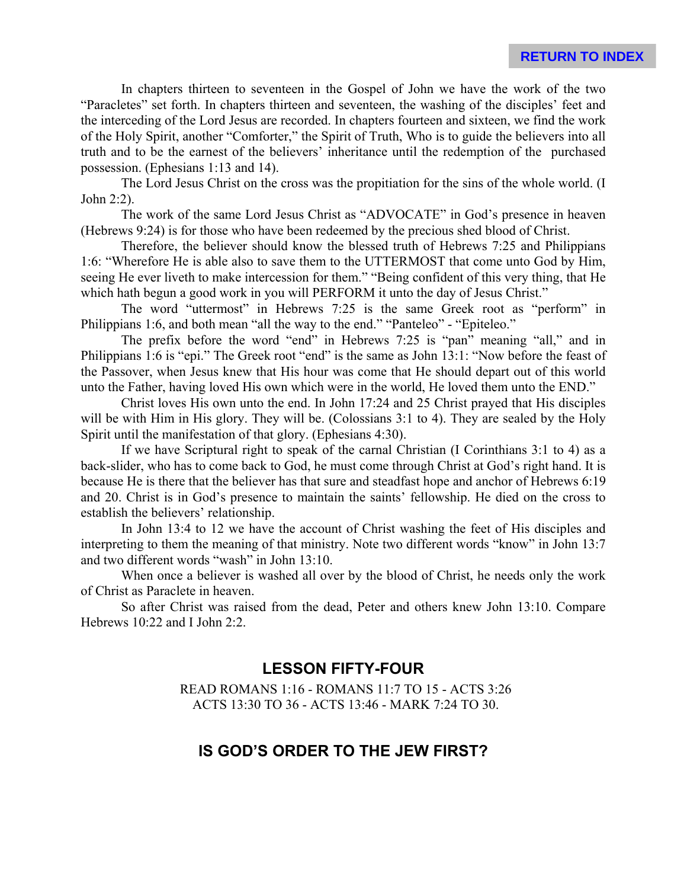In chapters thirteen to seventeen in the Gospel of John we have the work of the two "Paracletes" set forth. In chapters thirteen and seventeen, the washing of the disciples' feet and the interceding of the Lord Jesus are recorded. In chapters fourteen and sixteen, we find the work of the Holy Spirit, another "Comforter," the Spirit of Truth, Who is to guide the believers into all truth and to be the earnest of the believers' inheritance until the redemption of the purchased possession. (Ephesians 1:13 and 14).

The Lord Jesus Christ on the cross was the propitiation for the sins of the whole world. (I John 2:2).

The work of the same Lord Jesus Christ as "ADVOCATE" in God's presence in heaven (Hebrews 9:24) is for those who have been redeemed by the precious shed blood of Christ.

Therefore, the believer should know the blessed truth of Hebrews 7:25 and Philippians 1:6: "Wherefore He is able also to save them to the UTTERMOST that come unto God by Him, seeing He ever liveth to make intercession for them." "Being confident of this very thing, that He which hath begun a good work in you will PERFORM it unto the day of Jesus Christ."

The word "uttermost" in Hebrews 7:25 is the same Greek root as "perform" in Philippians 1:6, and both mean "all the way to the end." "Panteleo" - "Epiteleo."

The prefix before the word "end" in Hebrews 7:25 is "pan" meaning "all," and in Philippians 1:6 is "epi." The Greek root "end" is the same as John 13:1: "Now before the feast of the Passover, when Jesus knew that His hour was come that He should depart out of this world unto the Father, having loved His own which were in the world, He loved them unto the END."

Christ loves His own unto the end. In John 17:24 and 25 Christ prayed that His disciples will be with Him in His glory. They will be. (Colossians 3:1 to 4). They are sealed by the Holy Spirit until the manifestation of that glory. (Ephesians 4:30).

If we have Scriptural right to speak of the carnal Christian (I Corinthians 3:1 to 4) as a back-slider, who has to come back to God, he must come through Christ at God's right hand. It is because He is there that the believer has that sure and steadfast hope and anchor of Hebrews 6:19 and 20. Christ is in God's presence to maintain the saints' fellowship. He died on the cross to establish the believers' relationship.

In John 13:4 to 12 we have the account of Christ washing the feet of His disciples and interpreting to them the meaning of that ministry. Note two different words "know" in John 13:7 and two different words "wash" in John 13:10.

When once a believer is washed all over by the blood of Christ, he needs only the work of Christ as Paraclete in heaven.

So after Christ was raised from the dead, Peter and others knew John 13:10. Compare Hebrews 10:22 and I John 2:2.

# **LESSON FIFTY-FOUR**

READ ROMANS 1:16 - ROMANS 11:7 TO 15 - ACTS 3:26 ACTS 13:30 TO 36 - ACTS 13:46 - MARK 7:24 TO 30.

# **IS GOD'S ORDER TO THE JEW FIRST?**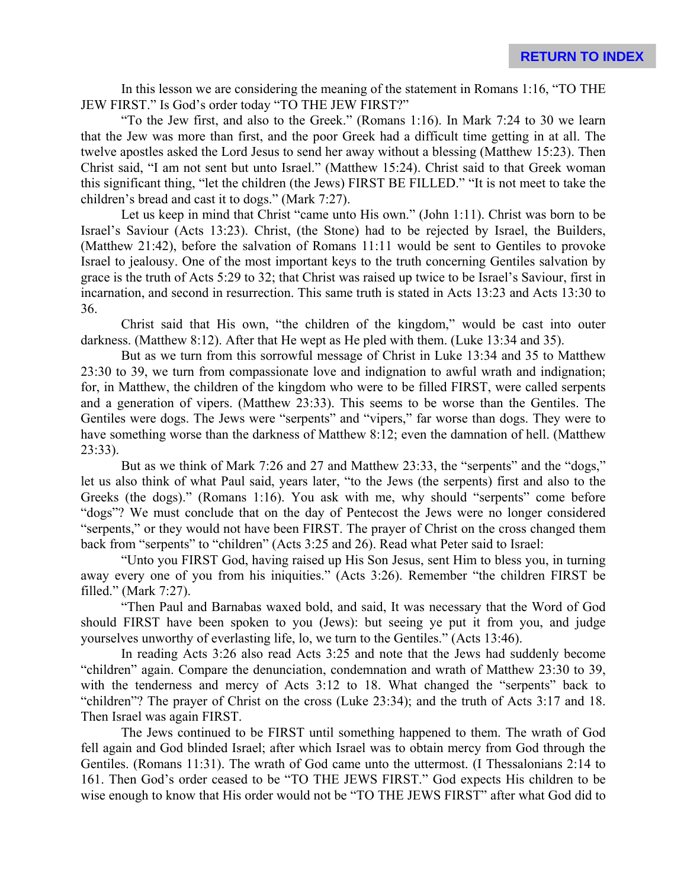In this lesson we are considering the meaning of the statement in Romans 1:16, "TO THE JEW FIRST." Is God's order today "TO THE JEW FIRST?"

"To the Jew first, and also to the Greek." (Romans 1:16). In Mark 7:24 to 30 we learn that the Jew was more than first, and the poor Greek had a difficult time getting in at all. The twelve apostles asked the Lord Jesus to send her away without a blessing (Matthew 15:23). Then Christ said, "I am not sent but unto Israel." (Matthew 15:24). Christ said to that Greek woman this significant thing, "let the children (the Jews) FIRST BE FILLED." "It is not meet to take the children's bread and cast it to dogs." (Mark 7:27).

Let us keep in mind that Christ "came unto His own." (John 1:11). Christ was born to be Israel's Saviour (Acts 13:23). Christ, (the Stone) had to be rejected by Israel, the Builders, (Matthew 21:42), before the salvation of Romans 11:11 would be sent to Gentiles to provoke Israel to jealousy. One of the most important keys to the truth concerning Gentiles salvation by grace is the truth of Acts 5:29 to 32; that Christ was raised up twice to be Israel's Saviour, first in incarnation, and second in resurrection. This same truth is stated in Acts 13:23 and Acts 13:30 to 36.

Christ said that His own, "the children of the kingdom," would be cast into outer darkness. (Matthew 8:12). After that He wept as He pled with them. (Luke 13:34 and 35).

But as we turn from this sorrowful message of Christ in Luke 13:34 and 35 to Matthew 23:30 to 39, we turn from compassionate love and indignation to awful wrath and indignation; for, in Matthew, the children of the kingdom who were to be filled FIRST, were called serpents and a generation of vipers. (Matthew 23:33). This seems to be worse than the Gentiles. The Gentiles were dogs. The Jews were "serpents" and "vipers," far worse than dogs. They were to have something worse than the darkness of Matthew 8:12; even the damnation of hell. (Matthew 23:33).

But as we think of Mark 7:26 and 27 and Matthew 23:33, the "serpents" and the "dogs," let us also think of what Paul said, years later, "to the Jews (the serpents) first and also to the Greeks (the dogs)." (Romans 1:16). You ask with me, why should "serpents" come before "dogs"? We must conclude that on the day of Pentecost the Jews were no longer considered "serpents," or they would not have been FIRST. The prayer of Christ on the cross changed them back from "serpents" to "children" (Acts 3:25 and 26). Read what Peter said to Israel:

"Unto you FIRST God, having raised up His Son Jesus, sent Him to bless you, in turning away every one of you from his iniquities." (Acts 3:26). Remember "the children FIRST be filled." (Mark 7:27).

"Then Paul and Barnabas waxed bold, and said, It was necessary that the Word of God should FIRST have been spoken to you (Jews): but seeing ye put it from you, and judge yourselves unworthy of everlasting life, lo, we turn to the Gentiles." (Acts 13:46).

In reading Acts 3:26 also read Acts 3:25 and note that the Jews had suddenly become "children" again. Compare the denunciation, condemnation and wrath of Matthew 23:30 to 39, with the tenderness and mercy of Acts 3:12 to 18. What changed the "serpents" back to "children"? The prayer of Christ on the cross (Luke 23:34); and the truth of Acts 3:17 and 18. Then Israel was again FIRST.

The Jews continued to be FIRST until something happened to them. The wrath of God fell again and God blinded Israel; after which Israel was to obtain mercy from God through the Gentiles. (Romans 11:31). The wrath of God came unto the uttermost. (I Thessalonians 2:14 to 161. Then God's order ceased to be "TO THE JEWS FIRST." God expects His children to be wise enough to know that His order would not be "TO THE JEWS FIRST" after what God did to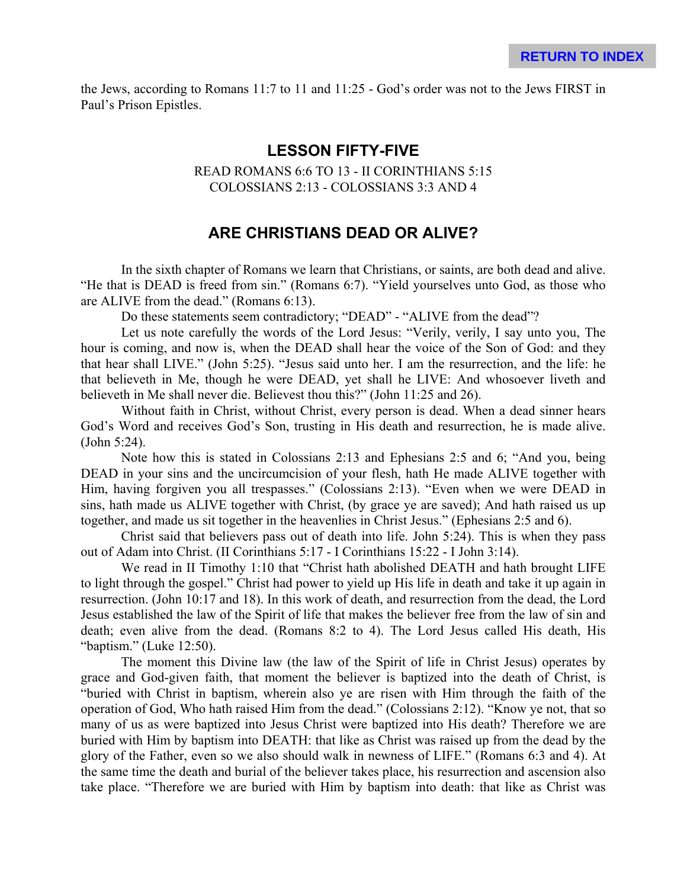the Jews, according to Romans 11:7 to 11 and 11:25 - God's order was not to the Jews FIRST in Paul's Prison Epistles.

## **LESSON FIFTY-FIVE**

READ ROMANS 6:6 TO 13 - II CORINTHIANS 5:15 COLOSSIANS 2:13 - COLOSSIANS 3:3 AND 4

## **ARE CHRISTIANS DEAD OR ALIVE?**

In the sixth chapter of Romans we learn that Christians, or saints, are both dead and alive. "He that is DEAD is freed from sin." (Romans 6:7). "Yield yourselves unto God, as those who are ALIVE from the dead." (Romans 6:13).

Do these statements seem contradictory; "DEAD" - "ALIVE from the dead"?

Let us note carefully the words of the Lord Jesus: "Verily, verily, I say unto you, The hour is coming, and now is, when the DEAD shall hear the voice of the Son of God: and they that hear shall LIVE." (John 5:25). "Jesus said unto her. I am the resurrection, and the life: he that believeth in Me, though he were DEAD, yet shall he LIVE: And whosoever liveth and believeth in Me shall never die. Believest thou this?" (John 11:25 and 26).

Without faith in Christ, without Christ, every person is dead. When a dead sinner hears God's Word and receives God's Son, trusting in His death and resurrection, he is made alive. (John 5:24).

Note how this is stated in Colossians 2:13 and Ephesians 2:5 and 6; "And you, being DEAD in your sins and the uncircumcision of your flesh, hath He made ALIVE together with Him, having forgiven you all trespasses." (Colossians 2:13). "Even when we were DEAD in sins, hath made us ALIVE together with Christ, (by grace ye are saved); And hath raised us up together, and made us sit together in the heavenlies in Christ Jesus." (Ephesians 2:5 and 6).

Christ said that believers pass out of death into life. John 5:24). This is when they pass out of Adam into Christ. (II Corinthians 5:17 - I Corinthians 15:22 - I John 3:14).

We read in II Timothy 1:10 that "Christ hath abolished DEATH and hath brought LIFE to light through the gospel." Christ had power to yield up His life in death and take it up again in resurrection. (John 10:17 and 18). In this work of death, and resurrection from the dead, the Lord Jesus established the law of the Spirit of life that makes the believer free from the law of sin and death; even alive from the dead. (Romans 8:2 to 4). The Lord Jesus called His death, His "baptism." (Luke 12:50).

The moment this Divine law (the law of the Spirit of life in Christ Jesus) operates by grace and God-given faith, that moment the believer is baptized into the death of Christ, is "buried with Christ in baptism, wherein also ye are risen with Him through the faith of the operation of God, Who hath raised Him from the dead." (Colossians 2:12). "Know ye not, that so many of us as were baptized into Jesus Christ were baptized into His death? Therefore we are buried with Him by baptism into DEATH: that like as Christ was raised up from the dead by the glory of the Father, even so we also should walk in newness of LIFE." (Romans 6:3 and 4). At the same time the death and burial of the believer takes place, his resurrection and ascension also take place. "Therefore we are buried with Him by baptism into death: that like as Christ was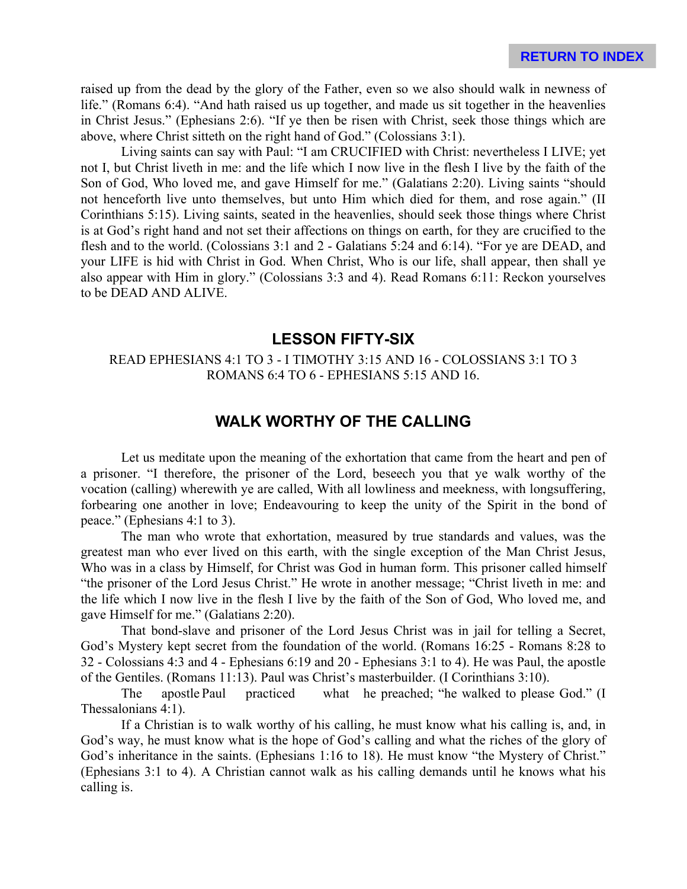raised up from the dead by the glory of the Father, even so we also should walk in newness of life." (Romans 6:4). "And hath raised us up together, and made us sit together in the heavenlies in Christ Jesus." (Ephesians 2:6). "If ye then be risen with Christ, seek those things which are above, where Christ sitteth on the right hand of God." (Colossians 3:1).

Living saints can say with Paul: "I am CRUCIFIED with Christ: nevertheless I LIVE; yet not I, but Christ liveth in me: and the life which I now live in the flesh I live by the faith of the Son of God, Who loved me, and gave Himself for me." (Galatians 2:20). Living saints "should not henceforth live unto themselves, but unto Him which died for them, and rose again." (II Corinthians 5:15). Living saints, seated in the heavenlies, should seek those things where Christ is at God's right hand and not set their affections on things on earth, for they are crucified to the flesh and to the world. (Colossians 3:1 and 2 - Galatians 5:24 and 6:14). "For ye are DEAD, and your LIFE is hid with Christ in God. When Christ, Who is our life, shall appear, then shall ye also appear with Him in glory." (Colossians 3:3 and 4). Read Romans 6:11: Reckon yourselves to be DEAD AND ALIVE.

### **LESSON FIFTY-SIX**

#### READ EPHESIANS 4:1 TO 3 - I TIMOTHY 3:15 AND 16 - COLOSSIANS 3:1 TO 3 ROMANS 6:4 TO 6 - EPHESIANS 5:15 AND 16.

## **WALK WORTHY OF THE CALLING**

Let us meditate upon the meaning of the exhortation that came from the heart and pen of a prisoner. "I therefore, the prisoner of the Lord, beseech you that ye walk worthy of the vocation (calling) wherewith ye are called, With all lowliness and meekness, with longsuffering, forbearing one another in love; Endeavouring to keep the unity of the Spirit in the bond of peace." (Ephesians 4:1 to 3).

The man who wrote that exhortation, measured by true standards and values, was the greatest man who ever lived on this earth, with the single exception of the Man Christ Jesus, Who was in a class by Himself, for Christ was God in human form. This prisoner called himself "the prisoner of the Lord Jesus Christ." He wrote in another message; "Christ liveth in me: and the life which I now live in the flesh I live by the faith of the Son of God, Who loved me, and gave Himself for me." (Galatians 2:20).

That bond-slave and prisoner of the Lord Jesus Christ was in jail for telling a Secret, God's Mystery kept secret from the foundation of the world. (Romans 16:25 - Romans 8:28 to 32 - Colossians 4:3 and 4 - Ephesians 6:19 and 20 - Ephesians 3:1 to 4). He was Paul, the apostle of the Gentiles. (Romans 11:13). Paul was Christ's masterbuilder. (I Corinthians 3:10).

The apostle Paul practiced what he preached; "he walked to please God." (I Thessalonians 4:1).

If a Christian is to walk worthy of his calling, he must know what his calling is, and, in God's way, he must know what is the hope of God's calling and what the riches of the glory of God's inheritance in the saints. (Ephesians 1:16 to 18). He must know "the Mystery of Christ." (Ephesians 3:1 to 4). A Christian cannot walk as his calling demands until he knows what his calling is.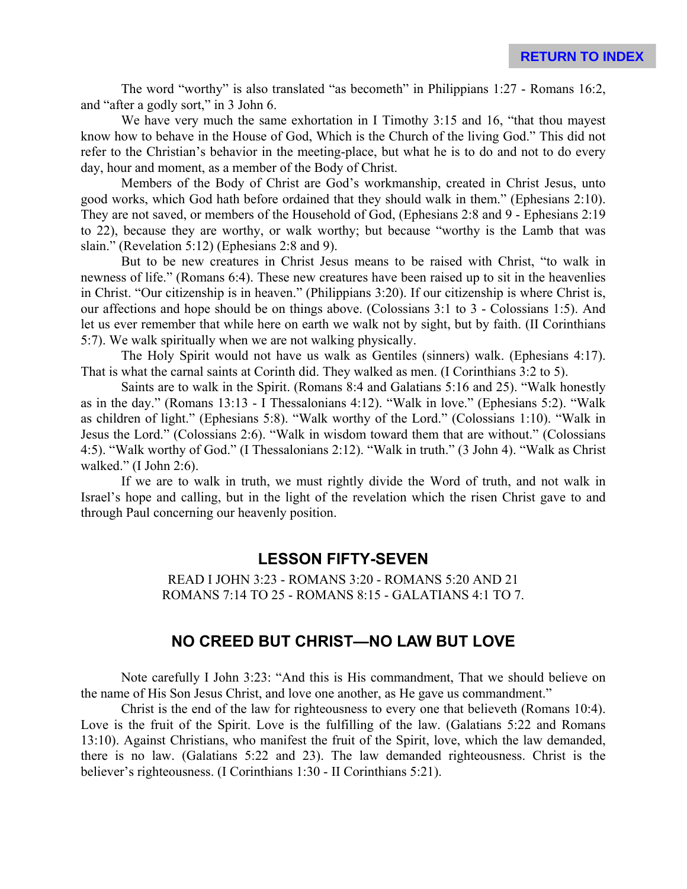The word "worthy" is also translated "as becometh" in Philippians 1:27 - Romans 16:2, and "after a godly sort," in 3 John 6.

We have very much the same exhortation in I Timothy 3:15 and 16, "that thou may est" know how to behave in the House of God, Which is the Church of the living God." This did not refer to the Christian's behavior in the meeting-place, but what he is to do and not to do every day, hour and moment, as a member of the Body of Christ.

Members of the Body of Christ are God's workmanship, created in Christ Jesus, unto good works, which God hath before ordained that they should walk in them." (Ephesians 2:10). They are not saved, or members of the Household of God, (Ephesians 2:8 and 9 - Ephesians 2:19 to 22), because they are worthy, or walk worthy; but because "worthy is the Lamb that was slain." (Revelation 5:12) (Ephesians 2:8 and 9).

But to be new creatures in Christ Jesus means to be raised with Christ, "to walk in newness of life." (Romans 6:4). These new creatures have been raised up to sit in the heavenlies in Christ. "Our citizenship is in heaven." (Philippians 3:20). If our citizenship is where Christ is, our affections and hope should be on things above. (Colossians 3:1 to 3 - Colossians 1:5). And let us ever remember that while here on earth we walk not by sight, but by faith. (II Corinthians 5:7). We walk spiritually when we are not walking physically.

The Holy Spirit would not have us walk as Gentiles (sinners) walk. (Ephesians 4:17). That is what the carnal saints at Corinth did. They walked as men. (I Corinthians 3:2 to 5).

Saints are to walk in the Spirit. (Romans 8:4 and Galatians 5:16 and 25). "Walk honestly as in the day." (Romans 13:13 - I Thessalonians 4:12). "Walk in love." (Ephesians 5:2). "Walk as children of light." (Ephesians 5:8). "Walk worthy of the Lord." (Colossians 1:10). "Walk in Jesus the Lord." (Colossians 2:6). "Walk in wisdom toward them that are without." (Colossians 4:5). "Walk worthy of God." (I Thessalonians 2:12). "Walk in truth." (3 John 4). "Walk as Christ walked." (I John 2:6).

If we are to walk in truth, we must rightly divide the Word of truth, and not walk in Israel's hope and calling, but in the light of the revelation which the risen Christ gave to and through Paul concerning our heavenly position.

## **LESSON FIFTY-SEVEN**

READ I JOHN 3:23 - ROMANS 3:20 - ROMANS 5:20 AND 21 ROMANS 7:14 TO 25 - ROMANS 8:15 - GALATIANS 4:1 TO 7.

## **NO CREED BUT CHRIST—NO LAW BUT LOVE**

Note carefully I John 3:23: "And this is His commandment, That we should believe on the name of His Son Jesus Christ, and love one another, as He gave us commandment."

Christ is the end of the law for righteousness to every one that believeth (Romans 10:4). Love is the fruit of the Spirit. Love is the fulfilling of the law. (Galatians 5:22 and Romans 13:10). Against Christians, who manifest the fruit of the Spirit, love, which the law demanded, there is no law. (Galatians 5:22 and 23). The law demanded righteousness. Christ is the believer's righteousness. (I Corinthians 1:30 - II Corinthians 5:21).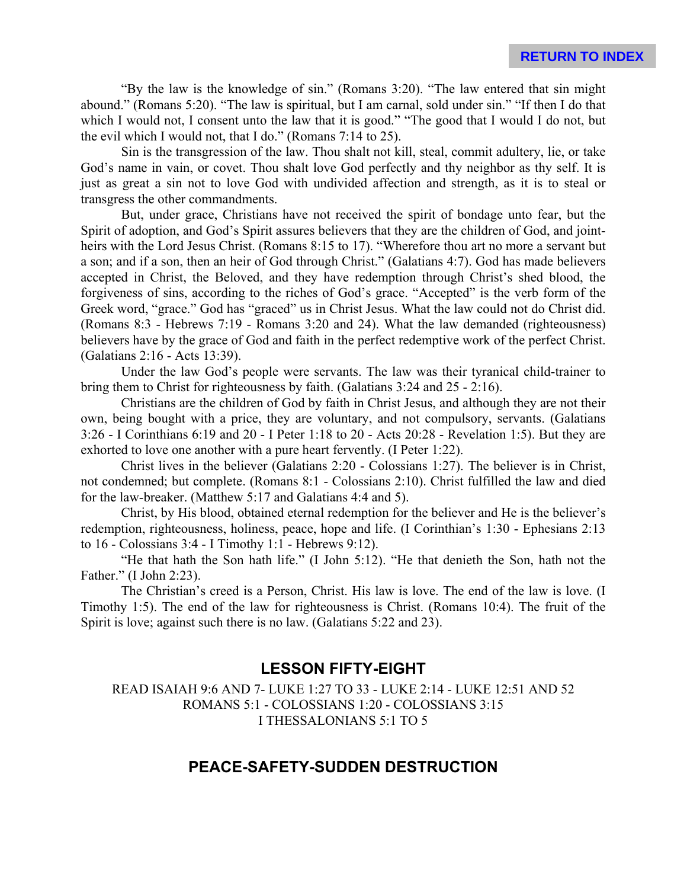"By the law is the knowledge of sin." (Romans 3:20). "The law entered that sin might abound." (Romans 5:20). "The law is spiritual, but I am carnal, sold under sin." "If then I do that which I would not, I consent unto the law that it is good." "The good that I would I do not, but the evil which I would not, that I do." (Romans 7:14 to 25).

Sin is the transgression of the law. Thou shalt not kill, steal, commit adultery, lie, or take God's name in vain, or covet. Thou shalt love God perfectly and thy neighbor as thy self. It is just as great a sin not to love God with undivided affection and strength, as it is to steal or transgress the other commandments.

But, under grace, Christians have not received the spirit of bondage unto fear, but the Spirit of adoption, and God's Spirit assures believers that they are the children of God, and jointheirs with the Lord Jesus Christ. (Romans 8:15 to 17). "Wherefore thou art no more a servant but a son; and if a son, then an heir of God through Christ." (Galatians 4:7). God has made believers accepted in Christ, the Beloved, and they have redemption through Christ's shed blood, the forgiveness of sins, according to the riches of God's grace. "Accepted" is the verb form of the Greek word, "grace." God has "graced" us in Christ Jesus. What the law could not do Christ did. (Romans 8:3 - Hebrews 7:19 - Romans 3:20 and 24). What the law demanded (righteousness) believers have by the grace of God and faith in the perfect redemptive work of the perfect Christ. (Galatians 2:16 - Acts 13:39).

Under the law God's people were servants. The law was their tyranical child-trainer to bring them to Christ for righteousness by faith. (Galatians 3:24 and 25 - 2:16).

Christians are the children of God by faith in Christ Jesus, and although they are not their own, being bought with a price, they are voluntary, and not compulsory, servants. (Galatians 3:26 - I Corinthians 6:19 and 20 - I Peter 1:18 to 20 - Acts 20:28 - Revelation 1:5). But they are exhorted to love one another with a pure heart fervently. (I Peter 1:22).

Christ lives in the believer (Galatians 2:20 - Colossians 1:27). The believer is in Christ, not condemned; but complete. (Romans 8:1 - Colossians 2:10). Christ fulfilled the law and died for the law-breaker. (Matthew 5:17 and Galatians 4:4 and 5).

Christ, by His blood, obtained eternal redemption for the believer and He is the believer's redemption, righteousness, holiness, peace, hope and life. (I Corinthian's 1:30 - Ephesians 2:13 to 16 - Colossians 3:4 - I Timothy 1:1 - Hebrews 9:12).

"He that hath the Son hath life." (I John 5:12). "He that denieth the Son, hath not the Father." (I John 2:23).

The Christian's creed is a Person, Christ. His law is love. The end of the law is love. (I Timothy 1:5). The end of the law for righteousness is Christ. (Romans 10:4). The fruit of the Spirit is love; against such there is no law. (Galatians 5:22 and 23).

## **LESSON FIFTY-EIGHT**

READ ISAIAH 9:6 AND 7- LUKE 1:27 TO 33 - LUKE 2:14 - LUKE 12:51 AND 52 ROMANS 5:1 - COLOSSIANS 1:20 - COLOSSIANS 3:15 I THESSALONIANS 5:1 TO 5

## **PEACE-SAFETY-SUDDEN DESTRUCTION**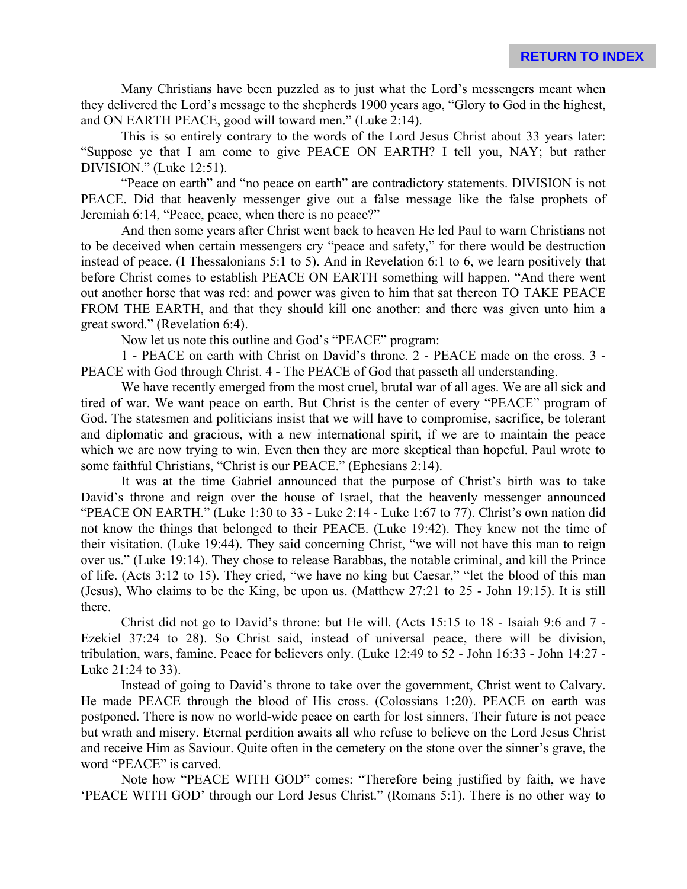Many Christians have been puzzled as to just what the Lord's messengers meant when they delivered the Lord's message to the shepherds 1900 years ago, "Glory to God in the highest, and ON EARTH PEACE, good will toward men." (Luke 2:14).

This is so entirely contrary to the words of the Lord Jesus Christ about 33 years later: "Suppose ye that I am come to give PEACE ON EARTH? I tell you, NAY; but rather DIVISION." (Luke 12:51).

"Peace on earth" and "no peace on earth" are contradictory statements. DIVISION is not PEACE. Did that heavenly messenger give out a false message like the false prophets of Jeremiah 6:14, "Peace, peace, when there is no peace?"

And then some years after Christ went back to heaven He led Paul to warn Christians not to be deceived when certain messengers cry "peace and safety," for there would be destruction instead of peace. (I Thessalonians 5:1 to 5). And in Revelation 6:1 to 6, we learn positively that before Christ comes to establish PEACE ON EARTH something will happen. "And there went out another horse that was red: and power was given to him that sat thereon TO TAKE PEACE FROM THE EARTH, and that they should kill one another: and there was given unto him a great sword." (Revelation 6:4).

Now let us note this outline and God's "PEACE" program:

1 - PEACE on earth with Christ on David's throne. 2 - PEACE made on the cross. 3 - PEACE with God through Christ. 4 - The PEACE of God that passeth all understanding.

We have recently emerged from the most cruel, brutal war of all ages. We are all sick and tired of war. We want peace on earth. But Christ is the center of every "PEACE" program of God. The statesmen and politicians insist that we will have to compromise, sacrifice, be tolerant and diplomatic and gracious, with a new international spirit, if we are to maintain the peace which we are now trying to win. Even then they are more skeptical than hopeful. Paul wrote to some faithful Christians, "Christ is our PEACE." (Ephesians 2:14).

It was at the time Gabriel announced that the purpose of Christ's birth was to take David's throne and reign over the house of Israel, that the heavenly messenger announced "PEACE ON EARTH." (Luke 1:30 to 33 - Luke 2:14 - Luke 1:67 to 77). Christ's own nation did not know the things that belonged to their PEACE. (Luke 19:42). They knew not the time of their visitation. (Luke 19:44). They said concerning Christ, "we will not have this man to reign over us." (Luke 19:14). They chose to release Barabbas, the notable criminal, and kill the Prince of life. (Acts 3:12 to 15). They cried, "we have no king but Caesar," "let the blood of this man (Jesus), Who claims to be the King, be upon us. (Matthew 27:21 to 25 - John 19:15). It is still there.

Christ did not go to David's throne: but He will. (Acts 15:15 to 18 - Isaiah 9:6 and 7 - Ezekiel 37:24 to 28). So Christ said, instead of universal peace, there will be division, tribulation, wars, famine. Peace for believers only. (Luke 12:49 to 52 - John 16:33 - John 14:27 - Luke 21:24 to 33).

Instead of going to David's throne to take over the government, Christ went to Calvary. He made PEACE through the blood of His cross. (Colossians 1:20). PEACE on earth was postponed. There is now no world-wide peace on earth for lost sinners, Their future is not peace but wrath and misery. Eternal perdition awaits all who refuse to believe on the Lord Jesus Christ and receive Him as Saviour. Quite often in the cemetery on the stone over the sinner's grave, the word "PEACE" is carved.

Note how "PEACE WITH GOD" comes: "Therefore being justified by faith, we have 'PEACE WITH GOD' through our Lord Jesus Christ." (Romans 5:1). There is no other way to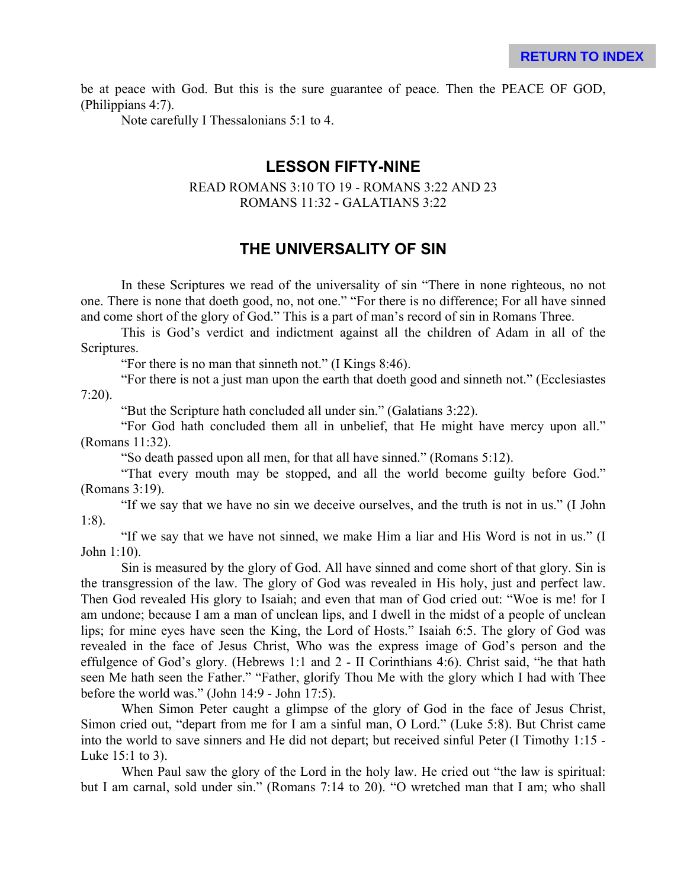be at peace with God. But this is the sure guarantee of peace. Then the PEACE OF GOD, (Philippians 4:7).

Note carefully I Thessalonians 5:1 to 4.

#### **LESSON FIFTY-NINE**

#### READ ROMANS 3:10 TO 19 - ROMANS 3:22 AND 23 ROMANS 11:32 - GALATIANS 3:22

# **THE UNIVERSALITY OF SIN**

In these Scriptures we read of the universality of sin "There in none righteous, no not one. There is none that doeth good, no, not one." "For there is no difference; For all have sinned and come short of the glory of God." This is a part of man's record of sin in Romans Three.

This is God's verdict and indictment against all the children of Adam in all of the Scriptures.

"For there is no man that sinneth not." (I Kings 8:46).

"For there is not a just man upon the earth that doeth good and sinneth not." (Ecclesiastes 7:20).

"But the Scripture hath concluded all under sin." (Galatians 3:22).

"For God hath concluded them all in unbelief, that He might have mercy upon all." (Romans 11:32).

"So death passed upon all men, for that all have sinned." (Romans 5:12).

"That every mouth may be stopped, and all the world become guilty before God." (Romans 3:19).

"If we say that we have no sin we deceive ourselves, and the truth is not in us." (I John 1:8).

"If we say that we have not sinned, we make Him a liar and His Word is not in us." (I John 1:10).

Sin is measured by the glory of God. All have sinned and come short of that glory. Sin is the transgression of the law. The glory of God was revealed in His holy, just and perfect law. Then God revealed His glory to Isaiah; and even that man of God cried out: "Woe is me! for I am undone; because I am a man of unclean lips, and I dwell in the midst of a people of unclean lips; for mine eyes have seen the King, the Lord of Hosts." Isaiah 6:5. The glory of God was revealed in the face of Jesus Christ, Who was the express image of God's person and the effulgence of God's glory. (Hebrews 1:1 and 2 - II Corinthians 4:6). Christ said, "he that hath seen Me hath seen the Father." "Father, glorify Thou Me with the glory which I had with Thee before the world was." (John 14:9 - John 17:5).

When Simon Peter caught a glimpse of the glory of God in the face of Jesus Christ, Simon cried out, "depart from me for I am a sinful man, O Lord." (Luke 5:8). But Christ came into the world to save sinners and He did not depart; but received sinful Peter (I Timothy 1:15 - Luke 15:1 to 3).

When Paul saw the glory of the Lord in the holy law. He cried out "the law is spiritual: but I am carnal, sold under sin." (Romans 7:14 to 20). "O wretched man that I am; who shall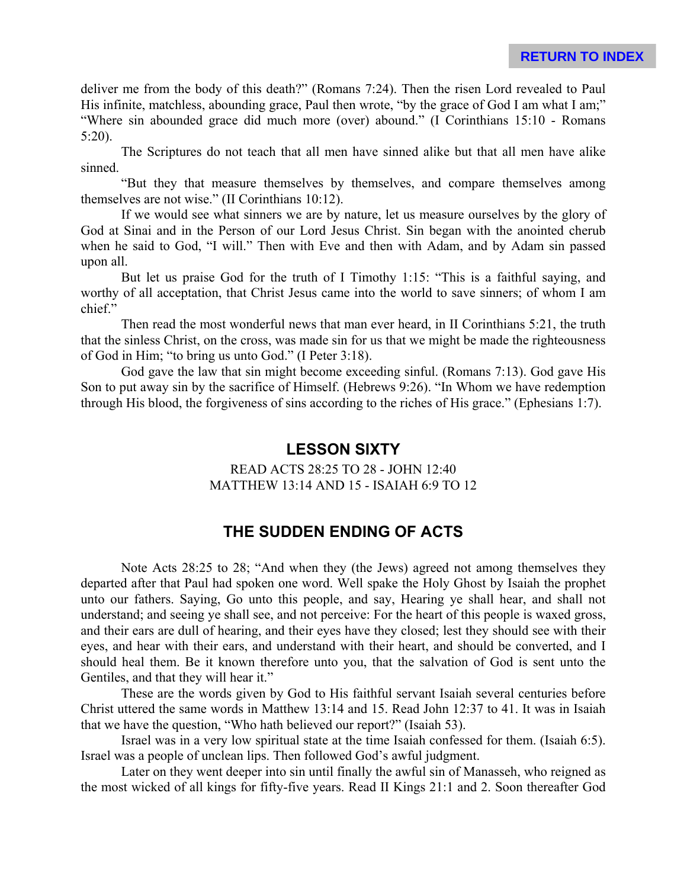deliver me from the body of this death?" (Romans 7:24). Then the risen Lord revealed to Paul His infinite, matchless, abounding grace, Paul then wrote, "by the grace of God I am what I am;" "Where sin abounded grace did much more (over) abound." (I Corinthians 15:10 - Romans 5:20).

The Scriptures do not teach that all men have sinned alike but that all men have alike sinned.

"But they that measure themselves by themselves, and compare themselves among themselves are not wise." (II Corinthians 10:12).

If we would see what sinners we are by nature, let us measure ourselves by the glory of God at Sinai and in the Person of our Lord Jesus Christ. Sin began with the anointed cherub when he said to God, "I will." Then with Eve and then with Adam, and by Adam sin passed upon all.

But let us praise God for the truth of I Timothy 1:15: "This is a faithful saying, and worthy of all acceptation, that Christ Jesus came into the world to save sinners; of whom I am chief."

Then read the most wonderful news that man ever heard, in II Corinthians 5:21, the truth that the sinless Christ, on the cross, was made sin for us that we might be made the righteousness of God in Him; "to bring us unto God." (I Peter 3:18).

God gave the law that sin might become exceeding sinful. (Romans 7:13). God gave His Son to put away sin by the sacrifice of Himself. (Hebrews 9:26). "In Whom we have redemption through His blood, the forgiveness of sins according to the riches of His grace." (Ephesians 1:7).

## **LESSON SIXTY**

READ ACTS 28:25 TO 28 - JOHN 12:40 MATTHEW 13:14 AND 15 - ISAIAH 6:9 TO 12

# **THE SUDDEN ENDING OF ACTS**

Note Acts 28:25 to 28; "And when they (the Jews) agreed not among themselves they departed after that Paul had spoken one word. Well spake the Holy Ghost by Isaiah the prophet unto our fathers. Saying, Go unto this people, and say, Hearing ye shall hear, and shall not understand; and seeing ye shall see, and not perceive: For the heart of this people is waxed gross, and their ears are dull of hearing, and their eyes have they closed; lest they should see with their eyes, and hear with their ears, and understand with their heart, and should be converted, and I should heal them. Be it known therefore unto you, that the salvation of God is sent unto the Gentiles, and that they will hear it."

These are the words given by God to His faithful servant Isaiah several centuries before Christ uttered the same words in Matthew 13:14 and 15. Read John 12:37 to 41. It was in Isaiah that we have the question, "Who hath believed our report?" (Isaiah 53).

Israel was in a very low spiritual state at the time Isaiah confessed for them. (Isaiah 6:5). Israel was a people of unclean lips. Then followed God's awful judgment.

Later on they went deeper into sin until finally the awful sin of Manasseh, who reigned as the most wicked of all kings for fifty-five years. Read II Kings 21:1 and 2. Soon thereafter God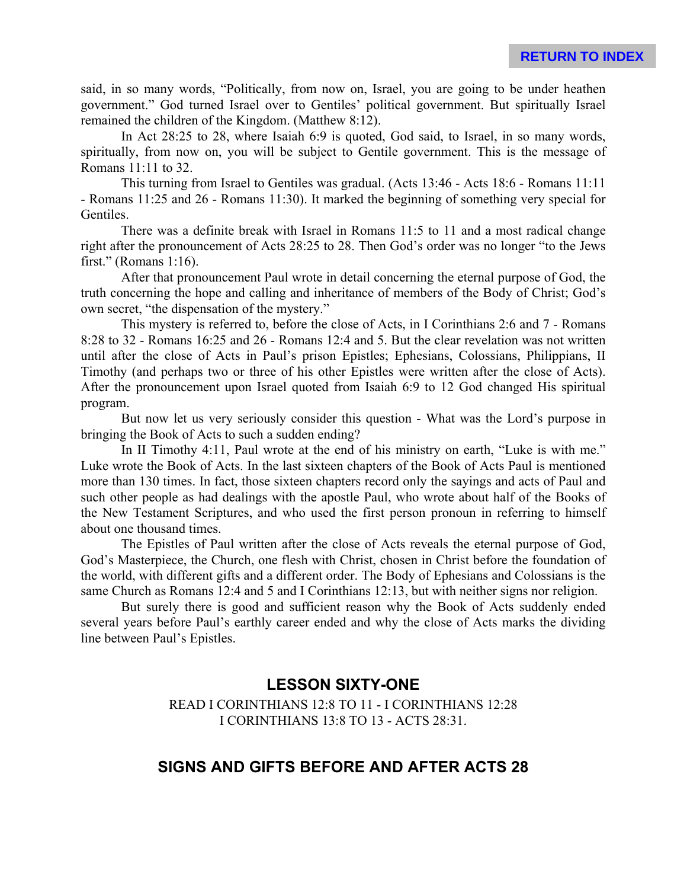said, in so many words, "Politically, from now on, Israel, you are going to be under heathen government." God turned Israel over to Gentiles' political government. But spiritually Israel remained the children of the Kingdom. (Matthew 8:12).

In Act 28:25 to 28, where Isaiah 6:9 is quoted, God said, to Israel, in so many words, spiritually, from now on, you will be subject to Gentile government. This is the message of Romans 11:11 to 32.

This turning from Israel to Gentiles was gradual. (Acts 13:46 - Acts 18:6 - Romans 11:11 - Romans 11:25 and 26 - Romans 11:30). It marked the beginning of something very special for **Gentiles** 

There was a definite break with Israel in Romans 11:5 to 11 and a most radical change right after the pronouncement of Acts 28:25 to 28. Then God's order was no longer "to the Jews first." (Romans 1:16).

After that pronouncement Paul wrote in detail concerning the eternal purpose of God, the truth concerning the hope and calling and inheritance of members of the Body of Christ; God's own secret, "the dispensation of the mystery."

This mystery is referred to, before the close of Acts, in I Corinthians 2:6 and 7 - Romans 8:28 to 32 - Romans 16:25 and 26 - Romans 12:4 and 5. But the clear revelation was not written until after the close of Acts in Paul's prison Epistles; Ephesians, Colossians, Philippians, II Timothy (and perhaps two or three of his other Epistles were written after the close of Acts). After the pronouncement upon Israel quoted from Isaiah 6:9 to 12 God changed His spiritual program.

But now let us very seriously consider this question - What was the Lord's purpose in bringing the Book of Acts to such a sudden ending?

In II Timothy 4:11, Paul wrote at the end of his ministry on earth, "Luke is with me." Luke wrote the Book of Acts. In the last sixteen chapters of the Book of Acts Paul is mentioned more than 130 times. In fact, those sixteen chapters record only the sayings and acts of Paul and such other people as had dealings with the apostle Paul, who wrote about half of the Books of the New Testament Scriptures, and who used the first person pronoun in referring to himself about one thousand times.

The Epistles of Paul written after the close of Acts reveals the eternal purpose of God, God's Masterpiece, the Church, one flesh with Christ, chosen in Christ before the foundation of the world, with different gifts and a different order. The Body of Ephesians and Colossians is the same Church as Romans 12:4 and 5 and I Corinthians 12:13, but with neither signs nor religion.

But surely there is good and sufficient reason why the Book of Acts suddenly ended several years before Paul's earthly career ended and why the close of Acts marks the dividing line between Paul's Epistles.

# **LESSON SIXTY-ONE**

READ I CORINTHIANS 12:8 TO 11 - I CORINTHIANS 12:28 I CORINTHIANS 13:8 TO 13 - ACTS 28:31.

## **SIGNS AND GIFTS BEFORE AND AFTER ACTS 28**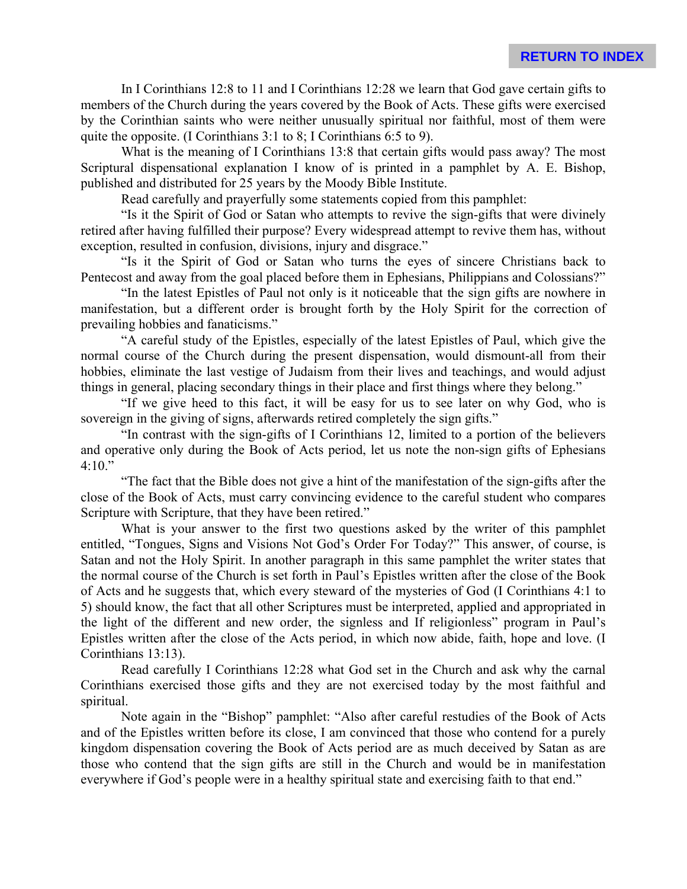In I Corinthians 12:8 to 11 and I Corinthians 12:28 we learn that God gave certain gifts to members of the Church during the years covered by the Book of Acts. These gifts were exercised by the Corinthian saints who were neither unusually spiritual nor faithful, most of them were quite the opposite. (I Corinthians 3:1 to 8; I Corinthians 6:5 to 9).

What is the meaning of I Corinthians 13:8 that certain gifts would pass away? The most Scriptural dispensational explanation I know of is printed in a pamphlet by A. E. Bishop, published and distributed for 25 years by the Moody Bible Institute.

Read carefully and prayerfully some statements copied from this pamphlet:

"Is it the Spirit of God or Satan who attempts to revive the sign-gifts that were divinely retired after having fulfilled their purpose? Every widespread attempt to revive them has, without exception, resulted in confusion, divisions, injury and disgrace."

"Is it the Spirit of God or Satan who turns the eyes of sincere Christians back to Pentecost and away from the goal placed before them in Ephesians, Philippians and Colossians?"

"In the latest Epistles of Paul not only is it noticeable that the sign gifts are nowhere in manifestation, but a different order is brought forth by the Holy Spirit for the correction of prevailing hobbies and fanaticisms."

"A careful study of the Epistles, especially of the latest Epistles of Paul, which give the normal course of the Church during the present dispensation, would dismount-all from their hobbies, eliminate the last vestige of Judaism from their lives and teachings, and would adjust things in general, placing secondary things in their place and first things where they belong."

"If we give heed to this fact, it will be easy for us to see later on why God, who is sovereign in the giving of signs, afterwards retired completely the sign gifts."

"In contrast with the sign-gifts of I Corinthians 12, limited to a portion of the believers and operative only during the Book of Acts period, let us note the non-sign gifts of Ephesians  $4:10.$ "

"The fact that the Bible does not give a hint of the manifestation of the sign-gifts after the close of the Book of Acts, must carry convincing evidence to the careful student who compares Scripture with Scripture, that they have been retired."

What is your answer to the first two questions asked by the writer of this pamphlet entitled, "Tongues, Signs and Visions Not God's Order For Today?" This answer, of course, is Satan and not the Holy Spirit. In another paragraph in this same pamphlet the writer states that the normal course of the Church is set forth in Paul's Epistles written after the close of the Book of Acts and he suggests that, which every steward of the mysteries of God (I Corinthians 4:1 to 5) should know, the fact that all other Scriptures must be interpreted, applied and appropriated in the light of the different and new order, the signless and If religionless" program in Paul's Epistles written after the close of the Acts period, in which now abide, faith, hope and love. (I Corinthians 13:13).

Read carefully I Corinthians 12:28 what God set in the Church and ask why the carnal Corinthians exercised those gifts and they are not exercised today by the most faithful and spiritual.

Note again in the "Bishop" pamphlet: "Also after careful restudies of the Book of Acts and of the Epistles written before its close, I am convinced that those who contend for a purely kingdom dispensation covering the Book of Acts period are as much deceived by Satan as are those who contend that the sign gifts are still in the Church and would be in manifestation everywhere if God's people were in a healthy spiritual state and exercising faith to that end."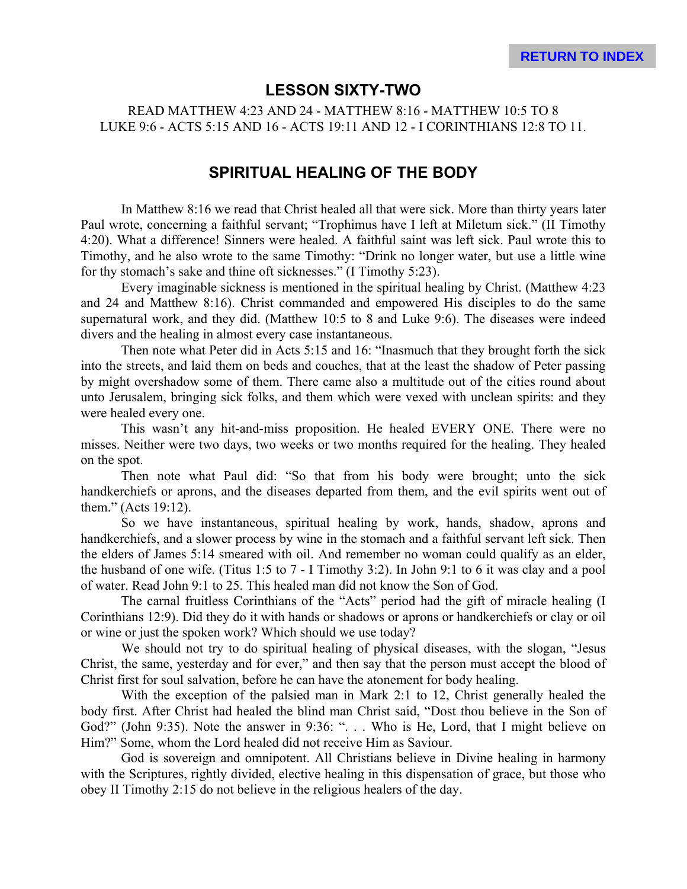#### **LESSON SIXTY-TWO**

READ MATTHEW 4:23 AND 24 - MATTHEW 8:16 - MATTHEW 10:5 TO 8 LUKE 9:6 - ACTS 5:15 AND 16 - ACTS 19:11 AND 12 - I CORINTHIANS 12:8 TO 11.

#### **SPIRITUAL HEALING OF THE BODY**

In Matthew 8:16 we read that Christ healed all that were sick. More than thirty years later Paul wrote, concerning a faithful servant; "Trophimus have I left at Miletum sick." (II Timothy 4:20). What a difference! Sinners were healed. A faithful saint was left sick. Paul wrote this to Timothy, and he also wrote to the same Timothy: "Drink no longer water, but use a little wine for thy stomach's sake and thine oft sicknesses." (I Timothy 5:23).

Every imaginable sickness is mentioned in the spiritual healing by Christ. (Matthew 4:23 and 24 and Matthew 8:16). Christ commanded and empowered His disciples to do the same supernatural work, and they did. (Matthew 10:5 to 8 and Luke 9:6). The diseases were indeed divers and the healing in almost every case instantaneous.

Then note what Peter did in Acts 5:15 and 16: "Inasmuch that they brought forth the sick into the streets, and laid them on beds and couches, that at the least the shadow of Peter passing by might overshadow some of them. There came also a multitude out of the cities round about unto Jerusalem, bringing sick folks, and them which were vexed with unclean spirits: and they were healed every one.

This wasn't any hit-and-miss proposition. He healed EVERY ONE. There were no misses. Neither were two days, two weeks or two months required for the healing. They healed on the spot.

Then note what Paul did: "So that from his body were brought; unto the sick handkerchiefs or aprons, and the diseases departed from them, and the evil spirits went out of them." (Acts 19:12).

So we have instantaneous, spiritual healing by work, hands, shadow, aprons and handkerchiefs, and a slower process by wine in the stomach and a faithful servant left sick. Then the elders of James 5:14 smeared with oil. And remember no woman could qualify as an elder, the husband of one wife. (Titus 1:5 to 7 - I Timothy 3:2). In John 9:1 to 6 it was clay and a pool of water. Read John 9:1 to 25. This healed man did not know the Son of God.

The carnal fruitless Corinthians of the "Acts" period had the gift of miracle healing (I Corinthians 12:9). Did they do it with hands or shadows or aprons or handkerchiefs or clay or oil or wine or just the spoken work? Which should we use today?

We should not try to do spiritual healing of physical diseases, with the slogan, "Jesus Christ, the same, yesterday and for ever," and then say that the person must accept the blood of Christ first for soul salvation, before he can have the atonement for body healing.

With the exception of the palsied man in Mark 2:1 to 12, Christ generally healed the body first. After Christ had healed the blind man Christ said, "Dost thou believe in the Son of God?" (John 9:35). Note the answer in 9:36: ". . . Who is He, Lord, that I might believe on Him?" Some, whom the Lord healed did not receive Him as Saviour.

God is sovereign and omnipotent. All Christians believe in Divine healing in harmony with the Scriptures, rightly divided, elective healing in this dispensation of grace, but those who obey II Timothy 2:15 do not believe in the religious healers of the day.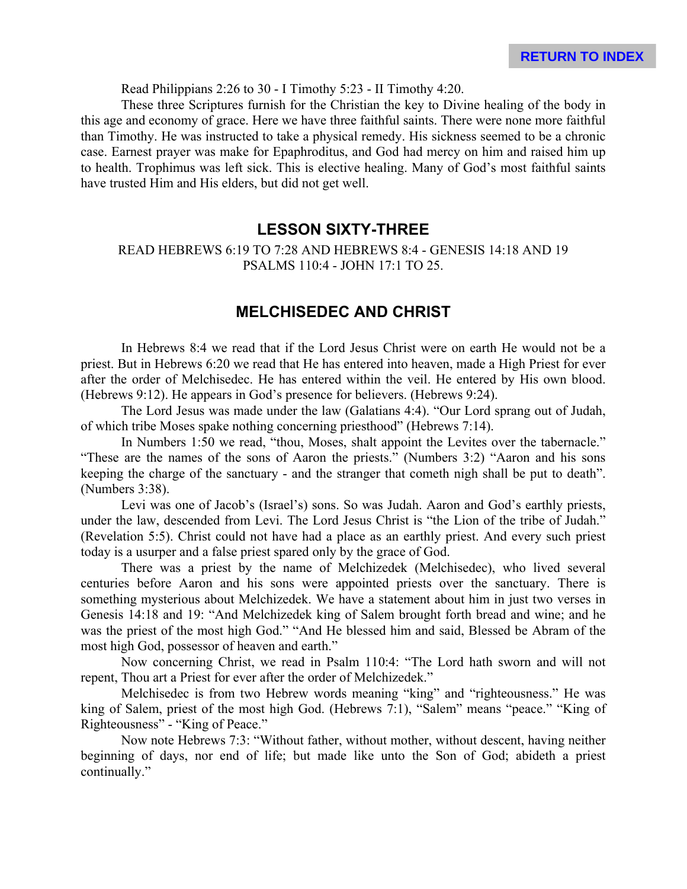Read Philippians 2:26 to 30 - I Timothy 5:23 - II Timothy 4:20.

These three Scriptures furnish for the Christian the key to Divine healing of the body in this age and economy of grace. Here we have three faithful saints. There were none more faithful than Timothy. He was instructed to take a physical remedy. His sickness seemed to be a chronic case. Earnest prayer was make for Epaphroditus, and God had mercy on him and raised him up to health. Trophimus was left sick. This is elective healing. Many of God's most faithful saints have trusted Him and His elders, but did not get well.

#### **LESSON SIXTY-THREE**

READ HEBREWS 6:19 TO 7:28 AND HEBREWS 8:4 - GENESIS 14:18 AND 19 PSALMS 110:4 - JOHN 17:1 TO 25.

#### **MELCHISEDEC AND CHRIST**

In Hebrews 8:4 we read that if the Lord Jesus Christ were on earth He would not be a priest. But in Hebrews 6:20 we read that He has entered into heaven, made a High Priest for ever after the order of Melchisedec. He has entered within the veil. He entered by His own blood. (Hebrews 9:12). He appears in God's presence for believers. (Hebrews 9:24).

The Lord Jesus was made under the law (Galatians 4:4). "Our Lord sprang out of Judah, of which tribe Moses spake nothing concerning priesthood" (Hebrews 7:14).

In Numbers 1:50 we read, "thou, Moses, shalt appoint the Levites over the tabernacle." "These are the names of the sons of Aaron the priests." (Numbers 3:2) "Aaron and his sons keeping the charge of the sanctuary - and the stranger that cometh nigh shall be put to death". (Numbers 3:38).

Levi was one of Jacob's (Israel's) sons. So was Judah. Aaron and God's earthly priests, under the law, descended from Levi. The Lord Jesus Christ is "the Lion of the tribe of Judah." (Revelation 5:5). Christ could not have had a place as an earthly priest. And every such priest today is a usurper and a false priest spared only by the grace of God.

There was a priest by the name of Melchizedek (Melchisedec), who lived several centuries before Aaron and his sons were appointed priests over the sanctuary. There is something mysterious about Melchizedek. We have a statement about him in just two verses in Genesis 14:18 and 19: "And Melchizedek king of Salem brought forth bread and wine; and he was the priest of the most high God." "And He blessed him and said, Blessed be Abram of the most high God, possessor of heaven and earth."

Now concerning Christ, we read in Psalm 110:4: "The Lord hath sworn and will not repent, Thou art a Priest for ever after the order of Melchizedek."

Melchisedec is from two Hebrew words meaning "king" and "righteousness." He was king of Salem, priest of the most high God. (Hebrews 7:1), "Salem" means "peace." "King of Righteousness" - "King of Peace."

Now note Hebrews 7:3: "Without father, without mother, without descent, having neither beginning of days, nor end of life; but made like unto the Son of God; abideth a priest continually."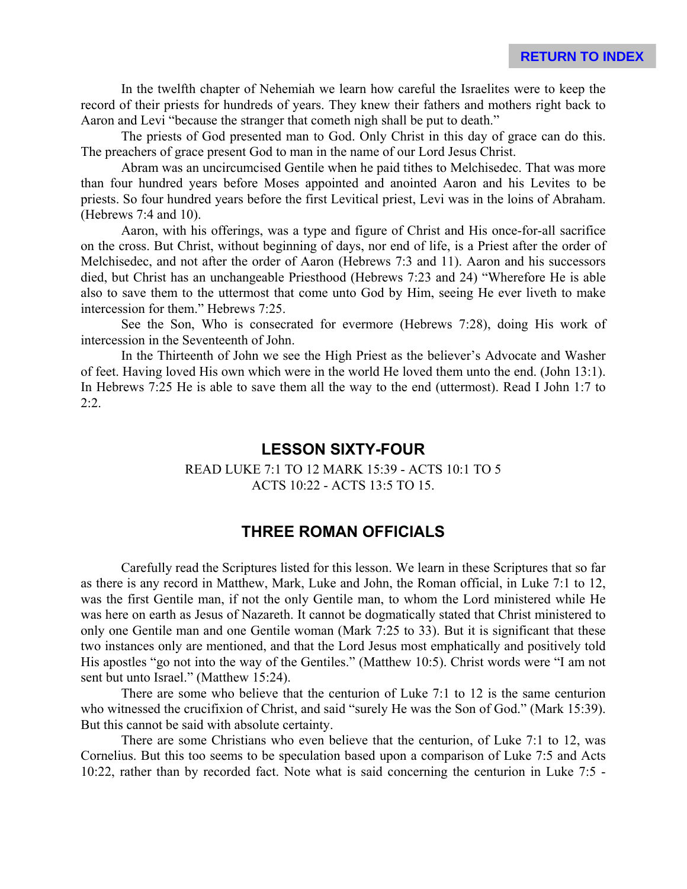In the twelfth chapter of Nehemiah we learn how careful the Israelites were to keep the record of their priests for hundreds of years. They knew their fathers and mothers right back to Aaron and Levi "because the stranger that cometh nigh shall be put to death."

The priests of God presented man to God. Only Christ in this day of grace can do this. The preachers of grace present God to man in the name of our Lord Jesus Christ.

Abram was an uncircumcised Gentile when he paid tithes to Melchisedec. That was more than four hundred years before Moses appointed and anointed Aaron and his Levites to be priests. So four hundred years before the first Levitical priest, Levi was in the loins of Abraham. (Hebrews 7:4 and 10).

Aaron, with his offerings, was a type and figure of Christ and His once-for-all sacrifice on the cross. But Christ, without beginning of days, nor end of life, is a Priest after the order of Melchisedec, and not after the order of Aaron (Hebrews 7:3 and 11). Aaron and his successors died, but Christ has an unchangeable Priesthood (Hebrews 7:23 and 24) "Wherefore He is able also to save them to the uttermost that come unto God by Him, seeing He ever liveth to make intercession for them." Hebrews 7:25.

See the Son, Who is consecrated for evermore (Hebrews 7:28), doing His work of intercession in the Seventeenth of John.

In the Thirteenth of John we see the High Priest as the believer's Advocate and Washer of feet. Having loved His own which were in the world He loved them unto the end. (John 13:1). In Hebrews 7:25 He is able to save them all the way to the end (uttermost). Read I John 1:7 to  $2:2.$ 

#### **LESSON SIXTY-FOUR**

#### READ LUKE 7:1 TO 12 MARK 15:39 - ACTS 10:1 TO 5 ACTS 10:22 - ACTS 13:5 TO 15.

#### **THREE ROMAN OFFICIALS**

Carefully read the Scriptures listed for this lesson. We learn in these Scriptures that so far as there is any record in Matthew, Mark, Luke and John, the Roman official, in Luke 7:1 to 12, was the first Gentile man, if not the only Gentile man, to whom the Lord ministered while He was here on earth as Jesus of Nazareth. It cannot be dogmatically stated that Christ ministered to only one Gentile man and one Gentile woman (Mark 7:25 to 33). But it is significant that these two instances only are mentioned, and that the Lord Jesus most emphatically and positively told His apostles "go not into the way of the Gentiles." (Matthew 10:5). Christ words were "I am not sent but unto Israel." (Matthew 15:24).

There are some who believe that the centurion of Luke 7:1 to 12 is the same centurion who witnessed the crucifixion of Christ, and said "surely He was the Son of God." (Mark 15:39). But this cannot be said with absolute certainty.

There are some Christians who even believe that the centurion, of Luke 7:1 to 12, was Cornelius. But this too seems to be speculation based upon a comparison of Luke 7:5 and Acts 10:22, rather than by recorded fact. Note what is said concerning the centurion in Luke 7:5 -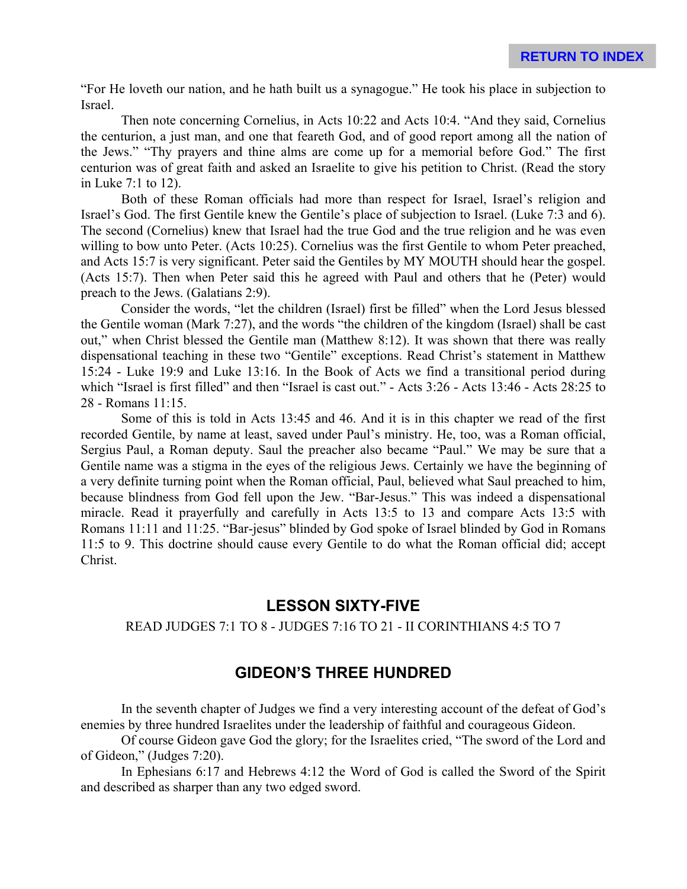"For He loveth our nation, and he hath built us a synagogue." He took his place in subjection to Israel.

Then note concerning Cornelius, in Acts 10:22 and Acts 10:4. "And they said, Cornelius the centurion, a just man, and one that feareth God, and of good report among all the nation of the Jews." "Thy prayers and thine alms are come up for a memorial before God." The first centurion was of great faith and asked an Israelite to give his petition to Christ. (Read the story in Luke 7:1 to 12).

Both of these Roman officials had more than respect for Israel, Israel's religion and Israel's God. The first Gentile knew the Gentile's place of subjection to Israel. (Luke 7:3 and 6). The second (Cornelius) knew that Israel had the true God and the true religion and he was even willing to bow unto Peter. (Acts 10:25). Cornelius was the first Gentile to whom Peter preached, and Acts 15:7 is very significant. Peter said the Gentiles by MY MOUTH should hear the gospel. (Acts 15:7). Then when Peter said this he agreed with Paul and others that he (Peter) would preach to the Jews. (Galatians 2:9).

Consider the words, "let the children (Israel) first be filled" when the Lord Jesus blessed the Gentile woman (Mark 7:27), and the words "the children of the kingdom (Israel) shall be cast out," when Christ blessed the Gentile man (Matthew 8:12). It was shown that there was really dispensational teaching in these two "Gentile" exceptions. Read Christ's statement in Matthew 15:24 - Luke 19:9 and Luke 13:16. In the Book of Acts we find a transitional period during which "Israel is first filled" and then "Israel is cast out." - Acts 3:26 - Acts 13:46 - Acts 28:25 to 28 - Romans 11:15.

Some of this is told in Acts 13:45 and 46. And it is in this chapter we read of the first recorded Gentile, by name at least, saved under Paul's ministry. He, too, was a Roman official, Sergius Paul, a Roman deputy. Saul the preacher also became "Paul." We may be sure that a Gentile name was a stigma in the eyes of the religious Jews. Certainly we have the beginning of a very definite turning point when the Roman official, Paul, believed what Saul preached to him, because blindness from God fell upon the Jew. "Bar-Jesus." This was indeed a dispensational miracle. Read it prayerfully and carefully in Acts 13:5 to 13 and compare Acts 13:5 with Romans 11:11 and 11:25. "Bar-jesus" blinded by God spoke of Israel blinded by God in Romans 11:5 to 9. This doctrine should cause every Gentile to do what the Roman official did; accept Christ.

### **LESSON SIXTY-FIVE**

#### READ JUDGES 7:1 TO 8 - JUDGES 7:16 TO 21 - II CORINTHIANS 4:5 TO 7

### **GIDEON'S THREE HUNDRED**

In the seventh chapter of Judges we find a very interesting account of the defeat of God's enemies by three hundred Israelites under the leadership of faithful and courageous Gideon.

Of course Gideon gave God the glory; for the Israelites cried, "The sword of the Lord and of Gideon," (Judges 7:20).

In Ephesians 6:17 and Hebrews 4:12 the Word of God is called the Sword of the Spirit and described as sharper than any two edged sword.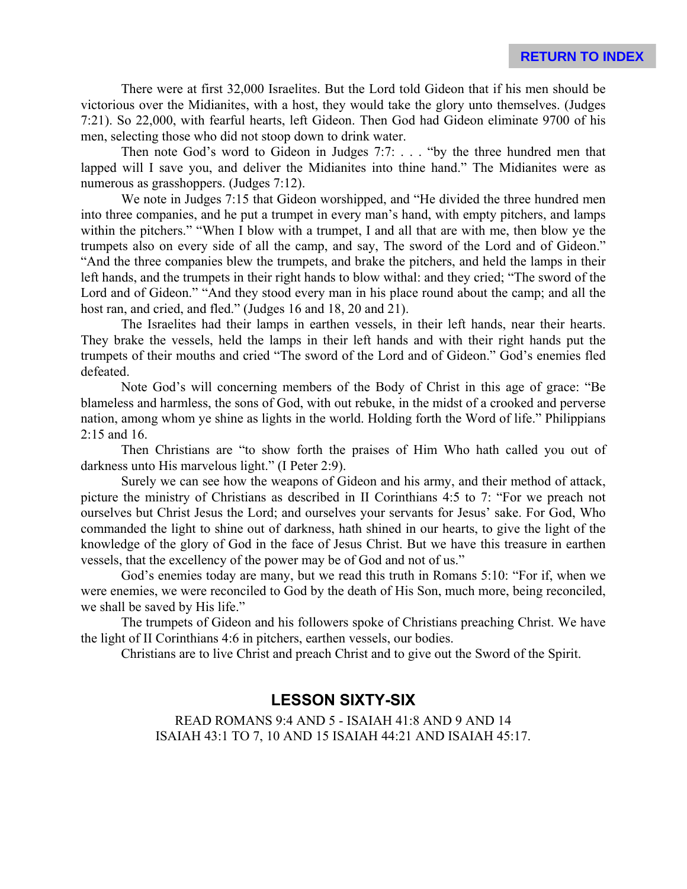**RETURN TO INDEX**

There were at first 32,000 Israelites. But the Lord told Gideon that if his men should be victorious over the Midianites, with a host, they would take the glory unto themselves. (Judges 7:21). So 22,000, with fearful hearts, left Gideon. Then God had Gideon eliminate 9700 of his men, selecting those who did not stoop down to drink water.

Then note God's word to Gideon in Judges 7:7: . . . "by the three hundred men that lapped will I save you, and deliver the Midianites into thine hand." The Midianites were as numerous as grasshoppers. (Judges 7:12).

We note in Judges 7:15 that Gideon worshipped, and "He divided the three hundred men into three companies, and he put a trumpet in every man's hand, with empty pitchers, and lamps within the pitchers." "When I blow with a trumpet, I and all that are with me, then blow ye the trumpets also on every side of all the camp, and say, The sword of the Lord and of Gideon." "And the three companies blew the trumpets, and brake the pitchers, and held the lamps in their left hands, and the trumpets in their right hands to blow withal: and they cried; "The sword of the Lord and of Gideon." "And they stood every man in his place round about the camp; and all the host ran, and cried, and fled." (Judges 16 and 18, 20 and 21).

The Israelites had their lamps in earthen vessels, in their left hands, near their hearts. They brake the vessels, held the lamps in their left hands and with their right hands put the trumpets of their mouths and cried "The sword of the Lord and of Gideon." God's enemies fled defeated.

Note God's will concerning members of the Body of Christ in this age of grace: "Be blameless and harmless, the sons of God, with out rebuke, in the midst of a crooked and perverse nation, among whom ye shine as lights in the world. Holding forth the Word of life." Philippians 2:15 and 16.

Then Christians are "to show forth the praises of Him Who hath called you out of darkness unto His marvelous light." (I Peter 2:9).

Surely we can see how the weapons of Gideon and his army, and their method of attack, picture the ministry of Christians as described in II Corinthians 4:5 to 7: "For we preach not ourselves but Christ Jesus the Lord; and ourselves your servants for Jesus' sake. For God, Who commanded the light to shine out of darkness, hath shined in our hearts, to give the light of the knowledge of the glory of God in the face of Jesus Christ. But we have this treasure in earthen vessels, that the excellency of the power may be of God and not of us."

God's enemies today are many, but we read this truth in Romans 5:10: "For if, when we were enemies, we were reconciled to God by the death of His Son, much more, being reconciled, we shall be saved by His life."

The trumpets of Gideon and his followers spoke of Christians preaching Christ. We have the light of II Corinthians 4:6 in pitchers, earthen vessels, our bodies.

Christians are to live Christ and preach Christ and to give out the Sword of the Spirit.

# **LESSON SIXTY-SIX**

READ ROMANS 9:4 AND 5 - ISAIAH 41:8 AND 9 AND 14 ISAIAH 43:1 TO 7, 10 AND 15 ISAIAH 44:21 AND ISAIAH 45:17.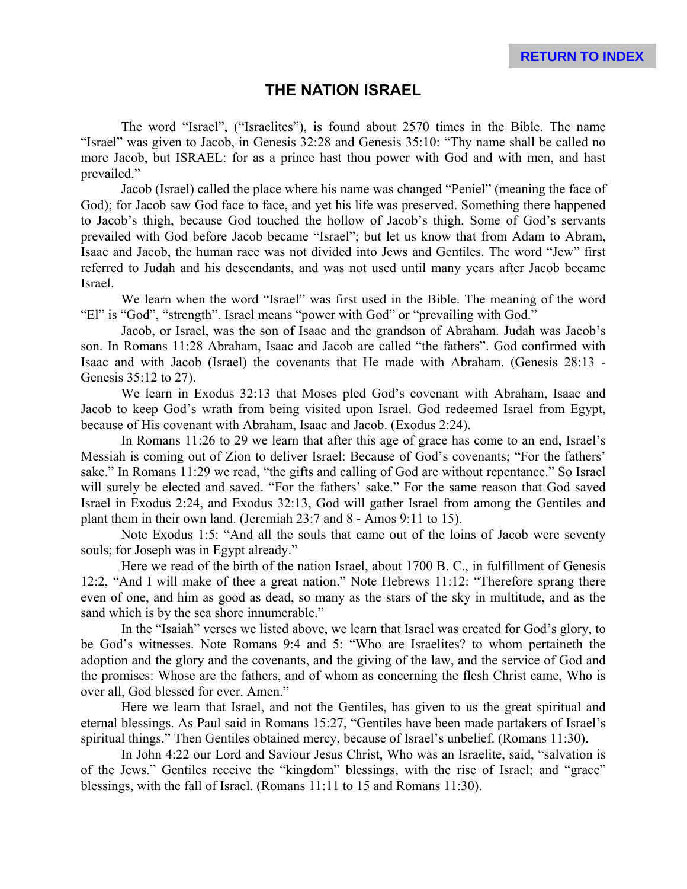# **THE NATION ISRAEL**

The word "Israel", ("Israelites"), is found about 2570 times in the Bible. The name "Israel" was given to Jacob, in Genesis 32:28 and Genesis 35:10: "Thy name shall be called no more Jacob, but ISRAEL: for as a prince hast thou power with God and with men, and hast prevailed."

Jacob (Israel) called the place where his name was changed "Peniel" (meaning the face of God); for Jacob saw God face to face, and yet his life was preserved. Something there happened to Jacob's thigh, because God touched the hollow of Jacob's thigh. Some of God's servants prevailed with God before Jacob became "Israel"; but let us know that from Adam to Abram, Isaac and Jacob, the human race was not divided into Jews and Gentiles. The word "Jew" first referred to Judah and his descendants, and was not used until many years after Jacob became Israel.

We learn when the word "Israel" was first used in the Bible. The meaning of the word "El" is "God", "strength". Israel means "power with God" or "prevailing with God."

Jacob, or Israel, was the son of Isaac and the grandson of Abraham. Judah was Jacob's son. In Romans 11:28 Abraham, Isaac and Jacob are called "the fathers". God confirmed with Isaac and with Jacob (Israel) the covenants that He made with Abraham. (Genesis 28:13 - Genesis 35:12 to 27).

We learn in Exodus 32:13 that Moses pled God's covenant with Abraham, Isaac and Jacob to keep God's wrath from being visited upon Israel. God redeemed Israel from Egypt, because of His covenant with Abraham, Isaac and Jacob. (Exodus 2:24).

In Romans 11:26 to 29 we learn that after this age of grace has come to an end, Israel's Messiah is coming out of Zion to deliver Israel: Because of God's covenants; "For the fathers' sake." In Romans 11:29 we read, "the gifts and calling of God are without repentance." So Israel will surely be elected and saved. "For the fathers' sake." For the same reason that God saved Israel in Exodus 2:24, and Exodus 32:13, God will gather Israel from among the Gentiles and plant them in their own land. (Jeremiah 23:7 and 8 - Amos 9:11 to 15).

Note Exodus 1:5: "And all the souls that came out of the loins of Jacob were seventy souls; for Joseph was in Egypt already."

Here we read of the birth of the nation Israel, about 1700 B. C., in fulfillment of Genesis 12:2, "And I will make of thee a great nation." Note Hebrews 11:12: "Therefore sprang there even of one, and him as good as dead, so many as the stars of the sky in multitude, and as the sand which is by the sea shore innumerable."

In the "Isaiah" verses we listed above, we learn that Israel was created for God's glory, to be God's witnesses. Note Romans 9:4 and 5: "Who are Israelites? to whom pertaineth the adoption and the glory and the covenants, and the giving of the law, and the service of God and the promises: Whose are the fathers, and of whom as concerning the flesh Christ came, Who is over all, God blessed for ever. Amen."

Here we learn that Israel, and not the Gentiles, has given to us the great spiritual and eternal blessings. As Paul said in Romans 15:27, "Gentiles have been made partakers of Israel's spiritual things." Then Gentiles obtained mercy, because of Israel's unbelief. (Romans 11:30).

In John 4:22 our Lord and Saviour Jesus Christ, Who was an Israelite, said, "salvation is of the Jews." Gentiles receive the "kingdom" blessings, with the rise of Israel; and "grace" blessings, with the fall of Israel. (Romans 11:11 to 15 and Romans 11:30).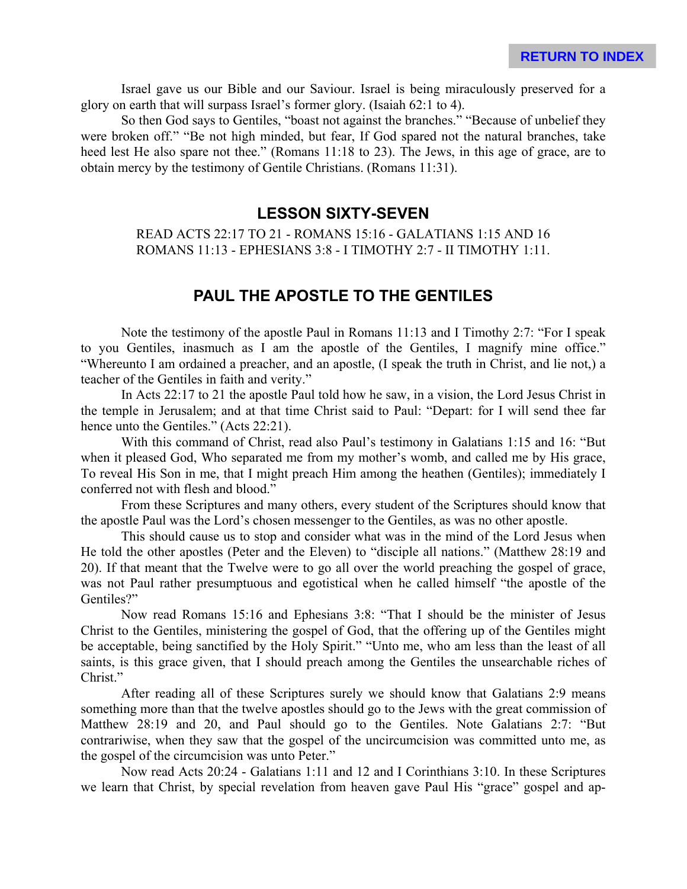Israel gave us our Bible and our Saviour. Israel is being miraculously preserved for a glory on earth that will surpass Israel's former glory. (Isaiah 62:1 to 4).

So then God says to Gentiles, "boast not against the branches." "Because of unbelief they were broken off." "Be not high minded, but fear, If God spared not the natural branches, take heed lest He also spare not thee." (Romans 11:18 to 23). The Jews, in this age of grace, are to obtain mercy by the testimony of Gentile Christians. (Romans 11:31).

#### **LESSON SIXTY-SEVEN**

READ ACTS 22:17 TO 21 - ROMANS 15:16 - GALATIANS 1:15 AND 16 ROMANS 11:13 - EPHESIANS 3:8 - I TIMOTHY 2:7 - II TIMOTHY 1:11.

# **PAUL THE APOSTLE TO THE GENTILES**

Note the testimony of the apostle Paul in Romans 11:13 and I Timothy 2:7: "For I speak to you Gentiles, inasmuch as I am the apostle of the Gentiles, I magnify mine office." "Whereunto I am ordained a preacher, and an apostle, (I speak the truth in Christ, and lie not,) a teacher of the Gentiles in faith and verity."

In Acts 22:17 to 21 the apostle Paul told how he saw, in a vision, the Lord Jesus Christ in the temple in Jerusalem; and at that time Christ said to Paul: "Depart: for I will send thee far hence unto the Gentiles." (Acts 22:21).

With this command of Christ, read also Paul's testimony in Galatians 1:15 and 16: "But when it pleased God, Who separated me from my mother's womb, and called me by His grace, To reveal His Son in me, that I might preach Him among the heathen (Gentiles); immediately I conferred not with flesh and blood."

From these Scriptures and many others, every student of the Scriptures should know that the apostle Paul was the Lord's chosen messenger to the Gentiles, as was no other apostle.

This should cause us to stop and consider what was in the mind of the Lord Jesus when He told the other apostles (Peter and the Eleven) to "disciple all nations." (Matthew 28:19 and 20). If that meant that the Twelve were to go all over the world preaching the gospel of grace, was not Paul rather presumptuous and egotistical when he called himself "the apostle of the Gentiles?"

Now read Romans 15:16 and Ephesians 3:8: "That I should be the minister of Jesus Christ to the Gentiles, ministering the gospel of God, that the offering up of the Gentiles might be acceptable, being sanctified by the Holy Spirit." "Unto me, who am less than the least of all saints, is this grace given, that I should preach among the Gentiles the unsearchable riches of Christ."

After reading all of these Scriptures surely we should know that Galatians 2:9 means something more than that the twelve apostles should go to the Jews with the great commission of Matthew 28:19 and 20, and Paul should go to the Gentiles. Note Galatians 2:7: "But contrariwise, when they saw that the gospel of the uncircumcision was committed unto me, as the gospel of the circumcision was unto Peter."

Now read Acts 20:24 - Galatians 1:11 and 12 and I Corinthians 3:10. In these Scriptures we learn that Christ, by special revelation from heaven gave Paul His "grace" gospel and ap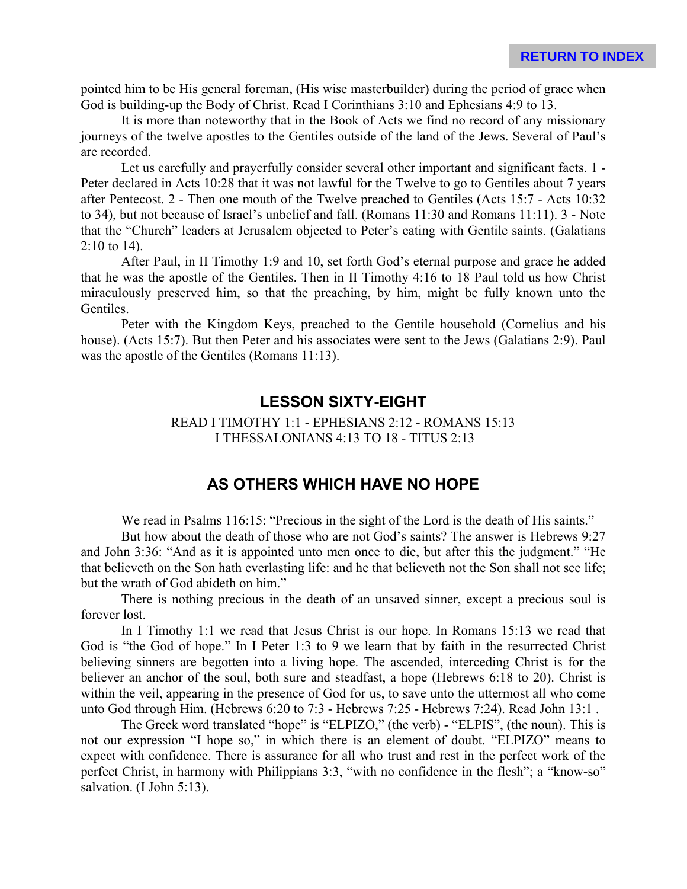pointed him to be His general foreman, (His wise masterbuilder) during the period of grace when God is building-up the Body of Christ. Read I Corinthians 3:10 and Ephesians 4:9 to 13.

It is more than noteworthy that in the Book of Acts we find no record of any missionary journeys of the twelve apostles to the Gentiles outside of the land of the Jews. Several of Paul's are recorded.

Let us carefully and prayerfully consider several other important and significant facts. 1 - Peter declared in Acts 10:28 that it was not lawful for the Twelve to go to Gentiles about 7 years after Pentecost. 2 - Then one mouth of the Twelve preached to Gentiles (Acts 15:7 - Acts 10:32 to 34), but not because of Israel's unbelief and fall. (Romans 11:30 and Romans 11:11). 3 - Note that the "Church" leaders at Jerusalem objected to Peter's eating with Gentile saints. (Galatians 2:10 to 14).

After Paul, in II Timothy 1:9 and 10, set forth God's eternal purpose and grace he added that he was the apostle of the Gentiles. Then in II Timothy 4:16 to 18 Paul told us how Christ miraculously preserved him, so that the preaching, by him, might be fully known unto the Gentiles.

Peter with the Kingdom Keys, preached to the Gentile household (Cornelius and his house). (Acts 15:7). But then Peter and his associates were sent to the Jews (Galatians 2:9). Paul was the apostle of the Gentiles (Romans 11:13).

#### **LESSON SIXTY-EIGHT**

READ I TIMOTHY 1:1 - EPHESIANS 2:12 - ROMANS 15:13 I THESSALONIANS 4:13 TO 18 - TITUS 2:13

### **AS OTHERS WHICH HAVE NO HOPE**

We read in Psalms 116:15: "Precious in the sight of the Lord is the death of His saints."

But how about the death of those who are not God's saints? The answer is Hebrews 9:27 and John 3:36: "And as it is appointed unto men once to die, but after this the judgment." "He that believeth on the Son hath everlasting life: and he that believeth not the Son shall not see life; but the wrath of God abideth on him."

There is nothing precious in the death of an unsaved sinner, except a precious soul is forever lost.

In I Timothy 1:1 we read that Jesus Christ is our hope. In Romans 15:13 we read that God is "the God of hope." In I Peter 1:3 to 9 we learn that by faith in the resurrected Christ believing sinners are begotten into a living hope. The ascended, interceding Christ is for the believer an anchor of the soul, both sure and steadfast, a hope (Hebrews 6:18 to 20). Christ is within the veil, appearing in the presence of God for us, to save unto the uttermost all who come unto God through Him. (Hebrews 6:20 to 7:3 - Hebrews 7:25 - Hebrews 7:24). Read John 13:1 .

The Greek word translated "hope" is "ELPIZO," (the verb) - "ELPIS", (the noun). This is not our expression "I hope so," in which there is an element of doubt. "ELPIZO" means to expect with confidence. There is assurance for all who trust and rest in the perfect work of the perfect Christ, in harmony with Philippians 3:3, "with no confidence in the flesh"; a "know-so" salvation. (I John 5:13).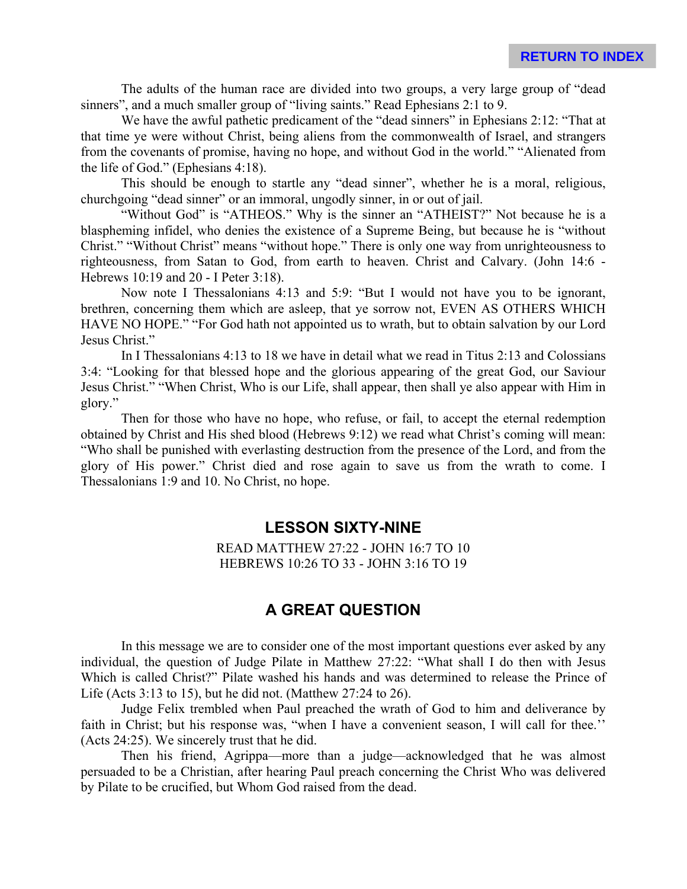The adults of the human race are divided into two groups, a very large group of "dead sinners", and a much smaller group of "living saints." Read Ephesians 2:1 to 9.

We have the awful pathetic predicament of the "dead sinners" in Ephesians 2:12: "That at that time ye were without Christ, being aliens from the commonwealth of Israel, and strangers from the covenants of promise, having no hope, and without God in the world." "Alienated from the life of God." (Ephesians 4:18).

This should be enough to startle any "dead sinner", whether he is a moral, religious, churchgoing "dead sinner" or an immoral, ungodly sinner, in or out of jail.

"Without God" is "ATHEOS." Why is the sinner an "ATHEIST?" Not because he is a blaspheming infidel, who denies the existence of a Supreme Being, but because he is "without Christ." "Without Christ" means "without hope." There is only one way from unrighteousness to righteousness, from Satan to God, from earth to heaven. Christ and Calvary. (John 14:6 - Hebrews 10:19 and 20 - I Peter 3:18).

Now note I Thessalonians 4:13 and 5:9: "But I would not have you to be ignorant, brethren, concerning them which are asleep, that ye sorrow not, EVEN AS OTHERS WHICH HAVE NO HOPE." "For God hath not appointed us to wrath, but to obtain salvation by our Lord Jesus Christ."

In I Thessalonians 4:13 to 18 we have in detail what we read in Titus 2:13 and Colossians 3:4: "Looking for that blessed hope and the glorious appearing of the great God, our Saviour Jesus Christ." "When Christ, Who is our Life, shall appear, then shall ye also appear with Him in glory."

Then for those who have no hope, who refuse, or fail, to accept the eternal redemption obtained by Christ and His shed blood (Hebrews 9:12) we read what Christ's coming will mean: "Who shall be punished with everlasting destruction from the presence of the Lord, and from the glory of His power." Christ died and rose again to save us from the wrath to come. I Thessalonians 1:9 and 10. No Christ, no hope.

### **LESSON SIXTY-NINE**

READ MATTHEW 27:22 - JOHN 16:7 TO 10 HEBREWS 10:26 TO 33 - JOHN 3:16 TO 19

# **A GREAT QUESTION**

In this message we are to consider one of the most important questions ever asked by any individual, the question of Judge Pilate in Matthew 27:22: "What shall I do then with Jesus Which is called Christ?" Pilate washed his hands and was determined to release the Prince of Life (Acts 3:13 to 15), but he did not. (Matthew 27:24 to 26).

Judge Felix trembled when Paul preached the wrath of God to him and deliverance by faith in Christ; but his response was, "when I have a convenient season, I will call for thee.'' (Acts 24:25). We sincerely trust that he did.

Then his friend, Agrippa—more than a judge—acknowledged that he was almost persuaded to be a Christian, after hearing Paul preach concerning the Christ Who was delivered by Pilate to be crucified, but Whom God raised from the dead.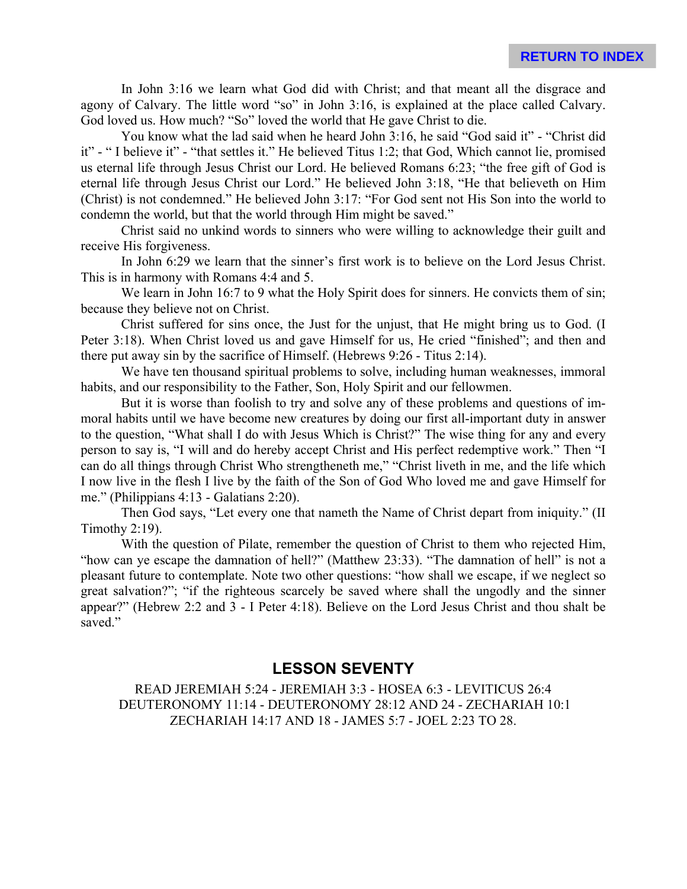In John 3:16 we learn what God did with Christ; and that meant all the disgrace and agony of Calvary. The little word "so" in John 3:16, is explained at the place called Calvary. God loved us. How much? "So" loved the world that He gave Christ to die.

You know what the lad said when he heard John 3:16, he said "God said it" - "Christ did it" - " I believe it" - "that settles it." He believed Titus 1:2; that God, Which cannot lie, promised us eternal life through Jesus Christ our Lord. He believed Romans 6:23; "the free gift of God is eternal life through Jesus Christ our Lord." He believed John 3:18, "He that believeth on Him (Christ) is not condemned." He believed John 3:17: "For God sent not His Son into the world to condemn the world, but that the world through Him might be saved."

Christ said no unkind words to sinners who were willing to acknowledge their guilt and receive His forgiveness.

In John 6:29 we learn that the sinner's first work is to believe on the Lord Jesus Christ. This is in harmony with Romans 4:4 and 5.

We learn in John 16:7 to 9 what the Holy Spirit does for sinners. He convicts them of sin; because they believe not on Christ.

Christ suffered for sins once, the Just for the unjust, that He might bring us to God. (I Peter 3:18). When Christ loved us and gave Himself for us, He cried "finished"; and then and there put away sin by the sacrifice of Himself. (Hebrews 9:26 - Titus 2:14).

We have ten thousand spiritual problems to solve, including human weaknesses, immoral habits, and our responsibility to the Father, Son, Holy Spirit and our fellowmen.

But it is worse than foolish to try and solve any of these problems and questions of immoral habits until we have become new creatures by doing our first all-important duty in answer to the question, "What shall I do with Jesus Which is Christ?" The wise thing for any and every person to say is, "I will and do hereby accept Christ and His perfect redemptive work." Then "I can do all things through Christ Who strengtheneth me," "Christ liveth in me, and the life which I now live in the flesh I live by the faith of the Son of God Who loved me and gave Himself for me." (Philippians 4:13 - Galatians 2:20).

Then God says, "Let every one that nameth the Name of Christ depart from iniquity." (II Timothy 2:19).

With the question of Pilate, remember the question of Christ to them who rejected Him, "how can ye escape the damnation of hell?" (Matthew 23:33). "The damnation of hell" is not a pleasant future to contemplate. Note two other questions: "how shall we escape, if we neglect so great salvation?"; "if the righteous scarcely be saved where shall the ungodly and the sinner appear?" (Hebrew 2:2 and 3 - I Peter 4:18). Believe on the Lord Jesus Christ and thou shalt be saved."

# **LESSON SEVENTY**

READ JEREMIAH 5:24 - JEREMIAH 3:3 - HOSEA 6:3 - LEVITICUS 26:4 DEUTERONOMY 11:14 - DEUTERONOMY 28:12 AND 24 - ZECHARIAH 10:1 ZECHARIAH 14:17 AND 18 - JAMES 5:7 - JOEL 2:23 TO 28.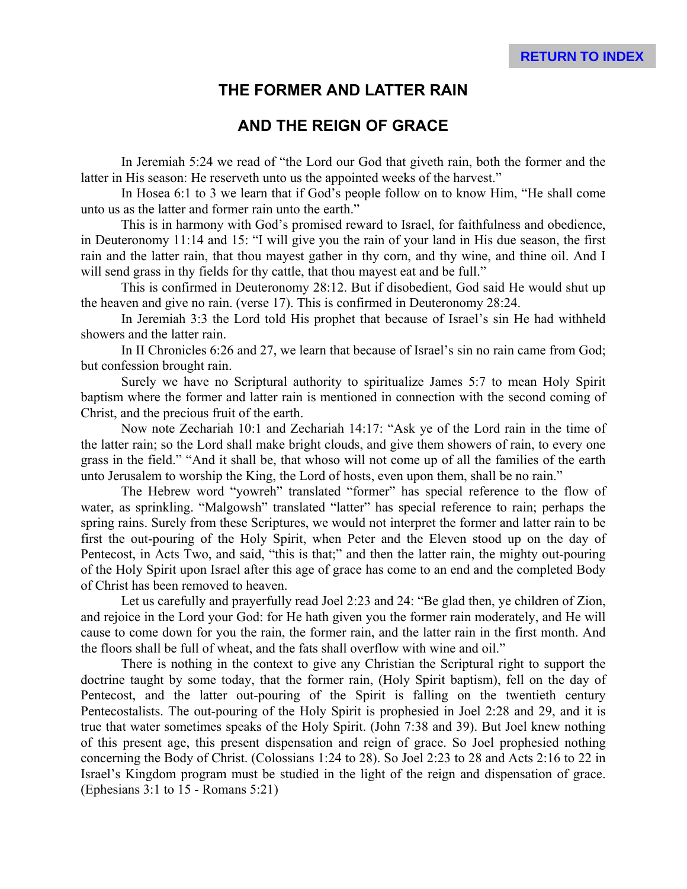# **THE FORMER AND LATTER RAIN**

# **AND THE REIGN OF GRACE**

In Jeremiah 5:24 we read of "the Lord our God that giveth rain, both the former and the latter in His season: He reserveth unto us the appointed weeks of the harvest."

In Hosea 6:1 to 3 we learn that if God's people follow on to know Him, "He shall come unto us as the latter and former rain unto the earth."

This is in harmony with God's promised reward to Israel, for faithfulness and obedience, in Deuteronomy 11:14 and 15: "I will give you the rain of your land in His due season, the first rain and the latter rain, that thou mayest gather in thy corn, and thy wine, and thine oil. And I will send grass in thy fields for thy cattle, that thou may est eat and be full."

This is confirmed in Deuteronomy 28:12. But if disobedient, God said He would shut up the heaven and give no rain. (verse 17). This is confirmed in Deuteronomy 28:24.

In Jeremiah 3:3 the Lord told His prophet that because of Israel's sin He had withheld showers and the latter rain.

In II Chronicles 6:26 and 27, we learn that because of Israel's sin no rain came from God; but confession brought rain.

Surely we have no Scriptural authority to spiritualize James 5:7 to mean Holy Spirit baptism where the former and latter rain is mentioned in connection with the second coming of Christ, and the precious fruit of the earth.

Now note Zechariah 10:1 and Zechariah 14:17: "Ask ye of the Lord rain in the time of the latter rain; so the Lord shall make bright clouds, and give them showers of rain, to every one grass in the field." "And it shall be, that whoso will not come up of all the families of the earth unto Jerusalem to worship the King, the Lord of hosts, even upon them, shall be no rain."

The Hebrew word "yowreh" translated "former" has special reference to the flow of water, as sprinkling. "Malgowsh" translated "latter" has special reference to rain; perhaps the spring rains. Surely from these Scriptures, we would not interpret the former and latter rain to be first the out-pouring of the Holy Spirit, when Peter and the Eleven stood up on the day of Pentecost, in Acts Two, and said, "this is that;" and then the latter rain, the mighty out-pouring of the Holy Spirit upon Israel after this age of grace has come to an end and the completed Body of Christ has been removed to heaven.

Let us carefully and prayerfully read Joel 2:23 and 24: "Be glad then, ye children of Zion, and rejoice in the Lord your God: for He hath given you the former rain moderately, and He will cause to come down for you the rain, the former rain, and the latter rain in the first month. And the floors shall be full of wheat, and the fats shall overflow with wine and oil."

There is nothing in the context to give any Christian the Scriptural right to support the doctrine taught by some today, that the former rain, (Holy Spirit baptism), fell on the day of Pentecost, and the latter out-pouring of the Spirit is falling on the twentieth century Pentecostalists. The out-pouring of the Holy Spirit is prophesied in Joel 2:28 and 29, and it is true that water sometimes speaks of the Holy Spirit. (John 7:38 and 39). But Joel knew nothing of this present age, this present dispensation and reign of grace. So Joel prophesied nothing concerning the Body of Christ. (Colossians 1:24 to 28). So Joel 2:23 to 28 and Acts 2:16 to 22 in Israel's Kingdom program must be studied in the light of the reign and dispensation of grace. (Ephesians 3:1 to 15 - Romans 5:21)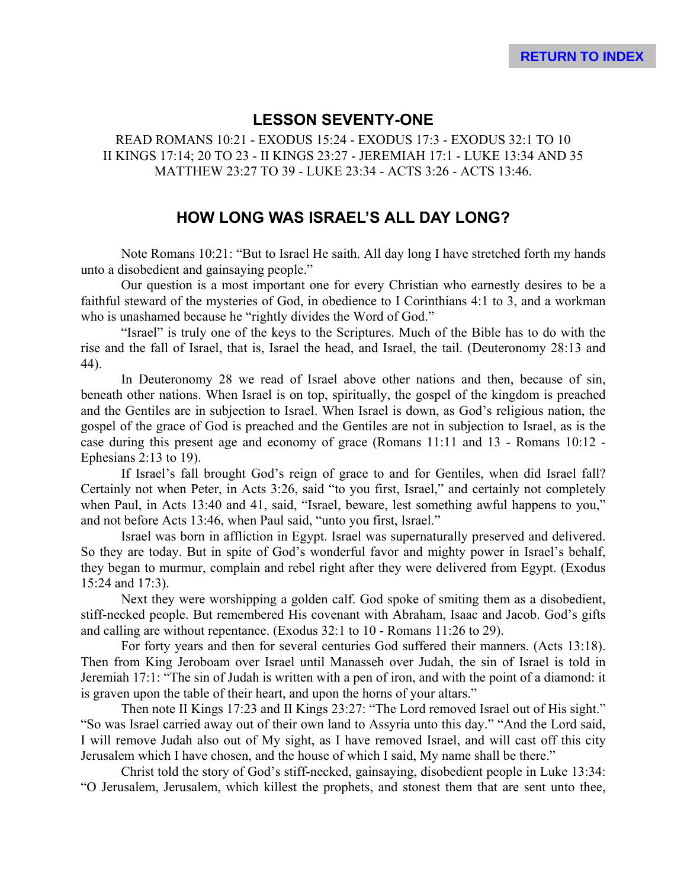## **LESSON SEVENTY-ONE**

READ ROMANS 10:21 - EXODUS 15:24 - EXODUS 17:3 - EXODUS 32:1 TO 10 II KINGS 17:14; 20 TO 23 - II KINGS 23:27 - JEREMIAH 17:1 - LUKE 13:34 AND 35 MATTHEW 23:27 TO 39 - LUKE 23:34 - ACTS 3:26 - ACTS 13:46.

### **HOW LONG WAS ISRAEL'S ALL DAY LONG?**

Note Romans 10:21: "But to Israel He saith. All day long I have stretched forth my hands unto a disobedient and gainsaying people."

Our question is a most important one for every Christian who earnestly desires to be a faithful steward of the mysteries of God, in obedience to I Corinthians 4:1 to 3, and a workman who is unashamed because he "rightly divides the Word of God."

"Israel" is truly one of the keys to the Scriptures. Much of the Bible has to do with the rise and the fall of Israel, that is, Israel the head, and Israel, the tail. (Deuteronomy 28:13 and 44).

In Deuteronomy 28 we read of Israel above other nations and then, because of sin, beneath other nations. When Israel is on top, spiritually, the gospel of the kingdom is preached and the Gentiles are in subjection to Israel. When Israel is down, as God's religious nation, the gospel of the grace of God is preached and the Gentiles are not in subjection to Israel, as is the case during this present age and economy of grace (Romans 11:11 and 13 - Romans 10:12 - Ephesians 2:13 to 19).

If Israel's fall brought God's reign of grace to and for Gentiles, when did Israel fall? Certainly not when Peter, in Acts 3:26, said "to you first, Israel," and certainly not completely when Paul, in Acts 13:40 and 41, said, "Israel, beware, lest something awful happens to you," and not before Acts 13:46, when Paul said, "unto you first, Israel."

Israel was born in affliction in Egypt. Israel was supernaturally preserved and delivered. So they are today. But in spite of God's wonderful favor and mighty power in Israel's behalf, they began to murmur, complain and rebel right after they were delivered from Egypt. (Exodus 15:24 and 17:3).

Next they were worshipping a golden calf. God spoke of smiting them as a disobedient, stiff-necked people. But remembered His covenant with Abraham, Isaac and Jacob. God's gifts and calling are without repentance. (Exodus 32:1 to 10 - Romans 11:26 to 29).

For forty years and then for several centuries God suffered their manners. (Acts 13:18). Then from King Jeroboam over Israel until Manasseh over Judah, the sin of Israel is told in Jeremiah 17:1: "The sin of Judah is written with a pen of iron, and with the point of a diamond: it is graven upon the table of their heart, and upon the horns of your altars."

Then note II Kings 17:23 and II Kings 23:27: "The Lord removed Israel out of His sight." "So was Israel carried away out of their own land to Assyria unto this day." "And the Lord said, I will remove Judah also out of My sight, as I have removed Israel, and will cast off this city Jerusalem which I have chosen, and the house of which I said, My name shall be there."

Christ told the story of God's stiff-necked, gainsaying, disobedient people in Luke 13:34: "O Jerusalem, Jerusalem, which killest the prophets, and stonest them that are sent unto thee,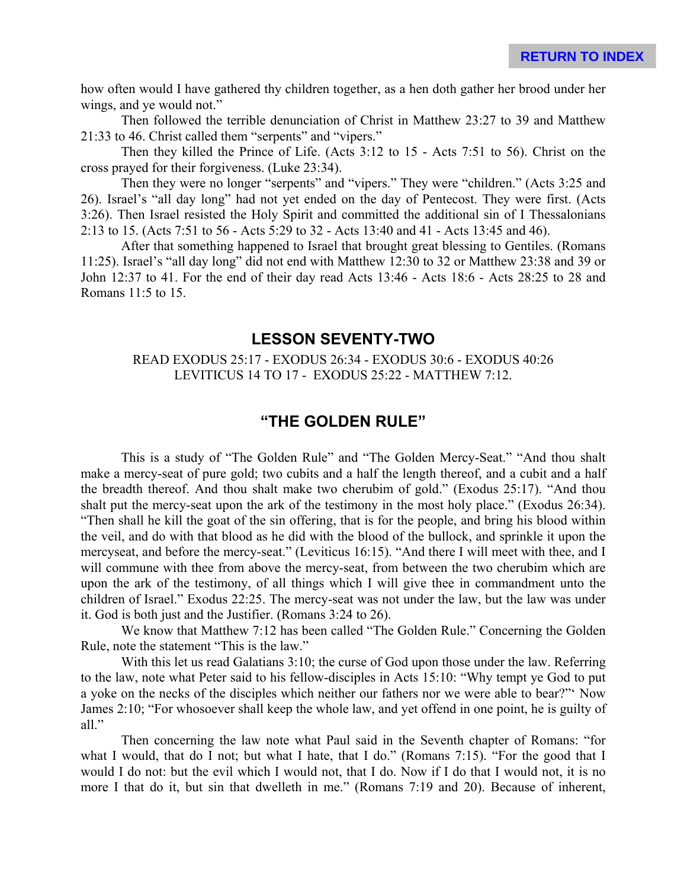how often would I have gathered thy children together, as a hen doth gather her brood under her wings, and ye would not."

Then followed the terrible denunciation of Christ in Matthew 23:27 to 39 and Matthew 21:33 to 46. Christ called them "serpents" and "vipers."

Then they killed the Prince of Life. (Acts 3:12 to 15 - Acts 7:51 to 56). Christ on the cross prayed for their forgiveness. (Luke 23:34).

Then they were no longer "serpents" and "vipers." They were "children." (Acts 3:25 and 26). Israel's "all day long" had not yet ended on the day of Pentecost. They were first. (Acts 3:26). Then Israel resisted the Holy Spirit and committed the additional sin of I Thessalonians 2:13 to 15. (Acts 7:51 to 56 - Acts 5:29 to 32 - Acts 13:40 and 41 - Acts 13:45 and 46).

After that something happened to Israel that brought great blessing to Gentiles. (Romans 11:25). Israel's "all day long" did not end with Matthew 12:30 to 32 or Matthew 23:38 and 39 or John 12:37 to 41. For the end of their day read Acts 13:46 - Acts 18:6 - Acts 28:25 to 28 and Romans 11:5 to 15.

#### **LESSON SEVENTY-TWO**

#### READ EXODUS 25:17 - EXODUS 26:34 - EXODUS 30:6 - EXODUS 40:26 LEVITICUS 14 TO 17 - EXODUS 25:22 - MATTHEW 7:12.

### **"THE GOLDEN RULE"**

This is a study of "The Golden Rule" and "The Golden Mercy-Seat." "And thou shalt make a mercy-seat of pure gold; two cubits and a half the length thereof, and a cubit and a half the breadth thereof. And thou shalt make two cherubim of gold." (Exodus 25:17). "And thou shalt put the mercy-seat upon the ark of the testimony in the most holy place." (Exodus 26:34). "Then shall he kill the goat of the sin offering, that is for the people, and bring his blood within the veil, and do with that blood as he did with the blood of the bullock, and sprinkle it upon the mercyseat, and before the mercy-seat." (Leviticus 16:15). "And there I will meet with thee, and I will commune with thee from above the mercy-seat, from between the two cherubim which are upon the ark of the testimony, of all things which I will give thee in commandment unto the children of Israel." Exodus 22:25. The mercy-seat was not under the law, but the law was under it. God is both just and the Justifier. (Romans 3:24 to 26).

We know that Matthew 7:12 has been called "The Golden Rule." Concerning the Golden Rule, note the statement "This is the law."

With this let us read Galatians 3:10; the curse of God upon those under the law. Referring to the law, note what Peter said to his fellow-disciples in Acts 15:10: "Why tempt ye God to put a yoke on the necks of the disciples which neither our fathers nor we were able to bear?"' Now James 2:10; "For whosoever shall keep the whole law, and yet offend in one point, he is guilty of all."

Then concerning the law note what Paul said in the Seventh chapter of Romans: "for what I would, that do I not; but what I hate, that I do." (Romans 7:15). "For the good that I would I do not: but the evil which I would not, that I do. Now if I do that I would not, it is no more I that do it, but sin that dwelleth in me." (Romans 7:19 and 20). Because of inherent,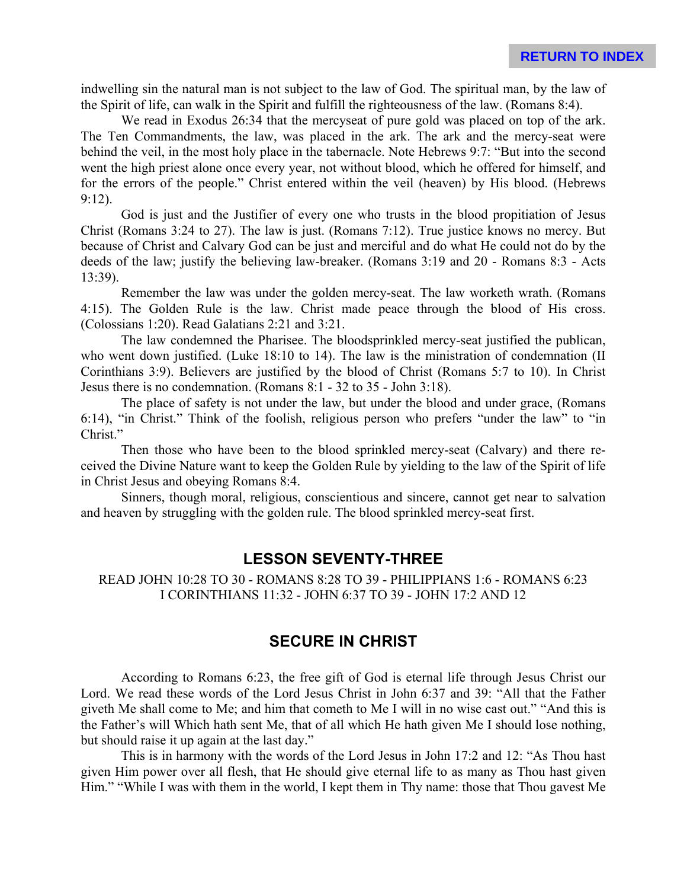indwelling sin the natural man is not subject to the law of God. The spiritual man, by the law of the Spirit of life, can walk in the Spirit and fulfill the righteousness of the law. (Romans 8:4).

We read in Exodus 26:34 that the mercyseat of pure gold was placed on top of the ark. The Ten Commandments, the law, was placed in the ark. The ark and the mercy-seat were behind the veil, in the most holy place in the tabernacle. Note Hebrews 9:7: "But into the second went the high priest alone once every year, not without blood, which he offered for himself, and for the errors of the people." Christ entered within the veil (heaven) by His blood. (Hebrews 9:12).

God is just and the Justifier of every one who trusts in the blood propitiation of Jesus Christ (Romans 3:24 to 27). The law is just. (Romans 7:12). True justice knows no mercy. But because of Christ and Calvary God can be just and merciful and do what He could not do by the deeds of the law; justify the believing law-breaker. (Romans 3:19 and 20 - Romans 8:3 - Acts 13:39).

Remember the law was under the golden mercy-seat. The law worketh wrath. (Romans 4:15). The Golden Rule is the law. Christ made peace through the blood of His cross. (Colossians 1:20). Read Galatians 2:21 and 3:21.

The law condemned the Pharisee. The bloodsprinkled mercy-seat justified the publican, who went down justified. (Luke 18:10 to 14). The law is the ministration of condemnation (II Corinthians 3:9). Believers are justified by the blood of Christ (Romans 5:7 to 10). In Christ Jesus there is no condemnation. (Romans 8:1 - 32 to 35 - John 3:18).

The place of safety is not under the law, but under the blood and under grace, (Romans 6:14), "in Christ." Think of the foolish, religious person who prefers "under the law" to "in Christ."

Then those who have been to the blood sprinkled mercy-seat (Calvary) and there received the Divine Nature want to keep the Golden Rule by yielding to the law of the Spirit of life in Christ Jesus and obeying Romans 8:4.

Sinners, though moral, religious, conscientious and sincere, cannot get near to salvation and heaven by struggling with the golden rule. The blood sprinkled mercy-seat first.

### **LESSON SEVENTY-THREE**

READ JOHN 10:28 TO 30 - ROMANS 8:28 TO 39 - PHILIPPIANS 1:6 - ROMANS 6:23 I CORINTHIANS 11:32 - JOHN 6:37 TO 39 - JOHN 17:2 AND 12

# **SECURE IN CHRIST**

According to Romans 6:23, the free gift of God is eternal life through Jesus Christ our Lord. We read these words of the Lord Jesus Christ in John 6:37 and 39: "All that the Father giveth Me shall come to Me; and him that cometh to Me I will in no wise cast out." "And this is the Father's will Which hath sent Me, that of all which He hath given Me I should lose nothing, but should raise it up again at the last day."

This is in harmony with the words of the Lord Jesus in John 17:2 and 12: "As Thou hast given Him power over all flesh, that He should give eternal life to as many as Thou hast given Him." "While I was with them in the world, I kept them in Thy name: those that Thou gavest Me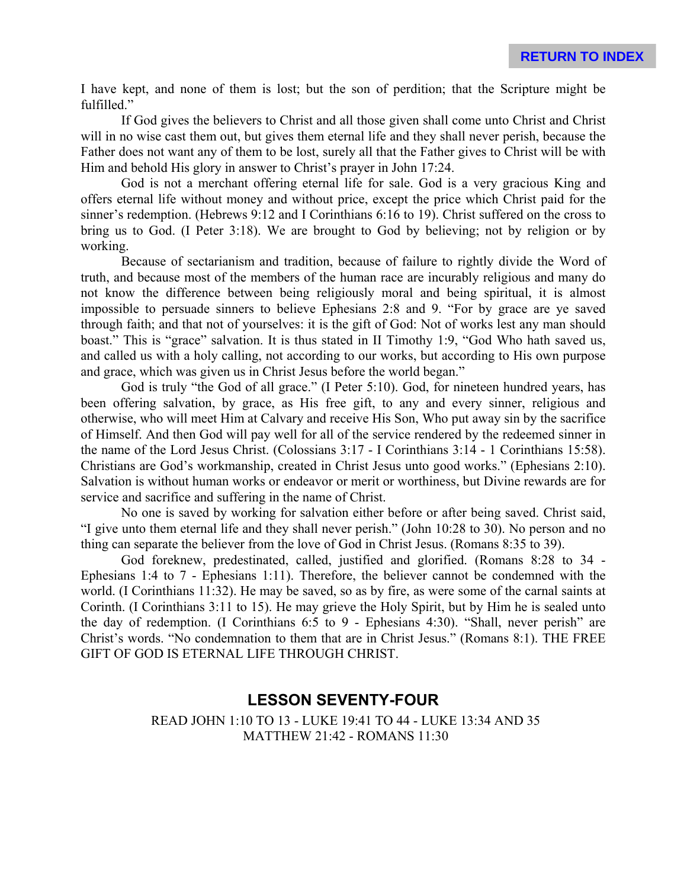I have kept, and none of them is lost; but the son of perdition; that the Scripture might be fulfilled."

If God gives the believers to Christ and all those given shall come unto Christ and Christ will in no wise cast them out, but gives them eternal life and they shall never perish, because the Father does not want any of them to be lost, surely all that the Father gives to Christ will be with Him and behold His glory in answer to Christ's prayer in John 17:24.

God is not a merchant offering eternal life for sale. God is a very gracious King and offers eternal life without money and without price, except the price which Christ paid for the sinner's redemption. (Hebrews 9:12 and I Corinthians 6:16 to 19). Christ suffered on the cross to bring us to God. (I Peter 3:18). We are brought to God by believing; not by religion or by working.

Because of sectarianism and tradition, because of failure to rightly divide the Word of truth, and because most of the members of the human race are incurably religious and many do not know the difference between being religiously moral and being spiritual, it is almost impossible to persuade sinners to believe Ephesians 2:8 and 9. "For by grace are ye saved through faith; and that not of yourselves: it is the gift of God: Not of works lest any man should boast." This is "grace" salvation. It is thus stated in II Timothy 1:9, "God Who hath saved us, and called us with a holy calling, not according to our works, but according to His own purpose and grace, which was given us in Christ Jesus before the world began."

God is truly "the God of all grace." (I Peter 5:10). God, for nineteen hundred years, has been offering salvation, by grace, as His free gift, to any and every sinner, religious and otherwise, who will meet Him at Calvary and receive His Son, Who put away sin by the sacrifice of Himself. And then God will pay well for all of the service rendered by the redeemed sinner in the name of the Lord Jesus Christ. (Colossians 3:17 - I Corinthians 3:14 - 1 Corinthians 15:58). Christians are God's workmanship, created in Christ Jesus unto good works." (Ephesians 2:10). Salvation is without human works or endeavor or merit or worthiness, but Divine rewards are for service and sacrifice and suffering in the name of Christ.

No one is saved by working for salvation either before or after being saved. Christ said, "I give unto them eternal life and they shall never perish." (John 10:28 to 30). No person and no thing can separate the believer from the love of God in Christ Jesus. (Romans 8:35 to 39).

God foreknew, predestinated, called, justified and glorified. (Romans 8:28 to 34 - Ephesians 1:4 to 7 - Ephesians 1:11). Therefore, the believer cannot be condemned with the world. (I Corinthians 11:32). He may be saved, so as by fire, as were some of the carnal saints at Corinth. (I Corinthians 3:11 to 15). He may grieve the Holy Spirit, but by Him he is sealed unto the day of redemption. (I Corinthians 6:5 to 9 - Ephesians 4:30). "Shall, never perish" are Christ's words. "No condemnation to them that are in Christ Jesus." (Romans 8:1). THE FREE GIFT OF GOD IS ETERNAL LIFE THROUGH CHRIST.

### **LESSON SEVENTY-FOUR**

READ JOHN 1:10 TO 13 - LUKE 19:41 TO 44 - LUKE 13:34 AND 35 MATTHEW 21:42 - ROMANS 11:30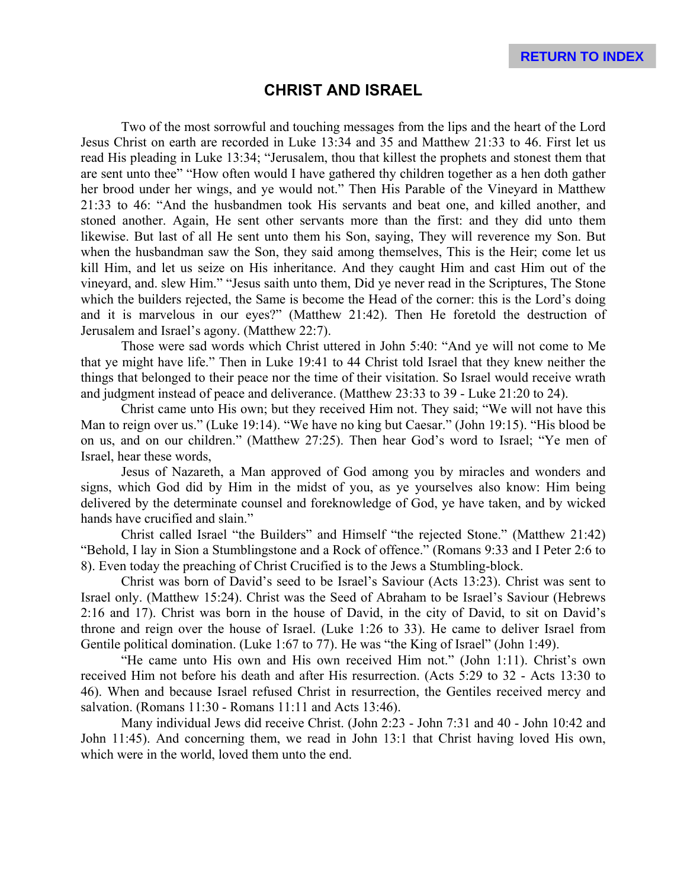#### **CHRIST AND ISRAEL**

Two of the most sorrowful and touching messages from the lips and the heart of the Lord Jesus Christ on earth are recorded in Luke 13:34 and 35 and Matthew 21:33 to 46. First let us read His pleading in Luke 13:34; "Jerusalem, thou that killest the prophets and stonest them that are sent unto thee" "How often would I have gathered thy children together as a hen doth gather her brood under her wings, and ye would not." Then His Parable of the Vineyard in Matthew 21:33 to 46: "And the husbandmen took His servants and beat one, and killed another, and stoned another. Again, He sent other servants more than the first: and they did unto them likewise. But last of all He sent unto them his Son, saying, They will reverence my Son. But when the husbandman saw the Son, they said among themselves, This is the Heir; come let us kill Him, and let us seize on His inheritance. And they caught Him and cast Him out of the vineyard, and. slew Him." "Jesus saith unto them, Did ye never read in the Scriptures, The Stone which the builders rejected, the Same is become the Head of the corner: this is the Lord's doing and it is marvelous in our eyes?" (Matthew 21:42). Then He foretold the destruction of Jerusalem and Israel's agony. (Matthew 22:7).

Those were sad words which Christ uttered in John 5:40: "And ye will not come to Me that ye might have life." Then in Luke 19:41 to 44 Christ told Israel that they knew neither the things that belonged to their peace nor the time of their visitation. So Israel would receive wrath and judgment instead of peace and deliverance. (Matthew 23:33 to 39 - Luke 21:20 to 24).

Christ came unto His own; but they received Him not. They said; "We will not have this Man to reign over us." (Luke 19:14). "We have no king but Caesar." (John 19:15). "His blood be on us, and on our children." (Matthew 27:25). Then hear God's word to Israel; "Ye men of Israel, hear these words,

Jesus of Nazareth, a Man approved of God among you by miracles and wonders and signs, which God did by Him in the midst of you, as ye yourselves also know: Him being delivered by the determinate counsel and foreknowledge of God, ye have taken, and by wicked hands have crucified and slain."

Christ called Israel "the Builders" and Himself "the rejected Stone." (Matthew 21:42) "Behold, I lay in Sion a Stumblingstone and a Rock of offence." (Romans 9:33 and I Peter 2:6 to 8). Even today the preaching of Christ Crucified is to the Jews a Stumbling-block.

Christ was born of David's seed to be Israel's Saviour (Acts 13:23). Christ was sent to Israel only. (Matthew 15:24). Christ was the Seed of Abraham to be Israel's Saviour (Hebrews 2:16 and 17). Christ was born in the house of David, in the city of David, to sit on David's throne and reign over the house of Israel. (Luke 1:26 to 33). He came to deliver Israel from Gentile political domination. (Luke 1:67 to 77). He was "the King of Israel" (John 1:49).

"He came unto His own and His own received Him not." (John 1:11). Christ's own received Him not before his death and after His resurrection. (Acts 5:29 to 32 - Acts 13:30 to 46). When and because Israel refused Christ in resurrection, the Gentiles received mercy and salvation. (Romans 11:30 - Romans 11:11 and Acts 13:46).

Many individual Jews did receive Christ. (John 2:23 - John 7:31 and 40 - John 10:42 and John 11:45). And concerning them, we read in John 13:1 that Christ having loved His own, which were in the world, loved them unto the end.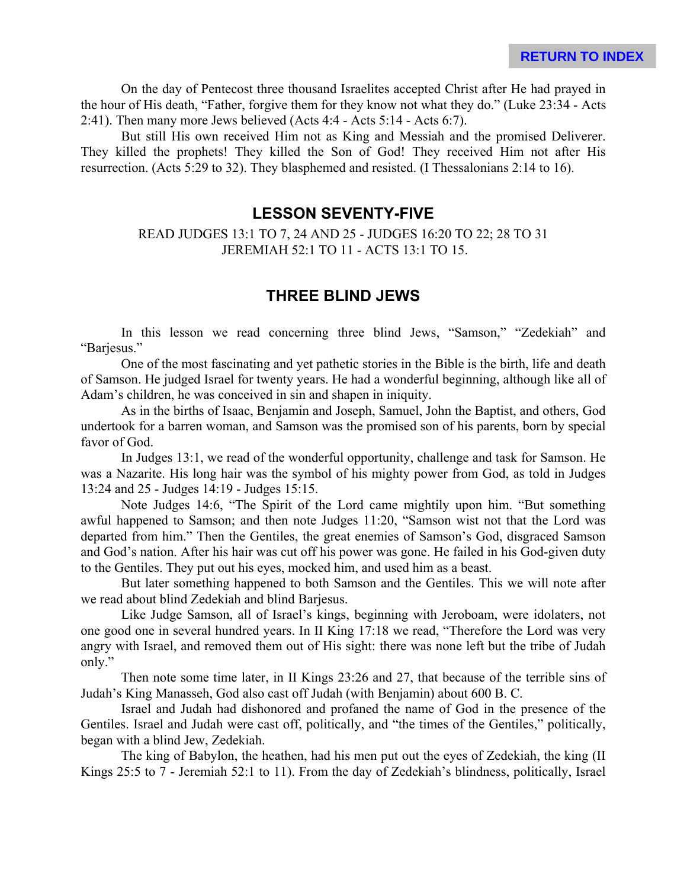On the day of Pentecost three thousand Israelites accepted Christ after He had prayed in the hour of His death, "Father, forgive them for they know not what they do." (Luke 23:34 - Acts 2:41). Then many more Jews believed (Acts 4:4 - Acts 5:14 - Acts 6:7).

But still His own received Him not as King and Messiah and the promised Deliverer. They killed the prophets! They killed the Son of God! They received Him not after His resurrection. (Acts 5:29 to 32). They blasphemed and resisted. (I Thessalonians 2:14 to 16).

#### **LESSON SEVENTY-FIVE**

READ JUDGES 13:1 TO 7, 24 AND 25 - JUDGES 16:20 TO 22; 28 TO 31 JEREMIAH 52:1 TO 11 - ACTS 13:1 TO 15.

### **THREE BLIND JEWS**

In this lesson we read concerning three blind Jews, "Samson," "Zedekiah" and "Barjesus."

One of the most fascinating and yet pathetic stories in the Bible is the birth, life and death of Samson. He judged Israel for twenty years. He had a wonderful beginning, although like all of Adam's children, he was conceived in sin and shapen in iniquity.

As in the births of Isaac, Benjamin and Joseph, Samuel, John the Baptist, and others, God undertook for a barren woman, and Samson was the promised son of his parents, born by special favor of God.

In Judges 13:1, we read of the wonderful opportunity, challenge and task for Samson. He was a Nazarite. His long hair was the symbol of his mighty power from God, as told in Judges 13:24 and 25 - Judges 14:19 - Judges 15:15.

Note Judges 14:6, "The Spirit of the Lord came mightily upon him. "But something awful happened to Samson; and then note Judges 11:20, "Samson wist not that the Lord was departed from him." Then the Gentiles, the great enemies of Samson's God, disgraced Samson and God's nation. After his hair was cut off his power was gone. He failed in his God-given duty to the Gentiles. They put out his eyes, mocked him, and used him as a beast.

But later something happened to both Samson and the Gentiles. This we will note after we read about blind Zedekiah and blind Barjesus.

Like Judge Samson, all of Israel's kings, beginning with Jeroboam, were idolaters, not one good one in several hundred years. In II King 17:18 we read, "Therefore the Lord was very angry with Israel, and removed them out of His sight: there was none left but the tribe of Judah only."

Then note some time later, in II Kings 23:26 and 27, that because of the terrible sins of Judah's King Manasseh, God also cast off Judah (with Benjamin) about 600 B. C.

Israel and Judah had dishonored and profaned the name of God in the presence of the Gentiles. Israel and Judah were cast off, politically, and "the times of the Gentiles," politically, began with a blind Jew, Zedekiah.

The king of Babylon, the heathen, had his men put out the eyes of Zedekiah, the king (II Kings 25:5 to 7 - Jeremiah 52:1 to 11). From the day of Zedekiah's blindness, politically, Israel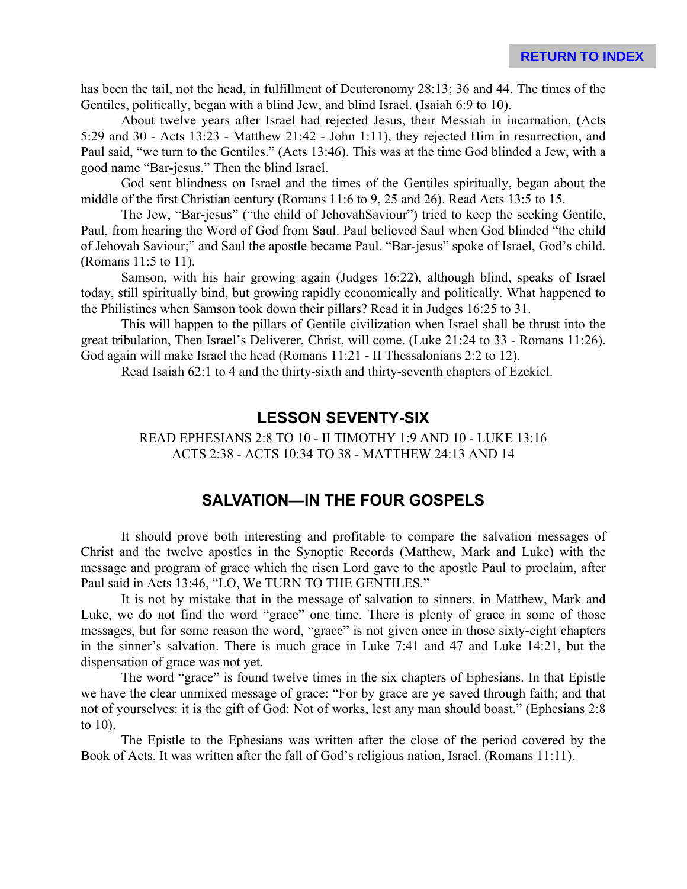has been the tail, not the head, in fulfillment of Deuteronomy 28:13; 36 and 44. The times of the Gentiles, politically, began with a blind Jew, and blind Israel. (Isaiah 6:9 to 10).

About twelve years after Israel had rejected Jesus, their Messiah in incarnation, (Acts 5:29 and 30 - Acts 13:23 - Matthew 21:42 - John 1:11), they rejected Him in resurrection, and Paul said, "we turn to the Gentiles." (Acts 13:46). This was at the time God blinded a Jew, with a good name "Bar-jesus." Then the blind Israel.

God sent blindness on Israel and the times of the Gentiles spiritually, began about the middle of the first Christian century (Romans 11:6 to 9, 25 and 26). Read Acts 13:5 to 15.

The Jew, "Bar-jesus" ("the child of JehovahSaviour") tried to keep the seeking Gentile, Paul, from hearing the Word of God from Saul. Paul believed Saul when God blinded "the child of Jehovah Saviour;" and Saul the apostle became Paul. "Bar-jesus" spoke of Israel, God's child. (Romans 11:5 to 11).

Samson, with his hair growing again (Judges 16:22), although blind, speaks of Israel today, still spiritually bind, but growing rapidly economically and politically. What happened to the Philistines when Samson took down their pillars? Read it in Judges 16:25 to 31.

This will happen to the pillars of Gentile civilization when Israel shall be thrust into the great tribulation, Then Israel's Deliverer, Christ, will come. (Luke 21:24 to 33 - Romans 11:26). God again will make Israel the head (Romans 11:21 - II Thessalonians 2:2 to 12).

Read Isaiah 62:1 to 4 and the thirty-sixth and thirty-seventh chapters of Ezekiel.

#### **LESSON SEVENTY-SIX**

READ EPHESIANS 2:8 TO 10 - II TIMOTHY 1:9 AND 10 - LUKE 13:16 ACTS 2:38 - ACTS 10:34 TO 38 - MATTHEW 24:13 AND 14

### **SALVATION—IN THE FOUR GOSPELS**

It should prove both interesting and profitable to compare the salvation messages of Christ and the twelve apostles in the Synoptic Records (Matthew, Mark and Luke) with the message and program of grace which the risen Lord gave to the apostle Paul to proclaim, after Paul said in Acts 13:46, "LO, We TURN TO THE GENTILES."

It is not by mistake that in the message of salvation to sinners, in Matthew, Mark and Luke, we do not find the word "grace" one time. There is plenty of grace in some of those messages, but for some reason the word, "grace" is not given once in those sixty-eight chapters in the sinner's salvation. There is much grace in Luke 7:41 and 47 and Luke 14:21, but the dispensation of grace was not yet.

The word "grace" is found twelve times in the six chapters of Ephesians. In that Epistle we have the clear unmixed message of grace: "For by grace are ye saved through faith; and that not of yourselves: it is the gift of God: Not of works, lest any man should boast." (Ephesians 2:8 to 10).

The Epistle to the Ephesians was written after the close of the period covered by the Book of Acts. It was written after the fall of God's religious nation, Israel. (Romans 11:11).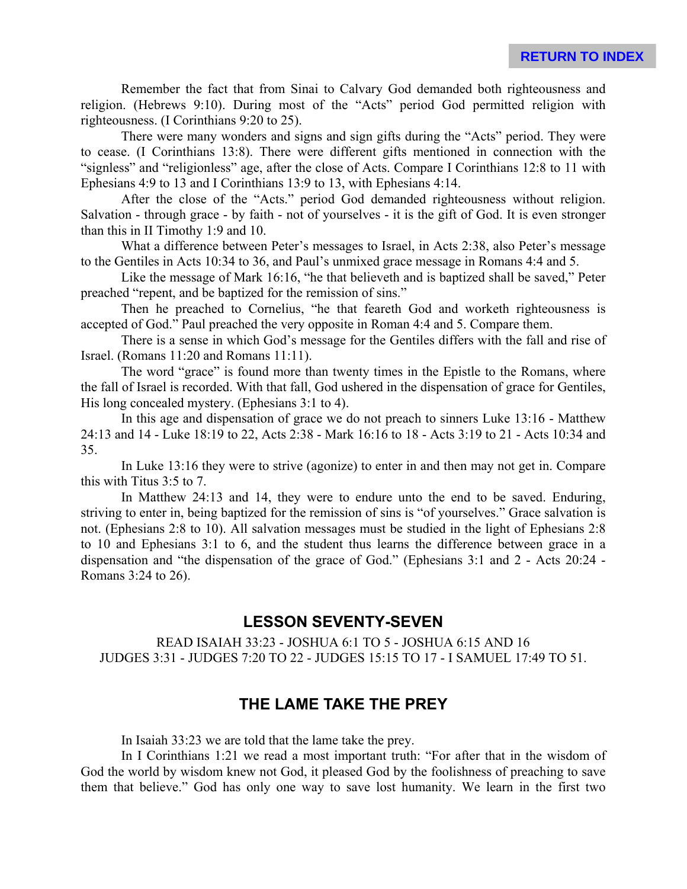Remember the fact that from Sinai to Calvary God demanded both righteousness and religion. (Hebrews 9:10). During most of the "Acts" period God permitted religion with righteousness. (I Corinthians 9:20 to 25).

There were many wonders and signs and sign gifts during the "Acts" period. They were to cease. (I Corinthians 13:8). There were different gifts mentioned in connection with the "signless" and "religionless" age, after the close of Acts. Compare I Corinthians 12:8 to 11 with Ephesians 4:9 to 13 and I Corinthians 13:9 to 13, with Ephesians 4:14.

After the close of the "Acts." period God demanded righteousness without religion. Salvation - through grace - by faith - not of yourselves - it is the gift of God. It is even stronger than this in II Timothy 1:9 and 10.

What a difference between Peter's messages to Israel, in Acts 2:38, also Peter's message to the Gentiles in Acts 10:34 to 36, and Paul's unmixed grace message in Romans 4:4 and 5.

Like the message of Mark 16:16, "he that believeth and is baptized shall be saved," Peter preached "repent, and be baptized for the remission of sins."

Then he preached to Cornelius, "he that feareth God and worketh righteousness is accepted of God." Paul preached the very opposite in Roman 4:4 and 5. Compare them.

There is a sense in which God's message for the Gentiles differs with the fall and rise of Israel. (Romans 11:20 and Romans 11:11).

The word "grace" is found more than twenty times in the Epistle to the Romans, where the fall of Israel is recorded. With that fall, God ushered in the dispensation of grace for Gentiles, His long concealed mystery. (Ephesians 3:1 to 4).

In this age and dispensation of grace we do not preach to sinners Luke 13:16 - Matthew 24:13 and 14 - Luke 18:19 to 22, Acts 2:38 - Mark 16:16 to 18 - Acts 3:19 to 21 - Acts 10:34 and 35.

In Luke 13:16 they were to strive (agonize) to enter in and then may not get in. Compare this with Titus 3:5 to 7.

In Matthew 24:13 and 14, they were to endure unto the end to be saved. Enduring, striving to enter in, being baptized for the remission of sins is "of yourselves." Grace salvation is not. (Ephesians 2:8 to 10). All salvation messages must be studied in the light of Ephesians 2:8 to 10 and Ephesians 3:1 to 6, and the student thus learns the difference between grace in a dispensation and "the dispensation of the grace of God." (Ephesians 3:1 and 2 - Acts 20:24 - Romans 3:24 to 26).

# **LESSON SEVENTY-SEVEN**

READ ISAIAH 33:23 - JOSHUA 6:1 TO 5 - JOSHUA 6:15 AND 16 JUDGES 3:31 - JUDGES 7:20 TO 22 - JUDGES 15:15 TO 17 - I SAMUEL 17:49 TO 51.

# **THE LAME TAKE THE PREY**

In Isaiah 33:23 we are told that the lame take the prey.

In I Corinthians 1:21 we read a most important truth: "For after that in the wisdom of God the world by wisdom knew not God, it pleased God by the foolishness of preaching to save them that believe." God has only one way to save lost humanity. We learn in the first two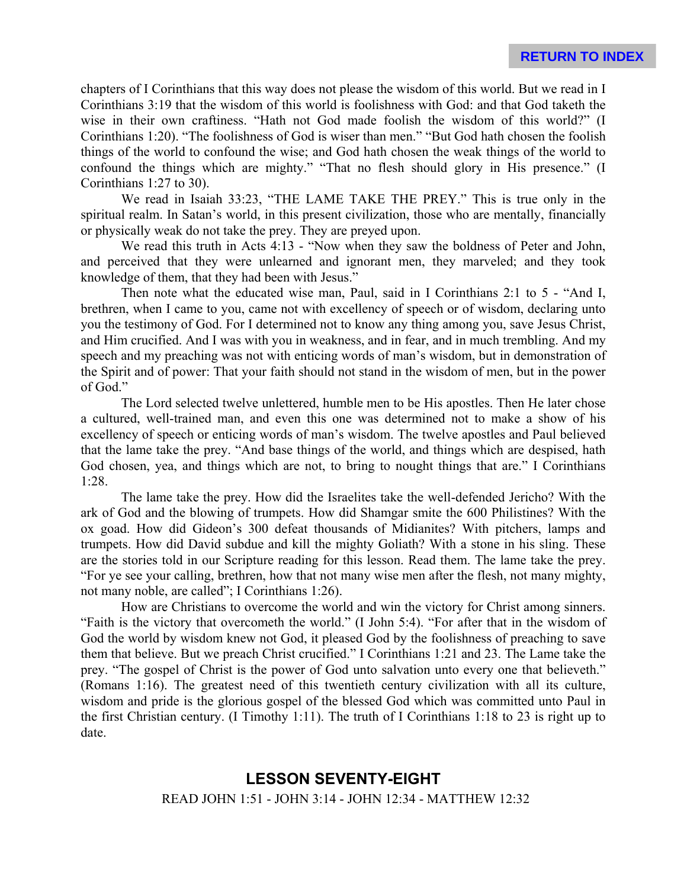chapters of I Corinthians that this way does not please the wisdom of this world. But we read in I Corinthians 3:19 that the wisdom of this world is foolishness with God: and that God taketh the wise in their own craftiness. "Hath not God made foolish the wisdom of this world?" (I Corinthians 1:20). "The foolishness of God is wiser than men." "But God hath chosen the foolish things of the world to confound the wise; and God hath chosen the weak things of the world to confound the things which are mighty." "That no flesh should glory in His presence." (I Corinthians 1:27 to 30).

We read in Isaiah 33:23, "THE LAME TAKE THE PREY." This is true only in the spiritual realm. In Satan's world, in this present civilization, those who are mentally, financially or physically weak do not take the prey. They are preyed upon.

We read this truth in Acts 4:13 - "Now when they saw the boldness of Peter and John, and perceived that they were unlearned and ignorant men, they marveled; and they took knowledge of them, that they had been with Jesus."

Then note what the educated wise man, Paul, said in I Corinthians 2:1 to 5 - "And I, brethren, when I came to you, came not with excellency of speech or of wisdom, declaring unto you the testimony of God. For I determined not to know any thing among you, save Jesus Christ, and Him crucified. And I was with you in weakness, and in fear, and in much trembling. And my speech and my preaching was not with enticing words of man's wisdom, but in demonstration of the Spirit and of power: That your faith should not stand in the wisdom of men, but in the power of God."

The Lord selected twelve unlettered, humble men to be His apostles. Then He later chose a cultured, well-trained man, and even this one was determined not to make a show of his excellency of speech or enticing words of man's wisdom. The twelve apostles and Paul believed that the lame take the prey. "And base things of the world, and things which are despised, hath God chosen, yea, and things which are not, to bring to nought things that are." I Corinthians 1:28.

The lame take the prey. How did the Israelites take the well-defended Jericho? With the ark of God and the blowing of trumpets. How did Shamgar smite the 600 Philistines? With the ox goad. How did Gideon's 300 defeat thousands of Midianites? With pitchers, lamps and trumpets. How did David subdue and kill the mighty Goliath? With a stone in his sling. These are the stories told in our Scripture reading for this lesson. Read them. The lame take the prey. "For ye see your calling, brethren, how that not many wise men after the flesh, not many mighty, not many noble, are called"; I Corinthians 1:26).

How are Christians to overcome the world and win the victory for Christ among sinners. "Faith is the victory that overcometh the world." (I John 5:4). "For after that in the wisdom of God the world by wisdom knew not God, it pleased God by the foolishness of preaching to save them that believe. But we preach Christ crucified." I Corinthians 1:21 and 23. The Lame take the prey. "The gospel of Christ is the power of God unto salvation unto every one that believeth." (Romans 1:16). The greatest need of this twentieth century civilization with all its culture, wisdom and pride is the glorious gospel of the blessed God which was committed unto Paul in the first Christian century. (I Timothy 1:11). The truth of I Corinthians 1:18 to 23 is right up to date.

### **LESSON SEVENTY-EIGHT** READ JOHN 1:51 - JOHN 3:14 - JOHN 12:34 - MATTHEW 12:32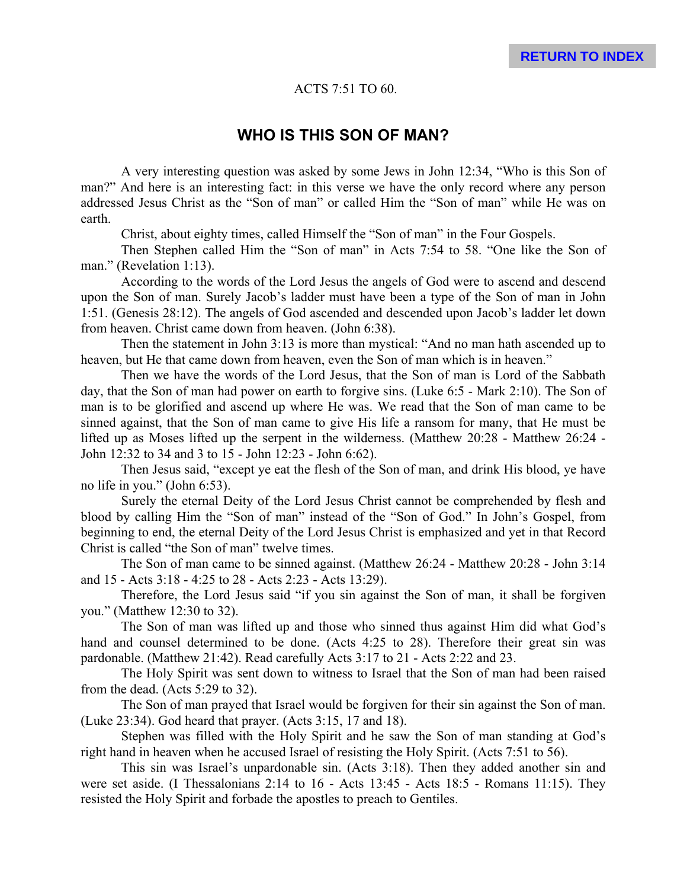#### ACTS 7:51 TO 60.

#### **WHO IS THIS SON OF MAN?**

A very interesting question was asked by some Jews in John 12:34, "Who is this Son of man?" And here is an interesting fact: in this verse we have the only record where any person addressed Jesus Christ as the "Son of man" or called Him the "Son of man" while He was on earth.

Christ, about eighty times, called Himself the "Son of man" in the Four Gospels.

Then Stephen called Him the "Son of man" in Acts 7:54 to 58. "One like the Son of man." (Revelation 1:13).

According to the words of the Lord Jesus the angels of God were to ascend and descend upon the Son of man. Surely Jacob's ladder must have been a type of the Son of man in John 1:51. (Genesis 28:12). The angels of God ascended and descended upon Jacob's ladder let down from heaven. Christ came down from heaven. (John 6:38).

Then the statement in John 3:13 is more than mystical: "And no man hath ascended up to heaven, but He that came down from heaven, even the Son of man which is in heaven."

Then we have the words of the Lord Jesus, that the Son of man is Lord of the Sabbath day, that the Son of man had power on earth to forgive sins. (Luke 6:5 - Mark 2:10). The Son of man is to be glorified and ascend up where He was. We read that the Son of man came to be sinned against, that the Son of man came to give His life a ransom for many, that He must be lifted up as Moses lifted up the serpent in the wilderness. (Matthew 20:28 - Matthew 26:24 - John 12:32 to 34 and 3 to 15 - John 12:23 - John 6:62).

Then Jesus said, "except ye eat the flesh of the Son of man, and drink His blood, ye have no life in you." (John 6:53).

Surely the eternal Deity of the Lord Jesus Christ cannot be comprehended by flesh and blood by calling Him the "Son of man" instead of the "Son of God." In John's Gospel, from beginning to end, the eternal Deity of the Lord Jesus Christ is emphasized and yet in that Record Christ is called "the Son of man" twelve times.

The Son of man came to be sinned against. (Matthew 26:24 - Matthew 20:28 - John 3:14 and 15 - Acts 3:18 - 4:25 to 28 - Acts 2:23 - Acts 13:29).

Therefore, the Lord Jesus said "if you sin against the Son of man, it shall be forgiven you." (Matthew 12:30 to 32).

The Son of man was lifted up and those who sinned thus against Him did what God's hand and counsel determined to be done. (Acts 4:25 to 28). Therefore their great sin was pardonable. (Matthew 21:42). Read carefully Acts 3:17 to 21 - Acts 2:22 and 23.

The Holy Spirit was sent down to witness to Israel that the Son of man had been raised from the dead. (Acts 5:29 to 32).

The Son of man prayed that Israel would be forgiven for their sin against the Son of man. (Luke 23:34). God heard that prayer. (Acts 3:15, 17 and 18).

Stephen was filled with the Holy Spirit and he saw the Son of man standing at God's right hand in heaven when he accused Israel of resisting the Holy Spirit. (Acts 7:51 to 56).

This sin was Israel's unpardonable sin. (Acts 3:18). Then they added another sin and were set aside. (I Thessalonians 2:14 to 16 - Acts 13:45 - Acts 18:5 - Romans 11:15). They resisted the Holy Spirit and forbade the apostles to preach to Gentiles.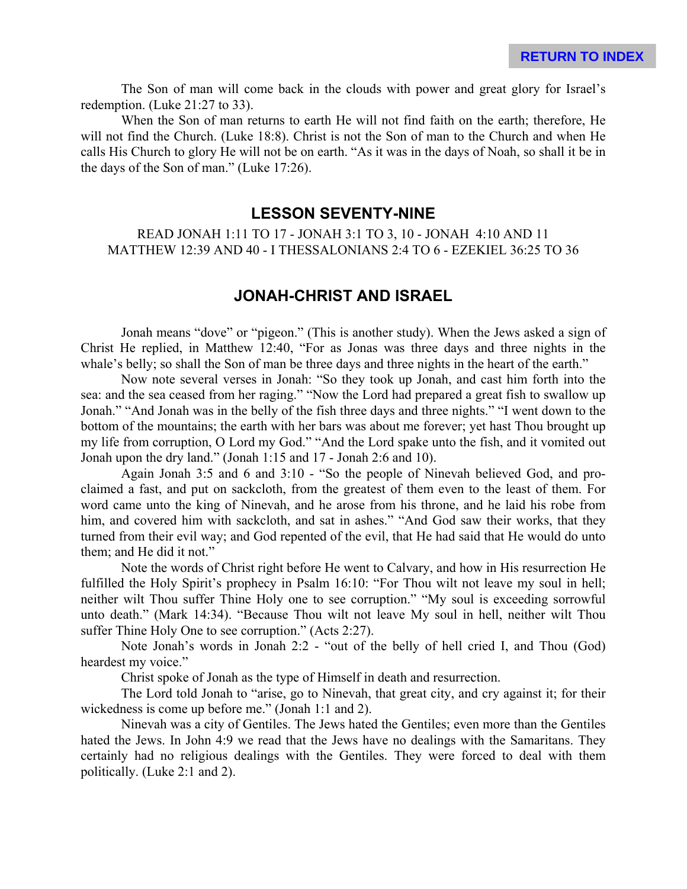The Son of man will come back in the clouds with power and great glory for Israel's redemption. (Luke 21:27 to 33).

When the Son of man returns to earth He will not find faith on the earth; therefore, He will not find the Church. (Luke 18:8). Christ is not the Son of man to the Church and when He calls His Church to glory He will not be on earth. "As it was in the days of Noah, so shall it be in the days of the Son of man." (Luke 17:26).

#### **LESSON SEVENTY-NINE**

READ JONAH 1:11 TO 17 - JONAH 3:1 TO 3, 10 - JONAH 4:10 AND 11 MATTHEW 12:39 AND 40 - I THESSALONIANS 2:4 TO 6 - EZEKIEL 36:25 TO 36

#### **JONAH-CHRIST AND ISRAEL**

Jonah means "dove" or "pigeon." (This is another study). When the Jews asked a sign of Christ He replied, in Matthew 12:40, "For as Jonas was three days and three nights in the whale's belly; so shall the Son of man be three days and three nights in the heart of the earth."

Now note several verses in Jonah: "So they took up Jonah, and cast him forth into the sea: and the sea ceased from her raging." "Now the Lord had prepared a great fish to swallow up Jonah." "And Jonah was in the belly of the fish three days and three nights." "I went down to the bottom of the mountains; the earth with her bars was about me forever; yet hast Thou brought up my life from corruption, O Lord my God." "And the Lord spake unto the fish, and it vomited out Jonah upon the dry land." (Jonah 1:15 and 17 - Jonah 2:6 and 10).

Again Jonah 3:5 and 6 and 3:10 - "So the people of Ninevah believed God, and proclaimed a fast, and put on sackcloth, from the greatest of them even to the least of them. For word came unto the king of Ninevah, and he arose from his throne, and he laid his robe from him, and covered him with sackcloth, and sat in ashes." "And God saw their works, that they turned from their evil way; and God repented of the evil, that He had said that He would do unto them; and He did it not."

Note the words of Christ right before He went to Calvary, and how in His resurrection He fulfilled the Holy Spirit's prophecy in Psalm 16:10: "For Thou wilt not leave my soul in hell; neither wilt Thou suffer Thine Holy one to see corruption." "My soul is exceeding sorrowful unto death." (Mark 14:34). "Because Thou wilt not leave My soul in hell, neither wilt Thou suffer Thine Holy One to see corruption." (Acts 2:27).

Note Jonah's words in Jonah 2:2 - "out of the belly of hell cried I, and Thou (God) heardest my voice."

Christ spoke of Jonah as the type of Himself in death and resurrection.

The Lord told Jonah to "arise, go to Ninevah, that great city, and cry against it; for their wickedness is come up before me." (Jonah 1:1 and 2).

Ninevah was a city of Gentiles. The Jews hated the Gentiles; even more than the Gentiles hated the Jews. In John 4:9 we read that the Jews have no dealings with the Samaritans. They certainly had no religious dealings with the Gentiles. They were forced to deal with them politically. (Luke 2:1 and 2).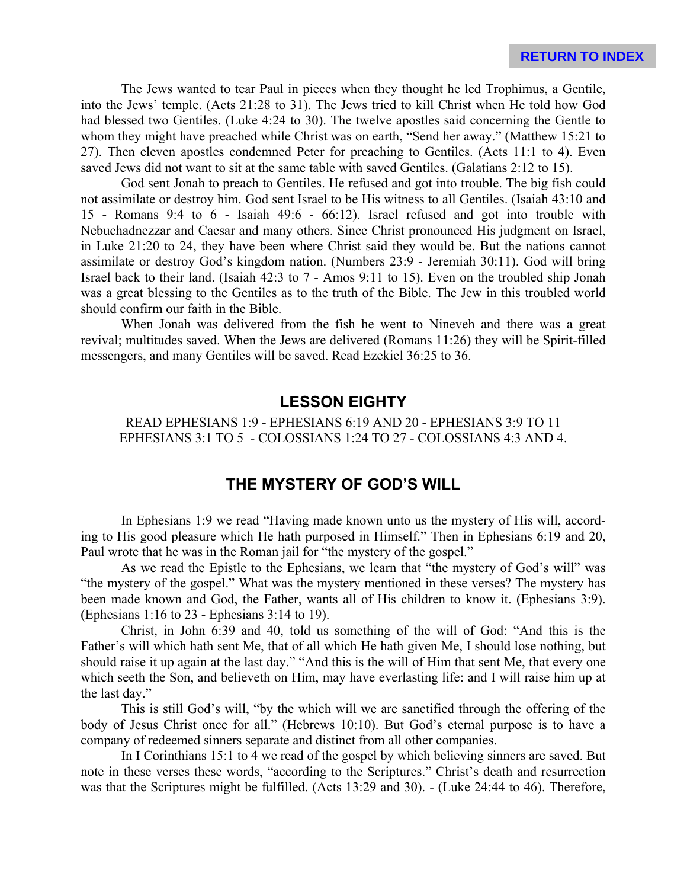The Jews wanted to tear Paul in pieces when they thought he led Trophimus, a Gentile, into the Jews' temple. (Acts 21:28 to 31). The Jews tried to kill Christ when He told how God had blessed two Gentiles. (Luke 4:24 to 30). The twelve apostles said concerning the Gentle to whom they might have preached while Christ was on earth, "Send her away." (Matthew 15:21 to 27). Then eleven apostles condemned Peter for preaching to Gentiles. (Acts 11:1 to 4). Even saved Jews did not want to sit at the same table with saved Gentiles. (Galatians 2:12 to 15).

God sent Jonah to preach to Gentiles. He refused and got into trouble. The big fish could not assimilate or destroy him. God sent Israel to be His witness to all Gentiles. (Isaiah 43:10 and 15 - Romans 9:4 to 6 - Isaiah 49:6 - 66:12). Israel refused and got into trouble with Nebuchadnezzar and Caesar and many others. Since Christ pronounced His judgment on Israel, in Luke 21:20 to 24, they have been where Christ said they would be. But the nations cannot assimilate or destroy God's kingdom nation. (Numbers 23:9 - Jeremiah 30:11). God will bring Israel back to their land. (Isaiah 42:3 to 7 - Amos 9:11 to 15). Even on the troubled ship Jonah was a great blessing to the Gentiles as to the truth of the Bible. The Jew in this troubled world should confirm our faith in the Bible.

When Jonah was delivered from the fish he went to Nineveh and there was a great revival; multitudes saved. When the Jews are delivered (Romans 11:26) they will be Spirit-filled messengers, and many Gentiles will be saved. Read Ezekiel 36:25 to 36.

# **LESSON EIGHTY**

READ EPHESIANS 1:9 - EPHESIANS 6:19 AND 20 - EPHESIANS 3:9 TO 11 EPHESIANS 3:1 TO 5 - COLOSSIANS 1:24 TO 27 - COLOSSIANS 4:3 AND 4.

### **THE MYSTERY OF GOD'S WILL**

In Ephesians 1:9 we read "Having made known unto us the mystery of His will, according to His good pleasure which He hath purposed in Himself." Then in Ephesians 6:19 and 20, Paul wrote that he was in the Roman jail for "the mystery of the gospel."

As we read the Epistle to the Ephesians, we learn that "the mystery of God's will" was "the mystery of the gospel." What was the mystery mentioned in these verses? The mystery has been made known and God, the Father, wants all of His children to know it. (Ephesians 3:9). (Ephesians 1:16 to 23 - Ephesians 3:14 to 19).

Christ, in John 6:39 and 40, told us something of the will of God: "And this is the Father's will which hath sent Me, that of all which He hath given Me, I should lose nothing, but should raise it up again at the last day." "And this is the will of Him that sent Me, that every one which seeth the Son, and believeth on Him, may have everlasting life: and I will raise him up at the last day."

This is still God's will, "by the which will we are sanctified through the offering of the body of Jesus Christ once for all." (Hebrews 10:10). But God's eternal purpose is to have a company of redeemed sinners separate and distinct from all other companies.

In I Corinthians 15:1 to 4 we read of the gospel by which believing sinners are saved. But note in these verses these words, "according to the Scriptures." Christ's death and resurrection was that the Scriptures might be fulfilled. (Acts 13:29 and 30). - (Luke 24:44 to 46). Therefore,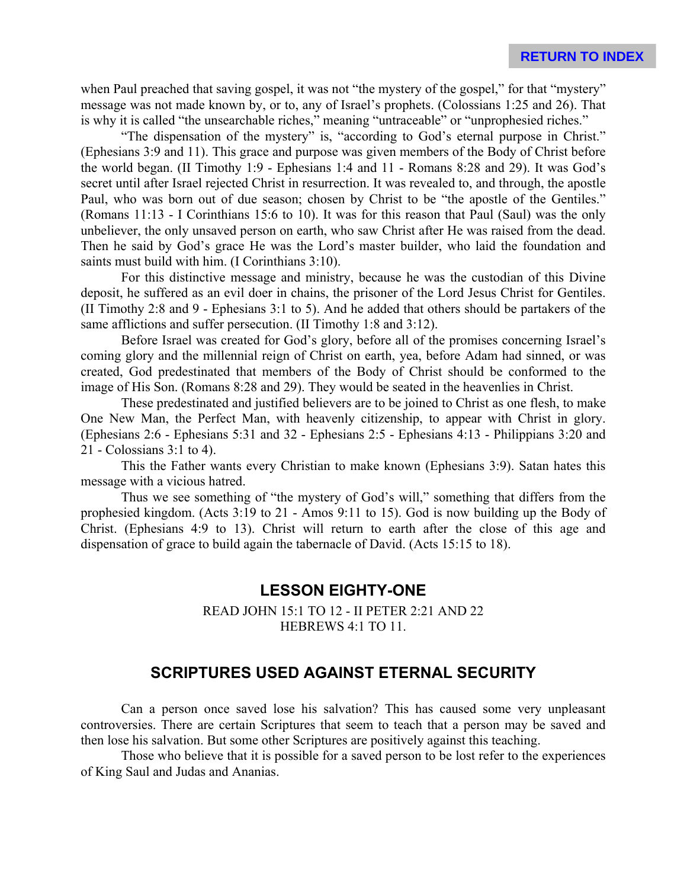when Paul preached that saving gospel, it was not "the mystery of the gospel," for that "mystery" message was not made known by, or to, any of Israel's prophets. (Colossians 1:25 and 26). That is why it is called "the unsearchable riches," meaning "untraceable" or "unprophesied riches."

"The dispensation of the mystery" is, "according to God's eternal purpose in Christ." (Ephesians 3:9 and 11). This grace and purpose was given members of the Body of Christ before the world began. (II Timothy 1:9 - Ephesians 1:4 and 11 - Romans 8:28 and 29). It was God's secret until after Israel rejected Christ in resurrection. It was revealed to, and through, the apostle Paul, who was born out of due season; chosen by Christ to be "the apostle of the Gentiles." (Romans 11:13 - I Corinthians 15:6 to 10). It was for this reason that Paul (Saul) was the only unbeliever, the only unsaved person on earth, who saw Christ after He was raised from the dead. Then he said by God's grace He was the Lord's master builder, who laid the foundation and saints must build with him. (I Corinthians 3:10).

For this distinctive message and ministry, because he was the custodian of this Divine deposit, he suffered as an evil doer in chains, the prisoner of the Lord Jesus Christ for Gentiles. (II Timothy 2:8 and 9 - Ephesians 3:1 to 5). And he added that others should be partakers of the same afflictions and suffer persecution. (II Timothy 1:8 and 3:12).

Before Israel was created for God's glory, before all of the promises concerning Israel's coming glory and the millennial reign of Christ on earth, yea, before Adam had sinned, or was created, God predestinated that members of the Body of Christ should be conformed to the image of His Son. (Romans 8:28 and 29). They would be seated in the heavenlies in Christ.

These predestinated and justified believers are to be joined to Christ as one flesh, to make One New Man, the Perfect Man, with heavenly citizenship, to appear with Christ in glory. (Ephesians 2:6 - Ephesians 5:31 and 32 - Ephesians 2:5 - Ephesians 4:13 - Philippians 3:20 and 21 - Colossians 3:1 to 4).

This the Father wants every Christian to make known (Ephesians 3:9). Satan hates this message with a vicious hatred.

Thus we see something of "the mystery of God's will," something that differs from the prophesied kingdom. (Acts 3:19 to 21 - Amos 9:11 to 15). God is now building up the Body of Christ. (Ephesians 4:9 to 13). Christ will return to earth after the close of this age and dispensation of grace to build again the tabernacle of David. (Acts 15:15 to 18).

#### **LESSON EIGHTY-ONE**

READ JOHN 15:1 TO 12 - II PETER 2:21 AND 22 HEBREWS 4:1 TO 11.

# **SCRIPTURES USED AGAINST ETERNAL SECURITY**

Can a person once saved lose his salvation? This has caused some very unpleasant controversies. There are certain Scriptures that seem to teach that a person may be saved and then lose his salvation. But some other Scriptures are positively against this teaching.

Those who believe that it is possible for a saved person to be lost refer to the experiences of King Saul and Judas and Ananias.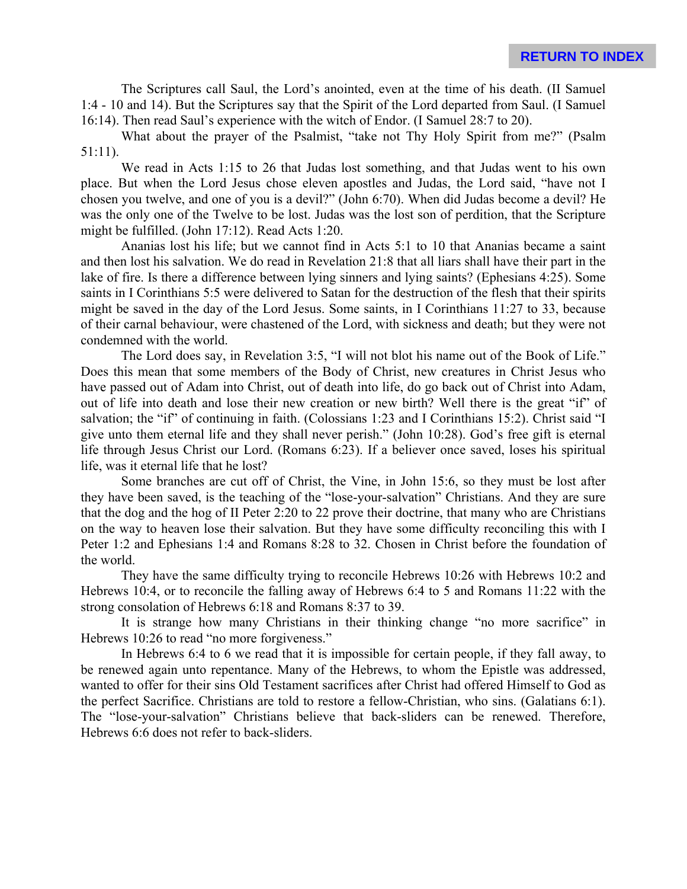The Scriptures call Saul, the Lord's anointed, even at the time of his death. (II Samuel 1:4 - 10 and 14). But the Scriptures say that the Spirit of the Lord departed from Saul. (I Samuel 16:14). Then read Saul's experience with the witch of Endor. (I Samuel 28:7 to 20).

What about the prayer of the Psalmist, "take not Thy Holy Spirit from me?" (Psalm 51:11).

We read in Acts 1:15 to 26 that Judas lost something, and that Judas went to his own place. But when the Lord Jesus chose eleven apostles and Judas, the Lord said, "have not I chosen you twelve, and one of you is a devil?" (John 6:70). When did Judas become a devil? He was the only one of the Twelve to be lost. Judas was the lost son of perdition, that the Scripture might be fulfilled. (John 17:12). Read Acts 1:20.

Ananias lost his life; but we cannot find in Acts 5:1 to 10 that Ananias became a saint and then lost his salvation. We do read in Revelation 21:8 that all liars shall have their part in the lake of fire. Is there a difference between lying sinners and lying saints? (Ephesians 4:25). Some saints in I Corinthians 5:5 were delivered to Satan for the destruction of the flesh that their spirits might be saved in the day of the Lord Jesus. Some saints, in I Corinthians 11:27 to 33, because of their carnal behaviour, were chastened of the Lord, with sickness and death; but they were not condemned with the world.

The Lord does say, in Revelation 3:5, "I will not blot his name out of the Book of Life." Does this mean that some members of the Body of Christ, new creatures in Christ Jesus who have passed out of Adam into Christ, out of death into life, do go back out of Christ into Adam, out of life into death and lose their new creation or new birth? Well there is the great "if" of salvation; the "if" of continuing in faith. (Colossians 1:23 and I Corinthians 15:2). Christ said "I give unto them eternal life and they shall never perish." (John 10:28). God's free gift is eternal life through Jesus Christ our Lord. (Romans 6:23). If a believer once saved, loses his spiritual life, was it eternal life that he lost?

Some branches are cut off of Christ, the Vine, in John 15:6, so they must be lost after they have been saved, is the teaching of the "lose-your-salvation" Christians. And they are sure that the dog and the hog of II Peter 2:20 to 22 prove their doctrine, that many who are Christians on the way to heaven lose their salvation. But they have some difficulty reconciling this with I Peter 1:2 and Ephesians 1:4 and Romans 8:28 to 32. Chosen in Christ before the foundation of the world.

They have the same difficulty trying to reconcile Hebrews 10:26 with Hebrews 10:2 and Hebrews 10:4, or to reconcile the falling away of Hebrews 6:4 to 5 and Romans 11:22 with the strong consolation of Hebrews 6:18 and Romans 8:37 to 39.

It is strange how many Christians in their thinking change "no more sacrifice" in Hebrews 10:26 to read "no more forgiveness."

In Hebrews 6:4 to 6 we read that it is impossible for certain people, if they fall away, to be renewed again unto repentance. Many of the Hebrews, to whom the Epistle was addressed, wanted to offer for their sins Old Testament sacrifices after Christ had offered Himself to God as the perfect Sacrifice. Christians are told to restore a fellow-Christian, who sins. (Galatians 6:1). The "lose-your-salvation" Christians believe that back-sliders can be renewed. Therefore, Hebrews 6:6 does not refer to back-sliders.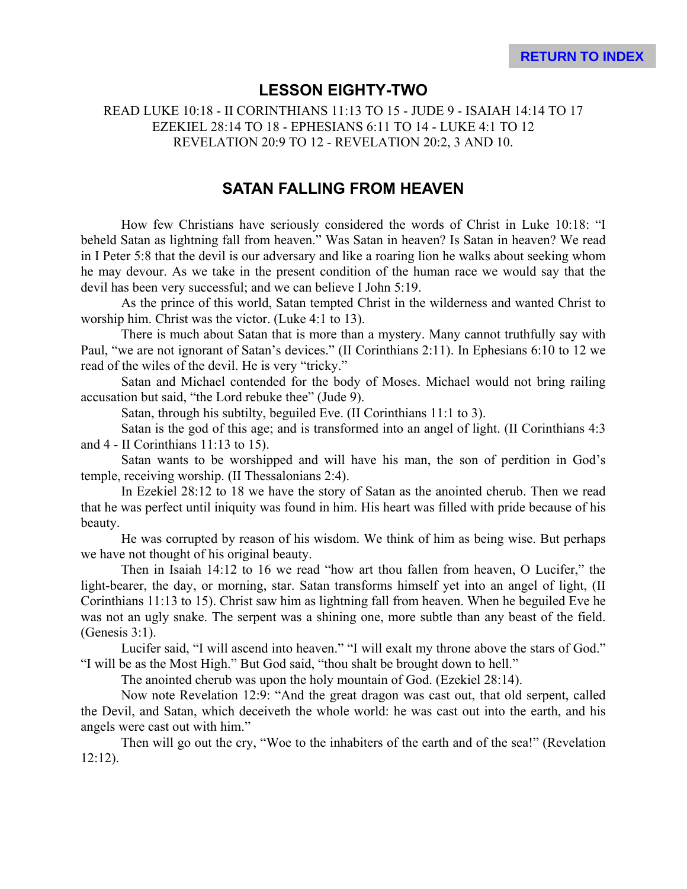# **LESSON EIGHTY-TWO**

READ LUKE 10:18 - II CORINTHIANS 11:13 TO 15 - JUDE 9 - ISAIAH 14:14 TO 17 EZEKIEL 28:14 TO 18 - EPHESIANS 6:11 TO 14 - LUKE 4:1 TO 12 REVELATION 20:9 TO 12 - REVELATION 20:2, 3 AND 10.

## **SATAN FALLING FROM HEAVEN**

How few Christians have seriously considered the words of Christ in Luke 10:18: "I beheld Satan as lightning fall from heaven." Was Satan in heaven? Is Satan in heaven? We read in I Peter 5:8 that the devil is our adversary and like a roaring lion he walks about seeking whom he may devour. As we take in the present condition of the human race we would say that the devil has been very successful; and we can believe I John 5:19.

As the prince of this world, Satan tempted Christ in the wilderness and wanted Christ to worship him. Christ was the victor. (Luke 4:1 to 13).

There is much about Satan that is more than a mystery. Many cannot truthfully say with Paul, "we are not ignorant of Satan's devices." (II Corinthians 2:11). In Ephesians 6:10 to 12 we read of the wiles of the devil. He is very "tricky."

Satan and Michael contended for the body of Moses. Michael would not bring railing accusation but said, "the Lord rebuke thee" (Jude 9).

Satan, through his subtilty, beguiled Eve. (II Corinthians 11:1 to 3).

Satan is the god of this age; and is transformed into an angel of light. (II Corinthians 4:3 and 4 - II Corinthians 11:13 to 15).

Satan wants to be worshipped and will have his man, the son of perdition in God's temple, receiving worship. (II Thessalonians 2:4).

In Ezekiel 28:12 to 18 we have the story of Satan as the anointed cherub. Then we read that he was perfect until iniquity was found in him. His heart was filled with pride because of his beauty.

He was corrupted by reason of his wisdom. We think of him as being wise. But perhaps we have not thought of his original beauty.

Then in Isaiah 14:12 to 16 we read "how art thou fallen from heaven, O Lucifer," the light-bearer, the day, or morning, star. Satan transforms himself yet into an angel of light, (II Corinthians 11:13 to 15). Christ saw him as lightning fall from heaven. When he beguiled Eve he was not an ugly snake. The serpent was a shining one, more subtle than any beast of the field. (Genesis 3:1).

Lucifer said, "I will ascend into heaven." "I will exalt my throne above the stars of God." "I will be as the Most High." But God said, "thou shalt be brought down to hell."

The anointed cherub was upon the holy mountain of God. (Ezekiel 28:14).

Now note Revelation 12:9: "And the great dragon was cast out, that old serpent, called the Devil, and Satan, which deceiveth the whole world: he was cast out into the earth, and his angels were cast out with him."

Then will go out the cry, "Woe to the inhabiters of the earth and of the sea!" (Revelation 12:12).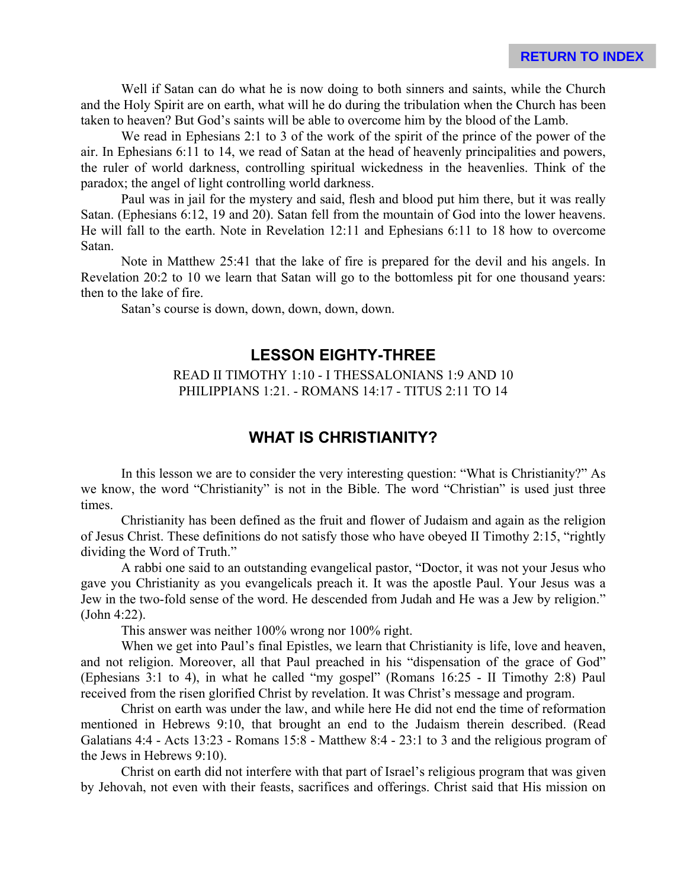Well if Satan can do what he is now doing to both sinners and saints, while the Church and the Holy Spirit are on earth, what will he do during the tribulation when the Church has been taken to heaven? But God's saints will be able to overcome him by the blood of the Lamb.

We read in Ephesians 2:1 to 3 of the work of the spirit of the prince of the power of the air. In Ephesians 6:11 to 14, we read of Satan at the head of heavenly principalities and powers, the ruler of world darkness, controlling spiritual wickedness in the heavenlies. Think of the paradox; the angel of light controlling world darkness.

Paul was in jail for the mystery and said, flesh and blood put him there, but it was really Satan. (Ephesians 6:12, 19 and 20). Satan fell from the mountain of God into the lower heavens. He will fall to the earth. Note in Revelation 12:11 and Ephesians 6:11 to 18 how to overcome Satan.

Note in Matthew 25:41 that the lake of fire is prepared for the devil and his angels. In Revelation 20:2 to 10 we learn that Satan will go to the bottomless pit for one thousand years: then to the lake of fire.

Satan's course is down, down, down, down, down.

### **LESSON EIGHTY-THREE**

#### READ II TIMOTHY 1:10 - I THESSALONIANS 1:9 AND 10 PHILIPPIANS 1:21. - ROMANS 14:17 - TITUS 2:11 TO 14

#### **WHAT IS CHRISTIANITY?**

In this lesson we are to consider the very interesting question: "What is Christianity?" As we know, the word "Christianity" is not in the Bible. The word "Christian" is used just three times.

Christianity has been defined as the fruit and flower of Judaism and again as the religion of Jesus Christ. These definitions do not satisfy those who have obeyed II Timothy 2:15, "rightly dividing the Word of Truth."

A rabbi one said to an outstanding evangelical pastor, "Doctor, it was not your Jesus who gave you Christianity as you evangelicals preach it. It was the apostle Paul. Your Jesus was a Jew in the two-fold sense of the word. He descended from Judah and He was a Jew by religion." (John 4:22).

This answer was neither 100% wrong nor 100% right.

When we get into Paul's final Epistles, we learn that Christianity is life, love and heaven, and not religion. Moreover, all that Paul preached in his "dispensation of the grace of God" (Ephesians 3:1 to 4), in what he called "my gospel" (Romans 16:25 - II Timothy 2:8) Paul received from the risen glorified Christ by revelation. It was Christ's message and program.

Christ on earth was under the law, and while here He did not end the time of reformation mentioned in Hebrews 9:10, that brought an end to the Judaism therein described. (Read Galatians 4:4 - Acts 13:23 - Romans 15:8 - Matthew 8:4 - 23:1 to 3 and the religious program of the Jews in Hebrews 9:10).

Christ on earth did not interfere with that part of Israel's religious program that was given by Jehovah, not even with their feasts, sacrifices and offerings. Christ said that His mission on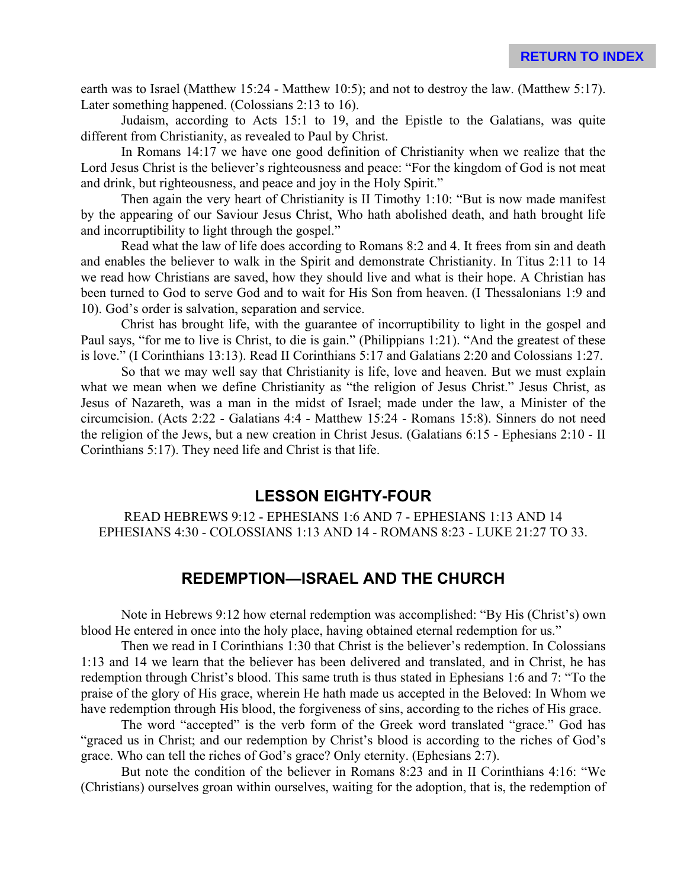earth was to Israel (Matthew 15:24 - Matthew 10:5); and not to destroy the law. (Matthew 5:17). Later something happened. (Colossians 2:13 to 16).

Judaism, according to Acts 15:1 to 19, and the Epistle to the Galatians, was quite different from Christianity, as revealed to Paul by Christ.

In Romans 14:17 we have one good definition of Christianity when we realize that the Lord Jesus Christ is the believer's righteousness and peace: "For the kingdom of God is not meat and drink, but righteousness, and peace and joy in the Holy Spirit."

Then again the very heart of Christianity is II Timothy 1:10: "But is now made manifest by the appearing of our Saviour Jesus Christ, Who hath abolished death, and hath brought life and incorruptibility to light through the gospel."

Read what the law of life does according to Romans 8:2 and 4. It frees from sin and death and enables the believer to walk in the Spirit and demonstrate Christianity. In Titus 2:11 to 14 we read how Christians are saved, how they should live and what is their hope. A Christian has been turned to God to serve God and to wait for His Son from heaven. (I Thessalonians 1:9 and 10). God's order is salvation, separation and service.

Christ has brought life, with the guarantee of incorruptibility to light in the gospel and Paul says, "for me to live is Christ, to die is gain." (Philippians 1:21). "And the greatest of these is love." (I Corinthians 13:13). Read II Corinthians 5:17 and Galatians 2:20 and Colossians 1:27.

So that we may well say that Christianity is life, love and heaven. But we must explain what we mean when we define Christianity as "the religion of Jesus Christ." Jesus Christ, as Jesus of Nazareth, was a man in the midst of Israel; made under the law, a Minister of the circumcision. (Acts 2:22 - Galatians 4:4 - Matthew 15:24 - Romans 15:8). Sinners do not need the religion of the Jews, but a new creation in Christ Jesus. (Galatians 6:15 - Ephesians 2:10 - II Corinthians 5:17). They need life and Christ is that life.

#### **LESSON EIGHTY-FOUR**

READ HEBREWS 9:12 - EPHESIANS 1:6 AND 7 - EPHESIANS 1:13 AND 14 EPHESIANS 4:30 - COLOSSIANS 1:13 AND 14 - ROMANS 8:23 - LUKE 21:27 TO 33.

### **REDEMPTION—ISRAEL AND THE CHURCH**

Note in Hebrews 9:12 how eternal redemption was accomplished: "By His (Christ's) own blood He entered in once into the holy place, having obtained eternal redemption for us."

Then we read in I Corinthians 1:30 that Christ is the believer's redemption. In Colossians 1:13 and 14 we learn that the believer has been delivered and translated, and in Christ, he has redemption through Christ's blood. This same truth is thus stated in Ephesians 1:6 and 7: "To the praise of the glory of His grace, wherein He hath made us accepted in the Beloved: In Whom we have redemption through His blood, the forgiveness of sins, according to the riches of His grace.

The word "accepted" is the verb form of the Greek word translated "grace." God has "graced us in Christ; and our redemption by Christ's blood is according to the riches of God's grace. Who can tell the riches of God's grace? Only eternity. (Ephesians 2:7).

But note the condition of the believer in Romans 8:23 and in II Corinthians 4:16: "We (Christians) ourselves groan within ourselves, waiting for the adoption, that is, the redemption of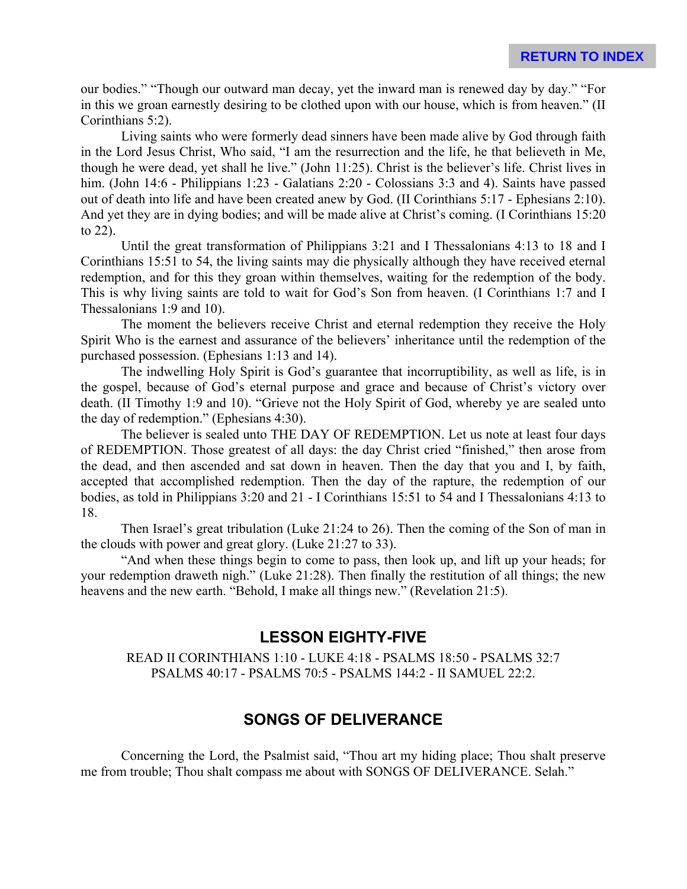our bodies." "Though our outward man decay, yet the inward man is renewed day by day." "For in this we groan earnestly desiring to be clothed upon with our house, which is from heaven." (II Corinthians 5:2).

Living saints who were formerly dead sinners have been made alive by God through faith in the Lord Jesus Christ, Who said, "I am the resurrection and the life, he that believeth in Me, though he were dead, yet shall he live." (John 11:25). Christ is the believer's life. Christ lives in him. (John 14:6 - Philippians 1:23 - Galatians 2:20 - Colossians 3:3 and 4). Saints have passed out of death into life and have been created anew by God. (II Corinthians 5:17 - Ephesians 2:10). And yet they are in dying bodies; and will be made alive at Christ's coming. (I Corinthians 15:20 to 22).

Until the great transformation of Philippians 3:21 and I Thessalonians 4:13 to 18 and I Corinthians 15:51 to 54, the living saints may die physically although they have received eternal redemption, and for this they groan within themselves, waiting for the redemption of the body. This is why living saints are told to wait for God's Son from heaven. (I Corinthians 1:7 and I Thessalonians 1:9 and 10).

The moment the believers receive Christ and eternal redemption they receive the Holy Spirit Who is the earnest and assurance of the believers' inheritance until the redemption of the purchased possession. (Ephesians 1:13 and 14).

The indwelling Holy Spirit is God's guarantee that incorruptibility, as well as life, is in the gospel, because of God's eternal purpose and grace and because of Christ's victory over death. (II Timothy 1:9 and 10). "Grieve not the Holy Spirit of God, whereby ye are sealed unto the day of redemption." (Ephesians 4:30).

The believer is sealed unto THE DAY OF REDEMPTION. Let us note at least four days of REDEMPTION. Those greatest of all days: the day Christ cried "finished," then arose from the dead, and then ascended and sat down in heaven. Then the day that you and I, by faith, accepted that accomplished redemption. Then the day of the rapture, the redemption of our bodies, as told in Philippians 3:20 and 21 - I Corinthians 15:51 to 54 and I Thessalonians 4:13 to 18.

Then Israel's great tribulation (Luke 21:24 to 26). Then the coming of the Son of man in the clouds with power and great glory. (Luke 21:27 to 33).

"And when these things begin to come to pass, then look up, and lift up your heads; for your redemption draweth nigh." (Luke 21:28). Then finally the restitution of all things; the new heavens and the new earth. "Behold, I make all things new." (Revelation 21:5).

### **LESSON EIGHTY-FIVE**

READ II CORINTHIANS 1:10 - LUKE 4:18 - PSALMS 18:50 - PSALMS 32:7 PSALMS 40:17 - PSALMS 70:5 - PSALMS 144:2 - II SAMUEL 22:2.

# **SONGS OF DELIVERANCE**

Concerning the Lord, the Psalmist said, "Thou art my hiding place; Thou shalt preserve me from trouble; Thou shalt compass me about with SONGS OF DELIVERANCE. Selah."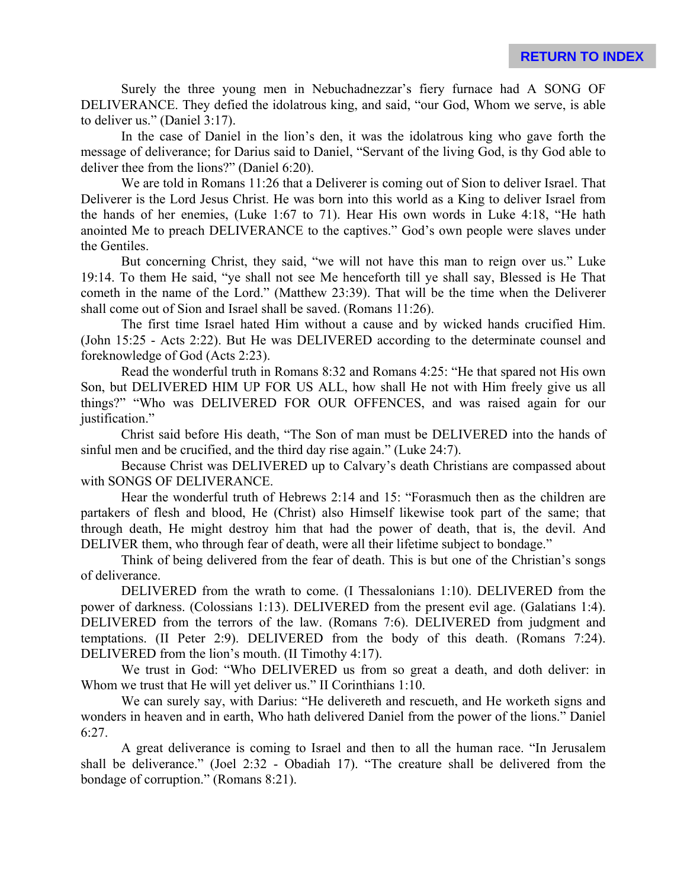Surely the three young men in Nebuchadnezzar's fiery furnace had A SONG OF DELIVERANCE. They defied the idolatrous king, and said, "our God, Whom we serve, is able to deliver us." (Daniel 3:17).

In the case of Daniel in the lion's den, it was the idolatrous king who gave forth the message of deliverance; for Darius said to Daniel, "Servant of the living God, is thy God able to deliver thee from the lions?" (Daniel 6:20).

We are told in Romans 11:26 that a Deliverer is coming out of Sion to deliver Israel. That Deliverer is the Lord Jesus Christ. He was born into this world as a King to deliver Israel from the hands of her enemies, (Luke 1:67 to 71). Hear His own words in Luke 4:18, "He hath anointed Me to preach DELIVERANCE to the captives." God's own people were slaves under the Gentiles.

But concerning Christ, they said, "we will not have this man to reign over us." Luke 19:14. To them He said, "ye shall not see Me henceforth till ye shall say, Blessed is He That cometh in the name of the Lord." (Matthew 23:39). That will be the time when the Deliverer shall come out of Sion and Israel shall be saved. (Romans 11:26).

The first time Israel hated Him without a cause and by wicked hands crucified Him. (John 15:25 - Acts 2:22). But He was DELIVERED according to the determinate counsel and foreknowledge of God (Acts 2:23).

Read the wonderful truth in Romans 8:32 and Romans 4:25: "He that spared not His own Son, but DELIVERED HIM UP FOR US ALL, how shall He not with Him freely give us all things?" "Who was DELIVERED FOR OUR OFFENCES, and was raised again for our justification."

Christ said before His death, "The Son of man must be DELIVERED into the hands of sinful men and be crucified, and the third day rise again." (Luke 24:7).

Because Christ was DELIVERED up to Calvary's death Christians are compassed about with SONGS OF DELIVERANCE.

Hear the wonderful truth of Hebrews 2:14 and 15: "Forasmuch then as the children are partakers of flesh and blood, He (Christ) also Himself likewise took part of the same; that through death, He might destroy him that had the power of death, that is, the devil. And DELIVER them, who through fear of death, were all their lifetime subject to bondage."

Think of being delivered from the fear of death. This is but one of the Christian's songs of deliverance.

DELIVERED from the wrath to come. (I Thessalonians 1:10). DELIVERED from the power of darkness. (Colossians 1:13). DELIVERED from the present evil age. (Galatians 1:4). DELIVERED from the terrors of the law. (Romans 7:6). DELIVERED from judgment and temptations. (II Peter 2:9). DELIVERED from the body of this death. (Romans 7:24). DELIVERED from the lion's mouth. (II Timothy 4:17).

We trust in God: "Who DELIVERED us from so great a death, and doth deliver: in Whom we trust that He will yet deliver us." II Corinthians 1:10.

We can surely say, with Darius: "He delivereth and rescueth, and He worketh signs and wonders in heaven and in earth, Who hath delivered Daniel from the power of the lions." Daniel 6:27.

A great deliverance is coming to Israel and then to all the human race. "In Jerusalem shall be deliverance." (Joel 2:32 - Obadiah 17). "The creature shall be delivered from the bondage of corruption." (Romans 8:21).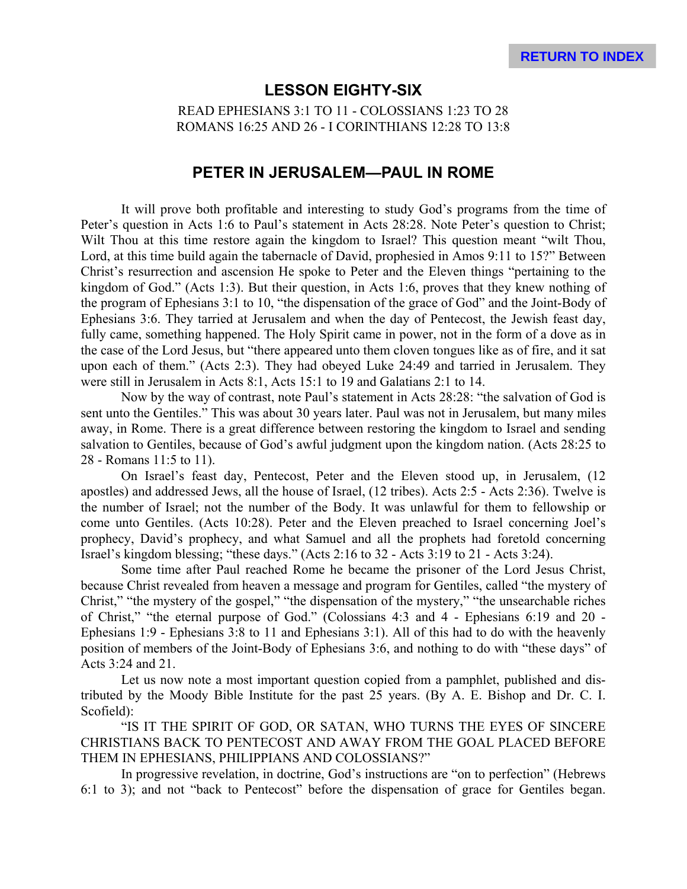#### **LESSON EIGHTY-SIX**

READ EPHESIANS 3:1 TO 11 - COLOSSIANS 1:23 TO 28 ROMANS 16:25 AND 26 - I CORINTHIANS 12:28 TO 13:8

#### **PETER IN JERUSALEM—PAUL IN ROME**

It will prove both profitable and interesting to study God's programs from the time of Peter's question in Acts 1:6 to Paul's statement in Acts 28:28. Note Peter's question to Christ; Wilt Thou at this time restore again the kingdom to Israel? This question meant "wilt Thou, Lord, at this time build again the tabernacle of David, prophesied in Amos 9:11 to 15?" Between Christ's resurrection and ascension He spoke to Peter and the Eleven things "pertaining to the kingdom of God." (Acts 1:3). But their question, in Acts 1:6, proves that they knew nothing of the program of Ephesians 3:1 to 10, "the dispensation of the grace of God" and the Joint-Body of Ephesians 3:6. They tarried at Jerusalem and when the day of Pentecost, the Jewish feast day, fully came, something happened. The Holy Spirit came in power, not in the form of a dove as in the case of the Lord Jesus, but "there appeared unto them cloven tongues like as of fire, and it sat upon each of them." (Acts 2:3). They had obeyed Luke 24:49 and tarried in Jerusalem. They were still in Jerusalem in Acts 8:1, Acts 15:1 to 19 and Galatians 2:1 to 14.

Now by the way of contrast, note Paul's statement in Acts 28:28: "the salvation of God is sent unto the Gentiles." This was about 30 years later. Paul was not in Jerusalem, but many miles away, in Rome. There is a great difference between restoring the kingdom to Israel and sending salvation to Gentiles, because of God's awful judgment upon the kingdom nation. (Acts 28:25 to 28 - Romans 11:5 to 11).

On Israel's feast day, Pentecost, Peter and the Eleven stood up, in Jerusalem, (12 apostles) and addressed Jews, all the house of Israel, (12 tribes). Acts 2:5 - Acts 2:36). Twelve is the number of Israel; not the number of the Body. It was unlawful for them to fellowship or come unto Gentiles. (Acts 10:28). Peter and the Eleven preached to Israel concerning Joel's prophecy, David's prophecy, and what Samuel and all the prophets had foretold concerning Israel's kingdom blessing; "these days." (Acts 2:16 to 32 - Acts 3:19 to 21 - Acts 3:24).

Some time after Paul reached Rome he became the prisoner of the Lord Jesus Christ, because Christ revealed from heaven a message and program for Gentiles, called "the mystery of Christ," "the mystery of the gospel," "the dispensation of the mystery," "the unsearchable riches of Christ," "the eternal purpose of God." (Colossians 4:3 and 4 - Ephesians 6:19 and 20 - Ephesians 1:9 - Ephesians 3:8 to 11 and Ephesians 3:1). All of this had to do with the heavenly position of members of the Joint-Body of Ephesians 3:6, and nothing to do with "these days" of Acts 3:24 and 21.

Let us now note a most important question copied from a pamphlet, published and distributed by the Moody Bible Institute for the past 25 years. (By A. E. Bishop and Dr. C. I. Scofield):

"IS IT THE SPIRIT OF GOD, OR SATAN, WHO TURNS THE EYES OF SINCERE CHRISTIANS BACK TO PENTECOST AND AWAY FROM THE GOAL PLACED BEFORE THEM IN EPHESIANS, PHILIPPIANS AND COLOSSIANS?"

In progressive revelation, in doctrine, God's instructions are "on to perfection" (Hebrews 6:1 to 3); and not "back to Pentecost" before the dispensation of grace for Gentiles began.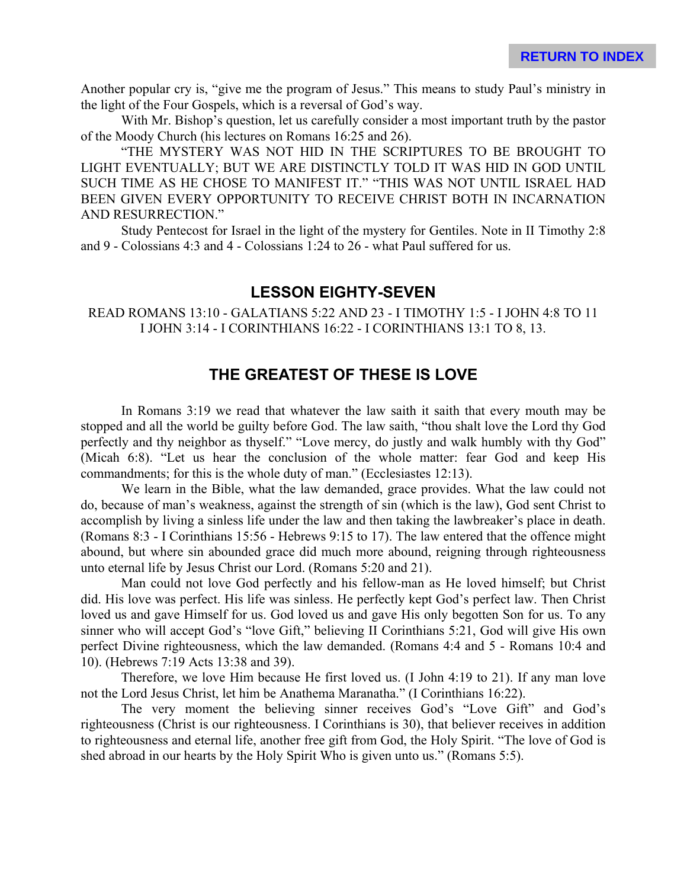Another popular cry is, "give me the program of Jesus." This means to study Paul's ministry in the light of the Four Gospels, which is a reversal of God's way.

With Mr. Bishop's question, let us carefully consider a most important truth by the pastor of the Moody Church (his lectures on Romans 16:25 and 26).

"THE MYSTERY WAS NOT HID IN THE SCRIPTURES TO BE BROUGHT TO LIGHT EVENTUALLY; BUT WE ARE DISTINCTLY TOLD IT WAS HID IN GOD UNTIL SUCH TIME AS HE CHOSE TO MANIFEST IT." "THIS WAS NOT UNTIL ISRAEL HAD BEEN GIVEN EVERY OPPORTUNITY TO RECEIVE CHRIST BOTH IN INCARNATION AND RESURRECTION."

Study Pentecost for Israel in the light of the mystery for Gentiles. Note in II Timothy 2:8 and 9 - Colossians 4:3 and 4 - Colossians 1:24 to 26 - what Paul suffered for us.

#### **LESSON EIGHTY-SEVEN**

READ ROMANS 13:10 - GALATIANS 5:22 AND 23 - I TIMOTHY 1:5 - I JOHN 4:8 TO 11 I JOHN 3:14 - I CORINTHIANS 16:22 - I CORINTHIANS 13:1 TO 8, 13.

# **THE GREATEST OF THESE IS LOVE**

In Romans 3:19 we read that whatever the law saith it saith that every mouth may be stopped and all the world be guilty before God. The law saith, "thou shalt love the Lord thy God perfectly and thy neighbor as thyself." "Love mercy, do justly and walk humbly with thy God" (Micah 6:8). "Let us hear the conclusion of the whole matter: fear God and keep His commandments; for this is the whole duty of man." (Ecclesiastes 12:13).

We learn in the Bible, what the law demanded, grace provides. What the law could not do, because of man's weakness, against the strength of sin (which is the law), God sent Christ to accomplish by living a sinless life under the law and then taking the lawbreaker's place in death. (Romans 8:3 - I Corinthians 15:56 - Hebrews 9:15 to 17). The law entered that the offence might abound, but where sin abounded grace did much more abound, reigning through righteousness unto eternal life by Jesus Christ our Lord. (Romans 5:20 and 21).

Man could not love God perfectly and his fellow-man as He loved himself; but Christ did. His love was perfect. His life was sinless. He perfectly kept God's perfect law. Then Christ loved us and gave Himself for us. God loved us and gave His only begotten Son for us. To any sinner who will accept God's "love Gift," believing II Corinthians 5:21, God will give His own perfect Divine righteousness, which the law demanded. (Romans 4:4 and 5 - Romans 10:4 and 10). (Hebrews 7:19 Acts 13:38 and 39).

Therefore, we love Him because He first loved us. (I John 4:19 to 21). If any man love not the Lord Jesus Christ, let him be Anathema Maranatha." (I Corinthians 16:22).

The very moment the believing sinner receives God's "Love Gift" and God's righteousness (Christ is our righteousness. I Corinthians is 30), that believer receives in addition to righteousness and eternal life, another free gift from God, the Holy Spirit. "The love of God is shed abroad in our hearts by the Holy Spirit Who is given unto us." (Romans 5:5).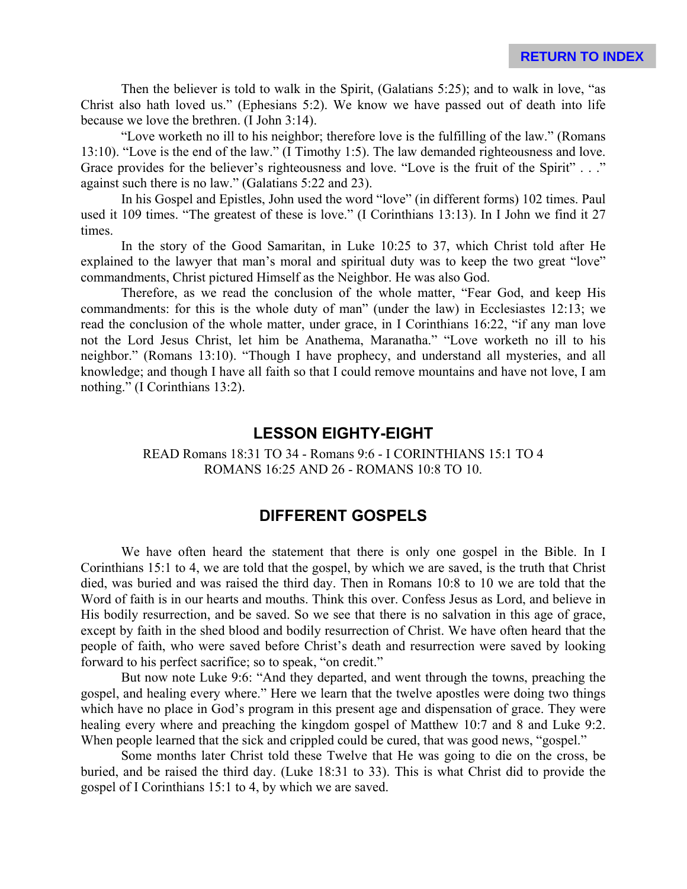Then the believer is told to walk in the Spirit, (Galatians 5:25); and to walk in love, "as Christ also hath loved us." (Ephesians 5:2). We know we have passed out of death into life because we love the brethren. (I John 3:14).

"Love worketh no ill to his neighbor; therefore love is the fulfilling of the law." (Romans 13:10). "Love is the end of the law." (I Timothy 1:5). The law demanded righteousness and love. Grace provides for the believer's righteousness and love. "Love is the fruit of the Spirit" . . ." against such there is no law." (Galatians 5:22 and 23).

In his Gospel and Epistles, John used the word "love" (in different forms) 102 times. Paul used it 109 times. "The greatest of these is love." (I Corinthians 13:13). In I John we find it 27 times.

In the story of the Good Samaritan, in Luke 10:25 to 37, which Christ told after He explained to the lawyer that man's moral and spiritual duty was to keep the two great "love" commandments, Christ pictured Himself as the Neighbor. He was also God.

Therefore, as we read the conclusion of the whole matter, "Fear God, and keep His commandments: for this is the whole duty of man" (under the law) in Ecclesiastes 12:13; we read the conclusion of the whole matter, under grace, in I Corinthians 16:22, "if any man love not the Lord Jesus Christ, let him be Anathema, Maranatha." "Love worketh no ill to his neighbor." (Romans 13:10). "Though I have prophecy, and understand all mysteries, and all knowledge; and though I have all faith so that I could remove mountains and have not love, I am nothing." (I Corinthians 13:2).

#### **LESSON EIGHTY-EIGHT**

READ Romans 18:31 TO 34 - Romans 9:6 - I CORINTHIANS 15:1 TO 4 ROMANS 16:25 AND 26 - ROMANS 10:8 TO 10.

## **DIFFERENT GOSPELS**

We have often heard the statement that there is only one gospel in the Bible. In I Corinthians 15:1 to 4, we are told that the gospel, by which we are saved, is the truth that Christ died, was buried and was raised the third day. Then in Romans 10:8 to 10 we are told that the Word of faith is in our hearts and mouths. Think this over. Confess Jesus as Lord, and believe in His bodily resurrection, and be saved. So we see that there is no salvation in this age of grace, except by faith in the shed blood and bodily resurrection of Christ. We have often heard that the people of faith, who were saved before Christ's death and resurrection were saved by looking forward to his perfect sacrifice; so to speak, "on credit."

But now note Luke 9:6: "And they departed, and went through the towns, preaching the gospel, and healing every where." Here we learn that the twelve apostles were doing two things which have no place in God's program in this present age and dispensation of grace. They were healing every where and preaching the kingdom gospel of Matthew 10:7 and 8 and Luke 9:2. When people learned that the sick and crippled could be cured, that was good news, "gospel."

Some months later Christ told these Twelve that He was going to die on the cross, be buried, and be raised the third day. (Luke 18:31 to 33). This is what Christ did to provide the gospel of I Corinthians 15:1 to 4, by which we are saved.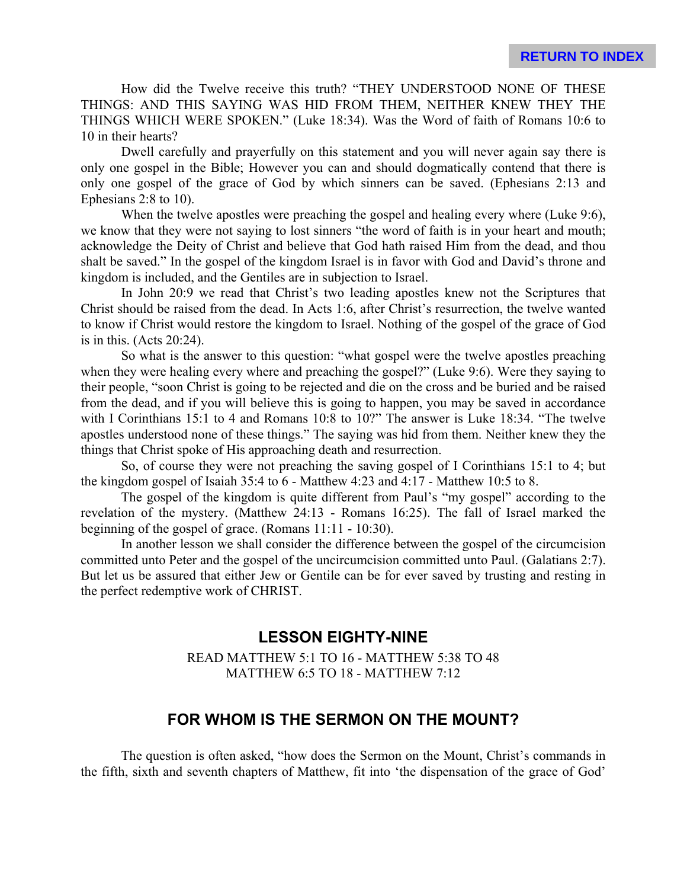How did the Twelve receive this truth? "THEY UNDERSTOOD NONE OF THESE THINGS: AND THIS SAYING WAS HID FROM THEM, NEITHER KNEW THEY THE THINGS WHICH WERE SPOKEN." (Luke 18:34). Was the Word of faith of Romans 10:6 to 10 in their hearts?

Dwell carefully and prayerfully on this statement and you will never again say there is only one gospel in the Bible; However you can and should dogmatically contend that there is only one gospel of the grace of God by which sinners can be saved. (Ephesians 2:13 and Ephesians 2:8 to 10).

When the twelve apostles were preaching the gospel and healing every where (Luke 9:6), we know that they were not saying to lost sinners "the word of faith is in your heart and mouth; acknowledge the Deity of Christ and believe that God hath raised Him from the dead, and thou shalt be saved." In the gospel of the kingdom Israel is in favor with God and David's throne and kingdom is included, and the Gentiles are in subjection to Israel.

In John 20:9 we read that Christ's two leading apostles knew not the Scriptures that Christ should be raised from the dead. In Acts 1:6, after Christ's resurrection, the twelve wanted to know if Christ would restore the kingdom to Israel. Nothing of the gospel of the grace of God is in this. (Acts 20:24).

So what is the answer to this question: "what gospel were the twelve apostles preaching when they were healing every where and preaching the gospel?" (Luke 9:6). Were they saying to their people, "soon Christ is going to be rejected and die on the cross and be buried and be raised from the dead, and if you will believe this is going to happen, you may be saved in accordance with I Corinthians 15:1 to 4 and Romans 10:8 to 10?" The answer is Luke 18:34. "The twelve apostles understood none of these things." The saying was hid from them. Neither knew they the things that Christ spoke of His approaching death and resurrection.

So, of course they were not preaching the saving gospel of I Corinthians 15:1 to 4; but the kingdom gospel of Isaiah 35:4 to 6 - Matthew 4:23 and 4:17 - Matthew 10:5 to 8.

The gospel of the kingdom is quite different from Paul's "my gospel" according to the revelation of the mystery. (Matthew 24:13 - Romans 16:25). The fall of Israel marked the beginning of the gospel of grace. (Romans 11:11 - 10:30).

In another lesson we shall consider the difference between the gospel of the circumcision committed unto Peter and the gospel of the uncircumcision committed unto Paul. (Galatians 2:7). But let us be assured that either Jew or Gentile can be for ever saved by trusting and resting in the perfect redemptive work of CHRIST.

#### **LESSON EIGHTY-NINE**

READ MATTHEW 5:1 TO 16 - MATTHEW 5:38 TO 48 MATTHEW 6:5 TO 18 - MATTHEW 7:12

# **FOR WHOM IS THE SERMON ON THE MOUNT?**

The question is often asked, "how does the Sermon on the Mount, Christ's commands in the fifth, sixth and seventh chapters of Matthew, fit into 'the dispensation of the grace of God'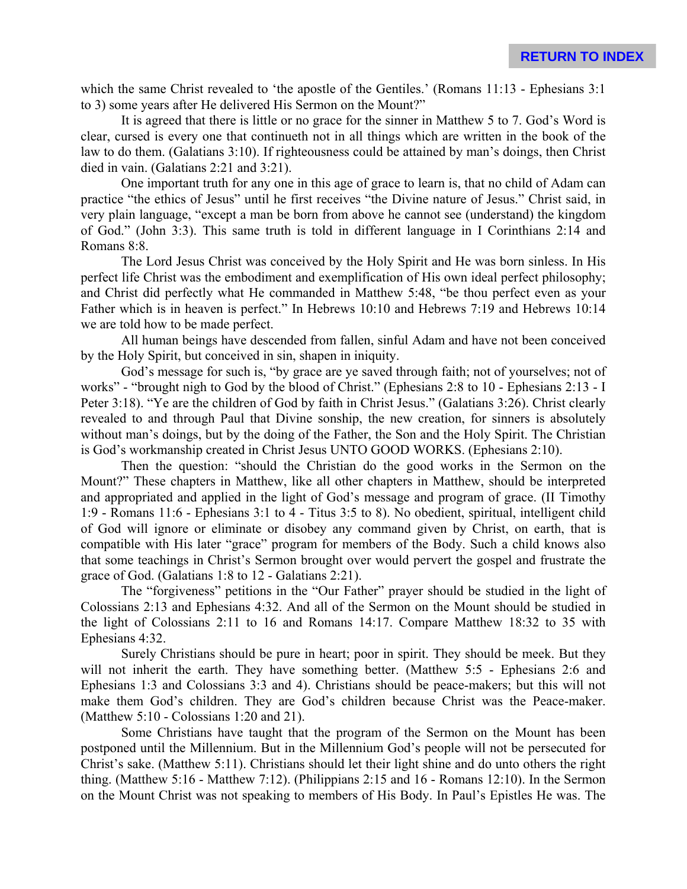which the same Christ revealed to 'the apostle of the Gentiles.' (Romans 11:13 - Ephesians 3:1) to 3) some years after He delivered His Sermon on the Mount?"

It is agreed that there is little or no grace for the sinner in Matthew 5 to 7. God's Word is clear, cursed is every one that continueth not in all things which are written in the book of the law to do them. (Galatians 3:10). If righteousness could be attained by man's doings, then Christ died in vain. (Galatians 2:21 and 3:21).

One important truth for any one in this age of grace to learn is, that no child of Adam can practice "the ethics of Jesus" until he first receives "the Divine nature of Jesus." Christ said, in very plain language, "except a man be born from above he cannot see (understand) the kingdom of God." (John 3:3). This same truth is told in different language in I Corinthians 2:14 and Romans 8:8.

The Lord Jesus Christ was conceived by the Holy Spirit and He was born sinless. In His perfect life Christ was the embodiment and exemplification of His own ideal perfect philosophy; and Christ did perfectly what He commanded in Matthew 5:48, "be thou perfect even as your Father which is in heaven is perfect." In Hebrews 10:10 and Hebrews 7:19 and Hebrews 10:14 we are told how to be made perfect.

All human beings have descended from fallen, sinful Adam and have not been conceived by the Holy Spirit, but conceived in sin, shapen in iniquity.

God's message for such is, "by grace are ye saved through faith; not of yourselves; not of works" - "brought nigh to God by the blood of Christ." (Ephesians 2:8 to 10 - Ephesians 2:13 - I Peter 3:18). "Ye are the children of God by faith in Christ Jesus." (Galatians 3:26). Christ clearly revealed to and through Paul that Divine sonship, the new creation, for sinners is absolutely without man's doings, but by the doing of the Father, the Son and the Holy Spirit. The Christian is God's workmanship created in Christ Jesus UNTO GOOD WORKS. (Ephesians 2:10).

Then the question: "should the Christian do the good works in the Sermon on the Mount?" These chapters in Matthew, like all other chapters in Matthew, should be interpreted and appropriated and applied in the light of God's message and program of grace. (II Timothy 1:9 - Romans 11:6 - Ephesians 3:1 to 4 - Titus 3:5 to 8). No obedient, spiritual, intelligent child of God will ignore or eliminate or disobey any command given by Christ, on earth, that is compatible with His later "grace" program for members of the Body. Such a child knows also that some teachings in Christ's Sermon brought over would pervert the gospel and frustrate the grace of God. (Galatians 1:8 to 12 - Galatians 2:21).

The "forgiveness" petitions in the "Our Father" prayer should be studied in the light of Colossians 2:13 and Ephesians 4:32. And all of the Sermon on the Mount should be studied in the light of Colossians 2:11 to 16 and Romans 14:17. Compare Matthew 18:32 to 35 with Ephesians 4:32.

Surely Christians should be pure in heart; poor in spirit. They should be meek. But they will not inherit the earth. They have something better. (Matthew 5:5 - Ephesians 2:6 and Ephesians 1:3 and Colossians 3:3 and 4). Christians should be peace-makers; but this will not make them God's children. They are God's children because Christ was the Peace-maker. (Matthew 5:10 - Colossians 1:20 and 21).

Some Christians have taught that the program of the Sermon on the Mount has been postponed until the Millennium. But in the Millennium God's people will not be persecuted for Christ's sake. (Matthew 5:11). Christians should let their light shine and do unto others the right thing. (Matthew 5:16 - Matthew 7:12). (Philippians 2:15 and 16 - Romans 12:10). In the Sermon on the Mount Christ was not speaking to members of His Body. In Paul's Epistles He was. The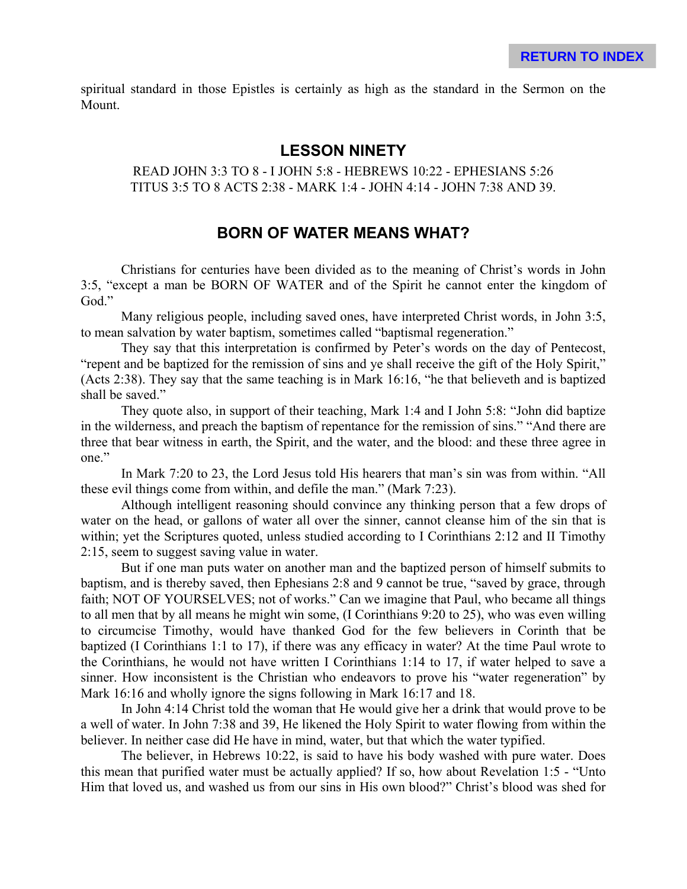spiritual standard in those Epistles is certainly as high as the standard in the Sermon on the Mount.

### **LESSON NINETY**

READ JOHN 3:3 TO 8 - I JOHN 5:8 - HEBREWS 10:22 - EPHESIANS 5:26 TITUS 3:5 TO 8 ACTS 2:38 - MARK 1:4 - JOHN 4:14 - JOHN 7:38 AND 39.

### **BORN OF WATER MEANS WHAT?**

Christians for centuries have been divided as to the meaning of Christ's words in John 3:5, "except a man be BORN OF WATER and of the Spirit he cannot enter the kingdom of God."

Many religious people, including saved ones, have interpreted Christ words, in John 3:5, to mean salvation by water baptism, sometimes called "baptismal regeneration."

They say that this interpretation is confirmed by Peter's words on the day of Pentecost, "repent and be baptized for the remission of sins and ye shall receive the gift of the Holy Spirit," (Acts 2:38). They say that the same teaching is in Mark 16:16, "he that believeth and is baptized shall be saved."

They quote also, in support of their teaching, Mark 1:4 and I John 5:8: "John did baptize in the wilderness, and preach the baptism of repentance for the remission of sins." "And there are three that bear witness in earth, the Spirit, and the water, and the blood: and these three agree in one."

In Mark 7:20 to 23, the Lord Jesus told His hearers that man's sin was from within. "All these evil things come from within, and defile the man." (Mark 7:23).

Although intelligent reasoning should convince any thinking person that a few drops of water on the head, or gallons of water all over the sinner, cannot cleanse him of the sin that is within; yet the Scriptures quoted, unless studied according to I Corinthians 2:12 and II Timothy 2:15, seem to suggest saving value in water.

But if one man puts water on another man and the baptized person of himself submits to baptism, and is thereby saved, then Ephesians 2:8 and 9 cannot be true, "saved by grace, through faith; NOT OF YOURSELVES; not of works." Can we imagine that Paul, who became all things to all men that by all means he might win some, (I Corinthians 9:20 to 25), who was even willing to circumcise Timothy, would have thanked God for the few believers in Corinth that be baptized (I Corinthians 1:1 to 17), if there was any efficacy in water? At the time Paul wrote to the Corinthians, he would not have written I Corinthians 1:14 to 17, if water helped to save a sinner. How inconsistent is the Christian who endeavors to prove his "water regeneration" by Mark 16:16 and wholly ignore the signs following in Mark 16:17 and 18.

In John 4:14 Christ told the woman that He would give her a drink that would prove to be a well of water. In John 7:38 and 39, He likened the Holy Spirit to water flowing from within the believer. In neither case did He have in mind, water, but that which the water typified.

The believer, in Hebrews 10:22, is said to have his body washed with pure water. Does this mean that purified water must be actually applied? If so, how about Revelation 1:5 - "Unto Him that loved us, and washed us from our sins in His own blood?" Christ's blood was shed for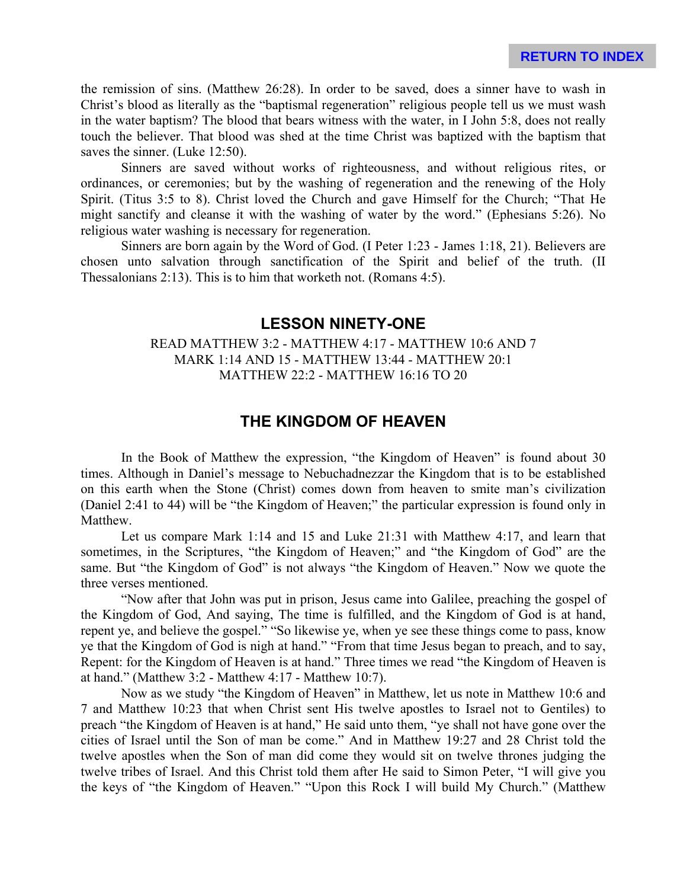the remission of sins. (Matthew 26:28). In order to be saved, does a sinner have to wash in Christ's blood as literally as the "baptismal regeneration" religious people tell us we must wash in the water baptism? The blood that bears witness with the water, in I John 5:8, does not really touch the believer. That blood was shed at the time Christ was baptized with the baptism that saves the sinner. (Luke 12:50).

Sinners are saved without works of righteousness, and without religious rites, or ordinances, or ceremonies; but by the washing of regeneration and the renewing of the Holy Spirit. (Titus 3:5 to 8). Christ loved the Church and gave Himself for the Church; "That He might sanctify and cleanse it with the washing of water by the word." (Ephesians 5:26). No religious water washing is necessary for regeneration.

Sinners are born again by the Word of God. (I Peter 1:23 - James 1:18, 21). Believers are chosen unto salvation through sanctification of the Spirit and belief of the truth. (II Thessalonians 2:13). This is to him that worketh not. (Romans 4:5).

#### **LESSON NINETY-ONE**

#### READ MATTHEW 3:2 - MATTHEW 4:17 - MATTHEW 10:6 AND 7 MARK 1:14 AND 15 - MATTHEW 13:44 - MATTHEW 20:1 MATTHEW 22:2 - MATTHEW 16:16 TO 20

### **THE KINGDOM OF HEAVEN**

In the Book of Matthew the expression, "the Kingdom of Heaven" is found about 30 times. Although in Daniel's message to Nebuchadnezzar the Kingdom that is to be established on this earth when the Stone (Christ) comes down from heaven to smite man's civilization (Daniel 2:41 to 44) will be "the Kingdom of Heaven;" the particular expression is found only in Matthew.

Let us compare Mark 1:14 and 15 and Luke 21:31 with Matthew 4:17, and learn that sometimes, in the Scriptures, "the Kingdom of Heaven;" and "the Kingdom of God" are the same. But "the Kingdom of God" is not always "the Kingdom of Heaven." Now we quote the three verses mentioned.

"Now after that John was put in prison, Jesus came into Galilee, preaching the gospel of the Kingdom of God, And saying, The time is fulfilled, and the Kingdom of God is at hand, repent ye, and believe the gospel." "So likewise ye, when ye see these things come to pass, know ye that the Kingdom of God is nigh at hand." "From that time Jesus began to preach, and to say, Repent: for the Kingdom of Heaven is at hand." Three times we read "the Kingdom of Heaven is at hand." (Matthew 3:2 - Matthew 4:17 - Matthew 10:7).

Now as we study "the Kingdom of Heaven" in Matthew, let us note in Matthew 10:6 and 7 and Matthew 10:23 that when Christ sent His twelve apostles to Israel not to Gentiles) to preach "the Kingdom of Heaven is at hand," He said unto them, "ye shall not have gone over the cities of Israel until the Son of man be come." And in Matthew 19:27 and 28 Christ told the twelve apostles when the Son of man did come they would sit on twelve thrones judging the twelve tribes of Israel. And this Christ told them after He said to Simon Peter, "I will give you the keys of "the Kingdom of Heaven." "Upon this Rock I will build My Church." (Matthew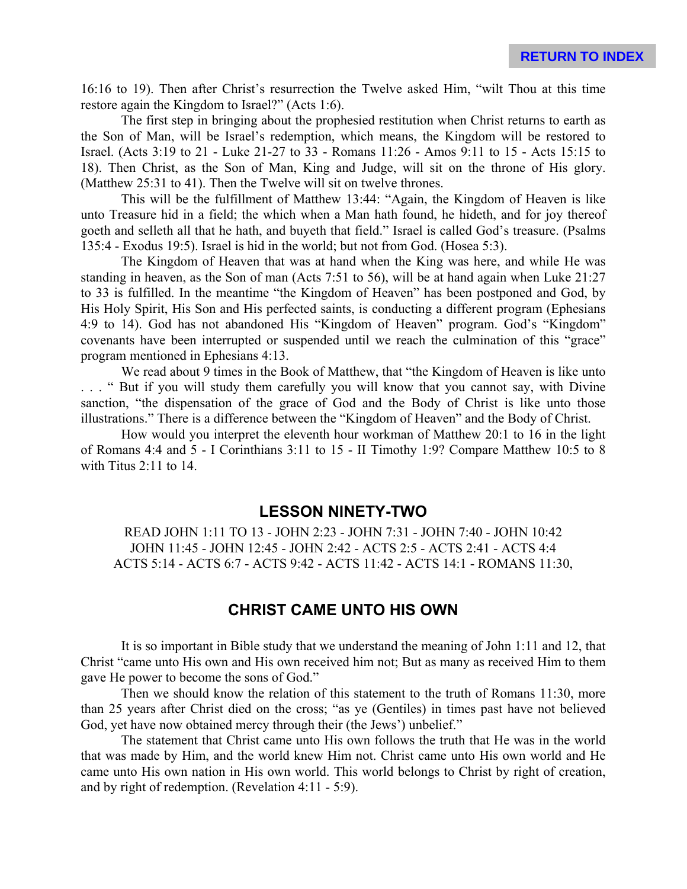16:16 to 19). Then after Christ's resurrection the Twelve asked Him, "wilt Thou at this time restore again the Kingdom to Israel?" (Acts 1:6).

The first step in bringing about the prophesied restitution when Christ returns to earth as the Son of Man, will be Israel's redemption, which means, the Kingdom will be restored to Israel. (Acts 3:19 to 21 - Luke 21-27 to 33 - Romans 11:26 - Amos 9:11 to 15 - Acts 15:15 to 18). Then Christ, as the Son of Man, King and Judge, will sit on the throne of His glory. (Matthew 25:31 to 41). Then the Twelve will sit on twelve thrones.

This will be the fulfillment of Matthew 13:44: "Again, the Kingdom of Heaven is like unto Treasure hid in a field; the which when a Man hath found, he hideth, and for joy thereof goeth and selleth all that he hath, and buyeth that field." Israel is called God's treasure. (Psalms 135:4 - Exodus 19:5). Israel is hid in the world; but not from God. (Hosea 5:3).

The Kingdom of Heaven that was at hand when the King was here, and while He was standing in heaven, as the Son of man (Acts 7:51 to 56), will be at hand again when Luke 21:27 to 33 is fulfilled. In the meantime "the Kingdom of Heaven" has been postponed and God, by His Holy Spirit, His Son and His perfected saints, is conducting a different program (Ephesians 4:9 to 14). God has not abandoned His "Kingdom of Heaven" program. God's "Kingdom" covenants have been interrupted or suspended until we reach the culmination of this "grace" program mentioned in Ephesians 4:13.

We read about 9 times in the Book of Matthew, that "the Kingdom of Heaven is like unto . . . " But if you will study them carefully you will know that you cannot say, with Divine sanction, "the dispensation of the grace of God and the Body of Christ is like unto those illustrations." There is a difference between the "Kingdom of Heaven" and the Body of Christ.

How would you interpret the eleventh hour workman of Matthew 20:1 to 16 in the light of Romans 4:4 and 5 - I Corinthians 3:11 to 15 - II Timothy 1:9? Compare Matthew 10:5 to 8 with Titus 2:11 to 14.

#### **LESSON NINETY-TWO**

READ JOHN 1:11 TO 13 - JOHN 2:23 - JOHN 7:31 - JOHN 7:40 - JOHN 10:42 JOHN 11:45 - JOHN 12:45 - JOHN 2:42 - ACTS 2:5 - ACTS 2:41 - ACTS 4:4 ACTS 5:14 - ACTS 6:7 - ACTS 9:42 - ACTS 11:42 - ACTS 14:1 - ROMANS 11:30,

# **CHRIST CAME UNTO HIS OWN**

It is so important in Bible study that we understand the meaning of John 1:11 and 12, that Christ "came unto His own and His own received him not; But as many as received Him to them gave He power to become the sons of God."

Then we should know the relation of this statement to the truth of Romans 11:30, more than 25 years after Christ died on the cross; "as ye (Gentiles) in times past have not believed God, yet have now obtained mercy through their (the Jews') unbelief."

The statement that Christ came unto His own follows the truth that He was in the world that was made by Him, and the world knew Him not. Christ came unto His own world and He came unto His own nation in His own world. This world belongs to Christ by right of creation, and by right of redemption. (Revelation 4:11 - 5:9).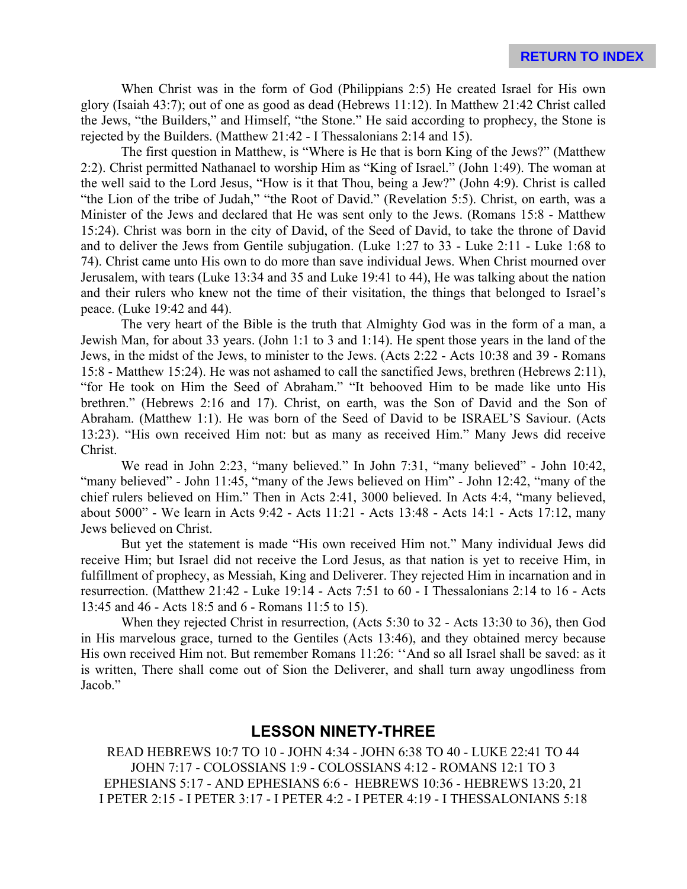When Christ was in the form of God (Philippians 2:5) He created Israel for His own glory (Isaiah 43:7); out of one as good as dead (Hebrews 11:12). In Matthew 21:42 Christ called the Jews, "the Builders," and Himself, "the Stone." He said according to prophecy, the Stone is rejected by the Builders. (Matthew 21:42 - I Thessalonians 2:14 and 15).

The first question in Matthew, is "Where is He that is born King of the Jews?" (Matthew 2:2). Christ permitted Nathanael to worship Him as "King of Israel." (John 1:49). The woman at the well said to the Lord Jesus, "How is it that Thou, being a Jew?" (John 4:9). Christ is called "the Lion of the tribe of Judah," "the Root of David." (Revelation 5:5). Christ, on earth, was a Minister of the Jews and declared that He was sent only to the Jews. (Romans 15:8 - Matthew 15:24). Christ was born in the city of David, of the Seed of David, to take the throne of David and to deliver the Jews from Gentile subjugation. (Luke 1:27 to 33 - Luke 2:11 - Luke 1:68 to 74). Christ came unto His own to do more than save individual Jews. When Christ mourned over Jerusalem, with tears (Luke 13:34 and 35 and Luke 19:41 to 44), He was talking about the nation and their rulers who knew not the time of their visitation, the things that belonged to Israel's peace. (Luke 19:42 and 44).

The very heart of the Bible is the truth that Almighty God was in the form of a man, a Jewish Man, for about 33 years. (John 1:1 to 3 and 1:14). He spent those years in the land of the Jews, in the midst of the Jews, to minister to the Jews. (Acts 2:22 - Acts 10:38 and 39 - Romans 15:8 - Matthew 15:24). He was not ashamed to call the sanctified Jews, brethren (Hebrews 2:11), "for He took on Him the Seed of Abraham." "It behooved Him to be made like unto His brethren." (Hebrews 2:16 and 17). Christ, on earth, was the Son of David and the Son of Abraham. (Matthew 1:1). He was born of the Seed of David to be ISRAEL'S Saviour. (Acts 13:23). "His own received Him not: but as many as received Him." Many Jews did receive Christ.

We read in John 2:23, "many believed." In John 7:31, "many believed" - John 10:42, "many believed" - John 11:45, "many of the Jews believed on Him" - John 12:42, "many of the chief rulers believed on Him." Then in Acts 2:41, 3000 believed. In Acts 4:4, "many believed, about 5000" - We learn in Acts 9:42 - Acts 11:21 - Acts 13:48 - Acts 14:1 - Acts 17:12, many Jews believed on Christ.

But yet the statement is made "His own received Him not." Many individual Jews did receive Him; but Israel did not receive the Lord Jesus, as that nation is yet to receive Him, in fulfillment of prophecy, as Messiah, King and Deliverer. They rejected Him in incarnation and in resurrection. (Matthew 21:42 - Luke 19:14 - Acts 7:51 to 60 - I Thessalonians 2:14 to 16 - Acts 13:45 and 46 - Acts 18:5 and 6 - Romans 11:5 to 15).

When they rejected Christ in resurrection, (Acts 5:30 to 32 - Acts 13:30 to 36), then God in His marvelous grace, turned to the Gentiles (Acts 13:46), and they obtained mercy because His own received Him not. But remember Romans 11:26: "And so all Israel shall be saved: as it is written, There shall come out of Sion the Deliverer, and shall turn away ungodliness from Jacob."

#### **LESSON NINETY-THREE**

READ HEBREWS 10:7 TO 10 - JOHN 4:34 - JOHN 6:38 TO 40 - LUKE 22:41 TO 44 JOHN 7:17 - COLOSSIANS 1:9 - COLOSSIANS 4:12 - ROMANS 12:1 TO 3 EPHESIANS 5:17 - AND EPHESIANS 6:6 - HEBREWS 10:36 - HEBREWS 13:20, 21 I PETER 2:15 - I PETER 3:17 - I PETER 4:2 - I PETER 4:19 - I THESSALONIANS 5:18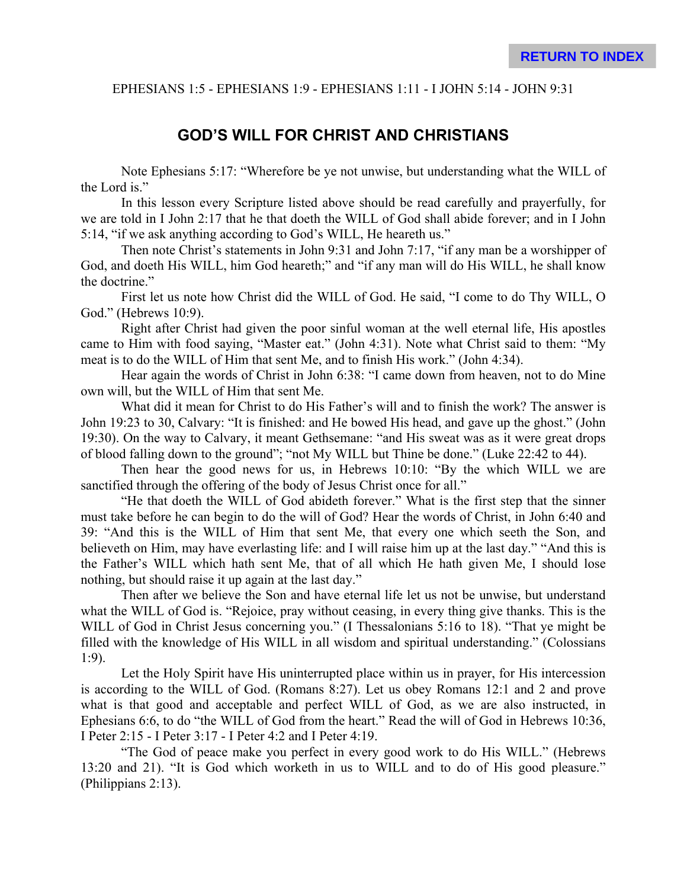#### EPHESIANS 1:5 - EPHESIANS 1:9 - EPHESIANS 1:11 - I JOHN 5:14 - JOHN 9:31

### **GOD'S WILL FOR CHRIST AND CHRISTIANS**

Note Ephesians 5:17: "Wherefore be ye not unwise, but understanding what the WILL of the Lord is."

In this lesson every Scripture listed above should be read carefully and prayerfully, for we are told in I John 2:17 that he that doeth the WILL of God shall abide forever; and in I John 5:14, "if we ask anything according to God's WILL, He heareth us."

Then note Christ's statements in John 9:31 and John 7:17, "if any man be a worshipper of God, and doeth His WILL, him God heareth;" and "if any man will do His WILL, he shall know the doctrine."

First let us note how Christ did the WILL of God. He said, "I come to do Thy WILL, O God." (Hebrews 10:9).

Right after Christ had given the poor sinful woman at the well eternal life, His apostles came to Him with food saying, "Master eat." (John 4:31). Note what Christ said to them: "My meat is to do the WILL of Him that sent Me, and to finish His work." (John 4:34).

Hear again the words of Christ in John 6:38: "I came down from heaven, not to do Mine own will, but the WILL of Him that sent Me.

What did it mean for Christ to do His Father's will and to finish the work? The answer is John 19:23 to 30, Calvary: "It is finished: and He bowed His head, and gave up the ghost." (John 19:30). On the way to Calvary, it meant Gethsemane: "and His sweat was as it were great drops of blood falling down to the ground"; "not My WILL but Thine be done." (Luke 22:42 to 44).

Then hear the good news for us, in Hebrews 10:10: "By the which WILL we are sanctified through the offering of the body of Jesus Christ once for all."

"He that doeth the WILL of God abideth forever." What is the first step that the sinner must take before he can begin to do the will of God? Hear the words of Christ, in John 6:40 and 39: "And this is the WILL of Him that sent Me, that every one which seeth the Son, and believeth on Him, may have everlasting life: and I will raise him up at the last day." "And this is the Father's WILL which hath sent Me, that of all which He hath given Me, I should lose nothing, but should raise it up again at the last day."

Then after we believe the Son and have eternal life let us not be unwise, but understand what the WILL of God is. "Rejoice, pray without ceasing, in every thing give thanks. This is the WILL of God in Christ Jesus concerning you." (I Thessalonians 5:16 to 18). "That ye might be filled with the knowledge of His WILL in all wisdom and spiritual understanding." (Colossians 1:9).

Let the Holy Spirit have His uninterrupted place within us in prayer, for His intercession is according to the WILL of God. (Romans 8:27). Let us obey Romans 12:1 and 2 and prove what is that good and acceptable and perfect WILL of God, as we are also instructed, in Ephesians 6:6, to do "the WILL of God from the heart." Read the will of God in Hebrews 10:36, I Peter 2:15 - I Peter 3:17 - I Peter 4:2 and I Peter 4:19.

"The God of peace make you perfect in every good work to do His WILL." (Hebrews 13:20 and 21). "It is God which worketh in us to WILL and to do of His good pleasure." (Philippians 2:13).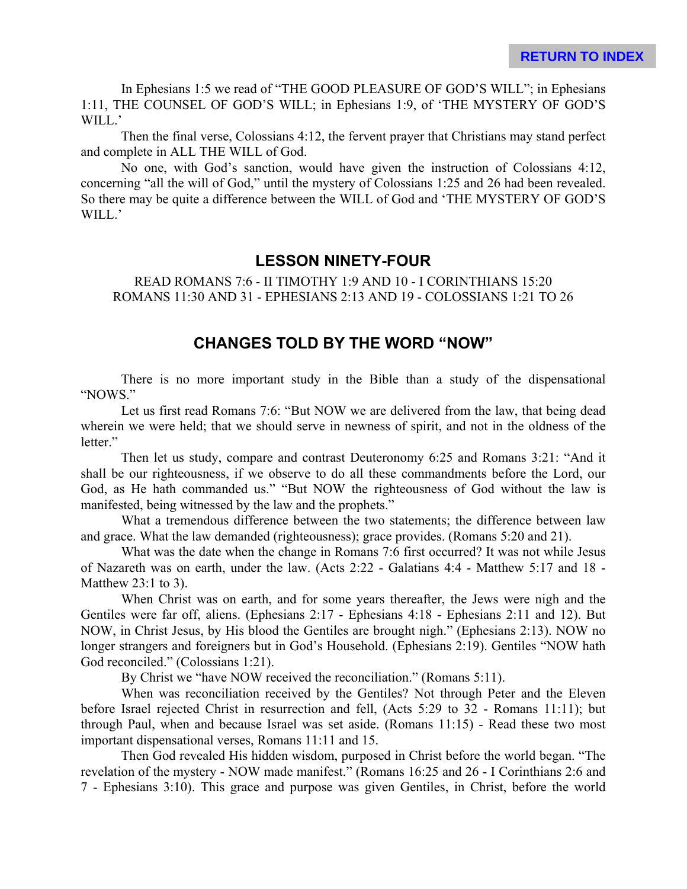In Ephesians 1:5 we read of "THE GOOD PLEASURE OF GOD'S WILL"; in Ephesians 1:11, THE COUNSEL OF GOD'S WILL; in Ephesians 1:9, of 'THE MYSTERY OF GOD'S WILL.'

Then the final verse, Colossians 4:12, the fervent prayer that Christians may stand perfect and complete in ALL THE WILL of God.

No one, with God's sanction, would have given the instruction of Colossians 4:12, concerning "all the will of God," until the mystery of Colossians 1:25 and 26 had been revealed. So there may be quite a difference between the WILL of God and 'THE MYSTERY OF GOD'S WILL.'

#### **LESSON NINETY-FOUR**

READ ROMANS 7:6 - II TIMOTHY 1:9 AND 10 - I CORINTHIANS 15:20 ROMANS 11:30 AND 31 - EPHESIANS 2:13 AND 19 - COLOSSIANS 1:21 TO 26

#### **CHANGES TOLD BY THE WORD "NOW"**

There is no more important study in the Bible than a study of the dispensational "NOWS."

Let us first read Romans 7:6: "But NOW we are delivered from the law, that being dead wherein we were held; that we should serve in newness of spirit, and not in the oldness of the letter."

Then let us study, compare and contrast Deuteronomy 6:25 and Romans 3:21: "And it shall be our righteousness, if we observe to do all these commandments before the Lord, our God, as He hath commanded us." "But NOW the righteousness of God without the law is manifested, being witnessed by the law and the prophets."

What a tremendous difference between the two statements; the difference between law and grace. What the law demanded (righteousness); grace provides. (Romans 5:20 and 21).

What was the date when the change in Romans 7:6 first occurred? It was not while Jesus of Nazareth was on earth, under the law. (Acts 2:22 - Galatians 4:4 - Matthew 5:17 and 18 - Matthew 23:1 to 3).

When Christ was on earth, and for some years thereafter, the Jews were nigh and the Gentiles were far off, aliens. (Ephesians 2:17 - Ephesians 4:18 - Ephesians 2:11 and 12). But NOW, in Christ Jesus, by His blood the Gentiles are brought nigh." (Ephesians 2:13). NOW no longer strangers and foreigners but in God's Household. (Ephesians 2:19). Gentiles "NOW hath God reconciled." (Colossians 1:21).

By Christ we "have NOW received the reconciliation." (Romans 5:11).

When was reconciliation received by the Gentiles? Not through Peter and the Eleven before Israel rejected Christ in resurrection and fell, (Acts 5:29 to 32 - Romans 11:11); but through Paul, when and because Israel was set aside. (Romans 11:15) - Read these two most important dispensational verses, Romans 11:11 and 15.

Then God revealed His hidden wisdom, purposed in Christ before the world began. "The revelation of the mystery - NOW made manifest." (Romans 16:25 and 26 - I Corinthians 2:6 and 7 - Ephesians 3:10). This grace and purpose was given Gentiles, in Christ, before the world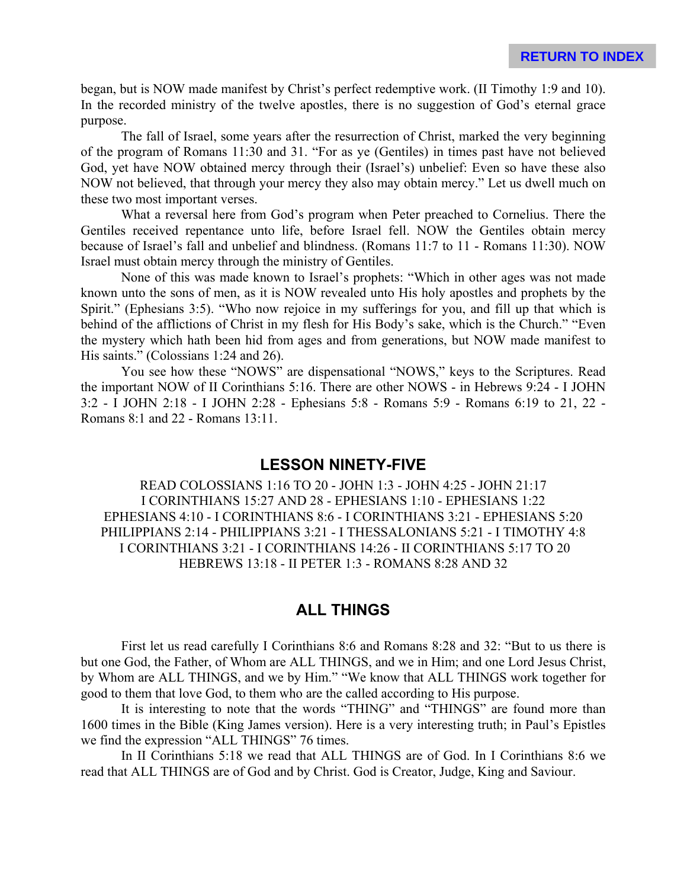began, but is NOW made manifest by Christ's perfect redemptive work. (II Timothy 1:9 and 10). In the recorded ministry of the twelve apostles, there is no suggestion of God's eternal grace purpose.

The fall of Israel, some years after the resurrection of Christ, marked the very beginning of the program of Romans 11:30 and 31. "For as ye (Gentiles) in times past have not believed God, yet have NOW obtained mercy through their (Israel's) unbelief: Even so have these also NOW not believed, that through your mercy they also may obtain mercy." Let us dwell much on these two most important verses.

What a reversal here from God's program when Peter preached to Cornelius. There the Gentiles received repentance unto life, before Israel fell. NOW the Gentiles obtain mercy because of Israel's fall and unbelief and blindness. (Romans 11:7 to 11 - Romans 11:30). NOW Israel must obtain mercy through the ministry of Gentiles.

None of this was made known to Israel's prophets: "Which in other ages was not made known unto the sons of men, as it is NOW revealed unto His holy apostles and prophets by the Spirit." (Ephesians 3:5). "Who now rejoice in my sufferings for you, and fill up that which is behind of the afflictions of Christ in my flesh for His Body's sake, which is the Church." "Even the mystery which hath been hid from ages and from generations, but NOW made manifest to His saints." (Colossians 1:24 and 26).

You see how these "NOWS" are dispensational "NOWS," keys to the Scriptures. Read the important NOW of II Corinthians 5:16. There are other NOWS - in Hebrews 9:24 - I JOHN 3:2 - I JOHN 2:18 - I JOHN 2:28 - Ephesians 5:8 - Romans 5:9 - Romans 6:19 to 21, 22 - Romans 8:1 and 22 - Romans 13:11.

#### **LESSON NINETY-FIVE**

READ COLOSSIANS 1:16 TO 20 - JOHN 1:3 - JOHN 4:25 - JOHN 21:17 I CORINTHIANS 15:27 AND 28 - EPHESIANS 1:10 - EPHESIANS 1:22 EPHESIANS 4:10 - I CORINTHIANS 8:6 - I CORINTHIANS 3:21 - EPHESIANS 5:20 PHILIPPIANS 2:14 - PHILIPPIANS 3:21 - I THESSALONIANS 5:21 - I TIMOTHY 4:8 I CORINTHIANS 3:21 - I CORINTHIANS 14:26 - II CORINTHIANS 5:17 TO 20 HEBREWS 13:18 - II PETER 1:3 - ROMANS 8:28 AND 32

# **ALL THINGS**

First let us read carefully I Corinthians 8:6 and Romans 8:28 and 32: "But to us there is but one God, the Father, of Whom are ALL THINGS, and we in Him; and one Lord Jesus Christ, by Whom are ALL THINGS, and we by Him." "We know that ALL THINGS work together for good to them that love God, to them who are the called according to His purpose.

It is interesting to note that the words "THING" and "THINGS" are found more than 1600 times in the Bible (King James version). Here is a very interesting truth; in Paul's Epistles we find the expression "ALL THINGS" 76 times.

In II Corinthians 5:18 we read that ALL THINGS are of God. In I Corinthians 8:6 we read that ALL THINGS are of God and by Christ. God is Creator, Judge, King and Saviour.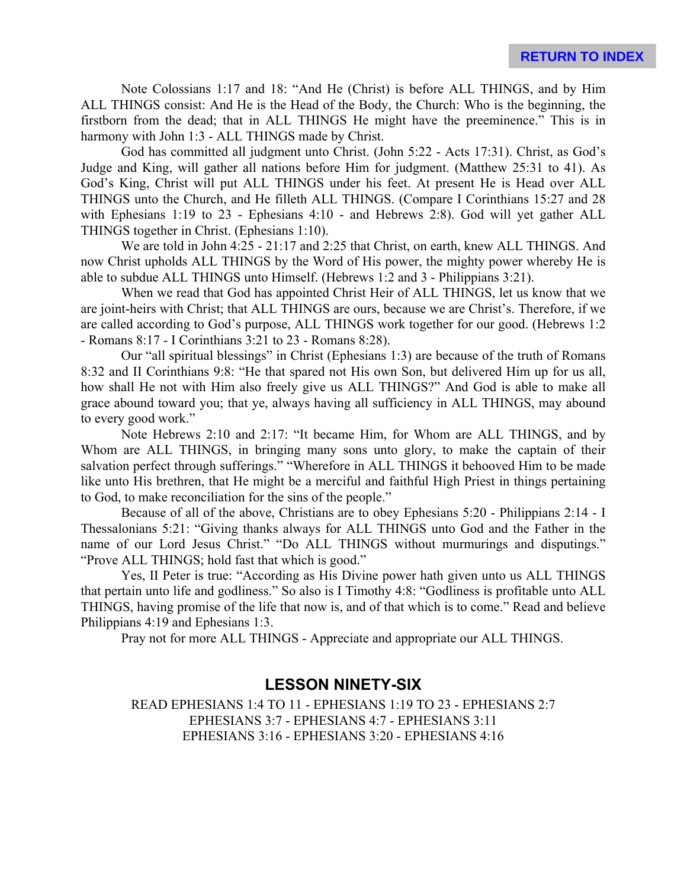Note Colossians 1:17 and 18: "And He (Christ) is before ALL THINGS, and by Him ALL THINGS consist: And He is the Head of the Body, the Church: Who is the beginning, the firstborn from the dead; that in ALL THINGS He might have the preeminence." This is in harmony with John 1:3 - ALL THINGS made by Christ.

God has committed all judgment unto Christ. (John 5:22 - Acts 17:31). Christ, as God's Judge and King, will gather all nations before Him for judgment. (Matthew 25:31 to 41). As God's King, Christ will put ALL THINGS under his feet. At present He is Head over ALL THINGS unto the Church, and He filleth ALL THINGS. (Compare I Corinthians 15:27 and 28 with Ephesians 1:19 to 23 - Ephesians 4:10 - and Hebrews 2:8). God will yet gather ALL THINGS together in Christ. (Ephesians 1:10).

We are told in John 4:25 - 21:17 and 2:25 that Christ, on earth, knew ALL THINGS. And now Christ upholds ALL THINGS by the Word of His power, the mighty power whereby He is able to subdue ALL THINGS unto Himself. (Hebrews 1:2 and 3 - Philippians 3:21).

When we read that God has appointed Christ Heir of ALL THINGS, let us know that we are joint-heirs with Christ; that ALL THINGS are ours, because we are Christ's. Therefore, if we are called according to God's purpose, ALL THINGS work together for our good. (Hebrews 1:2 - Romans 8:17 - I Corinthians 3:21 to 23 - Romans 8:28).

Our "all spiritual blessings" in Christ (Ephesians 1:3) are because of the truth of Romans 8:32 and II Corinthians 9:8: "He that spared not His own Son, but delivered Him up for us all, how shall He not with Him also freely give us ALL THINGS?" And God is able to make all grace abound toward you; that ye, always having all sufficiency in ALL THINGS, may abound to every good work."

Note Hebrews 2:10 and 2:17: "It became Him, for Whom are ALL THINGS, and by Whom are ALL THINGS, in bringing many sons unto glory, to make the captain of their salvation perfect through sufferings." "Wherefore in ALL THINGS it behooved Him to be made like unto His brethren, that He might be a merciful and faithful High Priest in things pertaining to God, to make reconciliation for the sins of the people."

Because of all of the above, Christians are to obey Ephesians 5:20 - Philippians 2:14 - I Thessalonians 5:21: "Giving thanks always for ALL THINGS unto God and the Father in the name of our Lord Jesus Christ." "Do ALL THINGS without murmurings and disputings." "Prove ALL THINGS; hold fast that which is good."

Yes, II Peter is true: "According as His Divine power hath given unto us ALL THINGS that pertain unto life and godliness." So also is I Timothy 4:8: "Godliness is profitable unto ALL THINGS, having promise of the life that now is, and of that which is to come." Read and believe Philippians 4:19 and Ephesians 1:3.

Pray not for more ALL THINGS - Appreciate and appropriate our ALL THINGS.

#### **LESSON NINETY-SIX**

READ EPHESIANS 1:4 TO 11 - EPHESIANS 1:19 TO 23 - EPHESIANS 2:7 EPHESIANS 3:7 - EPHESIANS 4:7 - EPHESIANS 3:11 EPHESIANS 3:16 - EPHESIANS 3:20 - EPHESIANS 4:16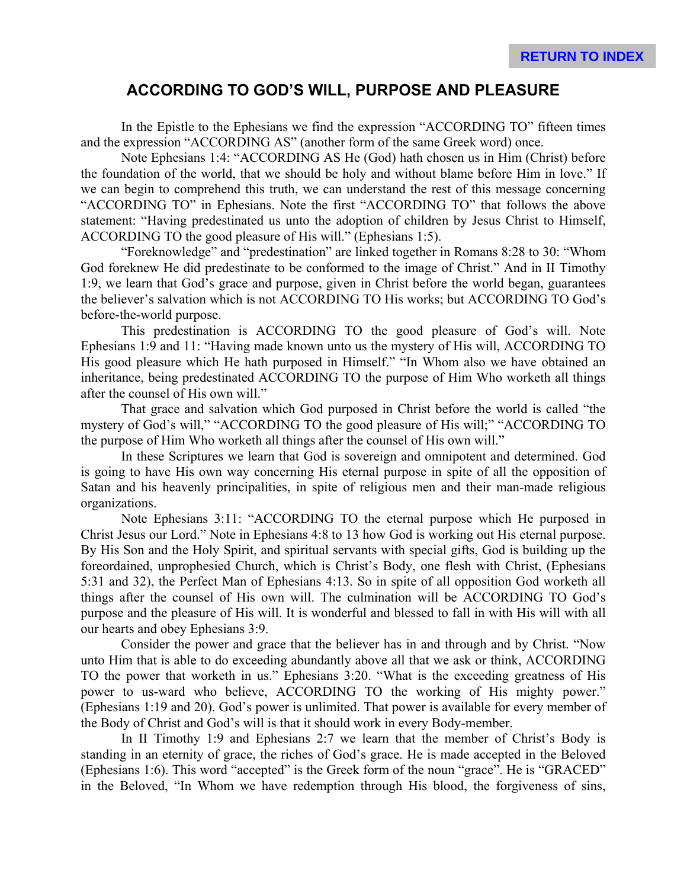# **ACCORDING TO GOD'S WILL, PURPOSE AND PLEASURE**

In the Epistle to the Ephesians we find the expression "ACCORDING TO" fifteen times and the expression "ACCORDING AS" (another form of the same Greek word) once.

Note Ephesians 1:4: "ACCORDING AS He (God) hath chosen us in Him (Christ) before the foundation of the world, that we should be holy and without blame before Him in love." If we can begin to comprehend this truth, we can understand the rest of this message concerning "ACCORDING TO" in Ephesians. Note the first "ACCORDING TO" that follows the above statement: "Having predestinated us unto the adoption of children by Jesus Christ to Himself, ACCORDING TO the good pleasure of His will." (Ephesians 1:5).

"Foreknowledge" and "predestination" are linked together in Romans 8:28 to 30: "Whom God foreknew He did predestinate to be conformed to the image of Christ." And in II Timothy 1:9, we learn that God's grace and purpose, given in Christ before the world began, guarantees the believer's salvation which is not ACCORDING TO His works; but ACCORDING TO God's before-the-world purpose.

This predestination is ACCORDING TO the good pleasure of God's will. Note Ephesians 1:9 and 11: "Having made known unto us the mystery of His will, ACCORDING TO His good pleasure which He hath purposed in Himself." "In Whom also we have obtained an inheritance, being predestinated ACCORDING TO the purpose of Him Who worketh all things after the counsel of His own will."

That grace and salvation which God purposed in Christ before the world is called "the mystery of God's will," "ACCORDING TO the good pleasure of His will;" "ACCORDING TO the purpose of Him Who worketh all things after the counsel of His own will."

In these Scriptures we learn that God is sovereign and omnipotent and determined. God is going to have His own way concerning His eternal purpose in spite of all the opposition of Satan and his heavenly principalities, in spite of religious men and their man-made religious organizations.

Note Ephesians 3:11: "ACCORDING TO the eternal purpose which He purposed in Christ Jesus our Lord." Note in Ephesians 4:8 to 13 how God is working out His eternal purpose. By His Son and the Holy Spirit, and spiritual servants with special gifts, God is building up the foreordained, unprophesied Church, which is Christ's Body, one flesh with Christ, (Ephesians 5:31 and 32), the Perfect Man of Ephesians 4:13. So in spite of all opposition God worketh all things after the counsel of His own will. The culmination will be ACCORDING TO God's purpose and the pleasure of His will. It is wonderful and blessed to fall in with His will with all our hearts and obey Ephesians 3:9.

Consider the power and grace that the believer has in and through and by Christ. "Now unto Him that is able to do exceeding abundantly above all that we ask or think, ACCORDING TO the power that worketh in us." Ephesians 3:20. "What is the exceeding greatness of His power to us-ward who believe, ACCORDING TO the working of His mighty power." (Ephesians 1:19 and 20). God's power is unlimited. That power is available for every member of the Body of Christ and God's will is that it should work in every Body-member.

In II Timothy 1:9 and Ephesians 2:7 we learn that the member of Christ's Body is standing in an eternity of grace, the riches of God's grace. He is made accepted in the Beloved (Ephesians 1:6). This word "accepted" is the Greek form of the noun "grace". He is "GRACED" in the Beloved, "In Whom we have redemption through His blood, the forgiveness of sins,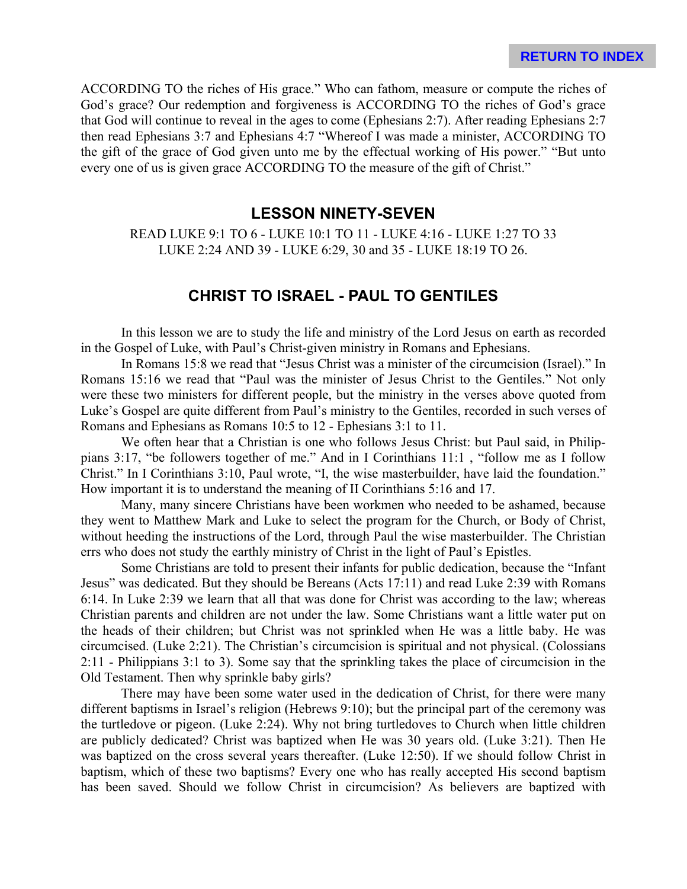ACCORDING TO the riches of His grace." Who can fathom, measure or compute the riches of God's grace? Our redemption and forgiveness is ACCORDING TO the riches of God's grace that God will continue to reveal in the ages to come (Ephesians 2:7). After reading Ephesians 2:7 then read Ephesians 3:7 and Ephesians 4:7 "Whereof I was made a minister, ACCORDING TO the gift of the grace of God given unto me by the effectual working of His power." "But unto every one of us is given grace ACCORDING TO the measure of the gift of Christ."

#### **LESSON NINETY-SEVEN**

READ LUKE 9:1 TO 6 - LUKE 10:1 TO 11 - LUKE 4:16 - LUKE 1:27 TO 33 LUKE 2:24 AND 39 - LUKE 6:29, 30 and 35 - LUKE 18:19 TO 26.

# **CHRIST TO ISRAEL - PAUL TO GENTILES**

In this lesson we are to study the life and ministry of the Lord Jesus on earth as recorded in the Gospel of Luke, with Paul's Christ-given ministry in Romans and Ephesians.

In Romans 15:8 we read that "Jesus Christ was a minister of the circumcision (Israel)." In Romans 15:16 we read that "Paul was the minister of Jesus Christ to the Gentiles." Not only were these two ministers for different people, but the ministry in the verses above quoted from Luke's Gospel are quite different from Paul's ministry to the Gentiles, recorded in such verses of Romans and Ephesians as Romans 10:5 to 12 - Ephesians 3:1 to 11.

We often hear that a Christian is one who follows Jesus Christ: but Paul said, in Philippians 3:17, "be followers together of me." And in I Corinthians 11:1 , "follow me as I follow Christ." In I Corinthians 3:10, Paul wrote, "I, the wise masterbuilder, have laid the foundation." How important it is to understand the meaning of II Corinthians 5:16 and 17.

Many, many sincere Christians have been workmen who needed to be ashamed, because they went to Matthew Mark and Luke to select the program for the Church, or Body of Christ, without heeding the instructions of the Lord, through Paul the wise masterbuilder. The Christian errs who does not study the earthly ministry of Christ in the light of Paul's Epistles.

Some Christians are told to present their infants for public dedication, because the "Infant Jesus" was dedicated. But they should be Bereans (Acts 17:11) and read Luke 2:39 with Romans 6:14. In Luke 2:39 we learn that all that was done for Christ was according to the law; whereas Christian parents and children are not under the law. Some Christians want a little water put on the heads of their children; but Christ was not sprinkled when He was a little baby. He was circumcised. (Luke 2:21). The Christian's circumcision is spiritual and not physical. (Colossians 2:11 - Philippians 3:1 to 3). Some say that the sprinkling takes the place of circumcision in the Old Testament. Then why sprinkle baby girls?

There may have been some water used in the dedication of Christ, for there were many different baptisms in Israel's religion (Hebrews 9:10); but the principal part of the ceremony was the turtledove or pigeon. (Luke 2:24). Why not bring turtledoves to Church when little children are publicly dedicated? Christ was baptized when He was 30 years old. (Luke 3:21). Then He was baptized on the cross several years thereafter. (Luke 12:50). If we should follow Christ in baptism, which of these two baptisms? Every one who has really accepted His second baptism has been saved. Should we follow Christ in circumcision? As believers are baptized with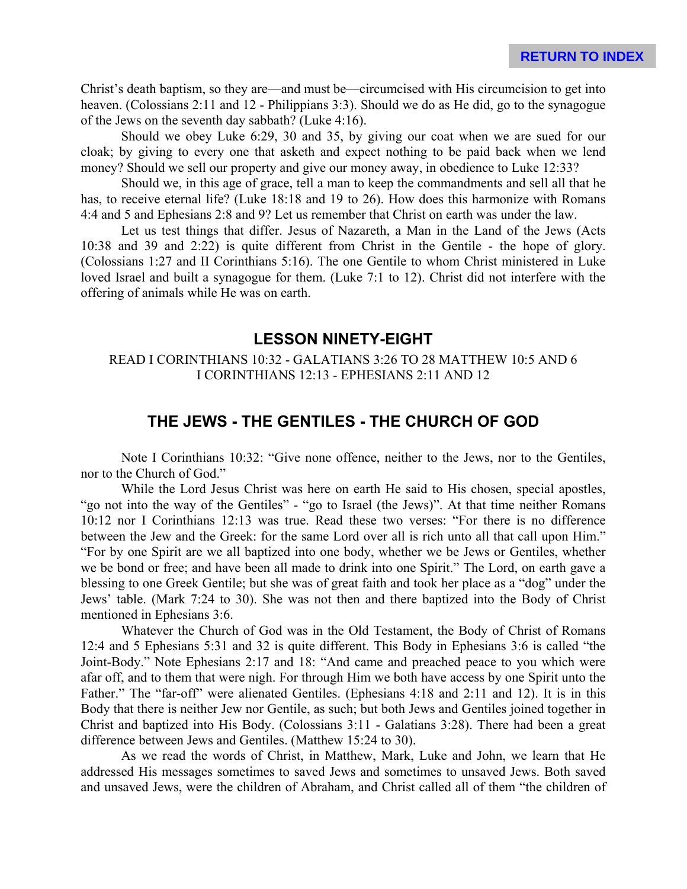Christ's death baptism, so they are—and must be—circumcised with His circumcision to get into heaven. (Colossians 2:11 and 12 - Philippians 3:3). Should we do as He did, go to the synagogue of the Jews on the seventh day sabbath? (Luke 4:16).

Should we obey Luke 6:29, 30 and 35, by giving our coat when we are sued for our cloak; by giving to every one that asketh and expect nothing to be paid back when we lend money? Should we sell our property and give our money away, in obedience to Luke 12:33?

Should we, in this age of grace, tell a man to keep the commandments and sell all that he has, to receive eternal life? (Luke 18:18 and 19 to 26). How does this harmonize with Romans 4:4 and 5 and Ephesians 2:8 and 9? Let us remember that Christ on earth was under the law.

Let us test things that differ. Jesus of Nazareth, a Man in the Land of the Jews (Acts 10:38 and 39 and 2:22) is quite different from Christ in the Gentile - the hope of glory. (Colossians 1:27 and II Corinthians 5:16). The one Gentile to whom Christ ministered in Luke loved Israel and built a synagogue for them. (Luke 7:1 to 12). Christ did not interfere with the offering of animals while He was on earth.

#### **LESSON NINETY-EIGHT**

#### READ I CORINTHIANS 10:32 - GALATIANS 3:26 TO 28 MATTHEW 10:5 AND 6 I CORINTHIANS 12:13 - EPHESIANS 2:11 AND 12

# **THE JEWS - THE GENTILES - THE CHURCH OF GOD**

Note I Corinthians 10:32: "Give none offence, neither to the Jews, nor to the Gentiles, nor to the Church of God."

While the Lord Jesus Christ was here on earth He said to His chosen, special apostles, "go not into the way of the Gentiles" - "go to Israel (the Jews)". At that time neither Romans 10:12 nor I Corinthians 12:13 was true. Read these two verses: "For there is no difference between the Jew and the Greek: for the same Lord over all is rich unto all that call upon Him." "For by one Spirit are we all baptized into one body, whether we be Jews or Gentiles, whether we be bond or free; and have been all made to drink into one Spirit." The Lord, on earth gave a blessing to one Greek Gentile; but she was of great faith and took her place as a "dog" under the Jews' table. (Mark 7:24 to 30). She was not then and there baptized into the Body of Christ mentioned in Ephesians 3:6.

Whatever the Church of God was in the Old Testament, the Body of Christ of Romans 12:4 and 5 Ephesians 5:31 and 32 is quite different. This Body in Ephesians 3:6 is called "the Joint-Body." Note Ephesians 2:17 and 18: "And came and preached peace to you which were afar off, and to them that were nigh. For through Him we both have access by one Spirit unto the Father." The "far-off" were alienated Gentiles. (Ephesians 4:18 and 2:11 and 12). It is in this Body that there is neither Jew nor Gentile, as such; but both Jews and Gentiles joined together in Christ and baptized into His Body. (Colossians 3:11 - Galatians 3:28). There had been a great difference between Jews and Gentiles. (Matthew 15:24 to 30).

As we read the words of Christ, in Matthew, Mark, Luke and John, we learn that He addressed His messages sometimes to saved Jews and sometimes to unsaved Jews. Both saved and unsaved Jews, were the children of Abraham, and Christ called all of them "the children of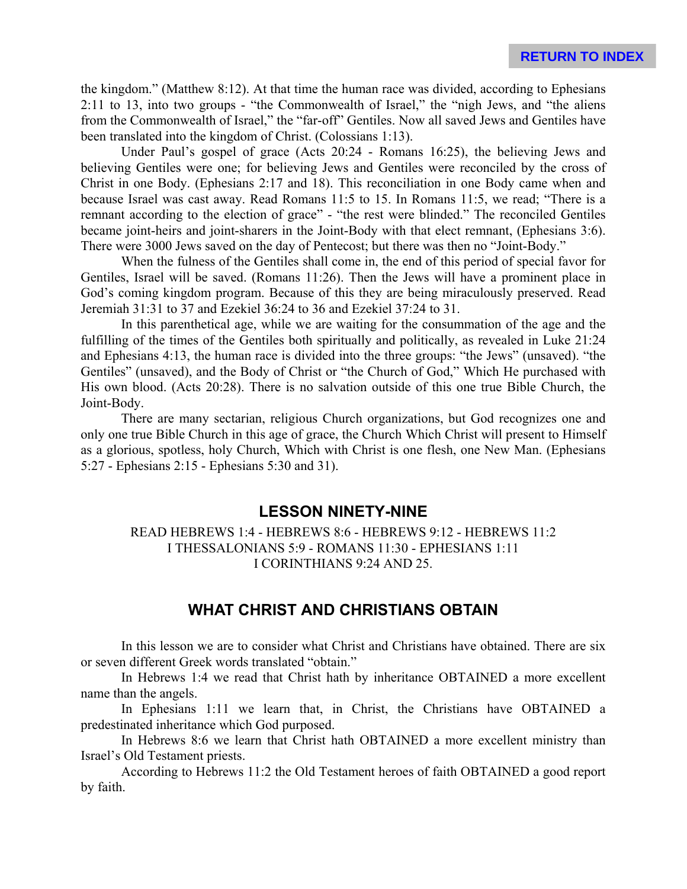the kingdom." (Matthew 8:12). At that time the human race was divided, according to Ephesians 2:11 to 13, into two groups - "the Commonwealth of Israel," the "nigh Jews, and "the aliens from the Commonwealth of Israel," the "far-off" Gentiles. Now all saved Jews and Gentiles have been translated into the kingdom of Christ. (Colossians 1:13).

Under Paul's gospel of grace (Acts 20:24 - Romans 16:25), the believing Jews and believing Gentiles were one; for believing Jews and Gentiles were reconciled by the cross of Christ in one Body. (Ephesians 2:17 and 18). This reconciliation in one Body came when and because Israel was cast away. Read Romans 11:5 to 15. In Romans 11:5, we read; "There is a remnant according to the election of grace" - "the rest were blinded." The reconciled Gentiles became joint-heirs and joint-sharers in the Joint-Body with that elect remnant, (Ephesians 3:6). There were 3000 Jews saved on the day of Pentecost; but there was then no "Joint-Body."

When the fulness of the Gentiles shall come in, the end of this period of special favor for Gentiles, Israel will be saved. (Romans 11:26). Then the Jews will have a prominent place in God's coming kingdom program. Because of this they are being miraculously preserved. Read Jeremiah 31:31 to 37 and Ezekiel 36:24 to 36 and Ezekiel 37:24 to 31.

In this parenthetical age, while we are waiting for the consummation of the age and the fulfilling of the times of the Gentiles both spiritually and politically, as revealed in Luke 21:24 and Ephesians 4:13, the human race is divided into the three groups: "the Jews" (unsaved). "the Gentiles" (unsaved), and the Body of Christ or "the Church of God," Which He purchased with His own blood. (Acts 20:28). There is no salvation outside of this one true Bible Church, the Joint-Body.

There are many sectarian, religious Church organizations, but God recognizes one and only one true Bible Church in this age of grace, the Church Which Christ will present to Himself as a glorious, spotless, holy Church, Which with Christ is one flesh, one New Man. (Ephesians 5:27 - Ephesians 2:15 - Ephesians 5:30 and 31).

#### **LESSON NINETY-NINE**

READ HEBREWS 1:4 - HEBREWS 8:6 - HEBREWS 9:12 - HEBREWS 11:2 I THESSALONIANS 5:9 - ROMANS 11:30 - EPHESIANS 1:11 I CORINTHIANS 9:24 AND 25.

#### **WHAT CHRIST AND CHRISTIANS OBTAIN**

In this lesson we are to consider what Christ and Christians have obtained. There are six or seven different Greek words translated "obtain."

In Hebrews 1:4 we read that Christ hath by inheritance OBTAINED a more excellent name than the angels.

In Ephesians 1:11 we learn that, in Christ, the Christians have OBTAINED a predestinated inheritance which God purposed.

In Hebrews 8:6 we learn that Christ hath OBTAINED a more excellent ministry than Israel's Old Testament priests.

According to Hebrews 11:2 the Old Testament heroes of faith OBTAINED a good report by faith.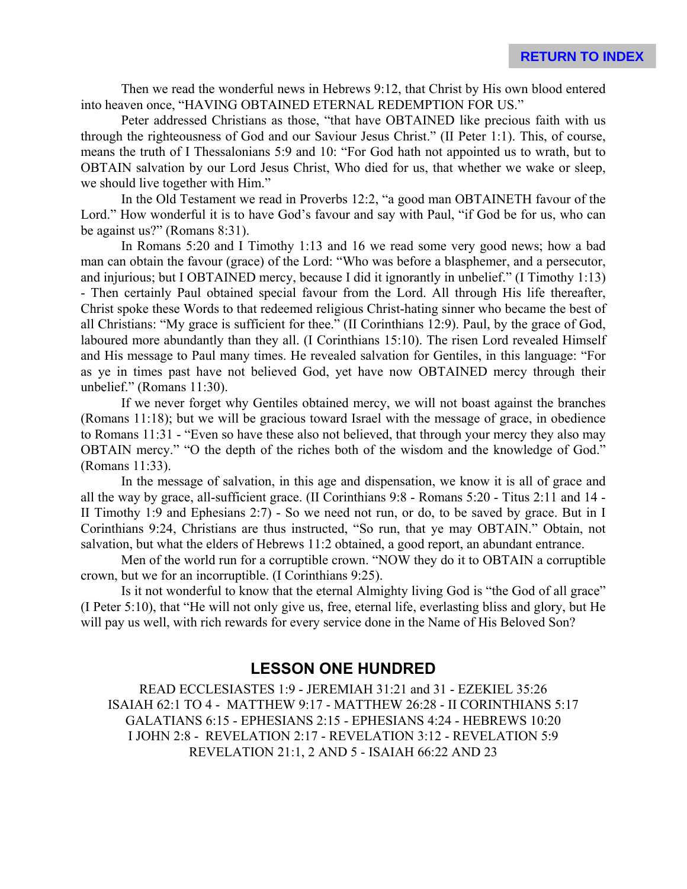Then we read the wonderful news in Hebrews 9:12, that Christ by His own blood entered into heaven once, "HAVING OBTAINED ETERNAL REDEMPTION FOR US."

Peter addressed Christians as those, "that have OBTAINED like precious faith with us through the righteousness of God and our Saviour Jesus Christ." (II Peter 1:1). This, of course, means the truth of I Thessalonians 5:9 and 10: "For God hath not appointed us to wrath, but to OBTAIN salvation by our Lord Jesus Christ, Who died for us, that whether we wake or sleep, we should live together with Him."

In the Old Testament we read in Proverbs 12:2, "a good man OBTAINETH favour of the Lord." How wonderful it is to have God's favour and say with Paul, "if God be for us, who can be against us?" (Romans 8:31).

In Romans 5:20 and I Timothy 1:13 and 16 we read some very good news; how a bad man can obtain the favour (grace) of the Lord: "Who was before a blasphemer, and a persecutor, and injurious; but I OBTAINED mercy, because I did it ignorantly in unbelief." (I Timothy 1:13) - Then certainly Paul obtained special favour from the Lord. All through His life thereafter, Christ spoke these Words to that redeemed religious Christ-hating sinner who became the best of all Christians: "My grace is sufficient for thee." (II Corinthians 12:9). Paul, by the grace of God, laboured more abundantly than they all. (I Corinthians 15:10). The risen Lord revealed Himself and His message to Paul many times. He revealed salvation for Gentiles, in this language: "For as ye in times past have not believed God, yet have now OBTAINED mercy through their unbelief." (Romans 11:30).

If we never forget why Gentiles obtained mercy, we will not boast against the branches (Romans 11:18); but we will be gracious toward Israel with the message of grace, in obedience to Romans 11:31 - "Even so have these also not believed, that through your mercy they also may OBTAIN mercy." "O the depth of the riches both of the wisdom and the knowledge of God." (Romans 11:33).

In the message of salvation, in this age and dispensation, we know it is all of grace and all the way by grace, all-sufficient grace. (II Corinthians 9:8 - Romans 5:20 - Titus 2:11 and 14 - II Timothy 1:9 and Ephesians 2:7) - So we need not run, or do, to be saved by grace. But in I Corinthians 9:24, Christians are thus instructed, "So run, that ye may OBTAIN." Obtain, not salvation, but what the elders of Hebrews 11:2 obtained, a good report, an abundant entrance.

Men of the world run for a corruptible crown. "NOW they do it to OBTAIN a corruptible crown, but we for an incorruptible. (I Corinthians 9:25).

Is it not wonderful to know that the eternal Almighty living God is "the God of all grace" (I Peter 5:10), that "He will not only give us, free, eternal life, everlasting bliss and glory, but He will pay us well, with rich rewards for every service done in the Name of His Beloved Son?

# **LESSON ONE HUNDRED**

READ ECCLESIASTES 1:9 - JEREMIAH 31:21 and 31 - EZEKIEL 35:26 ISAIAH 62:1 TO 4 - MATTHEW 9:17 - MATTHEW 26:28 - II CORINTHIANS 5:17 GALATIANS 6:15 - EPHESIANS 2:15 - EPHESIANS 4:24 - HEBREWS 10:20 I JOHN 2:8 - REVELATION 2:17 - REVELATION 3:12 - REVELATION 5:9 REVELATION 21:1, 2 AND 5 - ISAIAH 66:22 AND 23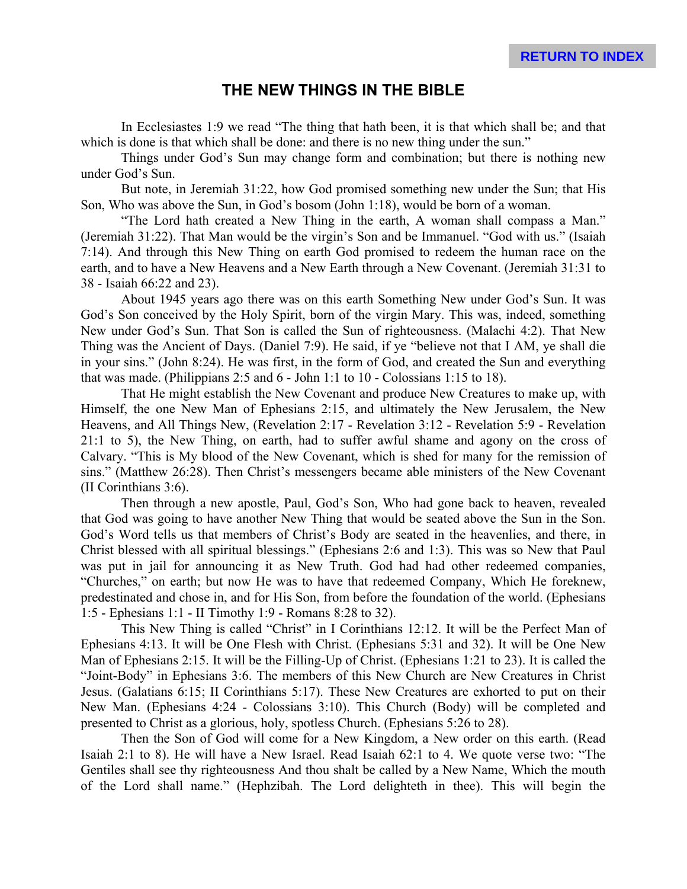### **THE NEW THINGS IN THE BIBLE**

In Ecclesiastes 1:9 we read "The thing that hath been, it is that which shall be; and that which is done is that which shall be done: and there is no new thing under the sun."

Things under God's Sun may change form and combination; but there is nothing new under God's Sun.

But note, in Jeremiah 31:22, how God promised something new under the Sun; that His Son, Who was above the Sun, in God's bosom (John 1:18), would be born of a woman.

"The Lord hath created a New Thing in the earth, A woman shall compass a Man." (Jeremiah 31:22). That Man would be the virgin's Son and be Immanuel. "God with us." (Isaiah 7:14). And through this New Thing on earth God promised to redeem the human race on the earth, and to have a New Heavens and a New Earth through a New Covenant. (Jeremiah 31:31 to 38 - Isaiah 66:22 and 23).

About 1945 years ago there was on this earth Something New under God's Sun. It was God's Son conceived by the Holy Spirit, born of the virgin Mary. This was, indeed, something New under God's Sun. That Son is called the Sun of righteousness. (Malachi 4:2). That New Thing was the Ancient of Days. (Daniel 7:9). He said, if ye "believe not that I AM, ye shall die in your sins." (John 8:24). He was first, in the form of God, and created the Sun and everything that was made. (Philippians 2:5 and  $6$  - John 1:1 to 10 - Colossians 1:15 to 18).

That He might establish the New Covenant and produce New Creatures to make up, with Himself, the one New Man of Ephesians 2:15, and ultimately the New Jerusalem, the New Heavens, and All Things New, (Revelation 2:17 - Revelation 3:12 - Revelation 5:9 - Revelation 21:1 to 5), the New Thing, on earth, had to suffer awful shame and agony on the cross of Calvary. "This is My blood of the New Covenant, which is shed for many for the remission of sins." (Matthew 26:28). Then Christ's messengers became able ministers of the New Covenant (II Corinthians 3:6).

Then through a new apostle, Paul, God's Son, Who had gone back to heaven, revealed that God was going to have another New Thing that would be seated above the Sun in the Son. God's Word tells us that members of Christ's Body are seated in the heavenlies, and there, in Christ blessed with all spiritual blessings." (Ephesians 2:6 and 1:3). This was so New that Paul was put in jail for announcing it as New Truth. God had had other redeemed companies, "Churches," on earth; but now He was to have that redeemed Company, Which He foreknew, predestinated and chose in, and for His Son, from before the foundation of the world. (Ephesians 1:5 - Ephesians 1:1 - II Timothy 1:9 - Romans 8:28 to 32).

This New Thing is called "Christ" in I Corinthians 12:12. It will be the Perfect Man of Ephesians 4:13. It will be One Flesh with Christ. (Ephesians 5:31 and 32). It will be One New Man of Ephesians 2:15. It will be the Filling-Up of Christ. (Ephesians 1:21 to 23). It is called the "Joint-Body" in Ephesians 3:6. The members of this New Church are New Creatures in Christ Jesus. (Galatians 6:15; II Corinthians 5:17). These New Creatures are exhorted to put on their New Man. (Ephesians 4:24 - Colossians 3:10). This Church (Body) will be completed and presented to Christ as a glorious, holy, spotless Church. (Ephesians 5:26 to 28).

Then the Son of God will come for a New Kingdom, a New order on this earth. (Read Isaiah 2:1 to 8). He will have a New Israel. Read Isaiah 62:1 to 4. We quote verse two: "The Gentiles shall see thy righteousness And thou shalt be called by a New Name, Which the mouth of the Lord shall name." (Hephzibah. The Lord delighteth in thee). This will begin the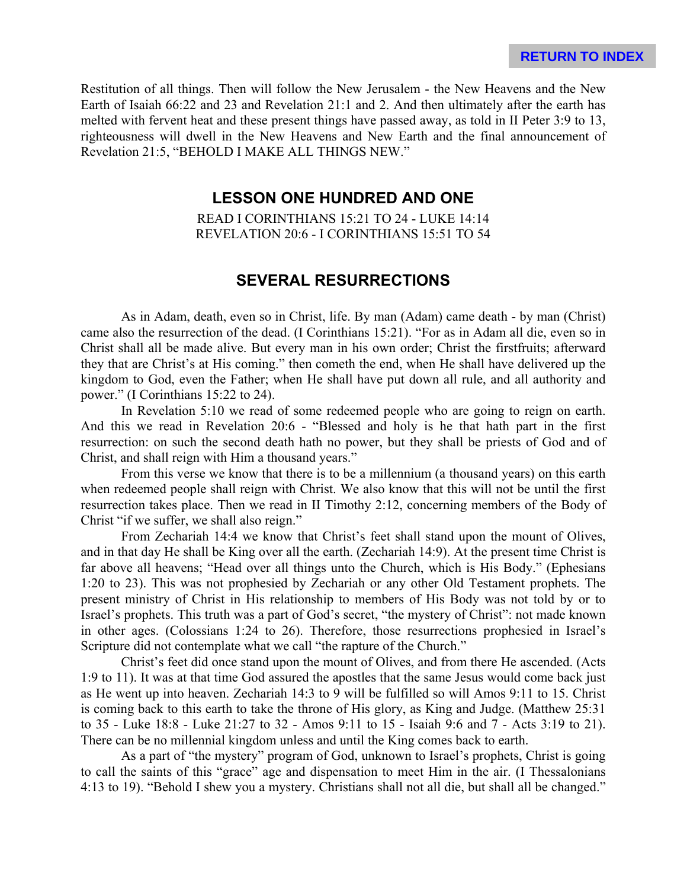Restitution of all things. Then will follow the New Jerusalem - the New Heavens and the New Earth of Isaiah 66:22 and 23 and Revelation 21:1 and 2. And then ultimately after the earth has melted with fervent heat and these present things have passed away, as told in II Peter 3:9 to 13, righteousness will dwell in the New Heavens and New Earth and the final announcement of Revelation 21:5, "BEHOLD I MAKE ALL THINGS NEW."

### **LESSON ONE HUNDRED AND ONE**

READ I CORINTHIANS 15:21 TO 24 - LUKE 14:14 REVELATION 20:6 - I CORINTHIANS 15:51 TO 54

#### **SEVERAL RESURRECTIONS**

As in Adam, death, even so in Christ, life. By man (Adam) came death - by man (Christ) came also the resurrection of the dead. (I Corinthians 15:21). "For as in Adam all die, even so in Christ shall all be made alive. But every man in his own order; Christ the firstfruits; afterward they that are Christ's at His coming." then cometh the end, when He shall have delivered up the kingdom to God, even the Father; when He shall have put down all rule, and all authority and power." (I Corinthians 15:22 to 24).

In Revelation 5:10 we read of some redeemed people who are going to reign on earth. And this we read in Revelation 20:6 - "Blessed and holy is he that hath part in the first resurrection: on such the second death hath no power, but they shall be priests of God and of Christ, and shall reign with Him a thousand years."

From this verse we know that there is to be a millennium (a thousand years) on this earth when redeemed people shall reign with Christ. We also know that this will not be until the first resurrection takes place. Then we read in II Timothy 2:12, concerning members of the Body of Christ "if we suffer, we shall also reign."

From Zechariah 14:4 we know that Christ's feet shall stand upon the mount of Olives, and in that day He shall be King over all the earth. (Zechariah 14:9). At the present time Christ is far above all heavens; "Head over all things unto the Church, which is His Body." (Ephesians 1:20 to 23). This was not prophesied by Zechariah or any other Old Testament prophets. The present ministry of Christ in His relationship to members of His Body was not told by or to Israel's prophets. This truth was a part of God's secret, "the mystery of Christ": not made known in other ages. (Colossians 1:24 to 26). Therefore, those resurrections prophesied in Israel's Scripture did not contemplate what we call "the rapture of the Church."

Christ's feet did once stand upon the mount of Olives, and from there He ascended. (Acts 1:9 to 11). It was at that time God assured the apostles that the same Jesus would come back just as He went up into heaven. Zechariah 14:3 to 9 will be fulfilled so will Amos 9:11 to 15. Christ is coming back to this earth to take the throne of His glory, as King and Judge. (Matthew 25:31 to 35 - Luke 18:8 - Luke 21:27 to 32 - Amos 9:11 to 15 - Isaiah 9:6 and 7 - Acts 3:19 to 21). There can be no millennial kingdom unless and until the King comes back to earth.

As a part of "the mystery" program of God, unknown to Israel's prophets, Christ is going to call the saints of this "grace" age and dispensation to meet Him in the air. (I Thessalonians 4:13 to 19). "Behold I shew you a mystery. Christians shall not all die, but shall all be changed."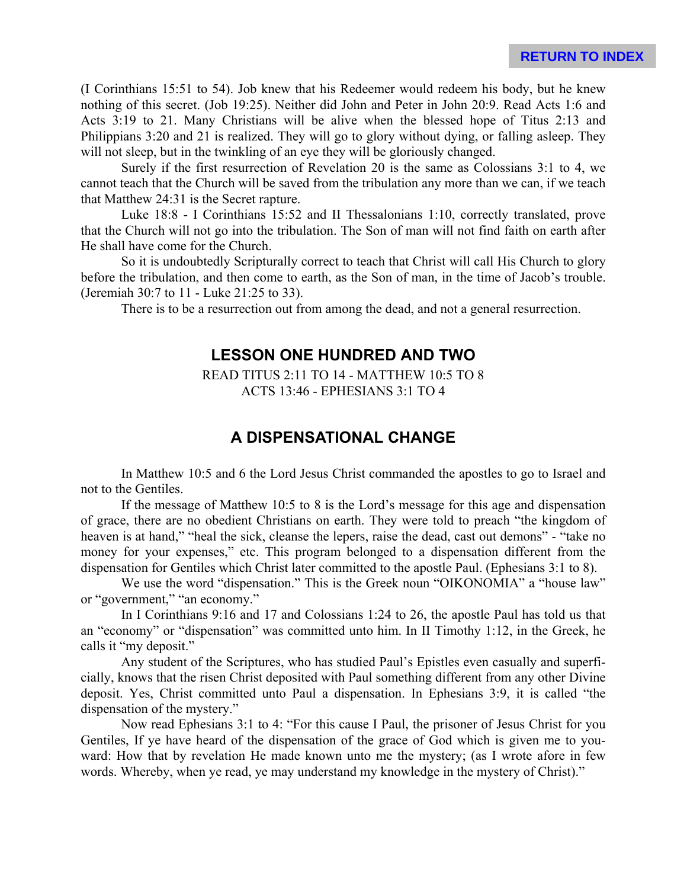(I Corinthians 15:51 to 54). Job knew that his Redeemer would redeem his body, but he knew nothing of this secret. (Job 19:25). Neither did John and Peter in John 20:9. Read Acts 1:6 and Acts 3:19 to 21. Many Christians will be alive when the blessed hope of Titus 2:13 and Philippians 3:20 and 21 is realized. They will go to glory without dying, or falling asleep. They will not sleep, but in the twinkling of an eye they will be gloriously changed.

Surely if the first resurrection of Revelation 20 is the same as Colossians 3:1 to 4, we cannot teach that the Church will be saved from the tribulation any more than we can, if we teach that Matthew 24:31 is the Secret rapture.

Luke 18:8 - I Corinthians 15:52 and II Thessalonians 1:10, correctly translated, prove that the Church will not go into the tribulation. The Son of man will not find faith on earth after He shall have come for the Church.

So it is undoubtedly Scripturally correct to teach that Christ will call His Church to glory before the tribulation, and then come to earth, as the Son of man, in the time of Jacob's trouble. (Jeremiah 30:7 to 11 - Luke 21:25 to 33).

There is to be a resurrection out from among the dead, and not a general resurrection.

#### **LESSON ONE HUNDRED AND TWO**

READ TITUS 2:11 TO 14 - MATTHEW 10:5 TO 8 ACTS 13:46 - EPHESIANS 3:1 TO 4

### **A DISPENSATIONAL CHANGE**

In Matthew 10:5 and 6 the Lord Jesus Christ commanded the apostles to go to Israel and not to the Gentiles.

If the message of Matthew 10:5 to 8 is the Lord's message for this age and dispensation of grace, there are no obedient Christians on earth. They were told to preach "the kingdom of heaven is at hand," "heal the sick, cleanse the lepers, raise the dead, cast out demons" - "take no money for your expenses," etc. This program belonged to a dispensation different from the dispensation for Gentiles which Christ later committed to the apostle Paul. (Ephesians 3:1 to 8).

We use the word "dispensation." This is the Greek noun "OIKONOMIA" a "house law" or "government," "an economy."

In I Corinthians 9:16 and 17 and Colossians 1:24 to 26, the apostle Paul has told us that an "economy" or "dispensation" was committed unto him. In II Timothy 1:12, in the Greek, he calls it "my deposit."

Any student of the Scriptures, who has studied Paul's Epistles even casually and superficially, knows that the risen Christ deposited with Paul something different from any other Divine deposit. Yes, Christ committed unto Paul a dispensation. In Ephesians 3:9, it is called "the dispensation of the mystery."

Now read Ephesians 3:1 to 4: "For this cause I Paul, the prisoner of Jesus Christ for you Gentiles, If ye have heard of the dispensation of the grace of God which is given me to youward: How that by revelation He made known unto me the mystery; (as I wrote afore in few words. Whereby, when ye read, ye may understand my knowledge in the mystery of Christ)."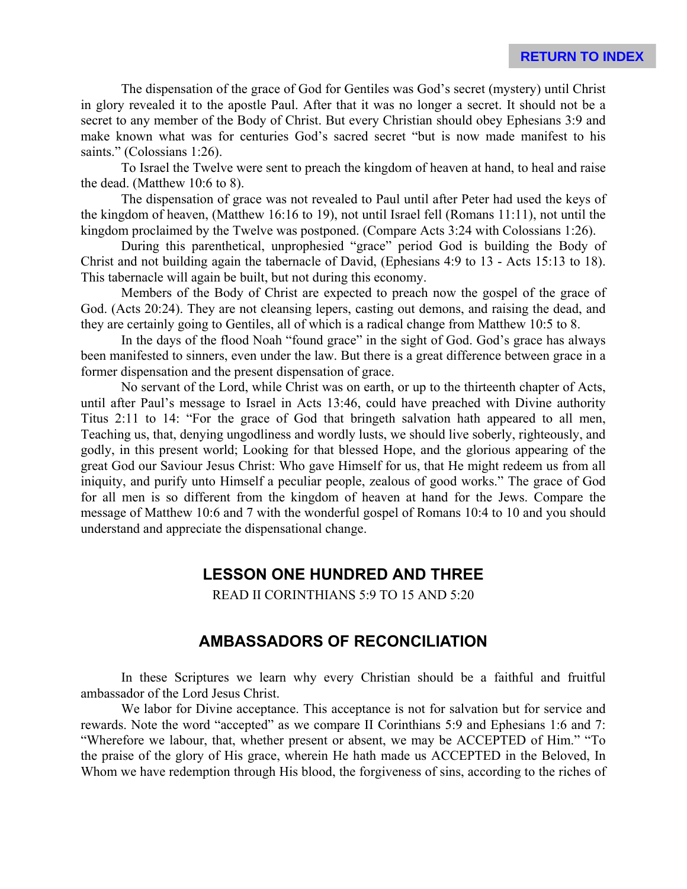The dispensation of the grace of God for Gentiles was God's secret (mystery) until Christ in glory revealed it to the apostle Paul. After that it was no longer a secret. It should not be a secret to any member of the Body of Christ. But every Christian should obey Ephesians 3:9 and make known what was for centuries God's sacred secret "but is now made manifest to his saints." (Colossians 1:26).

To Israel the Twelve were sent to preach the kingdom of heaven at hand, to heal and raise the dead. (Matthew 10:6 to 8).

The dispensation of grace was not revealed to Paul until after Peter had used the keys of the kingdom of heaven, (Matthew 16:16 to 19), not until Israel fell (Romans 11:11), not until the kingdom proclaimed by the Twelve was postponed. (Compare Acts 3:24 with Colossians 1:26).

During this parenthetical, unprophesied "grace" period God is building the Body of Christ and not building again the tabernacle of David, (Ephesians 4:9 to 13 - Acts 15:13 to 18). This tabernacle will again be built, but not during this economy.

Members of the Body of Christ are expected to preach now the gospel of the grace of God. (Acts 20:24). They are not cleansing lepers, casting out demons, and raising the dead, and they are certainly going to Gentiles, all of which is a radical change from Matthew 10:5 to 8.

In the days of the flood Noah "found grace" in the sight of God. God's grace has always been manifested to sinners, even under the law. But there is a great difference between grace in a former dispensation and the present dispensation of grace.

No servant of the Lord, while Christ was on earth, or up to the thirteenth chapter of Acts, until after Paul's message to Israel in Acts 13:46, could have preached with Divine authority Titus 2:11 to 14: "For the grace of God that bringeth salvation hath appeared to all men, Teaching us, that, denying ungodliness and wordly lusts, we should live soberly, righteously, and godly, in this present world; Looking for that blessed Hope, and the glorious appearing of the great God our Saviour Jesus Christ: Who gave Himself for us, that He might redeem us from all iniquity, and purify unto Himself a peculiar people, zealous of good works." The grace of God for all men is so different from the kingdom of heaven at hand for the Jews. Compare the message of Matthew 10:6 and 7 with the wonderful gospel of Romans 10:4 to 10 and you should understand and appreciate the dispensational change.

### **LESSON ONE HUNDRED AND THREE**

READ II CORINTHIANS 5:9 TO 15 AND 5:20

#### **AMBASSADORS OF RECONCILIATION**

In these Scriptures we learn why every Christian should be a faithful and fruitful ambassador of the Lord Jesus Christ.

We labor for Divine acceptance. This acceptance is not for salvation but for service and rewards. Note the word "accepted" as we compare II Corinthians 5:9 and Ephesians 1:6 and 7: "Wherefore we labour, that, whether present or absent, we may be ACCEPTED of Him." "To the praise of the glory of His grace, wherein He hath made us ACCEPTED in the Beloved, In Whom we have redemption through His blood, the forgiveness of sins, according to the riches of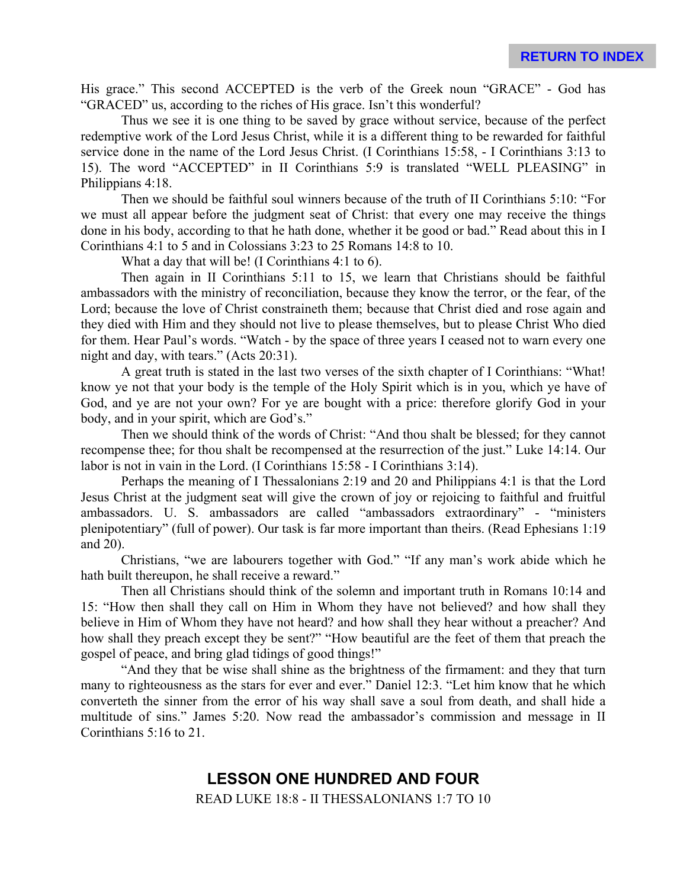His grace." This second ACCEPTED is the verb of the Greek noun "GRACE" - God has "GRACED" us, according to the riches of His grace. Isn't this wonderful?

Thus we see it is one thing to be saved by grace without service, because of the perfect redemptive work of the Lord Jesus Christ, while it is a different thing to be rewarded for faithful service done in the name of the Lord Jesus Christ. (I Corinthians 15:58, - I Corinthians 3:13 to 15). The word "ACCEPTED" in II Corinthians 5:9 is translated "WELL PLEASING" in Philippians 4:18.

Then we should be faithful soul winners because of the truth of II Corinthians 5:10: "For we must all appear before the judgment seat of Christ: that every one may receive the things done in his body, according to that he hath done, whether it be good or bad." Read about this in I Corinthians 4:1 to 5 and in Colossians 3:23 to 25 Romans 14:8 to 10.

What a day that will be! (I Corinthians 4:1 to 6).

Then again in II Corinthians 5:11 to 15, we learn that Christians should be faithful ambassadors with the ministry of reconciliation, because they know the terror, or the fear, of the Lord; because the love of Christ constraineth them; because that Christ died and rose again and they died with Him and they should not live to please themselves, but to please Christ Who died for them. Hear Paul's words. "Watch - by the space of three years I ceased not to warn every one night and day, with tears." (Acts 20:31).

A great truth is stated in the last two verses of the sixth chapter of I Corinthians: "What! know ye not that your body is the temple of the Holy Spirit which is in you, which ye have of God, and ye are not your own? For ye are bought with a price: therefore glorify God in your body, and in your spirit, which are God's."

Then we should think of the words of Christ: "And thou shalt be blessed; for they cannot recompense thee; for thou shalt be recompensed at the resurrection of the just." Luke 14:14. Our labor is not in vain in the Lord. (I Corinthians 15:58 - I Corinthians 3:14).

Perhaps the meaning of I Thessalonians 2:19 and 20 and Philippians 4:1 is that the Lord Jesus Christ at the judgment seat will give the crown of joy or rejoicing to faithful and fruitful ambassadors. U. S. ambassadors are called "ambassadors extraordinary" - "ministers plenipotentiary" (full of power). Our task is far more important than theirs. (Read Ephesians 1:19 and 20).

Christians, "we are labourers together with God." "If any man's work abide which he hath built thereupon, he shall receive a reward."

Then all Christians should think of the solemn and important truth in Romans 10:14 and 15: "How then shall they call on Him in Whom they have not believed? and how shall they believe in Him of Whom they have not heard? and how shall they hear without a preacher? And how shall they preach except they be sent?" "How beautiful are the feet of them that preach the gospel of peace, and bring glad tidings of good things!"

"And they that be wise shall shine as the brightness of the firmament: and they that turn many to righteousness as the stars for ever and ever." Daniel 12:3. "Let him know that he which converteth the sinner from the error of his way shall save a soul from death, and shall hide a multitude of sins." James 5:20. Now read the ambassador's commission and message in II Corinthians 5:16 to 21.

# **LESSON ONE HUNDRED AND FOUR**

READ LUKE 18:8 - II THESSALONIANS 1:7 TO 10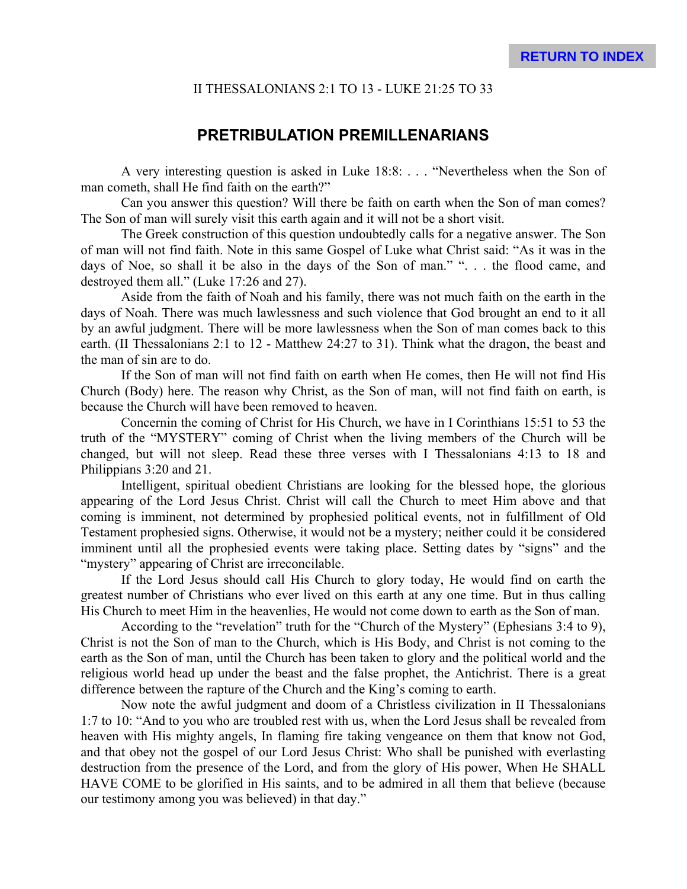#### II THESSALONIANS 2:1 TO 13 - LUKE 21:25 TO 33

#### **PRETRIBULATION PREMILLENARIANS**

A very interesting question is asked in Luke 18:8: . . . "Nevertheless when the Son of man cometh, shall He find faith on the earth?"

Can you answer this question? Will there be faith on earth when the Son of man comes? The Son of man will surely visit this earth again and it will not be a short visit.

The Greek construction of this question undoubtedly calls for a negative answer. The Son of man will not find faith. Note in this same Gospel of Luke what Christ said: "As it was in the days of Noe, so shall it be also in the days of the Son of man." "... the flood came, and destroyed them all." (Luke 17:26 and 27).

Aside from the faith of Noah and his family, there was not much faith on the earth in the days of Noah. There was much lawlessness and such violence that God brought an end to it all by an awful judgment. There will be more lawlessness when the Son of man comes back to this earth. (II Thessalonians 2:1 to 12 - Matthew 24:27 to 31). Think what the dragon, the beast and the man of sin are to do.

If the Son of man will not find faith on earth when He comes, then He will not find His Church (Body) here. The reason why Christ, as the Son of man, will not find faith on earth, is because the Church will have been removed to heaven.

Concernin the coming of Christ for His Church, we have in I Corinthians 15:51 to 53 the truth of the "MYSTERY" coming of Christ when the living members of the Church will be changed, but will not sleep. Read these three verses with I Thessalonians 4:13 to 18 and Philippians 3:20 and 21.

Intelligent, spiritual obedient Christians are looking for the blessed hope, the glorious appearing of the Lord Jesus Christ. Christ will call the Church to meet Him above and that coming is imminent, not determined by prophesied political events, not in fulfillment of Old Testament prophesied signs. Otherwise, it would not be a mystery; neither could it be considered imminent until all the prophesied events were taking place. Setting dates by "signs" and the "mystery" appearing of Christ are irreconcilable.

If the Lord Jesus should call His Church to glory today, He would find on earth the greatest number of Christians who ever lived on this earth at any one time. But in thus calling His Church to meet Him in the heavenlies, He would not come down to earth as the Son of man.

According to the "revelation" truth for the "Church of the Mystery" (Ephesians 3:4 to 9), Christ is not the Son of man to the Church, which is His Body, and Christ is not coming to the earth as the Son of man, until the Church has been taken to glory and the political world and the religious world head up under the beast and the false prophet, the Antichrist. There is a great difference between the rapture of the Church and the King's coming to earth.

Now note the awful judgment and doom of a Christless civilization in II Thessalonians 1:7 to 10: "And to you who are troubled rest with us, when the Lord Jesus shall be revealed from heaven with His mighty angels, In flaming fire taking vengeance on them that know not God, and that obey not the gospel of our Lord Jesus Christ: Who shall be punished with everlasting destruction from the presence of the Lord, and from the glory of His power, When He SHALL HAVE COME to be glorified in His saints, and to be admired in all them that believe (because our testimony among you was believed) in that day."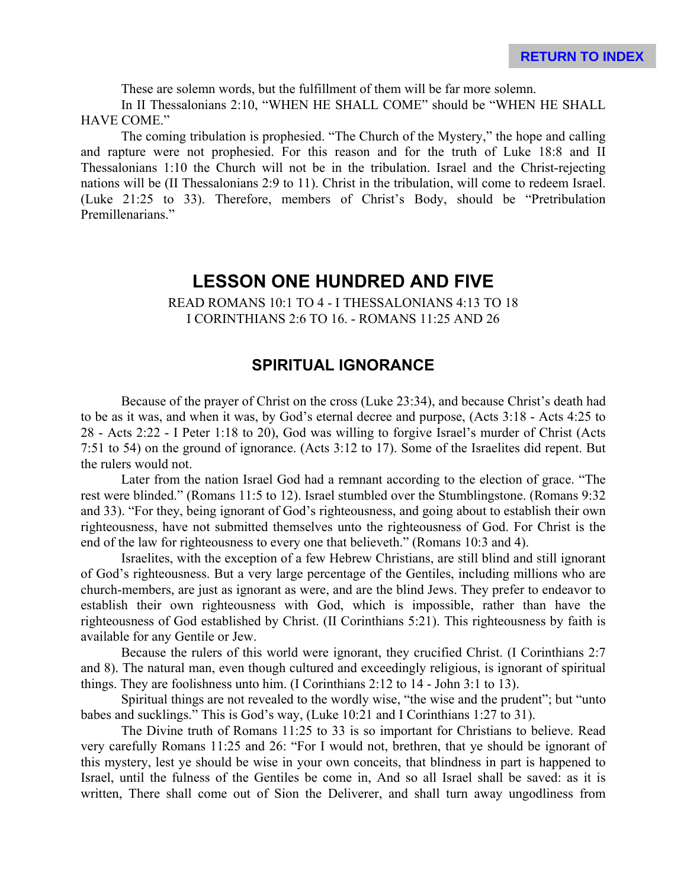These are solemn words, but the fulfillment of them will be far more solemn.

In II Thessalonians 2:10, "WHEN HE SHALL COME" should be "WHEN HE SHALL HAVE COME."

The coming tribulation is prophesied. "The Church of the Mystery," the hope and calling and rapture were not prophesied. For this reason and for the truth of Luke 18:8 and II Thessalonians 1:10 the Church will not be in the tribulation. Israel and the Christ-rejecting nations will be (II Thessalonians 2:9 to 11). Christ in the tribulation, will come to redeem Israel. (Luke 21:25 to 33). Therefore, members of Christ's Body, should be "Pretribulation Premillenarians."

# **LESSON ONE HUNDRED AND FIVE**

READ ROMANS 10:1 TO 4 - I THESSALONIANS 4:13 TO 18 I CORINTHIANS 2:6 TO 16. - ROMANS 11:25 AND 26

# **SPIRITUAL IGNORANCE**

Because of the prayer of Christ on the cross (Luke 23:34), and because Christ's death had to be as it was, and when it was, by God's eternal decree and purpose, (Acts 3:18 - Acts 4:25 to 28 - Acts 2:22 - I Peter 1:18 to 20), God was willing to forgive Israel's murder of Christ (Acts 7:51 to 54) on the ground of ignorance. (Acts 3:12 to 17). Some of the Israelites did repent. But the rulers would not.

Later from the nation Israel God had a remnant according to the election of grace. "The rest were blinded." (Romans 11:5 to 12). Israel stumbled over the Stumblingstone. (Romans 9:32 and 33). "For they, being ignorant of God's righteousness, and going about to establish their own righteousness, have not submitted themselves unto the righteousness of God. For Christ is the end of the law for righteousness to every one that believeth." (Romans 10:3 and 4).

Israelites, with the exception of a few Hebrew Christians, are still blind and still ignorant of God's righteousness. But a very large percentage of the Gentiles, including millions who are church-members, are just as ignorant as were, and are the blind Jews. They prefer to endeavor to establish their own righteousness with God, which is impossible, rather than have the righteousness of God established by Christ. (II Corinthians 5:21). This righteousness by faith is available for any Gentile or Jew.

Because the rulers of this world were ignorant, they crucified Christ. (I Corinthians 2:7 and 8). The natural man, even though cultured and exceedingly religious, is ignorant of spiritual things. They are foolishness unto him. (I Corinthians 2:12 to 14 - John 3:1 to 13).

Spiritual things are not revealed to the wordly wise, "the wise and the prudent"; but "unto babes and sucklings." This is God's way, (Luke 10:21 and I Corinthians 1:27 to 31).

The Divine truth of Romans 11:25 to 33 is so important for Christians to believe. Read very carefully Romans 11:25 and 26: "For I would not, brethren, that ye should be ignorant of this mystery, lest ye should be wise in your own conceits, that blindness in part is happened to Israel, until the fulness of the Gentiles be come in, And so all Israel shall be saved: as it is written, There shall come out of Sion the Deliverer, and shall turn away ungodliness from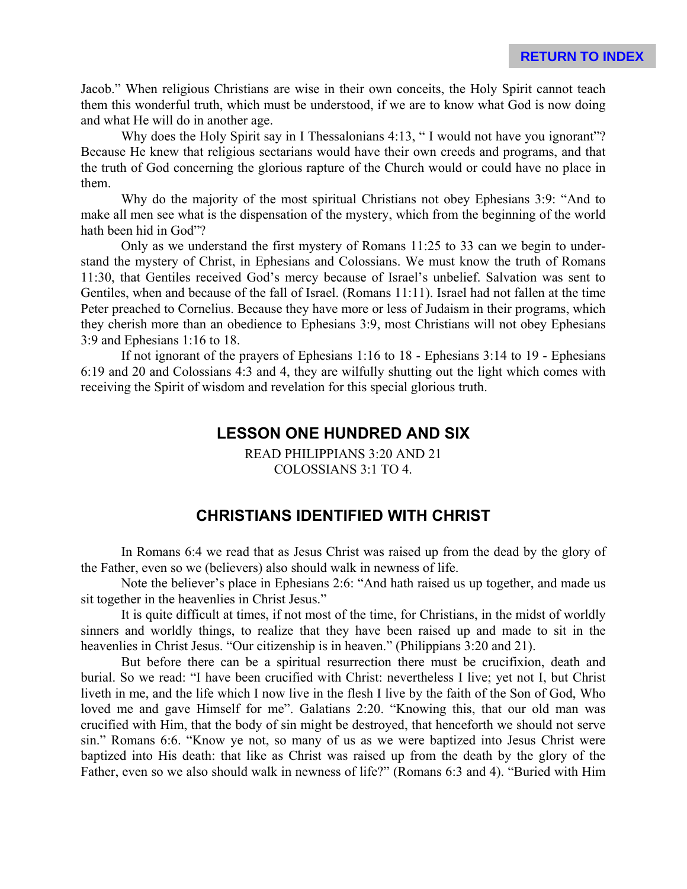Jacob." When religious Christians are wise in their own conceits, the Holy Spirit cannot teach them this wonderful truth, which must be understood, if we are to know what God is now doing and what He will do in another age.

Why does the Holy Spirit say in I Thessalonians 4:13, "I would not have you ignorant"? Because He knew that religious sectarians would have their own creeds and programs, and that the truth of God concerning the glorious rapture of the Church would or could have no place in them.

Why do the majority of the most spiritual Christians not obey Ephesians 3:9: "And to make all men see what is the dispensation of the mystery, which from the beginning of the world hath been hid in God"?

Only as we understand the first mystery of Romans 11:25 to 33 can we begin to understand the mystery of Christ, in Ephesians and Colossians. We must know the truth of Romans 11:30, that Gentiles received God's mercy because of Israel's unbelief. Salvation was sent to Gentiles, when and because of the fall of Israel. (Romans 11:11). Israel had not fallen at the time Peter preached to Cornelius. Because they have more or less of Judaism in their programs, which they cherish more than an obedience to Ephesians 3:9, most Christians will not obey Ephesians 3:9 and Ephesians 1:16 to 18.

If not ignorant of the prayers of Ephesians 1:16 to 18 - Ephesians 3:14 to 19 - Ephesians 6:19 and 20 and Colossians 4:3 and 4, they are wilfully shutting out the light which comes with receiving the Spirit of wisdom and revelation for this special glorious truth.

#### **LESSON ONE HUNDRED AND SIX**

READ PHILIPPIANS 3:20 AND 21 COLOSSIANS 3:1 TO 4.

#### **CHRISTIANS IDENTIFIED WITH CHRIST**

In Romans 6:4 we read that as Jesus Christ was raised up from the dead by the glory of the Father, even so we (believers) also should walk in newness of life.

Note the believer's place in Ephesians 2:6: "And hath raised us up together, and made us sit together in the heavenlies in Christ Jesus."

It is quite difficult at times, if not most of the time, for Christians, in the midst of worldly sinners and worldly things, to realize that they have been raised up and made to sit in the heavenlies in Christ Jesus. "Our citizenship is in heaven." (Philippians 3:20 and 21).

But before there can be a spiritual resurrection there must be crucifixion, death and burial. So we read: "I have been crucified with Christ: nevertheless I live; yet not I, but Christ liveth in me, and the life which I now live in the flesh I live by the faith of the Son of God, Who loved me and gave Himself for me". Galatians 2:20. "Knowing this, that our old man was crucified with Him, that the body of sin might be destroyed, that henceforth we should not serve sin." Romans 6:6. "Know ye not, so many of us as we were baptized into Jesus Christ were baptized into His death: that like as Christ was raised up from the death by the glory of the Father, even so we also should walk in newness of life?" (Romans 6:3 and 4). "Buried with Him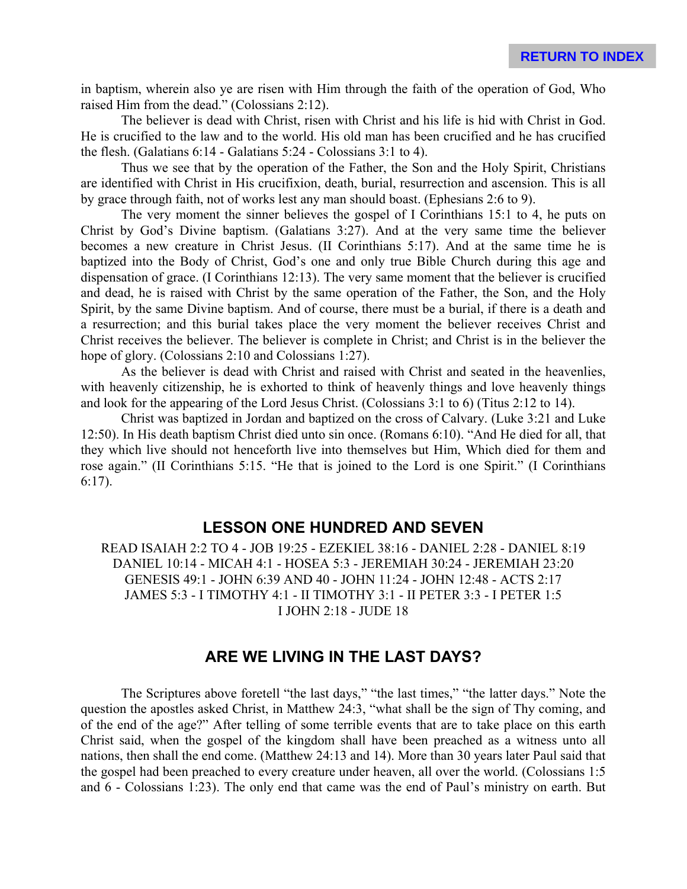in baptism, wherein also ye are risen with Him through the faith of the operation of God, Who raised Him from the dead." (Colossians 2:12).

The believer is dead with Christ, risen with Christ and his life is hid with Christ in God. He is crucified to the law and to the world. His old man has been crucified and he has crucified the flesh. (Galatians 6:14 - Galatians 5:24 - Colossians 3:1 to 4).

Thus we see that by the operation of the Father, the Son and the Holy Spirit, Christians are identified with Christ in His crucifixion, death, burial, resurrection and ascension. This is all by grace through faith, not of works lest any man should boast. (Ephesians 2:6 to 9).

The very moment the sinner believes the gospel of I Corinthians 15:1 to 4, he puts on Christ by God's Divine baptism. (Galatians 3:27). And at the very same time the believer becomes a new creature in Christ Jesus. (II Corinthians 5:17). And at the same time he is baptized into the Body of Christ, God's one and only true Bible Church during this age and dispensation of grace. (I Corinthians 12:13). The very same moment that the believer is crucified and dead, he is raised with Christ by the same operation of the Father, the Son, and the Holy Spirit, by the same Divine baptism. And of course, there must be a burial, if there is a death and a resurrection; and this burial takes place the very moment the believer receives Christ and Christ receives the believer. The believer is complete in Christ; and Christ is in the believer the hope of glory. (Colossians 2:10 and Colossians 1:27).

As the believer is dead with Christ and raised with Christ and seated in the heavenlies, with heavenly citizenship, he is exhorted to think of heavenly things and love heavenly things and look for the appearing of the Lord Jesus Christ. (Colossians 3:1 to 6) (Titus 2:12 to 14).

Christ was baptized in Jordan and baptized on the cross of Calvary. (Luke 3:21 and Luke 12:50). In His death baptism Christ died unto sin once. (Romans 6:10). "And He died for all, that they which live should not henceforth live into themselves but Him, Which died for them and rose again." (II Corinthians 5:15. "He that is joined to the Lord is one Spirit." (I Corinthians 6:17).

#### **LESSON ONE HUNDRED AND SEVEN**

READ ISAIAH 2:2 TO 4 - JOB 19:25 - EZEKIEL 38:16 - DANIEL 2:28 - DANIEL 8:19 DANIEL 10:14 - MICAH 4:1 - HOSEA 5:3 - JEREMIAH 30:24 - JEREMIAH 23:20 GENESIS 49:1 - JOHN 6:39 AND 40 - JOHN 11:24 - JOHN 12:48 - ACTS 2:17 JAMES 5:3 - I TIMOTHY 4:1 - II TIMOTHY 3:1 - II PETER 3:3 - I PETER 1:5 I JOHN 2:18 - JUDE 18

# **ARE WE LIVING IN THE LAST DAYS?**

The Scriptures above foretell "the last days," "the last times," "the latter days." Note the question the apostles asked Christ, in Matthew 24:3, "what shall be the sign of Thy coming, and of the end of the age?" After telling of some terrible events that are to take place on this earth Christ said, when the gospel of the kingdom shall have been preached as a witness unto all nations, then shall the end come. (Matthew 24:13 and 14). More than 30 years later Paul said that the gospel had been preached to every creature under heaven, all over the world. (Colossians 1:5 and 6 - Colossians 1:23). The only end that came was the end of Paul's ministry on earth. But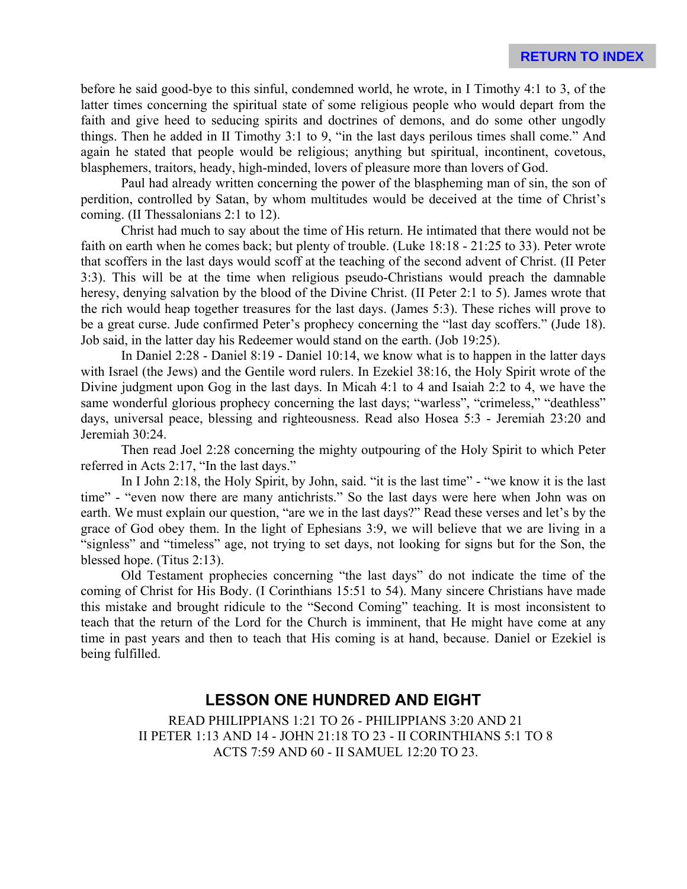before he said good-bye to this sinful, condemned world, he wrote, in I Timothy 4:1 to 3, of the latter times concerning the spiritual state of some religious people who would depart from the faith and give heed to seducing spirits and doctrines of demons, and do some other ungodly things. Then he added in II Timothy 3:1 to 9, "in the last days perilous times shall come." And again he stated that people would be religious; anything but spiritual, incontinent, covetous, blasphemers, traitors, heady, high-minded, lovers of pleasure more than lovers of God.

Paul had already written concerning the power of the blaspheming man of sin, the son of perdition, controlled by Satan, by whom multitudes would be deceived at the time of Christ's coming. (II Thessalonians 2:1 to 12).

Christ had much to say about the time of His return. He intimated that there would not be faith on earth when he comes back; but plenty of trouble. (Luke 18:18 - 21:25 to 33). Peter wrote that scoffers in the last days would scoff at the teaching of the second advent of Christ. (II Peter 3:3). This will be at the time when religious pseudo-Christians would preach the damnable heresy, denying salvation by the blood of the Divine Christ. (II Peter 2:1 to 5). James wrote that the rich would heap together treasures for the last days. (James 5:3). These riches will prove to be a great curse. Jude confirmed Peter's prophecy concerning the "last day scoffers." (Jude 18). Job said, in the latter day his Redeemer would stand on the earth. (Job 19:25).

In Daniel 2:28 - Daniel 8:19 - Daniel 10:14, we know what is to happen in the latter days with Israel (the Jews) and the Gentile word rulers. In Ezekiel 38:16, the Holy Spirit wrote of the Divine judgment upon Gog in the last days. In Micah 4:1 to 4 and Isaiah 2:2 to 4, we have the same wonderful glorious prophecy concerning the last days; "warless", "crimeless," "deathless" days, universal peace, blessing and righteousness. Read also Hosea 5:3 - Jeremiah 23:20 and Jeremiah 30:24.

Then read Joel 2:28 concerning the mighty outpouring of the Holy Spirit to which Peter referred in Acts 2:17, "In the last days."

In I John 2:18, the Holy Spirit, by John, said. "it is the last time" - "we know it is the last time" - "even now there are many antichrists." So the last days were here when John was on earth. We must explain our question, "are we in the last days?" Read these verses and let's by the grace of God obey them. In the light of Ephesians 3:9, we will believe that we are living in a "signless" and "timeless" age, not trying to set days, not looking for signs but for the Son, the blessed hope. (Titus 2:13).

Old Testament prophecies concerning "the last days" do not indicate the time of the coming of Christ for His Body. (I Corinthians 15:51 to 54). Many sincere Christians have made this mistake and brought ridicule to the "Second Coming" teaching. It is most inconsistent to teach that the return of the Lord for the Church is imminent, that He might have come at any time in past years and then to teach that His coming is at hand, because. Daniel or Ezekiel is being fulfilled.

# **LESSON ONE HUNDRED AND EIGHT**

READ PHILIPPIANS 1:21 TO 26 - PHILIPPIANS 3:20 AND 21 II PETER 1:13 AND 14 - JOHN 21:18 TO 23 - II CORINTHIANS 5:1 TO 8 ACTS 7:59 AND 60 - II SAMUEL 12:20 TO 23.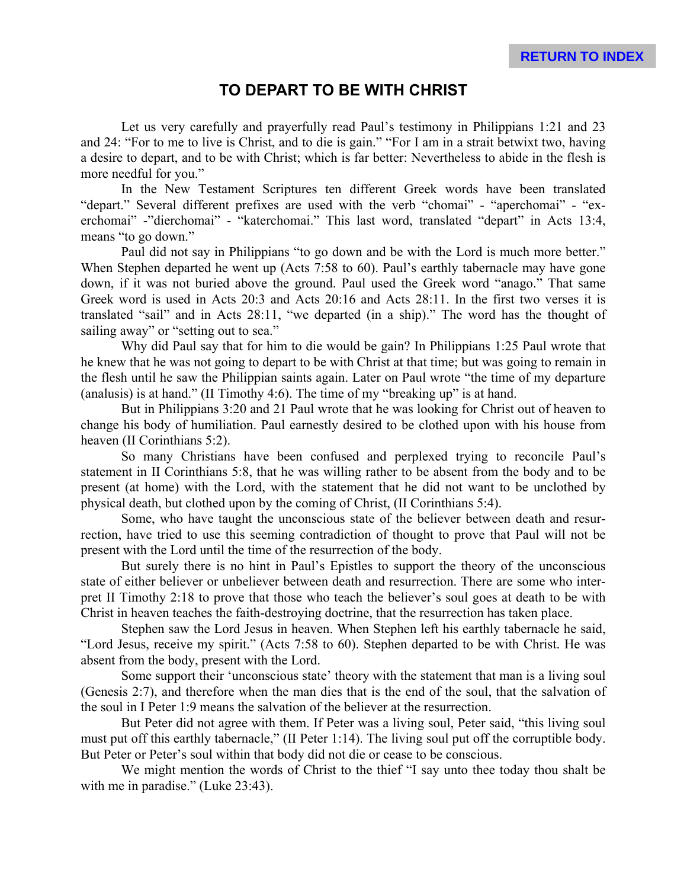#### **TO DEPART TO BE WITH CHRIST**

Let us very carefully and prayerfully read Paul's testimony in Philippians 1:21 and 23 and 24: "For to me to live is Christ, and to die is gain." "For I am in a strait betwixt two, having a desire to depart, and to be with Christ; which is far better: Nevertheless to abide in the flesh is more needful for you."

In the New Testament Scriptures ten different Greek words have been translated "depart." Several different prefixes are used with the verb "chomai" - "aperchomai" - "exerchomai" -"dierchomai" - "katerchomai." This last word, translated "depart" in Acts 13:4, means "to go down."

Paul did not say in Philippians "to go down and be with the Lord is much more better." When Stephen departed he went up (Acts 7:58 to 60). Paul's earthly tabernacle may have gone down, if it was not buried above the ground. Paul used the Greek word "anago." That same Greek word is used in Acts 20:3 and Acts 20:16 and Acts 28:11. In the first two verses it is translated "sail" and in Acts 28:11, "we departed (in a ship)." The word has the thought of sailing away" or "setting out to sea."

Why did Paul say that for him to die would be gain? In Philippians 1:25 Paul wrote that he knew that he was not going to depart to be with Christ at that time; but was going to remain in the flesh until he saw the Philippian saints again. Later on Paul wrote "the time of my departure (analusis) is at hand." (II Timothy 4:6). The time of my "breaking up" is at hand.

But in Philippians 3:20 and 21 Paul wrote that he was looking for Christ out of heaven to change his body of humiliation. Paul earnestly desired to be clothed upon with his house from heaven (II Corinthians 5:2).

So many Christians have been confused and perplexed trying to reconcile Paul's statement in II Corinthians 5:8, that he was willing rather to be absent from the body and to be present (at home) with the Lord, with the statement that he did not want to be unclothed by physical death, but clothed upon by the coming of Christ, (II Corinthians 5:4).

Some, who have taught the unconscious state of the believer between death and resurrection, have tried to use this seeming contradiction of thought to prove that Paul will not be present with the Lord until the time of the resurrection of the body.

But surely there is no hint in Paul's Epistles to support the theory of the unconscious state of either believer or unbeliever between death and resurrection. There are some who interpret II Timothy 2:18 to prove that those who teach the believer's soul goes at death to be with Christ in heaven teaches the faith-destroying doctrine, that the resurrection has taken place.

Stephen saw the Lord Jesus in heaven. When Stephen left his earthly tabernacle he said, "Lord Jesus, receive my spirit." (Acts 7:58 to 60). Stephen departed to be with Christ. He was absent from the body, present with the Lord.

Some support their 'unconscious state' theory with the statement that man is a living soul (Genesis 2:7), and therefore when the man dies that is the end of the soul, that the salvation of the soul in I Peter 1:9 means the salvation of the believer at the resurrection.

But Peter did not agree with them. If Peter was a living soul, Peter said, "this living soul must put off this earthly tabernacle," (II Peter 1:14). The living soul put off the corruptible body. But Peter or Peter's soul within that body did not die or cease to be conscious.

We might mention the words of Christ to the thief "I say unto thee today thou shalt be with me in paradise." (Luke 23:43).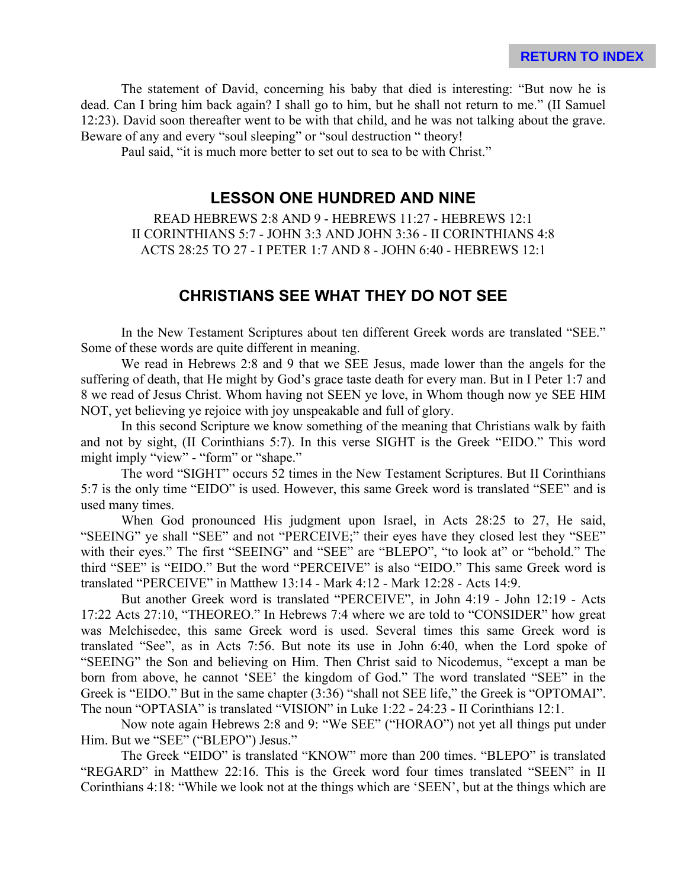The statement of David, concerning his baby that died is interesting: "But now he is dead. Can I bring him back again? I shall go to him, but he shall not return to me." (II Samuel 12:23). David soon thereafter went to be with that child, and he was not talking about the grave. Beware of any and every "soul sleeping" or "soul destruction " theory!

Paul said, "it is much more better to set out to sea to be with Christ."

# **LESSON ONE HUNDRED AND NINE**

READ HEBREWS 2:8 AND 9 - HEBREWS 11:27 - HEBREWS 12:1 II CORINTHIANS 5:7 - JOHN 3:3 AND JOHN 3:36 - II CORINTHIANS 4:8 ACTS 28:25 TO 27 - I PETER 1:7 AND 8 - JOHN 6:40 - HEBREWS 12:1

#### **CHRISTIANS SEE WHAT THEY DO NOT SEE**

In the New Testament Scriptures about ten different Greek words are translated "SEE." Some of these words are quite different in meaning.

We read in Hebrews 2:8 and 9 that we SEE Jesus, made lower than the angels for the suffering of death, that He might by God's grace taste death for every man. But in I Peter 1:7 and 8 we read of Jesus Christ. Whom having not SEEN ye love, in Whom though now ye SEE HIM NOT, yet believing ye rejoice with joy unspeakable and full of glory.

In this second Scripture we know something of the meaning that Christians walk by faith and not by sight, (II Corinthians 5:7). In this verse SIGHT is the Greek "EIDO." This word might imply "view" - "form" or "shape."

The word "SIGHT" occurs 52 times in the New Testament Scriptures. But II Corinthians 5:7 is the only time "EIDO" is used. However, this same Greek word is translated "SEE" and is used many times.

When God pronounced His judgment upon Israel, in Acts 28:25 to 27, He said, "SEEING" ye shall "SEE" and not "PERCEIVE;" their eyes have they closed lest they "SEE" with their eyes." The first "SEEING" and "SEE" are "BLEPO", "to look at" or "behold." The third "SEE" is "EIDO." But the word "PERCEIVE" is also "EIDO." This same Greek word is translated "PERCEIVE" in Matthew 13:14 - Mark 4:12 - Mark 12:28 - Acts 14:9.

But another Greek word is translated "PERCEIVE", in John 4:19 - John 12:19 - Acts 17:22 Acts 27:10, "THEOREO." In Hebrews 7:4 where we are told to "CONSIDER" how great was Melchisedec, this same Greek word is used. Several times this same Greek word is translated "See", as in Acts 7:56. But note its use in John 6:40, when the Lord spoke of "SEEING" the Son and believing on Him. Then Christ said to Nicodemus, "except a man be born from above, he cannot 'SEE' the kingdom of God." The word translated "SEE" in the Greek is "EIDO." But in the same chapter (3:36) "shall not SEE life," the Greek is "OPTOMAI". The noun "OPTASIA" is translated "VISION" in Luke 1:22 - 24:23 - II Corinthians 12:1.

Now note again Hebrews 2:8 and 9: "We SEE" ("HORAO") not yet all things put under Him. But we "SEE" ("BLEPO") Jesus."

The Greek "EIDO" is translated "KNOW" more than 200 times. "BLEPO" is translated "REGARD" in Matthew 22:16. This is the Greek word four times translated "SEEN" in II Corinthians 4:18: "While we look not at the things which are 'SEEN', but at the things which are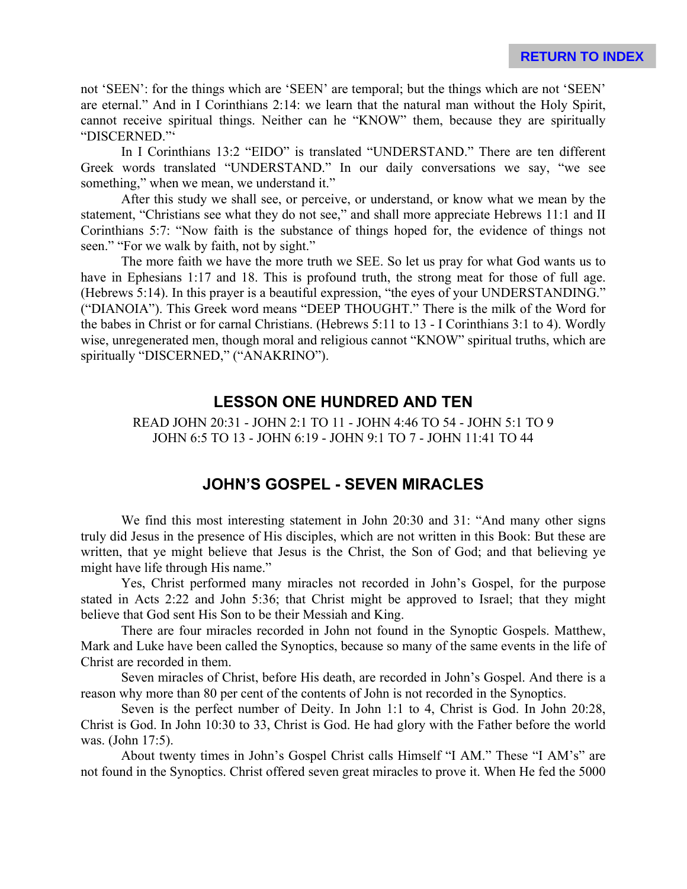not 'SEEN': for the things which are 'SEEN' are temporal; but the things which are not 'SEEN' are eternal." And in I Corinthians 2:14: we learn that the natural man without the Holy Spirit, cannot receive spiritual things. Neither can he "KNOW" them, because they are spiritually "DISCERNED."'

In I Corinthians 13:2 "EIDO" is translated "UNDERSTAND." There are ten different Greek words translated "UNDERSTAND." In our daily conversations we say, "we see something," when we mean, we understand it."

After this study we shall see, or perceive, or understand, or know what we mean by the statement, "Christians see what they do not see," and shall more appreciate Hebrews 11:1 and II Corinthians 5:7: "Now faith is the substance of things hoped for, the evidence of things not seen." "For we walk by faith, not by sight."

The more faith we have the more truth we SEE. So let us pray for what God wants us to have in Ephesians 1:17 and 18. This is profound truth, the strong meat for those of full age. (Hebrews 5:14). In this prayer is a beautiful expression, "the eyes of your UNDERSTANDING." ("DIANOIA"). This Greek word means "DEEP THOUGHT." There is the milk of the Word for the babes in Christ or for carnal Christians. (Hebrews 5:11 to 13 - I Corinthians 3:1 to 4). Wordly wise, unregenerated men, though moral and religious cannot "KNOW" spiritual truths, which are spiritually "DISCERNED," ("ANAKRINO").

#### **LESSON ONE HUNDRED AND TEN**

READ JOHN 20:31 - JOHN 2:1 TO 11 - JOHN 4:46 TO 54 - JOHN 5:1 TO 9 JOHN 6:5 TO 13 - JOHN 6:19 - JOHN 9:1 TO 7 - JOHN 11:41 TO 44

# **JOHN'S GOSPEL - SEVEN MIRACLES**

We find this most interesting statement in John 20:30 and 31: "And many other signs truly did Jesus in the presence of His disciples, which are not written in this Book: But these are written, that ye might believe that Jesus is the Christ, the Son of God; and that believing ye might have life through His name."

Yes, Christ performed many miracles not recorded in John's Gospel, for the purpose stated in Acts 2:22 and John 5:36; that Christ might be approved to Israel; that they might believe that God sent His Son to be their Messiah and King.

There are four miracles recorded in John not found in the Synoptic Gospels. Matthew, Mark and Luke have been called the Synoptics, because so many of the same events in the life of Christ are recorded in them.

Seven miracles of Christ, before His death, are recorded in John's Gospel. And there is a reason why more than 80 per cent of the contents of John is not recorded in the Synoptics.

Seven is the perfect number of Deity. In John 1:1 to 4, Christ is God. In John 20:28, Christ is God. In John 10:30 to 33, Christ is God. He had glory with the Father before the world was. (John 17:5).

About twenty times in John's Gospel Christ calls Himself "I AM." These "I AM's" are not found in the Synoptics. Christ offered seven great miracles to prove it. When He fed the 5000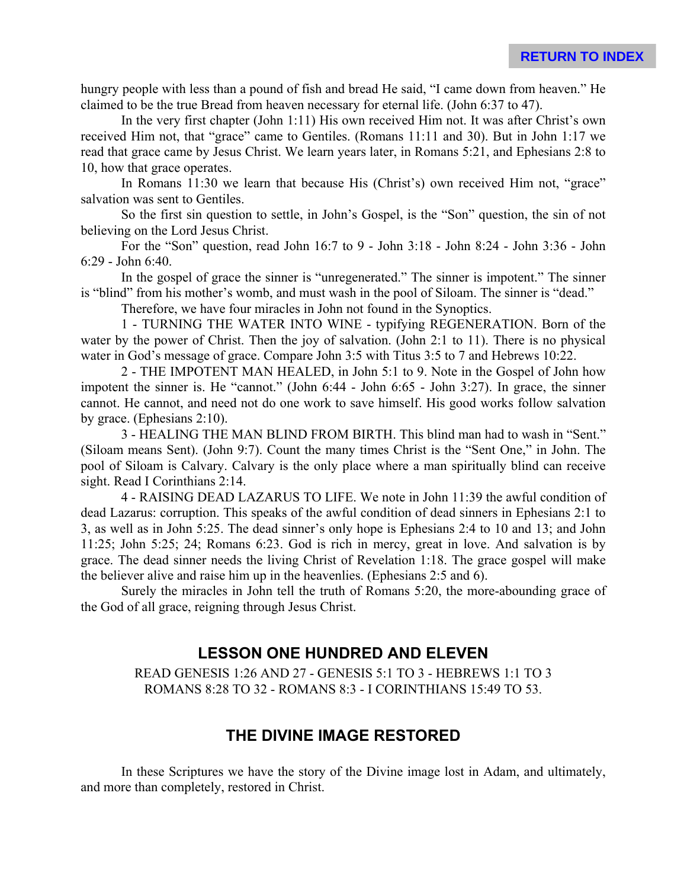hungry people with less than a pound of fish and bread He said, "I came down from heaven." He claimed to be the true Bread from heaven necessary for eternal life. (John 6:37 to 47).

In the very first chapter (John 1:11) His own received Him not. It was after Christ's own received Him not, that "grace" came to Gentiles. (Romans 11:11 and 30). But in John 1:17 we read that grace came by Jesus Christ. We learn years later, in Romans 5:21, and Ephesians 2:8 to 10, how that grace operates.

In Romans 11:30 we learn that because His (Christ's) own received Him not, "grace" salvation was sent to Gentiles.

So the first sin question to settle, in John's Gospel, is the "Son" question, the sin of not believing on the Lord Jesus Christ.

For the "Son" question, read John 16:7 to 9 - John 3:18 - John 8:24 - John 3:36 - John 6:29 - John 6:40.

In the gospel of grace the sinner is "unregenerated." The sinner is impotent." The sinner is "blind" from his mother's womb, and must wash in the pool of Siloam. The sinner is "dead."

Therefore, we have four miracles in John not found in the Synoptics.

1 - TURNING THE WATER INTO WINE - typifying REGENERATION. Born of the water by the power of Christ. Then the joy of salvation. (John 2:1 to 11). There is no physical water in God's message of grace. Compare John 3:5 with Titus 3:5 to 7 and Hebrews 10:22.

2 - THE IMPOTENT MAN HEALED, in John 5:1 to 9. Note in the Gospel of John how impotent the sinner is. He "cannot." (John 6:44 - John 6:65 - John 3:27). In grace, the sinner cannot. He cannot, and need not do one work to save himself. His good works follow salvation by grace. (Ephesians 2:10).

3 - HEALING THE MAN BLIND FROM BIRTH. This blind man had to wash in "Sent." (Siloam means Sent). (John 9:7). Count the many times Christ is the "Sent One," in John. The pool of Siloam is Calvary. Calvary is the only place where a man spiritually blind can receive sight. Read I Corinthians 2:14.

4 - RAISING DEAD LAZARUS TO LIFE. We note in John 11:39 the awful condition of dead Lazarus: corruption. This speaks of the awful condition of dead sinners in Ephesians 2:1 to 3, as well as in John 5:25. The dead sinner's only hope is Ephesians 2:4 to 10 and 13; and John 11:25; John 5:25; 24; Romans 6:23. God is rich in mercy, great in love. And salvation is by grace. The dead sinner needs the living Christ of Revelation 1:18. The grace gospel will make the believer alive and raise him up in the heavenlies. (Ephesians 2:5 and 6).

Surely the miracles in John tell the truth of Romans 5:20, the more-abounding grace of the God of all grace, reigning through Jesus Christ.

# **LESSON ONE HUNDRED AND ELEVEN**

READ GENESIS 1:26 AND 27 - GENESIS 5:1 TO 3 - HEBREWS 1:1 TO 3 ROMANS 8:28 TO 32 - ROMANS 8:3 - I CORINTHIANS 15:49 TO 53.

# **THE DIVINE IMAGE RESTORED**

In these Scriptures we have the story of the Divine image lost in Adam, and ultimately, and more than completely, restored in Christ.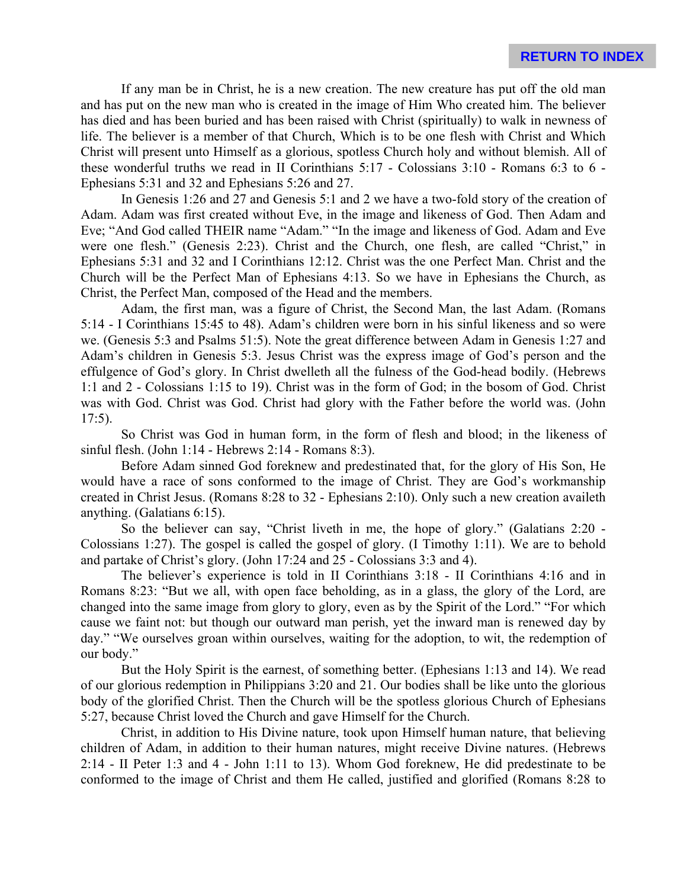If any man be in Christ, he is a new creation. The new creature has put off the old man and has put on the new man who is created in the image of Him Who created him. The believer has died and has been buried and has been raised with Christ (spiritually) to walk in newness of life. The believer is a member of that Church, Which is to be one flesh with Christ and Which Christ will present unto Himself as a glorious, spotless Church holy and without blemish. All of these wonderful truths we read in II Corinthians 5:17 - Colossians 3:10 - Romans 6:3 to 6 - Ephesians 5:31 and 32 and Ephesians 5:26 and 27.

In Genesis 1:26 and 27 and Genesis 5:1 and 2 we have a two-fold story of the creation of Adam. Adam was first created without Eve, in the image and likeness of God. Then Adam and Eve; "And God called THEIR name "Adam." "In the image and likeness of God. Adam and Eve were one flesh." (Genesis 2:23). Christ and the Church, one flesh, are called "Christ," in Ephesians 5:31 and 32 and I Corinthians 12:12. Christ was the one Perfect Man. Christ and the Church will be the Perfect Man of Ephesians 4:13. So we have in Ephesians the Church, as Christ, the Perfect Man, composed of the Head and the members.

Adam, the first man, was a figure of Christ, the Second Man, the last Adam. (Romans 5:14 - I Corinthians 15:45 to 48). Adam's children were born in his sinful likeness and so were we. (Genesis 5:3 and Psalms 51:5). Note the great difference between Adam in Genesis 1:27 and Adam's children in Genesis 5:3. Jesus Christ was the express image of God's person and the effulgence of God's glory. In Christ dwelleth all the fulness of the God-head bodily. (Hebrews 1:1 and 2 - Colossians 1:15 to 19). Christ was in the form of God; in the bosom of God. Christ was with God. Christ was God. Christ had glory with the Father before the world was. (John  $17:5$ ).

So Christ was God in human form, in the form of flesh and blood; in the likeness of sinful flesh. (John 1:14 - Hebrews 2:14 - Romans 8:3).

Before Adam sinned God foreknew and predestinated that, for the glory of His Son, He would have a race of sons conformed to the image of Christ. They are God's workmanship created in Christ Jesus. (Romans 8:28 to 32 - Ephesians 2:10). Only such a new creation availeth anything. (Galatians 6:15).

So the believer can say, "Christ liveth in me, the hope of glory." (Galatians 2:20 - Colossians 1:27). The gospel is called the gospel of glory. (I Timothy 1:11). We are to behold and partake of Christ's glory. (John 17:24 and 25 - Colossians 3:3 and 4).

The believer's experience is told in II Corinthians 3:18 - II Corinthians 4:16 and in Romans 8:23: "But we all, with open face beholding, as in a glass, the glory of the Lord, are changed into the same image from glory to glory, even as by the Spirit of the Lord." "For which cause we faint not: but though our outward man perish, yet the inward man is renewed day by day." "We ourselves groan within ourselves, waiting for the adoption, to wit, the redemption of our body."

But the Holy Spirit is the earnest, of something better. (Ephesians 1:13 and 14). We read of our glorious redemption in Philippians 3:20 and 21. Our bodies shall be like unto the glorious body of the glorified Christ. Then the Church will be the spotless glorious Church of Ephesians 5:27, because Christ loved the Church and gave Himself for the Church.

Christ, in addition to His Divine nature, took upon Himself human nature, that believing children of Adam, in addition to their human natures, might receive Divine natures. (Hebrews 2:14 - II Peter 1:3 and 4 - John 1:11 to 13). Whom God foreknew, He did predestinate to be conformed to the image of Christ and them He called, justified and glorified (Romans 8:28 to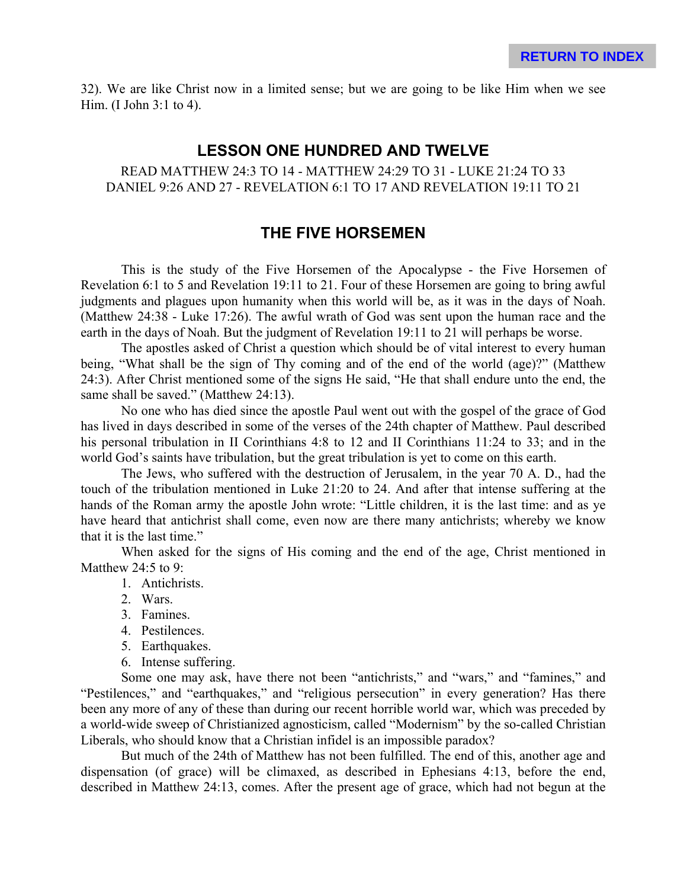32). We are like Christ now in a limited sense; but we are going to be like Him when we see Him. (I John 3:1 to 4).

#### **LESSON ONE HUNDRED AND TWELVE**

READ MATTHEW 24:3 TO 14 - MATTHEW 24:29 TO 31 - LUKE 21:24 TO 33 DANIEL 9:26 AND 27 - REVELATION 6:1 TO 17 AND REVELATION 19:11 TO 21

# **THE FIVE HORSEMEN**

This is the study of the Five Horsemen of the Apocalypse - the Five Horsemen of Revelation 6:1 to 5 and Revelation 19:11 to 21. Four of these Horsemen are going to bring awful judgments and plagues upon humanity when this world will be, as it was in the days of Noah. (Matthew 24:38 - Luke 17:26). The awful wrath of God was sent upon the human race and the earth in the days of Noah. But the judgment of Revelation 19:11 to 21 will perhaps be worse.

The apostles asked of Christ a question which should be of vital interest to every human being, "What shall be the sign of Thy coming and of the end of the world (age)?" (Matthew 24:3). After Christ mentioned some of the signs He said, "He that shall endure unto the end, the same shall be saved." (Matthew 24:13).

No one who has died since the apostle Paul went out with the gospel of the grace of God has lived in days described in some of the verses of the 24th chapter of Matthew. Paul described his personal tribulation in II Corinthians 4:8 to 12 and II Corinthians 11:24 to 33; and in the world God's saints have tribulation, but the great tribulation is yet to come on this earth.

The Jews, who suffered with the destruction of Jerusalem, in the year 70 A. D., had the touch of the tribulation mentioned in Luke 21:20 to 24. And after that intense suffering at the hands of the Roman army the apostle John wrote: "Little children, it is the last time: and as ye have heard that antichrist shall come, even now are there many antichrists; whereby we know that it is the last time."

When asked for the signs of His coming and the end of the age, Christ mentioned in Matthew 24:5 to 9:

- 1. Antichrists.
- 2. Wars.
- 3. Famines.
- 4. Pestilences.
- 5. Earthquakes.
- 6. Intense suffering.

Some one may ask, have there not been "antichrists," and "wars," and "famines," and "Pestilences," and "earthquakes," and "religious persecution" in every generation? Has there been any more of any of these than during our recent horrible world war, which was preceded by a world-wide sweep of Christianized agnosticism, called "Modernism" by the so-called Christian Liberals, who should know that a Christian infidel is an impossible paradox?

But much of the 24th of Matthew has not been fulfilled. The end of this, another age and dispensation (of grace) will be climaxed, as described in Ephesians 4:13, before the end, described in Matthew 24:13, comes. After the present age of grace, which had not begun at the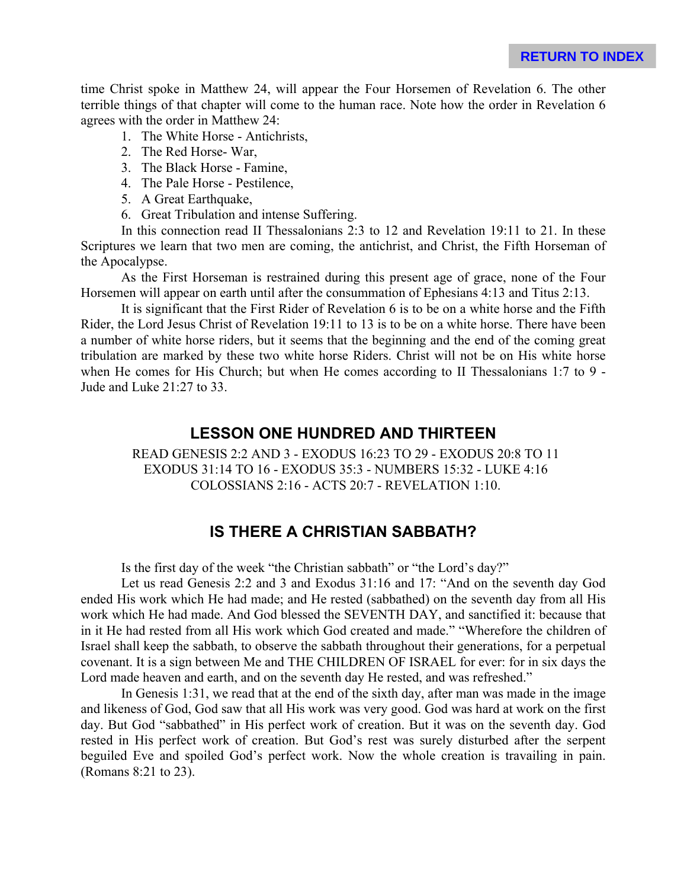time Christ spoke in Matthew 24, will appear the Four Horsemen of Revelation 6. The other terrible things of that chapter will come to the human race. Note how the order in Revelation 6 agrees with the order in Matthew 24:

- 1. The White Horse Antichrists,
- 2. The Red Horse- War,
- 3. The Black Horse Famine,
- 4. The Pale Horse Pestilence,
- 5. A Great Earthquake,
- 6. Great Tribulation and intense Suffering.

In this connection read II Thessalonians 2:3 to 12 and Revelation 19:11 to 21. In these Scriptures we learn that two men are coming, the antichrist, and Christ, the Fifth Horseman of the Apocalypse.

As the First Horseman is restrained during this present age of grace, none of the Four Horsemen will appear on earth until after the consummation of Ephesians 4:13 and Titus 2:13.

It is significant that the First Rider of Revelation 6 is to be on a white horse and the Fifth Rider, the Lord Jesus Christ of Revelation 19:11 to 13 is to be on a white horse. There have been a number of white horse riders, but it seems that the beginning and the end of the coming great tribulation are marked by these two white horse Riders. Christ will not be on His white horse when He comes for His Church; but when He comes according to II Thessalonians 1:7 to 9 - Jude and Luke 21:27 to 33.

#### **LESSON ONE HUNDRED AND THIRTEEN**

READ GENESIS 2:2 AND 3 - EXODUS 16:23 TO 29 - EXODUS 20:8 TO 11 EXODUS 31:14 TO 16 - EXODUS 35:3 - NUMBERS 15:32 - LUKE 4:16 COLOSSIANS 2:16 - ACTS 20:7 - REVELATION 1:10.

### **IS THERE A CHRISTIAN SABBATH?**

Is the first day of the week "the Christian sabbath" or "the Lord's day?"

Let us read Genesis 2:2 and 3 and Exodus 31:16 and 17: "And on the seventh day God ended His work which He had made; and He rested (sabbathed) on the seventh day from all His work which He had made. And God blessed the SEVENTH DAY, and sanctified it: because that in it He had rested from all His work which God created and made." "Wherefore the children of Israel shall keep the sabbath, to observe the sabbath throughout their generations, for a perpetual covenant. It is a sign between Me and THE CHILDREN OF ISRAEL for ever: for in six days the Lord made heaven and earth, and on the seventh day He rested, and was refreshed."

In Genesis 1:31, we read that at the end of the sixth day, after man was made in the image and likeness of God, God saw that all His work was very good. God was hard at work on the first day. But God "sabbathed" in His perfect work of creation. But it was on the seventh day. God rested in His perfect work of creation. But God's rest was surely disturbed after the serpent beguiled Eve and spoiled God's perfect work. Now the whole creation is travailing in pain. (Romans 8:21 to 23).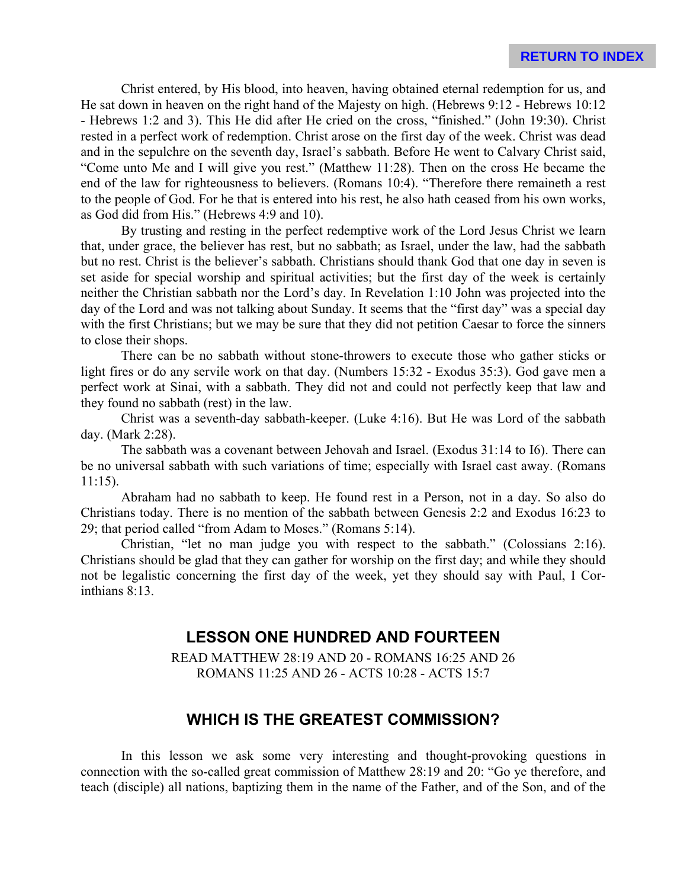Christ entered, by His blood, into heaven, having obtained eternal redemption for us, and He sat down in heaven on the right hand of the Majesty on high. (Hebrews 9:12 - Hebrews 10:12 - Hebrews 1:2 and 3). This He did after He cried on the cross, "finished." (John 19:30). Christ rested in a perfect work of redemption. Christ arose on the first day of the week. Christ was dead and in the sepulchre on the seventh day, Israel's sabbath. Before He went to Calvary Christ said, "Come unto Me and I will give you rest." (Matthew 11:28). Then on the cross He became the end of the law for righteousness to believers. (Romans 10:4). "Therefore there remaineth a rest to the people of God. For he that is entered into his rest, he also hath ceased from his own works, as God did from His." (Hebrews 4:9 and 10).

By trusting and resting in the perfect redemptive work of the Lord Jesus Christ we learn that, under grace, the believer has rest, but no sabbath; as Israel, under the law, had the sabbath but no rest. Christ is the believer's sabbath. Christians should thank God that one day in seven is set aside for special worship and spiritual activities; but the first day of the week is certainly neither the Christian sabbath nor the Lord's day. In Revelation 1:10 John was projected into the day of the Lord and was not talking about Sunday. It seems that the "first day" was a special day with the first Christians; but we may be sure that they did not petition Caesar to force the sinners to close their shops.

There can be no sabbath without stone-throwers to execute those who gather sticks or light fires or do any servile work on that day. (Numbers 15:32 - Exodus 35:3). God gave men a perfect work at Sinai, with a sabbath. They did not and could not perfectly keep that law and they found no sabbath (rest) in the law.

Christ was a seventh-day sabbath-keeper. (Luke 4:16). But He was Lord of the sabbath day. (Mark 2:28).

The sabbath was a covenant between Jehovah and Israel. (Exodus 31:14 to I6). There can be no universal sabbath with such variations of time; especially with Israel cast away. (Romans 11:15).

Abraham had no sabbath to keep. He found rest in a Person, not in a day. So also do Christians today. There is no mention of the sabbath between Genesis 2:2 and Exodus 16:23 to 29; that period called "from Adam to Moses." (Romans 5:14).

Christian, "let no man judge you with respect to the sabbath." (Colossians 2:16). Christians should be glad that they can gather for worship on the first day; and while they should not be legalistic concerning the first day of the week, yet they should say with Paul, I Corinthians 8:13.

# **LESSON ONE HUNDRED AND FOURTEEN**

READ MATTHEW 28:19 AND 20 - ROMANS 16:25 AND 26 ROMANS 11:25 AND 26 - ACTS 10:28 - ACTS 15:7

# **WHICH IS THE GREATEST COMMISSION?**

In this lesson we ask some very interesting and thought-provoking questions in connection with the so-called great commission of Matthew 28:19 and 20: "Go ye therefore, and teach (disciple) all nations, baptizing them in the name of the Father, and of the Son, and of the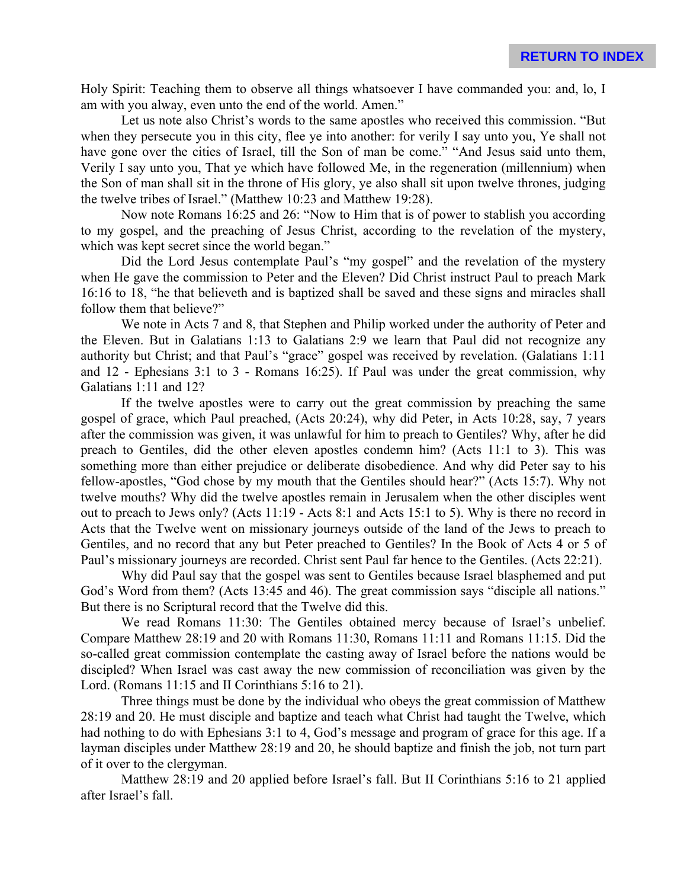Holy Spirit: Teaching them to observe all things whatsoever I have commanded you: and, lo, I am with you alway, even unto the end of the world. Amen."

Let us note also Christ's words to the same apostles who received this commission. "But when they persecute you in this city, flee ye into another: for verily I say unto you, Ye shall not have gone over the cities of Israel, till the Son of man be come." "And Jesus said unto them, Verily I say unto you, That ye which have followed Me, in the regeneration (millennium) when the Son of man shall sit in the throne of His glory, ye also shall sit upon twelve thrones, judging the twelve tribes of Israel." (Matthew 10:23 and Matthew 19:28).

Now note Romans 16:25 and 26: "Now to Him that is of power to stablish you according to my gospel, and the preaching of Jesus Christ, according to the revelation of the mystery, which was kept secret since the world began."

Did the Lord Jesus contemplate Paul's "my gospel" and the revelation of the mystery when He gave the commission to Peter and the Eleven? Did Christ instruct Paul to preach Mark 16:16 to 18, "he that believeth and is baptized shall be saved and these signs and miracles shall follow them that believe?"

We note in Acts 7 and 8, that Stephen and Philip worked under the authority of Peter and the Eleven. But in Galatians 1:13 to Galatians 2:9 we learn that Paul did not recognize any authority but Christ; and that Paul's "grace" gospel was received by revelation. (Galatians 1:11 and 12 - Ephesians 3:1 to 3 - Romans 16:25). If Paul was under the great commission, why Galatians 1:11 and 12?

If the twelve apostles were to carry out the great commission by preaching the same gospel of grace, which Paul preached, (Acts 20:24), why did Peter, in Acts 10:28, say, 7 years after the commission was given, it was unlawful for him to preach to Gentiles? Why, after he did preach to Gentiles, did the other eleven apostles condemn him? (Acts 11:1 to 3). This was something more than either prejudice or deliberate disobedience. And why did Peter say to his fellow-apostles, "God chose by my mouth that the Gentiles should hear?" (Acts 15:7). Why not twelve mouths? Why did the twelve apostles remain in Jerusalem when the other disciples went out to preach to Jews only? (Acts 11:19 - Acts 8:1 and Acts 15:1 to 5). Why is there no record in Acts that the Twelve went on missionary journeys outside of the land of the Jews to preach to Gentiles, and no record that any but Peter preached to Gentiles? In the Book of Acts 4 or 5 of Paul's missionary journeys are recorded. Christ sent Paul far hence to the Gentiles. (Acts 22:21).

Why did Paul say that the gospel was sent to Gentiles because Israel blasphemed and put God's Word from them? (Acts 13:45 and 46). The great commission says "disciple all nations." But there is no Scriptural record that the Twelve did this.

We read Romans 11:30: The Gentiles obtained mercy because of Israel's unbelief. Compare Matthew 28:19 and 20 with Romans 11:30, Romans 11:11 and Romans 11:15. Did the so-called great commission contemplate the casting away of Israel before the nations would be discipled? When Israel was cast away the new commission of reconciliation was given by the Lord. (Romans 11:15 and II Corinthians 5:16 to 21).

Three things must be done by the individual who obeys the great commission of Matthew 28:19 and 20. He must disciple and baptize and teach what Christ had taught the Twelve, which had nothing to do with Ephesians 3:1 to 4, God's message and program of grace for this age. If a layman disciples under Matthew 28:19 and 20, he should baptize and finish the job, not turn part of it over to the clergyman.

Matthew 28:19 and 20 applied before Israel's fall. But II Corinthians 5:16 to 21 applied after Israel's fall.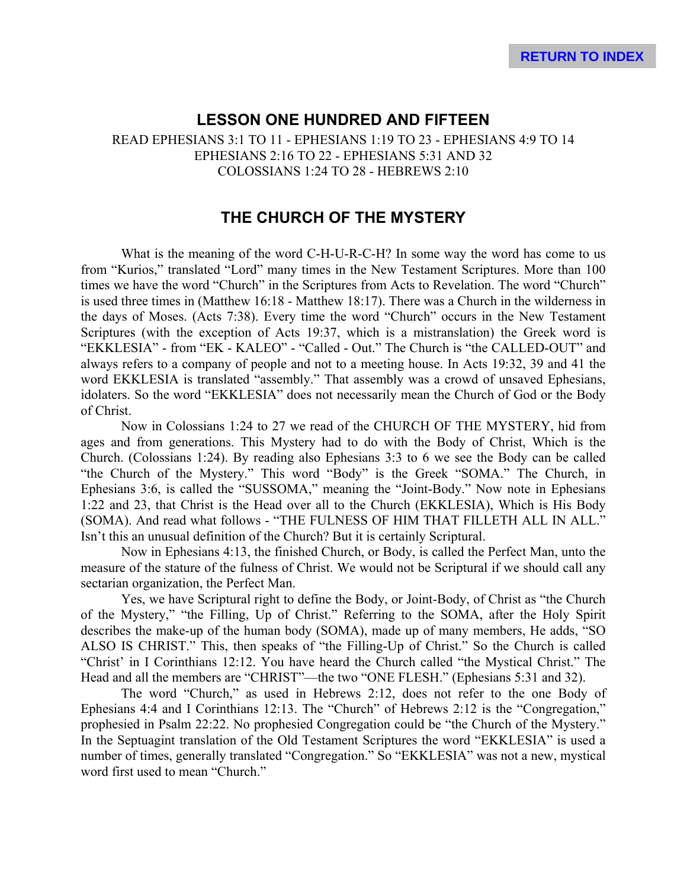#### **LESSON ONE HUNDRED AND FIFTEEN**

READ EPHESIANS 3:1 TO 11 - EPHESIANS 1:19 TO 23 - EPHESIANS 4:9 TO 14 EPHESIANS 2:16 TO 22 - EPHESIANS 5:31 AND 32 COLOSSIANS 1:24 TO 28 - HEBREWS 2:10

# **THE CHURCH OF THE MYSTERY**

What is the meaning of the word C-H-U-R-C-H? In some way the word has come to us from "Kurios," translated "Lord" many times in the New Testament Scriptures. More than 100 times we have the word "Church" in the Scriptures from Acts to Revelation. The word "Church" is used three times in (Matthew 16:18 - Matthew 18:17). There was a Church in the wilderness in the days of Moses. (Acts 7:38). Every time the word "Church" occurs in the New Testament Scriptures (with the exception of Acts 19:37, which is a mistranslation) the Greek word is "EKKLESIA" - from "EK - KALEO" - "Called - Out." The Church is "the CALLED-OUT" and always refers to a company of people and not to a meeting house. In Acts 19:32, 39 and 41 the word EKKLESIA is translated "assembly." That assembly was a crowd of unsaved Ephesians, idolaters. So the word "EKKLESIA" does not necessarily mean the Church of God or the Body of Christ.

Now in Colossians 1:24 to 27 we read of the CHURCH OF THE MYSTERY, hid from ages and from generations. This Mystery had to do with the Body of Christ, Which is the Church. (Colossians 1:24). By reading also Ephesians 3:3 to 6 we see the Body can be called "the Church of the Mystery." This word "Body" is the Greek "SOMA." The Church, in Ephesians 3:6, is called the "SUSSOMA," meaning the "Joint-Body." Now note in Ephesians 1:22 and 23, that Christ is the Head over all to the Church (EKKLESIA), Which is His Body (SOMA). And read what follows - "THE FULNESS OF HIM THAT FILLETH ALL IN ALL." Isn't this an unusual definition of the Church? But it is certainly Scriptural.

Now in Ephesians 4:13, the finished Church, or Body, is called the Perfect Man, unto the measure of the stature of the fulness of Christ. We would not be Scriptural if we should call any sectarian organization, the Perfect Man.

Yes, we have Scriptural right to define the Body, or Joint-Body, of Christ as "the Church of the Mystery," "the Filling, Up of Christ." Referring to the SOMA, after the Holy Spirit describes the make-up of the human body (SOMA), made up of many members, He adds, "SO ALSO IS CHRIST." This, then speaks of "the Filling-Up of Christ." So the Church is called "Christ' in I Corinthians 12:12. You have heard the Church called "the Mystical Christ." The Head and all the members are "CHRIST"—the two "ONE FLESH." (Ephesians 5:31 and 32).

The word "Church," as used in Hebrews 2:12, does not refer to the one Body of Ephesians 4:4 and I Corinthians 12:13. The "Church" of Hebrews 2:12 is the "Congregation," prophesied in Psalm 22:22. No prophesied Congregation could be "the Church of the Mystery." In the Septuagint translation of the Old Testament Scriptures the word "EKKLESIA" is used a number of times, generally translated "Congregation." So "EKKLESIA" was not a new, mystical word first used to mean "Church."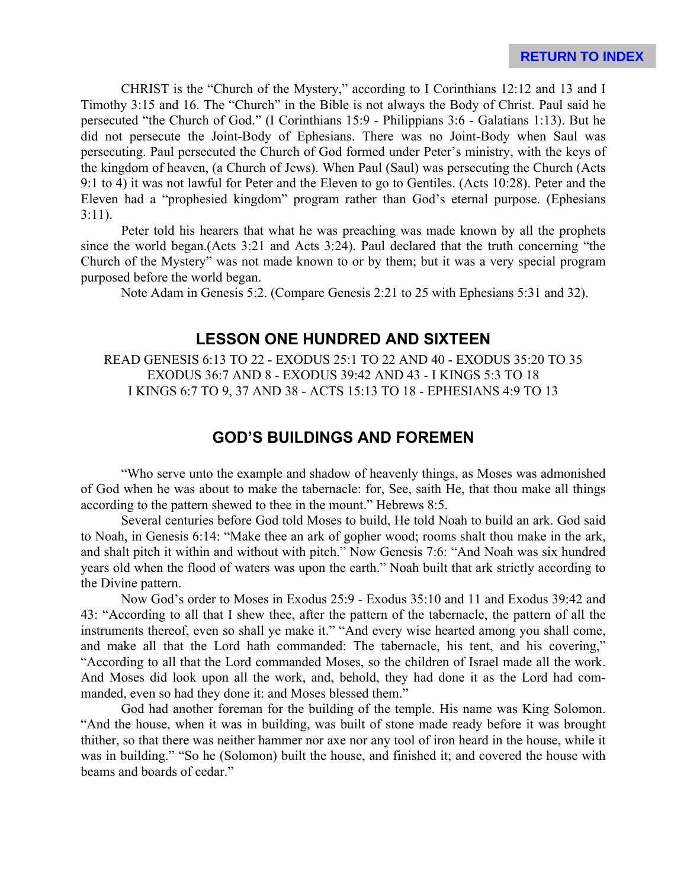CHRIST is the "Church of the Mystery," according to I Corinthians 12:12 and 13 and I Timothy 3:15 and 16. The "Church" in the Bible is not always the Body of Christ. Paul said he persecuted "the Church of God." (I Corinthians 15:9 - Philippians 3:6 - Galatians 1:13). But he did not persecute the Joint-Body of Ephesians. There was no Joint-Body when Saul was persecuting. Paul persecuted the Church of God formed under Peter's ministry, with the keys of the kingdom of heaven, (a Church of Jews). When Paul (Saul) was persecuting the Church (Acts 9:1 to 4) it was not lawful for Peter and the Eleven to go to Gentiles. (Acts 10:28). Peter and the Eleven had a "prophesied kingdom" program rather than God's eternal purpose. (Ephesians 3:11).

Peter told his hearers that what he was preaching was made known by all the prophets since the world began.(Acts 3:21 and Acts 3:24). Paul declared that the truth concerning "the Church of the Mystery" was not made known to or by them; but it was a very special program purposed before the world began.

Note Adam in Genesis 5:2. (Compare Genesis 2:21 to 25 with Ephesians 5:31 and 32).

## **LESSON ONE HUNDRED AND SIXTEEN**

READ GENESIS 6:13 TO 22 - EXODUS 25:1 TO 22 AND 40 - EXODUS 35:20 TO 35 EXODUS 36:7 AND 8 - EXODUS 39:42 AND 43 - I KINGS 5:3 TO 18 I KINGS 6:7 TO 9, 37 AND 38 - ACTS 15:13 TO 18 - EPHESIANS 4:9 TO 13

## **GOD'S BUILDINGS AND FOREMEN**

"Who serve unto the example and shadow of heavenly things, as Moses was admonished of God when he was about to make the tabernacle: for, See, saith He, that thou make all things according to the pattern shewed to thee in the mount." Hebrews 8:5.

Several centuries before God told Moses to build, He told Noah to build an ark. God said to Noah, in Genesis 6:14: "Make thee an ark of gopher wood; rooms shalt thou make in the ark, and shalt pitch it within and without with pitch." Now Genesis 7:6: "And Noah was six hundred years old when the flood of waters was upon the earth." Noah built that ark strictly according to the Divine pattern.

Now God's order to Moses in Exodus 25:9 - Exodus 35:10 and 11 and Exodus 39:42 and 43: "According to all that I shew thee, after the pattern of the tabernacle, the pattern of all the instruments thereof, even so shall ye make it." "And every wise hearted among you shall come, and make all that the Lord hath commanded: The tabernacle, his tent, and his covering," "According to all that the Lord commanded Moses, so the children of Israel made all the work. And Moses did look upon all the work, and, behold, they had done it as the Lord had commanded, even so had they done it: and Moses blessed them."

God had another foreman for the building of the temple. His name was King Solomon. "And the house, when it was in building, was built of stone made ready before it was brought thither, so that there was neither hammer nor axe nor any tool of iron heard in the house, while it was in building." "So he (Solomon) built the house, and finished it; and covered the house with beams and boards of cedar."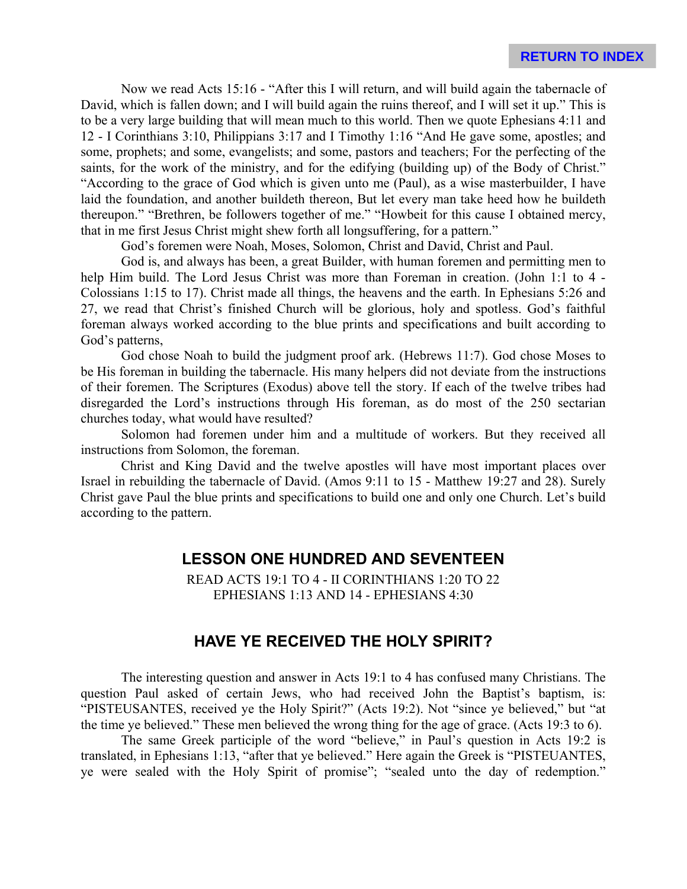Now we read Acts 15:16 - "After this I will return, and will build again the tabernacle of David, which is fallen down; and I will build again the ruins thereof, and I will set it up." This is to be a very large building that will mean much to this world. Then we quote Ephesians 4:11 and 12 - I Corinthians 3:10, Philippians 3:17 and I Timothy 1:16 "And He gave some, apostles; and some, prophets; and some, evangelists; and some, pastors and teachers; For the perfecting of the saints, for the work of the ministry, and for the edifying (building up) of the Body of Christ." "According to the grace of God which is given unto me (Paul), as a wise masterbuilder, I have laid the foundation, and another buildeth thereon, But let every man take heed how he buildeth thereupon." "Brethren, be followers together of me." "Howbeit for this cause I obtained mercy, that in me first Jesus Christ might shew forth all longsuffering, for a pattern."

God's foremen were Noah, Moses, Solomon, Christ and David, Christ and Paul.

God is, and always has been, a great Builder, with human foremen and permitting men to help Him build. The Lord Jesus Christ was more than Foreman in creation. (John 1:1 to 4 - Colossians 1:15 to 17). Christ made all things, the heavens and the earth. In Ephesians 5:26 and 27, we read that Christ's finished Church will be glorious, holy and spotless. God's faithful foreman always worked according to the blue prints and specifications and built according to God's patterns,

God chose Noah to build the judgment proof ark. (Hebrews 11:7). God chose Moses to be His foreman in building the tabernacle. His many helpers did not deviate from the instructions of their foremen. The Scriptures (Exodus) above tell the story. If each of the twelve tribes had disregarded the Lord's instructions through His foreman, as do most of the 250 sectarian churches today, what would have resulted?

Solomon had foremen under him and a multitude of workers. But they received all instructions from Solomon, the foreman.

Christ and King David and the twelve apostles will have most important places over Israel in rebuilding the tabernacle of David. (Amos 9:11 to 15 - Matthew 19:27 and 28). Surely Christ gave Paul the blue prints and specifications to build one and only one Church. Let's build according to the pattern.

### **LESSON ONE HUNDRED AND SEVENTEEN**

READ ACTS 19:1 TO 4 - II CORINTHIANS 1:20 TO 22 EPHESIANS 1:13 AND 14 - EPHESIANS 4:30

### **HAVE YE RECEIVED THE HOLY SPIRIT?**

The interesting question and answer in Acts 19:1 to 4 has confused many Christians. The question Paul asked of certain Jews, who had received John the Baptist's baptism, is: "PISTEUSANTES, received ye the Holy Spirit?" (Acts 19:2). Not "since ye believed," but "at the time ye believed." These men believed the wrong thing for the age of grace. (Acts 19:3 to 6).

The same Greek participle of the word "believe," in Paul's question in Acts 19:2 is translated, in Ephesians 1:13, "after that ye believed." Here again the Greek is "PISTEUANTES, ye were sealed with the Holy Spirit of promise"; "sealed unto the day of redemption."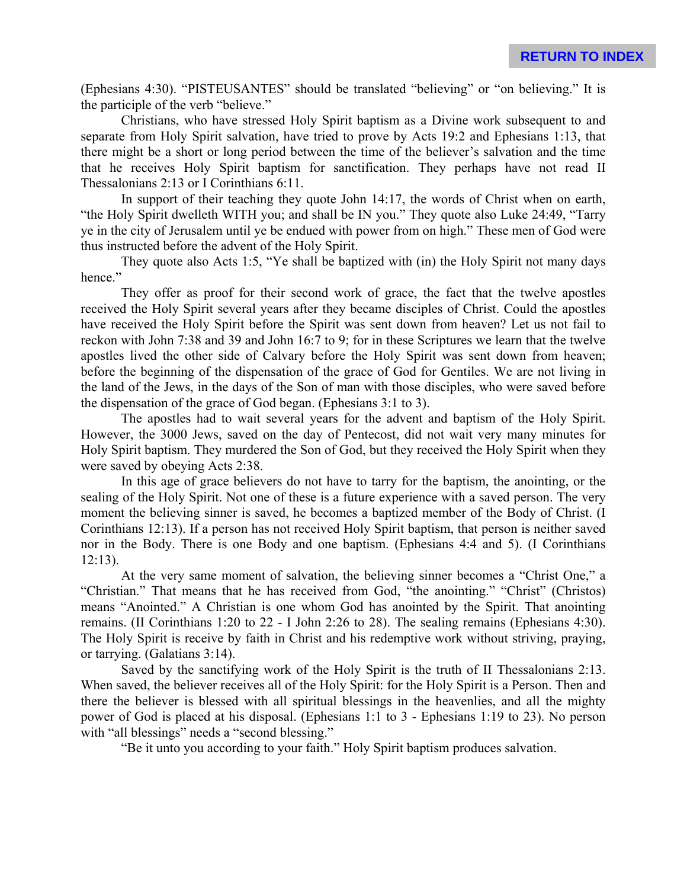(Ephesians 4:30). "PISTEUSANTES" should be translated "believing" or "on believing." It is the participle of the verb "believe."

Christians, who have stressed Holy Spirit baptism as a Divine work subsequent to and separate from Holy Spirit salvation, have tried to prove by Acts 19:2 and Ephesians 1:13, that there might be a short or long period between the time of the believer's salvation and the time that he receives Holy Spirit baptism for sanctification. They perhaps have not read II Thessalonians 2:13 or I Corinthians 6:11.

In support of their teaching they quote John 14:17, the words of Christ when on earth, "the Holy Spirit dwelleth WITH you; and shall be IN you." They quote also Luke 24:49, "Tarry ye in the city of Jerusalem until ye be endued with power from on high." These men of God were thus instructed before the advent of the Holy Spirit.

They quote also Acts 1:5, "Ye shall be baptized with (in) the Holy Spirit not many days hence."

They offer as proof for their second work of grace, the fact that the twelve apostles received the Holy Spirit several years after they became disciples of Christ. Could the apostles have received the Holy Spirit before the Spirit was sent down from heaven? Let us not fail to reckon with John 7:38 and 39 and John 16:7 to 9; for in these Scriptures we learn that the twelve apostles lived the other side of Calvary before the Holy Spirit was sent down from heaven; before the beginning of the dispensation of the grace of God for Gentiles. We are not living in the land of the Jews, in the days of the Son of man with those disciples, who were saved before the dispensation of the grace of God began. (Ephesians 3:1 to 3).

The apostles had to wait several years for the advent and baptism of the Holy Spirit. However, the 3000 Jews, saved on the day of Pentecost, did not wait very many minutes for Holy Spirit baptism. They murdered the Son of God, but they received the Holy Spirit when they were saved by obeying Acts 2:38.

In this age of grace believers do not have to tarry for the baptism, the anointing, or the sealing of the Holy Spirit. Not one of these is a future experience with a saved person. The very moment the believing sinner is saved, he becomes a baptized member of the Body of Christ. (I Corinthians 12:13). If a person has not received Holy Spirit baptism, that person is neither saved nor in the Body. There is one Body and one baptism. (Ephesians 4:4 and 5). (I Corinthians 12:13).

At the very same moment of salvation, the believing sinner becomes a "Christ One," a "Christian." That means that he has received from God, "the anointing." "Christ" (Christos) means "Anointed." A Christian is one whom God has anointed by the Spirit. That anointing remains. (II Corinthians 1:20 to 22 - I John 2:26 to 28). The sealing remains (Ephesians 4:30). The Holy Spirit is receive by faith in Christ and his redemptive work without striving, praying, or tarrying. (Galatians 3:14).

Saved by the sanctifying work of the Holy Spirit is the truth of II Thessalonians 2:13. When saved, the believer receives all of the Holy Spirit: for the Holy Spirit is a Person. Then and there the believer is blessed with all spiritual blessings in the heavenlies, and all the mighty power of God is placed at his disposal. (Ephesians 1:1 to 3 - Ephesians 1:19 to 23). No person with "all blessings" needs a "second blessing."

"Be it unto you according to your faith." Holy Spirit baptism produces salvation.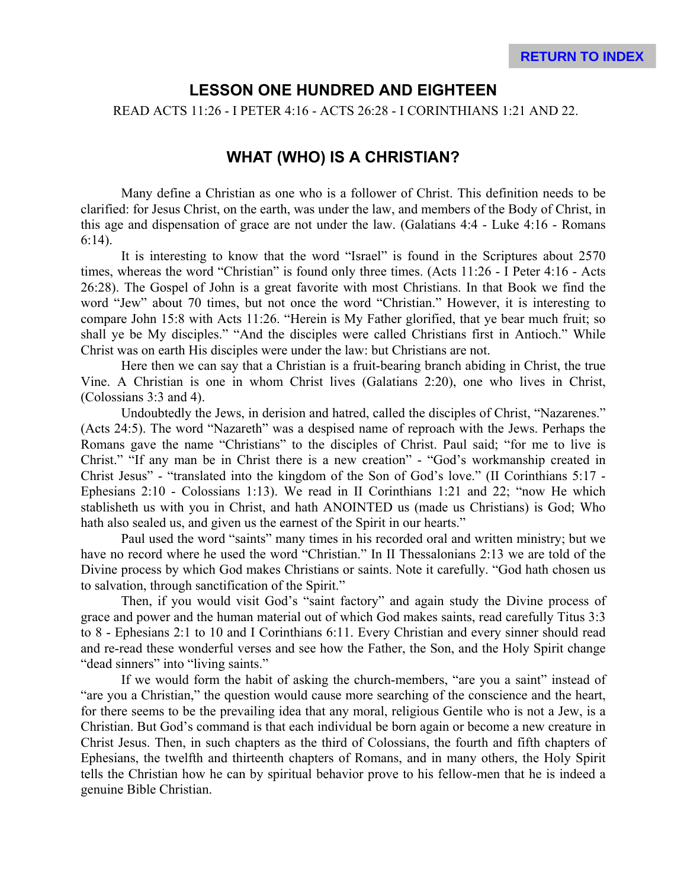### **LESSON ONE HUNDRED AND EIGHTEEN**

READ ACTS 11:26 - I PETER 4:16 - ACTS 26:28 - I CORINTHIANS 1:21 AND 22.

## **WHAT (WHO) IS A CHRISTIAN?**

Many define a Christian as one who is a follower of Christ. This definition needs to be clarified: for Jesus Christ, on the earth, was under the law, and members of the Body of Christ, in this age and dispensation of grace are not under the law. (Galatians 4:4 - Luke 4:16 - Romans 6:14).

It is interesting to know that the word "Israel" is found in the Scriptures about 2570 times, whereas the word "Christian" is found only three times. (Acts 11:26 - I Peter 4:16 - Acts 26:28). The Gospel of John is a great favorite with most Christians. In that Book we find the word "Jew" about 70 times, but not once the word "Christian." However, it is interesting to compare John 15:8 with Acts 11:26. "Herein is My Father glorified, that ye bear much fruit; so shall ye be My disciples." "And the disciples were called Christians first in Antioch." While Christ was on earth His disciples were under the law: but Christians are not.

Here then we can say that a Christian is a fruit-bearing branch abiding in Christ, the true Vine. A Christian is one in whom Christ lives (Galatians 2:20), one who lives in Christ, (Colossians 3:3 and 4).

Undoubtedly the Jews, in derision and hatred, called the disciples of Christ, "Nazarenes." (Acts 24:5). The word "Nazareth" was a despised name of reproach with the Jews. Perhaps the Romans gave the name "Christians" to the disciples of Christ. Paul said; "for me to live is Christ." "If any man be in Christ there is a new creation" - "God's workmanship created in Christ Jesus" - "translated into the kingdom of the Son of God's love." (II Corinthians 5:17 - Ephesians 2:10 - Colossians 1:13). We read in II Corinthians 1:21 and 22; "now He which stablisheth us with you in Christ, and hath ANOINTED us (made us Christians) is God; Who hath also sealed us, and given us the earnest of the Spirit in our hearts."

Paul used the word "saints" many times in his recorded oral and written ministry; but we have no record where he used the word "Christian." In II Thessalonians 2:13 we are told of the Divine process by which God makes Christians or saints. Note it carefully. "God hath chosen us to salvation, through sanctification of the Spirit."

Then, if you would visit God's "saint factory" and again study the Divine process of grace and power and the human material out of which God makes saints, read carefully Titus 3:3 to 8 - Ephesians 2:1 to 10 and I Corinthians 6:11. Every Christian and every sinner should read and re-read these wonderful verses and see how the Father, the Son, and the Holy Spirit change "dead sinners" into "living saints."

If we would form the habit of asking the church-members, "are you a saint" instead of "are you a Christian," the question would cause more searching of the conscience and the heart, for there seems to be the prevailing idea that any moral, religious Gentile who is not a Jew, is a Christian. But God's command is that each individual be born again or become a new creature in Christ Jesus. Then, in such chapters as the third of Colossians, the fourth and fifth chapters of Ephesians, the twelfth and thirteenth chapters of Romans, and in many others, the Holy Spirit tells the Christian how he can by spiritual behavior prove to his fellow-men that he is indeed a genuine Bible Christian.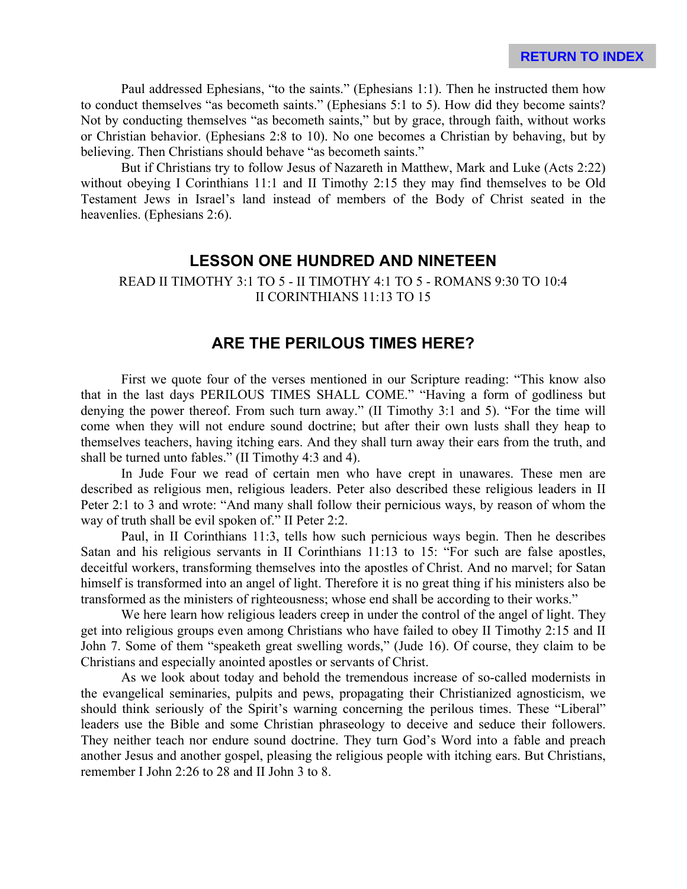Paul addressed Ephesians, "to the saints." (Ephesians 1:1). Then he instructed them how to conduct themselves "as becometh saints." (Ephesians 5:1 to 5). How did they become saints? Not by conducting themselves "as becometh saints," but by grace, through faith, without works or Christian behavior. (Ephesians 2:8 to 10). No one becomes a Christian by behaving, but by believing. Then Christians should behave "as becometh saints."

But if Christians try to follow Jesus of Nazareth in Matthew, Mark and Luke (Acts 2:22) without obeying I Corinthians 11:1 and II Timothy 2:15 they may find themselves to be Old Testament Jews in Israel's land instead of members of the Body of Christ seated in the heavenlies. (Ephesians 2:6).

#### **LESSON ONE HUNDRED AND NINETEEN**

#### READ II TIMOTHY 3:1 TO 5 - II TIMOTHY 4:1 TO 5 - ROMANS 9:30 TO 10:4 II CORINTHIANS 11:13 TO 15

#### **ARE THE PERILOUS TIMES HERE?**

First we quote four of the verses mentioned in our Scripture reading: "This know also that in the last days PERILOUS TIMES SHALL COME." "Having a form of godliness but denying the power thereof. From such turn away." (II Timothy 3:1 and 5). "For the time will come when they will not endure sound doctrine; but after their own lusts shall they heap to themselves teachers, having itching ears. And they shall turn away their ears from the truth, and shall be turned unto fables." (II Timothy 4:3 and 4).

In Jude Four we read of certain men who have crept in unawares. These men are described as religious men, religious leaders. Peter also described these religious leaders in II Peter 2:1 to 3 and wrote: "And many shall follow their pernicious ways, by reason of whom the way of truth shall be evil spoken of." II Peter 2:2.

Paul, in II Corinthians 11:3, tells how such pernicious ways begin. Then he describes Satan and his religious servants in II Corinthians 11:13 to 15: "For such are false apostles, deceitful workers, transforming themselves into the apostles of Christ. And no marvel; for Satan himself is transformed into an angel of light. Therefore it is no great thing if his ministers also be transformed as the ministers of righteousness; whose end shall be according to their works."

We here learn how religious leaders creep in under the control of the angel of light. They get into religious groups even among Christians who have failed to obey II Timothy 2:15 and II John 7. Some of them "speaketh great swelling words," (Jude 16). Of course, they claim to be Christians and especially anointed apostles or servants of Christ.

As we look about today and behold the tremendous increase of so-called modernists in the evangelical seminaries, pulpits and pews, propagating their Christianized agnosticism, we should think seriously of the Spirit's warning concerning the perilous times. These "Liberal" leaders use the Bible and some Christian phraseology to deceive and seduce their followers. They neither teach nor endure sound doctrine. They turn God's Word into a fable and preach another Jesus and another gospel, pleasing the religious people with itching ears. But Christians, remember I John 2:26 to 28 and II John 3 to 8.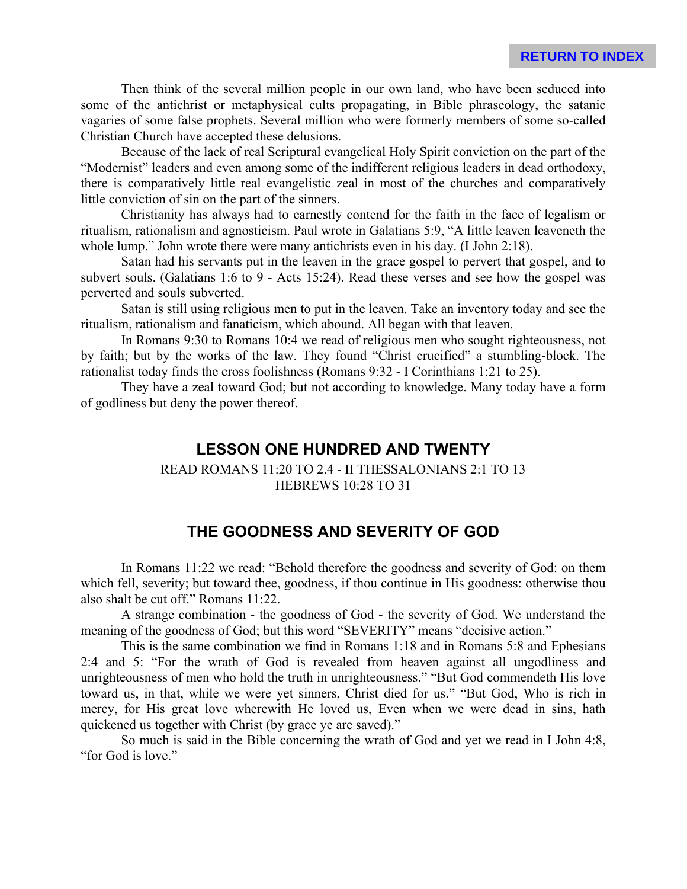Then think of the several million people in our own land, who have been seduced into some of the antichrist or metaphysical cults propagating, in Bible phraseology, the satanic vagaries of some false prophets. Several million who were formerly members of some so-called Christian Church have accepted these delusions.

Because of the lack of real Scriptural evangelical Holy Spirit conviction on the part of the "Modernist" leaders and even among some of the indifferent religious leaders in dead orthodoxy, there is comparatively little real evangelistic zeal in most of the churches and comparatively little conviction of sin on the part of the sinners.

Christianity has always had to earnestly contend for the faith in the face of legalism or ritualism, rationalism and agnosticism. Paul wrote in Galatians 5:9, "A little leaven leaveneth the whole lump." John wrote there were many antichrists even in his day. (I John 2:18).

Satan had his servants put in the leaven in the grace gospel to pervert that gospel, and to subvert souls. (Galatians 1:6 to 9 - Acts 15:24). Read these verses and see how the gospel was perverted and souls subverted.

Satan is still using religious men to put in the leaven. Take an inventory today and see the ritualism, rationalism and fanaticism, which abound. All began with that leaven.

In Romans 9:30 to Romans 10:4 we read of religious men who sought righteousness, not by faith; but by the works of the law. They found "Christ crucified" a stumbling-block. The rationalist today finds the cross foolishness (Romans 9:32 - I Corinthians 1:21 to 25).

They have a zeal toward God; but not according to knowledge. Many today have a form of godliness but deny the power thereof.

#### **LESSON ONE HUNDRED AND TWENTY**

#### READ ROMANS 11:20 TO 2.4 - II THESSALONIANS 2:1 TO 13 HEBREWS 10:28 TO 31

### **THE GOODNESS AND SEVERITY OF GOD**

In Romans 11:22 we read: "Behold therefore the goodness and severity of God: on them which fell, severity; but toward thee, goodness, if thou continue in His goodness: otherwise thou also shalt be cut off." Romans 11:22.

A strange combination - the goodness of God - the severity of God. We understand the meaning of the goodness of God; but this word "SEVERITY" means "decisive action."

This is the same combination we find in Romans 1:18 and in Romans 5:8 and Ephesians 2:4 and 5: "For the wrath of God is revealed from heaven against all ungodliness and unrighteousness of men who hold the truth in unrighteousness." "But God commendeth His love toward us, in that, while we were yet sinners, Christ died for us." "But God, Who is rich in mercy, for His great love wherewith He loved us, Even when we were dead in sins, hath quickened us together with Christ (by grace ye are saved)."

So much is said in the Bible concerning the wrath of God and yet we read in I John 4:8, "for God is love."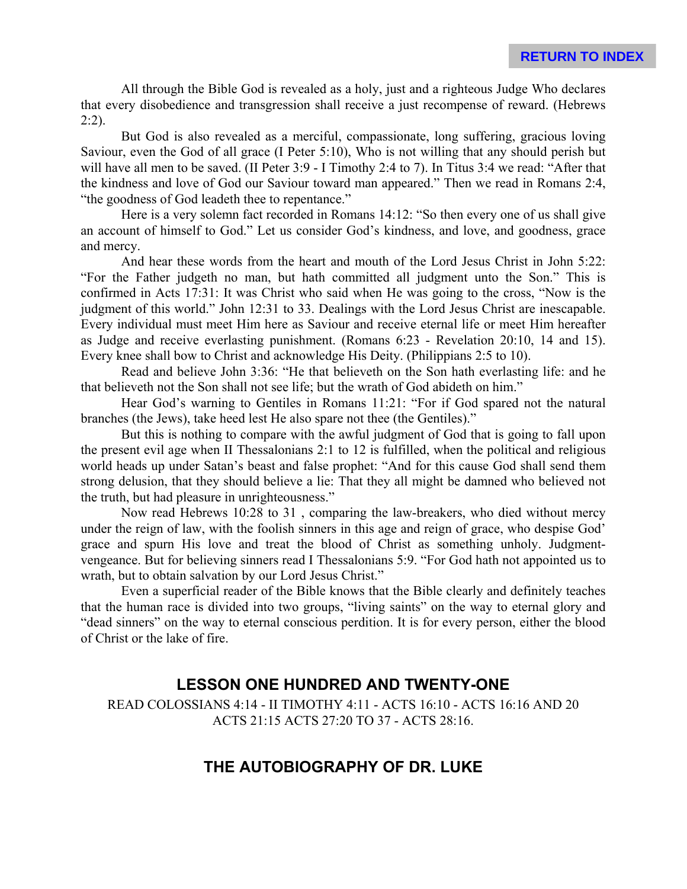All through the Bible God is revealed as a holy, just and a righteous Judge Who declares that every disobedience and transgression shall receive a just recompense of reward. (Hebrews  $2:2$ ).

But God is also revealed as a merciful, compassionate, long suffering, gracious loving Saviour, even the God of all grace (I Peter 5:10), Who is not willing that any should perish but will have all men to be saved. (II Peter 3:9 - I Timothy 2:4 to 7). In Titus 3:4 we read: "After that the kindness and love of God our Saviour toward man appeared." Then we read in Romans 2:4, "the goodness of God leadeth thee to repentance."

Here is a very solemn fact recorded in Romans 14:12: "So then every one of us shall give an account of himself to God." Let us consider God's kindness, and love, and goodness, grace and mercy.

And hear these words from the heart and mouth of the Lord Jesus Christ in John 5:22: "For the Father judgeth no man, but hath committed all judgment unto the Son." This is confirmed in Acts 17:31: It was Christ who said when He was going to the cross, "Now is the judgment of this world." John 12:31 to 33. Dealings with the Lord Jesus Christ are inescapable. Every individual must meet Him here as Saviour and receive eternal life or meet Him hereafter as Judge and receive everlasting punishment. (Romans 6:23 - Revelation 20:10, 14 and 15). Every knee shall bow to Christ and acknowledge His Deity. (Philippians 2:5 to 10).

Read and believe John 3:36: "He that believeth on the Son hath everlasting life: and he that believeth not the Son shall not see life; but the wrath of God abideth on him."

Hear God's warning to Gentiles in Romans 11:21: "For if God spared not the natural branches (the Jews), take heed lest He also spare not thee (the Gentiles)."

But this is nothing to compare with the awful judgment of God that is going to fall upon the present evil age when II Thessalonians 2:1 to 12 is fulfilled, when the political and religious world heads up under Satan's beast and false prophet: "And for this cause God shall send them strong delusion, that they should believe a lie: That they all might be damned who believed not the truth, but had pleasure in unrighteousness."

Now read Hebrews 10:28 to 31 , comparing the law-breakers, who died without mercy under the reign of law, with the foolish sinners in this age and reign of grace, who despise God' grace and spurn His love and treat the blood of Christ as something unholy. Judgmentvengeance. But for believing sinners read I Thessalonians 5:9. "For God hath not appointed us to wrath, but to obtain salvation by our Lord Jesus Christ."

Even a superficial reader of the Bible knows that the Bible clearly and definitely teaches that the human race is divided into two groups, "living saints" on the way to eternal glory and "dead sinners" on the way to eternal conscious perdition. It is for every person, either the blood of Christ or the lake of fire.

## **LESSON ONE HUNDRED AND TWENTY-ONE**

READ COLOSSIANS 4:14 - II TIMOTHY 4:11 - ACTS 16:10 - ACTS 16:16 AND 20 ACTS 21:15 ACTS 27:20 TO 37 - ACTS 28:16.

## **THE AUTOBIOGRAPHY OF DR. LUKE**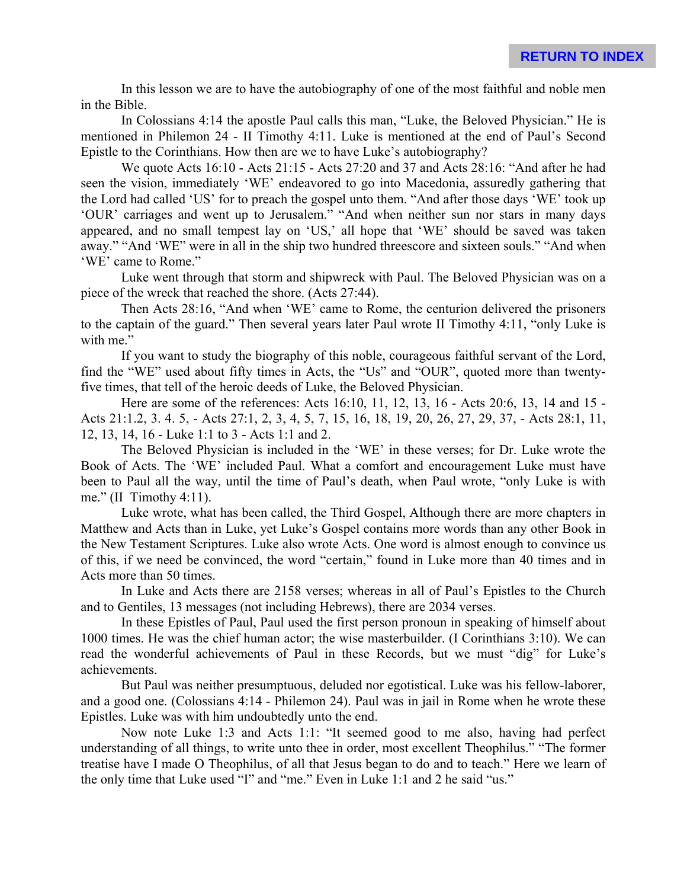In this lesson we are to have the autobiography of one of the most faithful and noble men in the Bible.

In Colossians 4:14 the apostle Paul calls this man, "Luke, the Beloved Physician." He is mentioned in Philemon 24 - II Timothy 4:11. Luke is mentioned at the end of Paul's Second Epistle to the Corinthians. How then are we to have Luke's autobiography?

We quote Acts 16:10 - Acts 21:15 - Acts 27:20 and 37 and Acts 28:16: "And after he had seen the vision, immediately 'WE' endeavored to go into Macedonia, assuredly gathering that the Lord had called 'US' for to preach the gospel unto them. "And after those days 'WE' took up 'OUR' carriages and went up to Jerusalem." "And when neither sun nor stars in many days appeared, and no small tempest lay on 'US,' all hope that 'WE' should be saved was taken away." "And 'WE" were in all in the ship two hundred threescore and sixteen souls." "And when 'WE' came to Rome."

Luke went through that storm and shipwreck with Paul. The Beloved Physician was on a piece of the wreck that reached the shore. (Acts 27:44).

Then Acts 28:16, "And when 'WE' came to Rome, the centurion delivered the prisoners to the captain of the guard." Then several years later Paul wrote II Timothy 4:11, "only Luke is with me."

If you want to study the biography of this noble, courageous faithful servant of the Lord, find the "WE" used about fifty times in Acts, the "Us" and "OUR", quoted more than twentyfive times, that tell of the heroic deeds of Luke, the Beloved Physician.

Here are some of the references: Acts 16:10, 11, 12, 13, 16 - Acts 20:6, 13, 14 and 15 - Acts 21:1.2, 3. 4. 5, - Acts 27:1, 2, 3, 4, 5, 7, 15, 16, 18, 19, 20, 26, 27, 29, 37, - Acts 28:1, 11, 12, 13, 14, 16 - Luke 1:1 to 3 - Acts 1:1 and 2.

The Beloved Physician is included in the 'WE' in these verses; for Dr. Luke wrote the Book of Acts. The 'WE' included Paul. What a comfort and encouragement Luke must have been to Paul all the way, until the time of Paul's death, when Paul wrote, "only Luke is with me." (II Timothy  $4:11$ ).

Luke wrote, what has been called, the Third Gospel, Although there are more chapters in Matthew and Acts than in Luke, yet Luke's Gospel contains more words than any other Book in the New Testament Scriptures. Luke also wrote Acts. One word is almost enough to convince us of this, if we need be convinced, the word "certain," found in Luke more than 40 times and in Acts more than 50 times.

In Luke and Acts there are 2158 verses; whereas in all of Paul's Epistles to the Church and to Gentiles, 13 messages (not including Hebrews), there are 2034 verses.

In these Epistles of Paul, Paul used the first person pronoun in speaking of himself about 1000 times. He was the chief human actor; the wise masterbuilder. (I Corinthians 3:10). We can read the wonderful achievements of Paul in these Records, but we must "dig" for Luke's achievements.

But Paul was neither presumptuous, deluded nor egotistical. Luke was his fellow-laborer, and a good one. (Colossians 4:14 - Philemon 24). Paul was in jail in Rome when he wrote these Epistles. Luke was with him undoubtedly unto the end.

Now note Luke 1:3 and Acts 1:1: "It seemed good to me also, having had perfect understanding of all things, to write unto thee in order, most excellent Theophilus." "The former treatise have I made O Theophilus, of all that Jesus began to do and to teach." Here we learn of the only time that Luke used "I" and "me." Even in Luke 1:1 and 2 he said "us."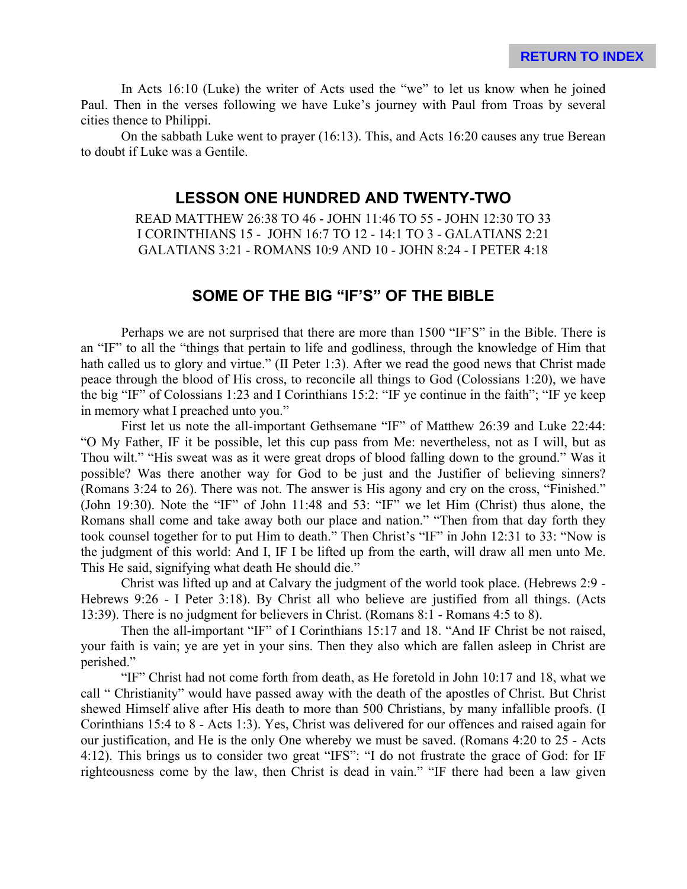In Acts 16:10 (Luke) the writer of Acts used the "we" to let us know when he joined Paul. Then in the verses following we have Luke's journey with Paul from Troas by several cities thence to Philippi.

On the sabbath Luke went to prayer (16:13). This, and Acts 16:20 causes any true Berean to doubt if Luke was a Gentile.

### **LESSON ONE HUNDRED AND TWENTY-TWO**

READ MATTHEW 26:38 TO 46 - JOHN 11:46 TO 55 - JOHN 12:30 TO 33 I CORINTHIANS 15 - JOHN 16:7 TO 12 - 14:1 TO 3 - GALATIANS 2:21 GALATIANS 3:21 - ROMANS 10:9 AND 10 - JOHN 8:24 - I PETER 4:18

#### **SOME OF THE BIG "IF'S" OF THE BIBLE**

Perhaps we are not surprised that there are more than 1500 "IF'S" in the Bible. There is an "IF" to all the "things that pertain to life and godliness, through the knowledge of Him that hath called us to glory and virtue." (II Peter 1:3). After we read the good news that Christ made peace through the blood of His cross, to reconcile all things to God (Colossians 1:20), we have the big "IF" of Colossians 1:23 and I Corinthians 15:2: "IF ye continue in the faith"; "IF ye keep in memory what I preached unto you."

First let us note the all-important Gethsemane "IF" of Matthew 26:39 and Luke 22:44: "O My Father, IF it be possible, let this cup pass from Me: nevertheless, not as I will, but as Thou wilt." "His sweat was as it were great drops of blood falling down to the ground." Was it possible? Was there another way for God to be just and the Justifier of believing sinners? (Romans 3:24 to 26). There was not. The answer is His agony and cry on the cross, "Finished." (John 19:30). Note the "IF" of John 11:48 and 53: "IF" we let Him (Christ) thus alone, the Romans shall come and take away both our place and nation." "Then from that day forth they took counsel together for to put Him to death." Then Christ's "IF" in John 12:31 to 33: "Now is the judgment of this world: And I, IF I be lifted up from the earth, will draw all men unto Me. This He said, signifying what death He should die."

Christ was lifted up and at Calvary the judgment of the world took place. (Hebrews 2:9 - Hebrews 9:26 - I Peter 3:18). By Christ all who believe are justified from all things. (Acts 13:39). There is no judgment for believers in Christ. (Romans 8:1 - Romans 4:5 to 8).

Then the all-important "IF" of I Corinthians 15:17 and 18. "And IF Christ be not raised, your faith is vain; ye are yet in your sins. Then they also which are fallen asleep in Christ are perished."

"IF" Christ had not come forth from death, as He foretold in John 10:17 and 18, what we call " Christianity" would have passed away with the death of the apostles of Christ. But Christ shewed Himself alive after His death to more than 500 Christians, by many infallible proofs. (I Corinthians 15:4 to 8 - Acts 1:3). Yes, Christ was delivered for our offences and raised again for our justification, and He is the only One whereby we must be saved. (Romans 4:20 to 25 - Acts 4:12). This brings us to consider two great "IFS": "I do not frustrate the grace of God: for IF righteousness come by the law, then Christ is dead in vain." "IF there had been a law given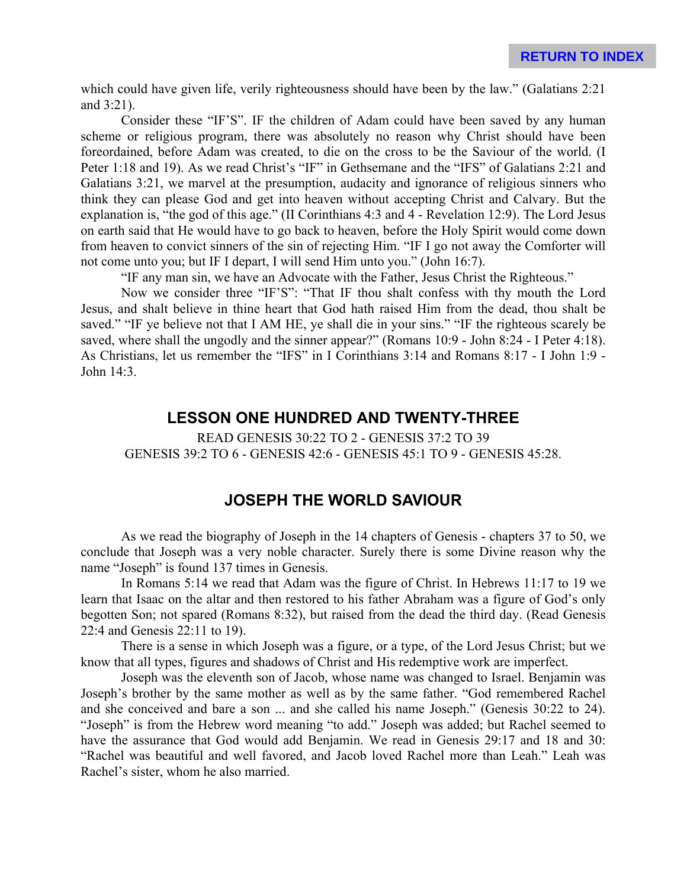which could have given life, verily righteousness should have been by the law." (Galatians 2:21) and 3:21).

Consider these "IF'S". IF the children of Adam could have been saved by any human scheme or religious program, there was absolutely no reason why Christ should have been foreordained, before Adam was created, to die on the cross to be the Saviour of the world. (I Peter 1:18 and 19). As we read Christ's "IF" in Gethsemane and the "IFS" of Galatians 2:21 and Galatians 3:21, we marvel at the presumption, audacity and ignorance of religious sinners who think they can please God and get into heaven without accepting Christ and Calvary. But the explanation is, "the god of this age." (II Corinthians 4:3 and 4 - Revelation 12:9). The Lord Jesus on earth said that He would have to go back to heaven, before the Holy Spirit would come down from heaven to convict sinners of the sin of rejecting Him. "IF I go not away the Comforter will not come unto you; but IF I depart, I will send Him unto you." (John 16:7).

"IF any man sin, we have an Advocate with the Father, Jesus Christ the Righteous."

Now we consider three "IF'S": "That IF thou shalt confess with thy mouth the Lord Jesus, and shalt believe in thine heart that God hath raised Him from the dead, thou shalt be saved." "IF ye believe not that I AM HE, ye shall die in your sins." "IF the righteous scarely be saved, where shall the ungodly and the sinner appear?" (Romans 10:9 - John 8:24 - I Peter 4:18). As Christians, let us remember the "IFS" in I Corinthians 3:14 and Romans 8:17 - I John 1:9 - John 14:3.

#### **LESSON ONE HUNDRED AND TWENTY-THREE**

READ GENESIS 30:22 TO 2 - GENESIS 37:2 TO 39 GENESIS 39:2 TO 6 - GENESIS 42:6 - GENESIS 45:1 TO 9 - GENESIS 45:28.

### **JOSEPH THE WORLD SAVIOUR**

As we read the biography of Joseph in the 14 chapters of Genesis - chapters 37 to 50, we conclude that Joseph was a very noble character. Surely there is some Divine reason why the name "Joseph" is found 137 times in Genesis.

In Romans 5:14 we read that Adam was the figure of Christ. In Hebrews 11:17 to 19 we learn that Isaac on the altar and then restored to his father Abraham was a figure of God's only begotten Son; not spared (Romans 8:32), but raised from the dead the third day. (Read Genesis 22:4 and Genesis 22:11 to 19).

There is a sense in which Joseph was a figure, or a type, of the Lord Jesus Christ; but we know that all types, figures and shadows of Christ and His redemptive work are imperfect.

Joseph was the eleventh son of Jacob, whose name was changed to Israel. Benjamin was Joseph's brother by the same mother as well as by the same father. "God remembered Rachel and she conceived and bare a son ... and she called his name Joseph." (Genesis 30:22 to 24). "Joseph" is from the Hebrew word meaning "to add." Joseph was added; but Rachel seemed to have the assurance that God would add Benjamin. We read in Genesis 29:17 and 18 and 30: "Rachel was beautiful and well favored, and Jacob loved Rachel more than Leah." Leah was Rachel's sister, whom he also married.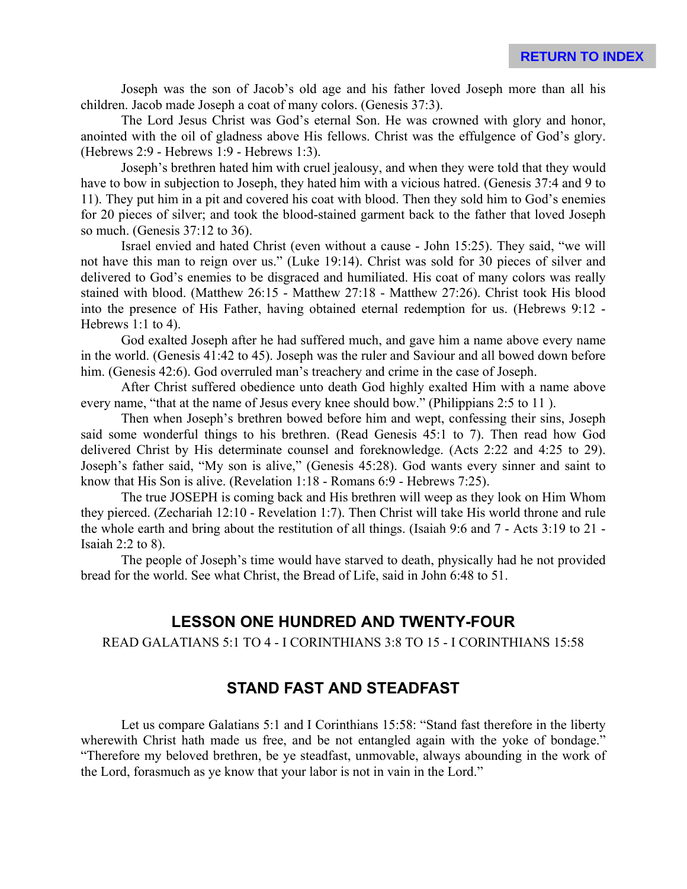Joseph was the son of Jacob's old age and his father loved Joseph more than all his children. Jacob made Joseph a coat of many colors. (Genesis 37:3).

The Lord Jesus Christ was God's eternal Son. He was crowned with glory and honor, anointed with the oil of gladness above His fellows. Christ was the effulgence of God's glory. (Hebrews 2:9 - Hebrews 1:9 - Hebrews 1:3).

Joseph's brethren hated him with cruel jealousy, and when they were told that they would have to bow in subjection to Joseph, they hated him with a vicious hatred. (Genesis 37:4 and 9 to 11). They put him in a pit and covered his coat with blood. Then they sold him to God's enemies for 20 pieces of silver; and took the blood-stained garment back to the father that loved Joseph so much. (Genesis 37:12 to 36).

Israel envied and hated Christ (even without a cause - John 15:25). They said, "we will not have this man to reign over us." (Luke 19:14). Christ was sold for 30 pieces of silver and delivered to God's enemies to be disgraced and humiliated. His coat of many colors was really stained with blood. (Matthew 26:15 - Matthew 27:18 - Matthew 27:26). Christ took His blood into the presence of His Father, having obtained eternal redemption for us. (Hebrews 9:12 - Hebrews 1:1 to 4).

God exalted Joseph after he had suffered much, and gave him a name above every name in the world. (Genesis 41:42 to 45). Joseph was the ruler and Saviour and all bowed down before him. (Genesis 42:6). God overruled man's treachery and crime in the case of Joseph.

After Christ suffered obedience unto death God highly exalted Him with a name above every name, "that at the name of Jesus every knee should bow." (Philippians 2:5 to 11).

Then when Joseph's brethren bowed before him and wept, confessing their sins, Joseph said some wonderful things to his brethren. (Read Genesis 45:1 to 7). Then read how God delivered Christ by His determinate counsel and foreknowledge. (Acts 2:22 and 4:25 to 29). Joseph's father said, "My son is alive," (Genesis 45:28). God wants every sinner and saint to know that His Son is alive. (Revelation 1:18 - Romans 6:9 - Hebrews 7:25).

The true JOSEPH is coming back and His brethren will weep as they look on Him Whom they pierced. (Zechariah 12:10 - Revelation 1:7). Then Christ will take His world throne and rule the whole earth and bring about the restitution of all things. (Isaiah 9:6 and 7 - Acts 3:19 to 21 - Isaiah 2:2 to 8).

The people of Joseph's time would have starved to death, physically had he not provided bread for the world. See what Christ, the Bread of Life, said in John 6:48 to 51.

# **LESSON ONE HUNDRED AND TWENTY-FOUR**

READ GALATIANS 5:1 TO 4 - I CORINTHIANS 3:8 TO 15 - I CORINTHIANS 15:58

## **STAND FAST AND STEADFAST**

Let us compare Galatians 5:1 and I Corinthians 15:58: "Stand fast therefore in the liberty wherewith Christ hath made us free, and be not entangled again with the yoke of bondage." "Therefore my beloved brethren, be ye steadfast, unmovable, always abounding in the work of the Lord, forasmuch as ye know that your labor is not in vain in the Lord."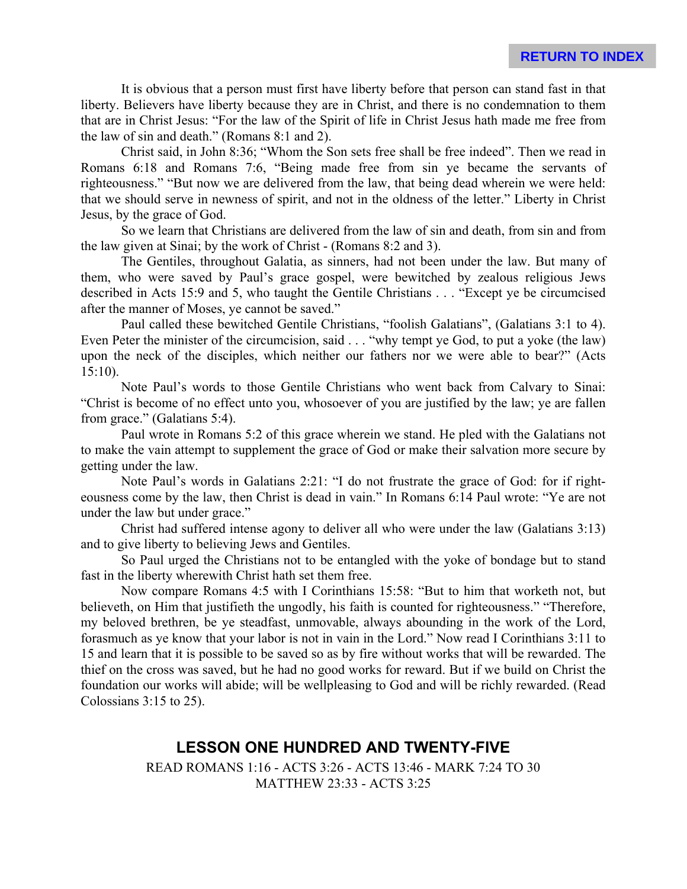It is obvious that a person must first have liberty before that person can stand fast in that liberty. Believers have liberty because they are in Christ, and there is no condemnation to them that are in Christ Jesus: "For the law of the Spirit of life in Christ Jesus hath made me free from the law of sin and death." (Romans 8:1 and 2).

Christ said, in John 8:36; "Whom the Son sets free shall be free indeed". Then we read in Romans 6:18 and Romans 7:6, "Being made free from sin ye became the servants of righteousness." "But now we are delivered from the law, that being dead wherein we were held: that we should serve in newness of spirit, and not in the oldness of the letter." Liberty in Christ Jesus, by the grace of God.

So we learn that Christians are delivered from the law of sin and death, from sin and from the law given at Sinai; by the work of Christ - (Romans 8:2 and 3).

The Gentiles, throughout Galatia, as sinners, had not been under the law. But many of them, who were saved by Paul's grace gospel, were bewitched by zealous religious Jews described in Acts 15:9 and 5, who taught the Gentile Christians . . . "Except ye be circumcised after the manner of Moses, ye cannot be saved."

Paul called these bewitched Gentile Christians, "foolish Galatians", (Galatians 3:1 to 4). Even Peter the minister of the circumcision, said . . . "why tempt ye God, to put a yoke (the law) upon the neck of the disciples, which neither our fathers nor we were able to bear?" (Acts 15:10).

Note Paul's words to those Gentile Christians who went back from Calvary to Sinai: "Christ is become of no effect unto you, whosoever of you are justified by the law; ye are fallen from grace." (Galatians 5:4).

Paul wrote in Romans 5:2 of this grace wherein we stand. He pled with the Galatians not to make the vain attempt to supplement the grace of God or make their salvation more secure by getting under the law.

Note Paul's words in Galatians 2:21: "I do not frustrate the grace of God: for if righteousness come by the law, then Christ is dead in vain." In Romans 6:14 Paul wrote: "Ye are not under the law but under grace."

Christ had suffered intense agony to deliver all who were under the law (Galatians 3:13) and to give liberty to believing Jews and Gentiles.

So Paul urged the Christians not to be entangled with the yoke of bondage but to stand fast in the liberty wherewith Christ hath set them free.

Now compare Romans 4:5 with I Corinthians 15:58: "But to him that worketh not, but believeth, on Him that justifieth the ungodly, his faith is counted for righteousness." "Therefore, my beloved brethren, be ye steadfast, unmovable, always abounding in the work of the Lord, forasmuch as ye know that your labor is not in vain in the Lord." Now read I Corinthians 3:11 to 15 and learn that it is possible to be saved so as by fire without works that will be rewarded. The thief on the cross was saved, but he had no good works for reward. But if we build on Christ the foundation our works will abide; will be wellpleasing to God and will be richly rewarded. (Read Colossians 3:15 to 25).

## **LESSON ONE HUNDRED AND TWENTY-FIVE**

READ ROMANS 1:16 - ACTS 3:26 - ACTS 13:46 - MARK 7:24 TO 30 MATTHEW 23:33 - ACTS 3:25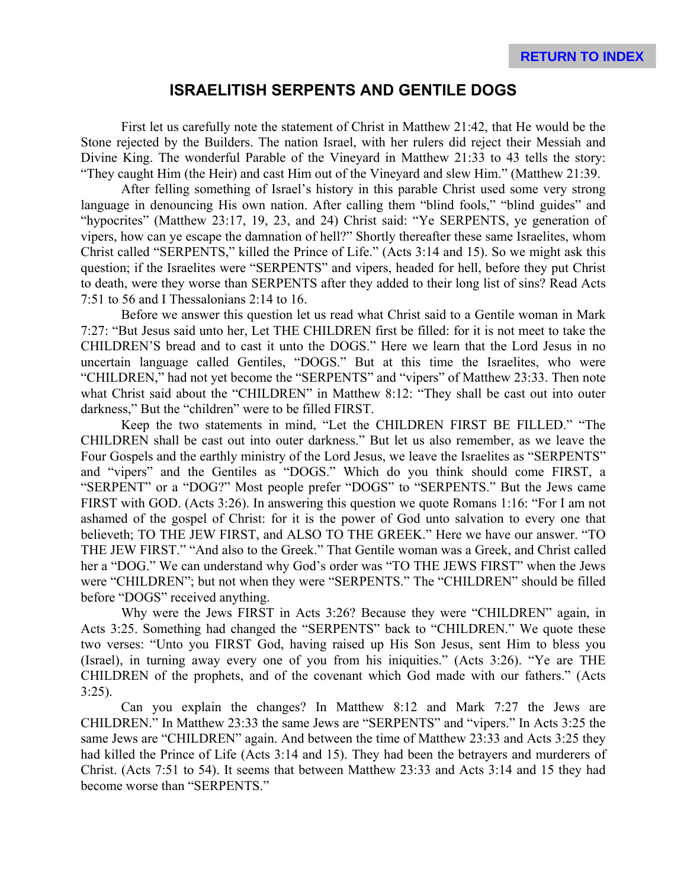### **ISRAELITISH SERPENTS AND GENTILE DOGS**

First let us carefully note the statement of Christ in Matthew 21:42, that He would be the Stone rejected by the Builders. The nation Israel, with her rulers did reject their Messiah and Divine King. The wonderful Parable of the Vineyard in Matthew 21:33 to 43 tells the story: "They caught Him (the Heir) and cast Him out of the Vineyard and slew Him." (Matthew 21:39.

After felling something of Israel's history in this parable Christ used some very strong language in denouncing His own nation. After calling them "blind fools," "blind guides" and "hypocrites" (Matthew 23:17, 19, 23, and 24) Christ said: "Ye SERPENTS, ye generation of vipers, how can ye escape the damnation of hell?" Shortly thereafter these same Israelites, whom Christ called "SERPENTS," killed the Prince of Life." (Acts 3:14 and 15). So we might ask this question; if the Israelites were "SERPENTS" and vipers, headed for hell, before they put Christ to death, were they worse than SERPENTS after they added to their long list of sins? Read Acts 7:51 to 56 and I Thessalonians 2:14 to 16.

Before we answer this question let us read what Christ said to a Gentile woman in Mark 7:27: "But Jesus said unto her, Let THE CHILDREN first be filled: for it is not meet to take the CHILDREN'S bread and to cast it unto the DOGS." Here we learn that the Lord Jesus in no uncertain language called Gentiles, "DOGS." But at this time the Israelites, who were "CHILDREN," had not yet become the "SERPENTS" and "vipers" of Matthew 23:33. Then note what Christ said about the "CHILDREN" in Matthew 8:12: "They shall be cast out into outer darkness," But the "children" were to be filled FIRST.

Keep the two statements in mind, "Let the CHILDREN FIRST BE FILLED." "The CHILDREN shall be cast out into outer darkness." But let us also remember, as we leave the Four Gospels and the earthly ministry of the Lord Jesus, we leave the Israelites as "SERPENTS" and "vipers" and the Gentiles as "DOGS." Which do you think should come FIRST, a "SERPENT" or a "DOG?" Most people prefer "DOGS" to "SERPENTS." But the Jews came FIRST with GOD. (Acts 3:26). In answering this question we quote Romans 1:16: "For I am not ashamed of the gospel of Christ: for it is the power of God unto salvation to every one that believeth; TO THE JEW FIRST, and ALSO TO THE GREEK." Here we have our answer. "TO THE JEW FIRST." "And also to the Greek." That Gentile woman was a Greek, and Christ called her a "DOG." We can understand why God's order was "TO THE JEWS FIRST" when the Jews were "CHILDREN"; but not when they were "SERPENTS." The "CHILDREN" should be filled before "DOGS" received anything.

Why were the Jews FIRST in Acts 3:26? Because they were "CHILDREN" again, in Acts 3:25. Something had changed the "SERPENTS" back to "CHILDREN." We quote these two verses: "Unto you FIRST God, having raised up His Son Jesus, sent Him to bless you (Israel), in turning away every one of you from his iniquities." (Acts 3:26). "Ye are THE CHILDREN of the prophets, and of the covenant which God made with our fathers." (Acts 3:25).

Can you explain the changes? In Matthew 8:12 and Mark 7:27 the Jews are CHILDREN." In Matthew 23:33 the same Jews are "SERPENTS" and "vipers." In Acts 3:25 the same Jews are "CHILDREN" again. And between the time of Matthew 23:33 and Acts 3:25 they had killed the Prince of Life (Acts 3:14 and 15). They had been the betrayers and murderers of Christ. (Acts 7:51 to 54). It seems that between Matthew 23:33 and Acts 3:14 and 15 they had become worse than "SERPENTS."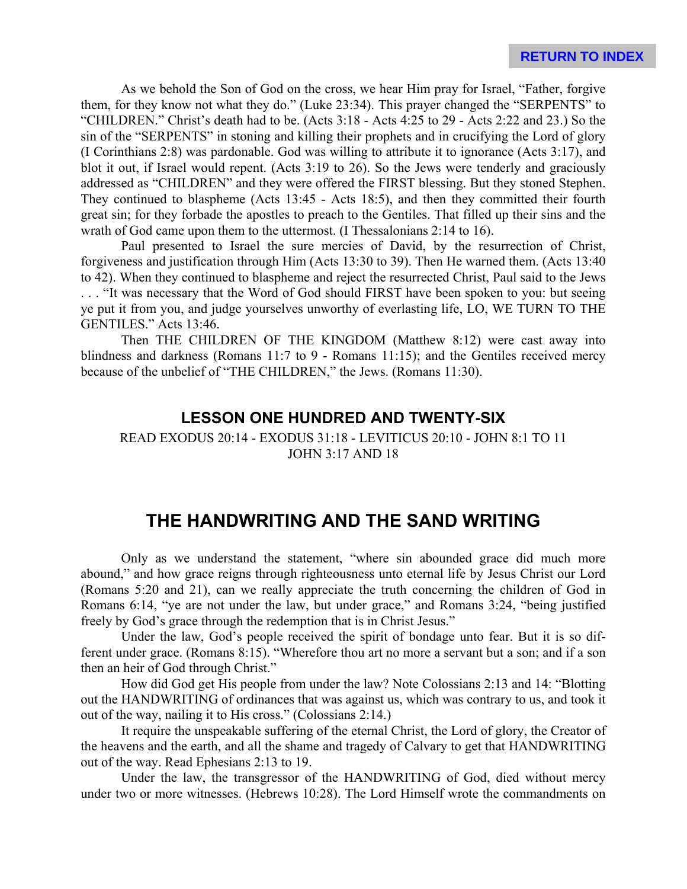As we behold the Son of God on the cross, we hear Him pray for Israel, "Father, forgive them, for they know not what they do." (Luke 23:34). This prayer changed the "SERPENTS" to "CHILDREN." Christ's death had to be. (Acts 3:18 - Acts 4:25 to 29 - Acts 2:22 and 23.) So the sin of the "SERPENTS" in stoning and killing their prophets and in crucifying the Lord of glory (I Corinthians 2:8) was pardonable. God was willing to attribute it to ignorance (Acts 3:17), and blot it out, if Israel would repent. (Acts 3:19 to 26). So the Jews were tenderly and graciously addressed as "CHILDREN" and they were offered the FIRST blessing. But they stoned Stephen. They continued to blaspheme (Acts 13:45 - Acts 18:5), and then they committed their fourth great sin; for they forbade the apostles to preach to the Gentiles. That filled up their sins and the wrath of God came upon them to the uttermost. (I Thessalonians 2:14 to 16).

Paul presented to Israel the sure mercies of David, by the resurrection of Christ, forgiveness and justification through Him (Acts 13:30 to 39). Then He warned them. (Acts 13:40 to 42). When they continued to blaspheme and reject the resurrected Christ, Paul said to the Jews . . . "It was necessary that the Word of God should FIRST have been spoken to you: but seeing

ye put it from you, and judge yourselves unworthy of everlasting life, LO, WE TURN TO THE GENTILES." Acts 13:46.

Then THE CHILDREN OF THE KINGDOM (Matthew 8:12) were cast away into blindness and darkness (Romans 11:7 to 9 - Romans 11:15); and the Gentiles received mercy because of the unbelief of "THE CHILDREN," the Jews. (Romans 11:30).

#### **LESSON ONE HUNDRED AND TWENTY-SIX**

READ EXODUS 20:14 - EXODUS 31:18 - LEVITICUS 20:10 - JOHN 8:1 TO 11 JOHN 3:17 AND 18

# **THE HANDWRITING AND THE SAND WRITING**

Only as we understand the statement, "where sin abounded grace did much more abound," and how grace reigns through righteousness unto eternal life by Jesus Christ our Lord (Romans 5:20 and 21), can we really appreciate the truth concerning the children of God in Romans 6:14, "ye are not under the law, but under grace," and Romans 3:24, "being justified freely by God's grace through the redemption that is in Christ Jesus."

Under the law, God's people received the spirit of bondage unto fear. But it is so different under grace. (Romans 8:15). "Wherefore thou art no more a servant but a son; and if a son then an heir of God through Christ."

How did God get His people from under the law? Note Colossians 2:13 and 14: "Blotting out the HANDWRITING of ordinances that was against us, which was contrary to us, and took it out of the way, nailing it to His cross." (Colossians 2:14.)

It require the unspeakable suffering of the eternal Christ, the Lord of glory, the Creator of the heavens and the earth, and all the shame and tragedy of Calvary to get that HANDWRITING out of the way. Read Ephesians 2:13 to 19.

Under the law, the transgressor of the HANDWRITING of God, died without mercy under two or more witnesses. (Hebrews 10:28). The Lord Himself wrote the commandments on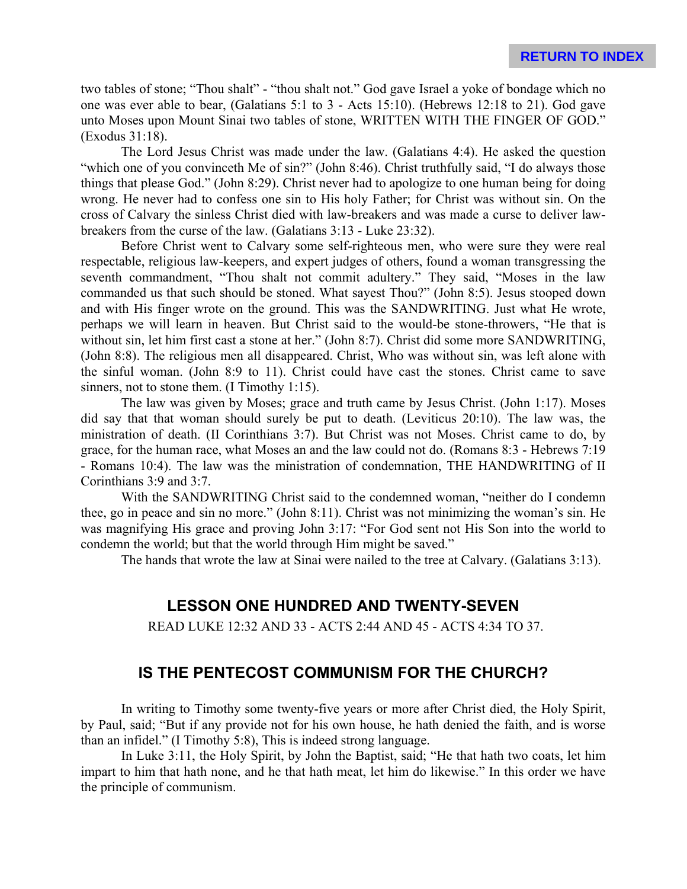two tables of stone; "Thou shalt" - "thou shalt not." God gave Israel a yoke of bondage which no one was ever able to bear, (Galatians 5:1 to 3 - Acts 15:10). (Hebrews 12:18 to 21). God gave unto Moses upon Mount Sinai two tables of stone, WRITTEN WITH THE FINGER OF GOD." (Exodus 31:18).

The Lord Jesus Christ was made under the law. (Galatians 4:4). He asked the question "which one of you convinceth Me of sin?" (John 8:46). Christ truthfully said, "I do always those things that please God." (John 8:29). Christ never had to apologize to one human being for doing wrong. He never had to confess one sin to His holy Father; for Christ was without sin. On the cross of Calvary the sinless Christ died with law-breakers and was made a curse to deliver lawbreakers from the curse of the law. (Galatians 3:13 - Luke 23:32).

Before Christ went to Calvary some self-righteous men, who were sure they were real respectable, religious law-keepers, and expert judges of others, found a woman transgressing the seventh commandment, "Thou shalt not commit adultery." They said, "Moses in the law commanded us that such should be stoned. What sayest Thou?" (John 8:5). Jesus stooped down and with His finger wrote on the ground. This was the SANDWRITING. Just what He wrote, perhaps we will learn in heaven. But Christ said to the would-be stone-throwers, "He that is without sin, let him first cast a stone at her." (John 8:7). Christ did some more SANDWRITING, (John 8:8). The religious men all disappeared. Christ, Who was without sin, was left alone with the sinful woman. (John 8:9 to 11). Christ could have cast the stones. Christ came to save sinners, not to stone them. (I Timothy 1:15).

The law was given by Moses; grace and truth came by Jesus Christ. (John 1:17). Moses did say that that woman should surely be put to death. (Leviticus 20:10). The law was, the ministration of death. (II Corinthians 3:7). But Christ was not Moses. Christ came to do, by grace, for the human race, what Moses an and the law could not do. (Romans 8:3 - Hebrews 7:19 - Romans 10:4). The law was the ministration of condemnation, THE HANDWRITING of II Corinthians 3:9 and 3:7.

With the SANDWRITING Christ said to the condemned woman, "neither do I condemn thee, go in peace and sin no more." (John 8:11). Christ was not minimizing the woman's sin. He was magnifying His grace and proving John 3:17: "For God sent not His Son into the world to condemn the world; but that the world through Him might be saved."

The hands that wrote the law at Sinai were nailed to the tree at Calvary. (Galatians 3:13).

### **LESSON ONE HUNDRED AND TWENTY-SEVEN**

READ LUKE 12:32 AND 33 - ACTS 2:44 AND 45 - ACTS 4:34 TO 37.

### **IS THE PENTECOST COMMUNISM FOR THE CHURCH?**

In writing to Timothy some twenty-five years or more after Christ died, the Holy Spirit, by Paul, said; "But if any provide not for his own house, he hath denied the faith, and is worse than an infidel." (I Timothy 5:8), This is indeed strong language.

In Luke 3:11, the Holy Spirit, by John the Baptist, said; "He that hath two coats, let him impart to him that hath none, and he that hath meat, let him do likewise." In this order we have the principle of communism.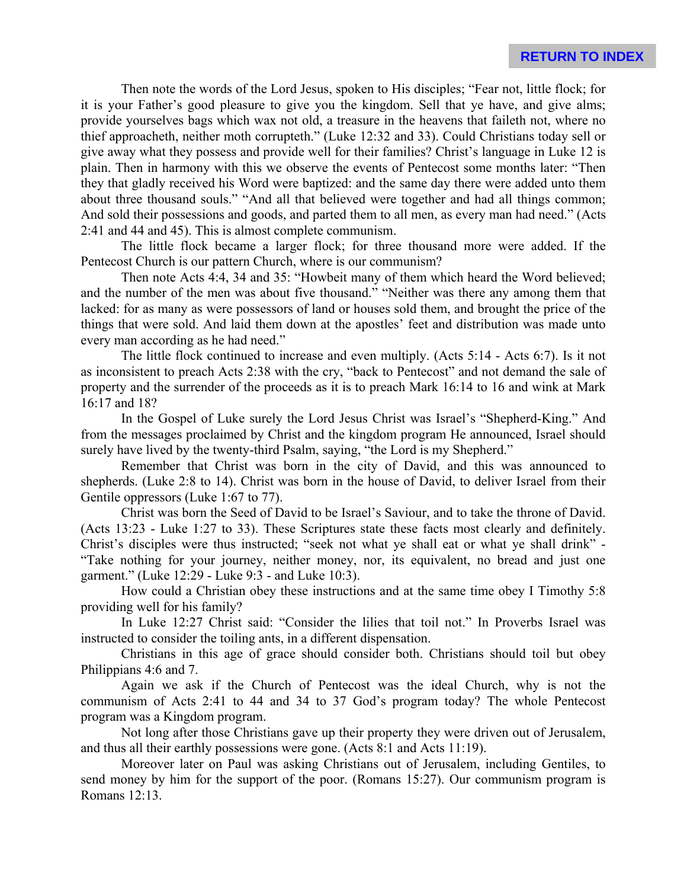Then note the words of the Lord Jesus, spoken to His disciples; "Fear not, little flock; for it is your Father's good pleasure to give you the kingdom. Sell that ye have, and give alms; provide yourselves bags which wax not old, a treasure in the heavens that faileth not, where no thief approacheth, neither moth corrupteth." (Luke 12:32 and 33). Could Christians today sell or give away what they possess and provide well for their families? Christ's language in Luke 12 is plain. Then in harmony with this we observe the events of Pentecost some months later: "Then they that gladly received his Word were baptized: and the same day there were added unto them about three thousand souls." "And all that believed were together and had all things common; And sold their possessions and goods, and parted them to all men, as every man had need." (Acts 2:41 and 44 and 45). This is almost complete communism.

The little flock became a larger flock; for three thousand more were added. If the Pentecost Church is our pattern Church, where is our communism?

Then note Acts 4:4, 34 and 35: "Howbeit many of them which heard the Word believed; and the number of the men was about five thousand." "Neither was there any among them that lacked: for as many as were possessors of land or houses sold them, and brought the price of the things that were sold. And laid them down at the apostles' feet and distribution was made unto every man according as he had need."

The little flock continued to increase and even multiply. (Acts 5:14 - Acts 6:7). Is it not as inconsistent to preach Acts 2:38 with the cry, "back to Pentecost" and not demand the sale of property and the surrender of the proceeds as it is to preach Mark 16:14 to 16 and wink at Mark 16:17 and 18?

In the Gospel of Luke surely the Lord Jesus Christ was Israel's "Shepherd-King." And from the messages proclaimed by Christ and the kingdom program He announced, Israel should surely have lived by the twenty-third Psalm, saying, "the Lord is my Shepherd."

Remember that Christ was born in the city of David, and this was announced to shepherds. (Luke 2:8 to 14). Christ was born in the house of David, to deliver Israel from their Gentile oppressors (Luke 1:67 to 77).

Christ was born the Seed of David to be Israel's Saviour, and to take the throne of David. (Acts 13:23 - Luke 1:27 to 33). These Scriptures state these facts most clearly and definitely. Christ's disciples were thus instructed; "seek not what ye shall eat or what ye shall drink" - "Take nothing for your journey, neither money, nor, its equivalent, no bread and just one garment." (Luke 12:29 - Luke 9:3 - and Luke 10:3).

How could a Christian obey these instructions and at the same time obey I Timothy 5:8 providing well for his family?

In Luke 12:27 Christ said: "Consider the lilies that toil not." In Proverbs Israel was instructed to consider the toiling ants, in a different dispensation.

Christians in this age of grace should consider both. Christians should toil but obey Philippians 4:6 and 7.

Again we ask if the Church of Pentecost was the ideal Church, why is not the communism of Acts 2:41 to 44 and 34 to 37 God's program today? The whole Pentecost program was a Kingdom program.

Not long after those Christians gave up their property they were driven out of Jerusalem, and thus all their earthly possessions were gone. (Acts 8:1 and Acts 11:19).

Moreover later on Paul was asking Christians out of Jerusalem, including Gentiles, to send money by him for the support of the poor. (Romans 15:27). Our communism program is Romans 12:13.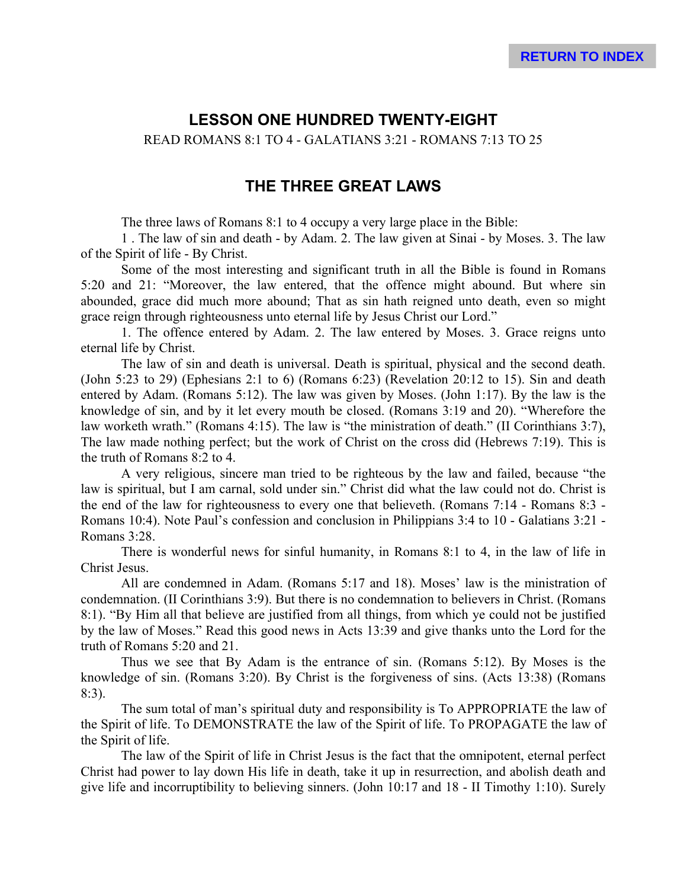## **LESSON ONE HUNDRED TWENTY-EIGHT**

READ ROMANS 8:1 TO 4 - GALATIANS 3:21 - ROMANS 7:13 TO 25

## **THE THREE GREAT LAWS**

The three laws of Romans 8:1 to 4 occupy a very large place in the Bible:

1 . The law of sin and death - by Adam. 2. The law given at Sinai - by Moses. 3. The law of the Spirit of life - By Christ.

Some of the most interesting and significant truth in all the Bible is found in Romans 5:20 and 21: "Moreover, the law entered, that the offence might abound. But where sin abounded, grace did much more abound; That as sin hath reigned unto death, even so might grace reign through righteousness unto eternal life by Jesus Christ our Lord."

1. The offence entered by Adam. 2. The law entered by Moses. 3. Grace reigns unto eternal life by Christ.

The law of sin and death is universal. Death is spiritual, physical and the second death. (John 5:23 to 29) (Ephesians 2:1 to 6) (Romans 6:23) (Revelation 20:12 to 15). Sin and death entered by Adam. (Romans 5:12). The law was given by Moses. (John 1:17). By the law is the knowledge of sin, and by it let every mouth be closed. (Romans 3:19 and 20). "Wherefore the law worketh wrath." (Romans 4:15). The law is "the ministration of death." (II Corinthians 3:7), The law made nothing perfect; but the work of Christ on the cross did (Hebrews 7:19). This is the truth of Romans 8:2 to 4.

A very religious, sincere man tried to be righteous by the law and failed, because "the law is spiritual, but I am carnal, sold under sin." Christ did what the law could not do. Christ is the end of the law for righteousness to every one that believeth. (Romans 7:14 - Romans 8:3 - Romans 10:4). Note Paul's confession and conclusion in Philippians 3:4 to 10 - Galatians 3:21 - Romans 3:28.

There is wonderful news for sinful humanity, in Romans 8:1 to 4, in the law of life in Christ Jesus.

All are condemned in Adam. (Romans 5:17 and 18). Moses' law is the ministration of condemnation. (II Corinthians 3:9). But there is no condemnation to believers in Christ. (Romans 8:1). "By Him all that believe are justified from all things, from which ye could not be justified by the law of Moses." Read this good news in Acts 13:39 and give thanks unto the Lord for the truth of Romans 5:20 and 21.

Thus we see that By Adam is the entrance of sin. (Romans 5:12). By Moses is the knowledge of sin. (Romans 3:20). By Christ is the forgiveness of sins. (Acts 13:38) (Romans 8:3).

The sum total of man's spiritual duty and responsibility is To APPROPRIATE the law of the Spirit of life. To DEMONSTRATE the law of the Spirit of life. To PROPAGATE the law of the Spirit of life.

The law of the Spirit of life in Christ Jesus is the fact that the omnipotent, eternal perfect Christ had power to lay down His life in death, take it up in resurrection, and abolish death and give life and incorruptibility to believing sinners. (John 10:17 and 18 - II Timothy 1:10). Surely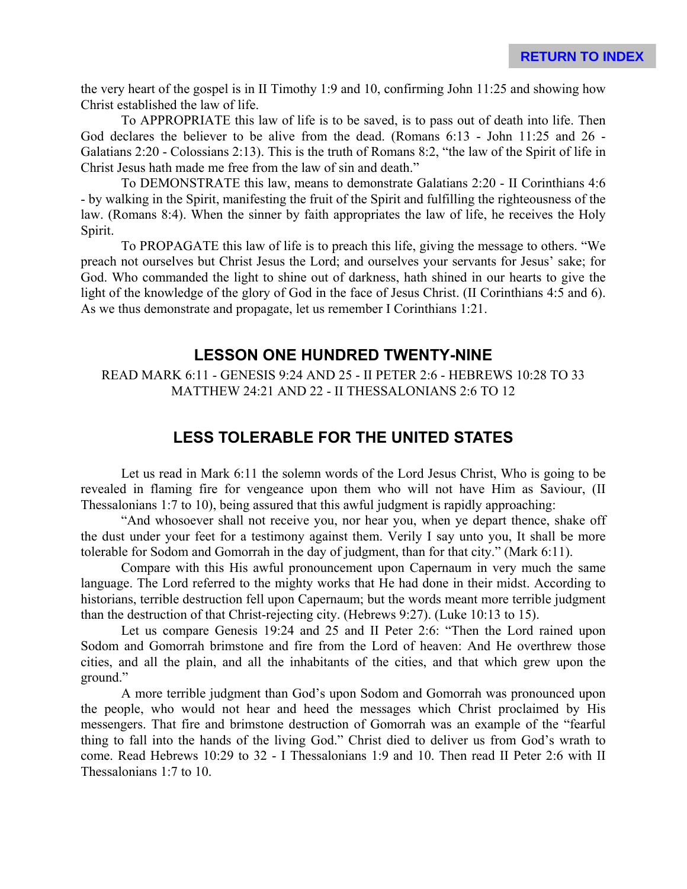the very heart of the gospel is in II Timothy 1:9 and 10, confirming John 11:25 and showing how Christ established the law of life.

To APPROPRIATE this law of life is to be saved, is to pass out of death into life. Then God declares the believer to be alive from the dead. (Romans 6:13 - John 11:25 and 26 - Galatians 2:20 - Colossians 2:13). This is the truth of Romans 8:2, "the law of the Spirit of life in Christ Jesus hath made me free from the law of sin and death."

To DEMONSTRATE this law, means to demonstrate Galatians 2:20 - II Corinthians 4:6 - by walking in the Spirit, manifesting the fruit of the Spirit and fulfilling the righteousness of the law. (Romans 8:4). When the sinner by faith appropriates the law of life, he receives the Holy Spirit.

To PROPAGATE this law of life is to preach this life, giving the message to others. "We preach not ourselves but Christ Jesus the Lord; and ourselves your servants for Jesus' sake; for God. Who commanded the light to shine out of darkness, hath shined in our hearts to give the light of the knowledge of the glory of God in the face of Jesus Christ. (II Corinthians 4:5 and 6). As we thus demonstrate and propagate, let us remember I Corinthians 1:21.

## **LESSON ONE HUNDRED TWENTY-NINE**

READ MARK 6:11 - GENESIS 9:24 AND 25 - II PETER 2:6 - HEBREWS 10:28 TO 33 MATTHEW 24:21 AND 22 - II THESSALONIANS 2:6 TO 12

## **LESS TOLERABLE FOR THE UNITED STATES**

Let us read in Mark 6:11 the solemn words of the Lord Jesus Christ, Who is going to be revealed in flaming fire for vengeance upon them who will not have Him as Saviour, (II Thessalonians 1:7 to 10), being assured that this awful judgment is rapidly approaching:

"And whosoever shall not receive you, nor hear you, when ye depart thence, shake off the dust under your feet for a testimony against them. Verily I say unto you, It shall be more tolerable for Sodom and Gomorrah in the day of judgment, than for that city." (Mark 6:11).

Compare with this His awful pronouncement upon Capernaum in very much the same language. The Lord referred to the mighty works that He had done in their midst. According to historians, terrible destruction fell upon Capernaum; but the words meant more terrible judgment than the destruction of that Christ-rejecting city. (Hebrews 9:27). (Luke 10:13 to 15).

Let us compare Genesis 19:24 and 25 and II Peter 2:6: "Then the Lord rained upon Sodom and Gomorrah brimstone and fire from the Lord of heaven: And He overthrew those cities, and all the plain, and all the inhabitants of the cities, and that which grew upon the ground."

A more terrible judgment than God's upon Sodom and Gomorrah was pronounced upon the people, who would not hear and heed the messages which Christ proclaimed by His messengers. That fire and brimstone destruction of Gomorrah was an example of the "fearful thing to fall into the hands of the living God." Christ died to deliver us from God's wrath to come. Read Hebrews 10:29 to 32 - I Thessalonians 1:9 and 10. Then read II Peter 2:6 with II Thessalonians 1:7 to 10.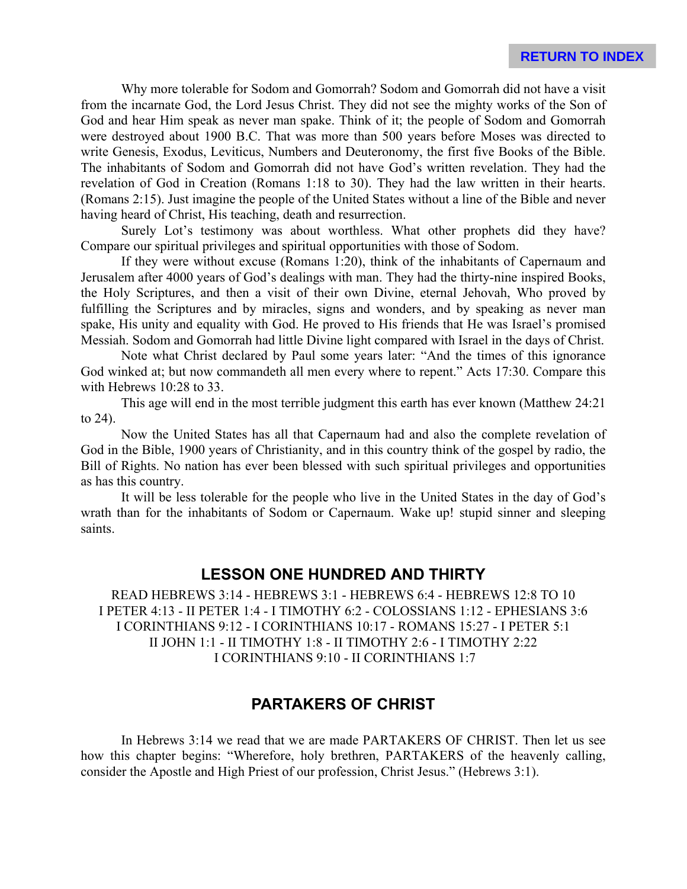Why more tolerable for Sodom and Gomorrah? Sodom and Gomorrah did not have a visit from the incarnate God, the Lord Jesus Christ. They did not see the mighty works of the Son of God and hear Him speak as never man spake. Think of it; the people of Sodom and Gomorrah were destroyed about 1900 B.C. That was more than 500 years before Moses was directed to write Genesis, Exodus, Leviticus, Numbers and Deuteronomy, the first five Books of the Bible. The inhabitants of Sodom and Gomorrah did not have God's written revelation. They had the revelation of God in Creation (Romans 1:18 to 30). They had the law written in their hearts. (Romans 2:15). Just imagine the people of the United States without a line of the Bible and never having heard of Christ, His teaching, death and resurrection.

Surely Lot's testimony was about worthless. What other prophets did they have? Compare our spiritual privileges and spiritual opportunities with those of Sodom.

If they were without excuse (Romans 1:20), think of the inhabitants of Capernaum and Jerusalem after 4000 years of God's dealings with man. They had the thirty-nine inspired Books, the Holy Scriptures, and then a visit of their own Divine, eternal Jehovah, Who proved by fulfilling the Scriptures and by miracles, signs and wonders, and by speaking as never man spake, His unity and equality with God. He proved to His friends that He was Israel's promised Messiah. Sodom and Gomorrah had little Divine light compared with Israel in the days of Christ.

Note what Christ declared by Paul some years later: "And the times of this ignorance God winked at; but now commandeth all men every where to repent." Acts 17:30. Compare this with Hebrews 10:28 to 33.

This age will end in the most terrible judgment this earth has ever known (Matthew 24:21 to 24).

Now the United States has all that Capernaum had and also the complete revelation of God in the Bible, 1900 years of Christianity, and in this country think of the gospel by radio, the Bill of Rights. No nation has ever been blessed with such spiritual privileges and opportunities as has this country.

It will be less tolerable for the people who live in the United States in the day of God's wrath than for the inhabitants of Sodom or Capernaum. Wake up! stupid sinner and sleeping saints.

### **LESSON ONE HUNDRED AND THIRTY**

READ HEBREWS 3:14 - HEBREWS 3:1 - HEBREWS 6:4 - HEBREWS 12:8 TO 10 I PETER 4:13 - II PETER 1:4 - I TIMOTHY 6:2 - COLOSSIANS 1:12 - EPHESIANS 3:6 I CORINTHIANS 9:12 - I CORINTHIANS 10:17 - ROMANS 15:27 - I PETER 5:1 II JOHN 1:1 - II TIMOTHY 1:8 - II TIMOTHY 2:6 - I TIMOTHY 2:22 I CORINTHIANS 9:10 - II CORINTHIANS 1:7

### **PARTAKERS OF CHRIST**

In Hebrews 3:14 we read that we are made PARTAKERS OF CHRIST. Then let us see how this chapter begins: "Wherefore, holy brethren, PARTAKERS of the heavenly calling, consider the Apostle and High Priest of our profession, Christ Jesus." (Hebrews 3:1).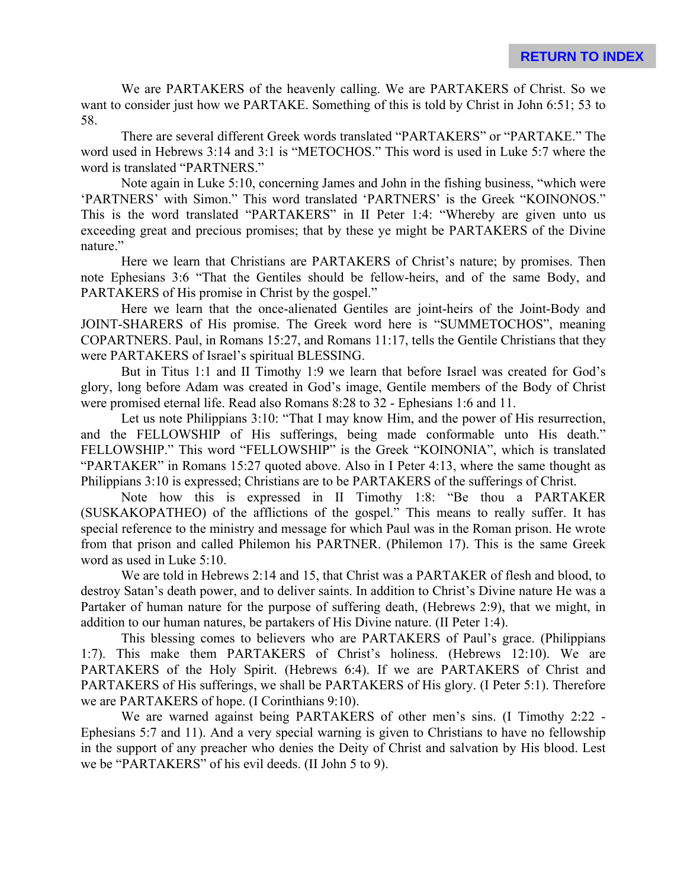We are PARTAKERS of the heavenly calling. We are PARTAKERS of Christ. So we want to consider just how we PARTAKE. Something of this is told by Christ in John 6:51; 53 to 58.

There are several different Greek words translated "PARTAKERS" or "PARTAKE." The word used in Hebrews 3:14 and 3:1 is "METOCHOS." This word is used in Luke 5:7 where the word is translated "PARTNERS."

Note again in Luke 5:10, concerning James and John in the fishing business, "which were 'PARTNERS' with Simon." This word translated 'PARTNERS' is the Greek "KOINONOS." This is the word translated "PARTAKERS" in II Peter 1:4: "Whereby are given unto us exceeding great and precious promises; that by these ye might be PARTAKERS of the Divine nature."

Here we learn that Christians are PARTAKERS of Christ's nature; by promises. Then note Ephesians 3:6 "That the Gentiles should be fellow-heirs, and of the same Body, and PARTAKERS of His promise in Christ by the gospel."

Here we learn that the once-alienated Gentiles are joint-heirs of the Joint-Body and JOINT-SHARERS of His promise. The Greek word here is "SUMMETOCHOS", meaning COPARTNERS. Paul, in Romans 15:27, and Romans 11:17, tells the Gentile Christians that they were PARTAKERS of Israel's spiritual BLESSING.

But in Titus 1:1 and II Timothy 1:9 we learn that before Israel was created for God's glory, long before Adam was created in God's image, Gentile members of the Body of Christ were promised eternal life. Read also Romans 8:28 to 32 - Ephesians 1:6 and 11.

Let us note Philippians 3:10: "That I may know Him, and the power of His resurrection, and the FELLOWSHIP of His sufferings, being made conformable unto His death." FELLOWSHIP." This word "FELLOWSHIP" is the Greek "KOINONIA", which is translated "PARTAKER" in Romans 15:27 quoted above. Also in I Peter 4:13, where the same thought as Philippians 3:10 is expressed; Christians are to be PARTAKERS of the sufferings of Christ.

Note how this is expressed in II Timothy 1:8: "Be thou a PARTAKER (SUSKAKOPATHEO) of the afflictions of the gospel." This means to really suffer. It has special reference to the ministry and message for which Paul was in the Roman prison. He wrote from that prison and called Philemon his PARTNER. (Philemon 17). This is the same Greek word as used in Luke 5:10.

We are told in Hebrews 2:14 and 15, that Christ was a PARTAKER of flesh and blood, to destroy Satan's death power, and to deliver saints. In addition to Christ's Divine nature He was a Partaker of human nature for the purpose of suffering death, (Hebrews 2:9), that we might, in addition to our human natures, be partakers of His Divine nature. (II Peter 1:4).

This blessing comes to believers who are PARTAKERS of Paul's grace. (Philippians 1:7). This make them PARTAKERS of Christ's holiness. (Hebrews 12:10). We are PARTAKERS of the Holy Spirit. (Hebrews 6:4). If we are PARTAKERS of Christ and PARTAKERS of His sufferings, we shall be PARTAKERS of His glory. (I Peter 5:1). Therefore we are PARTAKERS of hope. (I Corinthians 9:10).

We are warned against being PARTAKERS of other men's sins. (I Timothy 2:22 -Ephesians 5:7 and 11). And a very special warning is given to Christians to have no fellowship in the support of any preacher who denies the Deity of Christ and salvation by His blood. Lest we be "PARTAKERS" of his evil deeds. (II John 5 to 9).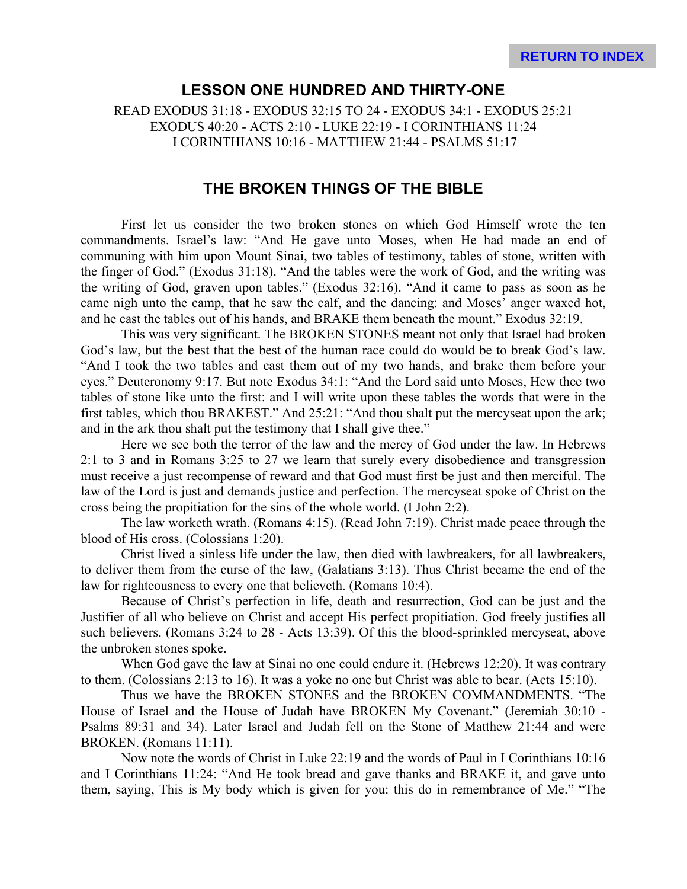#### **LESSON ONE HUNDRED AND THIRTY-ONE**

READ EXODUS 31:18 - EXODUS 32:15 TO 24 - EXODUS 34:1 - EXODUS 25:21 EXODUS 40:20 - ACTS 2:10 - LUKE 22:19 - I CORINTHIANS 11:24 I CORINTHIANS 10:16 - MATTHEW 21:44 - PSALMS 51:17

#### **THE BROKEN THINGS OF THE BIBLE**

First let us consider the two broken stones on which God Himself wrote the ten commandments. Israel's law: "And He gave unto Moses, when He had made an end of communing with him upon Mount Sinai, two tables of testimony, tables of stone, written with the finger of God." (Exodus 31:18). "And the tables were the work of God, and the writing was the writing of God, graven upon tables." (Exodus 32:16). "And it came to pass as soon as he came nigh unto the camp, that he saw the calf, and the dancing: and Moses' anger waxed hot, and he cast the tables out of his hands, and BRAKE them beneath the mount." Exodus 32:19.

This was very significant. The BROKEN STONES meant not only that Israel had broken God's law, but the best that the best of the human race could do would be to break God's law. "And I took the two tables and cast them out of my two hands, and brake them before your eyes." Deuteronomy 9:17. But note Exodus 34:1: "And the Lord said unto Moses, Hew thee two tables of stone like unto the first: and I will write upon these tables the words that were in the first tables, which thou BRAKEST." And 25:21: "And thou shalt put the mercyseat upon the ark; and in the ark thou shalt put the testimony that I shall give thee."

Here we see both the terror of the law and the mercy of God under the law. In Hebrews 2:1 to 3 and in Romans 3:25 to 27 we learn that surely every disobedience and transgression must receive a just recompense of reward and that God must first be just and then merciful. The law of the Lord is just and demands justice and perfection. The mercyseat spoke of Christ on the cross being the propitiation for the sins of the whole world. (I John 2:2).

The law worketh wrath. (Romans 4:15). (Read John 7:19). Christ made peace through the blood of His cross. (Colossians 1:20).

Christ lived a sinless life under the law, then died with lawbreakers, for all lawbreakers, to deliver them from the curse of the law, (Galatians 3:13). Thus Christ became the end of the law for righteousness to every one that believeth. (Romans 10:4).

Because of Christ's perfection in life, death and resurrection, God can be just and the Justifier of all who believe on Christ and accept His perfect propitiation. God freely justifies all such believers. (Romans 3:24 to 28 - Acts 13:39). Of this the blood-sprinkled mercyseat, above the unbroken stones spoke.

When God gave the law at Sinai no one could endure it. (Hebrews 12:20). It was contrary to them. (Colossians 2:13 to 16). It was a yoke no one but Christ was able to bear. (Acts 15:10).

Thus we have the BROKEN STONES and the BROKEN COMMANDMENTS. "The House of Israel and the House of Judah have BROKEN My Covenant." (Jeremiah 30:10 - Psalms 89:31 and 34). Later Israel and Judah fell on the Stone of Matthew 21:44 and were BROKEN. (Romans 11:11).

Now note the words of Christ in Luke 22:19 and the words of Paul in I Corinthians 10:16 and I Corinthians 11:24: "And He took bread and gave thanks and BRAKE it, and gave unto them, saying, This is My body which is given for you: this do in remembrance of Me." "The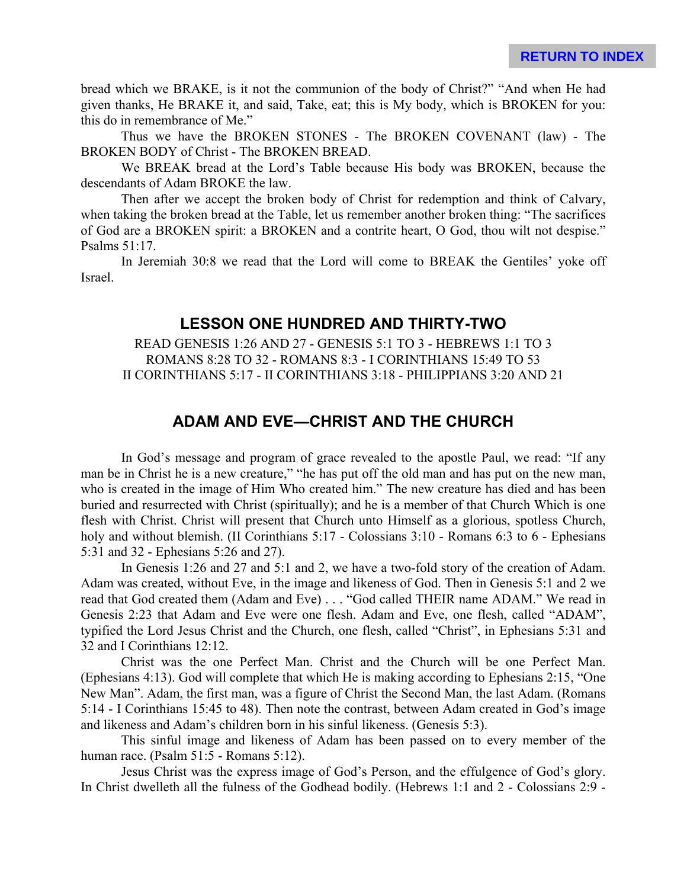bread which we BRAKE, is it not the communion of the body of Christ?" "And when He had given thanks, He BRAKE it, and said, Take, eat; this is My body, which is BROKEN for you: this do in remembrance of Me."

Thus we have the BROKEN STONES - The BROKEN COVENANT (law) - The BROKEN BODY of Christ - The BROKEN BREAD.

We BREAK bread at the Lord's Table because His body was BROKEN, because the descendants of Adam BROKE the law.

Then after we accept the broken body of Christ for redemption and think of Calvary, when taking the broken bread at the Table, let us remember another broken thing: "The sacrifices of God are a BROKEN spirit: a BROKEN and a contrite heart, O God, thou wilt not despise." Psalms 51:17.

In Jeremiah 30:8 we read that the Lord will come to BREAK the Gentiles' yoke off Israel.

### **LESSON ONE HUNDRED AND THIRTY-TWO**

READ GENESIS 1:26 AND 27 - GENESIS 5:1 TO 3 - HEBREWS 1:1 TO 3 ROMANS 8:28 TO 32 - ROMANS 8:3 - I CORINTHIANS 15:49 TO 53 II CORINTHIANS 5:17 - II CORINTHIANS 3:18 - PHILIPPIANS 3:20 AND 21

## **ADAM AND EVE—CHRIST AND THE CHURCH**

In God's message and program of grace revealed to the apostle Paul, we read: "If any man be in Christ he is a new creature," "he has put off the old man and has put on the new man, who is created in the image of Him Who created him." The new creature has died and has been buried and resurrected with Christ (spiritually); and he is a member of that Church Which is one flesh with Christ. Christ will present that Church unto Himself as a glorious, spotless Church, holy and without blemish. (II Corinthians 5:17 - Colossians 3:10 - Romans 6:3 to 6 - Ephesians 5:31 and 32 - Ephesians 5:26 and 27).

In Genesis 1:26 and 27 and 5:1 and 2, we have a two-fold story of the creation of Adam. Adam was created, without Eve, in the image and likeness of God. Then in Genesis 5:1 and 2 we read that God created them (Adam and Eve) . . . "God called THEIR name ADAM." We read in Genesis 2:23 that Adam and Eve were one flesh. Adam and Eve, one flesh, called "ADAM", typified the Lord Jesus Christ and the Church, one flesh, called "Christ", in Ephesians 5:31 and 32 and I Corinthians 12:12.

Christ was the one Perfect Man. Christ and the Church will be one Perfect Man. (Ephesians 4:13). God will complete that which He is making according to Ephesians 2:15, "One New Man". Adam, the first man, was a figure of Christ the Second Man, the last Adam. (Romans 5:14 - I Corinthians 15:45 to 48). Then note the contrast, between Adam created in God's image and likeness and Adam's children born in his sinful likeness. (Genesis 5:3).

This sinful image and likeness of Adam has been passed on to every member of the human race. (Psalm 51:5 - Romans 5:12).

Jesus Christ was the express image of God's Person, and the effulgence of God's glory. In Christ dwelleth all the fulness of the Godhead bodily. (Hebrews 1:1 and 2 - Colossians 2:9 -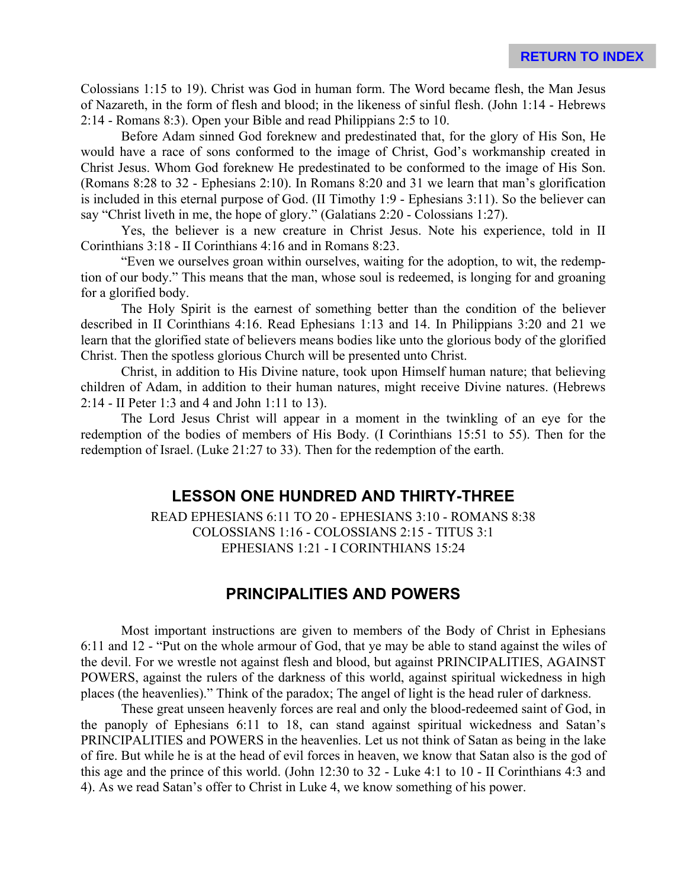Colossians 1:15 to 19). Christ was God in human form. The Word became flesh, the Man Jesus of Nazareth, in the form of flesh and blood; in the likeness of sinful flesh. (John 1:14 - Hebrews 2:14 - Romans 8:3). Open your Bible and read Philippians 2:5 to 10.

Before Adam sinned God foreknew and predestinated that, for the glory of His Son, He would have a race of sons conformed to the image of Christ, God's workmanship created in Christ Jesus. Whom God foreknew He predestinated to be conformed to the image of His Son. (Romans 8:28 to 32 - Ephesians 2:10). In Romans 8:20 and 31 we learn that man's glorification is included in this eternal purpose of God. (II Timothy 1:9 - Ephesians 3:11). So the believer can say "Christ liveth in me, the hope of glory." (Galatians 2:20 - Colossians 1:27).

Yes, the believer is a new creature in Christ Jesus. Note his experience, told in II Corinthians 3:18 - II Corinthians 4:16 and in Romans 8:23.

"Even we ourselves groan within ourselves, waiting for the adoption, to wit, the redemption of our body." This means that the man, whose soul is redeemed, is longing for and groaning for a glorified body.

The Holy Spirit is the earnest of something better than the condition of the believer described in II Corinthians 4:16. Read Ephesians 1:13 and 14. In Philippians 3:20 and 21 we learn that the glorified state of believers means bodies like unto the glorious body of the glorified Christ. Then the spotless glorious Church will be presented unto Christ.

Christ, in addition to His Divine nature, took upon Himself human nature; that believing children of Adam, in addition to their human natures, might receive Divine natures. (Hebrews 2:14 - II Peter 1:3 and 4 and John 1:11 to 13).

The Lord Jesus Christ will appear in a moment in the twinkling of an eye for the redemption of the bodies of members of His Body. (I Corinthians 15:51 to 55). Then for the redemption of Israel. (Luke 21:27 to 33). Then for the redemption of the earth.

#### **LESSON ONE HUNDRED AND THIRTY-THREE**

READ EPHESIANS 6:11 TO 20 - EPHESIANS 3:10 - ROMANS 8:38 COLOSSIANS 1:16 - COLOSSIANS 2:15 - TITUS 3:1 EPHESIANS 1:21 - I CORINTHIANS 15:24

## **PRINCIPALITIES AND POWERS**

Most important instructions are given to members of the Body of Christ in Ephesians 6:11 and 12 - "Put on the whole armour of God, that ye may be able to stand against the wiles of the devil. For we wrestle not against flesh and blood, but against PRINCIPALITIES, AGAINST POWERS, against the rulers of the darkness of this world, against spiritual wickedness in high places (the heavenlies)." Think of the paradox; The angel of light is the head ruler of darkness.

These great unseen heavenly forces are real and only the blood-redeemed saint of God, in the panoply of Ephesians 6:11 to 18, can stand against spiritual wickedness and Satan's PRINCIPALITIES and POWERS in the heavenlies. Let us not think of Satan as being in the lake of fire. But while he is at the head of evil forces in heaven, we know that Satan also is the god of this age and the prince of this world. (John 12:30 to 32 - Luke 4:1 to 10 - II Corinthians 4:3 and 4). As we read Satan's offer to Christ in Luke 4, we know something of his power.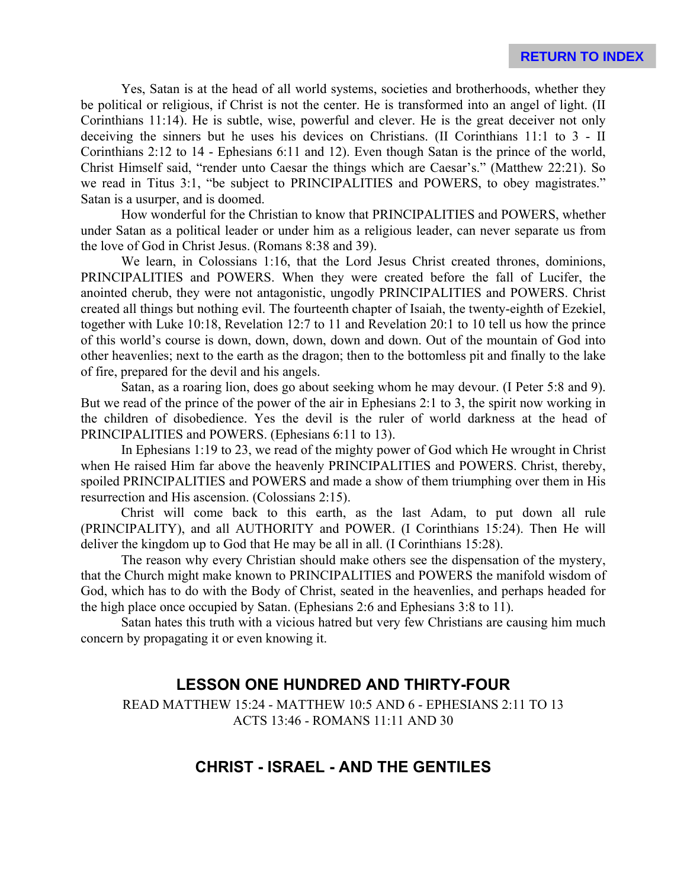Yes, Satan is at the head of all world systems, societies and brotherhoods, whether they be political or religious, if Christ is not the center. He is transformed into an angel of light. (II Corinthians 11:14). He is subtle, wise, powerful and clever. He is the great deceiver not only deceiving the sinners but he uses his devices on Christians. (II Corinthians 11:1 to 3 - II Corinthians 2:12 to 14 - Ephesians 6:11 and 12). Even though Satan is the prince of the world, Christ Himself said, "render unto Caesar the things which are Caesar's." (Matthew 22:21). So we read in Titus 3:1, "be subject to PRINCIPALITIES and POWERS, to obey magistrates." Satan is a usurper, and is doomed.

How wonderful for the Christian to know that PRINCIPALITIES and POWERS, whether under Satan as a political leader or under him as a religious leader, can never separate us from the love of God in Christ Jesus. (Romans 8:38 and 39).

We learn, in Colossians 1:16, that the Lord Jesus Christ created thrones, dominions, PRINCIPALITIES and POWERS. When they were created before the fall of Lucifer, the anointed cherub, they were not antagonistic, ungodly PRINCIPALITIES and POWERS. Christ created all things but nothing evil. The fourteenth chapter of Isaiah, the twenty-eighth of Ezekiel, together with Luke 10:18, Revelation 12:7 to 11 and Revelation 20:1 to 10 tell us how the prince of this world's course is down, down, down, down and down. Out of the mountain of God into other heavenlies; next to the earth as the dragon; then to the bottomless pit and finally to the lake of fire, prepared for the devil and his angels.

Satan, as a roaring lion, does go about seeking whom he may devour. (I Peter 5:8 and 9). But we read of the prince of the power of the air in Ephesians 2:1 to 3, the spirit now working in the children of disobedience. Yes the devil is the ruler of world darkness at the head of PRINCIPALITIES and POWERS. (Ephesians 6:11 to 13).

In Ephesians 1:19 to 23, we read of the mighty power of God which He wrought in Christ when He raised Him far above the heavenly PRINCIPALITIES and POWERS. Christ, thereby, spoiled PRINCIPALITIES and POWERS and made a show of them triumphing over them in His resurrection and His ascension. (Colossians 2:15).

Christ will come back to this earth, as the last Adam, to put down all rule (PRINCIPALITY), and all AUTHORITY and POWER. (I Corinthians 15:24). Then He will deliver the kingdom up to God that He may be all in all. (I Corinthians 15:28).

The reason why every Christian should make others see the dispensation of the mystery, that the Church might make known to PRINCIPALITIES and POWERS the manifold wisdom of God, which has to do with the Body of Christ, seated in the heavenlies, and perhaps headed for the high place once occupied by Satan. (Ephesians 2:6 and Ephesians 3:8 to 11).

Satan hates this truth with a vicious hatred but very few Christians are causing him much concern by propagating it or even knowing it.

## **LESSON ONE HUNDRED AND THIRTY-FOUR**

READ MATTHEW 15:24 - MATTHEW 10:5 AND 6 - EPHESIANS 2:11 TO 13 ACTS 13:46 - ROMANS 11:11 AND 30

### **CHRIST - ISRAEL - AND THE GENTILES**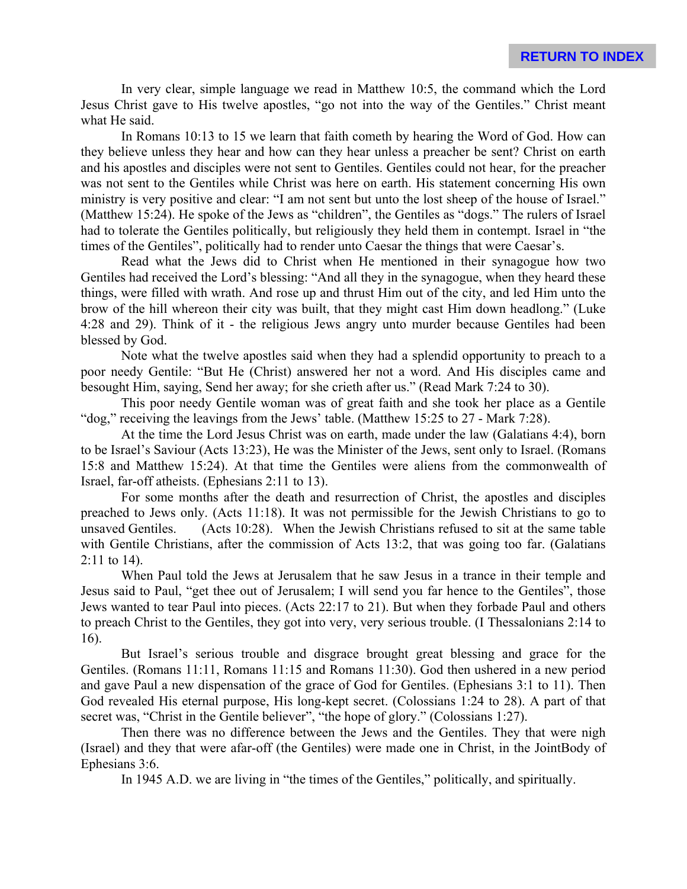In very clear, simple language we read in Matthew 10:5, the command which the Lord Jesus Christ gave to His twelve apostles, "go not into the way of the Gentiles." Christ meant what He said.

In Romans 10:13 to 15 we learn that faith cometh by hearing the Word of God. How can they believe unless they hear and how can they hear unless a preacher be sent? Christ on earth and his apostles and disciples were not sent to Gentiles. Gentiles could not hear, for the preacher was not sent to the Gentiles while Christ was here on earth. His statement concerning His own ministry is very positive and clear: "I am not sent but unto the lost sheep of the house of Israel." (Matthew 15:24). He spoke of the Jews as "children", the Gentiles as "dogs." The rulers of Israel had to tolerate the Gentiles politically, but religiously they held them in contempt. Israel in "the times of the Gentiles", politically had to render unto Caesar the things that were Caesar's.

Read what the Jews did to Christ when He mentioned in their synagogue how two Gentiles had received the Lord's blessing: "And all they in the synagogue, when they heard these things, were filled with wrath. And rose up and thrust Him out of the city, and led Him unto the brow of the hill whereon their city was built, that they might cast Him down headlong." (Luke 4:28 and 29). Think of it - the religious Jews angry unto murder because Gentiles had been blessed by God.

Note what the twelve apostles said when they had a splendid opportunity to preach to a poor needy Gentile: "But He (Christ) answered her not a word. And His disciples came and besought Him, saying, Send her away; for she crieth after us." (Read Mark 7:24 to 30).

This poor needy Gentile woman was of great faith and she took her place as a Gentile "dog," receiving the leavings from the Jews' table. (Matthew 15:25 to 27 - Mark 7:28).

At the time the Lord Jesus Christ was on earth, made under the law (Galatians 4:4), born to be Israel's Saviour (Acts 13:23), He was the Minister of the Jews, sent only to Israel. (Romans 15:8 and Matthew 15:24). At that time the Gentiles were aliens from the commonwealth of Israel, far-off atheists. (Ephesians 2:11 to 13).

For some months after the death and resurrection of Christ, the apostles and disciples preached to Jews only. (Acts 11:18). It was not permissible for the Jewish Christians to go to unsaved Gentiles. (Acts 10:28). When the Jewish Christians refused to sit at the same table with Gentile Christians, after the commission of Acts 13:2, that was going too far. (Galatians 2:11 to 14).

When Paul told the Jews at Jerusalem that he saw Jesus in a trance in their temple and Jesus said to Paul, "get thee out of Jerusalem; I will send you far hence to the Gentiles", those Jews wanted to tear Paul into pieces. (Acts 22:17 to 21). But when they forbade Paul and others to preach Christ to the Gentiles, they got into very, very serious trouble. (I Thessalonians 2:14 to 16).

But Israel's serious trouble and disgrace brought great blessing and grace for the Gentiles. (Romans 11:11, Romans 11:15 and Romans 11:30). God then ushered in a new period and gave Paul a new dispensation of the grace of God for Gentiles. (Ephesians 3:1 to 11). Then God revealed His eternal purpose, His long-kept secret. (Colossians 1:24 to 28). A part of that secret was, "Christ in the Gentile believer", "the hope of glory." (Colossians 1:27).

Then there was no difference between the Jews and the Gentiles. They that were nigh (Israel) and they that were afar-off (the Gentiles) were made one in Christ, in the JointBody of Ephesians 3:6.

In 1945 A.D. we are living in "the times of the Gentiles," politically, and spiritually.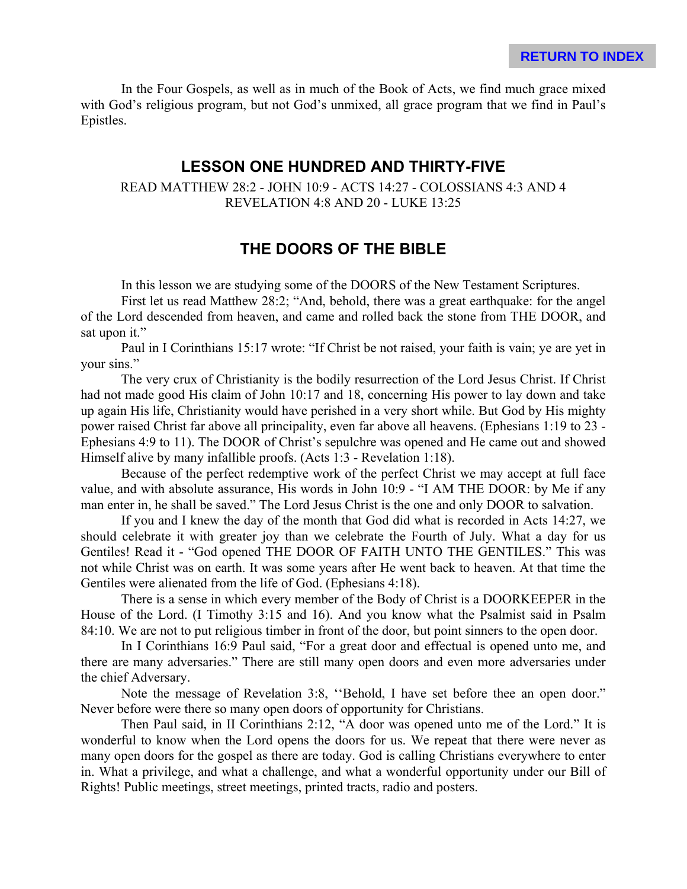In the Four Gospels, as well as in much of the Book of Acts, we find much grace mixed with God's religious program, but not God's unmixed, all grace program that we find in Paul's Epistles.

### **LESSON ONE HUNDRED AND THIRTY-FIVE**

READ MATTHEW 28:2 - JOHN 10:9 - ACTS 14:27 - COLOSSIANS 4:3 AND 4 REVELATION 4:8 AND 20 - LUKE 13:25

## **THE DOORS OF THE BIBLE**

In this lesson we are studying some of the DOORS of the New Testament Scriptures.

First let us read Matthew 28:2; "And, behold, there was a great earthquake: for the angel of the Lord descended from heaven, and came and rolled back the stone from THE DOOR, and sat upon it."

Paul in I Corinthians 15:17 wrote: "If Christ be not raised, your faith is vain; ye are yet in your sins."

The very crux of Christianity is the bodily resurrection of the Lord Jesus Christ. If Christ had not made good His claim of John 10:17 and 18, concerning His power to lay down and take up again His life, Christianity would have perished in a very short while. But God by His mighty power raised Christ far above all principality, even far above all heavens. (Ephesians 1:19 to 23 - Ephesians 4:9 to 11). The DOOR of Christ's sepulchre was opened and He came out and showed Himself alive by many infallible proofs. (Acts 1:3 - Revelation 1:18).

Because of the perfect redemptive work of the perfect Christ we may accept at full face value, and with absolute assurance, His words in John 10:9 - "I AM THE DOOR: by Me if any man enter in, he shall be saved." The Lord Jesus Christ is the one and only DOOR to salvation.

If you and I knew the day of the month that God did what is recorded in Acts 14:27, we should celebrate it with greater joy than we celebrate the Fourth of July. What a day for us Gentiles! Read it - "God opened THE DOOR OF FAITH UNTO THE GENTILES." This was not while Christ was on earth. It was some years after He went back to heaven. At that time the Gentiles were alienated from the life of God. (Ephesians 4:18).

There is a sense in which every member of the Body of Christ is a DOORKEEPER in the House of the Lord. (I Timothy 3:15 and 16). And you know what the Psalmist said in Psalm 84:10. We are not to put religious timber in front of the door, but point sinners to the open door.

In I Corinthians 16:9 Paul said, "For a great door and effectual is opened unto me, and there are many adversaries." There are still many open doors and even more adversaries under the chief Adversary.

Note the message of Revelation 3:8, ''Behold, I have set before thee an open door." Never before were there so many open doors of opportunity for Christians.

Then Paul said, in II Corinthians 2:12, "A door was opened unto me of the Lord." It is wonderful to know when the Lord opens the doors for us. We repeat that there were never as many open doors for the gospel as there are today. God is calling Christians everywhere to enter in. What a privilege, and what a challenge, and what a wonderful opportunity under our Bill of Rights! Public meetings, street meetings, printed tracts, radio and posters.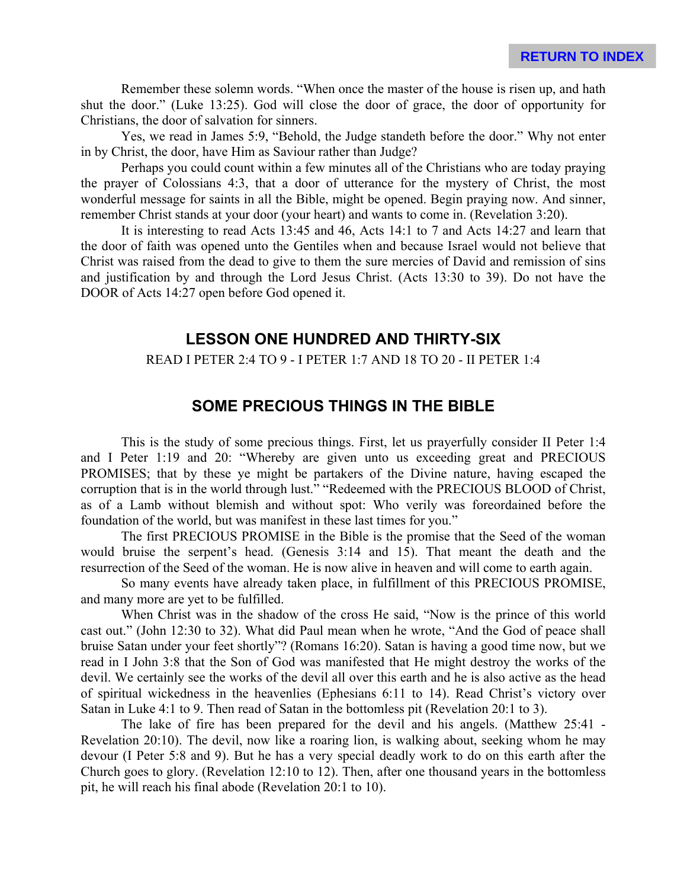Remember these solemn words. "When once the master of the house is risen up, and hath shut the door." (Luke 13:25). God will close the door of grace, the door of opportunity for Christians, the door of salvation for sinners.

Yes, we read in James 5:9, "Behold, the Judge standeth before the door." Why not enter in by Christ, the door, have Him as Saviour rather than Judge?

Perhaps you could count within a few minutes all of the Christians who are today praying the prayer of Colossians 4:3, that a door of utterance for the mystery of Christ, the most wonderful message for saints in all the Bible, might be opened. Begin praying now. And sinner, remember Christ stands at your door (your heart) and wants to come in. (Revelation 3:20).

It is interesting to read Acts 13:45 and 46, Acts 14:1 to 7 and Acts 14:27 and learn that the door of faith was opened unto the Gentiles when and because Israel would not believe that Christ was raised from the dead to give to them the sure mercies of David and remission of sins and justification by and through the Lord Jesus Christ. (Acts 13:30 to 39). Do not have the DOOR of Acts 14:27 open before God opened it.

### **LESSON ONE HUNDRED AND THIRTY-SIX**

#### READ I PETER 2:4 TO 9 - I PETER 1:7 AND 18 TO 20 - II PETER 1:4

#### **SOME PRECIOUS THINGS IN THE BIBLE**

This is the study of some precious things. First, let us prayerfully consider II Peter 1:4 and I Peter 1:19 and 20: "Whereby are given unto us exceeding great and PRECIOUS PROMISES; that by these ye might be partakers of the Divine nature, having escaped the corruption that is in the world through lust." "Redeemed with the PRECIOUS BLOOD of Christ, as of a Lamb without blemish and without spot: Who verily was foreordained before the foundation of the world, but was manifest in these last times for you."

The first PRECIOUS PROMISE in the Bible is the promise that the Seed of the woman would bruise the serpent's head. (Genesis 3:14 and 15). That meant the death and the resurrection of the Seed of the woman. He is now alive in heaven and will come to earth again.

So many events have already taken place, in fulfillment of this PRECIOUS PROMISE, and many more are yet to be fulfilled.

When Christ was in the shadow of the cross He said, "Now is the prince of this world cast out." (John 12:30 to 32). What did Paul mean when he wrote, "And the God of peace shall bruise Satan under your feet shortly"? (Romans 16:20). Satan is having a good time now, but we read in I John 3:8 that the Son of God was manifested that He might destroy the works of the devil. We certainly see the works of the devil all over this earth and he is also active as the head of spiritual wickedness in the heavenlies (Ephesians 6:11 to 14). Read Christ's victory over Satan in Luke 4:1 to 9. Then read of Satan in the bottomless pit (Revelation 20:1 to 3).

The lake of fire has been prepared for the devil and his angels. (Matthew 25:41 - Revelation 20:10). The devil, now like a roaring lion, is walking about, seeking whom he may devour (I Peter 5:8 and 9). But he has a very special deadly work to do on this earth after the Church goes to glory. (Revelation 12:10 to 12). Then, after one thousand years in the bottomless pit, he will reach his final abode (Revelation 20:1 to 10).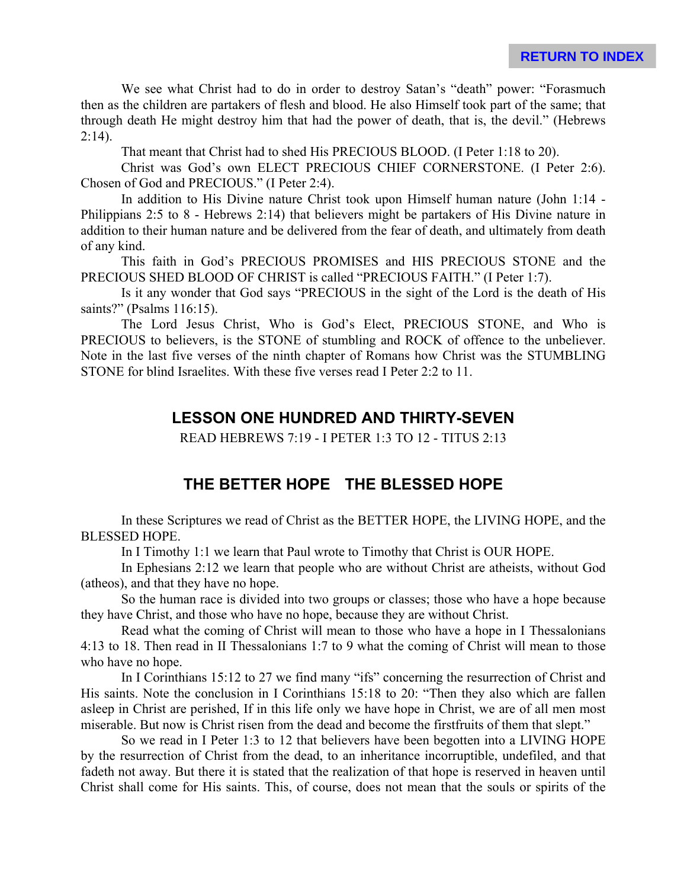We see what Christ had to do in order to destroy Satan's "death" power: "Forasmuch then as the children are partakers of flesh and blood. He also Himself took part of the same; that through death He might destroy him that had the power of death, that is, the devil." (Hebrews  $2:14$ ).

That meant that Christ had to shed His PRECIOUS BLOOD. (I Peter 1:18 to 20).

Christ was God's own ELECT PRECIOUS CHIEF CORNERSTONE. (I Peter 2:6). Chosen of God and PRECIOUS." (I Peter 2:4).

In addition to His Divine nature Christ took upon Himself human nature (John 1:14 - Philippians 2:5 to 8 - Hebrews 2:14) that believers might be partakers of His Divine nature in addition to their human nature and be delivered from the fear of death, and ultimately from death of any kind.

This faith in God's PRECIOUS PROMISES and HIS PRECIOUS STONE and the PRECIOUS SHED BLOOD OF CHRIST is called "PRECIOUS FAITH." (I Peter 1:7).

Is it any wonder that God says "PRECIOUS in the sight of the Lord is the death of His saints?" (Psalms 116:15).

The Lord Jesus Christ, Who is God's Elect, PRECIOUS STONE, and Who is PRECIOUS to believers, is the STONE of stumbling and ROCK of offence to the unbeliever. Note in the last five verses of the ninth chapter of Romans how Christ was the STUMBLING STONE for blind Israelites. With these five verses read I Peter 2:2 to 11.

#### **LESSON ONE HUNDRED AND THIRTY-SEVEN**

READ HEBREWS 7:19 - I PETER 1:3 TO 12 - TITUS 2:13

### **THE BETTER HOPE THE BLESSED HOPE**

In these Scriptures we read of Christ as the BETTER HOPE, the LIVING HOPE, and the BLESSED HOPE.

In I Timothy 1:1 we learn that Paul wrote to Timothy that Christ is OUR HOPE.

In Ephesians 2:12 we learn that people who are without Christ are atheists, without God (atheos), and that they have no hope.

So the human race is divided into two groups or classes; those who have a hope because they have Christ, and those who have no hope, because they are without Christ.

Read what the coming of Christ will mean to those who have a hope in I Thessalonians 4:13 to 18. Then read in II Thessalonians 1:7 to 9 what the coming of Christ will mean to those who have no hope.

In I Corinthians 15:12 to 27 we find many "ifs" concerning the resurrection of Christ and His saints. Note the conclusion in I Corinthians 15:18 to 20: "Then they also which are fallen asleep in Christ are perished, If in this life only we have hope in Christ, we are of all men most miserable. But now is Christ risen from the dead and become the firstfruits of them that slept."

So we read in I Peter 1:3 to 12 that believers have been begotten into a LIVING HOPE by the resurrection of Christ from the dead, to an inheritance incorruptible, undefiled, and that fadeth not away. But there it is stated that the realization of that hope is reserved in heaven until Christ shall come for His saints. This, of course, does not mean that the souls or spirits of the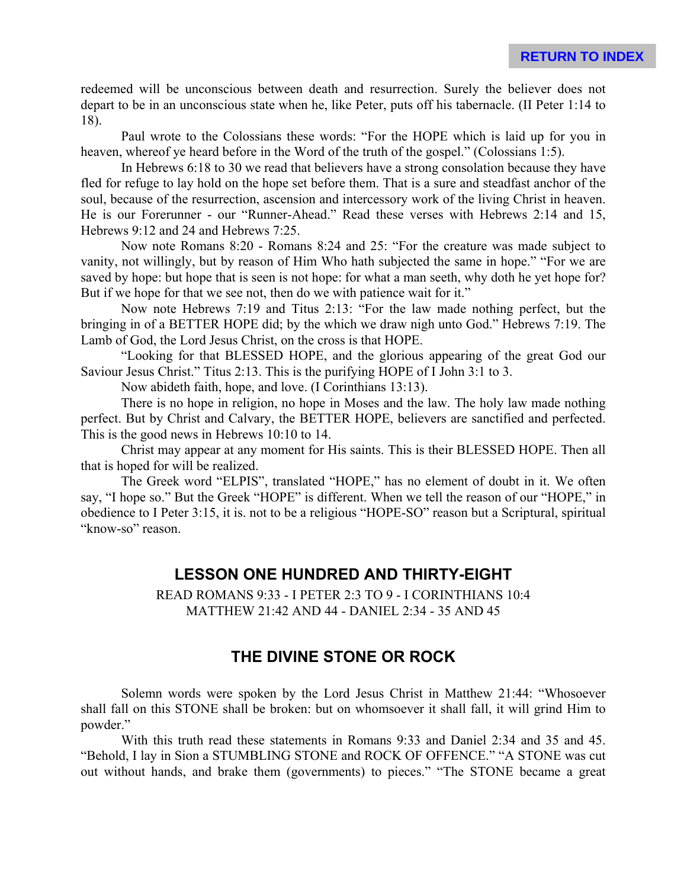redeemed will be unconscious between death and resurrection. Surely the believer does not depart to be in an unconscious state when he, like Peter, puts off his tabernacle. (II Peter 1:14 to 18).

Paul wrote to the Colossians these words: "For the HOPE which is laid up for you in heaven, whereof ye heard before in the Word of the truth of the gospel." (Colossians 1:5).

In Hebrews 6:18 to 30 we read that believers have a strong consolation because they have fled for refuge to lay hold on the hope set before them. That is a sure and steadfast anchor of the soul, because of the resurrection, ascension and intercessory work of the living Christ in heaven. He is our Forerunner - our "Runner-Ahead." Read these verses with Hebrews 2:14 and 15, Hebrews 9:12 and 24 and Hebrews 7:25.

Now note Romans 8:20 - Romans 8:24 and 25: "For the creature was made subject to vanity, not willingly, but by reason of Him Who hath subjected the same in hope." "For we are saved by hope: but hope that is seen is not hope: for what a man seeth, why doth he yet hope for? But if we hope for that we see not, then do we with patience wait for it."

Now note Hebrews 7:19 and Titus 2:13: "For the law made nothing perfect, but the bringing in of a BETTER HOPE did; by the which we draw nigh unto God." Hebrews 7:19. The Lamb of God, the Lord Jesus Christ, on the cross is that HOPE.

"Looking for that BLESSED HOPE, and the glorious appearing of the great God our Saviour Jesus Christ." Titus 2:13. This is the purifying HOPE of I John 3:1 to 3.

Now abideth faith, hope, and love. (I Corinthians 13:13).

There is no hope in religion, no hope in Moses and the law. The holy law made nothing perfect. But by Christ and Calvary, the BETTER HOPE, believers are sanctified and perfected. This is the good news in Hebrews 10:10 to 14.

Christ may appear at any moment for His saints. This is their BLESSED HOPE. Then all that is hoped for will be realized.

The Greek word "ELPIS", translated "HOPE," has no element of doubt in it. We often say, "I hope so." But the Greek "HOPE" is different. When we tell the reason of our "HOPE," in obedience to I Peter 3:15, it is. not to be a religious "HOPE-SO" reason but a Scriptural, spiritual "know-so" reason.

## **LESSON ONE HUNDRED AND THIRTY-EIGHT**

READ ROMANS 9:33 - I PETER 2:3 TO 9 - I CORINTHIANS 10:4 MATTHEW 21:42 AND 44 - DANIEL 2:34 - 35 AND 45

# **THE DIVINE STONE OR ROCK**

Solemn words were spoken by the Lord Jesus Christ in Matthew 21:44: "Whosoever shall fall on this STONE shall be broken: but on whomsoever it shall fall, it will grind Him to powder."

With this truth read these statements in Romans 9:33 and Daniel 2:34 and 35 and 45. "Behold, I lay in Sion a STUMBLING STONE and ROCK OF OFFENCE." "A STONE was cut out without hands, and brake them (governments) to pieces." "The STONE became a great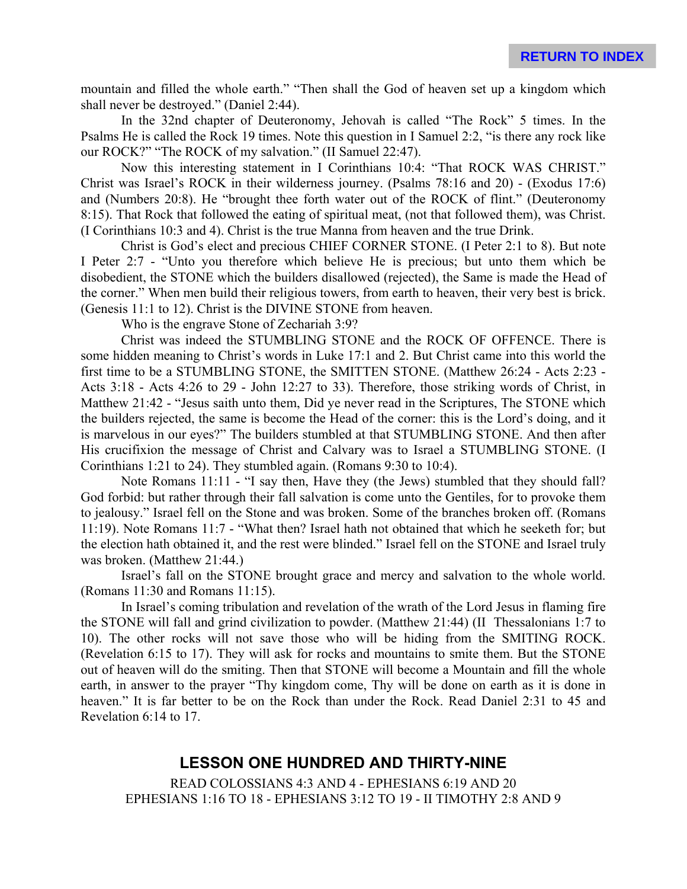mountain and filled the whole earth." "Then shall the God of heaven set up a kingdom which shall never be destroyed." (Daniel 2:44).

In the 32nd chapter of Deuteronomy, Jehovah is called "The Rock" 5 times. In the Psalms He is called the Rock 19 times. Note this question in I Samuel 2:2, "is there any rock like our ROCK?" "The ROCK of my salvation." (II Samuel 22:47).

Now this interesting statement in I Corinthians 10:4: "That ROCK WAS CHRIST." Christ was Israel's ROCK in their wilderness journey. (Psalms 78:16 and 20) - (Exodus 17:6) and (Numbers 20:8). He "brought thee forth water out of the ROCK of flint." (Deuteronomy 8:15). That Rock that followed the eating of spiritual meat, (not that followed them), was Christ. (I Corinthians 10:3 and 4). Christ is the true Manna from heaven and the true Drink.

Christ is God's elect and precious CHIEF CORNER STONE. (I Peter 2:1 to 8). But note I Peter 2:7 - "Unto you therefore which believe He is precious; but unto them which be disobedient, the STONE which the builders disallowed (rejected), the Same is made the Head of the corner." When men build their religious towers, from earth to heaven, their very best is brick. (Genesis 11:1 to 12). Christ is the DIVINE STONE from heaven.

Who is the engrave Stone of Zechariah 3:9?

Christ was indeed the STUMBLING STONE and the ROCK OF OFFENCE. There is some hidden meaning to Christ's words in Luke 17:1 and 2. But Christ came into this world the first time to be a STUMBLING STONE, the SMITTEN STONE. (Matthew 26:24 - Acts 2:23 - Acts 3:18 - Acts 4:26 to 29 - John 12:27 to 33). Therefore, those striking words of Christ, in Matthew 21:42 - "Jesus saith unto them, Did ye never read in the Scriptures, The STONE which the builders rejected, the same is become the Head of the corner: this is the Lord's doing, and it is marvelous in our eyes?" The builders stumbled at that STUMBLING STONE. And then after His crucifixion the message of Christ and Calvary was to Israel a STUMBLING STONE. (I Corinthians 1:21 to 24). They stumbled again. (Romans 9:30 to 10:4).

Note Romans 11:11 - "I say then, Have they (the Jews) stumbled that they should fall? God forbid: but rather through their fall salvation is come unto the Gentiles, for to provoke them to jealousy." Israel fell on the Stone and was broken. Some of the branches broken off. (Romans 11:19). Note Romans 11:7 - "What then? Israel hath not obtained that which he seeketh for; but the election hath obtained it, and the rest were blinded." Israel fell on the STONE and Israel truly was broken. (Matthew 21:44.)

Israel's fall on the STONE brought grace and mercy and salvation to the whole world. (Romans 11:30 and Romans 11:15).

In Israel's coming tribulation and revelation of the wrath of the Lord Jesus in flaming fire the STONE will fall and grind civilization to powder. (Matthew 21:44) (II Thessalonians 1:7 to 10). The other rocks will not save those who will be hiding from the SMITING ROCK. (Revelation 6:15 to 17). They will ask for rocks and mountains to smite them. But the STONE out of heaven will do the smiting. Then that STONE will become a Mountain and fill the whole earth, in answer to the prayer "Thy kingdom come, Thy will be done on earth as it is done in heaven." It is far better to be on the Rock than under the Rock. Read Daniel 2:31 to 45 and Revelation 6:14 to 17.

# **LESSON ONE HUNDRED AND THIRTY-NINE**

READ COLOSSIANS 4:3 AND 4 - EPHESIANS 6:19 AND 20 EPHESIANS 1:16 TO 18 - EPHESIANS 3:12 TO 19 - II TIMOTHY 2:8 AND 9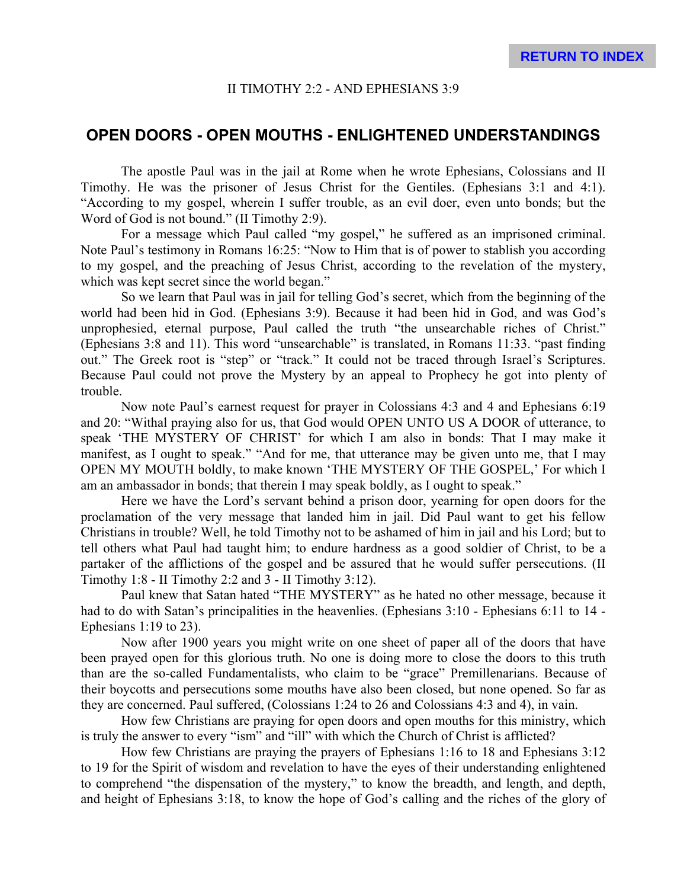#### II TIMOTHY 2:2 - AND EPHESIANS 3:9

#### **OPEN DOORS - OPEN MOUTHS - ENLIGHTENED UNDERSTANDINGS**

The apostle Paul was in the jail at Rome when he wrote Ephesians, Colossians and II Timothy. He was the prisoner of Jesus Christ for the Gentiles. (Ephesians 3:1 and 4:1). "According to my gospel, wherein I suffer trouble, as an evil doer, even unto bonds; but the Word of God is not bound." (II Timothy 2:9).

For a message which Paul called "my gospel," he suffered as an imprisoned criminal. Note Paul's testimony in Romans 16:25: "Now to Him that is of power to stablish you according to my gospel, and the preaching of Jesus Christ, according to the revelation of the mystery, which was kept secret since the world began."

So we learn that Paul was in jail for telling God's secret, which from the beginning of the world had been hid in God. (Ephesians 3:9). Because it had been hid in God, and was God's unprophesied, eternal purpose, Paul called the truth "the unsearchable riches of Christ." (Ephesians 3:8 and 11). This word "unsearchable" is translated, in Romans 11:33. "past finding out." The Greek root is "step" or "track." It could not be traced through Israel's Scriptures. Because Paul could not prove the Mystery by an appeal to Prophecy he got into plenty of trouble.

Now note Paul's earnest request for prayer in Colossians 4:3 and 4 and Ephesians 6:19 and 20: "Withal praying also for us, that God would OPEN UNTO US A DOOR of utterance, to speak 'THE MYSTERY OF CHRIST' for which I am also in bonds: That I may make it manifest, as I ought to speak." "And for me, that utterance may be given unto me, that I may OPEN MY MOUTH boldly, to make known 'THE MYSTERY OF THE GOSPEL,' For which I am an ambassador in bonds; that therein I may speak boldly, as I ought to speak."

Here we have the Lord's servant behind a prison door, yearning for open doors for the proclamation of the very message that landed him in jail. Did Paul want to get his fellow Christians in trouble? Well, he told Timothy not to be ashamed of him in jail and his Lord; but to tell others what Paul had taught him; to endure hardness as a good soldier of Christ, to be a partaker of the afflictions of the gospel and be assured that he would suffer persecutions. (II Timothy 1:8 - II Timothy 2:2 and 3 - II Timothy 3:12).

Paul knew that Satan hated "THE MYSTERY" as he hated no other message, because it had to do with Satan's principalities in the heavenlies. (Ephesians 3:10 - Ephesians 6:11 to 14 - Ephesians  $1:19$  to  $23$ ).

Now after 1900 years you might write on one sheet of paper all of the doors that have been prayed open for this glorious truth. No one is doing more to close the doors to this truth than are the so-called Fundamentalists, who claim to be "grace" Premillenarians. Because of their boycotts and persecutions some mouths have also been closed, but none opened. So far as they are concerned. Paul suffered, (Colossians 1:24 to 26 and Colossians 4:3 and 4), in vain.

How few Christians are praying for open doors and open mouths for this ministry, which is truly the answer to every "ism" and "ill" with which the Church of Christ is afflicted?

How few Christians are praying the prayers of Ephesians 1:16 to 18 and Ephesians 3:12 to 19 for the Spirit of wisdom and revelation to have the eyes of their understanding enlightened to comprehend "the dispensation of the mystery," to know the breadth, and length, and depth, and height of Ephesians 3:18, to know the hope of God's calling and the riches of the glory of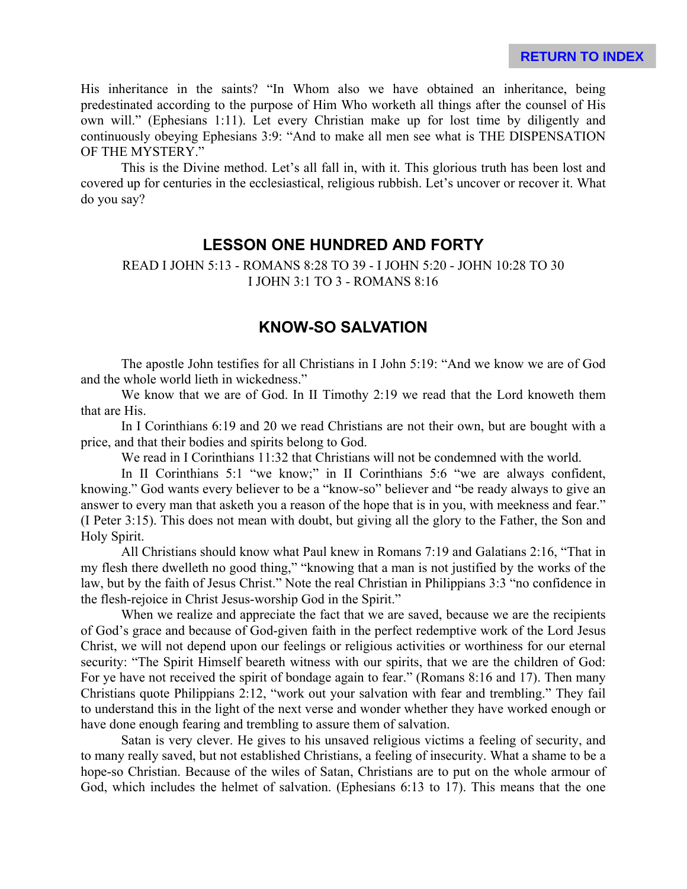His inheritance in the saints? "In Whom also we have obtained an inheritance, being predestinated according to the purpose of Him Who worketh all things after the counsel of His own will." (Ephesians 1:11). Let every Christian make up for lost time by diligently and continuously obeying Ephesians 3:9: "And to make all men see what is THE DISPENSATION OF THE MYSTERY."

This is the Divine method. Let's all fall in, with it. This glorious truth has been lost and covered up for centuries in the ecclesiastical, religious rubbish. Let's uncover or recover it. What do you say?

## **LESSON ONE HUNDRED AND FORTY**

READ I JOHN 5:13 - ROMANS 8:28 TO 39 - I JOHN 5:20 - JOHN 10:28 TO 30 I JOHN 3:1 TO 3 - ROMANS 8:16

## **KNOW-SO SALVATION**

The apostle John testifies for all Christians in I John 5:19: "And we know we are of God and the whole world lieth in wickedness."

We know that we are of God. In II Timothy 2:19 we read that the Lord knoweth them that are His.

In I Corinthians 6:19 and 20 we read Christians are not their own, but are bought with a price, and that their bodies and spirits belong to God.

We read in I Corinthians 11:32 that Christians will not be condemned with the world.

In II Corinthians 5:1 "we know;" in II Corinthians 5:6 "we are always confident, knowing." God wants every believer to be a "know-so" believer and "be ready always to give an answer to every man that asketh you a reason of the hope that is in you, with meekness and fear." (I Peter 3:15). This does not mean with doubt, but giving all the glory to the Father, the Son and Holy Spirit.

All Christians should know what Paul knew in Romans 7:19 and Galatians 2:16, "That in my flesh there dwelleth no good thing," "knowing that a man is not justified by the works of the law, but by the faith of Jesus Christ." Note the real Christian in Philippians 3:3 "no confidence in the flesh-rejoice in Christ Jesus-worship God in the Spirit."

When we realize and appreciate the fact that we are saved, because we are the recipients of God's grace and because of God-given faith in the perfect redemptive work of the Lord Jesus Christ, we will not depend upon our feelings or religious activities or worthiness for our eternal security: "The Spirit Himself beareth witness with our spirits, that we are the children of God: For ye have not received the spirit of bondage again to fear." (Romans 8:16 and 17). Then many Christians quote Philippians 2:12, "work out your salvation with fear and trembling." They fail to understand this in the light of the next verse and wonder whether they have worked enough or have done enough fearing and trembling to assure them of salvation.

Satan is very clever. He gives to his unsaved religious victims a feeling of security, and to many really saved, but not established Christians, a feeling of insecurity. What a shame to be a hope-so Christian. Because of the wiles of Satan, Christians are to put on the whole armour of God, which includes the helmet of salvation. (Ephesians 6:13 to 17). This means that the one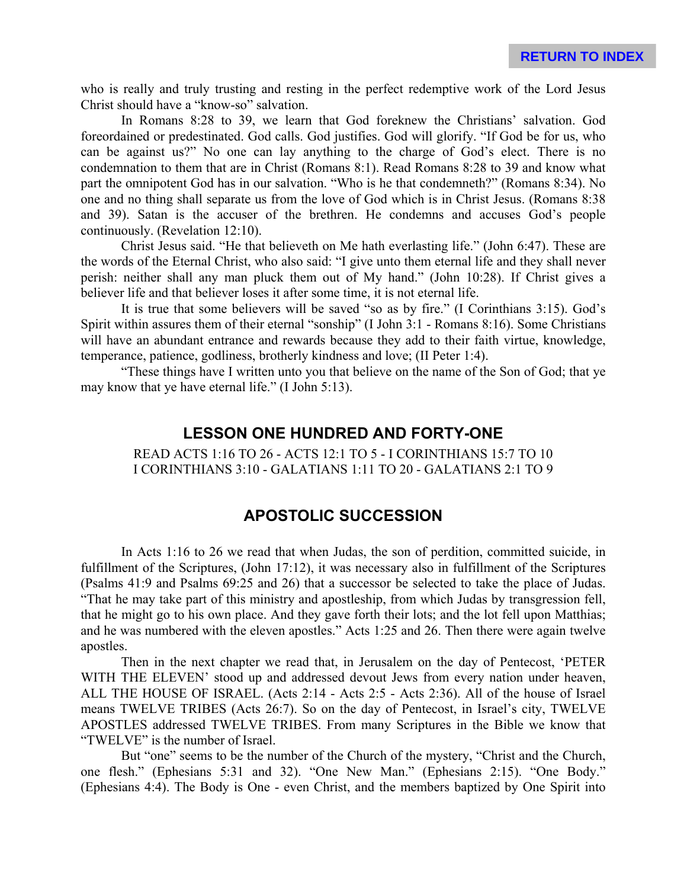who is really and truly trusting and resting in the perfect redemptive work of the Lord Jesus Christ should have a "know-so" salvation.

In Romans 8:28 to 39, we learn that God foreknew the Christians' salvation. God foreordained or predestinated. God calls. God justifies. God will glorify. "If God be for us, who can be against us?" No one can lay anything to the charge of God's elect. There is no condemnation to them that are in Christ (Romans 8:1). Read Romans 8:28 to 39 and know what part the omnipotent God has in our salvation. "Who is he that condemneth?" (Romans 8:34). No one and no thing shall separate us from the love of God which is in Christ Jesus. (Romans 8:38 and 39). Satan is the accuser of the brethren. He condemns and accuses God's people continuously. (Revelation 12:10).

Christ Jesus said. "He that believeth on Me hath everlasting life." (John 6:47). These are the words of the Eternal Christ, who also said: "I give unto them eternal life and they shall never perish: neither shall any man pluck them out of My hand." (John 10:28). If Christ gives a believer life and that believer loses it after some time, it is not eternal life.

It is true that some believers will be saved "so as by fire." (I Corinthians 3:15). God's Spirit within assures them of their eternal "sonship" (I John 3:1 - Romans 8:16). Some Christians will have an abundant entrance and rewards because they add to their faith virtue, knowledge, temperance, patience, godliness, brotherly kindness and love; (II Peter 1:4).

"These things have I written unto you that believe on the name of the Son of God; that ye may know that ye have eternal life." (I John 5:13).

#### **LESSON ONE HUNDRED AND FORTY-ONE**

READ ACTS 1:16 TO 26 - ACTS 12:1 TO 5 - I CORINTHIANS 15:7 TO 10 I CORINTHIANS 3:10 - GALATIANS 1:11 TO 20 - GALATIANS 2:1 TO 9

## **APOSTOLIC SUCCESSION**

In Acts 1:16 to 26 we read that when Judas, the son of perdition, committed suicide, in fulfillment of the Scriptures, (John 17:12), it was necessary also in fulfillment of the Scriptures (Psalms 41:9 and Psalms 69:25 and 26) that a successor be selected to take the place of Judas. "That he may take part of this ministry and apostleship, from which Judas by transgression fell, that he might go to his own place. And they gave forth their lots; and the lot fell upon Matthias; and he was numbered with the eleven apostles." Acts 1:25 and 26. Then there were again twelve apostles.

Then in the next chapter we read that, in Jerusalem on the day of Pentecost, 'PETER WITH THE ELEVEN' stood up and addressed devout Jews from every nation under heaven, ALL THE HOUSE OF ISRAEL. (Acts 2:14 - Acts 2:5 - Acts 2:36). All of the house of Israel means TWELVE TRIBES (Acts 26:7). So on the day of Pentecost, in Israel's city, TWELVE APOSTLES addressed TWELVE TRIBES. From many Scriptures in the Bible we know that "TWELVE" is the number of Israel.

But "one" seems to be the number of the Church of the mystery, "Christ and the Church, one flesh." (Ephesians 5:31 and 32). "One New Man." (Ephesians 2:15). "One Body." (Ephesians 4:4). The Body is One - even Christ, and the members baptized by One Spirit into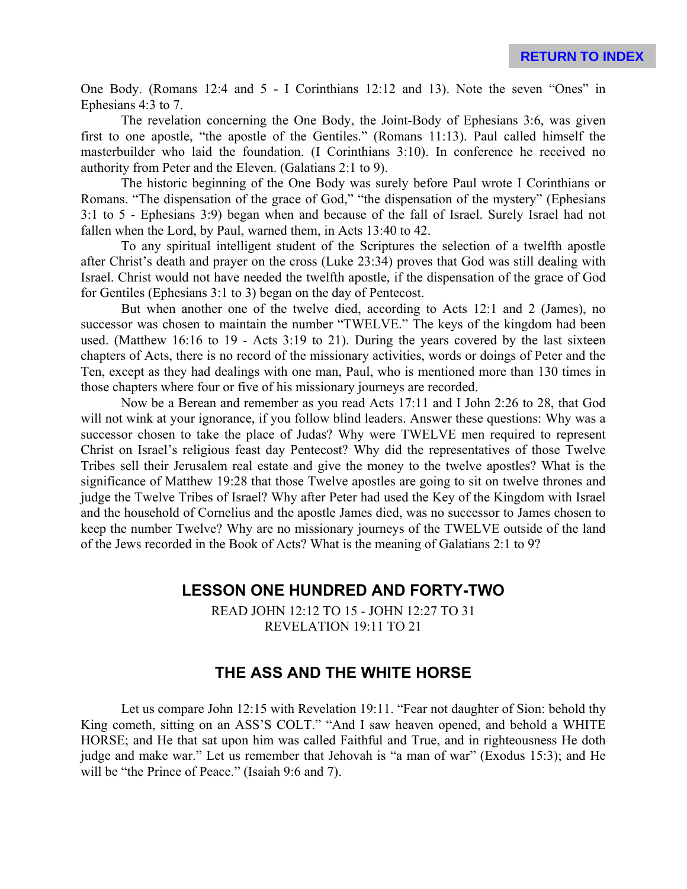One Body. (Romans 12:4 and 5 - I Corinthians 12:12 and 13). Note the seven "Ones" in Ephesians 4:3 to 7.

The revelation concerning the One Body, the Joint-Body of Ephesians 3:6, was given first to one apostle, "the apostle of the Gentiles." (Romans 11:13). Paul called himself the masterbuilder who laid the foundation. (I Corinthians 3:10). In conference he received no authority from Peter and the Eleven. (Galatians 2:1 to 9).

The historic beginning of the One Body was surely before Paul wrote I Corinthians or Romans. "The dispensation of the grace of God," "the dispensation of the mystery" (Ephesians 3:1 to 5 - Ephesians 3:9) began when and because of the fall of Israel. Surely Israel had not fallen when the Lord, by Paul, warned them, in Acts 13:40 to 42.

To any spiritual intelligent student of the Scriptures the selection of a twelfth apostle after Christ's death and prayer on the cross (Luke 23:34) proves that God was still dealing with Israel. Christ would not have needed the twelfth apostle, if the dispensation of the grace of God for Gentiles (Ephesians 3:1 to 3) began on the day of Pentecost.

But when another one of the twelve died, according to Acts 12:1 and 2 (James), no successor was chosen to maintain the number "TWELVE." The keys of the kingdom had been used. (Matthew 16:16 to 19 - Acts 3:19 to 21). During the years covered by the last sixteen chapters of Acts, there is no record of the missionary activities, words or doings of Peter and the Ten, except as they had dealings with one man, Paul, who is mentioned more than 130 times in those chapters where four or five of his missionary journeys are recorded.

Now be a Berean and remember as you read Acts 17:11 and I John 2:26 to 28, that God will not wink at your ignorance, if you follow blind leaders. Answer these questions: Why was a successor chosen to take the place of Judas? Why were TWELVE men required to represent Christ on Israel's religious feast day Pentecost? Why did the representatives of those Twelve Tribes sell their Jerusalem real estate and give the money to the twelve apostles? What is the significance of Matthew 19:28 that those Twelve apostles are going to sit on twelve thrones and judge the Twelve Tribes of Israel? Why after Peter had used the Key of the Kingdom with Israel and the household of Cornelius and the apostle James died, was no successor to James chosen to keep the number Twelve? Why are no missionary journeys of the TWELVE outside of the land of the Jews recorded in the Book of Acts? What is the meaning of Galatians 2:1 to 9?

#### **LESSON ONE HUNDRED AND FORTY-TWO**

READ JOHN 12:12 TO 15 - JOHN 12:27 TO 31 REVELATION 19:11 TO 21

### **THE ASS AND THE WHITE HORSE**

Let us compare John 12:15 with Revelation 19:11. "Fear not daughter of Sion: behold thy King cometh, sitting on an ASS'S COLT." "And I saw heaven opened, and behold a WHITE HORSE; and He that sat upon him was called Faithful and True, and in righteousness He doth judge and make war." Let us remember that Jehovah is "a man of war" (Exodus 15:3); and He will be "the Prince of Peace." (Isaiah 9:6 and 7).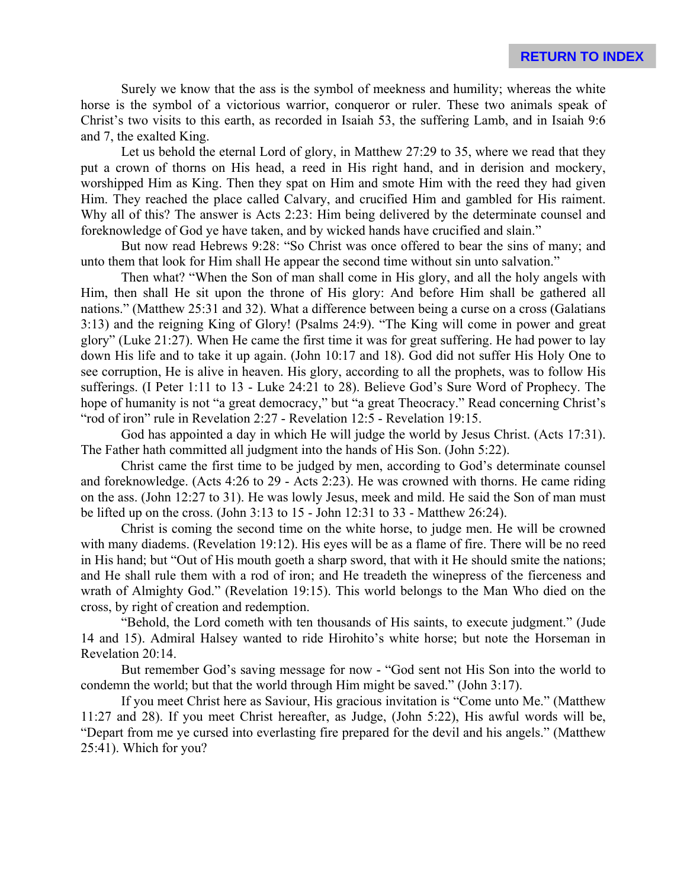Surely we know that the ass is the symbol of meekness and humility; whereas the white horse is the symbol of a victorious warrior, conqueror or ruler. These two animals speak of Christ's two visits to this earth, as recorded in Isaiah 53, the suffering Lamb, and in Isaiah 9:6 and 7, the exalted King.

Let us behold the eternal Lord of glory, in Matthew 27:29 to 35, where we read that they put a crown of thorns on His head, a reed in His right hand, and in derision and mockery, worshipped Him as King. Then they spat on Him and smote Him with the reed they had given Him. They reached the place called Calvary, and crucified Him and gambled for His raiment. Why all of this? The answer is Acts 2:23: Him being delivered by the determinate counsel and foreknowledge of God ye have taken, and by wicked hands have crucified and slain."

But now read Hebrews 9:28: "So Christ was once offered to bear the sins of many; and unto them that look for Him shall He appear the second time without sin unto salvation."

Then what? "When the Son of man shall come in His glory, and all the holy angels with Him, then shall He sit upon the throne of His glory: And before Him shall be gathered all nations." (Matthew 25:31 and 32). What a difference between being a curse on a cross (Galatians 3:13) and the reigning King of Glory! (Psalms 24:9). "The King will come in power and great glory" (Luke 21:27). When He came the first time it was for great suffering. He had power to lay down His life and to take it up again. (John 10:17 and 18). God did not suffer His Holy One to see corruption, He is alive in heaven. His glory, according to all the prophets, was to follow His sufferings. (I Peter 1:11 to 13 - Luke 24:21 to 28). Believe God's Sure Word of Prophecy. The hope of humanity is not "a great democracy," but "a great Theocracy." Read concerning Christ's "rod of iron" rule in Revelation 2:27 - Revelation 12:5 - Revelation 19:15.

God has appointed a day in which He will judge the world by Jesus Christ. (Acts 17:31). The Father hath committed all judgment into the hands of His Son. (John 5:22).

Christ came the first time to be judged by men, according to God's determinate counsel and foreknowledge. (Acts 4:26 to 29 - Acts 2:23). He was crowned with thorns. He came riding on the ass. (John 12:27 to 31). He was lowly Jesus, meek and mild. He said the Son of man must be lifted up on the cross. (John 3:13 to 15 - John 12:31 to 33 - Matthew 26:24).

Christ is coming the second time on the white horse, to judge men. He will be crowned with many diadems. (Revelation 19:12). His eyes will be as a flame of fire. There will be no reed in His hand; but "Out of His mouth goeth a sharp sword, that with it He should smite the nations; and He shall rule them with a rod of iron; and He treadeth the winepress of the fierceness and wrath of Almighty God." (Revelation 19:15). This world belongs to the Man Who died on the cross, by right of creation and redemption.

"Behold, the Lord cometh with ten thousands of His saints, to execute judgment." (Jude 14 and 15). Admiral Halsey wanted to ride Hirohito's white horse; but note the Horseman in Revelation 20:14.

But remember God's saving message for now - "God sent not His Son into the world to condemn the world; but that the world through Him might be saved." (John 3:17).

If you meet Christ here as Saviour, His gracious invitation is "Come unto Me." (Matthew 11:27 and 28). If you meet Christ hereafter, as Judge, (John 5:22), His awful words will be, "Depart from me ye cursed into everlasting fire prepared for the devil and his angels." (Matthew 25:41). Which for you?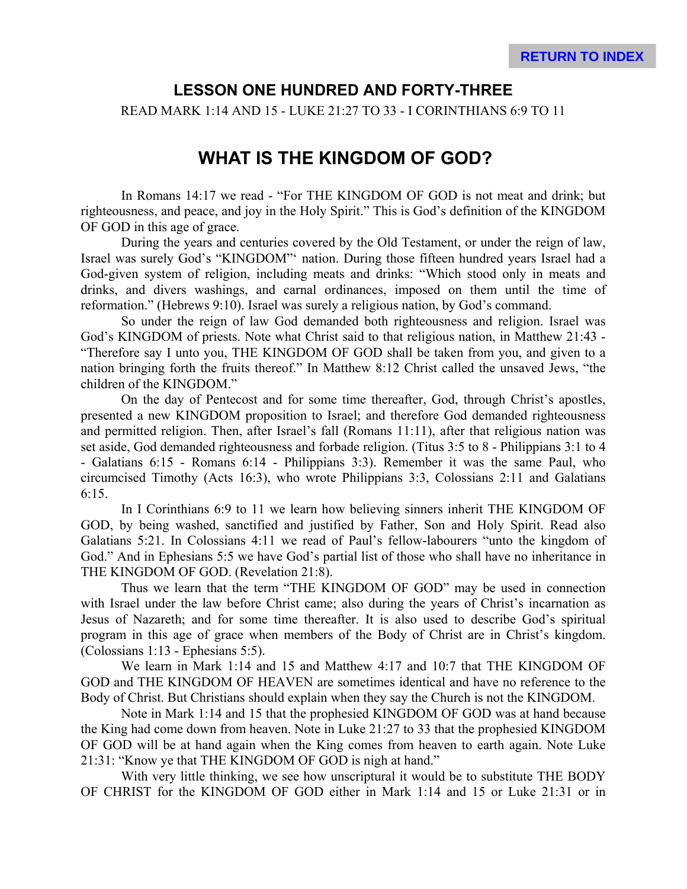## **LESSON ONE HUNDRED AND FORTY-THREE**

READ MARK 1:14 AND 15 - LUKE 21:27 TO 33 - I CORINTHIANS 6:9 TO 11

# **WHAT IS THE KINGDOM OF GOD?**

In Romans 14:17 we read - "For THE KINGDOM OF GOD is not meat and drink; but righteousness, and peace, and joy in the Holy Spirit." This is God's definition of the KINGDOM OF GOD in this age of grace.

During the years and centuries covered by the Old Testament, or under the reign of law, Israel was surely God's "KINGDOM"' nation. During those fifteen hundred years Israel had a God-given system of religion, including meats and drinks: "Which stood only in meats and drinks, and divers washings, and carnal ordinances, imposed on them until the time of reformation." (Hebrews 9:10). Israel was surely a religious nation, by God's command.

So under the reign of law God demanded both righteousness and religion. Israel was God's KINGDOM of priests. Note what Christ said to that religious nation, in Matthew 21:43 - "Therefore say I unto you, THE KINGDOM OF GOD shall be taken from you, and given to a nation bringing forth the fruits thereof." In Matthew 8:12 Christ called the unsaved Jews, "the children of the KINGDOM."

On the day of Pentecost and for some time thereafter, God, through Christ's apostles, presented a new KINGDOM proposition to Israel; and therefore God demanded righteousness and permitted religion. Then, after Israel's fall (Romans 11:11), after that religious nation was set aside, God demanded righteousness and forbade religion. (Titus 3:5 to 8 - Philippians 3:1 to 4 - Galatians 6:15 - Romans 6:14 - Philippians 3:3). Remember it was the same Paul, who circumcised Timothy (Acts 16:3), who wrote Philippians 3:3, Colossians 2:11 and Galatians 6:15.

In I Corinthians 6:9 to 11 we learn how believing sinners inherit THE KINGDOM OF GOD, by being washed, sanctified and justified by Father, Son and Holy Spirit. Read also Galatians 5:21. In Colossians 4:11 we read of Paul's fellow-labourers "unto the kingdom of God." And in Ephesians 5:5 we have God's partial list of those who shall have no inheritance in THE KINGDOM OF GOD. (Revelation 21:8).

Thus we learn that the term "THE KINGDOM OF GOD" may be used in connection with Israel under the law before Christ came; also during the years of Christ's incarnation as Jesus of Nazareth; and for some time thereafter. It is also used to describe God's spiritual program in this age of grace when members of the Body of Christ are in Christ's kingdom. (Colossians 1:13 - Ephesians 5:5).

We learn in Mark 1:14 and 15 and Matthew 4:17 and 10:7 that THE KINGDOM OF GOD and THE KINGDOM OF HEAVEN are sometimes identical and have no reference to the Body of Christ. But Christians should explain when they say the Church is not the KINGDOM.

Note in Mark 1:14 and 15 that the prophesied KINGDOM OF GOD was at hand because the King had come down from heaven. Note in Luke 21:27 to 33 that the prophesied KINGDOM OF GOD will be at hand again when the King comes from heaven to earth again. Note Luke 21:31: "Know ye that THE KINGDOM OF GOD is nigh at hand."

With very little thinking, we see how unscriptural it would be to substitute THE BODY OF CHRIST for the KINGDOM OF GOD either in Mark 1:14 and 15 or Luke 21:31 or in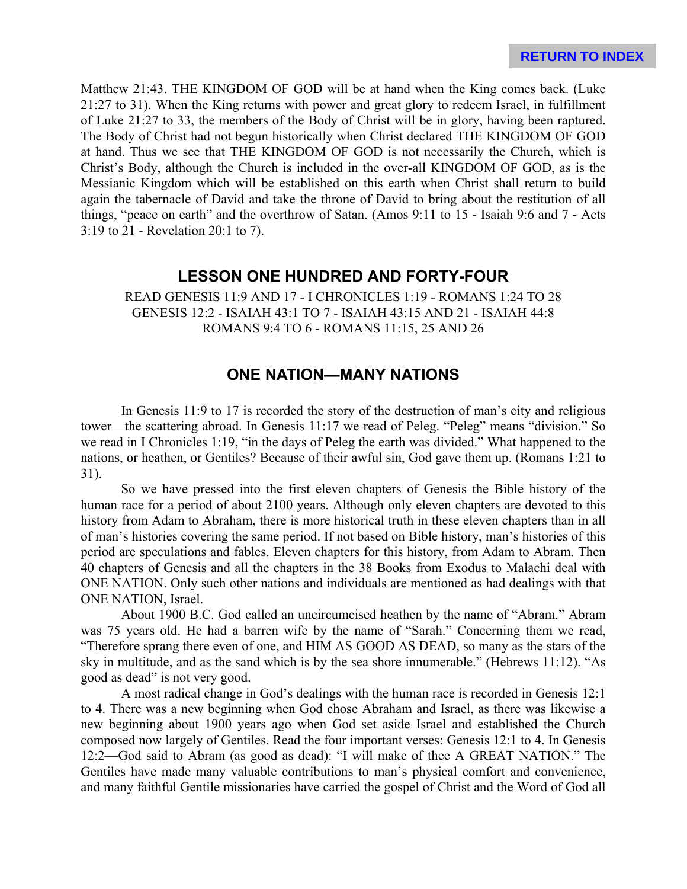Matthew 21:43. THE KINGDOM OF GOD will be at hand when the King comes back. (Luke 21:27 to 31). When the King returns with power and great glory to redeem Israel, in fulfillment of Luke 21:27 to 33, the members of the Body of Christ will be in glory, having been raptured. The Body of Christ had not begun historically when Christ declared THE KINGDOM OF GOD at hand. Thus we see that THE KINGDOM OF GOD is not necessarily the Church, which is Christ's Body, although the Church is included in the over-all KINGDOM OF GOD, as is the Messianic Kingdom which will be established on this earth when Christ shall return to build again the tabernacle of David and take the throne of David to bring about the restitution of all things, "peace on earth" and the overthrow of Satan. (Amos 9:11 to 15 - Isaiah 9:6 and 7 - Acts 3:19 to 21 - Revelation 20:1 to 7).

# **LESSON ONE HUNDRED AND FORTY-FOUR**

READ GENESIS 11:9 AND 17 - I CHRONICLES 1:19 - ROMANS 1:24 TO 28 GENESIS 12:2 - ISAIAH 43:1 TO 7 - ISAIAH 43:15 AND 21 - ISAIAH 44:8 ROMANS 9:4 TO 6 - ROMANS 11:15, 25 AND 26

# **ONE NATION—MANY NATIONS**

In Genesis 11:9 to 17 is recorded the story of the destruction of man's city and religious tower—the scattering abroad. In Genesis 11:17 we read of Peleg. "Peleg" means "division." So we read in I Chronicles 1:19, "in the days of Peleg the earth was divided." What happened to the nations, or heathen, or Gentiles? Because of their awful sin, God gave them up. (Romans 1:21 to 31).

So we have pressed into the first eleven chapters of Genesis the Bible history of the human race for a period of about 2100 years. Although only eleven chapters are devoted to this history from Adam to Abraham, there is more historical truth in these eleven chapters than in all of man's histories covering the same period. If not based on Bible history, man's histories of this period are speculations and fables. Eleven chapters for this history, from Adam to Abram. Then 40 chapters of Genesis and all the chapters in the 38 Books from Exodus to Malachi deal with ONE NATION. Only such other nations and individuals are mentioned as had dealings with that ONE NATION, Israel.

About 1900 B.C. God called an uncircumcised heathen by the name of "Abram." Abram was 75 years old. He had a barren wife by the name of "Sarah." Concerning them we read, "Therefore sprang there even of one, and HIM AS GOOD AS DEAD, so many as the stars of the sky in multitude, and as the sand which is by the sea shore innumerable." (Hebrews 11:12). "As good as dead" is not very good.

A most radical change in God's dealings with the human race is recorded in Genesis 12:1 to 4. There was a new beginning when God chose Abraham and Israel, as there was likewise a new beginning about 1900 years ago when God set aside Israel and established the Church composed now largely of Gentiles. Read the four important verses: Genesis 12:1 to 4. In Genesis 12:2—God said to Abram (as good as dead): "I will make of thee A GREAT NATION." The Gentiles have made many valuable contributions to man's physical comfort and convenience, and many faithful Gentile missionaries have carried the gospel of Christ and the Word of God all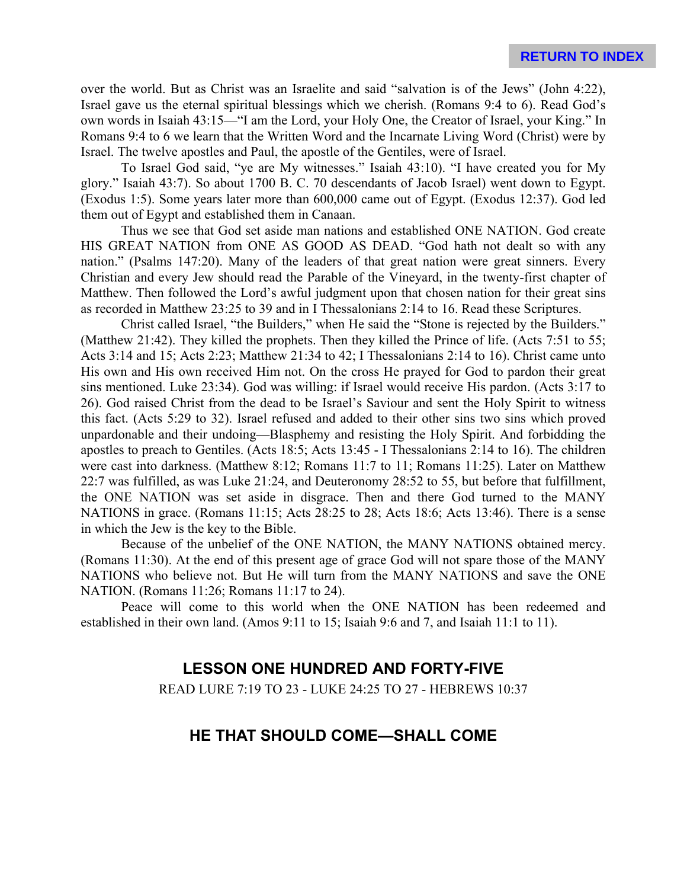over the world. But as Christ was an Israelite and said "salvation is of the Jews" (John 4:22), Israel gave us the eternal spiritual blessings which we cherish. (Romans 9:4 to 6). Read God's own words in Isaiah 43:15—"I am the Lord, your Holy One, the Creator of Israel, your King." In Romans 9:4 to 6 we learn that the Written Word and the Incarnate Living Word (Christ) were by Israel. The twelve apostles and Paul, the apostle of the Gentiles, were of Israel.

To Israel God said, "ye are My witnesses." Isaiah 43:10). "I have created you for My glory." Isaiah 43:7). So about 1700 B. C. 70 descendants of Jacob Israel) went down to Egypt. (Exodus 1:5). Some years later more than 600,000 came out of Egypt. (Exodus 12:37). God led them out of Egypt and established them in Canaan.

Thus we see that God set aside man nations and established ONE NATION. God create HIS GREAT NATION from ONE AS GOOD AS DEAD. "God hath not dealt so with any nation." (Psalms 147:20). Many of the leaders of that great nation were great sinners. Every Christian and every Jew should read the Parable of the Vineyard, in the twenty-first chapter of Matthew. Then followed the Lord's awful judgment upon that chosen nation for their great sins as recorded in Matthew 23:25 to 39 and in I Thessalonians 2:14 to 16. Read these Scriptures.

Christ called Israel, "the Builders," when He said the "Stone is rejected by the Builders." (Matthew 21:42). They killed the prophets. Then they killed the Prince of life. (Acts 7:51 to 55; Acts 3:14 and 15; Acts 2:23; Matthew 21:34 to 42; I Thessalonians 2:14 to 16). Christ came unto His own and His own received Him not. On the cross He prayed for God to pardon their great sins mentioned. Luke 23:34). God was willing: if Israel would receive His pardon. (Acts 3:17 to 26). God raised Christ from the dead to be Israel's Saviour and sent the Holy Spirit to witness this fact. (Acts 5:29 to 32). Israel refused and added to their other sins two sins which proved unpardonable and their undoing—Blasphemy and resisting the Holy Spirit. And forbidding the apostles to preach to Gentiles. (Acts 18:5; Acts 13:45 - I Thessalonians 2:14 to 16). The children were cast into darkness. (Matthew 8:12; Romans 11:7 to 11; Romans 11:25). Later on Matthew 22:7 was fulfilled, as was Luke 21:24, and Deuteronomy 28:52 to 55, but before that fulfillment, the ONE NATION was set aside in disgrace. Then and there God turned to the MANY NATIONS in grace. (Romans 11:15; Acts 28:25 to 28; Acts 18:6; Acts 13:46). There is a sense in which the Jew is the key to the Bible.

Because of the unbelief of the ONE NATION, the MANY NATIONS obtained mercy. (Romans 11:30). At the end of this present age of grace God will not spare those of the MANY NATIONS who believe not. But He will turn from the MANY NATIONS and save the ONE NATION. (Romans 11:26; Romans 11:17 to 24).

Peace will come to this world when the ONE NATION has been redeemed and established in their own land. (Amos 9:11 to 15; Isaiah 9:6 and 7, and Isaiah 11:1 to 11).

# **LESSON ONE HUNDRED AND FORTY-FIVE**

READ LURE 7:19 TO 23 - LUKE 24:25 TO 27 - HEBREWS 10:37

# **HE THAT SHOULD COME—SHALL COME**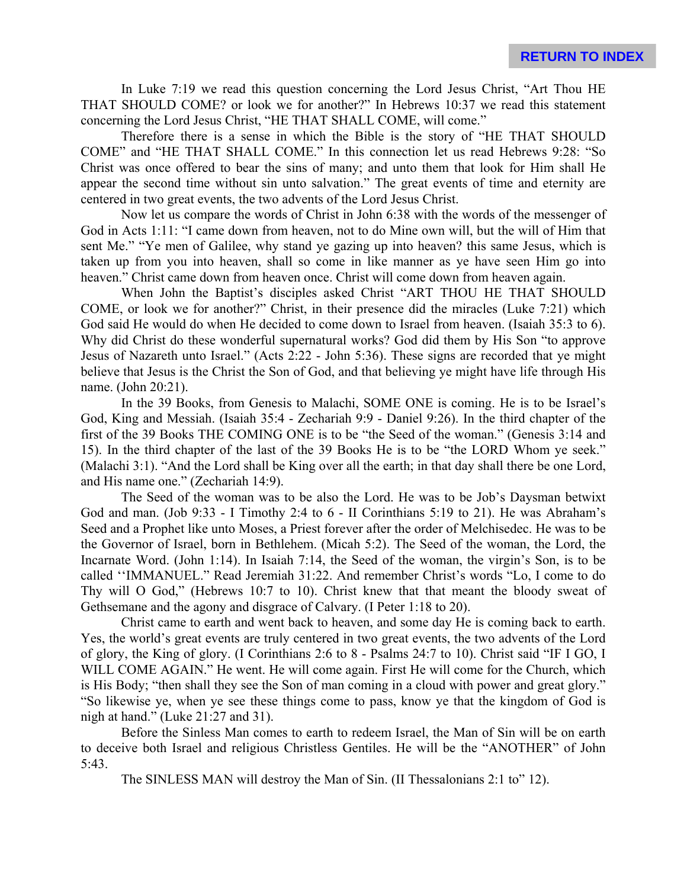In Luke 7:19 we read this question concerning the Lord Jesus Christ, "Art Thou HE THAT SHOULD COME? or look we for another?" In Hebrews 10:37 we read this statement concerning the Lord Jesus Christ, "HE THAT SHALL COME, will come."

Therefore there is a sense in which the Bible is the story of "HE THAT SHOULD COME" and "HE THAT SHALL COME." In this connection let us read Hebrews 9:28: "So Christ was once offered to bear the sins of many; and unto them that look for Him shall He appear the second time without sin unto salvation." The great events of time and eternity are centered in two great events, the two advents of the Lord Jesus Christ.

Now let us compare the words of Christ in John 6:38 with the words of the messenger of God in Acts 1:11: "I came down from heaven, not to do Mine own will, but the will of Him that sent Me." "Ye men of Galilee, why stand ye gazing up into heaven? this same Jesus, which is taken up from you into heaven, shall so come in like manner as ye have seen Him go into heaven." Christ came down from heaven once. Christ will come down from heaven again.

When John the Baptist's disciples asked Christ "ART THOU HE THAT SHOULD COME, or look we for another?" Christ, in their presence did the miracles (Luke 7:21) which God said He would do when He decided to come down to Israel from heaven. (Isaiah 35:3 to 6). Why did Christ do these wonderful supernatural works? God did them by His Son "to approve Jesus of Nazareth unto Israel." (Acts 2:22 - John 5:36). These signs are recorded that ye might believe that Jesus is the Christ the Son of God, and that believing ye might have life through His name. (John 20:21).

In the 39 Books, from Genesis to Malachi, SOME ONE is coming. He is to be Israel's God, King and Messiah. (Isaiah 35:4 - Zechariah 9:9 - Daniel 9:26). In the third chapter of the first of the 39 Books THE COMING ONE is to be "the Seed of the woman." (Genesis 3:14 and 15). In the third chapter of the last of the 39 Books He is to be "the LORD Whom ye seek." (Malachi 3:1). "And the Lord shall be King over all the earth; in that day shall there be one Lord, and His name one." (Zechariah 14:9).

The Seed of the woman was to be also the Lord. He was to be Job's Daysman betwixt God and man. (Job 9:33 - I Timothy 2:4 to 6 - II Corinthians 5:19 to 21). He was Abraham's Seed and a Prophet like unto Moses, a Priest forever after the order of Melchisedec. He was to be the Governor of Israel, born in Bethlehem. (Micah 5:2). The Seed of the woman, the Lord, the Incarnate Word. (John 1:14). In Isaiah 7:14, the Seed of the woman, the virgin's Son, is to be called ''IMMANUEL." Read Jeremiah 31:22. And remember Christ's words "Lo, I come to do Thy will O God," (Hebrews 10:7 to 10). Christ knew that that meant the bloody sweat of Gethsemane and the agony and disgrace of Calvary. (I Peter 1:18 to 20).

Christ came to earth and went back to heaven, and some day He is coming back to earth. Yes, the world's great events are truly centered in two great events, the two advents of the Lord of glory, the King of glory. (I Corinthians 2:6 to 8 - Psalms 24:7 to 10). Christ said "IF I GO, I WILL COME AGAIN." He went. He will come again. First He will come for the Church, which is His Body; "then shall they see the Son of man coming in a cloud with power and great glory." "So likewise ye, when ye see these things come to pass, know ye that the kingdom of God is nigh at hand." (Luke 21:27 and 31).

Before the Sinless Man comes to earth to redeem Israel, the Man of Sin will be on earth to deceive both Israel and religious Christless Gentiles. He will be the "ANOTHER" of John 5:43.

The SINLESS MAN will destroy the Man of Sin. (II Thessalonians 2:1 to" 12).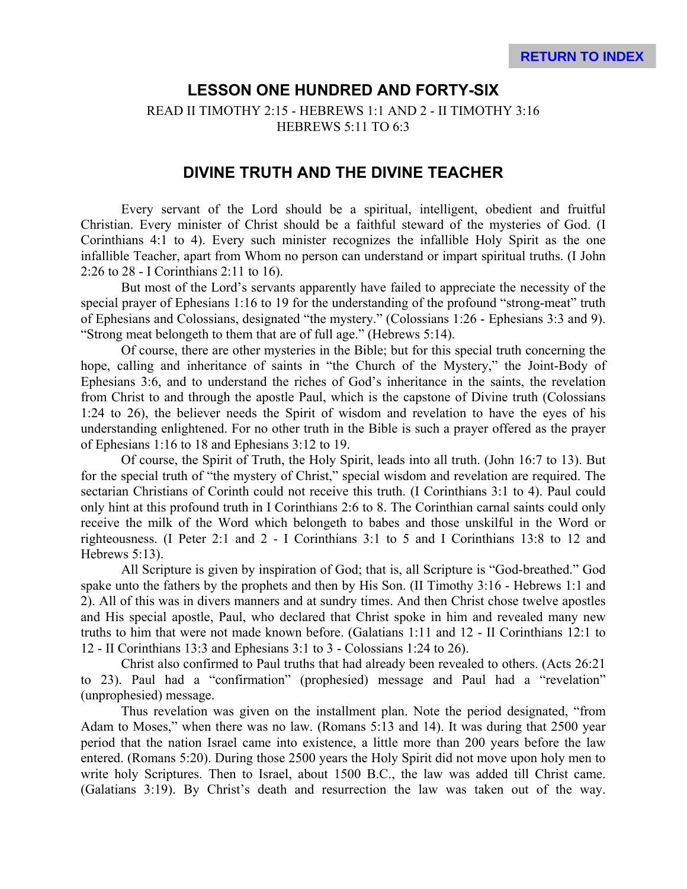# **LESSON ONE HUNDRED AND FORTY-SIX**

READ II TIMOTHY 2:15 - HEBREWS 1:1 AND 2 - II TIMOTHY 3:16 HEBREWS 5:11 TO 6:3

#### **DIVINE TRUTH AND THE DIVINE TEACHER**

Every servant of the Lord should be a spiritual, intelligent, obedient and fruitful Christian. Every minister of Christ should be a faithful steward of the mysteries of God. (I Corinthians 4:1 to 4). Every such minister recognizes the infallible Holy Spirit as the one infallible Teacher, apart from Whom no person can understand or impart spiritual truths. (I John 2:26 to 28 - I Corinthians 2:11 to 16).

But most of the Lord's servants apparently have failed to appreciate the necessity of the special prayer of Ephesians 1:16 to 19 for the understanding of the profound "strong-meat" truth of Ephesians and Colossians, designated "the mystery." (Colossians 1:26 - Ephesians 3:3 and 9). "Strong meat belongeth to them that are of full age." (Hebrews 5:14).

Of course, there are other mysteries in the Bible; but for this special truth concerning the hope, calling and inheritance of saints in "the Church of the Mystery," the Joint-Body of Ephesians 3:6, and to understand the riches of God's inheritance in the saints, the revelation from Christ to and through the apostle Paul, which is the capstone of Divine truth (Colossians 1:24 to 26), the believer needs the Spirit of wisdom and revelation to have the eyes of his understanding enlightened. For no other truth in the Bible is such a prayer offered as the prayer of Ephesians 1:16 to 18 and Ephesians 3:12 to 19.

Of course, the Spirit of Truth, the Holy Spirit, leads into all truth. (John 16:7 to 13). But for the special truth of "the mystery of Christ," special wisdom and revelation are required. The sectarian Christians of Corinth could not receive this truth. (I Corinthians 3:1 to 4). Paul could only hint at this profound truth in I Corinthians 2:6 to 8. The Corinthian carnal saints could only receive the milk of the Word which belongeth to babes and those unskilful in the Word or righteousness. (I Peter 2:1 and 2 - I Corinthians 3:1 to 5 and I Corinthians 13:8 to 12 and Hebrews 5:13).

All Scripture is given by inspiration of God; that is, all Scripture is "God-breathed." God spake unto the fathers by the prophets and then by His Son. (II Timothy 3:16 - Hebrews 1:1 and 2). All of this was in divers manners and at sundry times. And then Christ chose twelve apostles and His special apostle, Paul, who declared that Christ spoke in him and revealed many new truths to him that were not made known before. (Galatians 1:11 and 12 - II Corinthians 12:1 to 12 - II Corinthians 13:3 and Ephesians 3:1 to 3 - Colossians 1:24 to 26).

Christ also confirmed to Paul truths that had already been revealed to others. (Acts 26:21 to 23). Paul had a "confirmation" (prophesied) message and Paul had a "revelation" (unprophesied) message.

Thus revelation was given on the installment plan. Note the period designated, "from Adam to Moses," when there was no law. (Romans 5:13 and 14). It was during that 2500 year period that the nation Israel came into existence, a little more than 200 years before the law entered. (Romans 5:20). During those 2500 years the Holy Spirit did not move upon holy men to write holy Scriptures. Then to Israel, about 1500 B.C., the law was added till Christ came. (Galatians 3:19). By Christ's death and resurrection the law was taken out of the way.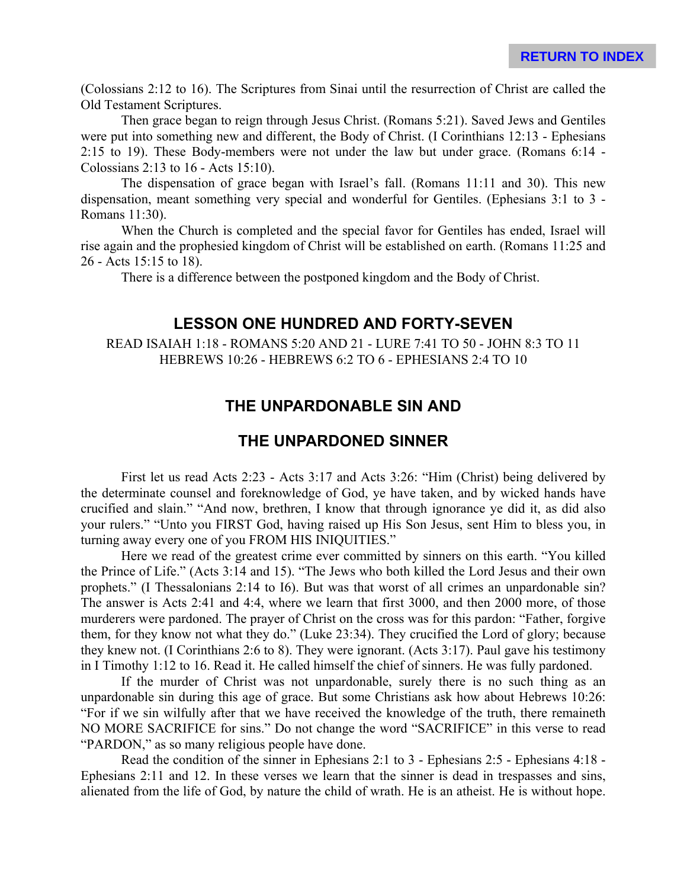(Colossians 2:12 to 16). The Scriptures from Sinai until the resurrection of Christ are called the Old Testament Scriptures.

Then grace began to reign through Jesus Christ. (Romans 5:21). Saved Jews and Gentiles were put into something new and different, the Body of Christ. (I Corinthians 12:13 - Ephesians 2:15 to 19). These Body-members were not under the law but under grace. (Romans 6:14 - Colossians 2:13 to 16 - Acts 15:10).

The dispensation of grace began with Israel's fall. (Romans 11:11 and 30). This new dispensation, meant something very special and wonderful for Gentiles. (Ephesians 3:1 to 3 - Romans 11:30).

When the Church is completed and the special favor for Gentiles has ended, Israel will rise again and the prophesied kingdom of Christ will be established on earth. (Romans 11:25 and 26 - Acts 15:15 to 18).

There is a difference between the postponed kingdom and the Body of Christ.

#### **LESSON ONE HUNDRED AND FORTY-SEVEN**

READ ISAIAH 1:18 - ROMANS 5:20 AND 21 - LURE 7:41 TO 50 - JOHN 8:3 TO 11 HEBREWS 10:26 - HEBREWS 6:2 TO 6 - EPHESIANS 2:4 TO 10

## **THE UNPARDONABLE SIN AND**

#### **THE UNPARDONED SINNER**

First let us read Acts 2:23 - Acts 3:17 and Acts 3:26: "Him (Christ) being delivered by the determinate counsel and foreknowledge of God, ye have taken, and by wicked hands have crucified and slain." "And now, brethren, I know that through ignorance ye did it, as did also your rulers." "Unto you FIRST God, having raised up His Son Jesus, sent Him to bless you, in turning away every one of you FROM HIS INIQUITIES."

Here we read of the greatest crime ever committed by sinners on this earth. "You killed the Prince of Life." (Acts 3:14 and 15). "The Jews who both killed the Lord Jesus and their own prophets." (I Thessalonians 2:14 to I6). But was that worst of all crimes an unpardonable sin? The answer is Acts 2:41 and 4:4, where we learn that first 3000, and then 2000 more, of those murderers were pardoned. The prayer of Christ on the cross was for this pardon: "Father, forgive them, for they know not what they do." (Luke 23:34). They crucified the Lord of glory; because they knew not. (I Corinthians 2:6 to 8). They were ignorant. (Acts 3:17). Paul gave his testimony in I Timothy 1:12 to 16. Read it. He called himself the chief of sinners. He was fully pardoned.

If the murder of Christ was not unpardonable, surely there is no such thing as an unpardonable sin during this age of grace. But some Christians ask how about Hebrews 10:26: "For if we sin wilfully after that we have received the knowledge of the truth, there remaineth NO MORE SACRIFICE for sins." Do not change the word "SACRIFICE" in this verse to read "PARDON," as so many religious people have done.

Read the condition of the sinner in Ephesians 2:1 to 3 - Ephesians 2:5 - Ephesians 4:18 - Ephesians 2:11 and 12. In these verses we learn that the sinner is dead in trespasses and sins, alienated from the life of God, by nature the child of wrath. He is an atheist. He is without hope.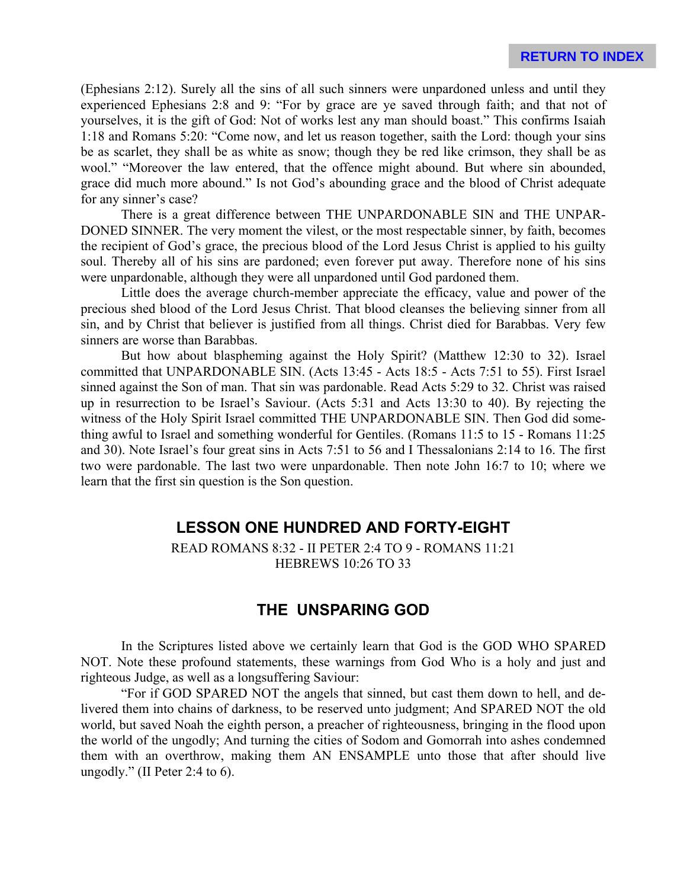(Ephesians 2:12). Surely all the sins of all such sinners were unpardoned unless and until they experienced Ephesians 2:8 and 9: "For by grace are ye saved through faith; and that not of yourselves, it is the gift of God: Not of works lest any man should boast." This confirms Isaiah 1:18 and Romans 5:20: "Come now, and let us reason together, saith the Lord: though your sins be as scarlet, they shall be as white as snow; though they be red like crimson, they shall be as wool." "Moreover the law entered, that the offence might abound. But where sin abounded, grace did much more abound." Is not God's abounding grace and the blood of Christ adequate for any sinner's case?

There is a great difference between THE UNPARDONABLE SIN and THE UNPAR-DONED SINNER. The very moment the vilest, or the most respectable sinner, by faith, becomes the recipient of God's grace, the precious blood of the Lord Jesus Christ is applied to his guilty soul. Thereby all of his sins are pardoned; even forever put away. Therefore none of his sins were unpardonable, although they were all unpardoned until God pardoned them.

Little does the average church-member appreciate the efficacy, value and power of the precious shed blood of the Lord Jesus Christ. That blood cleanses the believing sinner from all sin, and by Christ that believer is justified from all things. Christ died for Barabbas. Very few sinners are worse than Barabbas.

But how about blaspheming against the Holy Spirit? (Matthew 12:30 to 32). Israel committed that UNPARDONABLE SIN. (Acts 13:45 - Acts 18:5 - Acts 7:51 to 55). First Israel sinned against the Son of man. That sin was pardonable. Read Acts 5:29 to 32. Christ was raised up in resurrection to be Israel's Saviour. (Acts 5:31 and Acts 13:30 to 40). By rejecting the witness of the Holy Spirit Israel committed THE UNPARDONABLE SIN. Then God did something awful to Israel and something wonderful for Gentiles. (Romans 11:5 to 15 - Romans 11:25 and 30). Note Israel's four great sins in Acts 7:51 to 56 and I Thessalonians 2:14 to 16. The first two were pardonable. The last two were unpardonable. Then note John 16:7 to 10; where we learn that the first sin question is the Son question.

#### **LESSON ONE HUNDRED AND FORTY-EIGHT**

READ ROMANS 8:32 - II PETER 2:4 TO 9 - ROMANS 11:21 HEBREWS 10:26 TO 33

# **THE UNSPARING GOD**

In the Scriptures listed above we certainly learn that God is the GOD WHO SPARED NOT. Note these profound statements, these warnings from God Who is a holy and just and righteous Judge, as well as a longsuffering Saviour:

"For if GOD SPARED NOT the angels that sinned, but cast them down to hell, and delivered them into chains of darkness, to be reserved unto judgment; And SPARED NOT the old world, but saved Noah the eighth person, a preacher of righteousness, bringing in the flood upon the world of the ungodly; And turning the cities of Sodom and Gomorrah into ashes condemned them with an overthrow, making them AN ENSAMPLE unto those that after should live ungodly." (II Peter 2:4 to 6).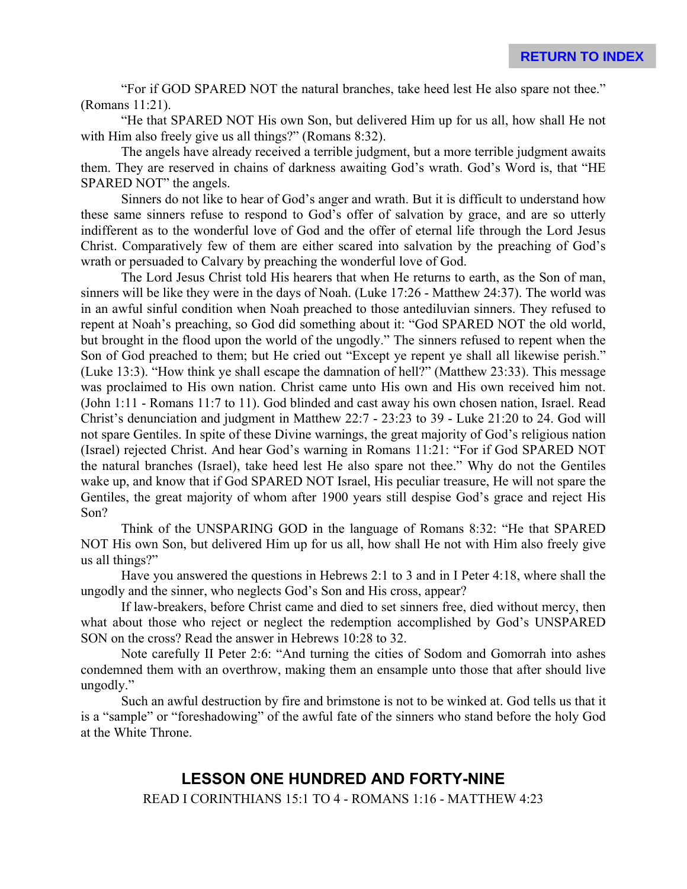"For if GOD SPARED NOT the natural branches, take heed lest He also spare not thee." (Romans 11:21).

"He that SPARED NOT His own Son, but delivered Him up for us all, how shall He not with Him also freely give us all things?" (Romans 8:32).

The angels have already received a terrible judgment, but a more terrible judgment awaits them. They are reserved in chains of darkness awaiting God's wrath. God's Word is, that "HE SPARED NOT" the angels.

Sinners do not like to hear of God's anger and wrath. But it is difficult to understand how these same sinners refuse to respond to God's offer of salvation by grace, and are so utterly indifferent as to the wonderful love of God and the offer of eternal life through the Lord Jesus Christ. Comparatively few of them are either scared into salvation by the preaching of God's wrath or persuaded to Calvary by preaching the wonderful love of God.

The Lord Jesus Christ told His hearers that when He returns to earth, as the Son of man, sinners will be like they were in the days of Noah. (Luke 17:26 - Matthew 24:37). The world was in an awful sinful condition when Noah preached to those antediluvian sinners. They refused to repent at Noah's preaching, so God did something about it: "God SPARED NOT the old world, but brought in the flood upon the world of the ungodly." The sinners refused to repent when the Son of God preached to them; but He cried out "Except ye repent ye shall all likewise perish." (Luke 13:3). "How think ye shall escape the damnation of hell?" (Matthew 23:33). This message was proclaimed to His own nation. Christ came unto His own and His own received him not. (John 1:11 - Romans 11:7 to 11). God blinded and cast away his own chosen nation, Israel. Read Christ's denunciation and judgment in Matthew 22:7 - 23:23 to 39 - Luke 21:20 to 24. God will not spare Gentiles. In spite of these Divine warnings, the great majority of God's religious nation (Israel) rejected Christ. And hear God's warning in Romans 11:21: "For if God SPARED NOT the natural branches (Israel), take heed lest He also spare not thee." Why do not the Gentiles wake up, and know that if God SPARED NOT Israel, His peculiar treasure, He will not spare the Gentiles, the great majority of whom after 1900 years still despise God's grace and reject His Son?

Think of the UNSPARING GOD in the language of Romans 8:32: "He that SPARED NOT His own Son, but delivered Him up for us all, how shall He not with Him also freely give us all things?"

Have you answered the questions in Hebrews 2:1 to 3 and in I Peter 4:18, where shall the ungodly and the sinner, who neglects God's Son and His cross, appear?

If law-breakers, before Christ came and died to set sinners free, died without mercy, then what about those who reject or neglect the redemption accomplished by God's UNSPARED SON on the cross? Read the answer in Hebrews 10:28 to 32.

Note carefully II Peter 2:6: "And turning the cities of Sodom and Gomorrah into ashes condemned them with an overthrow, making them an ensample unto those that after should live ungodly."

Such an awful destruction by fire and brimstone is not to be winked at. God tells us that it is a "sample" or "foreshadowing" of the awful fate of the sinners who stand before the holy God at the White Throne.

#### **LESSON ONE HUNDRED AND FORTY-NINE**

READ I CORINTHIANS 15:1 TO 4 - ROMANS 1:16 - MATTHEW 4:23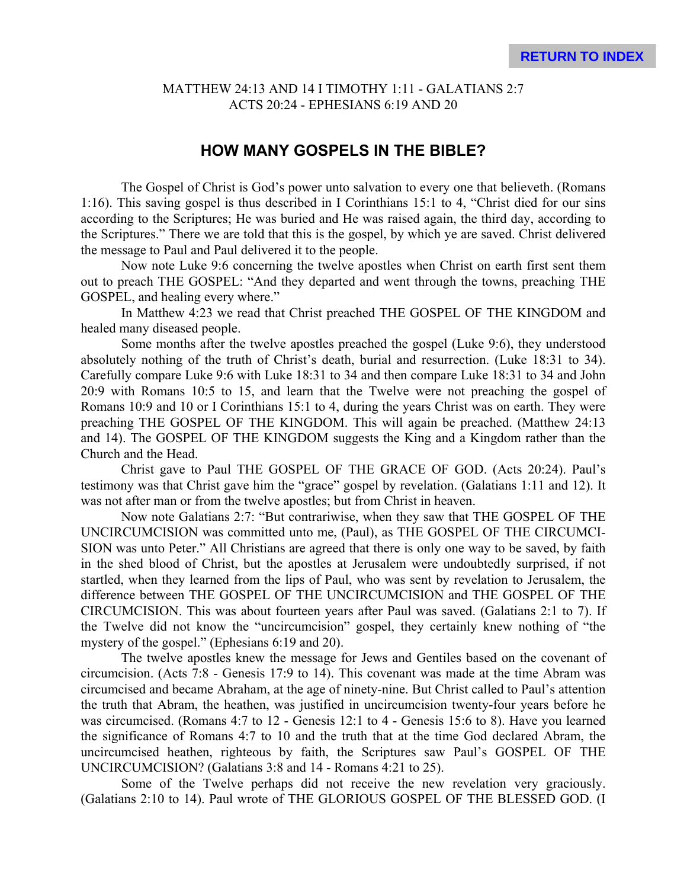#### MATTHEW 24:13 AND 14 I TIMOTHY 1:11 - GALATIANS 2:7 ACTS 20:24 - EPHESIANS 6:19 AND 20

#### **HOW MANY GOSPELS IN THE BIBLE?**

The Gospel of Christ is God's power unto salvation to every one that believeth. (Romans 1:16). This saving gospel is thus described in I Corinthians 15:1 to 4, "Christ died for our sins according to the Scriptures; He was buried and He was raised again, the third day, according to the Scriptures." There we are told that this is the gospel, by which ye are saved. Christ delivered the message to Paul and Paul delivered it to the people.

Now note Luke 9:6 concerning the twelve apostles when Christ on earth first sent them out to preach THE GOSPEL: "And they departed and went through the towns, preaching THE GOSPEL, and healing every where."

In Matthew 4:23 we read that Christ preached THE GOSPEL OF THE KINGDOM and healed many diseased people.

Some months after the twelve apostles preached the gospel (Luke 9:6), they understood absolutely nothing of the truth of Christ's death, burial and resurrection. (Luke 18:31 to 34). Carefully compare Luke 9:6 with Luke 18:31 to 34 and then compare Luke 18:31 to 34 and John 20:9 with Romans 10:5 to 15, and learn that the Twelve were not preaching the gospel of Romans 10:9 and 10 or I Corinthians 15:1 to 4, during the years Christ was on earth. They were preaching THE GOSPEL OF THE KINGDOM. This will again be preached. (Matthew 24:13 and 14). The GOSPEL OF THE KINGDOM suggests the King and a Kingdom rather than the Church and the Head.

Christ gave to Paul THE GOSPEL OF THE GRACE OF GOD. (Acts 20:24). Paul's testimony was that Christ gave him the "grace" gospel by revelation. (Galatians 1:11 and 12). It was not after man or from the twelve apostles; but from Christ in heaven.

Now note Galatians 2:7: "But contrariwise, when they saw that THE GOSPEL OF THE UNCIRCUMCISION was committed unto me, (Paul), as THE GOSPEL OF THE CIRCUMCI-SION was unto Peter." All Christians are agreed that there is only one way to be saved, by faith in the shed blood of Christ, but the apostles at Jerusalem were undoubtedly surprised, if not startled, when they learned from the lips of Paul, who was sent by revelation to Jerusalem, the difference between THE GOSPEL OF THE UNCIRCUMCISION and THE GOSPEL OF THE CIRCUMCISION. This was about fourteen years after Paul was saved. (Galatians 2:1 to 7). If the Twelve did not know the "uncircumcision" gospel, they certainly knew nothing of "the mystery of the gospel." (Ephesians 6:19 and 20).

The twelve apostles knew the message for Jews and Gentiles based on the covenant of circumcision. (Acts 7:8 - Genesis 17:9 to 14). This covenant was made at the time Abram was circumcised and became Abraham, at the age of ninety-nine. But Christ called to Paul's attention the truth that Abram, the heathen, was justified in uncircumcision twenty-four years before he was circumcised. (Romans 4:7 to 12 - Genesis 12:1 to 4 - Genesis 15:6 to 8). Have you learned the significance of Romans 4:7 to 10 and the truth that at the time God declared Abram, the uncircumcised heathen, righteous by faith, the Scriptures saw Paul's GOSPEL OF THE UNCIRCUMCISION? (Galatians 3:8 and 14 - Romans 4:21 to 25).

Some of the Twelve perhaps did not receive the new revelation very graciously. (Galatians 2:10 to 14). Paul wrote of THE GLORIOUS GOSPEL OF THE BLESSED GOD. (I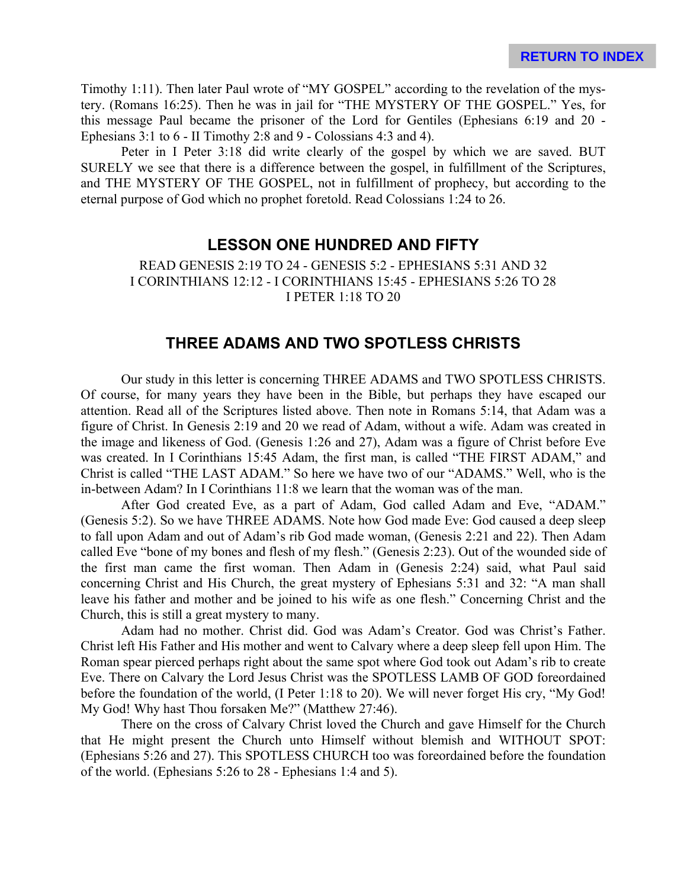Timothy 1:11). Then later Paul wrote of "MY GOSPEL" according to the revelation of the mystery. (Romans 16:25). Then he was in jail for "THE MYSTERY OF THE GOSPEL." Yes, for this message Paul became the prisoner of the Lord for Gentiles (Ephesians 6:19 and 20 - Ephesians 3:1 to 6 - II Timothy 2:8 and 9 - Colossians 4:3 and 4).

Peter in I Peter 3:18 did write clearly of the gospel by which we are saved. BUT SURELY we see that there is a difference between the gospel, in fulfillment of the Scriptures, and THE MYSTERY OF THE GOSPEL, not in fulfillment of prophecy, but according to the eternal purpose of God which no prophet foretold. Read Colossians 1:24 to 26.

#### **LESSON ONE HUNDRED AND FIFTY**

READ GENESIS 2:19 TO 24 - GENESIS 5:2 - EPHESIANS 5:31 AND 32 I CORINTHIANS 12:12 - I CORINTHIANS 15:45 - EPHESIANS 5:26 TO 28 I PETER 1:18 TO 20

## **THREE ADAMS AND TWO SPOTLESS CHRISTS**

Our study in this letter is concerning THREE ADAMS and TWO SPOTLESS CHRISTS. Of course, for many years they have been in the Bible, but perhaps they have escaped our attention. Read all of the Scriptures listed above. Then note in Romans 5:14, that Adam was a figure of Christ. In Genesis 2:19 and 20 we read of Adam, without a wife. Adam was created in the image and likeness of God. (Genesis 1:26 and 27), Adam was a figure of Christ before Eve was created. In I Corinthians 15:45 Adam, the first man, is called "THE FIRST ADAM," and Christ is called "THE LAST ADAM." So here we have two of our "ADAMS." Well, who is the in-between Adam? In I Corinthians 11:8 we learn that the woman was of the man.

After God created Eve, as a part of Adam, God called Adam and Eve, "ADAM." (Genesis 5:2). So we have THREE ADAMS. Note how God made Eve: God caused a deep sleep to fall upon Adam and out of Adam's rib God made woman, (Genesis 2:21 and 22). Then Adam called Eve "bone of my bones and flesh of my flesh." (Genesis 2:23). Out of the wounded side of the first man came the first woman. Then Adam in (Genesis 2:24) said, what Paul said concerning Christ and His Church, the great mystery of Ephesians 5:31 and 32: "A man shall leave his father and mother and be joined to his wife as one flesh." Concerning Christ and the Church, this is still a great mystery to many.

Adam had no mother. Christ did. God was Adam's Creator. God was Christ's Father. Christ left His Father and His mother and went to Calvary where a deep sleep fell upon Him. The Roman spear pierced perhaps right about the same spot where God took out Adam's rib to create Eve. There on Calvary the Lord Jesus Christ was the SPOTLESS LAMB OF GOD foreordained before the foundation of the world, (I Peter 1:18 to 20). We will never forget His cry, "My God! My God! Why hast Thou forsaken Me?" (Matthew 27:46).

There on the cross of Calvary Christ loved the Church and gave Himself for the Church that He might present the Church unto Himself without blemish and WITHOUT SPOT: (Ephesians 5:26 and 27). This SPOTLESS CHURCH too was foreordained before the foundation of the world. (Ephesians 5:26 to 28 - Ephesians 1:4 and 5).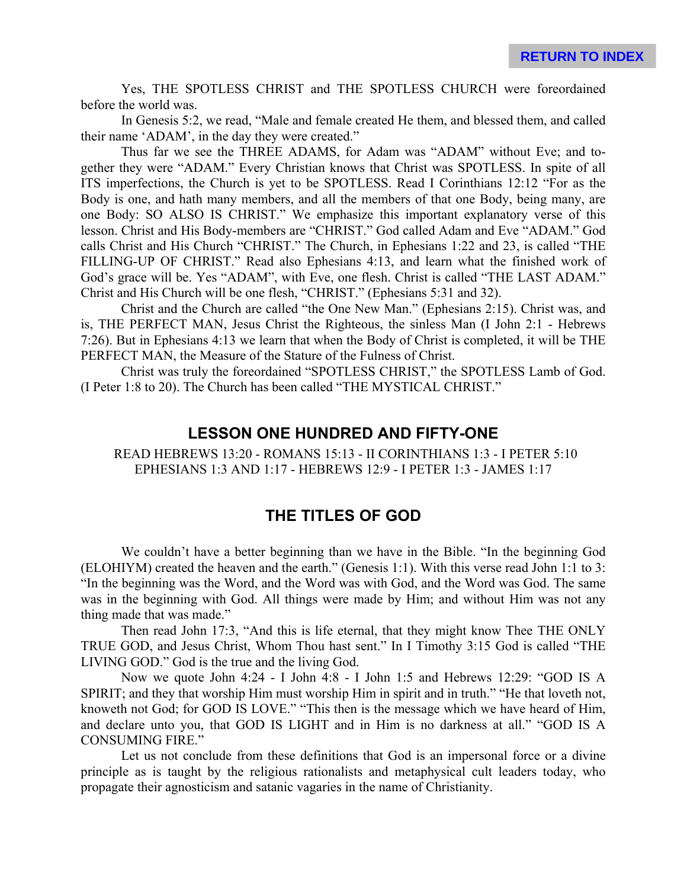Yes, THE SPOTLESS CHRIST and THE SPOTLESS CHURCH were foreordained before the world was.

In Genesis 5:2, we read, "Male and female created He them, and blessed them, and called their name 'ADAM', in the day they were created."

Thus far we see the THREE ADAMS, for Adam was "ADAM" without Eve; and together they were "ADAM." Every Christian knows that Christ was SPOTLESS. In spite of all ITS imperfections, the Church is yet to be SPOTLESS. Read I Corinthians 12:12 "For as the Body is one, and hath many members, and all the members of that one Body, being many, are one Body: SO ALSO IS CHRIST." We emphasize this important explanatory verse of this lesson. Christ and His Body-members are "CHRIST." God called Adam and Eve "ADAM." God calls Christ and His Church "CHRIST." The Church, in Ephesians 1:22 and 23, is called "THE FILLING-UP OF CHRIST." Read also Ephesians 4:13, and learn what the finished work of God's grace will be. Yes "ADAM", with Eve, one flesh. Christ is called "THE LAST ADAM." Christ and His Church will be one flesh, "CHRIST." (Ephesians 5:31 and 32).

Christ and the Church are called "the One New Man." (Ephesians 2:15). Christ was, and is, THE PERFECT MAN, Jesus Christ the Righteous, the sinless Man (I John 2:1 - Hebrews 7:26). But in Ephesians 4:13 we learn that when the Body of Christ is completed, it will be THE PERFECT MAN, the Measure of the Stature of the Fulness of Christ.

Christ was truly the foreordained "SPOTLESS CHRIST," the SPOTLESS Lamb of God. (I Peter 1:8 to 20). The Church has been called "THE MYSTICAL CHRIST."

#### **LESSON ONE HUNDRED AND FIFTY-ONE**

READ HEBREWS 13:20 - ROMANS 15:13 - II CORINTHIANS 1:3 - I PETER 5:10 EPHESIANS 1:3 AND 1:17 - HEBREWS 12:9 - I PETER 1:3 - JAMES 1:17

# **THE TITLES OF GOD**

We couldn't have a better beginning than we have in the Bible. "In the beginning God (ELOHIYM) created the heaven and the earth." (Genesis 1:1). With this verse read John 1:1 to 3: "In the beginning was the Word, and the Word was with God, and the Word was God. The same was in the beginning with God. All things were made by Him; and without Him was not any thing made that was made."

Then read John 17:3, "And this is life eternal, that they might know Thee THE ONLY TRUE GOD, and Jesus Christ, Whom Thou hast sent." In I Timothy 3:15 God is called "THE LIVING GOD." God is the true and the living God.

Now we quote John 4:24 - I John 4:8 - I John 1:5 and Hebrews 12:29: "GOD IS A SPIRIT; and they that worship Him must worship Him in spirit and in truth." "He that loveth not, knoweth not God; for GOD IS LOVE." "This then is the message which we have heard of Him, and declare unto you, that GOD IS LIGHT and in Him is no darkness at all." "GOD IS A CONSUMING FIRE."

Let us not conclude from these definitions that God is an impersonal force or a divine principle as is taught by the religious rationalists and metaphysical cult leaders today, who propagate their agnosticism and satanic vagaries in the name of Christianity.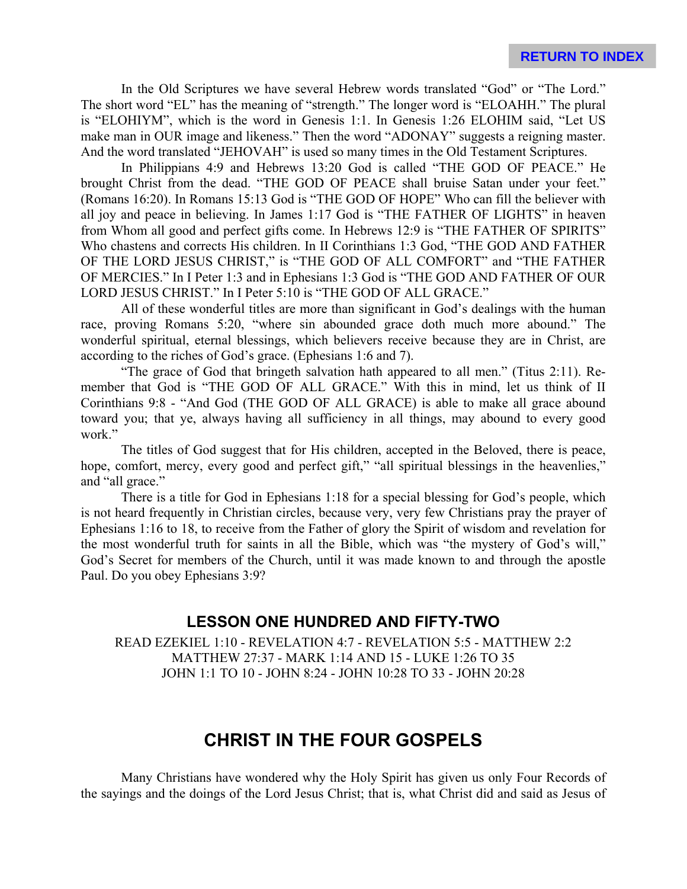In the Old Scriptures we have several Hebrew words translated "God" or "The Lord." The short word "EL" has the meaning of "strength." The longer word is "ELOAHH." The plural is "ELOHIYM", which is the word in Genesis 1:1. In Genesis 1:26 ELOHIM said, "Let US make man in OUR image and likeness." Then the word "ADONAY" suggests a reigning master. And the word translated "JEHOVAH" is used so many times in the Old Testament Scriptures.

In Philippians 4:9 and Hebrews 13:20 God is called "THE GOD OF PEACE." He brought Christ from the dead. "THE GOD OF PEACE shall bruise Satan under your feet." (Romans 16:20). In Romans 15:13 God is "THE GOD OF HOPE" Who can fill the believer with all joy and peace in believing. In James 1:17 God is "THE FATHER OF LIGHTS" in heaven from Whom all good and perfect gifts come. In Hebrews 12:9 is "THE FATHER OF SPIRITS" Who chastens and corrects His children. In II Corinthians 1:3 God, "THE GOD AND FATHER OF THE LORD JESUS CHRIST," is "THE GOD OF ALL COMFORT" and "THE FATHER OF MERCIES." In I Peter 1:3 and in Ephesians 1:3 God is "THE GOD AND FATHER OF OUR LORD JESUS CHRIST." In I Peter 5:10 is "THE GOD OF ALL GRACE."

All of these wonderful titles are more than significant in God's dealings with the human race, proving Romans 5:20, "where sin abounded grace doth much more abound." The wonderful spiritual, eternal blessings, which believers receive because they are in Christ, are according to the riches of God's grace. (Ephesians 1:6 and 7).

"The grace of God that bringeth salvation hath appeared to all men." (Titus 2:11). Remember that God is "THE GOD OF ALL GRACE." With this in mind, let us think of II Corinthians 9:8 - "And God (THE GOD OF ALL GRACE) is able to make all grace abound toward you; that ye, always having all sufficiency in all things, may abound to every good work"

The titles of God suggest that for His children, accepted in the Beloved, there is peace, hope, comfort, mercy, every good and perfect gift," "all spiritual blessings in the heavenlies," and "all grace."

There is a title for God in Ephesians 1:18 for a special blessing for God's people, which is not heard frequently in Christian circles, because very, very few Christians pray the prayer of Ephesians 1:16 to 18, to receive from the Father of glory the Spirit of wisdom and revelation for the most wonderful truth for saints in all the Bible, which was "the mystery of God's will," God's Secret for members of the Church, until it was made known to and through the apostle Paul. Do you obey Ephesians 3:9?

# **LESSON ONE HUNDRED AND FIFTY-TWO**

READ EZEKIEL 1:10 - REVELATION 4:7 - REVELATION 5:5 - MATTHEW 2:2 MATTHEW 27:37 - MARK 1:14 AND 15 - LUKE 1:26 TO 35 JOHN 1:1 TO 10 - JOHN 8:24 - JOHN 10:28 TO 33 - JOHN 20:28

# **CHRIST IN THE FOUR GOSPELS**

Many Christians have wondered why the Holy Spirit has given us only Four Records of the sayings and the doings of the Lord Jesus Christ; that is, what Christ did and said as Jesus of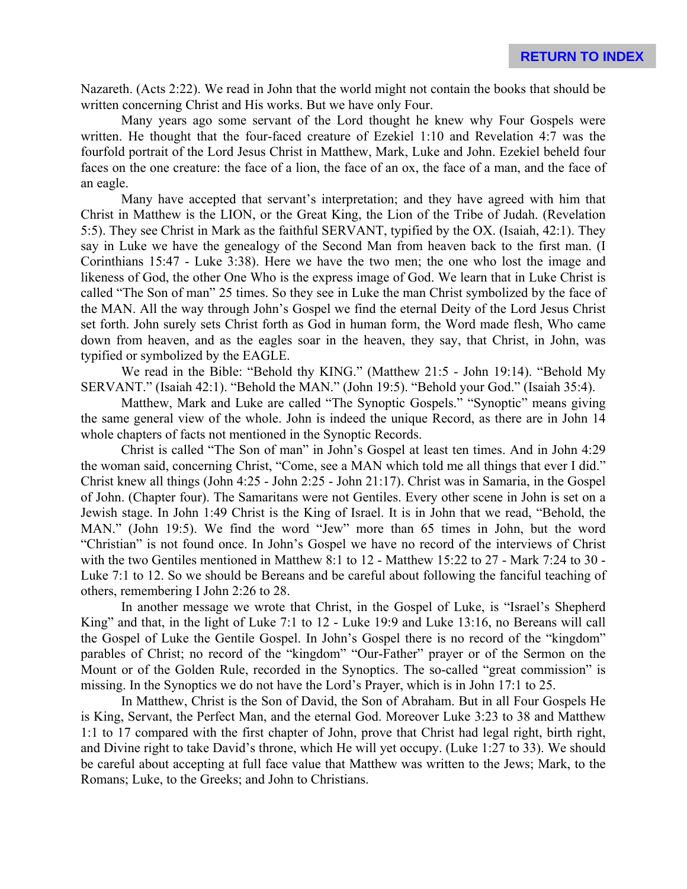Nazareth. (Acts 2:22). We read in John that the world might not contain the books that should be written concerning Christ and His works. But we have only Four.

Many years ago some servant of the Lord thought he knew why Four Gospels were written. He thought that the four-faced creature of Ezekiel 1:10 and Revelation 4:7 was the fourfold portrait of the Lord Jesus Christ in Matthew, Mark, Luke and John. Ezekiel beheld four faces on the one creature: the face of a lion, the face of an ox, the face of a man, and the face of an eagle.

Many have accepted that servant's interpretation; and they have agreed with him that Christ in Matthew is the LION, or the Great King, the Lion of the Tribe of Judah. (Revelation 5:5). They see Christ in Mark as the faithful SERVANT, typified by the OX. (Isaiah, 42:1). They say in Luke we have the genealogy of the Second Man from heaven back to the first man. (I Corinthians 15:47 - Luke 3:38). Here we have the two men; the one who lost the image and likeness of God, the other One Who is the express image of God. We learn that in Luke Christ is called "The Son of man" 25 times. So they see in Luke the man Christ symbolized by the face of the MAN. All the way through John's Gospel we find the eternal Deity of the Lord Jesus Christ set forth. John surely sets Christ forth as God in human form, the Word made flesh, Who came down from heaven, and as the eagles soar in the heaven, they say, that Christ, in John, was typified or symbolized by the EAGLE.

We read in the Bible: "Behold thy KING." (Matthew 21:5 - John 19:14). "Behold My SERVANT." (Isaiah 42:1). "Behold the MAN." (John 19:5). "Behold your God." (Isaiah 35:4).

Matthew, Mark and Luke are called "The Synoptic Gospels." "Synoptic" means giving the same general view of the whole. John is indeed the unique Record, as there are in John 14 whole chapters of facts not mentioned in the Synoptic Records.

Christ is called "The Son of man" in John's Gospel at least ten times. And in John 4:29 the woman said, concerning Christ, "Come, see a MAN which told me all things that ever I did." Christ knew all things (John 4:25 - John 2:25 - John 21:17). Christ was in Samaria, in the Gospel of John. (Chapter four). The Samaritans were not Gentiles. Every other scene in John is set on a Jewish stage. In John 1:49 Christ is the King of Israel. It is in John that we read, "Behold, the MAN." (John 19:5). We find the word "Jew" more than 65 times in John, but the word "Christian" is not found once. In John's Gospel we have no record of the interviews of Christ with the two Gentiles mentioned in Matthew 8:1 to 12 - Matthew 15:22 to 27 - Mark 7:24 to 30 - Luke 7:1 to 12. So we should be Bereans and be careful about following the fanciful teaching of others, remembering I John 2:26 to 28.

In another message we wrote that Christ, in the Gospel of Luke, is "Israel's Shepherd King" and that, in the light of Luke 7:1 to 12 - Luke 19:9 and Luke 13:16, no Bereans will call the Gospel of Luke the Gentile Gospel. In John's Gospel there is no record of the "kingdom" parables of Christ; no record of the "kingdom" "Our-Father" prayer or of the Sermon on the Mount or of the Golden Rule, recorded in the Synoptics. The so-called "great commission" is missing. In the Synoptics we do not have the Lord's Prayer, which is in John 17:1 to 25.

In Matthew, Christ is the Son of David, the Son of Abraham. But in all Four Gospels He is King, Servant, the Perfect Man, and the eternal God. Moreover Luke 3:23 to 38 and Matthew 1:1 to 17 compared with the first chapter of John, prove that Christ had legal right, birth right, and Divine right to take David's throne, which He will yet occupy. (Luke 1:27 to 33). We should be careful about accepting at full face value that Matthew was written to the Jews; Mark, to the Romans; Luke, to the Greeks; and John to Christians.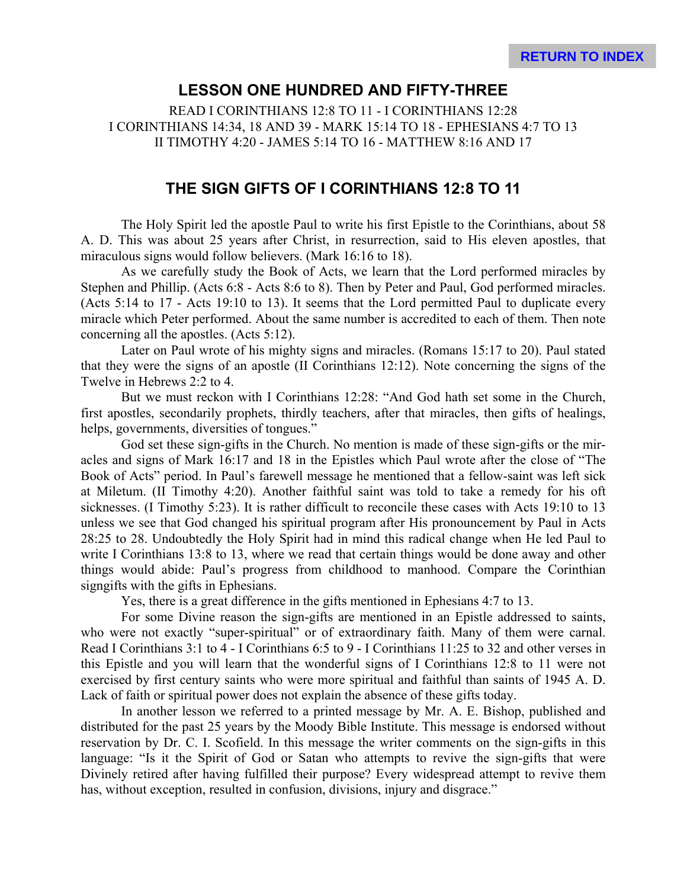#### **LESSON ONE HUNDRED AND FIFTY-THREE**

READ I CORINTHIANS 12:8 TO 11 - I CORINTHIANS 12:28 I CORINTHIANS 14:34, 18 AND 39 - MARK 15:14 TO 18 - EPHESIANS 4:7 TO 13 II TIMOTHY 4:20 - JAMES 5:14 TO 16 - MATTHEW 8:16 AND 17

#### **THE SIGN GIFTS OF I CORINTHIANS 12:8 TO 11**

The Holy Spirit led the apostle Paul to write his first Epistle to the Corinthians, about 58 A. D. This was about 25 years after Christ, in resurrection, said to His eleven apostles, that miraculous signs would follow believers. (Mark 16:16 to 18).

As we carefully study the Book of Acts, we learn that the Lord performed miracles by Stephen and Phillip. (Acts 6:8 - Acts 8:6 to 8). Then by Peter and Paul, God performed miracles. (Acts 5:14 to 17 - Acts 19:10 to 13). It seems that the Lord permitted Paul to duplicate every miracle which Peter performed. About the same number is accredited to each of them. Then note concerning all the apostles. (Acts 5:12).

Later on Paul wrote of his mighty signs and miracles. (Romans 15:17 to 20). Paul stated that they were the signs of an apostle (II Corinthians 12:12). Note concerning the signs of the Twelve in Hebrews 2:2 to 4.

But we must reckon with I Corinthians 12:28: "And God hath set some in the Church, first apostles, secondarily prophets, thirdly teachers, after that miracles, then gifts of healings, helps, governments, diversities of tongues."

God set these sign-gifts in the Church. No mention is made of these sign-gifts or the miracles and signs of Mark 16:17 and 18 in the Epistles which Paul wrote after the close of "The Book of Acts" period. In Paul's farewell message he mentioned that a fellow-saint was left sick at Miletum. (II Timothy 4:20). Another faithful saint was told to take a remedy for his oft sicknesses. (I Timothy 5:23). It is rather difficult to reconcile these cases with Acts 19:10 to 13 unless we see that God changed his spiritual program after His pronouncement by Paul in Acts 28:25 to 28. Undoubtedly the Holy Spirit had in mind this radical change when He led Paul to write I Corinthians 13:8 to 13, where we read that certain things would be done away and other things would abide: Paul's progress from childhood to manhood. Compare the Corinthian signgifts with the gifts in Ephesians.

Yes, there is a great difference in the gifts mentioned in Ephesians 4:7 to 13.

For some Divine reason the sign-gifts are mentioned in an Epistle addressed to saints, who were not exactly "super-spiritual" or of extraordinary faith. Many of them were carnal. Read I Corinthians 3:1 to 4 - I Corinthians 6:5 to 9 - I Corinthians 11:25 to 32 and other verses in this Epistle and you will learn that the wonderful signs of I Corinthians 12:8 to 11 were not exercised by first century saints who were more spiritual and faithful than saints of 1945 A. D. Lack of faith or spiritual power does not explain the absence of these gifts today.

In another lesson we referred to a printed message by Mr. A. E. Bishop, published and distributed for the past 25 years by the Moody Bible Institute. This message is endorsed without reservation by Dr. C. I. Scofield. In this message the writer comments on the sign-gifts in this language: "Is it the Spirit of God or Satan who attempts to revive the sign-gifts that were Divinely retired after having fulfilled their purpose? Every widespread attempt to revive them has, without exception, resulted in confusion, divisions, injury and disgrace."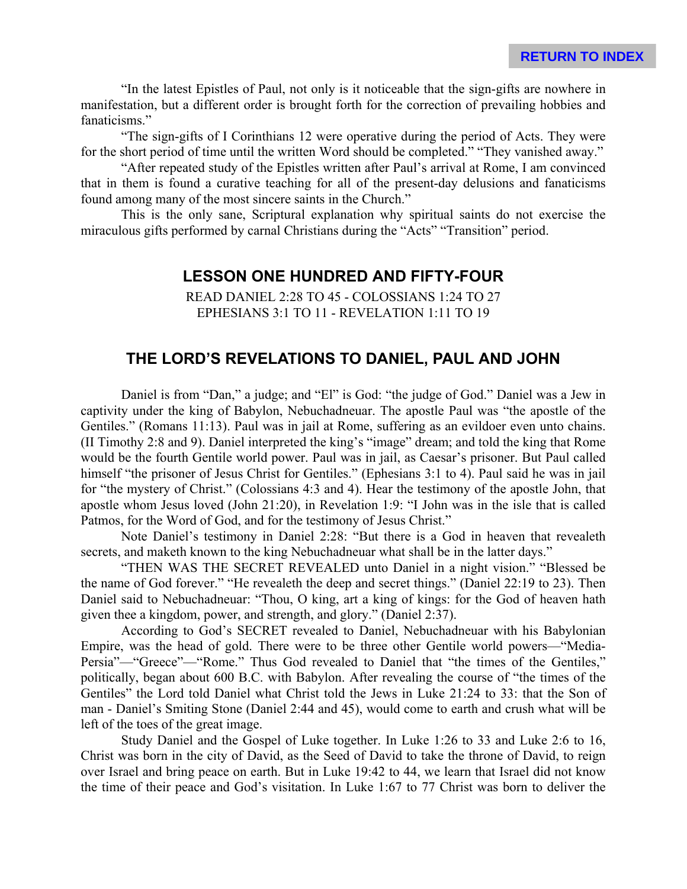"In the latest Epistles of Paul, not only is it noticeable that the sign-gifts are nowhere in manifestation, but a different order is brought forth for the correction of prevailing hobbies and fanaticisms."

"The sign-gifts of I Corinthians 12 were operative during the period of Acts. They were for the short period of time until the written Word should be completed." "They vanished away."

"After repeated study of the Epistles written after Paul's arrival at Rome, I am convinced that in them is found a curative teaching for all of the present-day delusions and fanaticisms found among many of the most sincere saints in the Church."

This is the only sane, Scriptural explanation why spiritual saints do not exercise the miraculous gifts performed by carnal Christians during the "Acts" "Transition" period.

## **LESSON ONE HUNDRED AND FIFTY-FOUR**

READ DANIEL 2:28 TO 45 - COLOSSIANS 1:24 TO 27 EPHESIANS 3:1 TO 11 - REVELATION 1:11 TO 19

# **THE LORD'S REVELATIONS TO DANIEL, PAUL AND JOHN**

Daniel is from "Dan," a judge; and "El" is God: "the judge of God." Daniel was a Jew in captivity under the king of Babylon, Nebuchadneuar. The apostle Paul was "the apostle of the Gentiles." (Romans 11:13). Paul was in jail at Rome, suffering as an evildoer even unto chains. (II Timothy 2:8 and 9). Daniel interpreted the king's "image" dream; and told the king that Rome would be the fourth Gentile world power. Paul was in jail, as Caesar's prisoner. But Paul called himself "the prisoner of Jesus Christ for Gentiles." (Ephesians 3:1 to 4). Paul said he was in jail for "the mystery of Christ." (Colossians 4:3 and 4). Hear the testimony of the apostle John, that apostle whom Jesus loved (John 21:20), in Revelation 1:9: "I John was in the isle that is called Patmos, for the Word of God, and for the testimony of Jesus Christ."

Note Daniel's testimony in Daniel 2:28: "But there is a God in heaven that revealeth secrets, and maketh known to the king Nebuchadneuar what shall be in the latter days."

"THEN WAS THE SECRET REVEALED unto Daniel in a night vision." "Blessed be the name of God forever." "He revealeth the deep and secret things." (Daniel 22:19 to 23). Then Daniel said to Nebuchadneuar: "Thou, O king, art a king of kings: for the God of heaven hath given thee a kingdom, power, and strength, and glory." (Daniel 2:37).

According to God's SECRET revealed to Daniel, Nebuchadneuar with his Babylonian Empire, was the head of gold. There were to be three other Gentile world powers—"Media-Persia"—"Greece"—"Rome." Thus God revealed to Daniel that "the times of the Gentiles," politically, began about 600 B.C. with Babylon. After revealing the course of "the times of the Gentiles" the Lord told Daniel what Christ told the Jews in Luke 21:24 to 33: that the Son of man - Daniel's Smiting Stone (Daniel 2:44 and 45), would come to earth and crush what will be left of the toes of the great image.

Study Daniel and the Gospel of Luke together. In Luke 1:26 to 33 and Luke 2:6 to 16, Christ was born in the city of David, as the Seed of David to take the throne of David, to reign over Israel and bring peace on earth. But in Luke 19:42 to 44, we learn that Israel did not know the time of their peace and God's visitation. In Luke 1:67 to 77 Christ was born to deliver the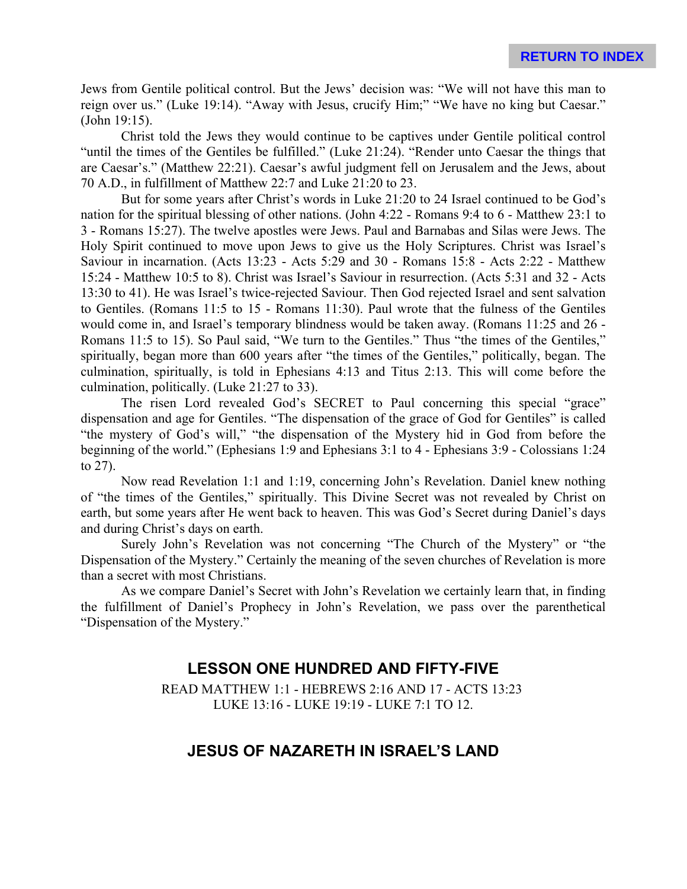Jews from Gentile political control. But the Jews' decision was: "We will not have this man to reign over us." (Luke 19:14). "Away with Jesus, crucify Him;" "We have no king but Caesar." (John 19:15).

Christ told the Jews they would continue to be captives under Gentile political control "until the times of the Gentiles be fulfilled." (Luke 21:24). "Render unto Caesar the things that are Caesar's." (Matthew 22:21). Caesar's awful judgment fell on Jerusalem and the Jews, about 70 A.D., in fulfillment of Matthew 22:7 and Luke 21:20 to 23.

But for some years after Christ's words in Luke 21:20 to 24 Israel continued to be God's nation for the spiritual blessing of other nations. (John 4:22 - Romans 9:4 to 6 - Matthew 23:1 to 3 - Romans 15:27). The twelve apostles were Jews. Paul and Barnabas and Silas were Jews. The Holy Spirit continued to move upon Jews to give us the Holy Scriptures. Christ was Israel's Saviour in incarnation. (Acts 13:23 - Acts 5:29 and 30 - Romans 15:8 - Acts 2:22 - Matthew 15:24 - Matthew 10:5 to 8). Christ was Israel's Saviour in resurrection. (Acts 5:31 and 32 - Acts 13:30 to 41). He was Israel's twice-rejected Saviour. Then God rejected Israel and sent salvation to Gentiles. (Romans 11:5 to 15 - Romans 11:30). Paul wrote that the fulness of the Gentiles would come in, and Israel's temporary blindness would be taken away. (Romans 11:25 and 26 - Romans 11:5 to 15). So Paul said, "We turn to the Gentiles." Thus "the times of the Gentiles," spiritually, began more than 600 years after "the times of the Gentiles," politically, began. The culmination, spiritually, is told in Ephesians 4:13 and Titus 2:13. This will come before the culmination, politically. (Luke 21:27 to 33).

The risen Lord revealed God's SECRET to Paul concerning this special "grace" dispensation and age for Gentiles. "The dispensation of the grace of God for Gentiles" is called "the mystery of God's will," "the dispensation of the Mystery hid in God from before the beginning of the world." (Ephesians 1:9 and Ephesians 3:1 to 4 - Ephesians 3:9 - Colossians 1:24 to 27).

Now read Revelation 1:1 and 1:19, concerning John's Revelation. Daniel knew nothing of "the times of the Gentiles," spiritually. This Divine Secret was not revealed by Christ on earth, but some years after He went back to heaven. This was God's Secret during Daniel's days and during Christ's days on earth.

Surely John's Revelation was not concerning "The Church of the Mystery" or "the Dispensation of the Mystery." Certainly the meaning of the seven churches of Revelation is more than a secret with most Christians.

As we compare Daniel's Secret with John's Revelation we certainly learn that, in finding the fulfillment of Daniel's Prophecy in John's Revelation, we pass over the parenthetical "Dispensation of the Mystery."

# **LESSON ONE HUNDRED AND FIFTY-FIVE**

READ MATTHEW 1:1 - HEBREWS 2:16 AND 17 - ACTS 13:23 LUKE 13:16 - LUKE 19:19 - LUKE 7:1 TO 12.

# **JESUS OF NAZARETH IN ISRAEL'S LAND**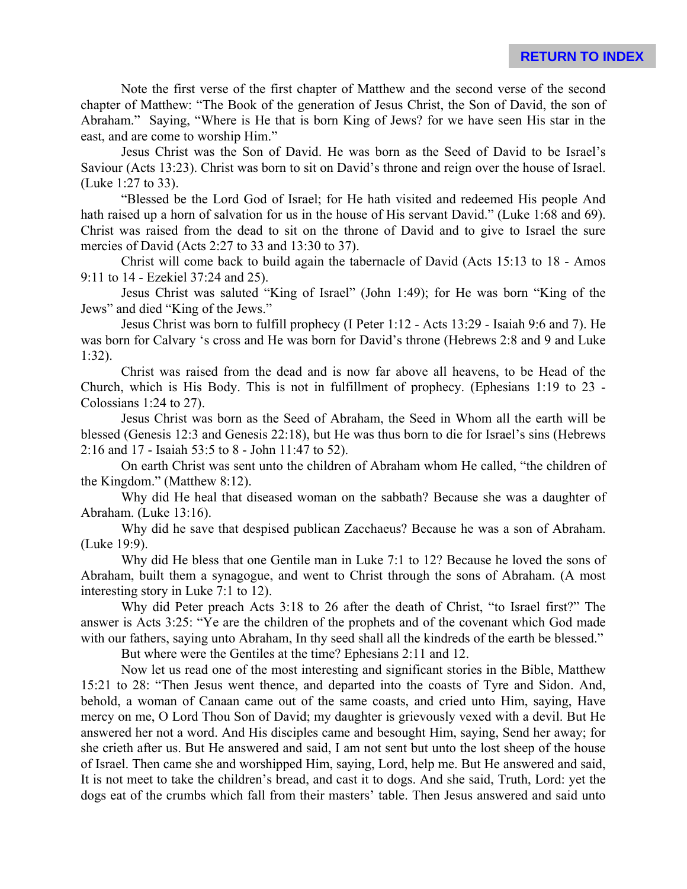Note the first verse of the first chapter of Matthew and the second verse of the second chapter of Matthew: "The Book of the generation of Jesus Christ, the Son of David, the son of Abraham." Saying, "Where is He that is born King of Jews? for we have seen His star in the east, and are come to worship Him."

Jesus Christ was the Son of David. He was born as the Seed of David to be Israel's Saviour (Acts 13:23). Christ was born to sit on David's throne and reign over the house of Israel. (Luke 1:27 to 33).

"Blessed be the Lord God of Israel; for He hath visited and redeemed His people And hath raised up a horn of salvation for us in the house of His servant David." (Luke 1:68 and 69). Christ was raised from the dead to sit on the throne of David and to give to Israel the sure mercies of David (Acts 2:27 to 33 and 13:30 to 37).

Christ will come back to build again the tabernacle of David (Acts 15:13 to 18 - Amos 9:11 to 14 - Ezekiel 37:24 and 25).

Jesus Christ was saluted "King of Israel" (John 1:49); for He was born "King of the Jews" and died "King of the Jews."

Jesus Christ was born to fulfill prophecy (I Peter 1:12 - Acts 13:29 - Isaiah 9:6 and 7). He was born for Calvary 's cross and He was born for David's throne (Hebrews 2:8 and 9 and Luke 1:32).

Christ was raised from the dead and is now far above all heavens, to be Head of the Church, which is His Body. This is not in fulfillment of prophecy. (Ephesians 1:19 to 23 - Colossians 1:24 to 27).

Jesus Christ was born as the Seed of Abraham, the Seed in Whom all the earth will be blessed (Genesis 12:3 and Genesis 22:18), but He was thus born to die for Israel's sins (Hebrews 2:16 and 17 - Isaiah 53:5 to 8 - John 11:47 to 52).

On earth Christ was sent unto the children of Abraham whom He called, "the children of the Kingdom." (Matthew 8:12).

Why did He heal that diseased woman on the sabbath? Because she was a daughter of Abraham. (Luke 13:16).

Why did he save that despised publican Zacchaeus? Because he was a son of Abraham. (Luke 19:9).

Why did He bless that one Gentile man in Luke 7:1 to 12? Because he loved the sons of Abraham, built them a synagogue, and went to Christ through the sons of Abraham. (A most interesting story in Luke 7:1 to 12).

Why did Peter preach Acts 3:18 to 26 after the death of Christ, "to Israel first?" The answer is Acts 3:25: "Ye are the children of the prophets and of the covenant which God made with our fathers, saying unto Abraham, In thy seed shall all the kindreds of the earth be blessed."

But where were the Gentiles at the time? Ephesians 2:11 and 12.

Now let us read one of the most interesting and significant stories in the Bible, Matthew 15:21 to 28: "Then Jesus went thence, and departed into the coasts of Tyre and Sidon. And, behold, a woman of Canaan came out of the same coasts, and cried unto Him, saying, Have mercy on me, O Lord Thou Son of David; my daughter is grievously vexed with a devil. But He answered her not a word. And His disciples came and besought Him, saying, Send her away; for she crieth after us. But He answered and said, I am not sent but unto the lost sheep of the house of Israel. Then came she and worshipped Him, saying, Lord, help me. But He answered and said, It is not meet to take the children's bread, and cast it to dogs. And she said, Truth, Lord: yet the dogs eat of the crumbs which fall from their masters' table. Then Jesus answered and said unto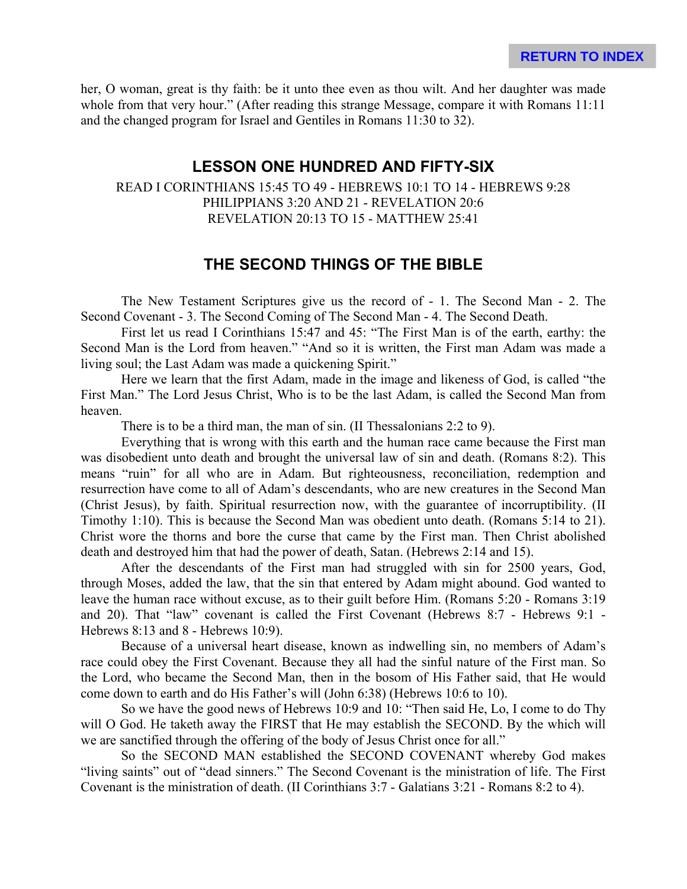her, O woman, great is thy faith: be it unto thee even as thou wilt. And her daughter was made whole from that very hour." (After reading this strange Message, compare it with Romans 11:11 and the changed program for Israel and Gentiles in Romans 11:30 to 32).

#### **LESSON ONE HUNDRED AND FIFTY-SIX**

#### READ I CORINTHIANS 15:45 TO 49 - HEBREWS 10:1 TO 14 - HEBREWS 9:28 PHILIPPIANS 3:20 AND 21 - REVELATION 20:6 REVELATION 20:13 TO 15 - MATTHEW 25:41

## **THE SECOND THINGS OF THE BIBLE**

The New Testament Scriptures give us the record of - 1. The Second Man - 2. The Second Covenant - 3. The Second Coming of The Second Man - 4. The Second Death.

First let us read I Corinthians 15:47 and 45: "The First Man is of the earth, earthy: the Second Man is the Lord from heaven." "And so it is written, the First man Adam was made a living soul; the Last Adam was made a quickening Spirit."

Here we learn that the first Adam, made in the image and likeness of God, is called "the First Man." The Lord Jesus Christ, Who is to be the last Adam, is called the Second Man from heaven.

There is to be a third man, the man of sin. (II Thessalonians 2:2 to 9).

Everything that is wrong with this earth and the human race came because the First man was disobedient unto death and brought the universal law of sin and death. (Romans 8:2). This means "ruin" for all who are in Adam. But righteousness, reconciliation, redemption and resurrection have come to all of Adam's descendants, who are new creatures in the Second Man (Christ Jesus), by faith. Spiritual resurrection now, with the guarantee of incorruptibility. (II Timothy 1:10). This is because the Second Man was obedient unto death. (Romans 5:14 to 21). Christ wore the thorns and bore the curse that came by the First man. Then Christ abolished death and destroyed him that had the power of death, Satan. (Hebrews 2:14 and 15).

After the descendants of the First man had struggled with sin for 2500 years, God, through Moses, added the law, that the sin that entered by Adam might abound. God wanted to leave the human race without excuse, as to their guilt before Him. (Romans 5:20 - Romans 3:19 and 20). That "law" covenant is called the First Covenant (Hebrews 8:7 - Hebrews 9:1 - Hebrews 8:13 and 8 - Hebrews 10:9).

Because of a universal heart disease, known as indwelling sin, no members of Adam's race could obey the First Covenant. Because they all had the sinful nature of the First man. So the Lord, who became the Second Man, then in the bosom of His Father said, that He would come down to earth and do His Father's will (John 6:38) (Hebrews 10:6 to 10).

So we have the good news of Hebrews 10:9 and 10: "Then said He, Lo, I come to do Thy will O God. He taketh away the FIRST that He may establish the SECOND. By the which will we are sanctified through the offering of the body of Jesus Christ once for all."

So the SECOND MAN established the SECOND COVENANT whereby God makes "living saints" out of "dead sinners." The Second Covenant is the ministration of life. The First Covenant is the ministration of death. (II Corinthians 3:7 - Galatians 3:21 - Romans 8:2 to 4).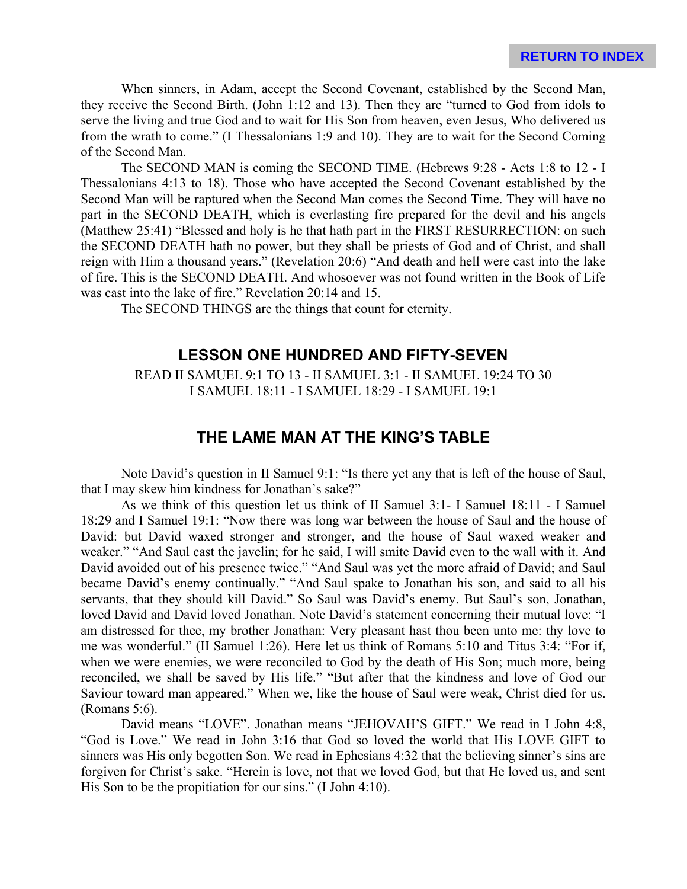When sinners, in Adam, accept the Second Covenant, established by the Second Man, they receive the Second Birth. (John 1:12 and 13). Then they are "turned to God from idols to serve the living and true God and to wait for His Son from heaven, even Jesus, Who delivered us from the wrath to come." (I Thessalonians 1:9 and 10). They are to wait for the Second Coming of the Second Man.

The SECOND MAN is coming the SECOND TIME. (Hebrews 9:28 - Acts 1:8 to 12 - I Thessalonians 4:13 to 18). Those who have accepted the Second Covenant established by the Second Man will be raptured when the Second Man comes the Second Time. They will have no part in the SECOND DEATH, which is everlasting fire prepared for the devil and his angels (Matthew 25:41) "Blessed and holy is he that hath part in the FIRST RESURRECTION: on such the SECOND DEATH hath no power, but they shall be priests of God and of Christ, and shall reign with Him a thousand years." (Revelation 20:6) "And death and hell were cast into the lake of fire. This is the SECOND DEATH. And whosoever was not found written in the Book of Life was cast into the lake of fire." Revelation 20:14 and 15.

The SECOND THINGS are the things that count for eternity.

#### **LESSON ONE HUNDRED AND FIFTY-SEVEN**

READ II SAMUEL 9:1 TO 13 - II SAMUEL 3:1 - II SAMUEL 19:24 TO 30 I SAMUEL 18:11 - I SAMUEL 18:29 - I SAMUEL 19:1

## **THE LAME MAN AT THE KING'S TABLE**

Note David's question in II Samuel 9:1: "Is there yet any that is left of the house of Saul, that I may skew him kindness for Jonathan's sake?"

As we think of this question let us think of II Samuel 3:1- I Samuel 18:11 - I Samuel 18:29 and I Samuel 19:1: "Now there was long war between the house of Saul and the house of David: but David waxed stronger and stronger, and the house of Saul waxed weaker and weaker." "And Saul cast the javelin; for he said, I will smite David even to the wall with it. And David avoided out of his presence twice." "And Saul was yet the more afraid of David; and Saul became David's enemy continually." "And Saul spake to Jonathan his son, and said to all his servants, that they should kill David." So Saul was David's enemy. But Saul's son, Jonathan, loved David and David loved Jonathan. Note David's statement concerning their mutual love: "I am distressed for thee, my brother Jonathan: Very pleasant hast thou been unto me: thy love to me was wonderful." (II Samuel 1:26). Here let us think of Romans 5:10 and Titus 3:4: "For if, when we were enemies, we were reconciled to God by the death of His Son; much more, being reconciled, we shall be saved by His life." "But after that the kindness and love of God our Saviour toward man appeared." When we, like the house of Saul were weak, Christ died for us. (Romans 5:6).

David means "LOVE". Jonathan means "JEHOVAH'S GIFT." We read in I John 4:8, "God is Love." We read in John 3:16 that God so loved the world that His LOVE GIFT to sinners was His only begotten Son. We read in Ephesians 4:32 that the believing sinner's sins are forgiven for Christ's sake. "Herein is love, not that we loved God, but that He loved us, and sent His Son to be the propitiation for our sins." (I John 4:10).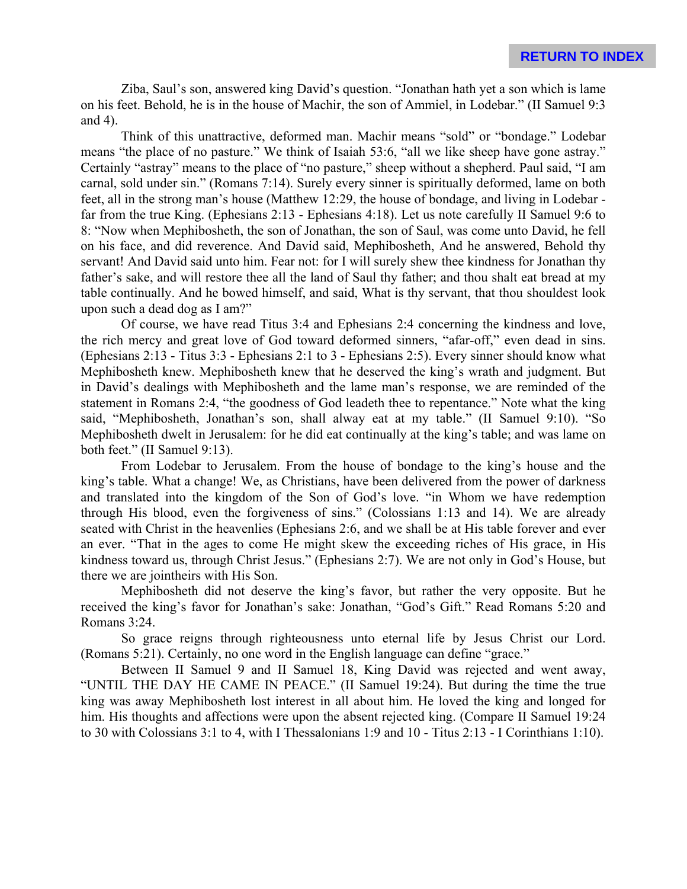Ziba, Saul's son, answered king David's question. "Jonathan hath yet a son which is lame on his feet. Behold, he is in the house of Machir, the son of Ammiel, in Lodebar." (II Samuel 9:3 and 4).

Think of this unattractive, deformed man. Machir means "sold" or "bondage." Lodebar means "the place of no pasture." We think of Isaiah 53:6, "all we like sheep have gone astray." Certainly "astray" means to the place of "no pasture," sheep without a shepherd. Paul said, "I am carnal, sold under sin." (Romans 7:14). Surely every sinner is spiritually deformed, lame on both feet, all in the strong man's house (Matthew 12:29, the house of bondage, and living in Lodebar far from the true King. (Ephesians 2:13 - Ephesians 4:18). Let us note carefully II Samuel 9:6 to 8: "Now when Mephibosheth, the son of Jonathan, the son of Saul, was come unto David, he fell on his face, and did reverence. And David said, Mephibosheth, And he answered, Behold thy servant! And David said unto him. Fear not: for I will surely shew thee kindness for Jonathan thy father's sake, and will restore thee all the land of Saul thy father; and thou shalt eat bread at my table continually. And he bowed himself, and said, What is thy servant, that thou shouldest look upon such a dead dog as I am?"

Of course, we have read Titus 3:4 and Ephesians 2:4 concerning the kindness and love, the rich mercy and great love of God toward deformed sinners, "afar-off," even dead in sins. (Ephesians 2:13 - Titus 3:3 - Ephesians 2:1 to 3 - Ephesians 2:5). Every sinner should know what Mephibosheth knew. Mephibosheth knew that he deserved the king's wrath and judgment. But in David's dealings with Mephibosheth and the lame man's response, we are reminded of the statement in Romans 2:4, "the goodness of God leadeth thee to repentance." Note what the king said, "Mephibosheth, Jonathan's son, shall alway eat at my table." (II Samuel 9:10). "So Mephibosheth dwelt in Jerusalem: for he did eat continually at the king's table; and was lame on both feet." (II Samuel 9:13).

From Lodebar to Jerusalem. From the house of bondage to the king's house and the king's table. What a change! We, as Christians, have been delivered from the power of darkness and translated into the kingdom of the Son of God's love. "in Whom we have redemption through His blood, even the forgiveness of sins." (Colossians 1:13 and 14). We are already seated with Christ in the heavenlies (Ephesians 2:6, and we shall be at His table forever and ever an ever. "That in the ages to come He might skew the exceeding riches of His grace, in His kindness toward us, through Christ Jesus." (Ephesians 2:7). We are not only in God's House, but there we are jointheirs with His Son.

Mephibosheth did not deserve the king's favor, but rather the very opposite. But he received the king's favor for Jonathan's sake: Jonathan, "God's Gift." Read Romans 5:20 and Romans 3:24.

So grace reigns through righteousness unto eternal life by Jesus Christ our Lord. (Romans 5:21). Certainly, no one word in the English language can define "grace."

Between II Samuel 9 and II Samuel 18, King David was rejected and went away, "UNTIL THE DAY HE CAME IN PEACE." (II Samuel 19:24). But during the time the true king was away Mephibosheth lost interest in all about him. He loved the king and longed for him. His thoughts and affections were upon the absent rejected king. (Compare II Samuel 19:24 to 30 with Colossians 3:1 to 4, with I Thessalonians 1:9 and 10 - Titus 2:13 - I Corinthians 1:10).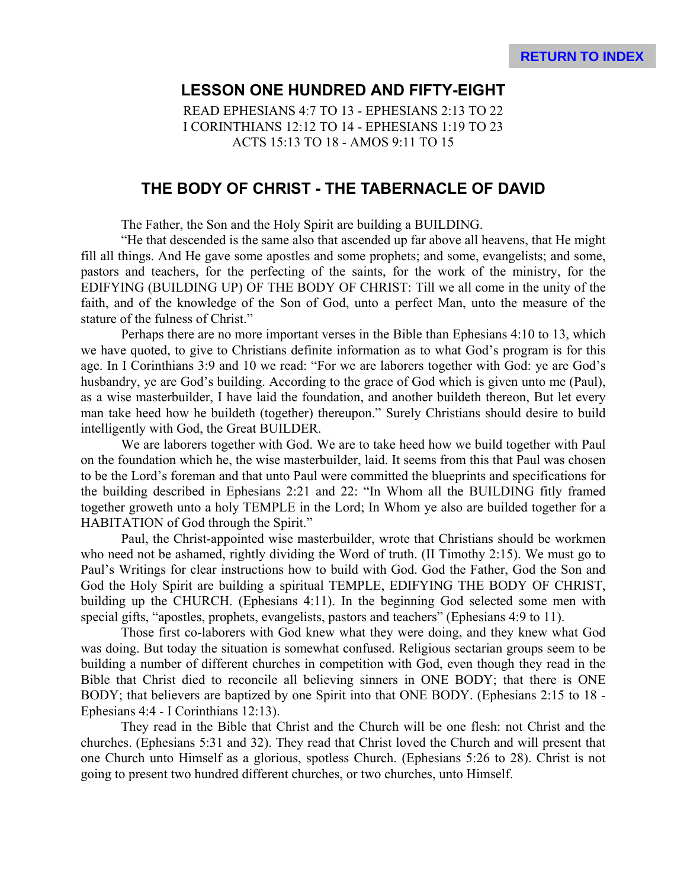## **LESSON ONE HUNDRED AND FIFTY-EIGHT**

READ EPHESIANS 4:7 TO 13 - EPHESIANS 2:13 TO 22 I CORINTHIANS 12:12 TO 14 - EPHESIANS 1:19 TO 23 ACTS 15:13 TO 18 - AMOS 9:11 TO 15

## **THE BODY OF CHRIST - THE TABERNACLE OF DAVID**

The Father, the Son and the Holy Spirit are building a BUILDING.

"He that descended is the same also that ascended up far above all heavens, that He might fill all things. And He gave some apostles and some prophets; and some, evangelists; and some, pastors and teachers, for the perfecting of the saints, for the work of the ministry, for the EDIFYING (BUILDING UP) OF THE BODY OF CHRIST: Till we all come in the unity of the faith, and of the knowledge of the Son of God, unto a perfect Man, unto the measure of the stature of the fulness of Christ."

Perhaps there are no more important verses in the Bible than Ephesians 4:10 to 13, which we have quoted, to give to Christians definite information as to what God's program is for this age. In I Corinthians 3:9 and 10 we read: "For we are laborers together with God: ye are God's husbandry, ye are God's building. According to the grace of God which is given unto me (Paul), as a wise masterbuilder, I have laid the foundation, and another buildeth thereon, But let every man take heed how he buildeth (together) thereupon." Surely Christians should desire to build intelligently with God, the Great BUILDER.

We are laborers together with God. We are to take heed how we build together with Paul on the foundation which he, the wise masterbuilder, laid. It seems from this that Paul was chosen to be the Lord's foreman and that unto Paul were committed the blueprints and specifications for the building described in Ephesians 2:21 and 22: "In Whom all the BUILDING fitly framed together groweth unto a holy TEMPLE in the Lord; In Whom ye also are builded together for a HABITATION of God through the Spirit."

Paul, the Christ-appointed wise masterbuilder, wrote that Christians should be workmen who need not be ashamed, rightly dividing the Word of truth. (II Timothy 2:15). We must go to Paul's Writings for clear instructions how to build with God. God the Father, God the Son and God the Holy Spirit are building a spiritual TEMPLE, EDIFYING THE BODY OF CHRIST, building up the CHURCH. (Ephesians 4:11). In the beginning God selected some men with special gifts, "apostles, prophets, evangelists, pastors and teachers" (Ephesians 4:9 to 11).

Those first co-laborers with God knew what they were doing, and they knew what God was doing. But today the situation is somewhat confused. Religious sectarian groups seem to be building a number of different churches in competition with God, even though they read in the Bible that Christ died to reconcile all believing sinners in ONE BODY; that there is ONE BODY; that believers are baptized by one Spirit into that ONE BODY. (Ephesians 2:15 to 18 - Ephesians 4:4 - I Corinthians 12:13).

They read in the Bible that Christ and the Church will be one flesh: not Christ and the churches. (Ephesians 5:31 and 32). They read that Christ loved the Church and will present that one Church unto Himself as a glorious, spotless Church. (Ephesians 5:26 to 28). Christ is not going to present two hundred different churches, or two churches, unto Himself.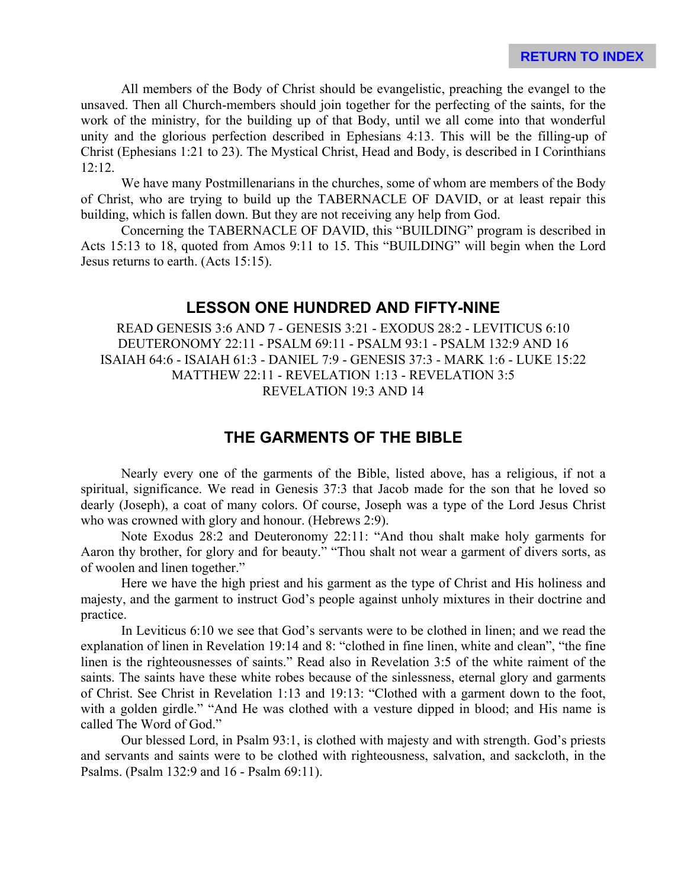All members of the Body of Christ should be evangelistic, preaching the evangel to the unsaved. Then all Church-members should join together for the perfecting of the saints, for the work of the ministry, for the building up of that Body, until we all come into that wonderful unity and the glorious perfection described in Ephesians 4:13. This will be the filling-up of Christ (Ephesians 1:21 to 23). The Mystical Christ, Head and Body, is described in I Corinthians 12:12.

We have many Postmillenarians in the churches, some of whom are members of the Body of Christ, who are trying to build up the TABERNACLE OF DAVID, or at least repair this building, which is fallen down. But they are not receiving any help from God.

Concerning the TABERNACLE OF DAVID, this "BUILDING" program is described in Acts 15:13 to 18, quoted from Amos 9:11 to 15. This "BUILDING" will begin when the Lord Jesus returns to earth. (Acts 15:15).

#### **LESSON ONE HUNDRED AND FIFTY-NINE**

READ GENESIS 3:6 AND 7 - GENESIS 3:21 - EXODUS 28:2 - LEVITICUS 6:10 DEUTERONOMY 22:11 - PSALM 69:11 - PSALM 93:1 - PSALM 132:9 AND 16 ISAIAH 64:6 - ISAIAH 61:3 - DANIEL 7:9 - GENESIS 37:3 - MARK 1:6 - LUKE 15:22 MATTHEW 22:11 - REVELATION 1:13 - REVELATION 3:5 REVELATION 19:3 AND 14

# **THE GARMENTS OF THE BIBLE**

Nearly every one of the garments of the Bible, listed above, has a religious, if not a spiritual, significance. We read in Genesis 37:3 that Jacob made for the son that he loved so dearly (Joseph), a coat of many colors. Of course, Joseph was a type of the Lord Jesus Christ who was crowned with glory and honour. (Hebrews 2:9).

Note Exodus 28:2 and Deuteronomy 22:11: "And thou shalt make holy garments for Aaron thy brother, for glory and for beauty." "Thou shalt not wear a garment of divers sorts, as of woolen and linen together."

Here we have the high priest and his garment as the type of Christ and His holiness and majesty, and the garment to instruct God's people against unholy mixtures in their doctrine and practice.

In Leviticus 6:10 we see that God's servants were to be clothed in linen; and we read the explanation of linen in Revelation 19:14 and 8: "clothed in fine linen, white and clean", "the fine linen is the righteousnesses of saints." Read also in Revelation 3:5 of the white raiment of the saints. The saints have these white robes because of the sinlessness, eternal glory and garments of Christ. See Christ in Revelation 1:13 and 19:13: "Clothed with a garment down to the foot, with a golden girdle." "And He was clothed with a vesture dipped in blood; and His name is called The Word of God."

Our blessed Lord, in Psalm 93:1, is clothed with majesty and with strength. God's priests and servants and saints were to be clothed with righteousness, salvation, and sackcloth, in the Psalms. (Psalm 132:9 and 16 - Psalm 69:11).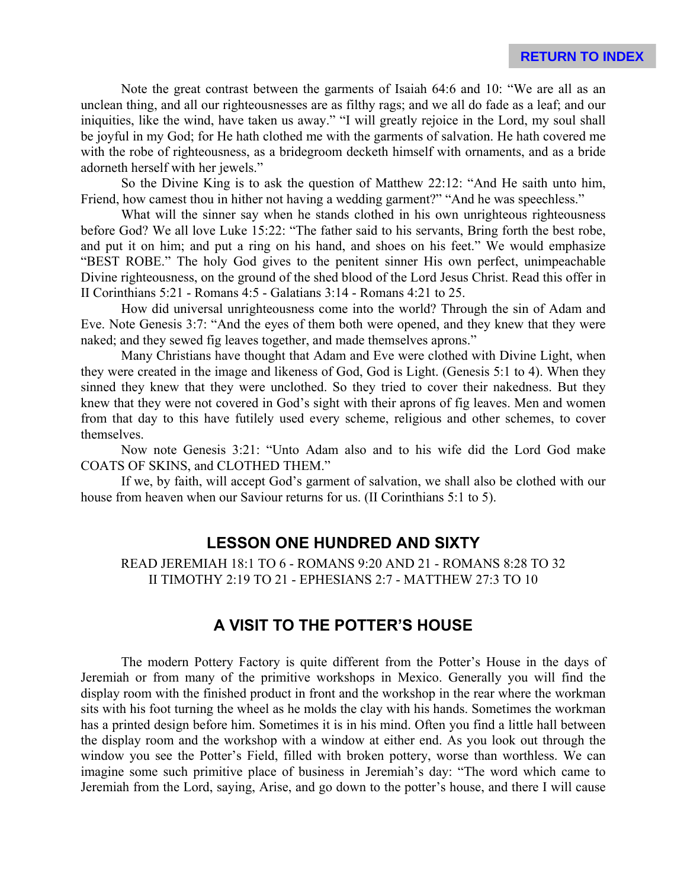Note the great contrast between the garments of Isaiah 64:6 and 10: "We are all as an unclean thing, and all our righteousnesses are as filthy rags; and we all do fade as a leaf; and our iniquities, like the wind, have taken us away." "I will greatly rejoice in the Lord, my soul shall be joyful in my God; for He hath clothed me with the garments of salvation. He hath covered me with the robe of righteousness, as a bridegroom decketh himself with ornaments, and as a bride adorneth herself with her jewels."

So the Divine King is to ask the question of Matthew 22:12: "And He saith unto him, Friend, how camest thou in hither not having a wedding garment?" "And he was speechless."

What will the sinner say when he stands clothed in his own unrighteous righteousness before God? We all love Luke 15:22: "The father said to his servants, Bring forth the best robe, and put it on him; and put a ring on his hand, and shoes on his feet." We would emphasize "BEST ROBE." The holy God gives to the penitent sinner His own perfect, unimpeachable Divine righteousness, on the ground of the shed blood of the Lord Jesus Christ. Read this offer in II Corinthians 5:21 - Romans 4:5 - Galatians 3:14 - Romans 4:21 to 25.

How did universal unrighteousness come into the world? Through the sin of Adam and Eve. Note Genesis 3:7: "And the eyes of them both were opened, and they knew that they were naked; and they sewed fig leaves together, and made themselves aprons."

Many Christians have thought that Adam and Eve were clothed with Divine Light, when they were created in the image and likeness of God, God is Light. (Genesis 5:1 to 4). When they sinned they knew that they were unclothed. So they tried to cover their nakedness. But they knew that they were not covered in God's sight with their aprons of fig leaves. Men and women from that day to this have futilely used every scheme, religious and other schemes, to cover themselves.

Now note Genesis 3:21: "Unto Adam also and to his wife did the Lord God make COATS OF SKINS, and CLOTHED THEM."

If we, by faith, will accept God's garment of salvation, we shall also be clothed with our house from heaven when our Saviour returns for us. (II Corinthians 5:1 to 5).

#### **LESSON ONE HUNDRED AND SIXTY**

READ JEREMIAH 18:1 TO 6 - ROMANS 9:20 AND 21 - ROMANS 8:28 TO 32 II TIMOTHY 2:19 TO 21 - EPHESIANS 2:7 - MATTHEW 27:3 TO 10

#### **A VISIT TO THE POTTER'S HOUSE**

The modern Pottery Factory is quite different from the Potter's House in the days of Jeremiah or from many of the primitive workshops in Mexico. Generally you will find the display room with the finished product in front and the workshop in the rear where the workman sits with his foot turning the wheel as he molds the clay with his hands. Sometimes the workman has a printed design before him. Sometimes it is in his mind. Often you find a little hall between the display room and the workshop with a window at either end. As you look out through the window you see the Potter's Field, filled with broken pottery, worse than worthless. We can imagine some such primitive place of business in Jeremiah's day: "The word which came to Jeremiah from the Lord, saying, Arise, and go down to the potter's house, and there I will cause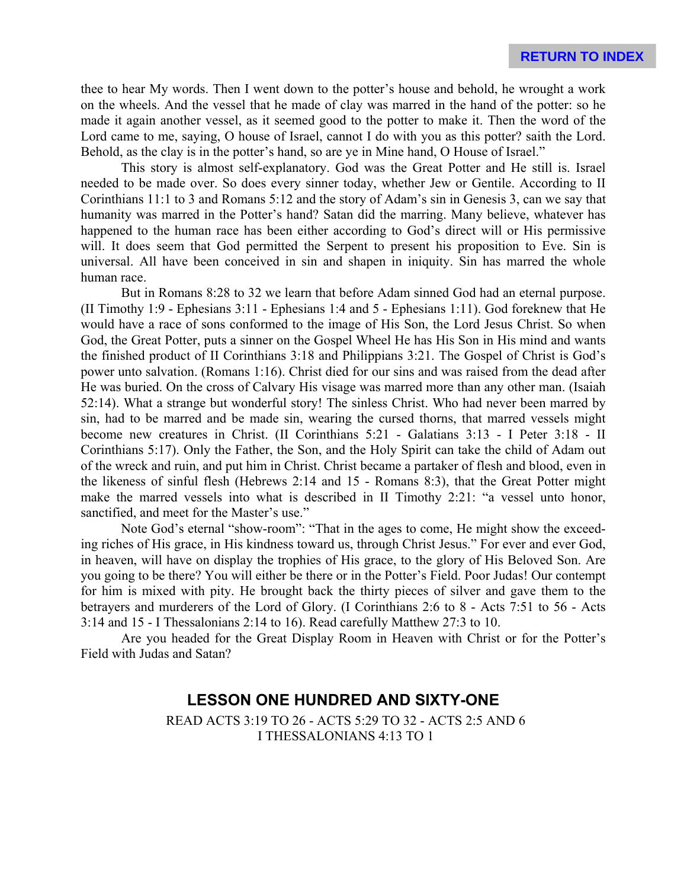thee to hear My words. Then I went down to the potter's house and behold, he wrought a work on the wheels. And the vessel that he made of clay was marred in the hand of the potter: so he made it again another vessel, as it seemed good to the potter to make it. Then the word of the Lord came to me, saying, O house of Israel, cannot I do with you as this potter? saith the Lord. Behold, as the clay is in the potter's hand, so are ye in Mine hand, O House of Israel."

This story is almost self-explanatory. God was the Great Potter and He still is. Israel needed to be made over. So does every sinner today, whether Jew or Gentile. According to II Corinthians 11:1 to 3 and Romans 5:12 and the story of Adam's sin in Genesis 3, can we say that humanity was marred in the Potter's hand? Satan did the marring. Many believe, whatever has happened to the human race has been either according to God's direct will or His permissive will. It does seem that God permitted the Serpent to present his proposition to Eve. Sin is universal. All have been conceived in sin and shapen in iniquity. Sin has marred the whole human race.

But in Romans 8:28 to 32 we learn that before Adam sinned God had an eternal purpose. (II Timothy 1:9 - Ephesians 3:11 - Ephesians 1:4 and 5 - Ephesians 1:11). God foreknew that He would have a race of sons conformed to the image of His Son, the Lord Jesus Christ. So when God, the Great Potter, puts a sinner on the Gospel Wheel He has His Son in His mind and wants the finished product of II Corinthians 3:18 and Philippians 3:21. The Gospel of Christ is God's power unto salvation. (Romans 1:16). Christ died for our sins and was raised from the dead after He was buried. On the cross of Calvary His visage was marred more than any other man. (Isaiah 52:14). What a strange but wonderful story! The sinless Christ. Who had never been marred by sin, had to be marred and be made sin, wearing the cursed thorns, that marred vessels might become new creatures in Christ. (II Corinthians 5:21 - Galatians 3:13 - I Peter 3:18 - II Corinthians 5:17). Only the Father, the Son, and the Holy Spirit can take the child of Adam out of the wreck and ruin, and put him in Christ. Christ became a partaker of flesh and blood, even in the likeness of sinful flesh (Hebrews 2:14 and 15 - Romans 8:3), that the Great Potter might make the marred vessels into what is described in II Timothy 2:21: "a vessel unto honor, sanctified, and meet for the Master's use."

Note God's eternal "show-room": "That in the ages to come, He might show the exceeding riches of His grace, in His kindness toward us, through Christ Jesus." For ever and ever God, in heaven, will have on display the trophies of His grace, to the glory of His Beloved Son. Are you going to be there? You will either be there or in the Potter's Field. Poor Judas! Our contempt for him is mixed with pity. He brought back the thirty pieces of silver and gave them to the betrayers and murderers of the Lord of Glory. (I Corinthians 2:6 to 8 - Acts 7:51 to 56 - Acts 3:14 and 15 - I Thessalonians 2:14 to 16). Read carefully Matthew 27:3 to 10.

Are you headed for the Great Display Room in Heaven with Christ or for the Potter's Field with Judas and Satan?

# **LESSON ONE HUNDRED AND SIXTY-ONE**

READ ACTS 3:19 TO 26 - ACTS 5:29 TO 32 - ACTS 2:5 AND 6 I THESSALONIANS 4:13 TO 1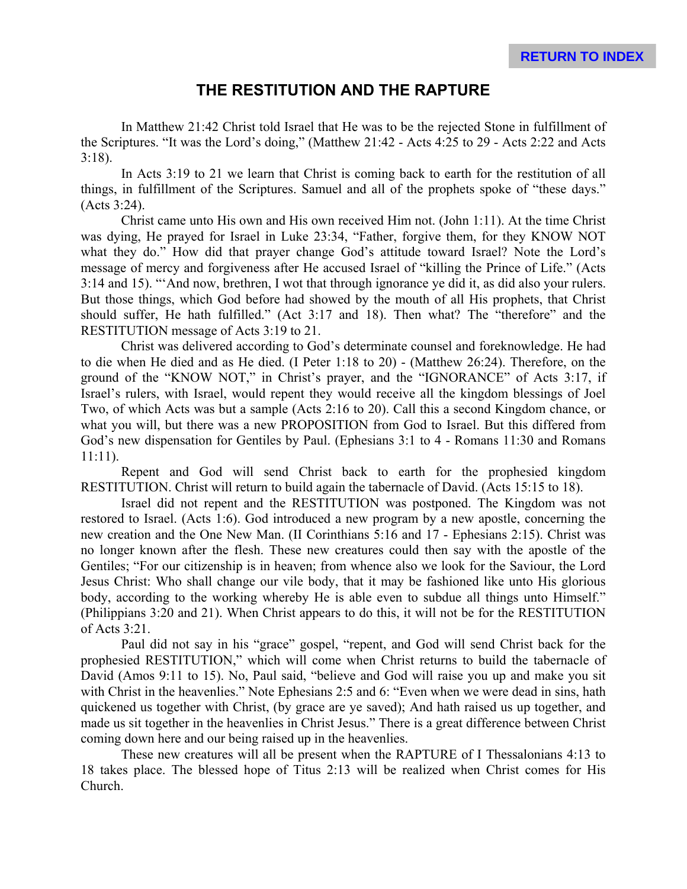# **THE RESTITUTION AND THE RAPTURE**

In Matthew 21:42 Christ told Israel that He was to be the rejected Stone in fulfillment of the Scriptures. "It was the Lord's doing," (Matthew 21:42 - Acts 4:25 to 29 - Acts 2:22 and Acts 3:18).

In Acts 3:19 to 21 we learn that Christ is coming back to earth for the restitution of all things, in fulfillment of the Scriptures. Samuel and all of the prophets spoke of "these days." (Acts 3:24).

Christ came unto His own and His own received Him not. (John 1:11). At the time Christ was dying, He prayed for Israel in Luke 23:34, "Father, forgive them, for they KNOW NOT what they do." How did that prayer change God's attitude toward Israel? Note the Lord's message of mercy and forgiveness after He accused Israel of "killing the Prince of Life." (Acts 3:14 and 15). "'And now, brethren, I wot that through ignorance ye did it, as did also your rulers. But those things, which God before had showed by the mouth of all His prophets, that Christ should suffer, He hath fulfilled." (Act 3:17 and 18). Then what? The "therefore" and the RESTITUTION message of Acts 3:19 to 21.

Christ was delivered according to God's determinate counsel and foreknowledge. He had to die when He died and as He died. (I Peter 1:18 to 20) - (Matthew 26:24). Therefore, on the ground of the "KNOW NOT," in Christ's prayer, and the "IGNORANCE" of Acts 3:17, if Israel's rulers, with Israel, would repent they would receive all the kingdom blessings of Joel Two, of which Acts was but a sample (Acts 2:16 to 20). Call this a second Kingdom chance, or what you will, but there was a new PROPOSITION from God to Israel. But this differed from God's new dispensation for Gentiles by Paul. (Ephesians 3:1 to 4 - Romans 11:30 and Romans 11:11).

Repent and God will send Christ back to earth for the prophesied kingdom RESTITUTION. Christ will return to build again the tabernacle of David. (Acts 15:15 to 18).

Israel did not repent and the RESTITUTION was postponed. The Kingdom was not restored to Israel. (Acts 1:6). God introduced a new program by a new apostle, concerning the new creation and the One New Man. (II Corinthians 5:16 and 17 - Ephesians 2:15). Christ was no longer known after the flesh. These new creatures could then say with the apostle of the Gentiles; "For our citizenship is in heaven; from whence also we look for the Saviour, the Lord Jesus Christ: Who shall change our vile body, that it may be fashioned like unto His glorious body, according to the working whereby He is able even to subdue all things unto Himself." (Philippians 3:20 and 21). When Christ appears to do this, it will not be for the RESTITUTION of Acts 3:21.

Paul did not say in his "grace" gospel, "repent, and God will send Christ back for the prophesied RESTITUTION," which will come when Christ returns to build the tabernacle of David (Amos 9:11 to 15). No, Paul said, "believe and God will raise you up and make you sit with Christ in the heavenlies." Note Ephesians 2:5 and 6: "Even when we were dead in sins, hath quickened us together with Christ, (by grace are ye saved); And hath raised us up together, and made us sit together in the heavenlies in Christ Jesus." There is a great difference between Christ coming down here and our being raised up in the heavenlies.

These new creatures will all be present when the RAPTURE of I Thessalonians 4:13 to 18 takes place. The blessed hope of Titus 2:13 will be realized when Christ comes for His Church.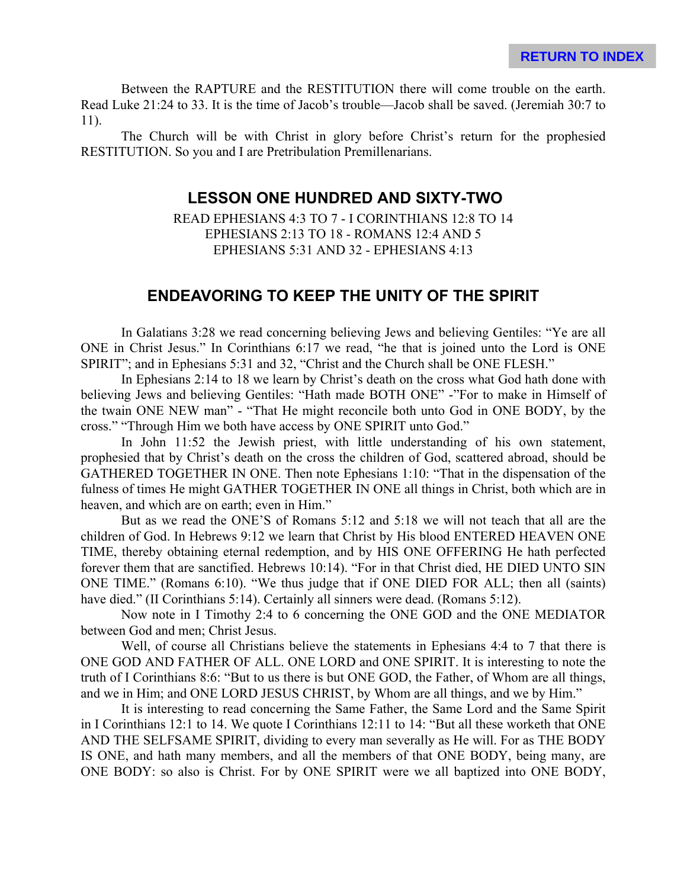Between the RAPTURE and the RESTITUTION there will come trouble on the earth. Read Luke 21:24 to 33. It is the time of Jacob's trouble—Jacob shall be saved. (Jeremiah 30:7 to 11).

The Church will be with Christ in glory before Christ's return for the prophesied RESTITUTION. So you and I are Pretribulation Premillenarians.

## **LESSON ONE HUNDRED AND SIXTY-TWO**

READ EPHESIANS 4:3 TO 7 - I CORINTHIANS 12:8 TO 14 EPHESIANS 2:13 TO 18 - ROMANS 12:4 AND 5 EPHESIANS 5:31 AND 32 - EPHESIANS 4:13

#### **ENDEAVORING TO KEEP THE UNITY OF THE SPIRIT**

In Galatians 3:28 we read concerning believing Jews and believing Gentiles: "Ye are all ONE in Christ Jesus." In Corinthians 6:17 we read, "he that is joined unto the Lord is ONE SPIRIT"; and in Ephesians 5:31 and 32, "Christ and the Church shall be ONE FLESH."

In Ephesians 2:14 to 18 we learn by Christ's death on the cross what God hath done with believing Jews and believing Gentiles: "Hath made BOTH ONE" -"For to make in Himself of the twain ONE NEW man" - "That He might reconcile both unto God in ONE BODY, by the cross." "Through Him we both have access by ONE SPIRIT unto God."

In John 11:52 the Jewish priest, with little understanding of his own statement, prophesied that by Christ's death on the cross the children of God, scattered abroad, should be GATHERED TOGETHER IN ONE. Then note Ephesians 1:10: "That in the dispensation of the fulness of times He might GATHER TOGETHER IN ONE all things in Christ, both which are in heaven, and which are on earth; even in Him."

But as we read the ONE'S of Romans 5:12 and 5:18 we will not teach that all are the children of God. In Hebrews 9:12 we learn that Christ by His blood ENTERED HEAVEN ONE TIME, thereby obtaining eternal redemption, and by HIS ONE OFFERING He hath perfected forever them that are sanctified. Hebrews 10:14). "For in that Christ died, HE DIED UNTO SIN ONE TIME." (Romans 6:10). "We thus judge that if ONE DIED FOR ALL; then all (saints) have died." (II Corinthians 5:14). Certainly all sinners were dead. (Romans 5:12).

Now note in I Timothy 2:4 to 6 concerning the ONE GOD and the ONE MEDIATOR between God and men; Christ Jesus.

Well, of course all Christians believe the statements in Ephesians 4:4 to 7 that there is ONE GOD AND FATHER OF ALL. ONE LORD and ONE SPIRIT. It is interesting to note the truth of I Corinthians 8:6: "But to us there is but ONE GOD, the Father, of Whom are all things, and we in Him; and ONE LORD JESUS CHRIST, by Whom are all things, and we by Him."

It is interesting to read concerning the Same Father, the Same Lord and the Same Spirit in I Corinthians 12:1 to 14. We quote I Corinthians 12:11 to 14: "But all these worketh that ONE AND THE SELFSAME SPIRIT, dividing to every man severally as He will. For as THE BODY IS ONE, and hath many members, and all the members of that ONE BODY, being many, are ONE BODY: so also is Christ. For by ONE SPIRIT were we all baptized into ONE BODY,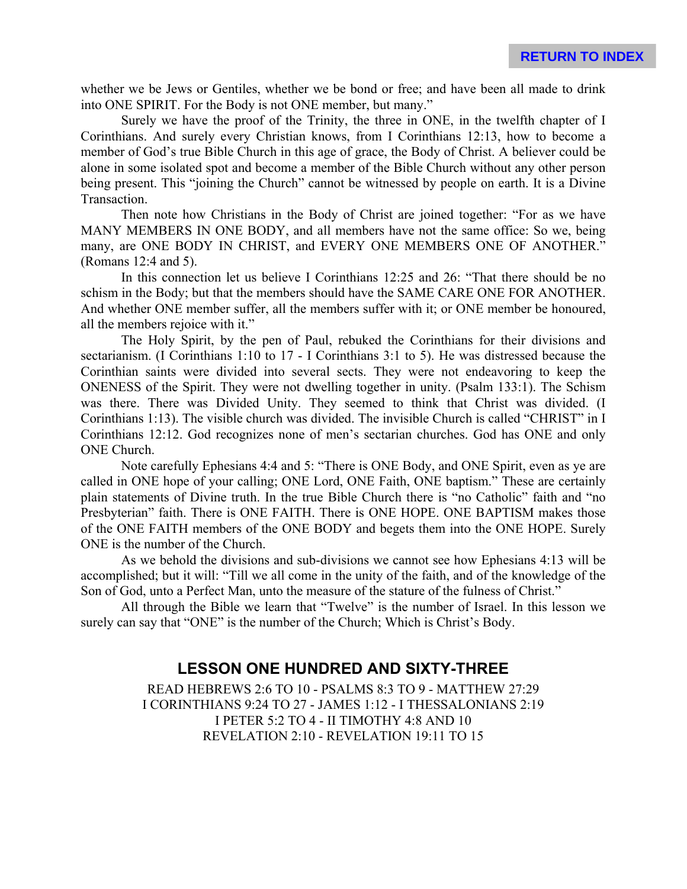whether we be Jews or Gentiles, whether we be bond or free; and have been all made to drink into ONE SPIRIT. For the Body is not ONE member, but many."

Surely we have the proof of the Trinity, the three in ONE, in the twelfth chapter of I Corinthians. And surely every Christian knows, from I Corinthians 12:13, how to become a member of God's true Bible Church in this age of grace, the Body of Christ. A believer could be alone in some isolated spot and become a member of the Bible Church without any other person being present. This "joining the Church" cannot be witnessed by people on earth. It is a Divine Transaction.

Then note how Christians in the Body of Christ are joined together: "For as we have MANY MEMBERS IN ONE BODY, and all members have not the same office: So we, being many, are ONE BODY IN CHRIST, and EVERY ONE MEMBERS ONE OF ANOTHER." (Romans 12:4 and 5).

In this connection let us believe I Corinthians 12:25 and 26: "That there should be no schism in the Body; but that the members should have the SAME CARE ONE FOR ANOTHER. And whether ONE member suffer, all the members suffer with it; or ONE member be honoured, all the members rejoice with it."

The Holy Spirit, by the pen of Paul, rebuked the Corinthians for their divisions and sectarianism. (I Corinthians 1:10 to 17 - I Corinthians 3:1 to 5). He was distressed because the Corinthian saints were divided into several sects. They were not endeavoring to keep the ONENESS of the Spirit. They were not dwelling together in unity. (Psalm 133:1). The Schism was there. There was Divided Unity. They seemed to think that Christ was divided. (I Corinthians 1:13). The visible church was divided. The invisible Church is called "CHRIST" in I Corinthians 12:12. God recognizes none of men's sectarian churches. God has ONE and only ONE Church.

Note carefully Ephesians 4:4 and 5: "There is ONE Body, and ONE Spirit, even as ye are called in ONE hope of your calling; ONE Lord, ONE Faith, ONE baptism." These are certainly plain statements of Divine truth. In the true Bible Church there is "no Catholic" faith and "no Presbyterian" faith. There is ONE FAITH. There is ONE HOPE. ONE BAPTISM makes those of the ONE FAITH members of the ONE BODY and begets them into the ONE HOPE. Surely ONE is the number of the Church.

As we behold the divisions and sub-divisions we cannot see how Ephesians 4:13 will be accomplished; but it will: "Till we all come in the unity of the faith, and of the knowledge of the Son of God, unto a Perfect Man, unto the measure of the stature of the fulness of Christ."

All through the Bible we learn that "Twelve" is the number of Israel. In this lesson we surely can say that "ONE" is the number of the Church; Which is Christ's Body.

#### **LESSON ONE HUNDRED AND SIXTY-THREE**

READ HEBREWS 2:6 TO 10 - PSALMS 8:3 TO 9 - MATTHEW 27:29 I CORINTHIANS 9:24 TO 27 - JAMES 1:12 - I THESSALONIANS 2:19 I PETER 5:2 TO 4 - II TIMOTHY 4:8 AND 10 REVELATION 2:10 - REVELATION 19:11 TO 15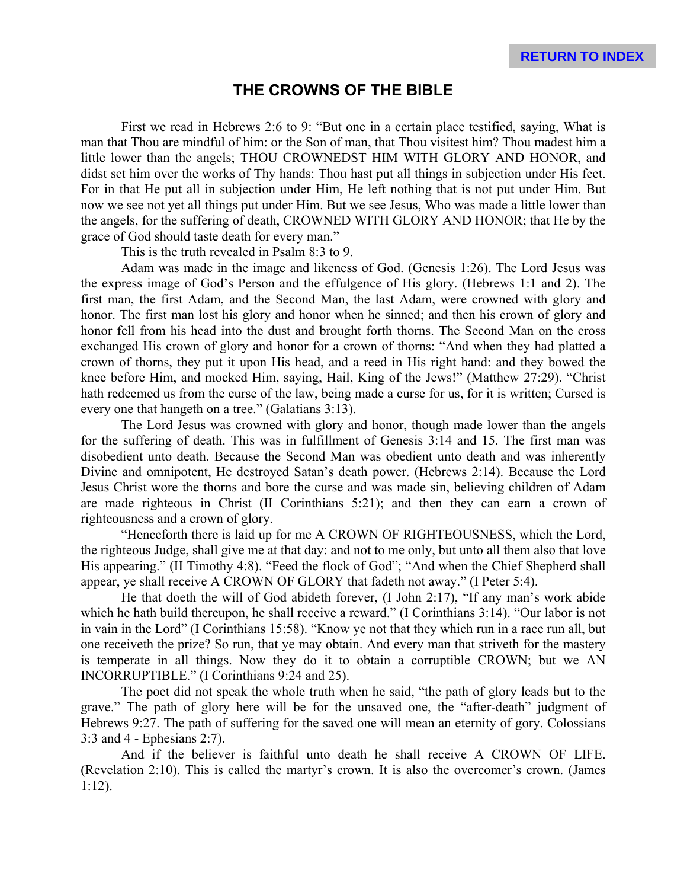#### **THE CROWNS OF THE BIBLE**

First we read in Hebrews 2:6 to 9: "But one in a certain place testified, saying, What is man that Thou are mindful of him: or the Son of man, that Thou visitest him? Thou madest him a little lower than the angels; THOU CROWNEDST HIM WITH GLORY AND HONOR, and didst set him over the works of Thy hands: Thou hast put all things in subjection under His feet. For in that He put all in subjection under Him, He left nothing that is not put under Him. But now we see not yet all things put under Him. But we see Jesus, Who was made a little lower than the angels, for the suffering of death, CROWNED WITH GLORY AND HONOR; that He by the grace of God should taste death for every man."

This is the truth revealed in Psalm 8:3 to 9.

Adam was made in the image and likeness of God. (Genesis 1:26). The Lord Jesus was the express image of God's Person and the effulgence of His glory. (Hebrews 1:1 and 2). The first man, the first Adam, and the Second Man, the last Adam, were crowned with glory and honor. The first man lost his glory and honor when he sinned; and then his crown of glory and honor fell from his head into the dust and brought forth thorns. The Second Man on the cross exchanged His crown of glory and honor for a crown of thorns: "And when they had platted a crown of thorns, they put it upon His head, and a reed in His right hand: and they bowed the knee before Him, and mocked Him, saying, Hail, King of the Jews!" (Matthew 27:29). "Christ hath redeemed us from the curse of the law, being made a curse for us, for it is written; Cursed is every one that hangeth on a tree." (Galatians 3:13).

The Lord Jesus was crowned with glory and honor, though made lower than the angels for the suffering of death. This was in fulfillment of Genesis 3:14 and 15. The first man was disobedient unto death. Because the Second Man was obedient unto death and was inherently Divine and omnipotent, He destroyed Satan's death power. (Hebrews 2:14). Because the Lord Jesus Christ wore the thorns and bore the curse and was made sin, believing children of Adam are made righteous in Christ (II Corinthians 5:21); and then they can earn a crown of righteousness and a crown of glory.

"Henceforth there is laid up for me A CROWN OF RIGHTEOUSNESS, which the Lord, the righteous Judge, shall give me at that day: and not to me only, but unto all them also that love His appearing." (II Timothy 4:8). "Feed the flock of God"; "And when the Chief Shepherd shall appear, ye shall receive A CROWN OF GLORY that fadeth not away." (I Peter 5:4).

He that doeth the will of God abideth forever, (I John 2:17), "If any man's work abide which he hath build thereupon, he shall receive a reward." (I Corinthians 3:14). "Our labor is not in vain in the Lord" (I Corinthians 15:58). "Know ye not that they which run in a race run all, but one receiveth the prize? So run, that ye may obtain. And every man that striveth for the mastery is temperate in all things. Now they do it to obtain a corruptible CROWN; but we AN INCORRUPTIBLE." (I Corinthians 9:24 and 25).

The poet did not speak the whole truth when he said, "the path of glory leads but to the grave." The path of glory here will be for the unsaved one, the "after-death" judgment of Hebrews 9:27. The path of suffering for the saved one will mean an eternity of gory. Colossians 3:3 and 4 - Ephesians 2:7).

And if the believer is faithful unto death he shall receive A CROWN OF LIFE. (Revelation 2:10). This is called the martyr's crown. It is also the overcomer's crown. (James 1:12).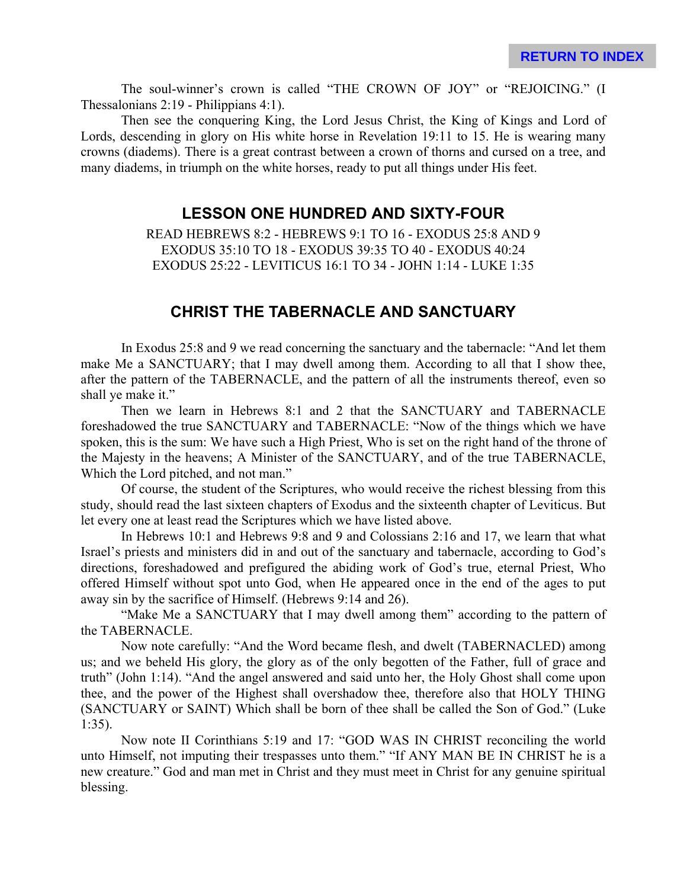The soul-winner's crown is called "THE CROWN OF JOY" or "REJOICING." (I Thessalonians 2:19 - Philippians 4:1).

Then see the conquering King, the Lord Jesus Christ, the King of Kings and Lord of Lords, descending in glory on His white horse in Revelation 19:11 to 15. He is wearing many crowns (diadems). There is a great contrast between a crown of thorns and cursed on a tree, and many diadems, in triumph on the white horses, ready to put all things under His feet.

#### **LESSON ONE HUNDRED AND SIXTY-FOUR**

READ HEBREWS 8:2 - HEBREWS 9:1 TO 16 - EXODUS 25:8 AND 9 EXODUS 35:10 TO 18 - EXODUS 39:35 TO 40 - EXODUS 40:24 EXODUS 25:22 - LEVITICUS 16:1 TO 34 - JOHN 1:14 - LUKE 1:35

## **CHRIST THE TABERNACLE AND SANCTUARY**

In Exodus 25:8 and 9 we read concerning the sanctuary and the tabernacle: "And let them make Me a SANCTUARY; that I may dwell among them. According to all that I show thee, after the pattern of the TABERNACLE, and the pattern of all the instruments thereof, even so shall ye make it."

Then we learn in Hebrews 8:1 and 2 that the SANCTUARY and TABERNACLE foreshadowed the true SANCTUARY and TABERNACLE: "Now of the things which we have spoken, this is the sum: We have such a High Priest, Who is set on the right hand of the throne of the Majesty in the heavens; A Minister of the SANCTUARY, and of the true TABERNACLE, Which the Lord pitched, and not man."

Of course, the student of the Scriptures, who would receive the richest blessing from this study, should read the last sixteen chapters of Exodus and the sixteenth chapter of Leviticus. But let every one at least read the Scriptures which we have listed above.

In Hebrews 10:1 and Hebrews 9:8 and 9 and Colossians 2:16 and 17, we learn that what Israel's priests and ministers did in and out of the sanctuary and tabernacle, according to God's directions, foreshadowed and prefigured the abiding work of God's true, eternal Priest, Who offered Himself without spot unto God, when He appeared once in the end of the ages to put away sin by the sacrifice of Himself. (Hebrews 9:14 and 26).

"Make Me a SANCTUARY that I may dwell among them" according to the pattern of the TABERNACLE.

Now note carefully: "And the Word became flesh, and dwelt (TABERNACLED) among us; and we beheld His glory, the glory as of the only begotten of the Father, full of grace and truth" (John 1:14). "And the angel answered and said unto her, the Holy Ghost shall come upon thee, and the power of the Highest shall overshadow thee, therefore also that HOLY THING (SANCTUARY or SAINT) Which shall be born of thee shall be called the Son of God." (Luke 1:35).

Now note II Corinthians 5:19 and 17: "GOD WAS IN CHRIST reconciling the world unto Himself, not imputing their trespasses unto them." "If ANY MAN BE IN CHRIST he is a new creature." God and man met in Christ and they must meet in Christ for any genuine spiritual blessing.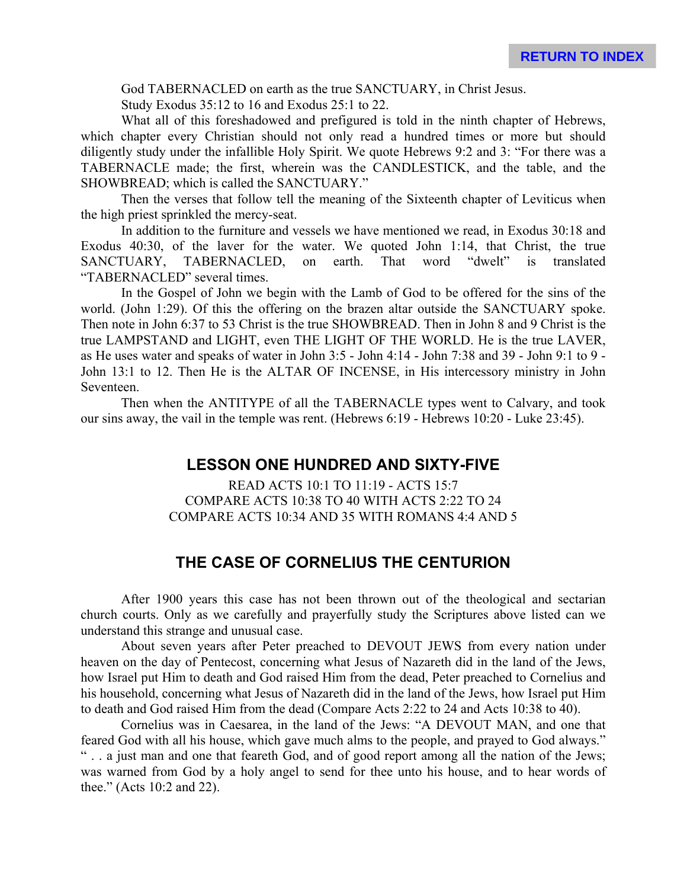God TABERNACLED on earth as the true SANCTUARY, in Christ Jesus.

Study Exodus 35:12 to 16 and Exodus 25:1 to 22.

What all of this foreshadowed and prefigured is told in the ninth chapter of Hebrews, which chapter every Christian should not only read a hundred times or more but should diligently study under the infallible Holy Spirit. We quote Hebrews 9:2 and 3: "For there was a TABERNACLE made; the first, wherein was the CANDLESTICK, and the table, and the SHOWBREAD; which is called the SANCTUARY."

Then the verses that follow tell the meaning of the Sixteenth chapter of Leviticus when the high priest sprinkled the mercy-seat.

In addition to the furniture and vessels we have mentioned we read, in Exodus 30:18 and Exodus 40:30, of the laver for the water. We quoted John 1:14, that Christ, the true SANCTUARY, TABERNACLED, on earth. That word "dwelt" is translated "TABERNACLED" several times.

In the Gospel of John we begin with the Lamb of God to be offered for the sins of the world. (John 1:29). Of this the offering on the brazen altar outside the SANCTUARY spoke. Then note in John 6:37 to 53 Christ is the true SHOWBREAD. Then in John 8 and 9 Christ is the true LAMPSTAND and LIGHT, even THE LIGHT OF THE WORLD. He is the true LAVER, as He uses water and speaks of water in John 3:5 - John 4:14 - John 7:38 and 39 - John 9:1 to 9 - John 13:1 to 12. Then He is the ALTAR OF INCENSE, in His intercessory ministry in John Seventeen.

Then when the ANTITYPE of all the TABERNACLE types went to Calvary, and took our sins away, the vail in the temple was rent. (Hebrews 6:19 - Hebrews 10:20 - Luke 23:45).

#### **LESSON ONE HUNDRED AND SIXTY-FIVE**

READ ACTS 10:1 TO 11:19 - ACTS 15:7 COMPARE ACTS 10:38 TO 40 WITH ACTS 2:22 TO 24 COMPARE ACTS 10:34 AND 35 WITH ROMANS 4:4 AND 5

# **THE CASE OF CORNELIUS THE CENTURION**

After 1900 years this case has not been thrown out of the theological and sectarian church courts. Only as we carefully and prayerfully study the Scriptures above listed can we understand this strange and unusual case.

About seven years after Peter preached to DEVOUT JEWS from every nation under heaven on the day of Pentecost, concerning what Jesus of Nazareth did in the land of the Jews, how Israel put Him to death and God raised Him from the dead, Peter preached to Cornelius and his household, concerning what Jesus of Nazareth did in the land of the Jews, how Israel put Him to death and God raised Him from the dead (Compare Acts 2:22 to 24 and Acts 10:38 to 40).

Cornelius was in Caesarea, in the land of the Jews: "A DEVOUT MAN, and one that feared God with all his house, which gave much alms to the people, and prayed to God always." " . . a just man and one that feareth God, and of good report among all the nation of the Jews; was warned from God by a holy angel to send for thee unto his house, and to hear words of thee." (Acts 10:2 and 22).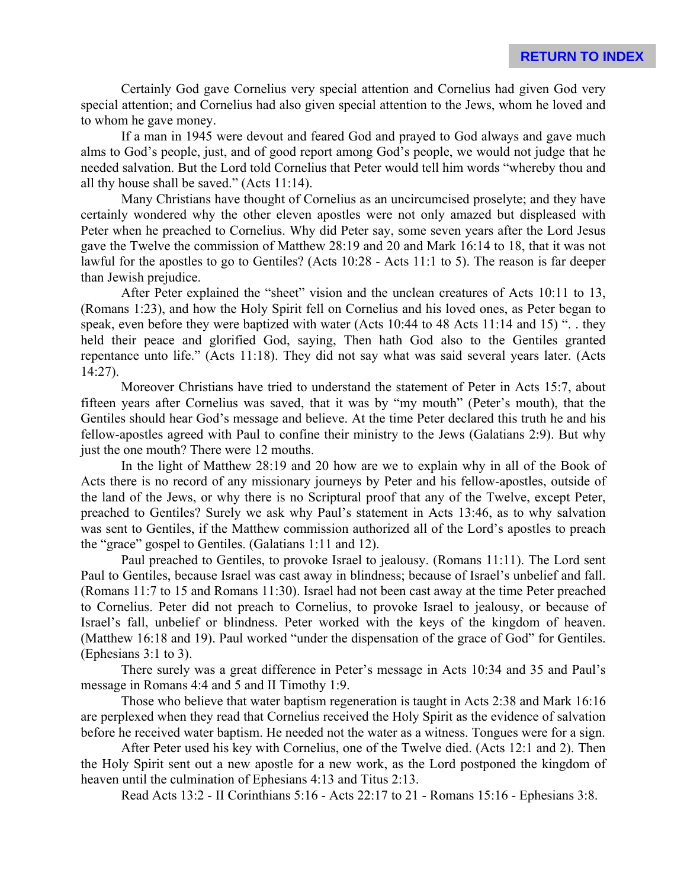Certainly God gave Cornelius very special attention and Cornelius had given God very special attention; and Cornelius had also given special attention to the Jews, whom he loved and to whom he gave money.

If a man in 1945 were devout and feared God and prayed to God always and gave much alms to God's people, just, and of good report among God's people, we would not judge that he needed salvation. But the Lord told Cornelius that Peter would tell him words "whereby thou and all thy house shall be saved." (Acts 11:14).

Many Christians have thought of Cornelius as an uncircumcised proselyte; and they have certainly wondered why the other eleven apostles were not only amazed but displeased with Peter when he preached to Cornelius. Why did Peter say, some seven years after the Lord Jesus gave the Twelve the commission of Matthew 28:19 and 20 and Mark 16:14 to 18, that it was not lawful for the apostles to go to Gentiles? (Acts 10:28 - Acts 11:1 to 5). The reason is far deeper than Jewish prejudice.

After Peter explained the "sheet" vision and the unclean creatures of Acts 10:11 to 13, (Romans 1:23), and how the Holy Spirit fell on Cornelius and his loved ones, as Peter began to speak, even before they were baptized with water (Acts 10:44 to 48 Acts 11:14 and 15) "... they held their peace and glorified God, saying, Then hath God also to the Gentiles granted repentance unto life." (Acts 11:18). They did not say what was said several years later. (Acts 14:27).

Moreover Christians have tried to understand the statement of Peter in Acts 15:7, about fifteen years after Cornelius was saved, that it was by "my mouth" (Peter's mouth), that the Gentiles should hear God's message and believe. At the time Peter declared this truth he and his fellow-apostles agreed with Paul to confine their ministry to the Jews (Galatians 2:9). But why just the one mouth? There were 12 mouths.

In the light of Matthew 28:19 and 20 how are we to explain why in all of the Book of Acts there is no record of any missionary journeys by Peter and his fellow-apostles, outside of the land of the Jews, or why there is no Scriptural proof that any of the Twelve, except Peter, preached to Gentiles? Surely we ask why Paul's statement in Acts 13:46, as to why salvation was sent to Gentiles, if the Matthew commission authorized all of the Lord's apostles to preach the "grace" gospel to Gentiles. (Galatians 1:11 and 12).

Paul preached to Gentiles, to provoke Israel to jealousy. (Romans 11:11). The Lord sent Paul to Gentiles, because Israel was cast away in blindness; because of Israel's unbelief and fall. (Romans 11:7 to 15 and Romans 11:30). Israel had not been cast away at the time Peter preached to Cornelius. Peter did not preach to Cornelius, to provoke Israel to jealousy, or because of Israel's fall, unbelief or blindness. Peter worked with the keys of the kingdom of heaven. (Matthew 16:18 and 19). Paul worked "under the dispensation of the grace of God" for Gentiles. (Ephesians 3:1 to 3).

There surely was a great difference in Peter's message in Acts 10:34 and 35 and Paul's message in Romans 4:4 and 5 and II Timothy 1:9.

Those who believe that water baptism regeneration is taught in Acts 2:38 and Mark 16:16 are perplexed when they read that Cornelius received the Holy Spirit as the evidence of salvation before he received water baptism. He needed not the water as a witness. Tongues were for a sign.

After Peter used his key with Cornelius, one of the Twelve died. (Acts 12:1 and 2). Then the Holy Spirit sent out a new apostle for a new work, as the Lord postponed the kingdom of heaven until the culmination of Ephesians 4:13 and Titus 2:13.

Read Acts 13:2 - II Corinthians 5:16 - Acts 22:17 to 21 - Romans 15:16 - Ephesians 3:8.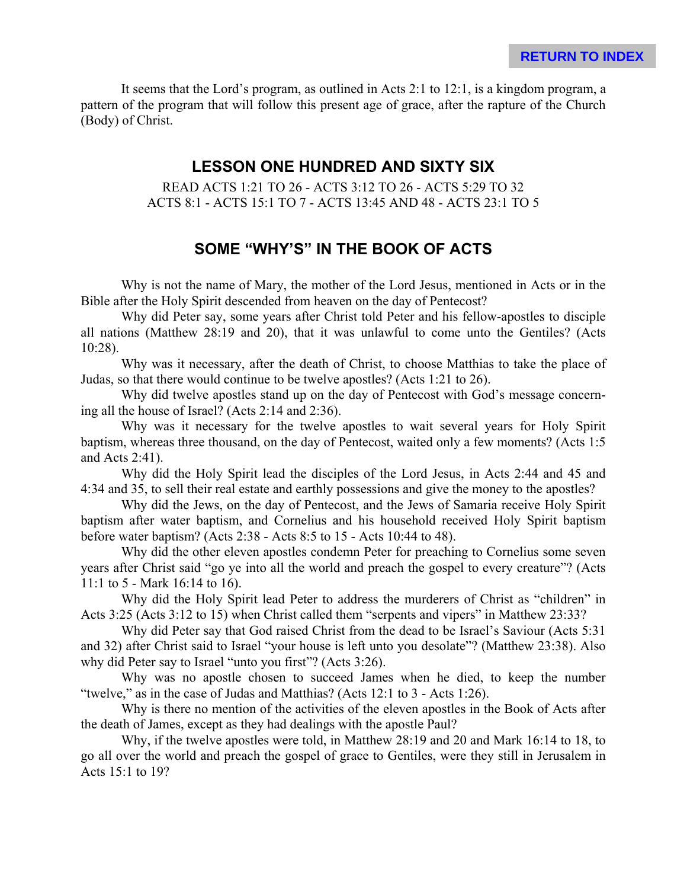It seems that the Lord's program, as outlined in Acts 2:1 to 12:1, is a kingdom program, a pattern of the program that will follow this present age of grace, after the rapture of the Church (Body) of Christ.

## **LESSON ONE HUNDRED AND SIXTY SIX**

READ ACTS 1:21 TO 26 - ACTS 3:12 TO 26 - ACTS 5:29 TO 32 ACTS 8:1 - ACTS 15:1 TO 7 - ACTS 13:45 AND 48 - ACTS 23:1 TO 5

# **SOME "WHY'S" IN THE BOOK OF ACTS**

Why is not the name of Mary, the mother of the Lord Jesus, mentioned in Acts or in the Bible after the Holy Spirit descended from heaven on the day of Pentecost?

Why did Peter say, some years after Christ told Peter and his fellow-apostles to disciple all nations (Matthew 28:19 and 20), that it was unlawful to come unto the Gentiles? (Acts 10:28).

Why was it necessary, after the death of Christ, to choose Matthias to take the place of Judas, so that there would continue to be twelve apostles? (Acts 1:21 to 26).

Why did twelve apostles stand up on the day of Pentecost with God's message concerning all the house of Israel? (Acts 2:14 and 2:36).

Why was it necessary for the twelve apostles to wait several years for Holy Spirit baptism, whereas three thousand, on the day of Pentecost, waited only a few moments? (Acts 1:5 and Acts 2:41).

Why did the Holy Spirit lead the disciples of the Lord Jesus, in Acts 2:44 and 45 and 4:34 and 35, to sell their real estate and earthly possessions and give the money to the apostles?

Why did the Jews, on the day of Pentecost, and the Jews of Samaria receive Holy Spirit baptism after water baptism, and Cornelius and his household received Holy Spirit baptism before water baptism? (Acts 2:38 - Acts 8:5 to 15 - Acts 10:44 to 48).

Why did the other eleven apostles condemn Peter for preaching to Cornelius some seven years after Christ said "go ye into all the world and preach the gospel to every creature"? (Acts 11:1 to 5 - Mark 16:14 to 16).

Why did the Holy Spirit lead Peter to address the murderers of Christ as "children" in Acts 3:25 (Acts 3:12 to 15) when Christ called them "serpents and vipers" in Matthew 23:33?

Why did Peter say that God raised Christ from the dead to be Israel's Saviour (Acts 5:31 and 32) after Christ said to Israel "your house is left unto you desolate"? (Matthew 23:38). Also why did Peter say to Israel "unto you first"? (Acts 3:26).

Why was no apostle chosen to succeed James when he died, to keep the number "twelve," as in the case of Judas and Matthias? (Acts 12:1 to 3 - Acts 1:26).

Why is there no mention of the activities of the eleven apostles in the Book of Acts after the death of James, except as they had dealings with the apostle Paul?

Why, if the twelve apostles were told, in Matthew 28:19 and 20 and Mark 16:14 to 18, to go all over the world and preach the gospel of grace to Gentiles, were they still in Jerusalem in Acts 15:1 to 19?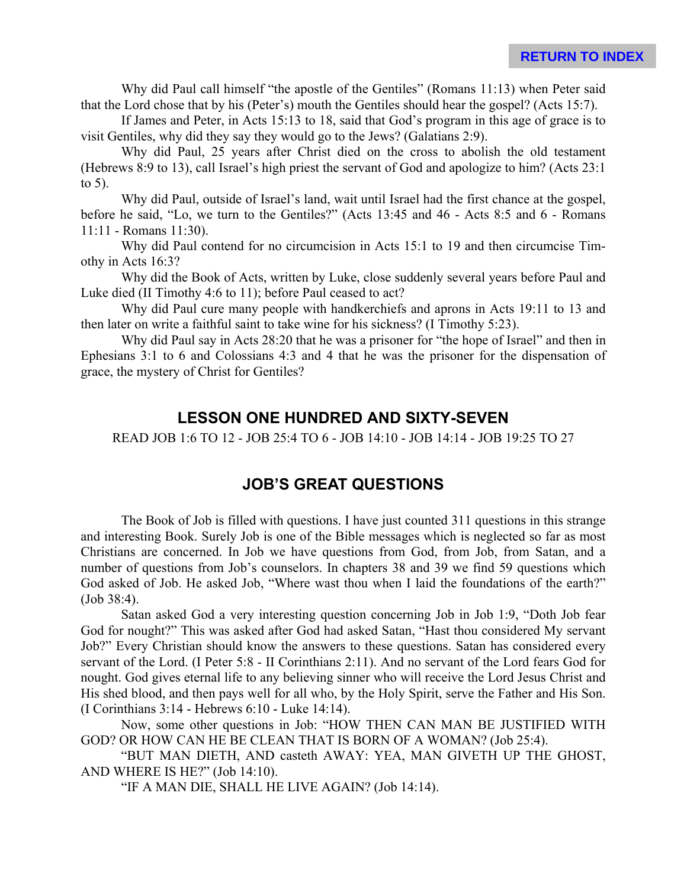Why did Paul call himself "the apostle of the Gentiles" (Romans 11:13) when Peter said that the Lord chose that by his (Peter's) mouth the Gentiles should hear the gospel? (Acts 15:7).

If James and Peter, in Acts 15:13 to 18, said that God's program in this age of grace is to visit Gentiles, why did they say they would go to the Jews? (Galatians 2:9).

Why did Paul, 25 years after Christ died on the cross to abolish the old testament (Hebrews 8:9 to 13), call Israel's high priest the servant of God and apologize to him? (Acts 23:1 to 5).

Why did Paul, outside of Israel's land, wait until Israel had the first chance at the gospel, before he said, "Lo, we turn to the Gentiles?" (Acts 13:45 and 46 - Acts 8:5 and 6 - Romans 11:11 - Romans 11:30).

Why did Paul contend for no circumcision in Acts 15:1 to 19 and then circumcise Timothy in Acts 16:3?

Why did the Book of Acts, written by Luke, close suddenly several years before Paul and Luke died (II Timothy 4:6 to 11); before Paul ceased to act?

Why did Paul cure many people with handkerchiefs and aprons in Acts 19:11 to 13 and then later on write a faithful saint to take wine for his sickness? (I Timothy 5:23).

Why did Paul say in Acts 28:20 that he was a prisoner for "the hope of Israel" and then in Ephesians 3:1 to 6 and Colossians 4:3 and 4 that he was the prisoner for the dispensation of grace, the mystery of Christ for Gentiles?

# **LESSON ONE HUNDRED AND SIXTY-SEVEN**

READ JOB 1:6 TO 12 - JOB 25:4 TO 6 - JOB 14:10 - JOB 14:14 - JOB 19:25 TO 27

# **JOB'S GREAT QUESTIONS**

The Book of Job is filled with questions. I have just counted 311 questions in this strange and interesting Book. Surely Job is one of the Bible messages which is neglected so far as most Christians are concerned. In Job we have questions from God, from Job, from Satan, and a number of questions from Job's counselors. In chapters 38 and 39 we find 59 questions which God asked of Job. He asked Job, "Where wast thou when I laid the foundations of the earth?" (Job 38:4).

Satan asked God a very interesting question concerning Job in Job 1:9, "Doth Job fear God for nought?" This was asked after God had asked Satan, "Hast thou considered My servant Job?" Every Christian should know the answers to these questions. Satan has considered every servant of the Lord. (I Peter 5:8 - II Corinthians 2:11). And no servant of the Lord fears God for nought. God gives eternal life to any believing sinner who will receive the Lord Jesus Christ and His shed blood, and then pays well for all who, by the Holy Spirit, serve the Father and His Son. (I Corinthians 3:14 - Hebrews 6:10 - Luke 14:14).

Now, some other questions in Job: "HOW THEN CAN MAN BE JUSTIFIED WITH GOD? OR HOW CAN HE BE CLEAN THAT IS BORN OF A WOMAN? (Job 25:4).

"BUT MAN DIETH, AND casteth AWAY: YEA, MAN GIVETH UP THE GHOST, AND WHERE IS HE?" (Job 14:10).

"IF A MAN DIE, SHALL HE LIVE AGAIN? (Job 14:14).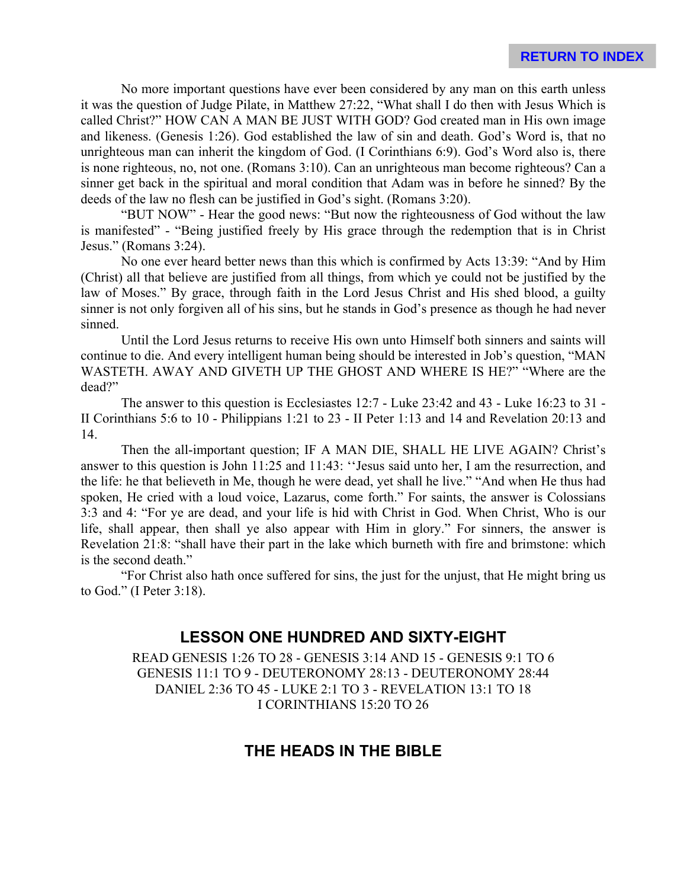No more important questions have ever been considered by any man on this earth unless it was the question of Judge Pilate, in Matthew 27:22, "What shall I do then with Jesus Which is called Christ?" HOW CAN A MAN BE JUST WITH GOD? God created man in His own image and likeness. (Genesis 1:26). God established the law of sin and death. God's Word is, that no unrighteous man can inherit the kingdom of God. (I Corinthians 6:9). God's Word also is, there is none righteous, no, not one. (Romans 3:10). Can an unrighteous man become righteous? Can a sinner get back in the spiritual and moral condition that Adam was in before he sinned? By the deeds of the law no flesh can be justified in God's sight. (Romans 3:20).

"BUT NOW" - Hear the good news: "But now the righteousness of God without the law is manifested" - "Being justified freely by His grace through the redemption that is in Christ Jesus." (Romans 3:24).

No one ever heard better news than this which is confirmed by Acts 13:39: "And by Him (Christ) all that believe are justified from all things, from which ye could not be justified by the law of Moses." By grace, through faith in the Lord Jesus Christ and His shed blood, a guilty sinner is not only forgiven all of his sins, but he stands in God's presence as though he had never sinned.

Until the Lord Jesus returns to receive His own unto Himself both sinners and saints will continue to die. And every intelligent human being should be interested in Job's question, "MAN WASTETH. AWAY AND GIVETH UP THE GHOST AND WHERE IS HE?" "Where are the dead?"

The answer to this question is Ecclesiastes  $12:7$  - Luke  $23:42$  and  $43$  - Luke  $16:23$  to  $31$  -II Corinthians 5:6 to 10 - Philippians 1:21 to 23 - II Peter 1:13 and 14 and Revelation 20:13 and 14.

Then the all-important question; IF A MAN DIE, SHALL HE LIVE AGAIN? Christ's answer to this question is John 11:25 and 11:43: ''Jesus said unto her, I am the resurrection, and the life: he that believeth in Me, though he were dead, yet shall he live." "And when He thus had spoken, He cried with a loud voice, Lazarus, come forth." For saints, the answer is Colossians 3:3 and 4: "For ye are dead, and your life is hid with Christ in God. When Christ, Who is our life, shall appear, then shall ye also appear with Him in glory." For sinners, the answer is Revelation 21:8: "shall have their part in the lake which burneth with fire and brimstone: which is the second death."

"For Christ also hath once suffered for sins, the just for the unjust, that He might bring us to God." (I Peter 3:18).

# **LESSON ONE HUNDRED AND SIXTY-EIGHT**

READ GENESIS 1:26 TO 28 - GENESIS 3:14 AND 15 - GENESIS 9:1 TO 6 GENESIS 11:1 TO 9 - DEUTERONOMY 28:13 - DEUTERONOMY 28:44 DANIEL 2:36 TO 45 - LUKE 2:1 TO 3 - REVELATION 13:1 TO 18 I CORINTHIANS 15:20 TO 26

# **THE HEADS IN THE BIBLE**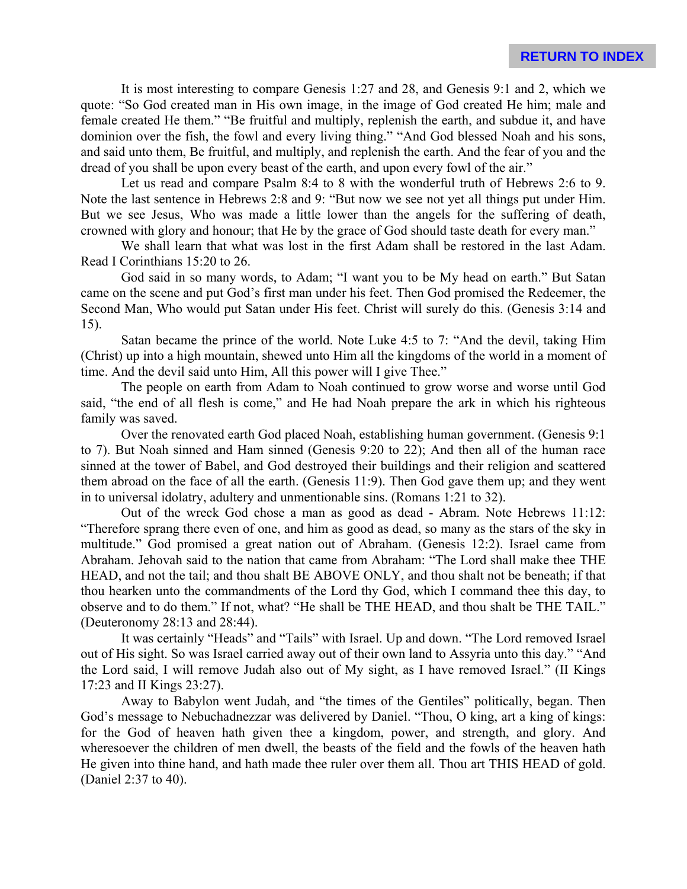It is most interesting to compare Genesis 1:27 and 28, and Genesis 9:1 and 2, which we quote: "So God created man in His own image, in the image of God created He him; male and female created He them." "Be fruitful and multiply, replenish the earth, and subdue it, and have dominion over the fish, the fowl and every living thing." "And God blessed Noah and his sons, and said unto them, Be fruitful, and multiply, and replenish the earth. And the fear of you and the dread of you shall be upon every beast of the earth, and upon every fowl of the air."

Let us read and compare Psalm 8:4 to 8 with the wonderful truth of Hebrews 2:6 to 9. Note the last sentence in Hebrews 2:8 and 9: "But now we see not yet all things put under Him. But we see Jesus, Who was made a little lower than the angels for the suffering of death, crowned with glory and honour; that He by the grace of God should taste death for every man."

We shall learn that what was lost in the first Adam shall be restored in the last Adam. Read I Corinthians 15:20 to 26.

God said in so many words, to Adam; "I want you to be My head on earth." But Satan came on the scene and put God's first man under his feet. Then God promised the Redeemer, the Second Man, Who would put Satan under His feet. Christ will surely do this. (Genesis 3:14 and 15).

Satan became the prince of the world. Note Luke 4:5 to 7: "And the devil, taking Him (Christ) up into a high mountain, shewed unto Him all the kingdoms of the world in a moment of time. And the devil said unto Him, All this power will I give Thee."

The people on earth from Adam to Noah continued to grow worse and worse until God said, "the end of all flesh is come," and He had Noah prepare the ark in which his righteous family was saved.

Over the renovated earth God placed Noah, establishing human government. (Genesis 9:1 to 7). But Noah sinned and Ham sinned (Genesis 9:20 to 22); And then all of the human race sinned at the tower of Babel, and God destroyed their buildings and their religion and scattered them abroad on the face of all the earth. (Genesis 11:9). Then God gave them up; and they went in to universal idolatry, adultery and unmentionable sins. (Romans 1:21 to 32).

Out of the wreck God chose a man as good as dead - Abram. Note Hebrews 11:12: "Therefore sprang there even of one, and him as good as dead, so many as the stars of the sky in multitude." God promised a great nation out of Abraham. (Genesis 12:2). Israel came from Abraham. Jehovah said to the nation that came from Abraham: "The Lord shall make thee THE HEAD, and not the tail; and thou shalt BE ABOVE ONLY, and thou shalt not be beneath; if that thou hearken unto the commandments of the Lord thy God, which I command thee this day, to observe and to do them." If not, what? "He shall be THE HEAD, and thou shalt be THE TAIL." (Deuteronomy 28:13 and 28:44).

It was certainly "Heads" and "Tails" with Israel. Up and down. "The Lord removed Israel out of His sight. So was Israel carried away out of their own land to Assyria unto this day." "And the Lord said, I will remove Judah also out of My sight, as I have removed Israel." (II Kings 17:23 and II Kings 23:27).

Away to Babylon went Judah, and "the times of the Gentiles" politically, began. Then God's message to Nebuchadnezzar was delivered by Daniel. "Thou, O king, art a king of kings: for the God of heaven hath given thee a kingdom, power, and strength, and glory. And wheresoever the children of men dwell, the beasts of the field and the fowls of the heaven hath He given into thine hand, and hath made thee ruler over them all. Thou art THIS HEAD of gold. (Daniel 2:37 to 40).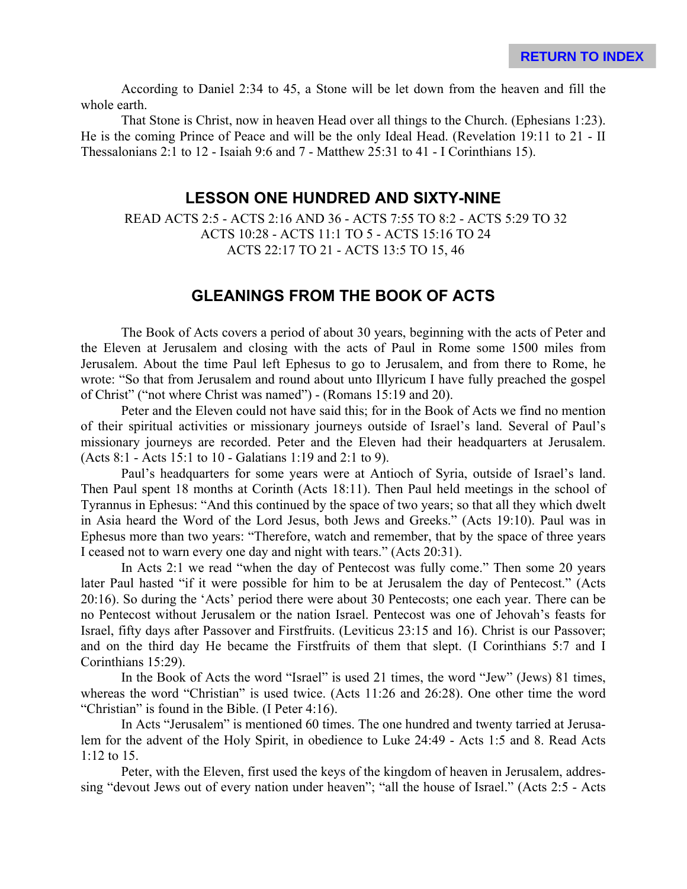According to Daniel 2:34 to 45, a Stone will be let down from the heaven and fill the whole earth.

That Stone is Christ, now in heaven Head over all things to the Church. (Ephesians 1:23). He is the coming Prince of Peace and will be the only Ideal Head. (Revelation 19:11 to 21 - II Thessalonians 2:1 to 12 - Isaiah 9:6 and 7 - Matthew 25:31 to 41 - I Corinthians 15).

# **LESSON ONE HUNDRED AND SIXTY-NINE**

READ ACTS 2:5 - ACTS 2:16 AND 36 - ACTS 7:55 TO 8:2 - ACTS 5:29 TO 32 ACTS 10:28 - ACTS 11:1 TO 5 - ACTS 15:16 TO 24 ACTS 22:17 TO 21 - ACTS 13:5 TO 15, 46

# **GLEANINGS FROM THE BOOK OF ACTS**

The Book of Acts covers a period of about 30 years, beginning with the acts of Peter and the Eleven at Jerusalem and closing with the acts of Paul in Rome some 1500 miles from Jerusalem. About the time Paul left Ephesus to go to Jerusalem, and from there to Rome, he wrote: "So that from Jerusalem and round about unto Illyricum I have fully preached the gospel of Christ" ("not where Christ was named") - (Romans 15:19 and 20).

Peter and the Eleven could not have said this; for in the Book of Acts we find no mention of their spiritual activities or missionary journeys outside of Israel's land. Several of Paul's missionary journeys are recorded. Peter and the Eleven had their headquarters at Jerusalem. (Acts 8:1 - Acts 15:1 to 10 - Galatians 1:19 and 2:1 to 9).

Paul's headquarters for some years were at Antioch of Syria, outside of Israel's land. Then Paul spent 18 months at Corinth (Acts 18:11). Then Paul held meetings in the school of Tyrannus in Ephesus: "And this continued by the space of two years; so that all they which dwelt in Asia heard the Word of the Lord Jesus, both Jews and Greeks." (Acts 19:10). Paul was in Ephesus more than two years: "Therefore, watch and remember, that by the space of three years I ceased not to warn every one day and night with tears." (Acts 20:31).

In Acts 2:1 we read "when the day of Pentecost was fully come." Then some 20 years later Paul hasted "if it were possible for him to be at Jerusalem the day of Pentecost." (Acts 20:16). So during the 'Acts' period there were about 30 Pentecosts; one each year. There can be no Pentecost without Jerusalem or the nation Israel. Pentecost was one of Jehovah's feasts for Israel, fifty days after Passover and Firstfruits. (Leviticus 23:15 and 16). Christ is our Passover; and on the third day He became the Firstfruits of them that slept. (I Corinthians 5:7 and I Corinthians 15:29).

In the Book of Acts the word "Israel" is used 21 times, the word "Jew" (Jews) 81 times, whereas the word "Christian" is used twice. (Acts 11:26 and 26:28). One other time the word "Christian" is found in the Bible. (I Peter 4:16).

In Acts "Jerusalem" is mentioned 60 times. The one hundred and twenty tarried at Jerusalem for the advent of the Holy Spirit, in obedience to Luke 24:49 - Acts 1:5 and 8. Read Acts 1:12 to 15.

Peter, with the Eleven, first used the keys of the kingdom of heaven in Jerusalem, addressing "devout Jews out of every nation under heaven"; "all the house of Israel." (Acts 2:5 - Acts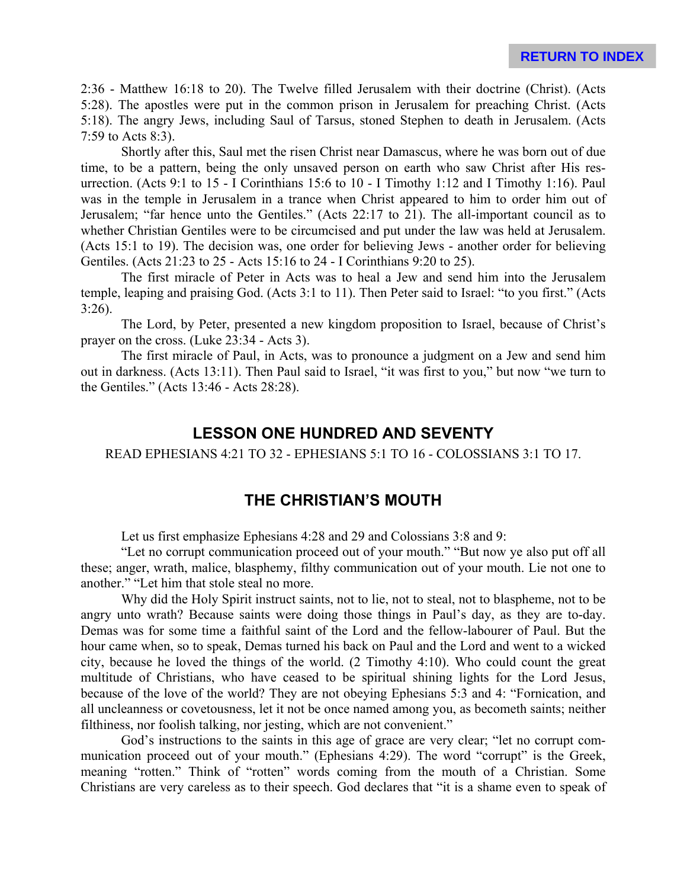2:36 - Matthew 16:18 to 20). The Twelve filled Jerusalem with their doctrine (Christ). (Acts 5:28). The apostles were put in the common prison in Jerusalem for preaching Christ. (Acts 5:18). The angry Jews, including Saul of Tarsus, stoned Stephen to death in Jerusalem. (Acts 7:59 to Acts 8:3).

Shortly after this, Saul met the risen Christ near Damascus, where he was born out of due time, to be a pattern, being the only unsaved person on earth who saw Christ after His resurrection. (Acts 9:1 to 15 - I Corinthians 15:6 to 10 - I Timothy 1:12 and I Timothy 1:16). Paul was in the temple in Jerusalem in a trance when Christ appeared to him to order him out of Jerusalem; "far hence unto the Gentiles." (Acts 22:17 to 21). The all-important council as to whether Christian Gentiles were to be circumcised and put under the law was held at Jerusalem. (Acts 15:1 to 19). The decision was, one order for believing Jews - another order for believing Gentiles. (Acts 21:23 to 25 - Acts 15:16 to 24 - I Corinthians 9:20 to 25).

The first miracle of Peter in Acts was to heal a Jew and send him into the Jerusalem temple, leaping and praising God. (Acts 3:1 to 11). Then Peter said to Israel: "to you first." (Acts 3:26).

The Lord, by Peter, presented a new kingdom proposition to Israel, because of Christ's prayer on the cross. (Luke 23:34 - Acts 3).

The first miracle of Paul, in Acts, was to pronounce a judgment on a Jew and send him out in darkness. (Acts 13:11). Then Paul said to Israel, "it was first to you," but now "we turn to the Gentiles." (Acts 13:46 - Acts 28:28).

#### **LESSON ONE HUNDRED AND SEVENTY**

READ EPHESIANS 4:21 TO 32 - EPHESIANS 5:1 TO 16 - COLOSSIANS 3:1 TO 17.

#### **THE CHRISTIAN'S MOUTH**

Let us first emphasize Ephesians 4:28 and 29 and Colossians 3:8 and 9:

"Let no corrupt communication proceed out of your mouth." "But now ye also put off all these; anger, wrath, malice, blasphemy, filthy communication out of your mouth. Lie not one to another." "Let him that stole steal no more.

Why did the Holy Spirit instruct saints, not to lie, not to steal, not to blaspheme, not to be angry unto wrath? Because saints were doing those things in Paul's day, as they are to-day. Demas was for some time a faithful saint of the Lord and the fellow-labourer of Paul. But the hour came when, so to speak, Demas turned his back on Paul and the Lord and went to a wicked city, because he loved the things of the world. (2 Timothy 4:10). Who could count the great multitude of Christians, who have ceased to be spiritual shining lights for the Lord Jesus, because of the love of the world? They are not obeying Ephesians 5:3 and 4: "Fornication, and all uncleanness or covetousness, let it not be once named among you, as becometh saints; neither filthiness, nor foolish talking, nor jesting, which are not convenient."

God's instructions to the saints in this age of grace are very clear; "let no corrupt communication proceed out of your mouth." (Ephesians 4:29). The word "corrupt" is the Greek, meaning "rotten." Think of "rotten" words coming from the mouth of a Christian. Some Christians are very careless as to their speech. God declares that "it is a shame even to speak of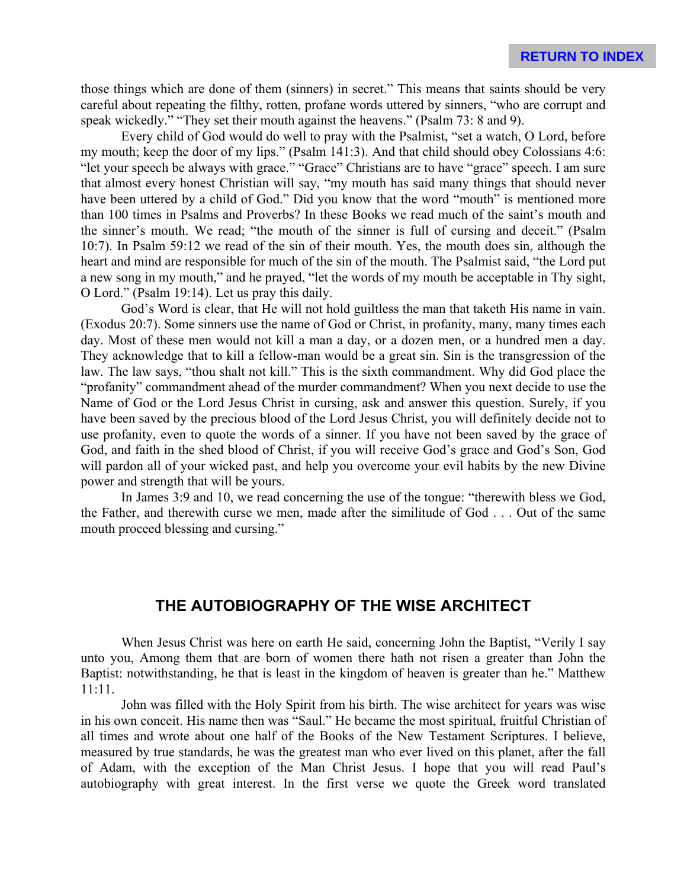those things which are done of them (sinners) in secret." This means that saints should be very careful about repeating the filthy, rotten, profane words uttered by sinners, "who are corrupt and speak wickedly." "They set their mouth against the heavens." (Psalm 73: 8 and 9).

Every child of God would do well to pray with the Psalmist, "set a watch, O Lord, before my mouth; keep the door of my lips." (Psalm 141:3). And that child should obey Colossians 4:6: "let your speech be always with grace." "Grace" Christians are to have "grace" speech. I am sure that almost every honest Christian will say, "my mouth has said many things that should never have been uttered by a child of God." Did you know that the word "mouth" is mentioned more than 100 times in Psalms and Proverbs? In these Books we read much of the saint's mouth and the sinner's mouth. We read; "the mouth of the sinner is full of cursing and deceit." (Psalm 10:7). In Psalm 59:12 we read of the sin of their mouth. Yes, the mouth does sin, although the heart and mind are responsible for much of the sin of the mouth. The Psalmist said, "the Lord put a new song in my mouth," and he prayed, "let the words of my mouth be acceptable in Thy sight, O Lord." (Psalm 19:14). Let us pray this daily.

God's Word is clear, that He will not hold guiltless the man that taketh His name in vain. (Exodus 20:7). Some sinners use the name of God or Christ, in profanity, many, many times each day. Most of these men would not kill a man a day, or a dozen men, or a hundred men a day. They acknowledge that to kill a fellow-man would be a great sin. Sin is the transgression of the law. The law says, "thou shalt not kill." This is the sixth commandment. Why did God place the "profanity" commandment ahead of the murder commandment? When you next decide to use the Name of God or the Lord Jesus Christ in cursing, ask and answer this question. Surely, if you have been saved by the precious blood of the Lord Jesus Christ, you will definitely decide not to use profanity, even to quote the words of a sinner. If you have not been saved by the grace of God, and faith in the shed blood of Christ, if you will receive God's grace and God's Son, God will pardon all of your wicked past, and help you overcome your evil habits by the new Divine power and strength that will be yours.

In James 3:9 and 10, we read concerning the use of the tongue: "therewith bless we God, the Father, and therewith curse we men, made after the similitude of God . . . Out of the same mouth proceed blessing and cursing."

#### **THE AUTOBIOGRAPHY OF THE WISE ARCHITECT**

When Jesus Christ was here on earth He said, concerning John the Baptist, "Verily I say unto you, Among them that are born of women there hath not risen a greater than John the Baptist: notwithstanding, he that is least in the kingdom of heaven is greater than he." Matthew 11:11.

John was filled with the Holy Spirit from his birth. The wise architect for years was wise in his own conceit. His name then was "Saul." He became the most spiritual, fruitful Christian of all times and wrote about one half of the Books of the New Testament Scriptures. I believe, measured by true standards, he was the greatest man who ever lived on this planet, after the fall of Adam, with the exception of the Man Christ Jesus. I hope that you will read Paul's autobiography with great interest. In the first verse we quote the Greek word translated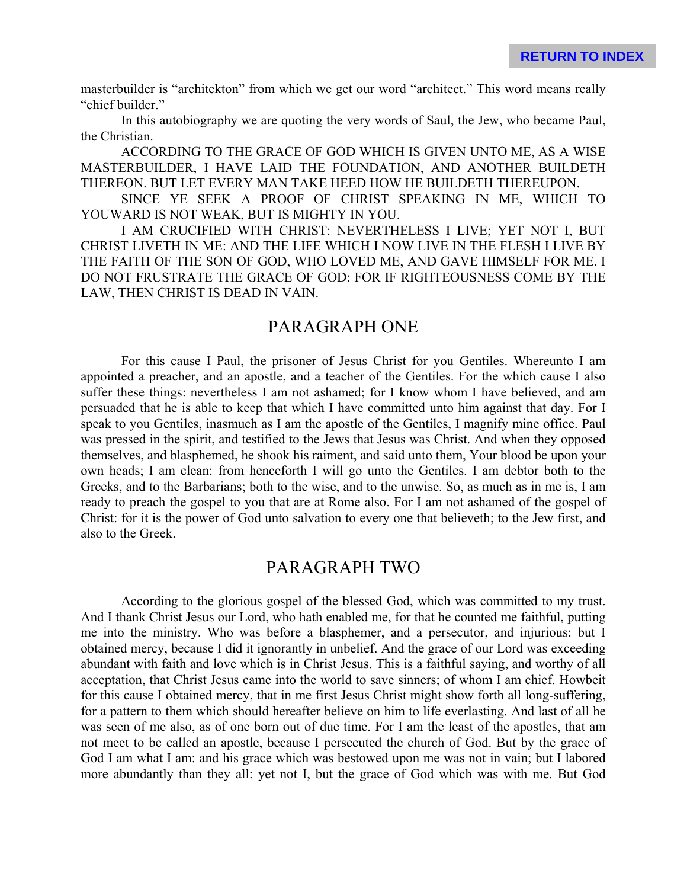masterbuilder is "architekton" from which we get our word "architect." This word means really "chief builder."

In this autobiography we are quoting the very words of Saul, the Jew, who became Paul, the Christian.

ACCORDING TO THE GRACE OF GOD WHICH IS GIVEN UNTO ME, AS A WISE MASTERBUILDER, I HAVE LAID THE FOUNDATION, AND ANOTHER BUILDETH THEREON. BUT LET EVERY MAN TAKE HEED HOW HE BUILDETH THEREUPON.

SINCE YE SEEK A PROOF OF CHRIST SPEAKING IN ME, WHICH TO YOUWARD IS NOT WEAK, BUT IS MIGHTY IN YOU.

I AM CRUCIFIED WITH CHRIST: NEVERTHELESS I LIVE; YET NOT I, BUT CHRIST LIVETH IN ME: AND THE LIFE WHICH I NOW LIVE IN THE FLESH I LIVE BY THE FAITH OF THE SON OF GOD, WHO LOVED ME, AND GAVE HIMSELF FOR ME. I DO NOT FRUSTRATE THE GRACE OF GOD: FOR IF RIGHTEOUSNESS COME BY THE LAW, THEN CHRIST IS DEAD IN VAIN.

### PARAGRAPH ONE

For this cause I Paul, the prisoner of Jesus Christ for you Gentiles. Whereunto I am appointed a preacher, and an apostle, and a teacher of the Gentiles. For the which cause I also suffer these things: nevertheless I am not ashamed; for I know whom I have believed, and am persuaded that he is able to keep that which I have committed unto him against that day. For I speak to you Gentiles, inasmuch as I am the apostle of the Gentiles, I magnify mine office. Paul was pressed in the spirit, and testified to the Jews that Jesus was Christ. And when they opposed themselves, and blasphemed, he shook his raiment, and said unto them, Your blood be upon your own heads; I am clean: from henceforth I will go unto the Gentiles. I am debtor both to the Greeks, and to the Barbarians; both to the wise, and to the unwise. So, as much as in me is, I am ready to preach the gospel to you that are at Rome also. For I am not ashamed of the gospel of Christ: for it is the power of God unto salvation to every one that believeth; to the Jew first, and also to the Greek.

## PARAGRAPH TWO

According to the glorious gospel of the blessed God, which was committed to my trust. And I thank Christ Jesus our Lord, who hath enabled me, for that he counted me faithful, putting me into the ministry. Who was before a blasphemer, and a persecutor, and injurious: but I obtained mercy, because I did it ignorantly in unbelief. And the grace of our Lord was exceeding abundant with faith and love which is in Christ Jesus. This is a faithful saying, and worthy of all acceptation, that Christ Jesus came into the world to save sinners; of whom I am chief. Howbeit for this cause I obtained mercy, that in me first Jesus Christ might show forth all long-suffering, for a pattern to them which should hereafter believe on him to life everlasting. And last of all he was seen of me also, as of one born out of due time. For I am the least of the apostles, that am not meet to be called an apostle, because I persecuted the church of God. But by the grace of God I am what I am: and his grace which was bestowed upon me was not in vain; but I labored more abundantly than they all: yet not I, but the grace of God which was with me. But God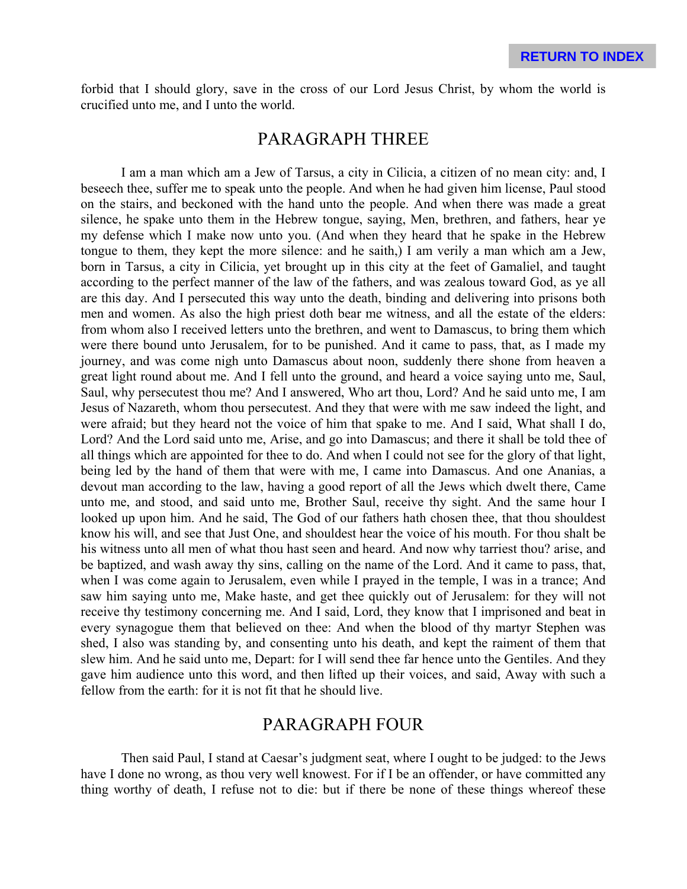forbid that I should glory, save in the cross of our Lord Jesus Christ, by whom the world is crucified unto me, and I unto the world.

### PARAGRAPH THREE

I am a man which am a Jew of Tarsus, a city in Cilicia, a citizen of no mean city: and, I beseech thee, suffer me to speak unto the people. And when he had given him license, Paul stood on the stairs, and beckoned with the hand unto the people. And when there was made a great silence, he spake unto them in the Hebrew tongue, saying, Men, brethren, and fathers, hear ye my defense which I make now unto you. (And when they heard that he spake in the Hebrew tongue to them, they kept the more silence: and he saith,) I am verily a man which am a Jew, born in Tarsus, a city in Cilicia, yet brought up in this city at the feet of Gamaliel, and taught according to the perfect manner of the law of the fathers, and was zealous toward God, as ye all are this day. And I persecuted this way unto the death, binding and delivering into prisons both men and women. As also the high priest doth bear me witness, and all the estate of the elders: from whom also I received letters unto the brethren, and went to Damascus, to bring them which were there bound unto Jerusalem, for to be punished. And it came to pass, that, as I made my journey, and was come nigh unto Damascus about noon, suddenly there shone from heaven a great light round about me. And I fell unto the ground, and heard a voice saying unto me, Saul, Saul, why persecutest thou me? And I answered, Who art thou, Lord? And he said unto me, I am Jesus of Nazareth, whom thou persecutest. And they that were with me saw indeed the light, and were afraid; but they heard not the voice of him that spake to me. And I said, What shall I do, Lord? And the Lord said unto me, Arise, and go into Damascus; and there it shall be told thee of all things which are appointed for thee to do. And when I could not see for the glory of that light, being led by the hand of them that were with me, I came into Damascus. And one Ananias, a devout man according to the law, having a good report of all the Jews which dwelt there, Came unto me, and stood, and said unto me, Brother Saul, receive thy sight. And the same hour I looked up upon him. And he said, The God of our fathers hath chosen thee, that thou shouldest know his will, and see that Just One, and shouldest hear the voice of his mouth. For thou shalt be his witness unto all men of what thou hast seen and heard. And now why tarriest thou? arise, and be baptized, and wash away thy sins, calling on the name of the Lord. And it came to pass, that, when I was come again to Jerusalem, even while I prayed in the temple, I was in a trance; And saw him saying unto me, Make haste, and get thee quickly out of Jerusalem: for they will not receive thy testimony concerning me. And I said, Lord, they know that I imprisoned and beat in every synagogue them that believed on thee: And when the blood of thy martyr Stephen was shed, I also was standing by, and consenting unto his death, and kept the raiment of them that slew him. And he said unto me, Depart: for I will send thee far hence unto the Gentiles. And they gave him audience unto this word, and then lifted up their voices, and said, Away with such a fellow from the earth: for it is not fit that he should live.

### PARAGRAPH FOUR

Then said Paul, I stand at Caesar's judgment seat, where I ought to be judged: to the Jews have I done no wrong, as thou very well knowest. For if I be an offender, or have committed any thing worthy of death, I refuse not to die: but if there be none of these things whereof these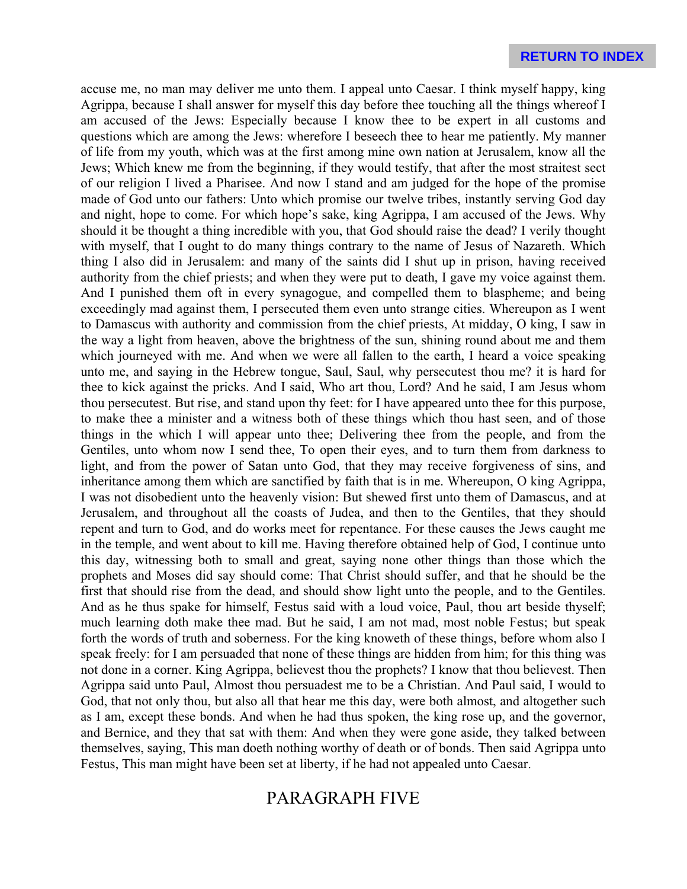accuse me, no man may deliver me unto them. I appeal unto Caesar. I think myself happy, king Agrippa, because I shall answer for myself this day before thee touching all the things whereof I am accused of the Jews: Especially because I know thee to be expert in all customs and questions which are among the Jews: wherefore I beseech thee to hear me patiently. My manner of life from my youth, which was at the first among mine own nation at Jerusalem, know all the Jews; Which knew me from the beginning, if they would testify, that after the most straitest sect of our religion I lived a Pharisee. And now I stand and am judged for the hope of the promise made of God unto our fathers: Unto which promise our twelve tribes, instantly serving God day and night, hope to come. For which hope's sake, king Agrippa, I am accused of the Jews. Why should it be thought a thing incredible with you, that God should raise the dead? I verily thought with myself, that I ought to do many things contrary to the name of Jesus of Nazareth. Which thing I also did in Jerusalem: and many of the saints did I shut up in prison, having received authority from the chief priests; and when they were put to death, I gave my voice against them. And I punished them oft in every synagogue, and compelled them to blaspheme; and being exceedingly mad against them, I persecuted them even unto strange cities. Whereupon as I went to Damascus with authority and commission from the chief priests, At midday, O king, I saw in the way a light from heaven, above the brightness of the sun, shining round about me and them which journeyed with me. And when we were all fallen to the earth, I heard a voice speaking unto me, and saying in the Hebrew tongue, Saul, Saul, why persecutest thou me? it is hard for thee to kick against the pricks. And I said, Who art thou, Lord? And he said, I am Jesus whom thou persecutest. But rise, and stand upon thy feet: for I have appeared unto thee for this purpose, to make thee a minister and a witness both of these things which thou hast seen, and of those things in the which I will appear unto thee; Delivering thee from the people, and from the Gentiles, unto whom now I send thee, To open their eyes, and to turn them from darkness to light, and from the power of Satan unto God, that they may receive forgiveness of sins, and inheritance among them which are sanctified by faith that is in me. Whereupon, O king Agrippa, I was not disobedient unto the heavenly vision: But shewed first unto them of Damascus, and at Jerusalem, and throughout all the coasts of Judea, and then to the Gentiles, that they should repent and turn to God, and do works meet for repentance. For these causes the Jews caught me in the temple, and went about to kill me. Having therefore obtained help of God, I continue unto this day, witnessing both to small and great, saying none other things than those which the prophets and Moses did say should come: That Christ should suffer, and that he should be the first that should rise from the dead, and should show light unto the people, and to the Gentiles. And as he thus spake for himself, Festus said with a loud voice, Paul, thou art beside thyself; much learning doth make thee mad. But he said, I am not mad, most noble Festus; but speak forth the words of truth and soberness. For the king knoweth of these things, before whom also I speak freely: for I am persuaded that none of these things are hidden from him; for this thing was not done in a corner. King Agrippa, believest thou the prophets? I know that thou believest. Then Agrippa said unto Paul, Almost thou persuadest me to be a Christian. And Paul said, I would to God, that not only thou, but also all that hear me this day, were both almost, and altogether such as I am, except these bonds. And when he had thus spoken, the king rose up, and the governor, and Bernice, and they that sat with them: And when they were gone aside, they talked between themselves, saying, This man doeth nothing worthy of death or of bonds. Then said Agrippa unto Festus, This man might have been set at liberty, if he had not appealed unto Caesar.

# PARAGRAPH FIVE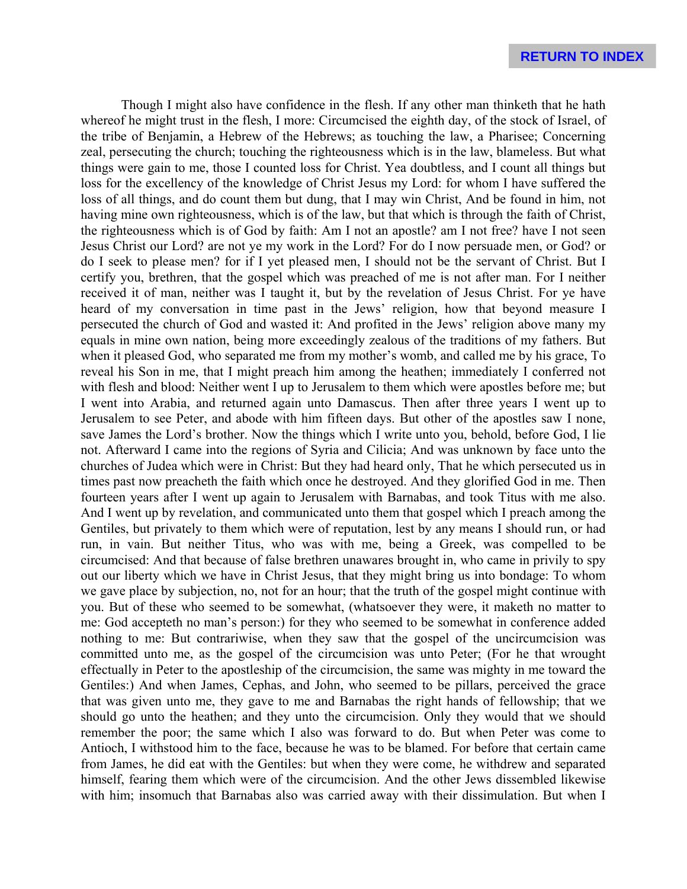Though I might also have confidence in the flesh. If any other man thinketh that he hath whereof he might trust in the flesh, I more: Circumcised the eighth day, of the stock of Israel, of the tribe of Benjamin, a Hebrew of the Hebrews; as touching the law, a Pharisee; Concerning zeal, persecuting the church; touching the righteousness which is in the law, blameless. But what things were gain to me, those I counted loss for Christ. Yea doubtless, and I count all things but loss for the excellency of the knowledge of Christ Jesus my Lord: for whom I have suffered the loss of all things, and do count them but dung, that I may win Christ, And be found in him, not having mine own righteousness, which is of the law, but that which is through the faith of Christ, the righteousness which is of God by faith: Am I not an apostle? am I not free? have I not seen Jesus Christ our Lord? are not ye my work in the Lord? For do I now persuade men, or God? or do I seek to please men? for if I yet pleased men, I should not be the servant of Christ. But I certify you, brethren, that the gospel which was preached of me is not after man. For I neither received it of man, neither was I taught it, but by the revelation of Jesus Christ. For ye have heard of my conversation in time past in the Jews' religion, how that beyond measure I persecuted the church of God and wasted it: And profited in the Jews' religion above many my equals in mine own nation, being more exceedingly zealous of the traditions of my fathers. But when it pleased God, who separated me from my mother's womb, and called me by his grace, To reveal his Son in me, that I might preach him among the heathen; immediately I conferred not with flesh and blood: Neither went I up to Jerusalem to them which were apostles before me; but I went into Arabia, and returned again unto Damascus. Then after three years I went up to Jerusalem to see Peter, and abode with him fifteen days. But other of the apostles saw I none, save James the Lord's brother. Now the things which I write unto you, behold, before God, I lie not. Afterward I came into the regions of Syria and Cilicia; And was unknown by face unto the churches of Judea which were in Christ: But they had heard only, That he which persecuted us in times past now preacheth the faith which once he destroyed. And they glorified God in me. Then fourteen years after I went up again to Jerusalem with Barnabas, and took Titus with me also. And I went up by revelation, and communicated unto them that gospel which I preach among the Gentiles, but privately to them which were of reputation, lest by any means I should run, or had run, in vain. But neither Titus, who was with me, being a Greek, was compelled to be circumcised: And that because of false brethren unawares brought in, who came in privily to spy out our liberty which we have in Christ Jesus, that they might bring us into bondage: To whom we gave place by subjection, no, not for an hour; that the truth of the gospel might continue with you. But of these who seemed to be somewhat, (whatsoever they were, it maketh no matter to me: God accepteth no man's person:) for they who seemed to be somewhat in conference added nothing to me: But contrariwise, when they saw that the gospel of the uncircumcision was committed unto me, as the gospel of the circumcision was unto Peter; (For he that wrought effectually in Peter to the apostleship of the circumcision, the same was mighty in me toward the Gentiles:) And when James, Cephas, and John, who seemed to be pillars, perceived the grace that was given unto me, they gave to me and Barnabas the right hands of fellowship; that we should go unto the heathen; and they unto the circumcision. Only they would that we should remember the poor; the same which I also was forward to do. But when Peter was come to Antioch, I withstood him to the face, because he was to be blamed. For before that certain came from James, he did eat with the Gentiles: but when they were come, he withdrew and separated himself, fearing them which were of the circumcision. And the other Jews dissembled likewise with him; insomuch that Barnabas also was carried away with their dissimulation. But when I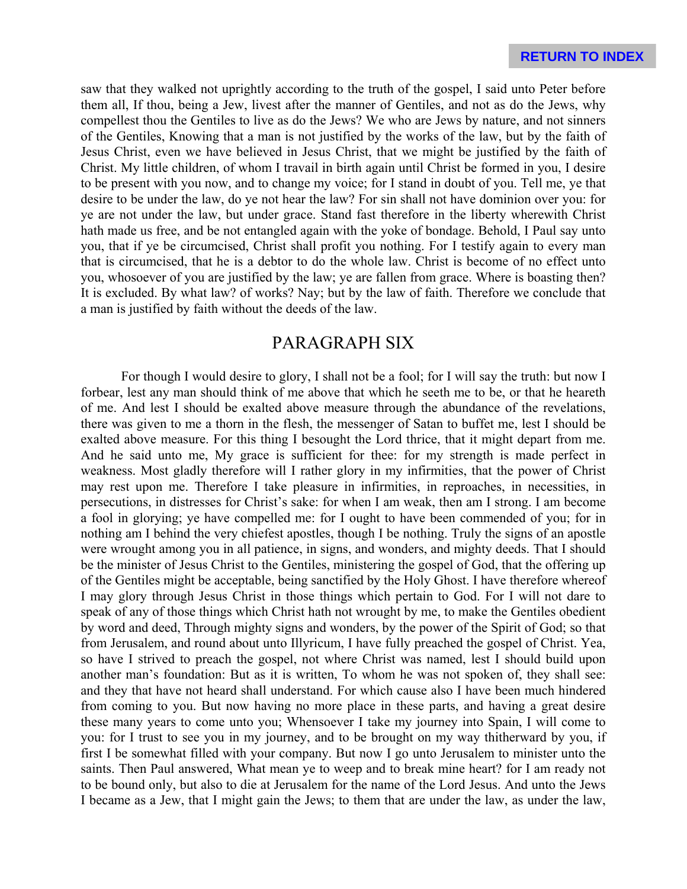saw that they walked not uprightly according to the truth of the gospel, I said unto Peter before them all, If thou, being a Jew, livest after the manner of Gentiles, and not as do the Jews, why compellest thou the Gentiles to live as do the Jews? We who are Jews by nature, and not sinners of the Gentiles, Knowing that a man is not justified by the works of the law, but by the faith of Jesus Christ, even we have believed in Jesus Christ, that we might be justified by the faith of Christ. My little children, of whom I travail in birth again until Christ be formed in you, I desire to be present with you now, and to change my voice; for I stand in doubt of you. Tell me, ye that desire to be under the law, do ye not hear the law? For sin shall not have dominion over you: for ye are not under the law, but under grace. Stand fast therefore in the liberty wherewith Christ hath made us free, and be not entangled again with the yoke of bondage. Behold, I Paul say unto you, that if ye be circumcised, Christ shall profit you nothing. For I testify again to every man that is circumcised, that he is a debtor to do the whole law. Christ is become of no effect unto you, whosoever of you are justified by the law; ye are fallen from grace. Where is boasting then? It is excluded. By what law? of works? Nay; but by the law of faith. Therefore we conclude that a man is justified by faith without the deeds of the law.

### PARAGRAPH SIX

For though I would desire to glory, I shall not be a fool; for I will say the truth: but now I forbear, lest any man should think of me above that which he seeth me to be, or that he heareth of me. And lest I should be exalted above measure through the abundance of the revelations, there was given to me a thorn in the flesh, the messenger of Satan to buffet me, lest I should be exalted above measure. For this thing I besought the Lord thrice, that it might depart from me. And he said unto me, My grace is sufficient for thee: for my strength is made perfect in weakness. Most gladly therefore will I rather glory in my infirmities, that the power of Christ may rest upon me. Therefore I take pleasure in infirmities, in reproaches, in necessities, in persecutions, in distresses for Christ's sake: for when I am weak, then am I strong. I am become a fool in glorying; ye have compelled me: for I ought to have been commended of you; for in nothing am I behind the very chiefest apostles, though I be nothing. Truly the signs of an apostle were wrought among you in all patience, in signs, and wonders, and mighty deeds. That I should be the minister of Jesus Christ to the Gentiles, ministering the gospel of God, that the offering up of the Gentiles might be acceptable, being sanctified by the Holy Ghost. I have therefore whereof I may glory through Jesus Christ in those things which pertain to God. For I will not dare to speak of any of those things which Christ hath not wrought by me, to make the Gentiles obedient by word and deed, Through mighty signs and wonders, by the power of the Spirit of God; so that from Jerusalem, and round about unto Illyricum, I have fully preached the gospel of Christ. Yea, so have I strived to preach the gospel, not where Christ was named, lest I should build upon another man's foundation: But as it is written, To whom he was not spoken of, they shall see: and they that have not heard shall understand. For which cause also I have been much hindered from coming to you. But now having no more place in these parts, and having a great desire these many years to come unto you; Whensoever I take my journey into Spain, I will come to you: for I trust to see you in my journey, and to be brought on my way thitherward by you, if first I be somewhat filled with your company. But now I go unto Jerusalem to minister unto the saints. Then Paul answered, What mean ye to weep and to break mine heart? for I am ready not to be bound only, but also to die at Jerusalem for the name of the Lord Jesus. And unto the Jews I became as a Jew, that I might gain the Jews; to them that are under the law, as under the law,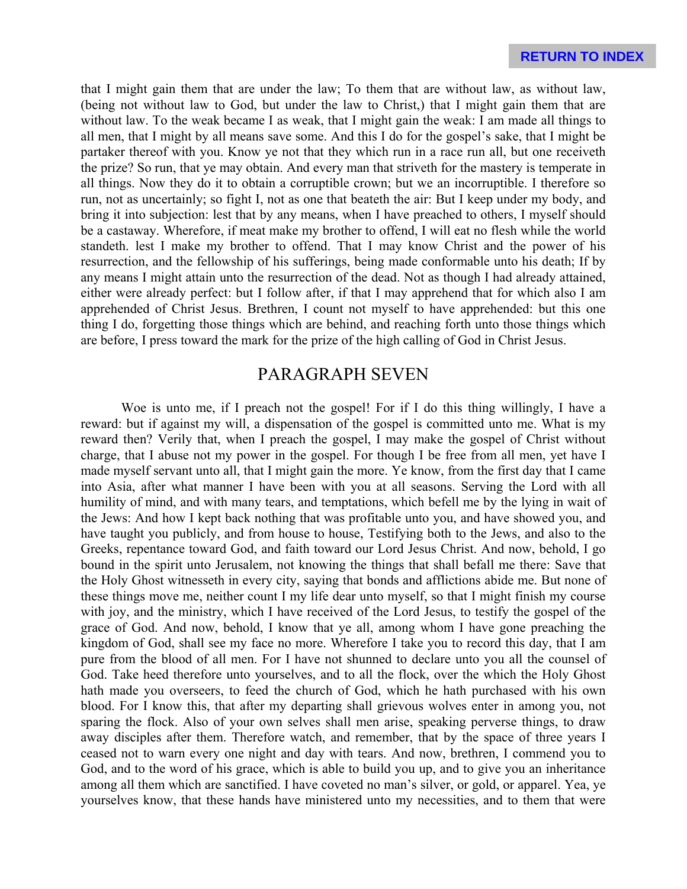that I might gain them that are under the law; To them that are without law, as without law, (being not without law to God, but under the law to Christ,) that I might gain them that are without law. To the weak became I as weak, that I might gain the weak: I am made all things to all men, that I might by all means save some. And this I do for the gospel's sake, that I might be partaker thereof with you. Know ye not that they which run in a race run all, but one receiveth the prize? So run, that ye may obtain. And every man that striveth for the mastery is temperate in all things. Now they do it to obtain a corruptible crown; but we an incorruptible. I therefore so run, not as uncertainly; so fight I, not as one that beateth the air: But I keep under my body, and bring it into subjection: lest that by any means, when I have preached to others, I myself should be a castaway. Wherefore, if meat make my brother to offend, I will eat no flesh while the world standeth. lest I make my brother to offend. That I may know Christ and the power of his resurrection, and the fellowship of his sufferings, being made conformable unto his death; If by any means I might attain unto the resurrection of the dead. Not as though I had already attained, either were already perfect: but I follow after, if that I may apprehend that for which also I am apprehended of Christ Jesus. Brethren, I count not myself to have apprehended: but this one thing I do, forgetting those things which are behind, and reaching forth unto those things which are before, I press toward the mark for the prize of the high calling of God in Christ Jesus.

## PARAGRAPH SEVEN

Woe is unto me, if I preach not the gospel! For if I do this thing willingly, I have a reward: but if against my will, a dispensation of the gospel is committed unto me. What is my reward then? Verily that, when I preach the gospel, I may make the gospel of Christ without charge, that I abuse not my power in the gospel. For though I be free from all men, yet have I made myself servant unto all, that I might gain the more. Ye know, from the first day that I came into Asia, after what manner I have been with you at all seasons. Serving the Lord with all humility of mind, and with many tears, and temptations, which befell me by the lying in wait of the Jews: And how I kept back nothing that was profitable unto you, and have showed you, and have taught you publicly, and from house to house, Testifying both to the Jews, and also to the Greeks, repentance toward God, and faith toward our Lord Jesus Christ. And now, behold, I go bound in the spirit unto Jerusalem, not knowing the things that shall befall me there: Save that the Holy Ghost witnesseth in every city, saying that bonds and afflictions abide me. But none of these things move me, neither count I my life dear unto myself, so that I might finish my course with joy, and the ministry, which I have received of the Lord Jesus, to testify the gospel of the grace of God. And now, behold, I know that ye all, among whom I have gone preaching the kingdom of God, shall see my face no more. Wherefore I take you to record this day, that I am pure from the blood of all men. For I have not shunned to declare unto you all the counsel of God. Take heed therefore unto yourselves, and to all the flock, over the which the Holy Ghost hath made you overseers, to feed the church of God, which he hath purchased with his own blood. For I know this, that after my departing shall grievous wolves enter in among you, not sparing the flock. Also of your own selves shall men arise, speaking perverse things, to draw away disciples after them. Therefore watch, and remember, that by the space of three years I ceased not to warn every one night and day with tears. And now, brethren, I commend you to God, and to the word of his grace, which is able to build you up, and to give you an inheritance among all them which are sanctified. I have coveted no man's silver, or gold, or apparel. Yea, ye yourselves know, that these hands have ministered unto my necessities, and to them that were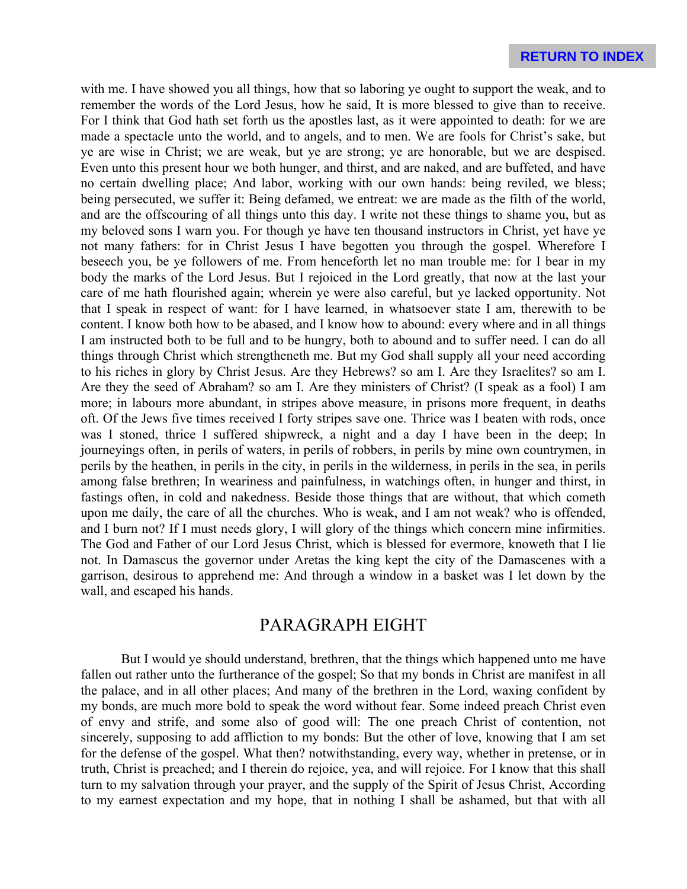with me. I have showed you all things, how that so laboring ye ought to support the weak, and to remember the words of the Lord Jesus, how he said, It is more blessed to give than to receive. For I think that God hath set forth us the apostles last, as it were appointed to death: for we are made a spectacle unto the world, and to angels, and to men. We are fools for Christ's sake, but ye are wise in Christ; we are weak, but ye are strong; ye are honorable, but we are despised. Even unto this present hour we both hunger, and thirst, and are naked, and are buffeted, and have no certain dwelling place; And labor, working with our own hands: being reviled, we bless; being persecuted, we suffer it: Being defamed, we entreat: we are made as the filth of the world, and are the offscouring of all things unto this day. I write not these things to shame you, but as my beloved sons I warn you. For though ye have ten thousand instructors in Christ, yet have ye not many fathers: for in Christ Jesus I have begotten you through the gospel. Wherefore I beseech you, be ye followers of me. From henceforth let no man trouble me: for I bear in my body the marks of the Lord Jesus. But I rejoiced in the Lord greatly, that now at the last your care of me hath flourished again; wherein ye were also careful, but ye lacked opportunity. Not that I speak in respect of want: for I have learned, in whatsoever state I am, therewith to be content. I know both how to be abased, and I know how to abound: every where and in all things I am instructed both to be full and to be hungry, both to abound and to suffer need. I can do all things through Christ which strengtheneth me. But my God shall supply all your need according to his riches in glory by Christ Jesus. Are they Hebrews? so am I. Are they Israelites? so am I. Are they the seed of Abraham? so am I. Are they ministers of Christ? (I speak as a fool) I am more; in labours more abundant, in stripes above measure, in prisons more frequent, in deaths oft. Of the Jews five times received I forty stripes save one. Thrice was I beaten with rods, once was I stoned, thrice I suffered shipwreck, a night and a day I have been in the deep; In journeyings often, in perils of waters, in perils of robbers, in perils by mine own countrymen, in perils by the heathen, in perils in the city, in perils in the wilderness, in perils in the sea, in perils among false brethren; In weariness and painfulness, in watchings often, in hunger and thirst, in fastings often, in cold and nakedness. Beside those things that are without, that which cometh upon me daily, the care of all the churches. Who is weak, and I am not weak? who is offended, and I burn not? If I must needs glory, I will glory of the things which concern mine infirmities. The God and Father of our Lord Jesus Christ, which is blessed for evermore, knoweth that I lie not. In Damascus the governor under Aretas the king kept the city of the Damascenes with a garrison, desirous to apprehend me: And through a window in a basket was I let down by the wall, and escaped his hands.

## PARAGRAPH EIGHT

But I would ye should understand, brethren, that the things which happened unto me have fallen out rather unto the furtherance of the gospel; So that my bonds in Christ are manifest in all the palace, and in all other places; And many of the brethren in the Lord, waxing confident by my bonds, are much more bold to speak the word without fear. Some indeed preach Christ even of envy and strife, and some also of good will: The one preach Christ of contention, not sincerely, supposing to add affliction to my bonds: But the other of love, knowing that I am set for the defense of the gospel. What then? notwithstanding, every way, whether in pretense, or in truth, Christ is preached; and I therein do rejoice, yea, and will rejoice. For I know that this shall turn to my salvation through your prayer, and the supply of the Spirit of Jesus Christ, According to my earnest expectation and my hope, that in nothing I shall be ashamed, but that with all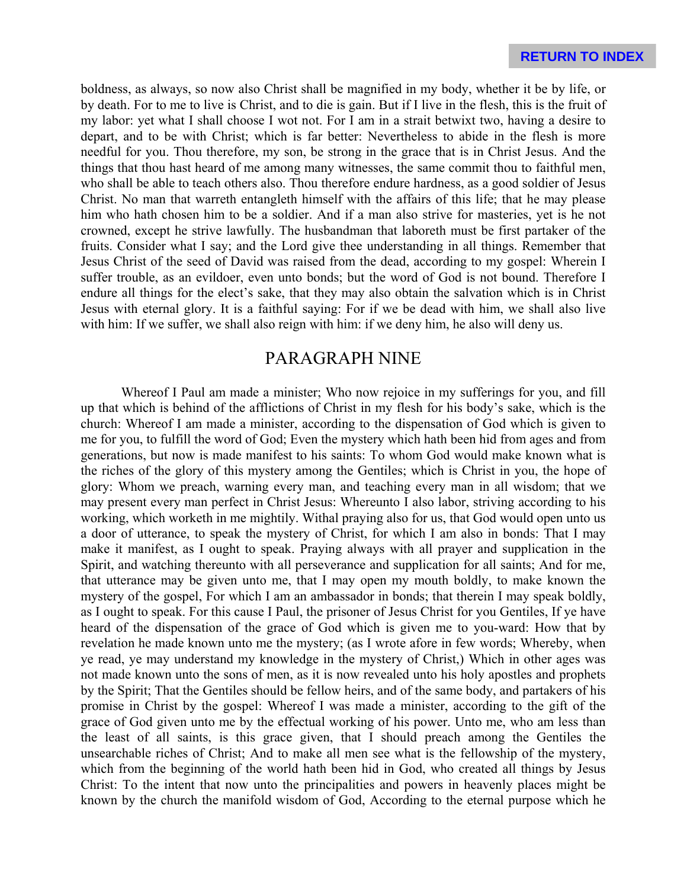boldness, as always, so now also Christ shall be magnified in my body, whether it be by life, or by death. For to me to live is Christ, and to die is gain. But if I live in the flesh, this is the fruit of my labor: yet what I shall choose I wot not. For I am in a strait betwixt two, having a desire to depart, and to be with Christ; which is far better: Nevertheless to abide in the flesh is more needful for you. Thou therefore, my son, be strong in the grace that is in Christ Jesus. And the things that thou hast heard of me among many witnesses, the same commit thou to faithful men, who shall be able to teach others also. Thou therefore endure hardness, as a good soldier of Jesus Christ. No man that warreth entangleth himself with the affairs of this life; that he may please him who hath chosen him to be a soldier. And if a man also strive for masteries, yet is he not crowned, except he strive lawfully. The husbandman that laboreth must be first partaker of the fruits. Consider what I say; and the Lord give thee understanding in all things. Remember that Jesus Christ of the seed of David was raised from the dead, according to my gospel: Wherein I suffer trouble, as an evildoer, even unto bonds; but the word of God is not bound. Therefore I endure all things for the elect's sake, that they may also obtain the salvation which is in Christ Jesus with eternal glory. It is a faithful saying: For if we be dead with him, we shall also live with him: If we suffer, we shall also reign with him: if we deny him, he also will deny us.

## PARAGRAPH NINE

Whereof I Paul am made a minister; Who now rejoice in my sufferings for you, and fill up that which is behind of the afflictions of Christ in my flesh for his body's sake, which is the church: Whereof I am made a minister, according to the dispensation of God which is given to me for you, to fulfill the word of God; Even the mystery which hath been hid from ages and from generations, but now is made manifest to his saints: To whom God would make known what is the riches of the glory of this mystery among the Gentiles; which is Christ in you, the hope of glory: Whom we preach, warning every man, and teaching every man in all wisdom; that we may present every man perfect in Christ Jesus: Whereunto I also labor, striving according to his working, which worketh in me mightily. Withal praying also for us, that God would open unto us a door of utterance, to speak the mystery of Christ, for which I am also in bonds: That I may make it manifest, as I ought to speak. Praying always with all prayer and supplication in the Spirit, and watching thereunto with all perseverance and supplication for all saints; And for me, that utterance may be given unto me, that I may open my mouth boldly, to make known the mystery of the gospel, For which I am an ambassador in bonds; that therein I may speak boldly, as I ought to speak. For this cause I Paul, the prisoner of Jesus Christ for you Gentiles, If ye have heard of the dispensation of the grace of God which is given me to you-ward: How that by revelation he made known unto me the mystery; (as I wrote afore in few words; Whereby, when ye read, ye may understand my knowledge in the mystery of Christ,) Which in other ages was not made known unto the sons of men, as it is now revealed unto his holy apostles and prophets by the Spirit; That the Gentiles should be fellow heirs, and of the same body, and partakers of his promise in Christ by the gospel: Whereof I was made a minister, according to the gift of the grace of God given unto me by the effectual working of his power. Unto me, who am less than the least of all saints, is this grace given, that I should preach among the Gentiles the unsearchable riches of Christ; And to make all men see what is the fellowship of the mystery, which from the beginning of the world hath been hid in God, who created all things by Jesus Christ: To the intent that now unto the principalities and powers in heavenly places might be known by the church the manifold wisdom of God, According to the eternal purpose which he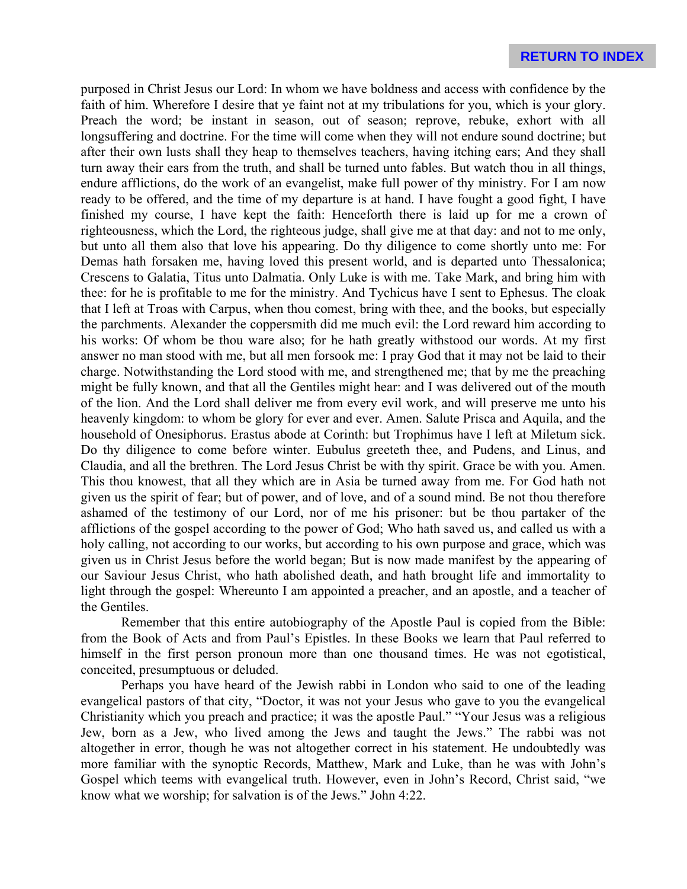purposed in Christ Jesus our Lord: In whom we have boldness and access with confidence by the faith of him. Wherefore I desire that ye faint not at my tribulations for you, which is your glory. Preach the word; be instant in season, out of season; reprove, rebuke, exhort with all longsuffering and doctrine. For the time will come when they will not endure sound doctrine; but after their own lusts shall they heap to themselves teachers, having itching ears; And they shall turn away their ears from the truth, and shall be turned unto fables. But watch thou in all things, endure afflictions, do the work of an evangelist, make full power of thy ministry. For I am now ready to be offered, and the time of my departure is at hand. I have fought a good fight, I have finished my course, I have kept the faith: Henceforth there is laid up for me a crown of righteousness, which the Lord, the righteous judge, shall give me at that day: and not to me only, but unto all them also that love his appearing. Do thy diligence to come shortly unto me: For Demas hath forsaken me, having loved this present world, and is departed unto Thessalonica; Crescens to Galatia, Titus unto Dalmatia. Only Luke is with me. Take Mark, and bring him with thee: for he is profitable to me for the ministry. And Tychicus have I sent to Ephesus. The cloak that I left at Troas with Carpus, when thou comest, bring with thee, and the books, but especially the parchments. Alexander the coppersmith did me much evil: the Lord reward him according to his works: Of whom be thou ware also; for he hath greatly withstood our words. At my first answer no man stood with me, but all men forsook me: I pray God that it may not be laid to their charge. Notwithstanding the Lord stood with me, and strengthened me; that by me the preaching might be fully known, and that all the Gentiles might hear: and I was delivered out of the mouth of the lion. And the Lord shall deliver me from every evil work, and will preserve me unto his heavenly kingdom: to whom be glory for ever and ever. Amen. Salute Prisca and Aquila, and the household of Onesiphorus. Erastus abode at Corinth: but Trophimus have I left at Miletum sick. Do thy diligence to come before winter. Eubulus greeteth thee, and Pudens, and Linus, and Claudia, and all the brethren. The Lord Jesus Christ be with thy spirit. Grace be with you. Amen. This thou knowest, that all they which are in Asia be turned away from me. For God hath not given us the spirit of fear; but of power, and of love, and of a sound mind. Be not thou therefore ashamed of the testimony of our Lord, nor of me his prisoner: but be thou partaker of the afflictions of the gospel according to the power of God; Who hath saved us, and called us with a holy calling, not according to our works, but according to his own purpose and grace, which was given us in Christ Jesus before the world began; But is now made manifest by the appearing of our Saviour Jesus Christ, who hath abolished death, and hath brought life and immortality to light through the gospel: Whereunto I am appointed a preacher, and an apostle, and a teacher of the Gentiles.

Remember that this entire autobiography of the Apostle Paul is copied from the Bible: from the Book of Acts and from Paul's Epistles. In these Books we learn that Paul referred to himself in the first person pronoun more than one thousand times. He was not egotistical, conceited, presumptuous or deluded.

Perhaps you have heard of the Jewish rabbi in London who said to one of the leading evangelical pastors of that city, "Doctor, it was not your Jesus who gave to you the evangelical Christianity which you preach and practice; it was the apostle Paul." "Your Jesus was a religious Jew, born as a Jew, who lived among the Jews and taught the Jews." The rabbi was not altogether in error, though he was not altogether correct in his statement. He undoubtedly was more familiar with the synoptic Records, Matthew, Mark and Luke, than he was with John's Gospel which teems with evangelical truth. However, even in John's Record, Christ said, "we know what we worship; for salvation is of the Jews." John 4:22.